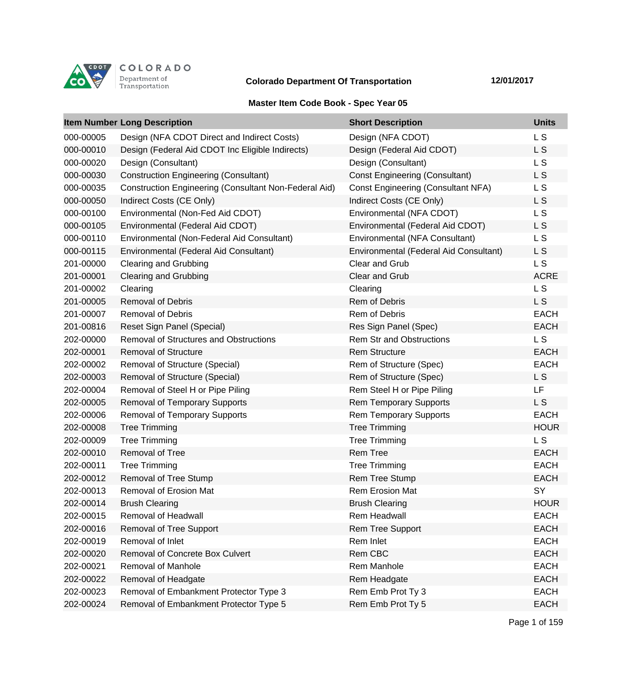

## **Colorado Department Of Transportation 12/01/2017**

## **Master Item Code Book - Spec Year 05**

|           | <b>Item Number Long Description</b>                          | <b>Short Description</b>                  | <b>Units</b>   |
|-----------|--------------------------------------------------------------|-------------------------------------------|----------------|
| 000-00005 | Design (NFA CDOT Direct and Indirect Costs)                  | Design (NFA CDOT)                         | L <sub>S</sub> |
| 000-00010 | Design (Federal Aid CDOT Inc Eligible Indirects)             | Design (Federal Aid CDOT)                 | L S            |
| 000-00020 | Design (Consultant)                                          | Design (Consultant)                       | L <sub>S</sub> |
| 000-00030 | <b>Construction Engineering (Consultant)</b>                 | <b>Const Engineering (Consultant)</b>     | L <sub>S</sub> |
| 000-00035 | <b>Construction Engineering (Consultant Non-Federal Aid)</b> | <b>Const Engineering (Consultant NFA)</b> | L <sub>S</sub> |
| 000-00050 | Indirect Costs (CE Only)                                     | Indirect Costs (CE Only)                  | L S            |
| 000-00100 | Environmental (Non-Fed Aid CDOT)                             | Environmental (NFA CDOT)                  | L <sub>S</sub> |
| 000-00105 | Environmental (Federal Aid CDOT)                             | Environmental (Federal Aid CDOT)          | L S            |
| 000-00110 | Environmental (Non-Federal Aid Consultant)                   | Environmental (NFA Consultant)            | L S            |
| 000-00115 | Environmental (Federal Aid Consultant)                       | Environmental (Federal Aid Consultant)    | L S            |
| 201-00000 | <b>Clearing and Grubbing</b>                                 | Clear and Grub                            | L S            |
| 201-00001 | <b>Clearing and Grubbing</b>                                 | Clear and Grub                            | <b>ACRE</b>    |
| 201-00002 | Clearing                                                     | Clearing                                  | L <sub>S</sub> |
| 201-00005 | <b>Removal of Debris</b>                                     | Rem of Debris                             | L S            |
| 201-00007 | <b>Removal of Debris</b>                                     | Rem of Debris                             | <b>EACH</b>    |
| 201-00816 | Reset Sign Panel (Special)                                   | Res Sign Panel (Spec)                     | <b>EACH</b>    |
| 202-00000 | Removal of Structures and Obstructions                       | <b>Rem Str and Obstructions</b>           | L <sub>S</sub> |
| 202-00001 | <b>Removal of Structure</b>                                  | <b>Rem Structure</b>                      | <b>EACH</b>    |
| 202-00002 | <b>Removal of Structure (Special)</b>                        | Rem of Structure (Spec)                   | <b>EACH</b>    |
| 202-00003 | Removal of Structure (Special)                               | Rem of Structure (Spec)                   | L <sub>S</sub> |
| 202-00004 | Removal of Steel H or Pipe Piling                            | Rem Steel H or Pipe Piling                | LF             |
| 202-00005 | <b>Removal of Temporary Supports</b>                         | <b>Rem Temporary Supports</b>             | L S            |
| 202-00006 | <b>Removal of Temporary Supports</b>                         | <b>Rem Temporary Supports</b>             | <b>EACH</b>    |
| 202-00008 | <b>Tree Trimming</b>                                         | <b>Tree Trimming</b>                      | <b>HOUR</b>    |
| 202-00009 | <b>Tree Trimming</b>                                         | <b>Tree Trimming</b>                      | L <sub>S</sub> |
| 202-00010 | <b>Removal of Tree</b>                                       | <b>Rem Tree</b>                           | <b>EACH</b>    |
| 202-00011 | <b>Tree Trimming</b>                                         | <b>Tree Trimming</b>                      | <b>EACH</b>    |
| 202-00012 | Removal of Tree Stump                                        | Rem Tree Stump                            | <b>EACH</b>    |
| 202-00013 | <b>Removal of Erosion Mat</b>                                | <b>Rem Erosion Mat</b>                    | SY             |
| 202-00014 | <b>Brush Clearing</b>                                        | <b>Brush Clearing</b>                     | <b>HOUR</b>    |
| 202-00015 | Removal of Headwall                                          | <b>Rem Headwall</b>                       | <b>EACH</b>    |
| 202-00016 | Removal of Tree Support                                      | <b>Rem Tree Support</b>                   | <b>EACH</b>    |
| 202-00019 | Removal of Inlet                                             | Rem Inlet                                 | <b>EACH</b>    |
| 202-00020 | Removal of Concrete Box Culvert                              | Rem CBC                                   | <b>EACH</b>    |
| 202-00021 | Removal of Manhole                                           | Rem Manhole                               | <b>EACH</b>    |
| 202-00022 | Removal of Headgate                                          | Rem Headgate                              | <b>EACH</b>    |
| 202-00023 | Removal of Embankment Protector Type 3                       | Rem Emb Prot Ty 3                         | <b>EACH</b>    |
| 202-00024 | Removal of Embankment Protector Type 5                       | Rem Emb Prot Ty 5                         | <b>EACH</b>    |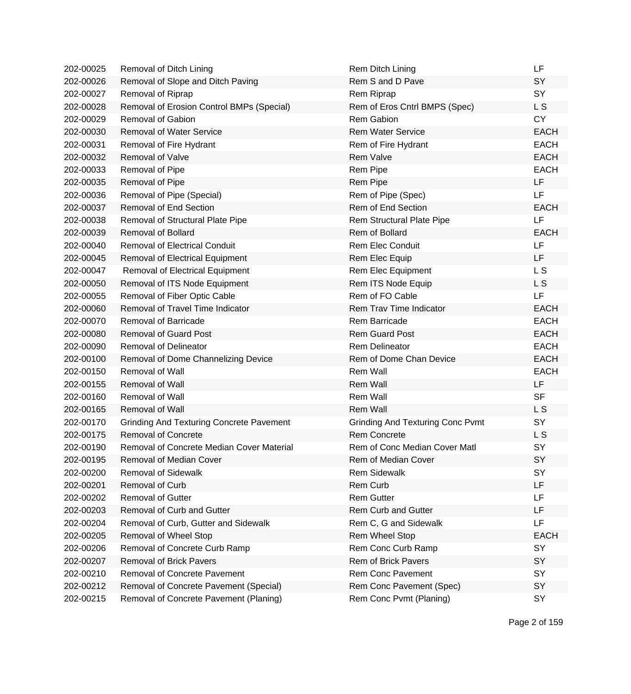| 202-00025 | Removal of Ditch Lining                         | Rem Ditch Lining                        | LF             |
|-----------|-------------------------------------------------|-----------------------------------------|----------------|
| 202-00026 | Removal of Slope and Ditch Paving               | Rem S and D Pave                        | SY             |
| 202-00027 | Removal of Riprap                               | Rem Riprap                              | SY             |
| 202-00028 | Removal of Erosion Control BMPs (Special)       | Rem of Eros Cntrl BMPS (Spec)           | L S            |
| 202-00029 | <b>Removal of Gabion</b>                        | <b>Rem Gabion</b>                       | <b>CY</b>      |
| 202-00030 | <b>Removal of Water Service</b>                 | <b>Rem Water Service</b>                | <b>EACH</b>    |
| 202-00031 | Removal of Fire Hydrant                         | Rem of Fire Hydrant                     | <b>EACH</b>    |
| 202-00032 | Removal of Valve                                | <b>Rem Valve</b>                        | <b>EACH</b>    |
| 202-00033 | Removal of Pipe                                 | Rem Pipe                                | <b>EACH</b>    |
| 202-00035 | Removal of Pipe                                 | Rem Pipe                                | <b>LF</b>      |
| 202-00036 | Removal of Pipe (Special)                       | Rem of Pipe (Spec)                      | LF             |
| 202-00037 | <b>Removal of End Section</b>                   | Rem of End Section                      | <b>EACH</b>    |
| 202-00038 | Removal of Structural Plate Pipe                | Rem Structural Plate Pipe               | LF             |
| 202-00039 | <b>Removal of Bollard</b>                       | Rem of Bollard                          | <b>EACH</b>    |
| 202-00040 | <b>Removal of Electrical Conduit</b>            | <b>Rem Elec Conduit</b>                 | LF             |
| 202-00045 | <b>Removal of Electrical Equipment</b>          | Rem Elec Equip                          | <b>LF</b>      |
| 202-00047 | Removal of Electrical Equipment                 | Rem Elec Equipment                      | L <sub>S</sub> |
| 202-00050 | Removal of ITS Node Equipment                   | Rem ITS Node Equip                      | L <sub>S</sub> |
| 202-00055 | Removal of Fiber Optic Cable                    | Rem of FO Cable                         | LF             |
| 202-00060 | Removal of Travel Time Indicator                | Rem Trav Time Indicator                 | <b>EACH</b>    |
| 202-00070 | <b>Removal of Barricade</b>                     | Rem Barricade                           | <b>EACH</b>    |
| 202-00080 | <b>Removal of Guard Post</b>                    | <b>Rem Guard Post</b>                   | <b>EACH</b>    |
| 202-00090 | <b>Removal of Delineator</b>                    | <b>Rem Delineator</b>                   | <b>EACH</b>    |
| 202-00100 | Removal of Dome Channelizing Device             | Rem of Dome Chan Device                 | <b>EACH</b>    |
| 202-00150 | Removal of Wall                                 | Rem Wall                                | <b>EACH</b>    |
| 202-00155 | <b>Removal of Wall</b>                          | <b>Rem Wall</b>                         | <b>LF</b>      |
| 202-00160 | Removal of Wall                                 | Rem Wall                                | <b>SF</b>      |
| 202-00165 | <b>Removal of Wall</b>                          | <b>Rem Wall</b>                         | L <sub>S</sub> |
| 202-00170 | <b>Grinding And Texturing Concrete Pavement</b> | <b>Grinding And Texturing Conc Pvmt</b> | SY             |
| 202-00175 | <b>Removal of Concrete</b>                      | <b>Rem Concrete</b>                     | L S            |
| 202-00190 | Removal of Concrete Median Cover Material       | Rem of Conc Median Cover Matl           | SY             |
| 202-00195 | Removal of Median Cover                         | Rem of Median Cover                     | SY             |
| 202-00200 | <b>Removal of Sidewalk</b>                      | <b>Rem Sidewalk</b>                     | SY             |
| 202-00201 | Removal of Curb                                 | Rem Curb                                | LF             |
| 202-00202 | <b>Removal of Gutter</b>                        | <b>Rem Gutter</b>                       | <b>LF</b>      |
| 202-00203 | Removal of Curb and Gutter                      | <b>Rem Curb and Gutter</b>              | LF             |
| 202-00204 | Removal of Curb, Gutter and Sidewalk            | Rem C, G and Sidewalk                   | LF             |
| 202-00205 | Removal of Wheel Stop                           | Rem Wheel Stop                          | <b>EACH</b>    |
| 202-00206 | Removal of Concrete Curb Ramp                   | Rem Conc Curb Ramp                      | SY             |
| 202-00207 | <b>Removal of Brick Pavers</b>                  | Rem of Brick Pavers                     | SY             |
| 202-00210 | <b>Removal of Concrete Pavement</b>             | <b>Rem Conc Pavement</b>                | SY             |
| 202-00212 | Removal of Concrete Pavement (Special)          | Rem Conc Pavement (Spec)                | SY             |
| 202-00215 | Removal of Concrete Pavement (Planing)          | Rem Conc Pvmt (Planing)                 | SY             |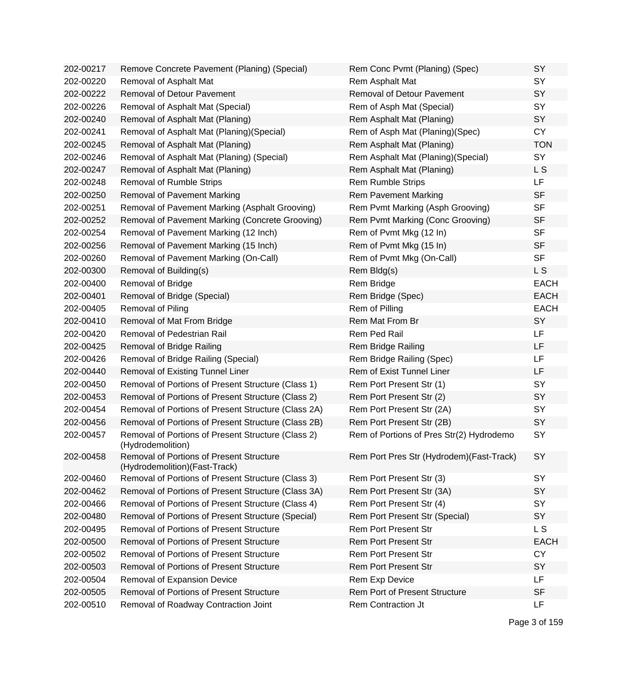| 202-00217 | Remove Concrete Pavement (Planing) (Special)                               | Rem Conc Pvmt (Planing) (Spec)            | SY          |
|-----------|----------------------------------------------------------------------------|-------------------------------------------|-------------|
| 202-00220 | Removal of Asphalt Mat                                                     | Rem Asphalt Mat                           | SY          |
| 202-00222 | Removal of Detour Pavement                                                 | <b>Removal of Detour Pavement</b>         | SY          |
| 202-00226 | Removal of Asphalt Mat (Special)                                           | Rem of Asph Mat (Special)                 | SY          |
| 202-00240 | Removal of Asphalt Mat (Planing)                                           | Rem Asphalt Mat (Planing)                 | SY          |
| 202-00241 | Removal of Asphalt Mat (Planing) (Special)                                 | Rem of Asph Mat (Planing)(Spec)           | <b>CY</b>   |
| 202-00245 | Removal of Asphalt Mat (Planing)                                           | Rem Asphalt Mat (Planing)                 | <b>TON</b>  |
| 202-00246 | Removal of Asphalt Mat (Planing) (Special)                                 | Rem Asphalt Mat (Planing) (Special)       | SY          |
| 202-00247 | Removal of Asphalt Mat (Planing)                                           | Rem Asphalt Mat (Planing)                 | L S         |
| 202-00248 | Removal of Rumble Strips                                                   | <b>Rem Rumble Strips</b>                  | LF          |
| 202-00250 | <b>Removal of Pavement Marking</b>                                         | <b>Rem Pavement Marking</b>               | <b>SF</b>   |
| 202-00251 | Removal of Pavement Marking (Asphalt Grooving)                             | Rem Pvmt Marking (Asph Grooving)          | <b>SF</b>   |
| 202-00252 | Removal of Pavement Marking (Concrete Grooving)                            | Rem Pvmt Marking (Conc Grooving)          | <b>SF</b>   |
| 202-00254 | Removal of Pavement Marking (12 Inch)                                      | Rem of Pvmt Mkg (12 In)                   | <b>SF</b>   |
| 202-00256 | Removal of Pavement Marking (15 Inch)                                      | Rem of Pvmt Mkg (15 In)                   | <b>SF</b>   |
| 202-00260 | Removal of Pavement Marking (On-Call)                                      | Rem of Pvmt Mkg (On-Call)                 | <b>SF</b>   |
| 202-00300 | Removal of Building(s)                                                     | Rem Bldg(s)                               | L S         |
| 202-00400 | Removal of Bridge                                                          | Rem Bridge                                | <b>EACH</b> |
| 202-00401 | Removal of Bridge (Special)                                                | Rem Bridge (Spec)                         | <b>EACH</b> |
| 202-00405 | Removal of Piling                                                          | Rem of Pilling                            | <b>EACH</b> |
| 202-00410 | Removal of Mat From Bridge                                                 | Rem Mat From Br                           | SY          |
| 202-00420 | Removal of Pedestrian Rail                                                 | Rem Ped Rail                              | LF          |
| 202-00425 | Removal of Bridge Railing                                                  | Rem Bridge Railing                        | LF          |
| 202-00426 | Removal of Bridge Railing (Special)                                        | Rem Bridge Railing (Spec)                 | LF          |
| 202-00440 | <b>Removal of Existing Tunnel Liner</b>                                    | Rem of Exist Tunnel Liner                 | LF          |
| 202-00450 | Removal of Portions of Present Structure (Class 1)                         | Rem Port Present Str (1)                  | SY          |
| 202-00453 | Removal of Portions of Present Structure (Class 2)                         | Rem Port Present Str (2)                  | SY          |
| 202-00454 | Removal of Portions of Present Structure (Class 2A)                        | Rem Port Present Str (2A)                 | SY          |
| 202-00456 | Removal of Portions of Present Structure (Class 2B)                        | Rem Port Present Str (2B)                 | SY          |
| 202-00457 | Removal of Portions of Present Structure (Class 2)<br>(Hydrodemolition)    | Rem of Portions of Pres Str(2) Hydrodemo  | SY          |
| 202-00458 | Removal of Portions of Present Structure<br>(Hydrodemolition) (Fast-Track) | Rem Port Pres Str (Hydrodem) (Fast-Track) | SY          |
| 202-00460 | Removal of Portions of Present Structure (Class 3)                         | Rem Port Present Str (3)                  | SY          |
| 202-00462 | Removal of Portions of Present Structure (Class 3A)                        | Rem Port Present Str (3A)                 | SY          |
| 202-00466 | Removal of Portions of Present Structure (Class 4)                         | Rem Port Present Str (4)                  | SY          |
| 202-00480 | Removal of Portions of Present Structure (Special)                         | Rem Port Present Str (Special)            | SY          |
| 202-00495 | <b>Removal of Portions of Present Structure</b>                            | <b>Rem Port Present Str</b>               | L S         |
| 202-00500 | Removal of Portions of Present Structure                                   | <b>Rem Port Present Str</b>               | <b>EACH</b> |
| 202-00502 | Removal of Portions of Present Structure                                   | <b>Rem Port Present Str</b>               | <b>CY</b>   |
| 202-00503 | Removal of Portions of Present Structure                                   | <b>Rem Port Present Str</b>               | SY          |
| 202-00504 | Removal of Expansion Device                                                | Rem Exp Device                            | LF.         |
| 202-00505 | Removal of Portions of Present Structure                                   | <b>Rem Port of Present Structure</b>      | <b>SF</b>   |
| 202-00510 | Removal of Roadway Contraction Joint                                       | Rem Contraction Jt                        | <b>LF</b>   |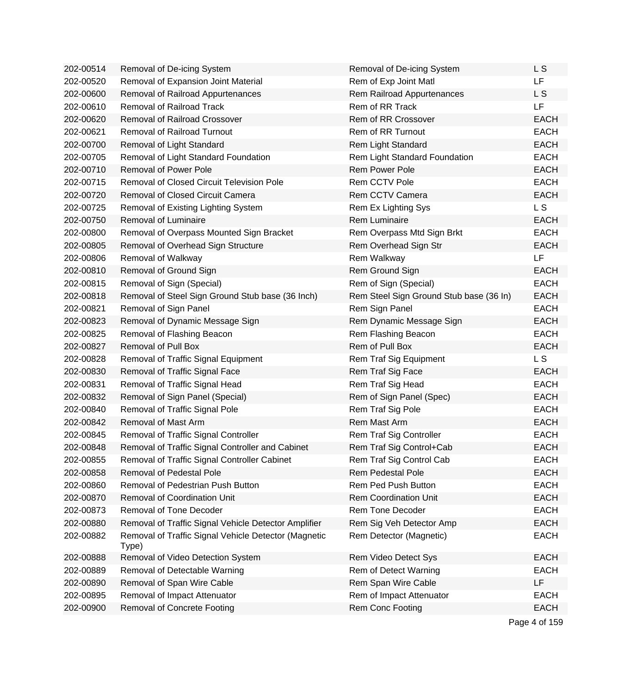| 202-00514 | Removal of De-icing System                                    | Removal of De-icing System              | L S            |
|-----------|---------------------------------------------------------------|-----------------------------------------|----------------|
| 202-00520 | Removal of Expansion Joint Material                           | Rem of Exp Joint Matl                   | LF.            |
| 202-00600 | Removal of Railroad Appurtenances                             | Rem Railroad Appurtenances              | L <sub>S</sub> |
| 202-00610 | <b>Removal of Railroad Track</b>                              | Rem of RR Track                         | LF             |
| 202-00620 | <b>Removal of Railroad Crossover</b>                          | Rem of RR Crossover                     | <b>EACH</b>    |
| 202-00621 | <b>Removal of Railroad Turnout</b>                            | Rem of RR Turnout                       | <b>EACH</b>    |
| 202-00700 | Removal of Light Standard                                     | Rem Light Standard                      | <b>EACH</b>    |
| 202-00705 | Removal of Light Standard Foundation                          | Rem Light Standard Foundation           | <b>EACH</b>    |
| 202-00710 | <b>Removal of Power Pole</b>                                  | <b>Rem Power Pole</b>                   | <b>EACH</b>    |
| 202-00715 | <b>Removal of Closed Circuit Television Pole</b>              | Rem CCTV Pole                           | <b>EACH</b>    |
| 202-00720 | <b>Removal of Closed Circuit Camera</b>                       | Rem CCTV Camera                         | <b>EACH</b>    |
| 202-00725 | Removal of Existing Lighting System                           | Rem Ex Lighting Sys                     | L <sub>S</sub> |
| 202-00750 | <b>Removal of Luminaire</b>                                   | <b>Rem Luminaire</b>                    | <b>EACH</b>    |
| 202-00800 | Removal of Overpass Mounted Sign Bracket                      | Rem Overpass Mtd Sign Brkt              | <b>EACH</b>    |
| 202-00805 | Removal of Overhead Sign Structure                            | Rem Overhead Sign Str                   | <b>EACH</b>    |
| 202-00806 | Removal of Walkway                                            | Rem Walkway                             | LF             |
| 202-00810 | Removal of Ground Sign                                        | Rem Ground Sign                         | <b>EACH</b>    |
| 202-00815 | Removal of Sign (Special)                                     | Rem of Sign (Special)                   | <b>EACH</b>    |
| 202-00818 | Removal of Steel Sign Ground Stub base (36 Inch)              | Rem Steel Sign Ground Stub base (36 In) | <b>EACH</b>    |
| 202-00821 | Removal of Sign Panel                                         | Rem Sign Panel                          | <b>EACH</b>    |
| 202-00823 | Removal of Dynamic Message Sign                               | Rem Dynamic Message Sign                | <b>EACH</b>    |
| 202-00825 | Removal of Flashing Beacon                                    | Rem Flashing Beacon                     | <b>EACH</b>    |
| 202-00827 | <b>Removal of Pull Box</b>                                    | Rem of Pull Box                         | <b>EACH</b>    |
| 202-00828 | Removal of Traffic Signal Equipment                           | Rem Traf Sig Equipment                  | L <sub>S</sub> |
| 202-00830 | Removal of Traffic Signal Face                                | Rem Traf Sig Face                       | <b>EACH</b>    |
| 202-00831 | Removal of Traffic Signal Head                                | Rem Traf Sig Head                       | <b>EACH</b>    |
| 202-00832 | Removal of Sign Panel (Special)                               | Rem of Sign Panel (Spec)                | <b>EACH</b>    |
| 202-00840 | Removal of Traffic Signal Pole                                | Rem Traf Sig Pole                       | <b>EACH</b>    |
| 202-00842 | Removal of Mast Arm                                           | Rem Mast Arm                            | <b>EACH</b>    |
| 202-00845 | Removal of Traffic Signal Controller                          | Rem Traf Sig Controller                 | <b>EACH</b>    |
| 202-00848 | Removal of Traffic Signal Controller and Cabinet              | Rem Traf Sig Control+Cab                | <b>EACH</b>    |
| 202-00855 | Removal of Traffic Signal Controller Cabinet                  | Rem Traf Sig Control Cab                | EACH           |
| 202-00858 | <b>Removal of Pedestal Pole</b>                               | <b>Rem Pedestal Pole</b>                | <b>EACH</b>    |
| 202-00860 | Removal of Pedestrian Push Button                             | Rem Ped Push Button                     | <b>EACH</b>    |
| 202-00870 | <b>Removal of Coordination Unit</b>                           | <b>Rem Coordination Unit</b>            | <b>EACH</b>    |
| 202-00873 | Removal of Tone Decoder                                       | Rem Tone Decoder                        | <b>EACH</b>    |
| 202-00880 | Removal of Traffic Signal Vehicle Detector Amplifier          | Rem Sig Veh Detector Amp                | <b>EACH</b>    |
| 202-00882 | Removal of Traffic Signal Vehicle Detector (Magnetic<br>Type) | Rem Detector (Magnetic)                 | <b>EACH</b>    |
| 202-00888 | Removal of Video Detection System                             | Rem Video Detect Sys                    | <b>EACH</b>    |
| 202-00889 | Removal of Detectable Warning                                 | Rem of Detect Warning                   | <b>EACH</b>    |
| 202-00890 | Removal of Span Wire Cable                                    | Rem Span Wire Cable                     | LF             |
| 202-00895 | Removal of Impact Attenuator                                  | Rem of Impact Attenuator                | <b>EACH</b>    |
| 202-00900 | <b>Removal of Concrete Footing</b>                            | Rem Conc Footing                        | <b>EACH</b>    |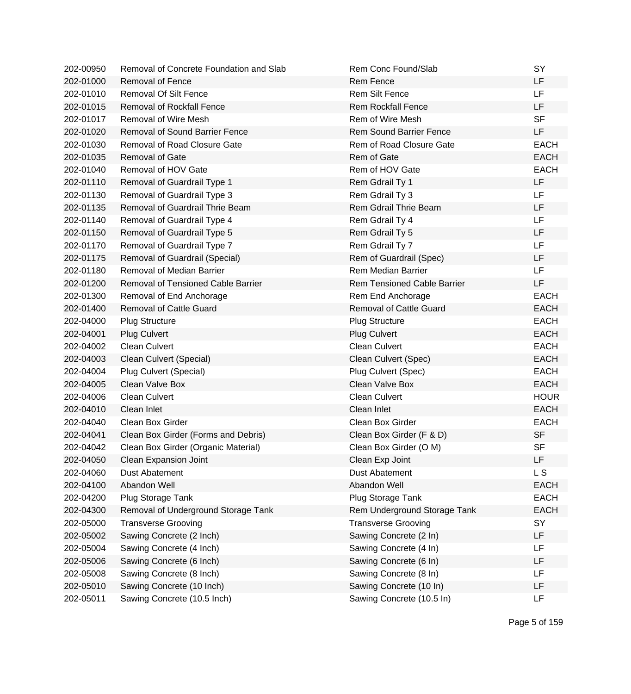| 202-00950 | Removal of Concrete Foundation and Slab | Rem Conc Found/Slab                | SY          |
|-----------|-----------------------------------------|------------------------------------|-------------|
| 202-01000 | <b>Removal of Fence</b>                 | <b>Rem Fence</b>                   | LF          |
| 202-01010 | <b>Removal Of Silt Fence</b>            | <b>Rem Silt Fence</b>              | <b>LF</b>   |
| 202-01015 | <b>Removal of Rockfall Fence</b>        | <b>Rem Rockfall Fence</b>          | LF          |
| 202-01017 | Removal of Wire Mesh                    | Rem of Wire Mesh                   | <b>SF</b>   |
| 202-01020 | <b>Removal of Sound Barrier Fence</b>   | <b>Rem Sound Barrier Fence</b>     | <b>LF</b>   |
| 202-01030 | Removal of Road Closure Gate            | Rem of Road Closure Gate           | <b>EACH</b> |
| 202-01035 | <b>Removal of Gate</b>                  | Rem of Gate                        | <b>EACH</b> |
| 202-01040 | Removal of HOV Gate                     | Rem of HOV Gate                    | <b>EACH</b> |
| 202-01110 | Removal of Guardrail Type 1             | Rem Gdrail Ty 1                    | LF          |
| 202-01130 | Removal of Guardrail Type 3             | Rem Gdrail Ty 3                    | LF          |
| 202-01135 | Removal of Guardrail Thrie Beam         | Rem Gdrail Thrie Beam              | LF          |
| 202-01140 | Removal of Guardrail Type 4             | Rem Gdrail Ty 4                    | <b>LF</b>   |
| 202-01150 | Removal of Guardrail Type 5             | Rem Gdrail Ty 5                    | LF          |
| 202-01170 | Removal of Guardrail Type 7             | Rem Gdrail Ty 7                    | LF          |
| 202-01175 | Removal of Guardrail (Special)          | Rem of Guardrail (Spec)            | LF          |
| 202-01180 | <b>Removal of Median Barrier</b>        | <b>Rem Median Barrier</b>          | <b>LF</b>   |
| 202-01200 | Removal of Tensioned Cable Barrier      | <b>Rem Tensioned Cable Barrier</b> | LF          |
| 202-01300 | Removal of End Anchorage                | Rem End Anchorage                  | <b>EACH</b> |
| 202-01400 | <b>Removal of Cattle Guard</b>          | <b>Removal of Cattle Guard</b>     | <b>EACH</b> |
| 202-04000 | <b>Plug Structure</b>                   | <b>Plug Structure</b>              | <b>EACH</b> |
| 202-04001 | <b>Plug Culvert</b>                     | <b>Plug Culvert</b>                | <b>EACH</b> |
| 202-04002 | <b>Clean Culvert</b>                    | <b>Clean Culvert</b>               | <b>EACH</b> |
| 202-04003 | Clean Culvert (Special)                 | Clean Culvert (Spec)               | <b>EACH</b> |
| 202-04004 | Plug Culvert (Special)                  | Plug Culvert (Spec)                | <b>EACH</b> |
| 202-04005 | Clean Valve Box                         | Clean Valve Box                    | <b>EACH</b> |
| 202-04006 | <b>Clean Culvert</b>                    | <b>Clean Culvert</b>               | <b>HOUR</b> |
| 202-04010 | Clean Inlet                             | Clean Inlet                        | <b>EACH</b> |
| 202-04040 | Clean Box Girder                        | Clean Box Girder                   | <b>EACH</b> |
| 202-04041 | Clean Box Girder (Forms and Debris)     | Clean Box Girder (F & D)           | <b>SF</b>   |
| 202-04042 | Clean Box Girder (Organic Material)     | Clean Box Girder (O M)             | <b>SF</b>   |
| 202-04050 | Clean Expansion Joint                   | Clean Exp Joint                    | LF          |
| 202-04060 | <b>Dust Abatement</b>                   | <b>Dust Abatement</b>              | L S         |
| 202-04100 | Abandon Well                            | Abandon Well                       | <b>EACH</b> |
| 202-04200 | Plug Storage Tank                       | Plug Storage Tank                  | <b>EACH</b> |
| 202-04300 | Removal of Underground Storage Tank     | Rem Underground Storage Tank       | <b>EACH</b> |
| 202-05000 | <b>Transverse Grooving</b>              | <b>Transverse Grooving</b>         | SY          |
| 202-05002 | Sawing Concrete (2 Inch)                | Sawing Concrete (2 In)             | <b>LF</b>   |
| 202-05004 | Sawing Concrete (4 Inch)                | Sawing Concrete (4 In)             | LF          |
| 202-05006 | Sawing Concrete (6 Inch)                | Sawing Concrete (6 In)             | LF          |
| 202-05008 | Sawing Concrete (8 Inch)                | Sawing Concrete (8 In)             | LF          |
| 202-05010 | Sawing Concrete (10 Inch)               | Sawing Concrete (10 In)            | LF          |
| 202-05011 | Sawing Concrete (10.5 Inch)             | Sawing Concrete (10.5 In)          | LF          |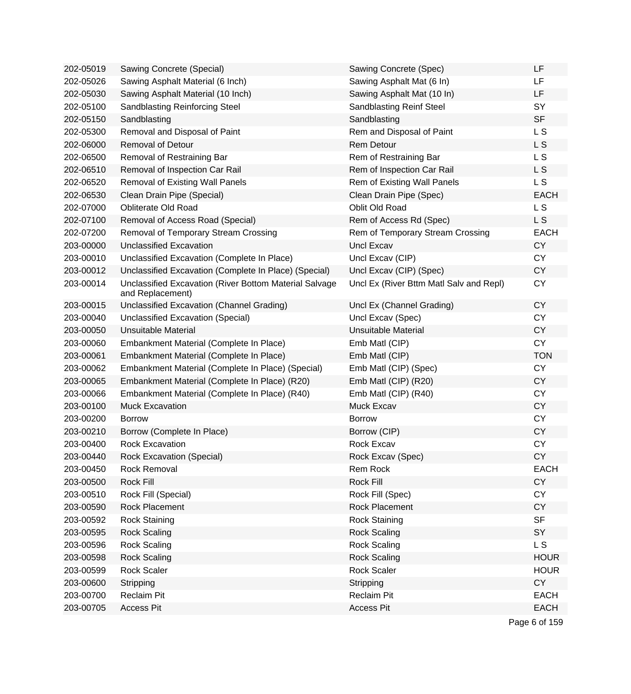| 202-05019 | Sawing Concrete (Special)                                                  | Sawing Concrete (Spec)                  | LF          |
|-----------|----------------------------------------------------------------------------|-----------------------------------------|-------------|
| 202-05026 | Sawing Asphalt Material (6 Inch)                                           | Sawing Asphalt Mat (6 In)               | LF          |
| 202-05030 | Sawing Asphalt Material (10 Inch)                                          | Sawing Asphalt Mat (10 In)              | LF          |
| 202-05100 | <b>Sandblasting Reinforcing Steel</b>                                      | Sandblasting Reinf Steel                | SY          |
| 202-05150 | Sandblasting                                                               | Sandblasting                            | <b>SF</b>   |
| 202-05300 | Removal and Disposal of Paint                                              | Rem and Disposal of Paint               | L S         |
| 202-06000 | <b>Removal of Detour</b>                                                   | <b>Rem Detour</b>                       | L S         |
| 202-06500 | Removal of Restraining Bar                                                 | Rem of Restraining Bar                  | L S         |
| 202-06510 | Removal of Inspection Car Rail                                             | Rem of Inspection Car Rail              | L S         |
| 202-06520 | <b>Removal of Existing Wall Panels</b>                                     | Rem of Existing Wall Panels             | L S         |
| 202-06530 | Clean Drain Pipe (Special)                                                 | Clean Drain Pipe (Spec)                 | <b>EACH</b> |
| 202-07000 | <b>Obliterate Old Road</b>                                                 | Oblit Old Road                          | L S         |
| 202-07100 | Removal of Access Road (Special)                                           | Rem of Access Rd (Spec)                 | L S         |
| 202-07200 | Removal of Temporary Stream Crossing                                       | Rem of Temporary Stream Crossing        | <b>EACH</b> |
| 203-00000 | Unclassified Excavation                                                    | <b>Uncl Excav</b>                       | <b>CY</b>   |
| 203-00010 | Unclassified Excavation (Complete In Place)                                | Uncl Excav (CIP)                        | <b>CY</b>   |
| 203-00012 | Unclassified Excavation (Complete In Place) (Special)                      | Uncl Excav (CIP) (Spec)                 | <b>CY</b>   |
| 203-00014 | Unclassified Excavation (River Bottom Material Salvage<br>and Replacement) | Uncl Ex (River Bttm Matl Salv and Repl) | <b>CY</b>   |
| 203-00015 | Unclassified Excavation (Channel Grading)                                  | Uncl Ex (Channel Grading)               | <b>CY</b>   |
| 203-00040 | Unclassified Excavation (Special)                                          | Uncl Excav (Spec)                       | <b>CY</b>   |
| 203-00050 | <b>Unsuitable Material</b>                                                 | <b>Unsuitable Material</b>              | <b>CY</b>   |
| 203-00060 | Embankment Material (Complete In Place)                                    | Emb Matl (CIP)                          | <b>CY</b>   |
| 203-00061 | Embankment Material (Complete In Place)                                    | Emb Matl (CIP)                          | <b>TON</b>  |
| 203-00062 | Embankment Material (Complete In Place) (Special)                          | Emb Matl (CIP) (Spec)                   | <b>CY</b>   |
| 203-00065 | Embankment Material (Complete In Place) (R20)                              | Emb Matl (CIP) (R20)                    | <b>CY</b>   |
| 203-00066 | Embankment Material (Complete In Place) (R40)                              | Emb Matl (CIP) (R40)                    | <b>CY</b>   |
| 203-00100 | <b>Muck Excavation</b>                                                     | Muck Excav                              | <b>CY</b>   |
| 203-00200 | <b>Borrow</b>                                                              | <b>Borrow</b>                           | <b>CY</b>   |
| 203-00210 | Borrow (Complete In Place)                                                 | Borrow (CIP)                            | <b>CY</b>   |
| 203-00400 | Rock Excavation                                                            | Rock Excav                              | <b>CY</b>   |
| 203-00440 | Rock Excavation (Special)                                                  | Rock Excav (Spec)                       | <b>CY</b>   |
| 203-00450 | Rock Removal                                                               | Rem Rock                                | <b>EACH</b> |
| 203-00500 | Rock Fill                                                                  | Rock Fill                               | <b>CY</b>   |
| 203-00510 | Rock Fill (Special)                                                        | Rock Fill (Spec)                        | <b>CY</b>   |
| 203-00590 | Rock Placement                                                             | Rock Placement                          | <b>CY</b>   |
| 203-00592 | <b>Rock Staining</b>                                                       | <b>Rock Staining</b>                    | <b>SF</b>   |
| 203-00595 | <b>Rock Scaling</b>                                                        | <b>Rock Scaling</b>                     | SY          |
| 203-00596 | <b>Rock Scaling</b>                                                        | <b>Rock Scaling</b>                     | L S         |
| 203-00598 | <b>Rock Scaling</b>                                                        | <b>Rock Scaling</b>                     | <b>HOUR</b> |
| 203-00599 | <b>Rock Scaler</b>                                                         | <b>Rock Scaler</b>                      | <b>HOUR</b> |
| 203-00600 | Stripping                                                                  | Stripping                               | <b>CY</b>   |
| 203-00700 | <b>Reclaim Pit</b>                                                         | <b>Reclaim Pit</b>                      | <b>EACH</b> |
| 203-00705 | <b>Access Pit</b>                                                          | <b>Access Pit</b>                       | <b>EACH</b> |
|           |                                                                            |                                         |             |

Page 6 of 159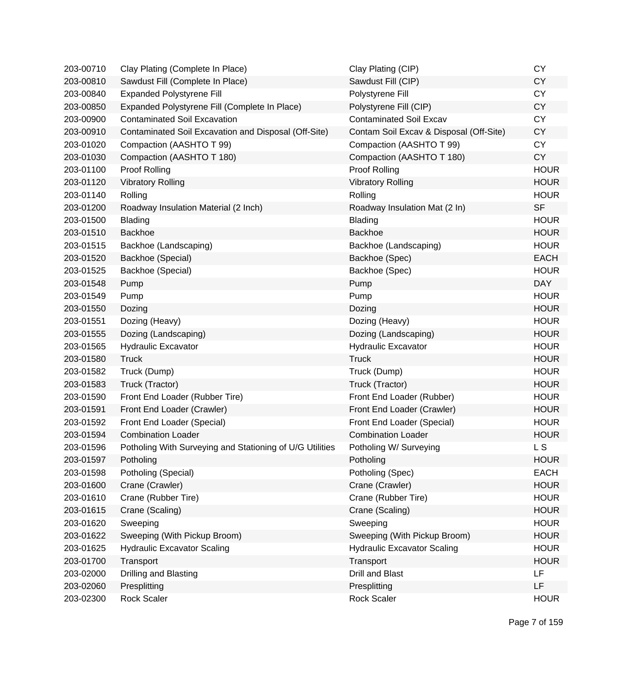| 203-00710 | Clay Plating (Complete In Place)                         | Clay Plating (CIP)                      | <b>CY</b>   |
|-----------|----------------------------------------------------------|-----------------------------------------|-------------|
| 203-00810 | Sawdust Fill (Complete In Place)                         | Sawdust Fill (CIP)                      | <b>CY</b>   |
| 203-00840 | <b>Expanded Polystyrene Fill</b>                         | Polystyrene Fill                        | <b>CY</b>   |
| 203-00850 | Expanded Polystyrene Fill (Complete In Place)            | Polystyrene Fill (CIP)                  | <b>CY</b>   |
| 203-00900 | <b>Contaminated Soil Excavation</b>                      | <b>Contaminated Soil Excav</b>          | <b>CY</b>   |
| 203-00910 | Contaminated Soil Excavation and Disposal (Off-Site)     | Contam Soil Excav & Disposal (Off-Site) | <b>CY</b>   |
| 203-01020 | Compaction (AASHTO T 99)                                 | Compaction (AASHTO T 99)                | <b>CY</b>   |
| 203-01030 | Compaction (AASHTO T 180)                                | Compaction (AASHTO T 180)               | <b>CY</b>   |
| 203-01100 | Proof Rolling                                            | Proof Rolling                           | <b>HOUR</b> |
| 203-01120 | <b>Vibratory Rolling</b>                                 | <b>Vibratory Rolling</b>                | <b>HOUR</b> |
| 203-01140 | Rolling                                                  | Rolling                                 | <b>HOUR</b> |
| 203-01200 | Roadway Insulation Material (2 Inch)                     | Roadway Insulation Mat (2 In)           | <b>SF</b>   |
| 203-01500 | Blading                                                  | Blading                                 | <b>HOUR</b> |
| 203-01510 | <b>Backhoe</b>                                           | <b>Backhoe</b>                          | <b>HOUR</b> |
| 203-01515 | Backhoe (Landscaping)                                    | Backhoe (Landscaping)                   | <b>HOUR</b> |
| 203-01520 | Backhoe (Special)                                        | Backhoe (Spec)                          | <b>EACH</b> |
| 203-01525 | Backhoe (Special)                                        | Backhoe (Spec)                          | <b>HOUR</b> |
| 203-01548 | Pump                                                     | Pump                                    | <b>DAY</b>  |
| 203-01549 | Pump                                                     | Pump                                    | <b>HOUR</b> |
| 203-01550 | Dozing                                                   | Dozing                                  | <b>HOUR</b> |
| 203-01551 | Dozing (Heavy)                                           | Dozing (Heavy)                          | <b>HOUR</b> |
| 203-01555 | Dozing (Landscaping)                                     | Dozing (Landscaping)                    | <b>HOUR</b> |
| 203-01565 | <b>Hydraulic Excavator</b>                               | <b>Hydraulic Excavator</b>              | <b>HOUR</b> |
| 203-01580 | <b>Truck</b>                                             | <b>Truck</b>                            | <b>HOUR</b> |
| 203-01582 | Truck (Dump)                                             | Truck (Dump)                            | <b>HOUR</b> |
| 203-01583 | Truck (Tractor)                                          | Truck (Tractor)                         | <b>HOUR</b> |
| 203-01590 | Front End Loader (Rubber Tire)                           | Front End Loader (Rubber)               | <b>HOUR</b> |
| 203-01591 | Front End Loader (Crawler)                               | Front End Loader (Crawler)              | <b>HOUR</b> |
| 203-01592 | Front End Loader (Special)                               | Front End Loader (Special)              | <b>HOUR</b> |
| 203-01594 | <b>Combination Loader</b>                                | <b>Combination Loader</b>               | <b>HOUR</b> |
| 203-01596 | Potholing With Surveying and Stationing of U/G Utilities | Potholing W/ Surveying                  | L S         |
| 203-01597 | Potholing                                                | Potholing                               | <b>HOUR</b> |
| 203-01598 | Potholing (Special)                                      | Potholing (Spec)                        | <b>EACH</b> |
| 203-01600 | Crane (Crawler)                                          | Crane (Crawler)                         | <b>HOUR</b> |
| 203-01610 | Crane (Rubber Tire)                                      | Crane (Rubber Tire)                     | <b>HOUR</b> |
| 203-01615 | Crane (Scaling)                                          | Crane (Scaling)                         | <b>HOUR</b> |
| 203-01620 | Sweeping                                                 | Sweeping                                | <b>HOUR</b> |
| 203-01622 | Sweeping (With Pickup Broom)                             | Sweeping (With Pickup Broom)            | <b>HOUR</b> |
| 203-01625 | <b>Hydraulic Excavator Scaling</b>                       | <b>Hydraulic Excavator Scaling</b>      | <b>HOUR</b> |
| 203-01700 | Transport                                                | Transport                               | <b>HOUR</b> |
| 203-02000 | Drilling and Blasting                                    | <b>Drill and Blast</b>                  | LF          |
| 203-02060 | Presplitting                                             | Presplitting                            | LF          |
| 203-02300 | <b>Rock Scaler</b>                                       | <b>Rock Scaler</b>                      | <b>HOUR</b> |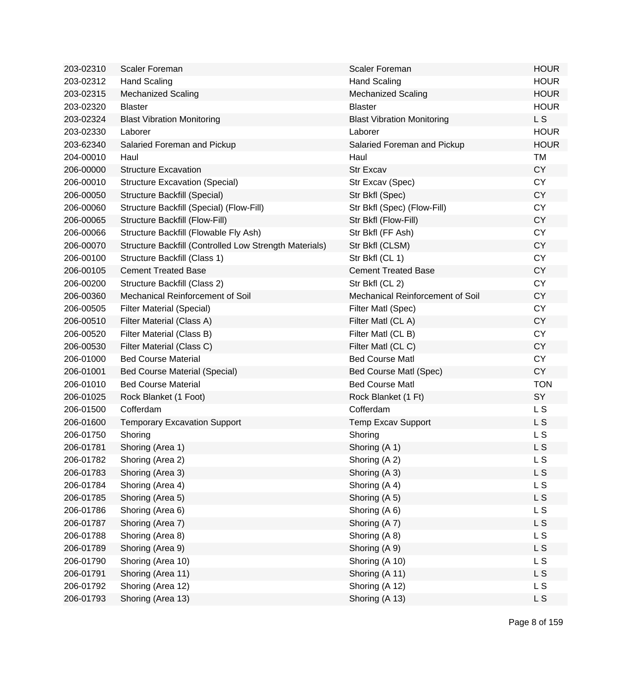| 203-02310 | Scaler Foreman                                         | <b>Scaler Foreman</b>             | <b>HOUR</b>    |
|-----------|--------------------------------------------------------|-----------------------------------|----------------|
| 203-02312 | <b>Hand Scaling</b>                                    | <b>Hand Scaling</b>               | <b>HOUR</b>    |
| 203-02315 | <b>Mechanized Scaling</b>                              | <b>Mechanized Scaling</b>         | <b>HOUR</b>    |
| 203-02320 | <b>Blaster</b>                                         | <b>Blaster</b>                    | <b>HOUR</b>    |
| 203-02324 | <b>Blast Vibration Monitoring</b>                      | <b>Blast Vibration Monitoring</b> | L <sub>S</sub> |
| 203-02330 | Laborer                                                | Laborer                           | <b>HOUR</b>    |
| 203-62340 | Salaried Foreman and Pickup                            | Salaried Foreman and Pickup       | <b>HOUR</b>    |
| 204-00010 | Haul                                                   | Haul                              | <b>TM</b>      |
| 206-00000 | <b>Structure Excavation</b>                            | <b>Str Excav</b>                  | <b>CY</b>      |
| 206-00010 | <b>Structure Excavation (Special)</b>                  | Str Excav (Spec)                  | <b>CY</b>      |
| 206-00050 | Structure Backfill (Special)                           | Str Bkfl (Spec)                   | <b>CY</b>      |
| 206-00060 | Structure Backfill (Special) (Flow-Fill)               | Str Bkfl (Spec) (Flow-Fill)       | <b>CY</b>      |
| 206-00065 | Structure Backfill (Flow-Fill)                         | Str Bkfl (Flow-Fill)              | <b>CY</b>      |
| 206-00066 | Structure Backfill (Flowable Fly Ash)                  | Str Bkfl (FF Ash)                 | <b>CY</b>      |
| 206-00070 | Structure Backfill (Controlled Low Strength Materials) | Str Bkfl (CLSM)                   | <b>CY</b>      |
| 206-00100 | Structure Backfill (Class 1)                           | Str Bkfl (CL 1)                   | <b>CY</b>      |
| 206-00105 | <b>Cement Treated Base</b>                             | <b>Cement Treated Base</b>        | <b>CY</b>      |
| 206-00200 | Structure Backfill (Class 2)                           | Str Bkfl (CL 2)                   | <b>CY</b>      |
| 206-00360 | Mechanical Reinforcement of Soil                       | Mechanical Reinforcement of Soil  | <b>CY</b>      |
| 206-00505 | <b>Filter Material (Special)</b>                       | Filter Matl (Spec)                | <b>CY</b>      |
| 206-00510 | Filter Material (Class A)                              | Filter Matl (CLA)                 | <b>CY</b>      |
| 206-00520 | Filter Material (Class B)                              | Filter Matl (CL B)                | <b>CY</b>      |
| 206-00530 | Filter Material (Class C)                              | Filter Matl (CLC)                 | <b>CY</b>      |
| 206-01000 | <b>Bed Course Material</b>                             | <b>Bed Course Matl</b>            | <b>CY</b>      |
| 206-01001 | <b>Bed Course Material (Special)</b>                   | Bed Course Matl (Spec)            | <b>CY</b>      |
| 206-01010 | <b>Bed Course Material</b>                             | <b>Bed Course Matl</b>            | <b>TON</b>     |
| 206-01025 | Rock Blanket (1 Foot)                                  | Rock Blanket (1 Ft)               | SY             |
| 206-01500 | Cofferdam                                              | Cofferdam                         | L S            |
| 206-01600 | <b>Temporary Excavation Support</b>                    | <b>Temp Excav Support</b>         | L S            |
| 206-01750 | Shoring                                                | Shoring                           | L S            |
| 206-01781 | Shoring (Area 1)                                       | Shoring (A 1)                     | L S            |
| 206-01782 | Shoring (Area 2)                                       | Shoring (A 2)                     | L S            |
| 206-01783 | Shoring (Area 3)                                       | Shoring (A 3)                     | <b>LS</b>      |
| 206-01784 | Shoring (Area 4)                                       | Shoring (A 4)                     | L S            |
| 206-01785 | Shoring (Area 5)                                       | Shoring (A 5)                     | L S            |
| 206-01786 | Shoring (Area 6)                                       | Shoring (A 6)                     | <b>LS</b>      |
| 206-01787 | Shoring (Area 7)                                       | Shoring (A 7)                     | L S            |
| 206-01788 | Shoring (Area 8)                                       | Shoring (A 8)                     | <b>LS</b>      |
| 206-01789 | Shoring (Area 9)                                       | Shoring (A 9)                     | L S            |
| 206-01790 | Shoring (Area 10)                                      | Shoring (A 10)                    | L S            |
| 206-01791 | Shoring (Area 11)                                      | Shoring (A 11)                    | L S            |
| 206-01792 | Shoring (Area 12)                                      | Shoring (A 12)                    | L S            |
| 206-01793 | Shoring (Area 13)                                      | Shoring (A 13)                    | L S            |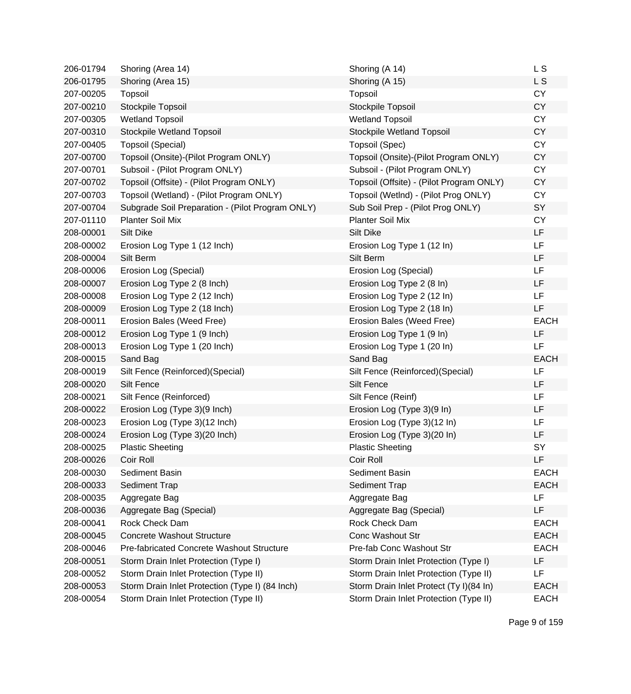| 206-01794 | Shoring (Area 14)                                | Shoring (A 14)                           | L S         |
|-----------|--------------------------------------------------|------------------------------------------|-------------|
| 206-01795 | Shoring (Area 15)                                | Shoring (A 15)                           | L S         |
| 207-00205 | Topsoil                                          | Topsoil                                  | <b>CY</b>   |
| 207-00210 | Stockpile Topsoil                                | Stockpile Topsoil                        | <b>CY</b>   |
| 207-00305 | <b>Wetland Topsoil</b>                           | <b>Wetland Topsoil</b>                   | <b>CY</b>   |
| 207-00310 | Stockpile Wetland Topsoil                        | Stockpile Wetland Topsoil                | <b>CY</b>   |
| 207-00405 | Topsoil (Special)                                | Topsoil (Spec)                           | <b>CY</b>   |
| 207-00700 | Topsoil (Onsite)-(Pilot Program ONLY)            | Topsoil (Onsite)-(Pilot Program ONLY)    | <b>CY</b>   |
| 207-00701 | Subsoil - (Pilot Program ONLY)                   | Subsoil - (Pilot Program ONLY)           | <b>CY</b>   |
| 207-00702 | Topsoil (Offsite) - (Pilot Program ONLY)         | Topsoil (Offsite) - (Pilot Program ONLY) | <b>CY</b>   |
| 207-00703 | Topsoil (Wetland) - (Pilot Program ONLY)         | Topsoil (WetInd) - (Pilot Prog ONLY)     | <b>CY</b>   |
| 207-00704 | Subgrade Soil Preparation - (Pilot Program ONLY) | Sub Soil Prep - (Pilot Prog ONLY)        | SY          |
| 207-01110 | <b>Planter Soil Mix</b>                          | <b>Planter Soil Mix</b>                  | <b>CY</b>   |
| 208-00001 | <b>Silt Dike</b>                                 | <b>Silt Dike</b>                         | LF          |
| 208-00002 | Erosion Log Type 1 (12 Inch)                     | Erosion Log Type 1 (12 In)               | LF          |
| 208-00004 | Silt Berm                                        | Silt Berm                                | LF          |
| 208-00006 | Erosion Log (Special)                            | Erosion Log (Special)                    | <b>LF</b>   |
| 208-00007 | Erosion Log Type 2 (8 Inch)                      | Erosion Log Type 2 (8 In)                | LF          |
| 208-00008 | Erosion Log Type 2 (12 Inch)                     | Erosion Log Type 2 (12 In)               | LF          |
| 208-00009 | Erosion Log Type 2 (18 Inch)                     | Erosion Log Type 2 (18 In)               | LF          |
| 208-00011 | Erosion Bales (Weed Free)                        | Erosion Bales (Weed Free)                | <b>EACH</b> |
| 208-00012 | Erosion Log Type 1 (9 Inch)                      | Erosion Log Type 1 (9 In)                | <b>LF</b>   |
| 208-00013 | Erosion Log Type 1 (20 Inch)                     | Erosion Log Type 1 (20 In)               | LF          |
| 208-00015 | Sand Bag                                         | Sand Bag                                 | <b>EACH</b> |
| 208-00019 | Silt Fence (Reinforced) (Special)                | Silt Fence (Reinforced) (Special)        | LF          |
| 208-00020 | Silt Fence                                       | <b>Silt Fence</b>                        | <b>LF</b>   |
| 208-00021 | Silt Fence (Reinforced)                          | Silt Fence (Reinf)                       | <b>LF</b>   |
| 208-00022 | Erosion Log (Type 3)(9 Inch)                     | Erosion Log (Type 3)(9 In)               | <b>LF</b>   |
| 208-00023 | Erosion Log (Type 3)(12 Inch)                    | Erosion Log (Type 3)(12 In)              | LF          |
| 208-00024 | Erosion Log (Type 3)(20 Inch)                    | Erosion Log (Type 3)(20 In)              | LF          |
| 208-00025 | <b>Plastic Sheeting</b>                          | <b>Plastic Sheeting</b>                  | SY          |
| 208-00026 | Coir Roll                                        | Coir Roll                                | LF          |
| 208-00030 | Sediment Basin                                   | Sediment Basin                           | <b>EACH</b> |
| 208-00033 | Sediment Trap                                    | Sediment Trap                            | <b>EACH</b> |
| 208-00035 | Aggregate Bag                                    | Aggregate Bag                            | <b>LF</b>   |
| 208-00036 | Aggregate Bag (Special)                          | Aggregate Bag (Special)                  | LF          |
| 208-00041 | Rock Check Dam                                   | Rock Check Dam                           | <b>EACH</b> |
| 208-00045 | <b>Concrete Washout Structure</b>                | <b>Conc Washout Str</b>                  | <b>EACH</b> |
| 208-00046 | Pre-fabricated Concrete Washout Structure        | Pre-fab Conc Washout Str                 | <b>EACH</b> |
| 208-00051 | Storm Drain Inlet Protection (Type I)            | Storm Drain Inlet Protection (Type I)    | LF          |
| 208-00052 | Storm Drain Inlet Protection (Type II)           | Storm Drain Inlet Protection (Type II)   | LF          |
| 208-00053 | Storm Drain Inlet Protection (Type I) (84 Inch)  | Storm Drain Inlet Protect (Ty I)(84 In)  | <b>EACH</b> |
| 208-00054 | Storm Drain Inlet Protection (Type II)           | Storm Drain Inlet Protection (Type II)   | <b>EACH</b> |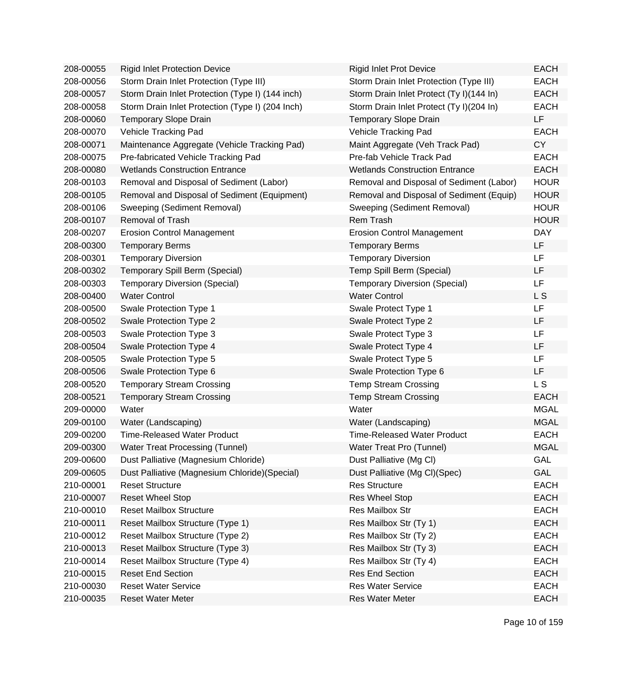| 208-00055 | <b>Rigid Inlet Protection Device</b>             | <b>Rigid Inlet Prot Device</b>           | <b>EACH</b>    |
|-----------|--------------------------------------------------|------------------------------------------|----------------|
| 208-00056 | Storm Drain Inlet Protection (Type III)          | Storm Drain Inlet Protection (Type III)  | <b>EACH</b>    |
| 208-00057 | Storm Drain Inlet Protection (Type I) (144 inch) | Storm Drain Inlet Protect (Ty I)(144 In) | <b>EACH</b>    |
| 208-00058 | Storm Drain Inlet Protection (Type I) (204 Inch) | Storm Drain Inlet Protect (Ty I)(204 In) | <b>EACH</b>    |
| 208-00060 | <b>Temporary Slope Drain</b>                     | Temporary Slope Drain                    | LF             |
| 208-00070 | Vehicle Tracking Pad                             | Vehicle Tracking Pad                     | <b>EACH</b>    |
| 208-00071 | Maintenance Aggregate (Vehicle Tracking Pad)     | Maint Aggregate (Veh Track Pad)          | <b>CY</b>      |
| 208-00075 | Pre-fabricated Vehicle Tracking Pad              | Pre-fab Vehicle Track Pad                | <b>EACH</b>    |
| 208-00080 | <b>Wetlands Construction Entrance</b>            | <b>Wetlands Construction Entrance</b>    | <b>EACH</b>    |
| 208-00103 | Removal and Disposal of Sediment (Labor)         | Removal and Disposal of Sediment (Labor) | <b>HOUR</b>    |
| 208-00105 | Removal and Disposal of Sediment (Equipment)     | Removal and Disposal of Sediment (Equip) | <b>HOUR</b>    |
| 208-00106 | Sweeping (Sediment Removal)                      | Sweeping (Sediment Removal)              | <b>HOUR</b>    |
| 208-00107 | <b>Removal of Trash</b>                          | Rem Trash                                | <b>HOUR</b>    |
| 208-00207 | <b>Erosion Control Management</b>                | <b>Erosion Control Management</b>        | <b>DAY</b>     |
| 208-00300 | <b>Temporary Berms</b>                           | <b>Temporary Berms</b>                   | LF             |
| 208-00301 | <b>Temporary Diversion</b>                       | <b>Temporary Diversion</b>               | <b>LF</b>      |
| 208-00302 | Temporary Spill Berm (Special)                   | Temp Spill Berm (Special)                | LF             |
| 208-00303 | <b>Temporary Diversion (Special)</b>             | <b>Temporary Diversion (Special)</b>     | LF             |
| 208-00400 | <b>Water Control</b>                             | <b>Water Control</b>                     | L S            |
| 208-00500 | Swale Protection Type 1                          | Swale Protect Type 1                     | LF             |
| 208-00502 | Swale Protection Type 2                          | Swale Protect Type 2                     | LF             |
| 208-00503 | Swale Protection Type 3                          | Swale Protect Type 3                     | LF             |
| 208-00504 | Swale Protection Type 4                          | Swale Protect Type 4                     | LF             |
| 208-00505 | Swale Protection Type 5                          | Swale Protect Type 5                     | LF             |
| 208-00506 | Swale Protection Type 6                          | Swale Protection Type 6                  | LF             |
| 208-00520 | <b>Temporary Stream Crossing</b>                 | <b>Temp Stream Crossing</b>              | L <sub>S</sub> |
| 208-00521 | <b>Temporary Stream Crossing</b>                 | <b>Temp Stream Crossing</b>              | <b>EACH</b>    |
| 209-00000 | Water                                            | Water                                    | <b>MGAL</b>    |
| 209-00100 | Water (Landscaping)                              | Water (Landscaping)                      | <b>MGAL</b>    |
| 209-00200 | <b>Time-Released Water Product</b>               | <b>Time-Released Water Product</b>       | <b>EACH</b>    |
| 209-00300 | <b>Water Treat Processing (Tunnel)</b>           | Water Treat Pro (Tunnel)                 | <b>MGAL</b>    |
| 209-00600 | Dust Palliative (Magnesium Chloride)             | Dust Palliative (Mg Cl)                  | GAL            |
| 209-00605 | Dust Palliative (Magnesium Chloride) (Special)   | Dust Palliative (Mg Cl)(Spec)            | GAL            |
| 210-00001 | <b>Reset Structure</b>                           | <b>Res Structure</b>                     | <b>EACH</b>    |
| 210-00007 | <b>Reset Wheel Stop</b>                          | Res Wheel Stop                           | <b>EACH</b>    |
| 210-00010 | <b>Reset Mailbox Structure</b>                   | Res Mailbox Str                          | <b>EACH</b>    |
| 210-00011 | Reset Mailbox Structure (Type 1)                 | Res Mailbox Str (Ty 1)                   | <b>EACH</b>    |
| 210-00012 | Reset Mailbox Structure (Type 2)                 | Res Mailbox Str (Ty 2)                   | <b>EACH</b>    |
| 210-00013 | Reset Mailbox Structure (Type 3)                 | Res Mailbox Str (Ty 3)                   | <b>EACH</b>    |
| 210-00014 | Reset Mailbox Structure (Type 4)                 | Res Mailbox Str (Ty 4)                   | <b>EACH</b>    |
| 210-00015 | <b>Reset End Section</b>                         | <b>Res End Section</b>                   | <b>EACH</b>    |
| 210-00030 | <b>Reset Water Service</b>                       | <b>Res Water Service</b>                 | <b>EACH</b>    |
| 210-00035 | <b>Reset Water Meter</b>                         | Res Water Meter                          | <b>EACH</b>    |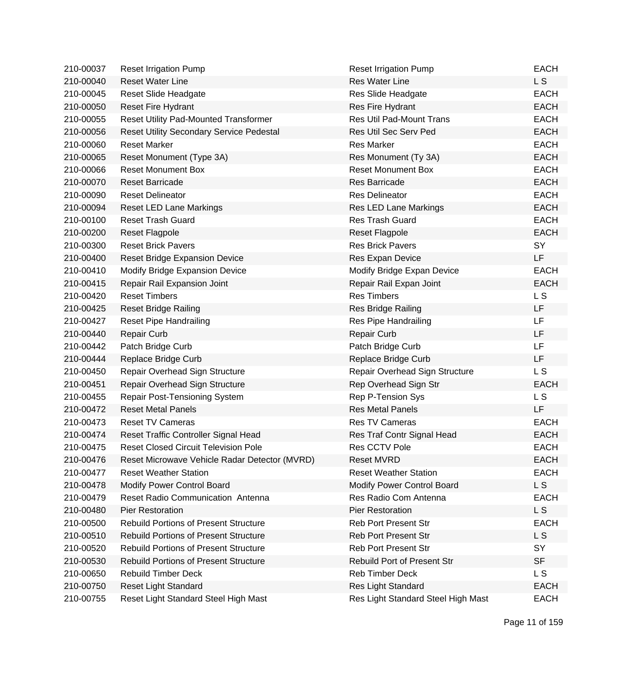| 210-00037 | <b>Reset Irrigation Pump</b>                    | <b>Reset Irrigation Pump</b>       | <b>EACH</b>    |
|-----------|-------------------------------------------------|------------------------------------|----------------|
| 210-00040 | <b>Reset Water Line</b>                         | <b>Res Water Line</b>              | L S            |
| 210-00045 | Reset Slide Headgate                            | Res Slide Headgate                 | <b>EACH</b>    |
| 210-00050 | <b>Reset Fire Hydrant</b>                       | Res Fire Hydrant                   | <b>EACH</b>    |
| 210-00055 | <b>Reset Utility Pad-Mounted Transformer</b>    | <b>Res Util Pad-Mount Trans</b>    | <b>EACH</b>    |
| 210-00056 | <b>Reset Utility Secondary Service Pedestal</b> | <b>Res Util Sec Serv Ped</b>       | <b>EACH</b>    |
| 210-00060 | <b>Reset Marker</b>                             | <b>Res Marker</b>                  | <b>EACH</b>    |
| 210-00065 | Reset Monument (Type 3A)                        | Res Monument (Ty 3A)               | <b>EACH</b>    |
| 210-00066 | <b>Reset Monument Box</b>                       | <b>Reset Monument Box</b>          | <b>EACH</b>    |
| 210-00070 | <b>Reset Barricade</b>                          | Res Barricade                      | <b>EACH</b>    |
| 210-00090 | <b>Reset Delineator</b>                         | <b>Res Delineator</b>              | <b>EACH</b>    |
| 210-00094 | <b>Reset LED Lane Markings</b>                  | Res LED Lane Markings              | <b>EACH</b>    |
| 210-00100 | <b>Reset Trash Guard</b>                        | Res Trash Guard                    | <b>EACH</b>    |
| 210-00200 | <b>Reset Flagpole</b>                           | <b>Reset Flagpole</b>              | <b>EACH</b>    |
| 210-00300 | <b>Reset Brick Pavers</b>                       | <b>Res Brick Pavers</b>            | SY             |
| 210-00400 | <b>Reset Bridge Expansion Device</b>            | Res Expan Device                   | LF             |
| 210-00410 | Modify Bridge Expansion Device                  | Modify Bridge Expan Device         | <b>EACH</b>    |
| 210-00415 | Repair Rail Expansion Joint                     | Repair Rail Expan Joint            | <b>EACH</b>    |
| 210-00420 | <b>Reset Timbers</b>                            | <b>Res Timbers</b>                 | L S            |
| 210-00425 | <b>Reset Bridge Railing</b>                     | Res Bridge Railing                 | <b>LF</b>      |
| 210-00427 | <b>Reset Pipe Handrailing</b>                   | Res Pipe Handrailing               | LF             |
| 210-00440 | <b>Repair Curb</b>                              | <b>Repair Curb</b>                 | LF             |
| 210-00442 | Patch Bridge Curb                               | Patch Bridge Curb                  | LF             |
| 210-00444 | Replace Bridge Curb                             | Replace Bridge Curb                | LF             |
| 210-00450 | Repair Overhead Sign Structure                  | Repair Overhead Sign Structure     | L <sub>S</sub> |
| 210-00451 | Repair Overhead Sign Structure                  | Rep Overhead Sign Str              | <b>EACH</b>    |
| 210-00455 | Repair Post-Tensioning System                   | Rep P-Tension Sys                  | L S            |
| 210-00472 | <b>Reset Metal Panels</b>                       | <b>Res Metal Panels</b>            | LF             |
| 210-00473 | <b>Reset TV Cameras</b>                         | <b>Res TV Cameras</b>              | <b>EACH</b>    |
| 210-00474 | Reset Traffic Controller Signal Head            | Res Traf Contr Signal Head         | <b>EACH</b>    |
| 210-00475 | <b>Reset Closed Circuit Television Pole</b>     | Res CCTV Pole                      | <b>EACH</b>    |
| 210-00476 | Reset Microwave Vehicle Radar Detector (MVRD)   | Reset MVRD                         | EACH           |
| 210-00477 | <b>Reset Weather Station</b>                    | <b>Reset Weather Station</b>       | <b>EACH</b>    |
| 210-00478 | Modify Power Control Board                      | Modify Power Control Board         | L S            |
| 210-00479 | Reset Radio Communication Antenna               | Res Radio Com Antenna              | <b>EACH</b>    |
| 210-00480 | Pier Restoration                                | <b>Pier Restoration</b>            | L S            |
| 210-00500 | <b>Rebuild Portions of Present Structure</b>    | <b>Reb Port Present Str</b>        | <b>EACH</b>    |
| 210-00510 | <b>Rebuild Portions of Present Structure</b>    | <b>Reb Port Present Str</b>        | L S            |
| 210-00520 | <b>Rebuild Portions of Present Structure</b>    | <b>Reb Port Present Str</b>        | SY             |
| 210-00530 | <b>Rebuild Portions of Present Structure</b>    | Rebuild Port of Present Str        | <b>SF</b>      |
| 210-00650 | <b>Rebuild Timber Deck</b>                      | Reb Timber Deck                    | L S            |
| 210-00750 | <b>Reset Light Standard</b>                     | Res Light Standard                 | <b>EACH</b>    |
| 210-00755 | Reset Light Standard Steel High Mast            | Res Light Standard Steel High Mast | EACH           |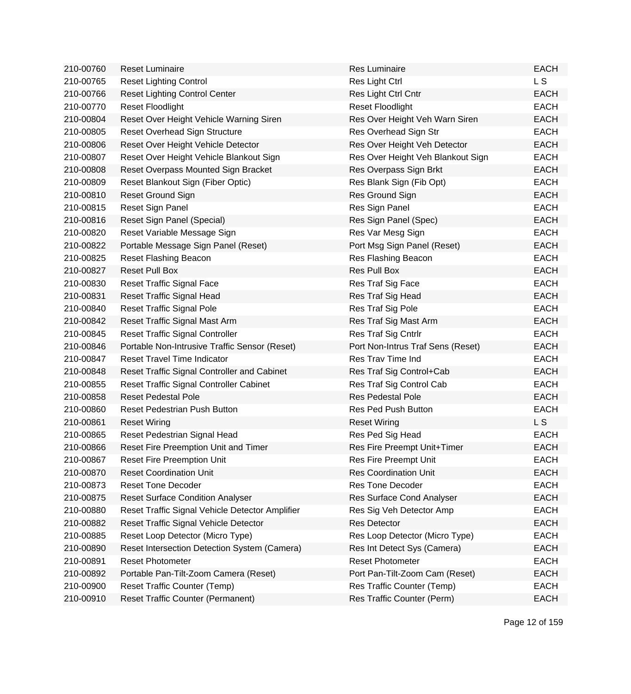| 210-00760 | <b>Reset Luminaire</b>                          | Res Luminaire                     | <b>EACH</b> |
|-----------|-------------------------------------------------|-----------------------------------|-------------|
| 210-00765 | <b>Reset Lighting Control</b>                   | Res Light Ctrl                    | L S         |
| 210-00766 | <b>Reset Lighting Control Center</b>            | Res Light Ctrl Cntr               | <b>EACH</b> |
| 210-00770 | <b>Reset Floodlight</b>                         | <b>Reset Floodlight</b>           | <b>EACH</b> |
| 210-00804 | Reset Over Height Vehicle Warning Siren         | Res Over Height Veh Warn Siren    | <b>EACH</b> |
| 210-00805 | Reset Overhead Sign Structure                   | Res Overhead Sign Str             | <b>EACH</b> |
| 210-00806 | Reset Over Height Vehicle Detector              | Res Over Height Veh Detector      | <b>EACH</b> |
| 210-00807 | Reset Over Height Vehicle Blankout Sign         | Res Over Height Veh Blankout Sign | <b>EACH</b> |
| 210-00808 | Reset Overpass Mounted Sign Bracket             | Res Overpass Sign Brkt            | <b>EACH</b> |
| 210-00809 | Reset Blankout Sign (Fiber Optic)               | Res Blank Sign (Fib Opt)          | <b>EACH</b> |
| 210-00810 | Reset Ground Sign                               | Res Ground Sign                   | <b>EACH</b> |
| 210-00815 | Reset Sign Panel                                | Res Sign Panel                    | <b>EACH</b> |
| 210-00816 | Reset Sign Panel (Special)                      | Res Sign Panel (Spec)             | <b>EACH</b> |
| 210-00820 | Reset Variable Message Sign                     | Res Var Mesg Sign                 | <b>EACH</b> |
| 210-00822 | Portable Message Sign Panel (Reset)             | Port Msg Sign Panel (Reset)       | <b>EACH</b> |
| 210-00825 | Reset Flashing Beacon                           | Res Flashing Beacon               | <b>EACH</b> |
| 210-00827 | <b>Reset Pull Box</b>                           | Res Pull Box                      | <b>EACH</b> |
| 210-00830 | Reset Traffic Signal Face                       | Res Traf Sig Face                 | <b>EACH</b> |
| 210-00831 | <b>Reset Traffic Signal Head</b>                | Res Traf Sig Head                 | <b>EACH</b> |
| 210-00840 | <b>Reset Traffic Signal Pole</b>                | Res Traf Sig Pole                 | <b>EACH</b> |
| 210-00842 | Reset Traffic Signal Mast Arm                   | Res Traf Sig Mast Arm             | <b>EACH</b> |
| 210-00845 | <b>Reset Traffic Signal Controller</b>          | Res Traf Sig Cntrlr               | <b>EACH</b> |
| 210-00846 | Portable Non-Intrusive Traffic Sensor (Reset)   | Port Non-Intrus Traf Sens (Reset) | <b>EACH</b> |
| 210-00847 | <b>Reset Travel Time Indicator</b>              | Res Trav Time Ind                 | <b>EACH</b> |
| 210-00848 | Reset Traffic Signal Controller and Cabinet     | Res Traf Sig Control+Cab          | <b>EACH</b> |
| 210-00855 | Reset Traffic Signal Controller Cabinet         | Res Traf Sig Control Cab          | <b>EACH</b> |
| 210-00858 | <b>Reset Pedestal Pole</b>                      | <b>Res Pedestal Pole</b>          | <b>EACH</b> |
| 210-00860 | Reset Pedestrian Push Button                    | <b>Res Ped Push Button</b>        | <b>EACH</b> |
| 210-00861 | <b>Reset Wiring</b>                             | <b>Reset Wiring</b>               | L S         |
| 210-00865 | Reset Pedestrian Signal Head                    | Res Ped Sig Head                  | <b>EACH</b> |
| 210-00866 | Reset Fire Preemption Unit and Timer            | Res Fire Preempt Unit+Timer       | <b>EACH</b> |
| 210-00867 | Reset Fire Preemption Unit                      | Res Fire Preempt Unit             | <b>EACH</b> |
| 210-00870 | <b>Reset Coordination Unit</b>                  | <b>Res Coordination Unit</b>      | <b>EACH</b> |
| 210-00873 | <b>Reset Tone Decoder</b>                       | <b>Res Tone Decoder</b>           | <b>EACH</b> |
| 210-00875 | <b>Reset Surface Condition Analyser</b>         | Res Surface Cond Analyser         | <b>EACH</b> |
| 210-00880 | Reset Traffic Signal Vehicle Detector Amplifier | Res Sig Veh Detector Amp          | <b>EACH</b> |
| 210-00882 | Reset Traffic Signal Vehicle Detector           | <b>Res Detector</b>               | <b>EACH</b> |
| 210-00885 | Reset Loop Detector (Micro Type)                | Res Loop Detector (Micro Type)    | <b>EACH</b> |
| 210-00890 | Reset Intersection Detection System (Camera)    | Res Int Detect Sys (Camera)       | <b>EACH</b> |
| 210-00891 | <b>Reset Photometer</b>                         | <b>Reset Photometer</b>           | <b>EACH</b> |
| 210-00892 | Portable Pan-Tilt-Zoom Camera (Reset)           | Port Pan-Tilt-Zoom Cam (Reset)    | <b>EACH</b> |
| 210-00900 | <b>Reset Traffic Counter (Temp)</b>             | Res Traffic Counter (Temp)        | <b>EACH</b> |
| 210-00910 | <b>Reset Traffic Counter (Permanent)</b>        | Res Traffic Counter (Perm)        | <b>EACH</b> |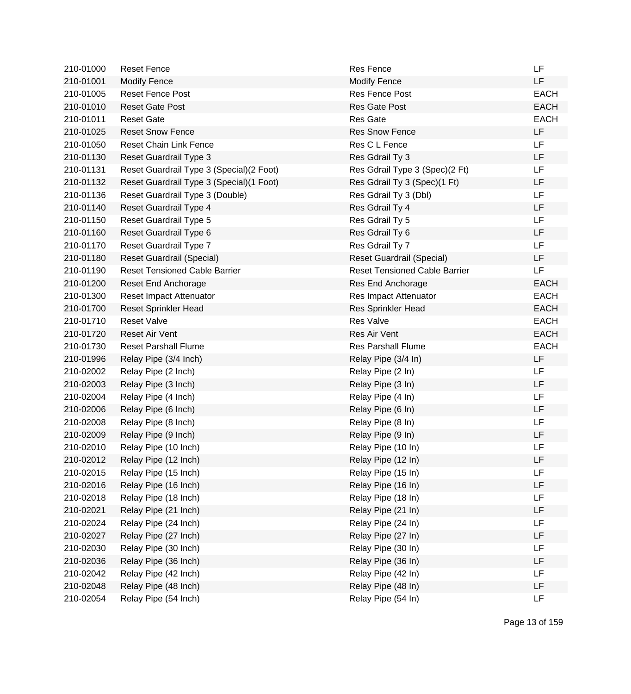| 210-01000 | <b>Reset Fence</b>                        | <b>Res Fence</b>                     | LF          |
|-----------|-------------------------------------------|--------------------------------------|-------------|
| 210-01001 | <b>Modify Fence</b>                       | <b>Modify Fence</b>                  | LF          |
| 210-01005 | <b>Reset Fence Post</b>                   | <b>Res Fence Post</b>                | <b>EACH</b> |
| 210-01010 | <b>Reset Gate Post</b>                    | <b>Res Gate Post</b>                 | <b>EACH</b> |
| 210-01011 | <b>Reset Gate</b>                         | <b>Res Gate</b>                      | <b>EACH</b> |
| 210-01025 | <b>Reset Snow Fence</b>                   | <b>Res Snow Fence</b>                | LF          |
| 210-01050 | <b>Reset Chain Link Fence</b>             | Res C L Fence                        | LF          |
| 210-01130 | Reset Guardrail Type 3                    | Res Gdrail Ty 3                      | LF          |
| 210-01131 | Reset Guardrail Type 3 (Special) (2 Foot) | Res Gdrail Type 3 (Spec)(2 Ft)       | LF          |
| 210-01132 | Reset Guardrail Type 3 (Special) (1 Foot) | Res Gdrail Ty 3 (Spec)(1 Ft)         | LF          |
| 210-01136 | Reset Guardrail Type 3 (Double)           | Res Gdrail Ty 3 (Dbl)                | LF          |
| 210-01140 | Reset Guardrail Type 4                    | Res Gdrail Ty 4                      | LF          |
| 210-01150 | Reset Guardrail Type 5                    | Res Gdrail Ty 5                      | LF          |
| 210-01160 | Reset Guardrail Type 6                    | Res Gdrail Ty 6                      | LF          |
| 210-01170 | Reset Guardrail Type 7                    | Res Gdrail Ty 7                      | LF          |
| 210-01180 | <b>Reset Guardrail (Special)</b>          | <b>Reset Guardrail (Special)</b>     | LF          |
| 210-01190 | <b>Reset Tensioned Cable Barrier</b>      | <b>Reset Tensioned Cable Barrier</b> | LF          |
| 210-01200 | <b>Reset End Anchorage</b>                | Res End Anchorage                    | <b>EACH</b> |
| 210-01300 | Reset Impact Attenuator                   | Res Impact Attenuator                | <b>EACH</b> |
| 210-01700 | <b>Reset Sprinkler Head</b>               | <b>Res Sprinkler Head</b>            | <b>EACH</b> |
| 210-01710 | <b>Reset Valve</b>                        | <b>Res Valve</b>                     | <b>EACH</b> |
| 210-01720 | <b>Reset Air Vent</b>                     | Res Air Vent                         | <b>EACH</b> |
| 210-01730 | <b>Reset Parshall Flume</b>               | <b>Res Parshall Flume</b>            | <b>EACH</b> |
| 210-01996 | Relay Pipe (3/4 Inch)                     | Relay Pipe (3/4 In)                  | LF          |
| 210-02002 | Relay Pipe (2 Inch)                       | Relay Pipe (2 In)                    | LF          |
| 210-02003 | Relay Pipe (3 Inch)                       | Relay Pipe (3 In)                    | LF          |
| 210-02004 | Relay Pipe (4 Inch)                       | Relay Pipe (4 In)                    | LF          |
| 210-02006 | Relay Pipe (6 Inch)                       | Relay Pipe (6 In)                    | LF          |
| 210-02008 | Relay Pipe (8 Inch)                       | Relay Pipe (8 In)                    | LF          |
| 210-02009 | Relay Pipe (9 Inch)                       | Relay Pipe (9 In)                    | LF          |
| 210-02010 | Relay Pipe (10 Inch)                      | Relay Pipe (10 In)                   | LF          |
| 210-02012 | Relay Pipe (12 Inch)                      | Relay Pipe (12 In)                   | LF          |
| 210-02015 | Relay Pipe (15 Inch)                      | Relay Pipe (15 In)                   | LF          |
| 210-02016 | Relay Pipe (16 Inch)                      | Relay Pipe (16 In)                   | LF          |
| 210-02018 | Relay Pipe (18 Inch)                      | Relay Pipe (18 In)                   | LF          |
| 210-02021 | Relay Pipe (21 Inch)                      | Relay Pipe (21 In)                   | LF          |
| 210-02024 | Relay Pipe (24 Inch)                      | Relay Pipe (24 In)                   | LF          |
| 210-02027 | Relay Pipe (27 Inch)                      | Relay Pipe (27 In)                   | LF          |
| 210-02030 | Relay Pipe (30 Inch)                      | Relay Pipe (30 In)                   | LF          |
| 210-02036 | Relay Pipe (36 Inch)                      | Relay Pipe (36 In)                   | LF          |
| 210-02042 | Relay Pipe (42 Inch)                      | Relay Pipe (42 In)                   | LF          |
| 210-02048 | Relay Pipe (48 Inch)                      | Relay Pipe (48 In)                   | LF          |
| 210-02054 | Relay Pipe (54 Inch)                      | Relay Pipe (54 In)                   | LF          |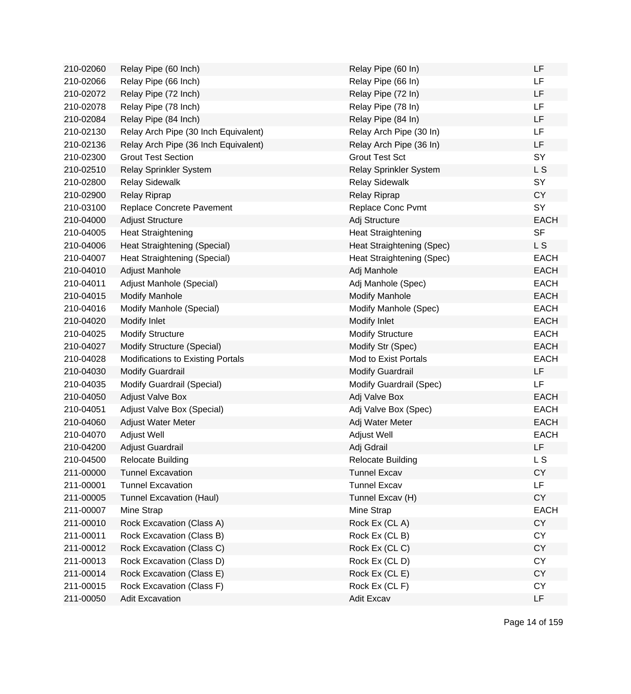| 210-02060 | Relay Pipe (60 Inch)                 | Relay Pipe (60 In)        | LF          |
|-----------|--------------------------------------|---------------------------|-------------|
| 210-02066 | Relay Pipe (66 Inch)                 | Relay Pipe (66 In)        | LF          |
| 210-02072 | Relay Pipe (72 Inch)                 | Relay Pipe (72 In)        | LF          |
| 210-02078 | Relay Pipe (78 Inch)                 | Relay Pipe (78 In)        | LF          |
| 210-02084 | Relay Pipe (84 Inch)                 | Relay Pipe (84 In)        | LF          |
| 210-02130 | Relay Arch Pipe (30 Inch Equivalent) | Relay Arch Pipe (30 In)   | LF          |
| 210-02136 | Relay Arch Pipe (36 Inch Equivalent) | Relay Arch Pipe (36 In)   | LF          |
| 210-02300 | <b>Grout Test Section</b>            | <b>Grout Test Sct</b>     | SY          |
| 210-02510 | Relay Sprinkler System               | Relay Sprinkler System    | L S         |
| 210-02800 | <b>Relay Sidewalk</b>                | <b>Relay Sidewalk</b>     | SY          |
| 210-02900 | <b>Relay Riprap</b>                  | <b>Relay Riprap</b>       | <b>CY</b>   |
| 210-03100 | Replace Concrete Pavement            | Replace Conc Pvmt         | SY          |
| 210-04000 | <b>Adjust Structure</b>              | Adj Structure             | <b>EACH</b> |
| 210-04005 | <b>Heat Straightening</b>            | <b>Heat Straightening</b> | <b>SF</b>   |
| 210-04006 | Heat Straightening (Special)         | Heat Straightening (Spec) | L S         |
| 210-04007 | Heat Straightening (Special)         | Heat Straightening (Spec) | <b>EACH</b> |
| 210-04010 | Adjust Manhole                       | Adj Manhole               | <b>EACH</b> |
| 210-04011 | Adjust Manhole (Special)             | Adj Manhole (Spec)        | <b>EACH</b> |
| 210-04015 | <b>Modify Manhole</b>                | <b>Modify Manhole</b>     | <b>EACH</b> |
| 210-04016 | Modify Manhole (Special)             | Modify Manhole (Spec)     | <b>EACH</b> |
| 210-04020 | Modify Inlet                         | Modify Inlet              | <b>EACH</b> |
| 210-04025 | <b>Modify Structure</b>              | <b>Modify Structure</b>   | <b>EACH</b> |
| 210-04027 | Modify Structure (Special)           | Modify Str (Spec)         | <b>EACH</b> |
| 210-04028 | Modifications to Existing Portals    | Mod to Exist Portals      | <b>EACH</b> |
| 210-04030 | <b>Modify Guardrail</b>              | <b>Modify Guardrail</b>   | LF          |
| 210-04035 | Modify Guardrail (Special)           | Modify Guardrail (Spec)   | LF          |
| 210-04050 | <b>Adjust Valve Box</b>              | Adj Valve Box             | <b>EACH</b> |
| 210-04051 | Adjust Valve Box (Special)           | Adj Valve Box (Spec)      | <b>EACH</b> |
| 210-04060 | <b>Adjust Water Meter</b>            | Adj Water Meter           | <b>EACH</b> |
| 210-04070 | Adjust Well                          | Adjust Well               | <b>EACH</b> |
| 210-04200 | Adjust Guardrail                     | Adj Gdrail                | LF          |
| 210-04500 | <b>Relocate Building</b>             | <b>Relocate Building</b>  | L S         |
| 211-00000 | <b>Tunnel Excavation</b>             | <b>Tunnel Excav</b>       | CY          |
| 211-00001 | <b>Tunnel Excavation</b>             | <b>Tunnel Excav</b>       | LF          |
| 211-00005 | <b>Tunnel Excavation (Haul)</b>      | Tunnel Excav (H)          | CY          |
| 211-00007 | Mine Strap                           | Mine Strap                | <b>EACH</b> |
| 211-00010 | Rock Excavation (Class A)            | Rock Ex (CLA)             | <b>CY</b>   |
| 211-00011 | Rock Excavation (Class B)            | Rock Ex (CLB)             | <b>CY</b>   |
| 211-00012 | Rock Excavation (Class C)            | Rock Ex (CLC)             | <b>CY</b>   |
| 211-00013 | Rock Excavation (Class D)            | Rock Ex (CLD)             | CY          |
| 211-00014 | Rock Excavation (Class E)            | Rock Ex (CL E)            | <b>CY</b>   |
| 211-00015 | Rock Excavation (Class F)            | Rock Ex (CL F)            | <b>CY</b>   |
| 211-00050 | <b>Adit Excavation</b>               | Adit Excav                | LF          |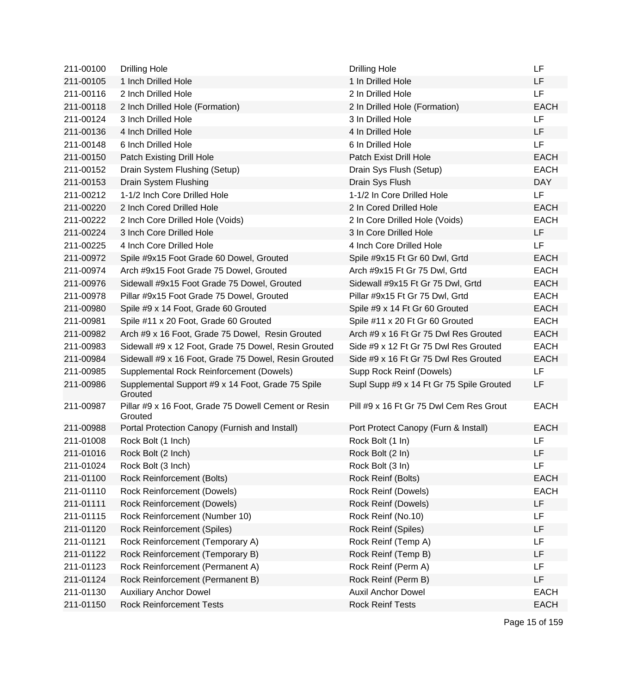| 211-00100 | <b>Drilling Hole</b>                                            | <b>Drilling Hole</b>                     | LF          |
|-----------|-----------------------------------------------------------------|------------------------------------------|-------------|
| 211-00105 | 1 Inch Drilled Hole                                             | 1 In Drilled Hole                        | LF          |
| 211-00116 | 2 Inch Drilled Hole                                             | 2 In Drilled Hole                        | LF          |
| 211-00118 | 2 Inch Drilled Hole (Formation)                                 | 2 In Drilled Hole (Formation)            | <b>EACH</b> |
| 211-00124 | 3 Inch Drilled Hole                                             | 3 In Drilled Hole                        | LF          |
| 211-00136 | 4 Inch Drilled Hole                                             | 4 In Drilled Hole                        | <b>LF</b>   |
| 211-00148 | 6 Inch Drilled Hole                                             | 6 In Drilled Hole                        | <b>LF</b>   |
| 211-00150 | Patch Existing Drill Hole                                       | Patch Exist Drill Hole                   | <b>EACH</b> |
| 211-00152 | Drain System Flushing (Setup)                                   | Drain Sys Flush (Setup)                  | <b>EACH</b> |
| 211-00153 | Drain System Flushing                                           | Drain Sys Flush                          | <b>DAY</b>  |
| 211-00212 | 1-1/2 Inch Core Drilled Hole                                    | 1-1/2 In Core Drilled Hole               | LF          |
| 211-00220 | 2 Inch Cored Drilled Hole                                       | 2 In Cored Drilled Hole                  | <b>EACH</b> |
| 211-00222 | 2 Inch Core Drilled Hole (Voids)                                | 2 In Core Drilled Hole (Voids)           | <b>EACH</b> |
| 211-00224 | 3 Inch Core Drilled Hole                                        | 3 In Core Drilled Hole                   | LF.         |
| 211-00225 | 4 Inch Core Drilled Hole                                        | 4 Inch Core Drilled Hole                 | LF          |
| 211-00972 | Spile #9x15 Foot Grade 60 Dowel, Grouted                        | Spile #9x15 Ft Gr 60 Dwl, Grtd           | <b>EACH</b> |
| 211-00974 | Arch #9x15 Foot Grade 75 Dowel, Grouted                         | Arch #9x15 Ft Gr 75 Dwl, Grtd            | <b>EACH</b> |
| 211-00976 | Sidewall #9x15 Foot Grade 75 Dowel, Grouted                     | Sidewall #9x15 Ft Gr 75 Dwl, Grtd        | <b>EACH</b> |
| 211-00978 | Pillar #9x15 Foot Grade 75 Dowel, Grouted                       | Pillar #9x15 Ft Gr 75 Dwl, Grtd          | <b>EACH</b> |
| 211-00980 | Spile #9 x 14 Foot, Grade 60 Grouted                            | Spile #9 x 14 Ft Gr 60 Grouted           | <b>EACH</b> |
| 211-00981 | Spile #11 x 20 Foot, Grade 60 Grouted                           | Spile #11 x 20 Ft Gr 60 Grouted          | <b>EACH</b> |
| 211-00982 | Arch #9 x 16 Foot, Grade 75 Dowel, Resin Grouted                | Arch #9 x 16 Ft Gr 75 Dwl Res Grouted    | <b>EACH</b> |
| 211-00983 | Sidewall #9 x 12 Foot, Grade 75 Dowel, Resin Grouted            | Side #9 x 12 Ft Gr 75 Dwl Res Grouted    | <b>EACH</b> |
| 211-00984 | Sidewall #9 x 16 Foot, Grade 75 Dowel, Resin Grouted            | Side #9 x 16 Ft Gr 75 Dwl Res Grouted    | <b>EACH</b> |
| 211-00985 | Supplemental Rock Reinforcement (Dowels)                        | Supp Rock Reinf (Dowels)                 | LF          |
| 211-00986 | Supplemental Support #9 x 14 Foot, Grade 75 Spile<br>Grouted    | Supl Supp #9 x 14 Ft Gr 75 Spile Grouted | LF          |
| 211-00987 | Pillar #9 x 16 Foot, Grade 75 Dowell Cement or Resin<br>Grouted | Pill #9 x 16 Ft Gr 75 Dwl Cem Res Grout  | <b>EACH</b> |
| 211-00988 | Portal Protection Canopy (Furnish and Install)                  | Port Protect Canopy (Furn & Install)     | <b>EACH</b> |
| 211-01008 | Rock Bolt (1 Inch)                                              | Rock Bolt (1 In)                         | LF          |
| 211-01016 | Rock Bolt (2 Inch)                                              | Rock Bolt (2 In)                         | LF          |
| 211-01024 | Rock Bolt (3 Inch)                                              | Rock Bolt (3 In)                         | LF          |
| 211-01100 | Rock Reinforcement (Bolts)                                      | Rock Reinf (Bolts)                       | <b>EACH</b> |
| 211-01110 | Rock Reinforcement (Dowels)                                     | <b>Rock Reinf (Dowels)</b>               | <b>EACH</b> |
| 211-01111 | Rock Reinforcement (Dowels)                                     | Rock Reinf (Dowels)                      | LF          |
| 211-01115 | Rock Reinforcement (Number 10)                                  | Rock Reinf (No.10)                       | LF          |
| 211-01120 | <b>Rock Reinforcement (Spiles)</b>                              | Rock Reinf (Spiles)                      | LF          |
| 211-01121 | Rock Reinforcement (Temporary A)                                | Rock Reinf (Temp A)                      | LF          |
| 211-01122 | Rock Reinforcement (Temporary B)                                | Rock Reinf (Temp B)                      | LF          |
| 211-01123 | Rock Reinforcement (Permanent A)                                | Rock Reinf (Perm A)                      | LF          |
| 211-01124 | Rock Reinforcement (Permanent B)                                | Rock Reinf (Perm B)                      | LF          |
| 211-01130 | <b>Auxiliary Anchor Dowel</b>                                   | <b>Auxil Anchor Dowel</b>                | <b>EACH</b> |
| 211-01150 | <b>Rock Reinforcement Tests</b>                                 | <b>Rock Reinf Tests</b>                  | <b>EACH</b> |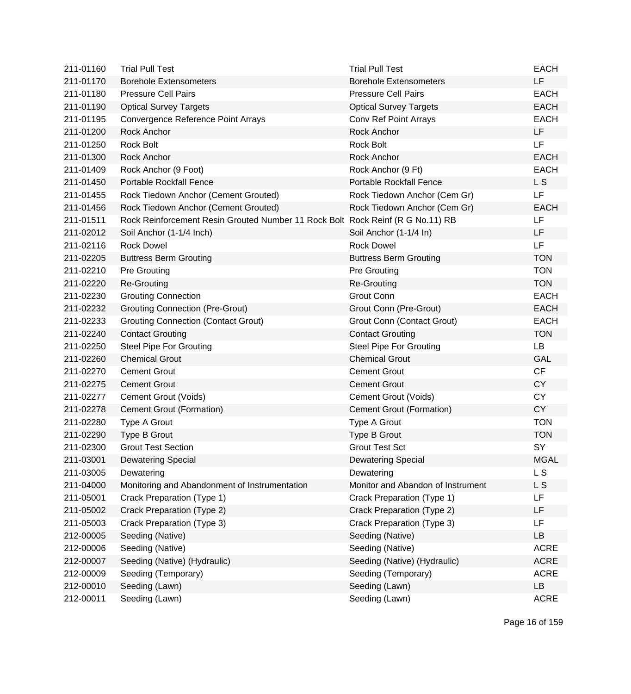| 211-01160 | <b>Trial Pull Test</b>                                                         | <b>Trial Pull Test</b>            | <b>EACH</b>    |
|-----------|--------------------------------------------------------------------------------|-----------------------------------|----------------|
| 211-01170 | <b>Borehole Extensometers</b>                                                  | <b>Borehole Extensometers</b>     | LF             |
| 211-01180 | <b>Pressure Cell Pairs</b>                                                     | <b>Pressure Cell Pairs</b>        | <b>EACH</b>    |
| 211-01190 | <b>Optical Survey Targets</b>                                                  | <b>Optical Survey Targets</b>     | <b>EACH</b>    |
| 211-01195 | Convergence Reference Point Arrays                                             | Conv Ref Point Arrays             | <b>EACH</b>    |
| 211-01200 | <b>Rock Anchor</b>                                                             | Rock Anchor                       | <b>LF</b>      |
| 211-01250 | <b>Rock Bolt</b>                                                               | <b>Rock Bolt</b>                  | <b>LF</b>      |
| 211-01300 | Rock Anchor                                                                    | Rock Anchor                       | <b>EACH</b>    |
| 211-01409 | Rock Anchor (9 Foot)                                                           | Rock Anchor (9 Ft)                | <b>EACH</b>    |
| 211-01450 | <b>Portable Rockfall Fence</b>                                                 | Portable Rockfall Fence           | L <sub>S</sub> |
| 211-01455 | Rock Tiedown Anchor (Cement Grouted)                                           | Rock Tiedown Anchor (Cem Gr)      | <b>LF</b>      |
| 211-01456 | Rock Tiedown Anchor (Cement Grouted)                                           | Rock Tiedown Anchor (Cem Gr)      | <b>EACH</b>    |
| 211-01511 | Rock Reinforcement Resin Grouted Number 11 Rock Bolt Rock Reinf (R G No.11) RB |                                   | LF             |
| 211-02012 | Soil Anchor (1-1/4 Inch)                                                       | Soil Anchor (1-1/4 In)            | LF.            |
| 211-02116 | <b>Rock Dowel</b>                                                              | <b>Rock Dowel</b>                 | LF             |
| 211-02205 | <b>Buttress Berm Grouting</b>                                                  | <b>Buttress Berm Grouting</b>     | <b>TON</b>     |
| 211-02210 | <b>Pre Grouting</b>                                                            | <b>Pre Grouting</b>               | <b>TON</b>     |
| 211-02220 | <b>Re-Grouting</b>                                                             | <b>Re-Grouting</b>                | <b>TON</b>     |
| 211-02230 | <b>Grouting Connection</b>                                                     | Grout Conn                        | <b>EACH</b>    |
| 211-02232 | <b>Grouting Connection (Pre-Grout)</b>                                         | Grout Conn (Pre-Grout)            | <b>EACH</b>    |
| 211-02233 | <b>Grouting Connection (Contact Grout)</b>                                     | Grout Conn (Contact Grout)        | <b>EACH</b>    |
| 211-02240 | <b>Contact Grouting</b>                                                        | <b>Contact Grouting</b>           | <b>TON</b>     |
| 211-02250 | <b>Steel Pipe For Grouting</b>                                                 | <b>Steel Pipe For Grouting</b>    | <b>LB</b>      |
| 211-02260 | <b>Chemical Grout</b>                                                          | <b>Chemical Grout</b>             | GAL            |
| 211-02270 | <b>Cement Grout</b>                                                            | <b>Cement Grout</b>               | CF             |
| 211-02275 | <b>Cement Grout</b>                                                            | <b>Cement Grout</b>               | <b>CY</b>      |
| 211-02277 | Cement Grout (Voids)                                                           | Cement Grout (Voids)              | <b>CY</b>      |
| 211-02278 | <b>Cement Grout (Formation)</b>                                                | Cement Grout (Formation)          | <b>CY</b>      |
| 211-02280 | Type A Grout                                                                   | Type A Grout                      | <b>TON</b>     |
| 211-02290 | <b>Type B Grout</b>                                                            | Type B Grout                      | <b>TON</b>     |
| 211-02300 | <b>Grout Test Section</b>                                                      | <b>Grout Test Sct</b>             | <b>SY</b>      |
| 211-03001 | <b>Dewatering Special</b>                                                      | <b>Dewatering Special</b>         | <b>MGAL</b>    |
| 211-03005 | Dewatering                                                                     | Dewatering                        | L <sub>S</sub> |
| 211-04000 | Monitoring and Abandonment of Instrumentation                                  | Monitor and Abandon of Instrument | L S            |
| 211-05001 | Crack Preparation (Type 1)                                                     | Crack Preparation (Type 1)        | LF             |
| 211-05002 | Crack Preparation (Type 2)                                                     | Crack Preparation (Type 2)        | LF             |
| 211-05003 | Crack Preparation (Type 3)                                                     | Crack Preparation (Type 3)        | LF             |
| 212-00005 | Seeding (Native)                                                               | Seeding (Native)                  | LB             |
| 212-00006 | Seeding (Native)                                                               | Seeding (Native)                  | <b>ACRE</b>    |
| 212-00007 | Seeding (Native) (Hydraulic)                                                   | Seeding (Native) (Hydraulic)      | <b>ACRE</b>    |
| 212-00009 | Seeding (Temporary)                                                            | Seeding (Temporary)               | <b>ACRE</b>    |
| 212-00010 | Seeding (Lawn)                                                                 | Seeding (Lawn)                    | LB             |
| 212-00011 | Seeding (Lawn)                                                                 | Seeding (Lawn)                    | <b>ACRE</b>    |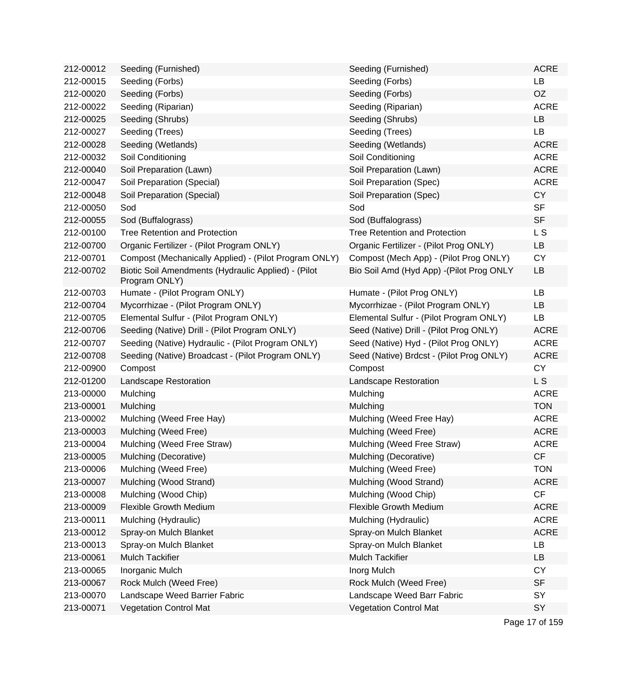| 212-00012 | Seeding (Furnished)                                                  | Seeding (Furnished)                       | <b>ACRE</b> |
|-----------|----------------------------------------------------------------------|-------------------------------------------|-------------|
| 212-00015 | Seeding (Forbs)                                                      | Seeding (Forbs)                           | LB          |
| 212-00020 | Seeding (Forbs)                                                      | Seeding (Forbs)                           | <b>OZ</b>   |
| 212-00022 | Seeding (Riparian)                                                   | Seeding (Riparian)                        | <b>ACRE</b> |
| 212-00025 | Seeding (Shrubs)                                                     | Seeding (Shrubs)                          | LB          |
| 212-00027 | Seeding (Trees)                                                      | Seeding (Trees)                           | <b>LB</b>   |
| 212-00028 | Seeding (Wetlands)                                                   | Seeding (Wetlands)                        | <b>ACRE</b> |
| 212-00032 | Soil Conditioning                                                    | Soil Conditioning                         | <b>ACRE</b> |
| 212-00040 | Soil Preparation (Lawn)                                              | Soil Preparation (Lawn)                   | <b>ACRE</b> |
| 212-00047 | Soil Preparation (Special)                                           | Soil Preparation (Spec)                   | <b>ACRE</b> |
| 212-00048 | Soil Preparation (Special)                                           | Soil Preparation (Spec)                   | <b>CY</b>   |
| 212-00050 | Sod                                                                  | Sod                                       | <b>SF</b>   |
| 212-00055 | Sod (Buffalograss)                                                   | Sod (Buffalograss)                        | <b>SF</b>   |
| 212-00100 | <b>Tree Retention and Protection</b>                                 | <b>Tree Retention and Protection</b>      | L S         |
| 212-00700 | Organic Fertilizer - (Pilot Program ONLY)                            | Organic Fertilizer - (Pilot Prog ONLY)    | LB          |
| 212-00701 | Compost (Mechanically Applied) - (Pilot Program ONLY)                | Compost (Mech App) - (Pilot Prog ONLY)    | <b>CY</b>   |
| 212-00702 | Biotic Soil Amendments (Hydraulic Applied) - (Pilot<br>Program ONLY) | Bio Soil Amd (Hyd App) - (Pilot Prog ONLY | LB          |
| 212-00703 | Humate - (Pilot Program ONLY)                                        | Humate - (Pilot Prog ONLY)                | LB          |
| 212-00704 | Mycorrhizae - (Pilot Program ONLY)                                   | Mycorrhizae - (Pilot Program ONLY)        | LB          |
| 212-00705 | Elemental Sulfur - (Pilot Program ONLY)                              | Elemental Sulfur - (Pilot Program ONLY)   | <b>LB</b>   |
| 212-00706 | Seeding (Native) Drill - (Pilot Program ONLY)                        | Seed (Native) Drill - (Pilot Prog ONLY)   | <b>ACRE</b> |
| 212-00707 | Seeding (Native) Hydraulic - (Pilot Program ONLY)                    | Seed (Native) Hyd - (Pilot Prog ONLY)     | <b>ACRE</b> |
| 212-00708 | Seeding (Native) Broadcast - (Pilot Program ONLY)                    | Seed (Native) Brdcst - (Pilot Prog ONLY)  | <b>ACRE</b> |
| 212-00900 | Compost                                                              | Compost                                   | <b>CY</b>   |
| 212-01200 | Landscape Restoration                                                | Landscape Restoration                     | L S         |
| 213-00000 | Mulching                                                             | Mulching                                  | <b>ACRE</b> |
| 213-00001 | Mulching                                                             | Mulching                                  | <b>TON</b>  |
| 213-00002 | Mulching (Weed Free Hay)                                             | Mulching (Weed Free Hay)                  | <b>ACRE</b> |
| 213-00003 | Mulching (Weed Free)                                                 | Mulching (Weed Free)                      | <b>ACRE</b> |
| 213-00004 | Mulching (Weed Free Straw)                                           | Mulching (Weed Free Straw)                | <b>ACRE</b> |
| 213-00005 | Mulching (Decorative)                                                | Mulching (Decorative)                     | <b>CF</b>   |
| 213-00006 | Mulching (Weed Free)                                                 | Mulching (Weed Free)                      | <b>TON</b>  |
| 213-00007 | Mulching (Wood Strand)                                               | Mulching (Wood Strand)                    | <b>ACRE</b> |
| 213-00008 | Mulching (Wood Chip)                                                 | Mulching (Wood Chip)                      | CF          |
| 213-00009 | <b>Flexible Growth Medium</b>                                        | <b>Flexible Growth Medium</b>             | <b>ACRE</b> |
| 213-00011 | Mulching (Hydraulic)                                                 | Mulching (Hydraulic)                      | <b>ACRE</b> |
| 213-00012 | Spray-on Mulch Blanket                                               | Spray-on Mulch Blanket                    | <b>ACRE</b> |
| 213-00013 | Spray-on Mulch Blanket                                               | Spray-on Mulch Blanket                    | LB          |
| 213-00061 | <b>Mulch Tackifier</b>                                               | <b>Mulch Tackifier</b>                    | LB          |
| 213-00065 | Inorganic Mulch                                                      | Inorg Mulch                               | <b>CY</b>   |
| 213-00067 | Rock Mulch (Weed Free)                                               | Rock Mulch (Weed Free)                    | <b>SF</b>   |
| 213-00070 | Landscape Weed Barrier Fabric                                        | Landscape Weed Barr Fabric                | SY          |
| 213-00071 | <b>Vegetation Control Mat</b>                                        | <b>Vegetation Control Mat</b>             | SY          |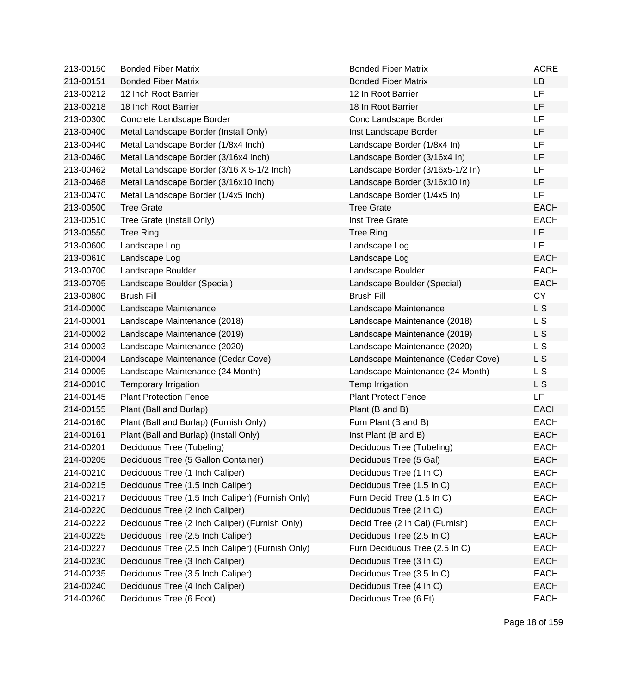| 213-00150 | <b>Bonded Fiber Matrix</b>                       | <b>Bonded Fiber Matrix</b>         | <b>ACRE</b> |
|-----------|--------------------------------------------------|------------------------------------|-------------|
| 213-00151 | <b>Bonded Fiber Matrix</b>                       | <b>Bonded Fiber Matrix</b>         | LB          |
| 213-00212 | 12 Inch Root Barrier                             | 12 In Root Barrier                 | <b>LF</b>   |
| 213-00218 | 18 Inch Root Barrier                             | 18 In Root Barrier                 | LF          |
| 213-00300 | Concrete Landscape Border                        | Conc Landscape Border              | LF          |
| 213-00400 | Metal Landscape Border (Install Only)            | Inst Landscape Border              | LF          |
| 213-00440 | Metal Landscape Border (1/8x4 Inch)              | Landscape Border (1/8x4 In)        | LF          |
| 213-00460 | Metal Landscape Border (3/16x4 Inch)             | Landscape Border (3/16x4 In)       | LF          |
| 213-00462 | Metal Landscape Border (3/16 X 5-1/2 Inch)       | Landscape Border (3/16x5-1/2 In)   | LF          |
| 213-00468 | Metal Landscape Border (3/16x10 Inch)            | Landscape Border (3/16x10 In)      | LF          |
| 213-00470 | Metal Landscape Border (1/4x5 Inch)              | Landscape Border (1/4x5 In)        | LF          |
| 213-00500 | <b>Tree Grate</b>                                | <b>Tree Grate</b>                  | <b>EACH</b> |
| 213-00510 | Tree Grate (Install Only)                        | Inst Tree Grate                    | <b>EACH</b> |
| 213-00550 | <b>Tree Ring</b>                                 | <b>Tree Ring</b>                   | LF.         |
| 213-00600 | Landscape Log                                    | Landscape Log                      | <b>LF</b>   |
| 213-00610 | Landscape Log                                    | Landscape Log                      | <b>EACH</b> |
| 213-00700 | Landscape Boulder                                | Landscape Boulder                  | <b>EACH</b> |
| 213-00705 | Landscape Boulder (Special)                      | Landscape Boulder (Special)        | <b>EACH</b> |
| 213-00800 | <b>Brush Fill</b>                                | <b>Brush Fill</b>                  | <b>CY</b>   |
| 214-00000 | Landscape Maintenance                            | Landscape Maintenance              | L S         |
| 214-00001 | Landscape Maintenance (2018)                     | Landscape Maintenance (2018)       | L S         |
| 214-00002 | Landscape Maintenance (2019)                     | Landscape Maintenance (2019)       | L S         |
| 214-00003 | Landscape Maintenance (2020)                     | Landscape Maintenance (2020)       | L S         |
| 214-00004 | Landscape Maintenance (Cedar Cove)               | Landscape Maintenance (Cedar Cove) | L S         |
| 214-00005 | Landscape Maintenance (24 Month)                 | Landscape Maintenance (24 Month)   | L S         |
| 214-00010 | Temporary Irrigation                             | Temp Irrigation                    | L S         |
| 214-00145 | <b>Plant Protection Fence</b>                    | <b>Plant Protect Fence</b>         | LF          |
| 214-00155 | Plant (Ball and Burlap)                          | Plant (B and B)                    | <b>EACH</b> |
| 214-00160 | Plant (Ball and Burlap) (Furnish Only)           | Furn Plant (B and B)               | <b>EACH</b> |
| 214-00161 | Plant (Ball and Burlap) (Install Only)           | Inst Plant (B and B)               | <b>EACH</b> |
| 214-00201 | Deciduous Tree (Tubeling)                        | Deciduous Tree (Tubeling)          | <b>EACH</b> |
| 214-00205 | Deciduous Tree (5 Gallon Container)              | Deciduous Tree (5 Gal)             | <b>EACH</b> |
| 214-00210 | Deciduous Tree (1 Inch Caliper)                  | Deciduous Tree (1 In C)            | <b>EACH</b> |
| 214-00215 | Deciduous Tree (1.5 Inch Caliper)                | Deciduous Tree (1.5 In C)          | <b>EACH</b> |
| 214-00217 | Deciduous Tree (1.5 Inch Caliper) (Furnish Only) | Furn Decid Tree (1.5 In C)         | <b>EACH</b> |
| 214-00220 | Deciduous Tree (2 Inch Caliper)                  | Deciduous Tree (2 In C)            | <b>EACH</b> |
| 214-00222 | Deciduous Tree (2 Inch Caliper) (Furnish Only)   | Decid Tree (2 In Cal) (Furnish)    | <b>EACH</b> |
| 214-00225 | Deciduous Tree (2.5 Inch Caliper)                | Deciduous Tree (2.5 In C)          | <b>EACH</b> |
| 214-00227 | Deciduous Tree (2.5 Inch Caliper) (Furnish Only) | Furn Deciduous Tree (2.5 In C)     | <b>EACH</b> |
| 214-00230 | Deciduous Tree (3 Inch Caliper)                  | Deciduous Tree (3 In C)            | <b>EACH</b> |
| 214-00235 | Deciduous Tree (3.5 Inch Caliper)                | Deciduous Tree (3.5 In C)          | <b>EACH</b> |
| 214-00240 | Deciduous Tree (4 Inch Caliper)                  | Deciduous Tree (4 In C)            | <b>EACH</b> |
| 214-00260 | Deciduous Tree (6 Foot)                          | Deciduous Tree (6 Ft)              | <b>EACH</b> |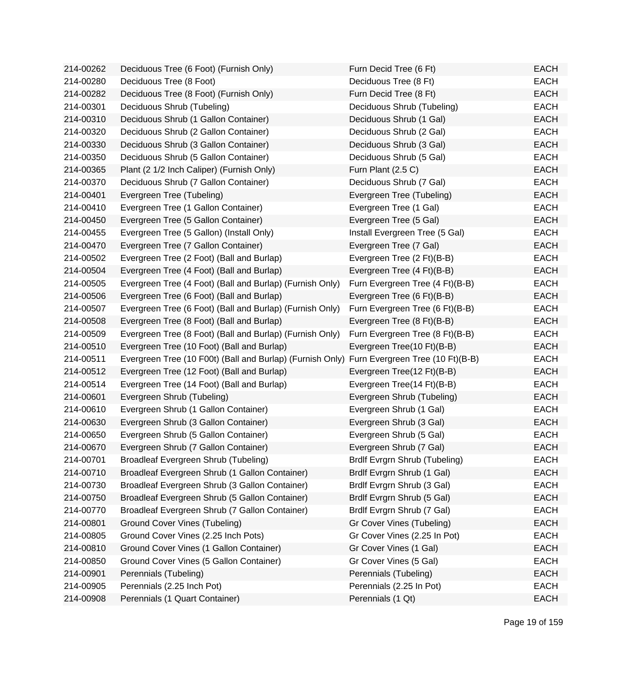| 214-00262 | Deciduous Tree (6 Foot) (Furnish Only)                                                     | Furn Decid Tree (6 Ft)          | <b>EACH</b> |
|-----------|--------------------------------------------------------------------------------------------|---------------------------------|-------------|
| 214-00280 | Deciduous Tree (8 Foot)                                                                    | Deciduous Tree (8 Ft)           | <b>EACH</b> |
| 214-00282 | Deciduous Tree (8 Foot) (Furnish Only)                                                     | Furn Decid Tree (8 Ft)          | <b>EACH</b> |
| 214-00301 | Deciduous Shrub (Tubeling)                                                                 | Deciduous Shrub (Tubeling)      | <b>EACH</b> |
| 214-00310 | Deciduous Shrub (1 Gallon Container)                                                       | Deciduous Shrub (1 Gal)         | <b>EACH</b> |
| 214-00320 | Deciduous Shrub (2 Gallon Container)                                                       | Deciduous Shrub (2 Gal)         | <b>EACH</b> |
| 214-00330 | Deciduous Shrub (3 Gallon Container)                                                       | Deciduous Shrub (3 Gal)         | <b>EACH</b> |
| 214-00350 | Deciduous Shrub (5 Gallon Container)                                                       | Deciduous Shrub (5 Gal)         | EACH        |
| 214-00365 | Plant (2 1/2 Inch Caliper) (Furnish Only)                                                  | Furn Plant (2.5 C)              | <b>EACH</b> |
| 214-00370 | Deciduous Shrub (7 Gallon Container)                                                       | Deciduous Shrub (7 Gal)         | <b>EACH</b> |
| 214-00401 | Evergreen Tree (Tubeling)                                                                  | Evergreen Tree (Tubeling)       | <b>EACH</b> |
| 214-00410 | Evergreen Tree (1 Gallon Container)                                                        | Evergreen Tree (1 Gal)          | <b>EACH</b> |
| 214-00450 | Evergreen Tree (5 Gallon Container)                                                        | Evergreen Tree (5 Gal)          | <b>EACH</b> |
| 214-00455 | Evergreen Tree (5 Gallon) (Install Only)                                                   | Install Evergreen Tree (5 Gal)  | <b>EACH</b> |
| 214-00470 | Evergreen Tree (7 Gallon Container)                                                        | Evergreen Tree (7 Gal)          | <b>EACH</b> |
| 214-00502 | Evergreen Tree (2 Foot) (Ball and Burlap)                                                  | Evergreen Tree (2 Ft)(B-B)      | <b>EACH</b> |
| 214-00504 | Evergreen Tree (4 Foot) (Ball and Burlap)                                                  | Evergreen Tree (4 Ft)(B-B)      | <b>EACH</b> |
| 214-00505 | Evergreen Tree (4 Foot) (Ball and Burlap) (Furnish Only)                                   | Furn Evergreen Tree (4 Ft)(B-B) | <b>EACH</b> |
| 214-00506 | Evergreen Tree (6 Foot) (Ball and Burlap)                                                  | Evergreen Tree (6 Ft)(B-B)      | <b>EACH</b> |
| 214-00507 | Evergreen Tree (6 Foot) (Ball and Burlap) (Furnish Only)                                   | Furn Evergreen Tree (6 Ft)(B-B) | <b>EACH</b> |
| 214-00508 | Evergreen Tree (8 Foot) (Ball and Burlap)                                                  | Evergreen Tree (8 Ft)(B-B)      | <b>EACH</b> |
| 214-00509 | Evergreen Tree (8 Foot) (Ball and Burlap) (Furnish Only)                                   | Furn Evergreen Tree (8 Ft)(B-B) | <b>EACH</b> |
| 214-00510 | Evergreen Tree (10 Foot) (Ball and Burlap)                                                 | Evergreen Tree(10 Ft)(B-B)      | <b>EACH</b> |
| 214-00511 | Evergreen Tree (10 F00t) (Ball and Burlap) (Furnish Only) Furn Evergreen Tree (10 Ft)(B-B) |                                 | <b>EACH</b> |
| 214-00512 | Evergreen Tree (12 Foot) (Ball and Burlap)                                                 | Evergreen Tree(12 Ft)(B-B)      | <b>EACH</b> |
| 214-00514 | Evergreen Tree (14 Foot) (Ball and Burlap)                                                 | Evergreen Tree(14 Ft)(B-B)      | <b>EACH</b> |
| 214-00601 | Evergreen Shrub (Tubeling)                                                                 | Evergreen Shrub (Tubeling)      | <b>EACH</b> |
| 214-00610 | Evergreen Shrub (1 Gallon Container)                                                       | Evergreen Shrub (1 Gal)         | <b>EACH</b> |
| 214-00630 | Evergreen Shrub (3 Gallon Container)                                                       | Evergreen Shrub (3 Gal)         | <b>EACH</b> |
| 214-00650 | Evergreen Shrub (5 Gallon Container)                                                       | Evergreen Shrub (5 Gal)         | <b>EACH</b> |
| 214-00670 | Evergreen Shrub (7 Gallon Container)                                                       | Evergreen Shrub (7 Gal)         | <b>EACH</b> |
| 214-00701 | Broadleaf Evergreen Shrub (Tubeling)                                                       | Brdlf Evrgrn Shrub (Tubeling)   | EACH        |
| 214-00710 | Broadleaf Evergreen Shrub (1 Gallon Container)                                             | Brdlf Evrgrn Shrub (1 Gal)      | <b>EACH</b> |
| 214-00730 | Broadleaf Evergreen Shrub (3 Gallon Container)                                             | Brdlf Evrgrn Shrub (3 Gal)      | <b>EACH</b> |
| 214-00750 | Broadleaf Evergreen Shrub (5 Gallon Container)                                             | Brdlf Evrgrn Shrub (5 Gal)      | <b>EACH</b> |
| 214-00770 | Broadleaf Evergreen Shrub (7 Gallon Container)                                             | Brdlf Evrgrn Shrub (7 Gal)      | <b>EACH</b> |
| 214-00801 | Ground Cover Vines (Tubeling)                                                              | Gr Cover Vines (Tubeling)       | <b>EACH</b> |
| 214-00805 | Ground Cover Vines (2.25 Inch Pots)                                                        | Gr Cover Vines (2.25 In Pot)    | <b>EACH</b> |
| 214-00810 | Ground Cover Vines (1 Gallon Container)                                                    | Gr Cover Vines (1 Gal)          | <b>EACH</b> |
| 214-00850 | Ground Cover Vines (5 Gallon Container)                                                    | Gr Cover Vines (5 Gal)          | <b>EACH</b> |
| 214-00901 | Perennials (Tubeling)                                                                      | Perennials (Tubeling)           | <b>EACH</b> |
| 214-00905 | Perennials (2.25 Inch Pot)                                                                 | Perennials (2.25 In Pot)        | <b>EACH</b> |
| 214-00908 | Perennials (1 Quart Container)                                                             | Perennials (1 Qt)               | <b>EACH</b> |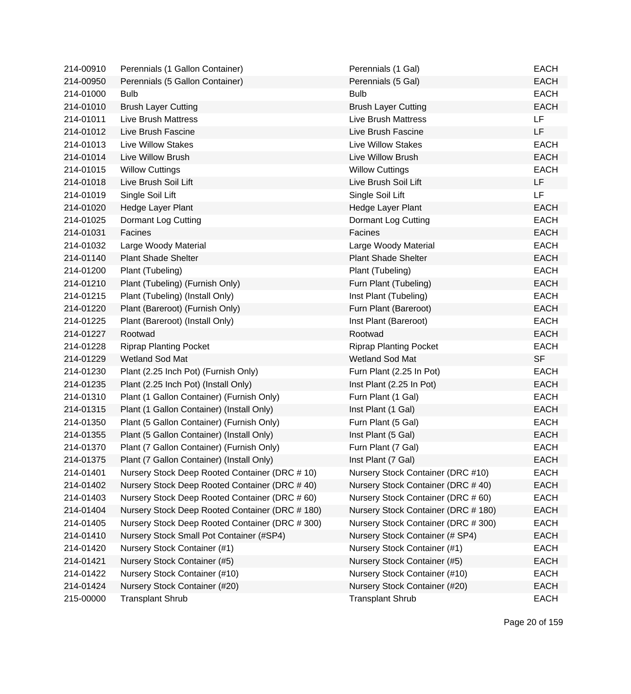| 214-00910 | Perennials (1 Gallon Container)                 | Perennials (1 Gal)                  | <b>EACH</b> |
|-----------|-------------------------------------------------|-------------------------------------|-------------|
| 214-00950 | Perennials (5 Gallon Container)                 | Perennials (5 Gal)                  | <b>EACH</b> |
| 214-01000 | <b>Bulb</b>                                     | <b>Bulb</b>                         | <b>EACH</b> |
| 214-01010 | <b>Brush Layer Cutting</b>                      | <b>Brush Layer Cutting</b>          | <b>EACH</b> |
| 214-01011 | <b>Live Brush Mattress</b>                      | <b>Live Brush Mattress</b>          | <b>LF</b>   |
| 214-01012 | Live Brush Fascine                              | Live Brush Fascine                  | <b>LF</b>   |
| 214-01013 | <b>Live Willow Stakes</b>                       | <b>Live Willow Stakes</b>           | <b>EACH</b> |
| 214-01014 | Live Willow Brush                               | Live Willow Brush                   | <b>EACH</b> |
| 214-01015 | <b>Willow Cuttings</b>                          | <b>Willow Cuttings</b>              | <b>EACH</b> |
| 214-01018 | Live Brush Soil Lift                            | Live Brush Soil Lift                | <b>LF</b>   |
| 214-01019 | Single Soil Lift                                | Single Soil Lift                    | LF          |
| 214-01020 | Hedge Layer Plant                               | Hedge Layer Plant                   | <b>EACH</b> |
| 214-01025 | Dormant Log Cutting                             | Dormant Log Cutting                 | <b>EACH</b> |
| 214-01031 | Facines                                         | Facines                             | <b>EACH</b> |
| 214-01032 | Large Woody Material                            | Large Woody Material                | <b>EACH</b> |
| 214-01140 | <b>Plant Shade Shelter</b>                      | <b>Plant Shade Shelter</b>          | <b>EACH</b> |
| 214-01200 | Plant (Tubeling)                                | Plant (Tubeling)                    | <b>EACH</b> |
| 214-01210 | Plant (Tubeling) (Furnish Only)                 | Furn Plant (Tubeling)               | <b>EACH</b> |
| 214-01215 | Plant (Tubeling) (Install Only)                 | Inst Plant (Tubeling)               | <b>EACH</b> |
| 214-01220 | Plant (Bareroot) (Furnish Only)                 | Furn Plant (Bareroot)               | <b>EACH</b> |
| 214-01225 | Plant (Bareroot) (Install Only)                 | Inst Plant (Bareroot)               | <b>EACH</b> |
| 214-01227 | Rootwad                                         | Rootwad                             | <b>EACH</b> |
| 214-01228 | <b>Riprap Planting Pocket</b>                   | <b>Riprap Planting Pocket</b>       | <b>EACH</b> |
| 214-01229 | <b>Wetland Sod Mat</b>                          | Wetland Sod Mat                     | <b>SF</b>   |
| 214-01230 | Plant (2.25 Inch Pot) (Furnish Only)            | Furn Plant (2.25 In Pot)            | <b>EACH</b> |
| 214-01235 | Plant (2.25 Inch Pot) (Install Only)            | Inst Plant (2.25 In Pot)            | <b>EACH</b> |
| 214-01310 | Plant (1 Gallon Container) (Furnish Only)       | Furn Plant (1 Gal)                  | <b>EACH</b> |
| 214-01315 | Plant (1 Gallon Container) (Install Only)       | Inst Plant (1 Gal)                  | <b>EACH</b> |
| 214-01350 | Plant (5 Gallon Container) (Furnish Only)       | Furn Plant (5 Gal)                  | <b>EACH</b> |
| 214-01355 | Plant (5 Gallon Container) (Install Only)       | Inst Plant (5 Gal)                  | <b>EACH</b> |
| 214-01370 | Plant (7 Gallon Container) (Furnish Only)       | Furn Plant (7 Gal)                  | <b>EACH</b> |
| 214-01375 | Plant (7 Gallon Container) (Install Only)       | Inst Plant (7 Gal)                  | <b>EACH</b> |
| 214-01401 | Nursery Stock Deep Rooted Container (DRC # 10)  | Nursery Stock Container (DRC #10)   | <b>EACH</b> |
| 214-01402 | Nursery Stock Deep Rooted Container (DRC #40)   | Nursery Stock Container (DRC #40)   | <b>EACH</b> |
| 214-01403 | Nursery Stock Deep Rooted Container (DRC # 60)  | Nursery Stock Container (DRC #60)   | <b>EACH</b> |
| 214-01404 | Nursery Stock Deep Rooted Container (DRC # 180) | Nursery Stock Container (DRC # 180) | <b>EACH</b> |
| 214-01405 | Nursery Stock Deep Rooted Container (DRC # 300) | Nursery Stock Container (DRC # 300) | <b>EACH</b> |
| 214-01410 | Nursery Stock Small Pot Container (#SP4)        | Nursery Stock Container (# SP4)     | <b>EACH</b> |
| 214-01420 | Nursery Stock Container (#1)                    | Nursery Stock Container (#1)        | <b>EACH</b> |
| 214-01421 | Nursery Stock Container (#5)                    | Nursery Stock Container (#5)        | <b>EACH</b> |
| 214-01422 | Nursery Stock Container (#10)                   | Nursery Stock Container (#10)       | <b>EACH</b> |
| 214-01424 | Nursery Stock Container (#20)                   | Nursery Stock Container (#20)       | <b>EACH</b> |
| 215-00000 | <b>Transplant Shrub</b>                         | <b>Transplant Shrub</b>             | <b>EACH</b> |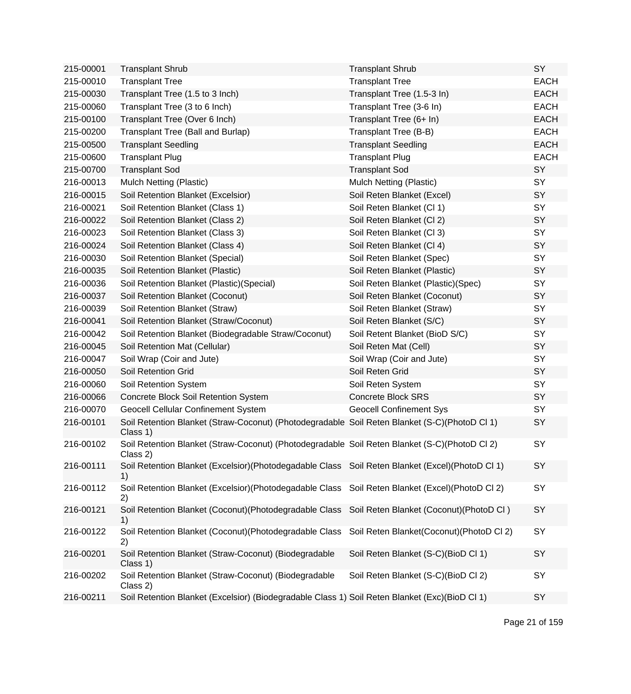| 215-00001 | <b>Transplant Shrub</b>                                                                                   | <b>Transplant Shrub</b>                  | SY          |
|-----------|-----------------------------------------------------------------------------------------------------------|------------------------------------------|-------------|
| 215-00010 | <b>Transplant Tree</b>                                                                                    | <b>Transplant Tree</b>                   | <b>EACH</b> |
| 215-00030 | Transplant Tree (1.5 to 3 Inch)                                                                           | Transplant Tree (1.5-3 In)               | <b>EACH</b> |
| 215-00060 | Transplant Tree (3 to 6 Inch)                                                                             | Transplant Tree (3-6 In)                 | <b>EACH</b> |
| 215-00100 | Transplant Tree (Over 6 Inch)                                                                             | Transplant Tree (6+ In)                  | <b>EACH</b> |
| 215-00200 | Transplant Tree (Ball and Burlap)                                                                         | Transplant Tree (B-B)                    | <b>EACH</b> |
| 215-00500 | <b>Transplant Seedling</b>                                                                                | <b>Transplant Seedling</b>               | <b>EACH</b> |
| 215-00600 | <b>Transplant Plug</b>                                                                                    | <b>Transplant Plug</b>                   | <b>EACH</b> |
| 215-00700 | <b>Transplant Sod</b>                                                                                     | <b>Transplant Sod</b>                    | SY          |
| 216-00013 | Mulch Netting (Plastic)                                                                                   | Mulch Netting (Plastic)                  | SY          |
| 216-00015 | Soil Retention Blanket (Excelsior)                                                                        | Soil Reten Blanket (Excel)               | SY          |
| 216-00021 | Soil Retention Blanket (Class 1)                                                                          | Soil Reten Blanket (Cl 1)                | SY          |
| 216-00022 | Soil Retention Blanket (Class 2)                                                                          | Soil Reten Blanket (Cl 2)                | SY          |
| 216-00023 | Soil Retention Blanket (Class 3)                                                                          | Soil Reten Blanket (Cl 3)                | SY          |
| 216-00024 | Soil Retention Blanket (Class 4)                                                                          | Soil Reten Blanket (Cl 4)                | SY          |
| 216-00030 | Soil Retention Blanket (Special)                                                                          | Soil Reten Blanket (Spec)                | SY          |
| 216-00035 | Soil Retention Blanket (Plastic)                                                                          | Soil Reten Blanket (Plastic)             | SY          |
| 216-00036 | Soil Retention Blanket (Plastic) (Special)                                                                | Soil Reten Blanket (Plastic)(Spec)       | SY          |
| 216-00037 | Soil Retention Blanket (Coconut)                                                                          | Soil Reten Blanket (Coconut)             | SY          |
| 216-00039 | Soil Retention Blanket (Straw)                                                                            | Soil Reten Blanket (Straw)               | SY          |
| 216-00041 | Soil Retention Blanket (Straw/Coconut)                                                                    | Soil Reten Blanket (S/C)                 | SY          |
| 216-00042 | Soil Retention Blanket (Biodegradable Straw/Coconut)                                                      | Soil Retent Blanket (BioD S/C)           | SY          |
| 216-00045 | Soil Retention Mat (Cellular)                                                                             | Soil Reten Mat (Cell)                    | SY          |
| 216-00047 | Soil Wrap (Coir and Jute)                                                                                 | Soil Wrap (Coir and Jute)                | SY          |
| 216-00050 | Soil Retention Grid                                                                                       | Soil Reten Grid                          | SY          |
| 216-00060 | Soil Retention System                                                                                     | Soil Reten System                        | SY          |
| 216-00066 | Concrete Block Soil Retention System                                                                      | <b>Concrete Block SRS</b>                | SY          |
| 216-00070 | <b>Geocell Cellular Confinement System</b>                                                                | <b>Geocell Confinement Sys</b>           | SY          |
| 216-00101 | Soil Retention Blanket (Straw-Coconut) (Photodegradable Soil Reten Blanket (S-C)(PhotoD Cl 1)<br>Class 1) |                                          | SY          |
| 216-00102 | Soil Retention Blanket (Straw-Coconut) (Photodegradable Soil Reten Blanket (S-C)(PhotoD Cl 2)<br>Class 2) |                                          | SY          |
| 216-00111 | Soil Retention Blanket (Excelsior)(Photodegadable Class Soil Reten Blanket (Excel)(PhotoD Cl 1)<br>1)     |                                          | SY          |
| 216-00112 | Soil Retention Blanket (Excelsior) (Photodegadable Class<br>2)                                            | Soil Reten Blanket (Excel) (PhotoD Cl 2) | SY          |
| 216-00121 | Soil Retention Blanket (Coconut) (Photodegradable Class<br>1)                                             | Soil Reten Blanket (Coconut) (PhotoD Cl) | <b>SY</b>   |
| 216-00122 | Soil Retention Blanket (Coconut) (Photodegradable Class<br>2)                                             | Soil Reten Blanket(Coconut)(PhotoD Cl 2) | SY          |
| 216-00201 | Soil Retention Blanket (Straw-Coconut) (Biodegradable<br>Class 1)                                         | Soil Reten Blanket (S-C)(BioD Cl 1)      | SY          |
| 216-00202 | Soil Retention Blanket (Straw-Coconut) (Biodegradable<br>Class 2)                                         | Soil Reten Blanket (S-C)(BioD Cl 2)      | <b>SY</b>   |
| 216-00211 | Soil Retention Blanket (Excelsior) (Biodegradable Class 1) Soil Reten Blanket (Exc)(BioD Cl 1)            |                                          | SY          |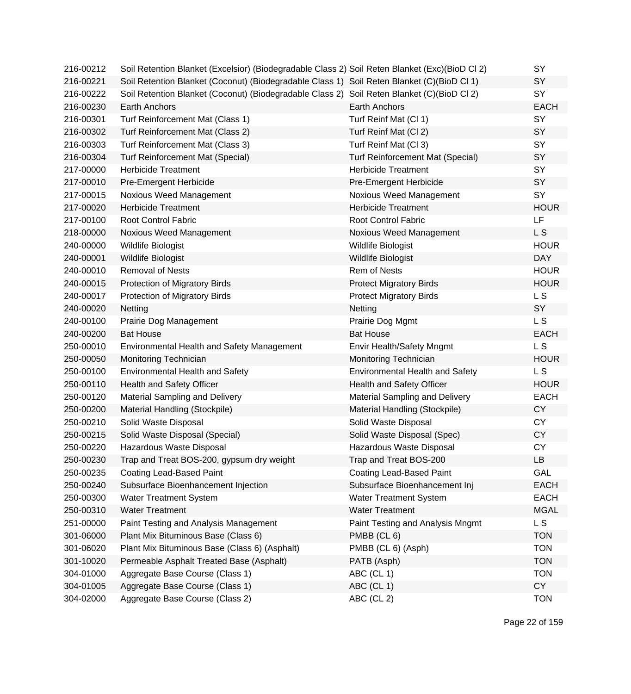| 216-00212 | Soil Retention Blanket (Excelsior) (Biodegradable Class 2) Soil Reten Blanket (Exc)(BioD Cl 2) |                                         | SY          |
|-----------|------------------------------------------------------------------------------------------------|-----------------------------------------|-------------|
| 216-00221 | Soil Retention Blanket (Coconut) (Biodegradable Class 1) Soil Reten Blanket (C)(BioD Cl 1)     |                                         | <b>SY</b>   |
| 216-00222 | Soil Retention Blanket (Coconut) (Biodegradable Class 2) Soil Reten Blanket (C)(BioD Cl 2)     |                                         | SY          |
| 216-00230 | Earth Anchors                                                                                  | Earth Anchors                           | <b>EACH</b> |
| 216-00301 | Turf Reinforcement Mat (Class 1)                                                               | Turf Reinf Mat (Cl 1)                   | SY          |
| 216-00302 | Turf Reinforcement Mat (Class 2)                                                               | Turf Reinf Mat (Cl 2)                   | SY          |
| 216-00303 | Turf Reinforcement Mat (Class 3)                                                               | Turf Reinf Mat (Cl 3)                   | SY          |
| 216-00304 | <b>Turf Reinforcement Mat (Special)</b>                                                        | <b>Turf Reinforcement Mat (Special)</b> | SY          |
| 217-00000 | <b>Herbicide Treatment</b>                                                                     | <b>Herbicide Treatment</b>              | SY          |
| 217-00010 | Pre-Emergent Herbicide                                                                         | Pre-Emergent Herbicide                  | SY          |
| 217-00015 | Noxious Weed Management                                                                        | Noxious Weed Management                 | SY          |
| 217-00020 | <b>Herbicide Treatment</b>                                                                     | <b>Herbicide Treatment</b>              | <b>HOUR</b> |
| 217-00100 | Root Control Fabric                                                                            | Root Control Fabric                     | LF          |
| 218-00000 | Noxious Weed Management                                                                        | Noxious Weed Management                 | L S         |
| 240-00000 | Wildlife Biologist                                                                             | Wildlife Biologist                      | <b>HOUR</b> |
| 240-00001 | Wildlife Biologist                                                                             | Wildlife Biologist                      | <b>DAY</b>  |
| 240-00010 | <b>Removal of Nests</b>                                                                        | Rem of Nests                            | <b>HOUR</b> |
| 240-00015 | Protection of Migratory Birds                                                                  | <b>Protect Migratory Birds</b>          | <b>HOUR</b> |
| 240-00017 | Protection of Migratory Birds                                                                  | <b>Protect Migratory Birds</b>          | L S         |
| 240-00020 | Netting                                                                                        | Netting                                 | <b>SY</b>   |
| 240-00100 | Prairie Dog Management                                                                         | Prairie Dog Mgmt                        | L S         |
| 240-00200 | <b>Bat House</b>                                                                               | <b>Bat House</b>                        | <b>EACH</b> |
| 250-00010 | Environmental Health and Safety Management                                                     | Envir Health/Safety Mngmt               | L S         |
| 250-00050 | Monitoring Technician                                                                          | Monitoring Technician                   | <b>HOUR</b> |
| 250-00100 | <b>Environmental Health and Safety</b>                                                         | <b>Environmental Health and Safety</b>  | L S         |
| 250-00110 | Health and Safety Officer                                                                      | Health and Safety Officer               | <b>HOUR</b> |
| 250-00120 | <b>Material Sampling and Delivery</b>                                                          | Material Sampling and Delivery          | <b>EACH</b> |
| 250-00200 | Material Handling (Stockpile)                                                                  | Material Handling (Stockpile)           | <b>CY</b>   |
| 250-00210 | Solid Waste Disposal                                                                           | Solid Waste Disposal                    | <b>CY</b>   |
| 250-00215 | Solid Waste Disposal (Special)                                                                 | Solid Waste Disposal (Spec)             | <b>CY</b>   |
| 250-00220 | Hazardous Waste Disposal                                                                       | Hazardous Waste Disposal                | <b>CY</b>   |
| 250-00230 | Trap and Treat BOS-200, gypsum dry weight                                                      | Trap and Treat BOS-200                  | LB.         |
| 250-00235 | <b>Coating Lead-Based Paint</b>                                                                | <b>Coating Lead-Based Paint</b>         | GAL         |
| 250-00240 | Subsurface Bioenhancement Injection                                                            | Subsurface Bioenhancement Inj           | <b>EACH</b> |
| 250-00300 | <b>Water Treatment System</b>                                                                  | <b>Water Treatment System</b>           | <b>EACH</b> |
| 250-00310 | <b>Water Treatment</b>                                                                         | <b>Water Treatment</b>                  | <b>MGAL</b> |
| 251-00000 | Paint Testing and Analysis Management                                                          | Paint Testing and Analysis Mngmt        | L S         |
| 301-06000 | Plant Mix Bituminous Base (Class 6)                                                            | PMBB (CL 6)                             | <b>TON</b>  |
| 301-06020 | Plant Mix Bituminous Base (Class 6) (Asphalt)                                                  | PMBB (CL 6) (Asph)                      | <b>TON</b>  |
| 301-10020 | Permeable Asphalt Treated Base (Asphalt)                                                       | PATB (Asph)                             | <b>TON</b>  |
| 304-01000 | Aggregate Base Course (Class 1)                                                                | ABC (CL 1)                              | <b>TON</b>  |
| 304-01005 | Aggregate Base Course (Class 1)                                                                | ABC (CL 1)                              | <b>CY</b>   |
| 304-02000 | Aggregate Base Course (Class 2)                                                                | ABC (CL 2)                              | <b>TON</b>  |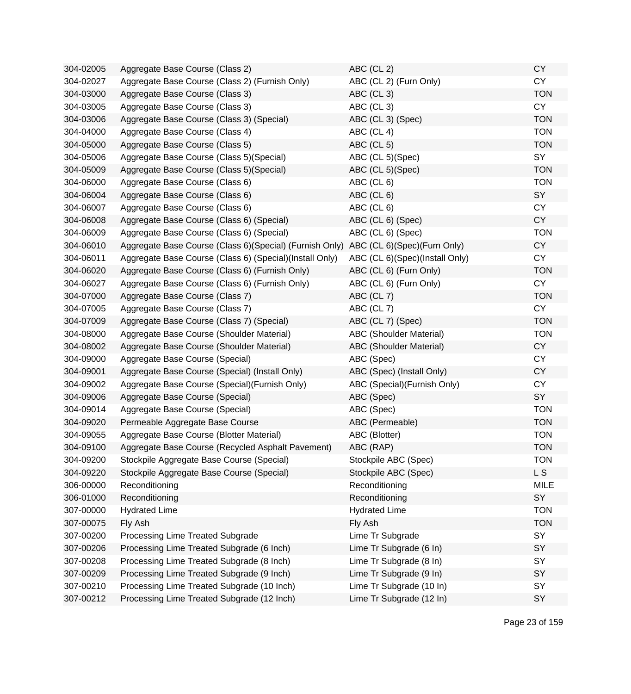| 304-02005 | Aggregate Base Course (Class 2)                                                     | ABC (CL 2)                     | <b>CY</b>   |
|-----------|-------------------------------------------------------------------------------------|--------------------------------|-------------|
| 304-02027 | Aggregate Base Course (Class 2) (Furnish Only)                                      | ABC (CL 2) (Furn Only)         | <b>CY</b>   |
| 304-03000 | Aggregate Base Course (Class 3)                                                     | ABC (CL 3)                     | <b>TON</b>  |
| 304-03005 | Aggregate Base Course (Class 3)                                                     | ABC (CL 3)                     | <b>CY</b>   |
| 304-03006 | Aggregate Base Course (Class 3) (Special)                                           | ABC (CL 3) (Spec)              | <b>TON</b>  |
| 304-04000 | Aggregate Base Course (Class 4)                                                     | ABC (CL 4)                     | <b>TON</b>  |
| 304-05000 | Aggregate Base Course (Class 5)                                                     | ABC (CL 5)                     | <b>TON</b>  |
| 304-05006 | Aggregate Base Course (Class 5) (Special)                                           | ABC (CL 5)(Spec)               | SY          |
| 304-05009 | Aggregate Base Course (Class 5) (Special)                                           | ABC (CL 5)(Spec)               | <b>TON</b>  |
| 304-06000 | Aggregate Base Course (Class 6)                                                     | ABC (CL 6)                     | <b>TON</b>  |
| 304-06004 | Aggregate Base Course (Class 6)                                                     | ABC (CL 6)                     | SY          |
| 304-06007 | Aggregate Base Course (Class 6)                                                     | ABC (CL 6)                     | <b>CY</b>   |
| 304-06008 | Aggregate Base Course (Class 6) (Special)                                           | ABC (CL 6) (Spec)              | <b>CY</b>   |
| 304-06009 | Aggregate Base Course (Class 6) (Special)                                           | ABC (CL 6) (Spec)              | <b>TON</b>  |
| 304-06010 | Aggregate Base Course (Class 6)(Special) (Furnish Only) ABC (CL 6)(Spec)(Furn Only) |                                | <b>CY</b>   |
| 304-06011 | Aggregate Base Course (Class 6) (Special) (Install Only)                            | ABC (CL 6)(Spec)(Install Only) | <b>CY</b>   |
| 304-06020 | Aggregate Base Course (Class 6) (Furnish Only)                                      | ABC (CL 6) (Furn Only)         | <b>TON</b>  |
| 304-06027 | Aggregate Base Course (Class 6) (Furnish Only)                                      | ABC (CL 6) (Furn Only)         | <b>CY</b>   |
| 304-07000 | Aggregate Base Course (Class 7)                                                     | ABC (CL 7)                     | <b>TON</b>  |
| 304-07005 | Aggregate Base Course (Class 7)                                                     | ABC (CL 7)                     | <b>CY</b>   |
| 304-07009 | Aggregate Base Course (Class 7) (Special)                                           | ABC (CL 7) (Spec)              | <b>TON</b>  |
| 304-08000 | Aggregate Base Course (Shoulder Material)                                           | ABC (Shoulder Material)        | <b>TON</b>  |
| 304-08002 | Aggregate Base Course (Shoulder Material)                                           | <b>ABC (Shoulder Material)</b> | <b>CY</b>   |
| 304-09000 | Aggregate Base Course (Special)                                                     | ABC (Spec)                     | <b>CY</b>   |
| 304-09001 | Aggregate Base Course (Special) (Install Only)                                      | ABC (Spec) (Install Only)      | <b>CY</b>   |
| 304-09002 | Aggregate Base Course (Special) (Furnish Only)                                      | ABC (Special) (Furnish Only)   | <b>CY</b>   |
| 304-09006 | Aggregate Base Course (Special)                                                     | ABC (Spec)                     | SY          |
| 304-09014 | Aggregate Base Course (Special)                                                     | ABC (Spec)                     | <b>TON</b>  |
| 304-09020 | Permeable Aggregate Base Course                                                     | ABC (Permeable)                | <b>TON</b>  |
| 304-09055 | Aggregate Base Course (Blotter Material)                                            | ABC (Blotter)                  | <b>TON</b>  |
| 304-09100 | Aggregate Base Course (Recycled Asphalt Pavement)                                   | ABC (RAP)                      | <b>TON</b>  |
| 304-09200 | Stockpile Aggregate Base Course (Special)                                           | Stockpile ABC (Spec)           | TON         |
| 304-09220 | Stockpile Aggregate Base Course (Special)                                           | Stockpile ABC (Spec)           | L S         |
| 306-00000 | Reconditioning                                                                      | Reconditioning                 | <b>MILE</b> |
| 306-01000 | Reconditioning                                                                      | Reconditioning                 | SY          |
| 307-00000 | <b>Hydrated Lime</b>                                                                | <b>Hydrated Lime</b>           | <b>TON</b>  |
| 307-00075 | Fly Ash                                                                             | Fly Ash                        | <b>TON</b>  |
| 307-00200 | Processing Lime Treated Subgrade                                                    | Lime Tr Subgrade               | SY          |
| 307-00206 | Processing Lime Treated Subgrade (6 Inch)                                           | Lime Tr Subgrade (6 In)        | SY          |
| 307-00208 | Processing Lime Treated Subgrade (8 Inch)                                           | Lime Tr Subgrade (8 In)        | SY          |
| 307-00209 | Processing Lime Treated Subgrade (9 Inch)                                           | Lime Tr Subgrade (9 In)        | <b>SY</b>   |
| 307-00210 | Processing Lime Treated Subgrade (10 Inch)                                          | Lime Tr Subgrade (10 In)       | SY          |
| 307-00212 | Processing Lime Treated Subgrade (12 Inch)                                          | Lime Tr Subgrade (12 In)       | SY          |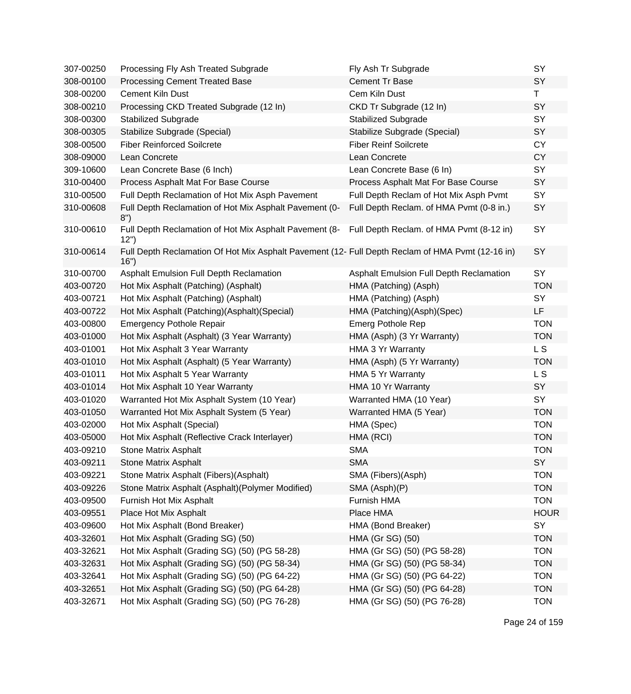| 307-00250 | Processing Fly Ash Treated Subgrade                                                                      | Fly Ash Tr Subgrade                      | SY          |
|-----------|----------------------------------------------------------------------------------------------------------|------------------------------------------|-------------|
| 308-00100 | <b>Processing Cement Treated Base</b>                                                                    | <b>Cement Tr Base</b>                    | SY          |
| 308-00200 | <b>Cement Kiln Dust</b>                                                                                  | Cem Kiln Dust                            | T.          |
| 308-00210 | Processing CKD Treated Subgrade (12 In)                                                                  | CKD Tr Subgrade (12 In)                  | SY          |
| 308-00300 | <b>Stabilized Subgrade</b>                                                                               | <b>Stabilized Subgrade</b>               | SY          |
| 308-00305 | Stabilize Subgrade (Special)                                                                             | Stabilize Subgrade (Special)             | SY          |
| 308-00500 | <b>Fiber Reinforced Soilcrete</b>                                                                        | <b>Fiber Reinf Soilcrete</b>             | <b>CY</b>   |
| 308-09000 | Lean Concrete                                                                                            | Lean Concrete                            | <b>CY</b>   |
| 309-10600 | Lean Concrete Base (6 Inch)                                                                              | Lean Concrete Base (6 In)                | SY          |
| 310-00400 | Process Asphalt Mat For Base Course                                                                      | Process Asphalt Mat For Base Course      | SY          |
| 310-00500 | Full Depth Reclamation of Hot Mix Asph Pavement                                                          | Full Depth Reclam of Hot Mix Asph Pvmt   | SY          |
| 310-00608 | Full Depth Reclamation of Hot Mix Asphalt Pavement (0-<br>8")                                            | Full Depth Reclam. of HMA Pvmt (0-8 in.) | <b>SY</b>   |
| 310-00610 | Full Depth Reclamation of Hot Mix Asphalt Pavement (8- Full Depth Reclam. of HMA Pvmt (8-12 in)<br>12")  |                                          | SY          |
| 310-00614 | Full Depth Reclamation Of Hot Mix Asphalt Pavement (12- Full Depth Reclam of HMA Pvmt (12-16 in)<br>16") |                                          | SY          |
| 310-00700 | Asphalt Emulsion Full Depth Reclamation                                                                  | Asphalt Emulsion Full Depth Reclamation  | SY          |
| 403-00720 | Hot Mix Asphalt (Patching) (Asphalt)                                                                     | HMA (Patching) (Asph)                    | <b>TON</b>  |
| 403-00721 | Hot Mix Asphalt (Patching) (Asphalt)                                                                     | HMA (Patching) (Asph)                    | SY          |
| 403-00722 | Hot Mix Asphalt (Patching)(Asphalt)(Special)                                                             | HMA (Patching)(Asph)(Spec)               | LF          |
| 403-00800 | <b>Emergency Pothole Repair</b>                                                                          | <b>Emerg Pothole Rep</b>                 | <b>TON</b>  |
| 403-01000 | Hot Mix Asphalt (Asphalt) (3 Year Warranty)                                                              | HMA (Asph) (3 Yr Warranty)               | <b>TON</b>  |
| 403-01001 | Hot Mix Asphalt 3 Year Warranty                                                                          | HMA 3 Yr Warranty                        | L S         |
| 403-01010 | Hot Mix Asphalt (Asphalt) (5 Year Warranty)                                                              | HMA (Asph) (5 Yr Warranty)               | <b>TON</b>  |
| 403-01011 | Hot Mix Asphalt 5 Year Warranty                                                                          | HMA 5 Yr Warranty                        | L S         |
| 403-01014 | Hot Mix Asphalt 10 Year Warranty                                                                         | HMA 10 Yr Warranty                       | SY          |
| 403-01020 | Warranted Hot Mix Asphalt System (10 Year)                                                               | Warranted HMA (10 Year)                  | SY          |
| 403-01050 | Warranted Hot Mix Asphalt System (5 Year)                                                                | Warranted HMA (5 Year)                   | <b>TON</b>  |
| 403-02000 | Hot Mix Asphalt (Special)                                                                                | HMA (Spec)                               | <b>TON</b>  |
| 403-05000 | Hot Mix Asphalt (Reflective Crack Interlayer)                                                            | HMA (RCI)                                | <b>TON</b>  |
| 403-09210 | <b>Stone Matrix Asphalt</b>                                                                              | <b>SMA</b>                               | <b>TON</b>  |
| 403-09211 | <b>Stone Matrix Asphalt</b>                                                                              | <b>SMA</b>                               | SY          |
| 403-09221 | Stone Matrix Asphalt (Fibers)(Asphalt)                                                                   | SMA (Fibers)(Asph)                       | <b>TON</b>  |
| 403-09226 | Stone Matrix Asphalt (Asphalt) (Polymer Modified)                                                        | SMA (Asph)(P)                            | <b>TON</b>  |
| 403-09500 | Furnish Hot Mix Asphalt                                                                                  | Furnish HMA                              | <b>TON</b>  |
| 403-09551 | Place Hot Mix Asphalt                                                                                    | Place HMA                                | <b>HOUR</b> |
| 403-09600 | Hot Mix Asphalt (Bond Breaker)                                                                           | HMA (Bond Breaker)                       | SY          |
| 403-32601 | Hot Mix Asphalt (Grading SG) (50)                                                                        | HMA (Gr SG) (50)                         | <b>TON</b>  |
| 403-32621 | Hot Mix Asphalt (Grading SG) (50) (PG 58-28)                                                             | HMA (Gr SG) (50) (PG 58-28)              | <b>TON</b>  |
| 403-32631 | Hot Mix Asphalt (Grading SG) (50) (PG 58-34)                                                             | HMA (Gr SG) (50) (PG 58-34)              | <b>TON</b>  |
| 403-32641 | Hot Mix Asphalt (Grading SG) (50) (PG 64-22)                                                             | HMA (Gr SG) (50) (PG 64-22)              | <b>TON</b>  |
| 403-32651 | Hot Mix Asphalt (Grading SG) (50) (PG 64-28)                                                             | HMA (Gr SG) (50) (PG 64-28)              | <b>TON</b>  |
| 403-32671 | Hot Mix Asphalt (Grading SG) (50) (PG 76-28)                                                             | HMA (Gr SG) (50) (PG 76-28)              | <b>TON</b>  |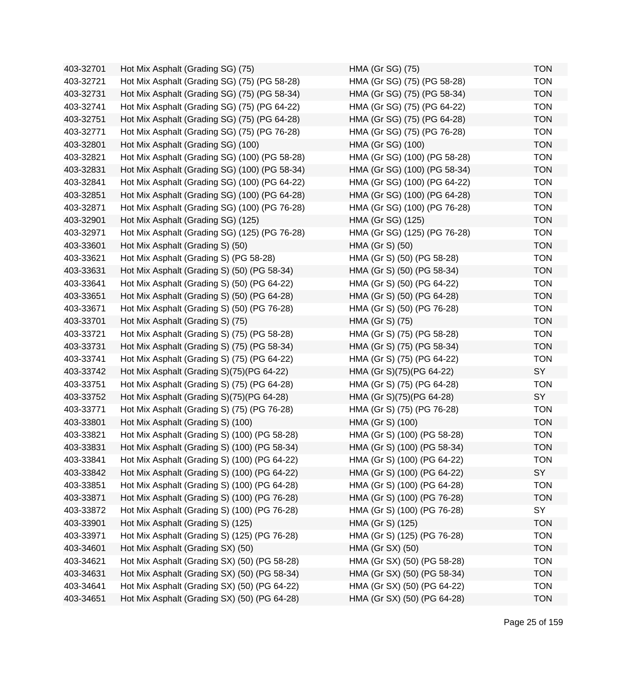| 403-32701 | Hot Mix Asphalt (Grading SG) (75)             | HMA (Gr SG) (75)             | <b>TON</b> |
|-----------|-----------------------------------------------|------------------------------|------------|
| 403-32721 | Hot Mix Asphalt (Grading SG) (75) (PG 58-28)  | HMA (Gr SG) (75) (PG 58-28)  | <b>TON</b> |
| 403-32731 | Hot Mix Asphalt (Grading SG) (75) (PG 58-34)  | HMA (Gr SG) (75) (PG 58-34)  | <b>TON</b> |
| 403-32741 | Hot Mix Asphalt (Grading SG) (75) (PG 64-22)  | HMA (Gr SG) (75) (PG 64-22)  | <b>TON</b> |
| 403-32751 | Hot Mix Asphalt (Grading SG) (75) (PG 64-28)  | HMA (Gr SG) (75) (PG 64-28)  | <b>TON</b> |
| 403-32771 | Hot Mix Asphalt (Grading SG) (75) (PG 76-28)  | HMA (Gr SG) (75) (PG 76-28)  | <b>TON</b> |
| 403-32801 | Hot Mix Asphalt (Grading SG) (100)            | HMA (Gr SG) (100)            | <b>TON</b> |
| 403-32821 | Hot Mix Asphalt (Grading SG) (100) (PG 58-28) | HMA (Gr SG) (100) (PG 58-28) | <b>TON</b> |
| 403-32831 | Hot Mix Asphalt (Grading SG) (100) (PG 58-34) | HMA (Gr SG) (100) (PG 58-34) | <b>TON</b> |
| 403-32841 | Hot Mix Asphalt (Grading SG) (100) (PG 64-22) | HMA (Gr SG) (100) (PG 64-22) | <b>TON</b> |
| 403-32851 | Hot Mix Asphalt (Grading SG) (100) (PG 64-28) | HMA (Gr SG) (100) (PG 64-28) | <b>TON</b> |
| 403-32871 | Hot Mix Asphalt (Grading SG) (100) (PG 76-28) | HMA (Gr SG) (100) (PG 76-28) | <b>TON</b> |
| 403-32901 | Hot Mix Asphalt (Grading SG) (125)            | HMA (Gr SG) (125)            | <b>TON</b> |
| 403-32971 | Hot Mix Asphalt (Grading SG) (125) (PG 76-28) | HMA (Gr SG) (125) (PG 76-28) | <b>TON</b> |
| 403-33601 | Hot Mix Asphalt (Grading S) (50)              | HMA (Gr S) (50)              | <b>TON</b> |
| 403-33621 | Hot Mix Asphalt (Grading S) (PG 58-28)        | HMA (Gr S) (50) (PG 58-28)   | <b>TON</b> |
| 403-33631 | Hot Mix Asphalt (Grading S) (50) (PG 58-34)   | HMA (Gr S) (50) (PG 58-34)   | <b>TON</b> |
| 403-33641 | Hot Mix Asphalt (Grading S) (50) (PG 64-22)   | HMA (Gr S) (50) (PG 64-22)   | <b>TON</b> |
| 403-33651 | Hot Mix Asphalt (Grading S) (50) (PG 64-28)   | HMA (Gr S) (50) (PG 64-28)   | <b>TON</b> |
| 403-33671 | Hot Mix Asphalt (Grading S) (50) (PG 76-28)   | HMA (Gr S) (50) (PG 76-28)   | <b>TON</b> |
| 403-33701 | Hot Mix Asphalt (Grading S) (75)              | HMA (Gr S) (75)              | <b>TON</b> |
| 403-33721 | Hot Mix Asphalt (Grading S) (75) (PG 58-28)   | HMA (Gr S) (75) (PG 58-28)   | <b>TON</b> |
| 403-33731 | Hot Mix Asphalt (Grading S) (75) (PG 58-34)   | HMA (Gr S) (75) (PG 58-34)   | <b>TON</b> |
| 403-33741 | Hot Mix Asphalt (Grading S) (75) (PG 64-22)   | HMA (Gr S) (75) (PG 64-22)   | <b>TON</b> |
| 403-33742 | Hot Mix Asphalt (Grading S)(75)(PG 64-22)     | HMA (Gr S)(75)(PG 64-22)     | SY         |
| 403-33751 | Hot Mix Asphalt (Grading S) (75) (PG 64-28)   | HMA (Gr S) (75) (PG 64-28)   | <b>TON</b> |
| 403-33752 | Hot Mix Asphalt (Grading S)(75)(PG 64-28)     | HMA (Gr S)(75)(PG 64-28)     | SY         |
| 403-33771 | Hot Mix Asphalt (Grading S) (75) (PG 76-28)   | HMA (Gr S) (75) (PG 76-28)   | <b>TON</b> |
| 403-33801 | Hot Mix Asphalt (Grading S) (100)             | HMA (Gr S) (100)             | <b>TON</b> |
| 403-33821 | Hot Mix Asphalt (Grading S) (100) (PG 58-28)  | HMA (Gr S) (100) (PG 58-28)  | <b>TON</b> |
| 403-33831 | Hot Mix Asphalt (Grading S) (100) (PG 58-34)  | HMA (Gr S) (100) (PG 58-34)  | <b>TON</b> |
| 403-33841 | Hot Mix Asphalt (Grading S) (100) (PG 64-22)  | HMA (Gr S) (100) (PG 64-22)  | <b>TON</b> |
| 403-33842 | Hot Mix Asphalt (Grading S) (100) (PG 64-22)  | HMA (Gr S) (100) (PG 64-22)  | SY         |
| 403-33851 | Hot Mix Asphalt (Grading S) (100) (PG 64-28)  | HMA (Gr S) (100) (PG 64-28)  | <b>TON</b> |
| 403-33871 | Hot Mix Asphalt (Grading S) (100) (PG 76-28)  | HMA (Gr S) (100) (PG 76-28)  | <b>TON</b> |
| 403-33872 | Hot Mix Asphalt (Grading S) (100) (PG 76-28)  | HMA (Gr S) (100) (PG 76-28)  | SY         |
| 403-33901 | Hot Mix Asphalt (Grading S) (125)             | HMA (Gr S) (125)             | <b>TON</b> |
| 403-33971 | Hot Mix Asphalt (Grading S) (125) (PG 76-28)  | HMA (Gr S) (125) (PG 76-28)  | <b>TON</b> |
| 403-34601 | Hot Mix Asphalt (Grading SX) (50)             | HMA (Gr SX) (50)             | <b>TON</b> |
| 403-34621 | Hot Mix Asphalt (Grading SX) (50) (PG 58-28)  | HMA (Gr SX) (50) (PG 58-28)  | <b>TON</b> |
| 403-34631 | Hot Mix Asphalt (Grading SX) (50) (PG 58-34)  | HMA (Gr SX) (50) (PG 58-34)  | <b>TON</b> |
| 403-34641 | Hot Mix Asphalt (Grading SX) (50) (PG 64-22)  | HMA (Gr SX) (50) (PG 64-22)  | <b>TON</b> |
| 403-34651 | Hot Mix Asphalt (Grading SX) (50) (PG 64-28)  | HMA (Gr SX) (50) (PG 64-28)  | <b>TON</b> |

| HMA (Gr SG) (75)             | TON        |
|------------------------------|------------|
| HMA (Gr SG) (75) (PG 58-28)  | <b>TON</b> |
| HMA (Gr SG) (75) (PG 58-34)  | <b>TON</b> |
| HMA (Gr SG) (75) (PG 64-22)  | <b>TON</b> |
| HMA (Gr SG) (75) (PG 64-28)  | <b>TON</b> |
| HMA (Gr SG) (75) (PG 76-28)  | <b>TON</b> |
| HMA (Gr SG) (100)            | <b>TON</b> |
| HMA (Gr SG) (100) (PG 58-28) | <b>TON</b> |
| HMA (Gr SG) (100) (PG 58-34) | <b>TON</b> |
| HMA (Gr SG) (100) (PG 64-22) | <b>TON</b> |
| HMA (Gr SG) (100) (PG 64-28) | <b>TON</b> |
| HMA (Gr SG) (100) (PG 76-28) | <b>TON</b> |
| HMA (Gr SG) (125)            | <b>TON</b> |
| HMA (Gr SG) (125) (PG 76-28) | <b>TON</b> |
| HMA (Gr S) (50)              | <b>TON</b> |
| HMA (Gr S) (50) (PG 58-28)   | <b>TON</b> |
| HMA (Gr S) (50) (PG 58-34)   | <b>TON</b> |
| HMA (Gr S) (50) (PG 64-22)   | <b>TON</b> |
| HMA (Gr S) (50) (PG 64-28)   | <b>TON</b> |
| HMA (Gr S) (50) (PG 76-28)   | <b>TON</b> |
| HMA (Gr S) (75)              | <b>TON</b> |
| HMA (Gr S) (75) (PG 58-28)   | <b>TON</b> |
| HMA (Gr S) (75) (PG 58-34)   | <b>TON</b> |
| HMA (Gr S) (75) (PG 64-22)   | <b>TON</b> |
| HMA (Gr S)(75)(PG 64-22)     | SY         |
| HMA (Gr S) (75) (PG 64-28)   | <b>TON</b> |
| HMA (Gr S)(75)(PG 64-28)     | SY         |
| HMA (Gr S) (75) (PG 76-28)   | <b>TON</b> |
| HMA (Gr S) (100)             | <b>TON</b> |
| HMA (Gr S) (100) (PG 58-28)  | <b>TON</b> |
| HMA (Gr S) (100) (PG 58-34)  | <b>TON</b> |
| HMA (Gr S) (100) (PG 64-22)  | <b>TON</b> |
| HMA (Gr S) (100) (PG 64-22)  | <b>SY</b>  |
| HMA (Gr S) (100) (PG 64-28)  | <b>TON</b> |
| HMA (Gr S) (100) (PG 76-28)  | <b>TON</b> |
| HMA (Gr S) (100) (PG 76-28)  | SY         |
| HMA (Gr S) (125)             | <b>TON</b> |
| HMA (Gr S) (125) (PG 76-28)  | <b>TON</b> |
| HMA (Gr SX) (50)             | <b>TON</b> |
| HMA (Gr SX) (50) (PG 58-28)  | <b>TON</b> |
| HMA (Gr SX) (50) (PG 58-34)  | <b>TON</b> |
| HMA (Gr SX) (50) (PG 64-22)  | <b>TON</b> |
| HMA (Gr SX) (50) (PG 64-28)  | <b>TON</b> |
|                              |            |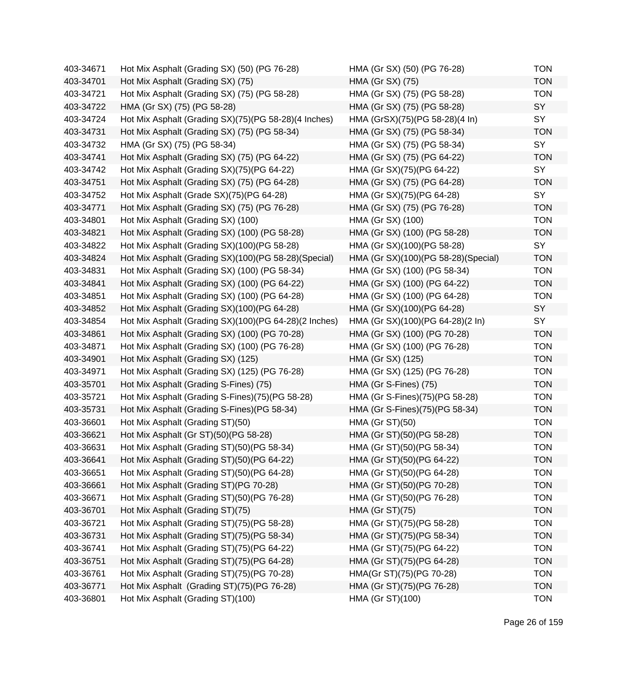| 403-34671 | Hot Mix Asphalt (Grading SX) (50) (PG 76-28)          | HMA (Gr SX) (50) (PG 76-28)         | <b>TON</b> |
|-----------|-------------------------------------------------------|-------------------------------------|------------|
| 403-34701 | Hot Mix Asphalt (Grading SX) (75)                     | HMA (Gr SX) (75)                    | <b>TON</b> |
| 403-34721 | Hot Mix Asphalt (Grading SX) (75) (PG 58-28)          | HMA (Gr SX) (75) (PG 58-28)         | <b>TON</b> |
| 403-34722 | HMA (Gr SX) (75) (PG 58-28)                           | HMA (Gr SX) (75) (PG 58-28)         | SY         |
| 403-34724 | Hot Mix Asphalt (Grading SX)(75)(PG 58-28)(4 Inches)  | HMA (GrSX)(75)(PG 58-28)(4 In)      | SY         |
| 403-34731 | Hot Mix Asphalt (Grading SX) (75) (PG 58-34)          | HMA (Gr SX) (75) (PG 58-34)         | <b>TON</b> |
| 403-34732 | HMA (Gr SX) (75) (PG 58-34)                           | HMA (Gr SX) (75) (PG 58-34)         | SY         |
| 403-34741 | Hot Mix Asphalt (Grading SX) (75) (PG 64-22)          | HMA (Gr SX) (75) (PG 64-22)         | <b>TON</b> |
| 403-34742 | Hot Mix Asphalt (Grading SX)(75)(PG 64-22)            | HMA (Gr SX)(75)(PG 64-22)           | SY         |
| 403-34751 | Hot Mix Asphalt (Grading SX) (75) (PG 64-28)          | HMA (Gr SX) (75) (PG 64-28)         | <b>TON</b> |
| 403-34752 | Hot Mix Asphalt (Grade SX)(75)(PG 64-28)              | HMA (Gr SX)(75)(PG 64-28)           | SY         |
| 403-34771 | Hot Mix Asphalt (Grading SX) (75) (PG 76-28)          | HMA (Gr SX) (75) (PG 76-28)         | <b>TON</b> |
| 403-34801 | Hot Mix Asphalt (Grading SX) (100)                    | HMA (Gr SX) (100)                   | <b>TON</b> |
| 403-34821 | Hot Mix Asphalt (Grading SX) (100) (PG 58-28)         | HMA (Gr SX) (100) (PG 58-28)        | <b>TON</b> |
| 403-34822 | Hot Mix Asphalt (Grading SX)(100)(PG 58-28)           | HMA (Gr SX)(100)(PG 58-28)          | SY         |
| 403-34824 | Hot Mix Asphalt (Grading SX)(100)(PG 58-28)(Special)  | HMA (Gr SX)(100)(PG 58-28)(Special) | <b>TON</b> |
| 403-34831 | Hot Mix Asphalt (Grading SX) (100) (PG 58-34)         | HMA (Gr SX) (100) (PG 58-34)        | <b>TON</b> |
| 403-34841 | Hot Mix Asphalt (Grading SX) (100) (PG 64-22)         | HMA (Gr SX) (100) (PG 64-22)        | <b>TON</b> |
| 403-34851 | Hot Mix Asphalt (Grading SX) (100) (PG 64-28)         | HMA (Gr SX) (100) (PG 64-28)        | <b>TON</b> |
| 403-34852 | Hot Mix Asphalt (Grading SX)(100)(PG 64-28)           | HMA (Gr SX)(100)(PG 64-28)          | SY         |
| 403-34854 | Hot Mix Asphalt (Grading SX)(100)(PG 64-28)(2 Inches) | HMA (Gr SX)(100)(PG 64-28)(2 In)    | SY         |
| 403-34861 | Hot Mix Asphalt (Grading SX) (100) (PG 70-28)         | HMA (Gr SX) (100) (PG 70-28)        | <b>TON</b> |
| 403-34871 | Hot Mix Asphalt (Grading SX) (100) (PG 76-28)         | HMA (Gr SX) (100) (PG 76-28)        | <b>TON</b> |
| 403-34901 | Hot Mix Asphalt (Grading SX) (125)                    | HMA (Gr SX) (125)                   | <b>TON</b> |
| 403-34971 | Hot Mix Asphalt (Grading SX) (125) (PG 76-28)         | HMA (Gr SX) (125) (PG 76-28)        | <b>TON</b> |
| 403-35701 | Hot Mix Asphalt (Grading S-Fines) (75)                | HMA (Gr S-Fines) (75)               | <b>TON</b> |
| 403-35721 | Hot Mix Asphalt (Grading S-Fines)(75)(PG 58-28)       | HMA (Gr S-Fines)(75)(PG 58-28)      | <b>TON</b> |
| 403-35731 | Hot Mix Asphalt (Grading S-Fines) (PG 58-34)          | HMA (Gr S-Fines)(75)(PG 58-34)      | <b>TON</b> |
| 403-36601 | Hot Mix Asphalt (Grading ST)(50)                      | <b>HMA (Gr ST)(50)</b>              | <b>TON</b> |
| 403-36621 | Hot Mix Asphalt (Gr ST)(50)(PG 58-28)                 | HMA (Gr ST)(50)(PG 58-28)           | <b>TON</b> |
| 403-36631 | Hot Mix Asphalt (Grading ST)(50)(PG 58-34)            | HMA (Gr ST)(50)(PG 58-34)           | <b>TON</b> |
| 403-36641 | Hot Mix Asphalt (Grading ST)(50)(PG 64-22)            | HMA (Gr ST)(50)(PG 64-22)           | TON        |
| 403-36651 | Hot Mix Asphalt (Grading ST)(50)(PG 64-28)            | HMA (Gr ST)(50)(PG 64-28)           | <b>TON</b> |
| 403-36661 | Hot Mix Asphalt (Grading ST)(PG 70-28)                | HMA (Gr ST)(50)(PG 70-28)           | <b>TON</b> |
| 403-36671 | Hot Mix Asphalt (Grading ST)(50)(PG 76-28)            | HMA (Gr ST)(50)(PG 76-28)           | <b>TON</b> |
| 403-36701 | Hot Mix Asphalt (Grading ST)(75)                      | <b>HMA (Gr ST)(75)</b>              | <b>TON</b> |
| 403-36721 | Hot Mix Asphalt (Grading ST)(75)(PG 58-28)            | HMA (Gr ST)(75)(PG 58-28)           | <b>TON</b> |
| 403-36731 | Hot Mix Asphalt (Grading ST)(75)(PG 58-34)            | HMA (Gr ST)(75)(PG 58-34)           | <b>TON</b> |
| 403-36741 | Hot Mix Asphalt (Grading ST)(75)(PG 64-22)            | HMA (Gr ST)(75)(PG 64-22)           | <b>TON</b> |
| 403-36751 | Hot Mix Asphalt (Grading ST)(75)(PG 64-28)            | HMA (Gr ST)(75)(PG 64-28)           | <b>TON</b> |
| 403-36761 | Hot Mix Asphalt (Grading ST)(75)(PG 70-28)            | HMA(Gr ST)(75)(PG 70-28)            | <b>TON</b> |
| 403-36771 | Hot Mix Asphalt (Grading ST)(75)(PG 76-28)            | HMA (Gr ST)(75)(PG 76-28)           | <b>TON</b> |
| 403-36801 | Hot Mix Asphalt (Grading ST)(100)                     | HMA (Gr ST)(100)                    | <b>TON</b> |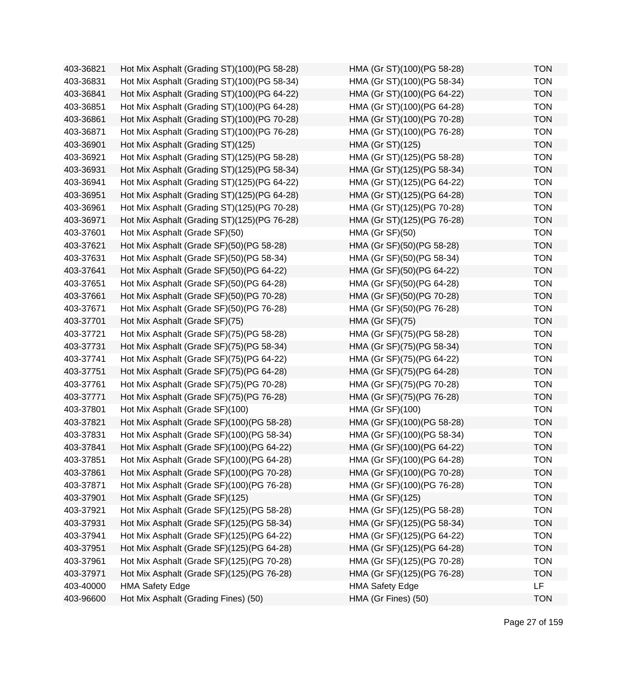| 403-36821 | Hot Mix Asphalt (Grading ST)(100)(PG 58-28) | HMA (Gr ST)(100)(PG 58-28) | <b>TON</b> |
|-----------|---------------------------------------------|----------------------------|------------|
| 403-36831 | Hot Mix Asphalt (Grading ST)(100)(PG 58-34) | HMA (Gr ST)(100)(PG 58-34) | <b>TON</b> |
| 403-36841 | Hot Mix Asphalt (Grading ST)(100)(PG 64-22) | HMA (Gr ST)(100)(PG 64-22) | <b>TON</b> |
| 403-36851 | Hot Mix Asphalt (Grading ST)(100)(PG 64-28) | HMA (Gr ST)(100)(PG 64-28) | <b>TON</b> |
| 403-36861 | Hot Mix Asphalt (Grading ST)(100)(PG 70-28) | HMA (Gr ST)(100)(PG 70-28) | <b>TON</b> |
| 403-36871 | Hot Mix Asphalt (Grading ST)(100)(PG 76-28) | HMA (Gr ST)(100)(PG 76-28) | <b>TON</b> |
| 403-36901 | Hot Mix Asphalt (Grading ST)(125)           | HMA (Gr ST)(125)           | <b>TON</b> |
| 403-36921 | Hot Mix Asphalt (Grading ST)(125)(PG 58-28) | HMA (Gr ST)(125)(PG 58-28) | <b>TON</b> |
| 403-36931 | Hot Mix Asphalt (Grading ST)(125)(PG 58-34) | HMA (Gr ST)(125)(PG 58-34) | <b>TON</b> |
| 403-36941 | Hot Mix Asphalt (Grading ST)(125)(PG 64-22) | HMA (Gr ST)(125)(PG 64-22) | <b>TON</b> |
| 403-36951 | Hot Mix Asphalt (Grading ST)(125)(PG 64-28) | HMA (Gr ST)(125)(PG 64-28) | <b>TON</b> |
| 403-36961 | Hot Mix Asphalt (Grading ST)(125)(PG 70-28) | HMA (Gr ST)(125)(PG 70-28) | <b>TON</b> |
| 403-36971 | Hot Mix Asphalt (Grading ST)(125)(PG 76-28) | HMA (Gr ST)(125)(PG 76-28) | <b>TON</b> |
| 403-37601 | Hot Mix Asphalt (Grade SF)(50)              | <b>HMA (Gr SF)(50)</b>     | <b>TON</b> |
| 403-37621 | Hot Mix Asphalt (Grade SF)(50)(PG 58-28)    | HMA (Gr SF)(50)(PG 58-28)  | <b>TON</b> |
| 403-37631 | Hot Mix Asphalt (Grade SF)(50)(PG 58-34)    | HMA (Gr SF)(50)(PG 58-34)  | <b>TON</b> |
| 403-37641 | Hot Mix Asphalt (Grade SF)(50)(PG 64-22)    | HMA (Gr SF)(50)(PG 64-22)  | <b>TON</b> |
| 403-37651 | Hot Mix Asphalt (Grade SF)(50)(PG 64-28)    | HMA (Gr SF)(50)(PG 64-28)  | <b>TON</b> |
| 403-37661 | Hot Mix Asphalt (Grade SF)(50)(PG 70-28)    | HMA (Gr SF)(50)(PG 70-28)  | <b>TON</b> |
| 403-37671 | Hot Mix Asphalt (Grade SF)(50)(PG 76-28)    | HMA (Gr SF)(50)(PG 76-28)  | <b>TON</b> |
| 403-37701 | Hot Mix Asphalt (Grade SF)(75)              | <b>HMA (Gr SF)(75)</b>     | <b>TON</b> |
| 403-37721 | Hot Mix Asphalt (Grade SF)(75)(PG 58-28)    | HMA (Gr SF)(75)(PG 58-28)  | <b>TON</b> |
| 403-37731 | Hot Mix Asphalt (Grade SF)(75)(PG 58-34)    | HMA (Gr SF)(75)(PG 58-34)  | <b>TON</b> |
| 403-37741 | Hot Mix Asphalt (Grade SF)(75)(PG 64-22)    | HMA (Gr SF)(75)(PG 64-22)  | <b>TON</b> |
| 403-37751 | Hot Mix Asphalt (Grade SF)(75)(PG 64-28)    | HMA (Gr SF)(75)(PG 64-28)  | <b>TON</b> |
| 403-37761 | Hot Mix Asphalt (Grade SF)(75)(PG 70-28)    | HMA (Gr SF)(75)(PG 70-28)  | <b>TON</b> |
| 403-37771 | Hot Mix Asphalt (Grade SF)(75)(PG 76-28)    | HMA (Gr SF)(75)(PG 76-28)  | <b>TON</b> |
| 403-37801 | Hot Mix Asphalt (Grade SF)(100)             | HMA (Gr SF)(100)           | <b>TON</b> |
| 403-37821 | Hot Mix Asphalt (Grade SF)(100)(PG 58-28)   | HMA (Gr SF)(100)(PG 58-28) | <b>TON</b> |
| 403-37831 | Hot Mix Asphalt (Grade SF)(100)(PG 58-34)   | HMA (Gr SF)(100)(PG 58-34) | <b>TON</b> |
| 403-37841 | Hot Mix Asphalt (Grade SF)(100)(PG 64-22)   | HMA (Gr SF)(100)(PG 64-22) | <b>TON</b> |
| 403-37851 | Hot Mix Asphalt (Grade SF)(100)(PG 64-28)   | HMA (Gr SF)(100)(PG 64-28) | <b>TON</b> |
| 403-37861 | Hot Mix Asphalt (Grade SF)(100)(PG 70-28)   | HMA (Gr SF)(100)(PG 70-28) | <b>TON</b> |
| 403-37871 | Hot Mix Asphalt (Grade SF)(100)(PG 76-28)   | HMA (Gr SF)(100)(PG 76-28) | <b>TON</b> |
| 403-37901 | Hot Mix Asphalt (Grade SF)(125)             | HMA (Gr SF)(125)           | <b>TON</b> |
| 403-37921 | Hot Mix Asphalt (Grade SF)(125)(PG 58-28)   | HMA (Gr SF)(125)(PG 58-28) | <b>TON</b> |
| 403-37931 | Hot Mix Asphalt (Grade SF)(125)(PG 58-34)   | HMA (Gr SF)(125)(PG 58-34) | <b>TON</b> |
| 403-37941 | Hot Mix Asphalt (Grade SF)(125)(PG 64-22)   | HMA (Gr SF)(125)(PG 64-22) | <b>TON</b> |
| 403-37951 | Hot Mix Asphalt (Grade SF)(125)(PG 64-28)   | HMA (Gr SF)(125)(PG 64-28) | <b>TON</b> |
| 403-37961 | Hot Mix Asphalt (Grade SF)(125)(PG 70-28)   | HMA (Gr SF)(125)(PG 70-28) | <b>TON</b> |
| 403-37971 | Hot Mix Asphalt (Grade SF)(125)(PG 76-28)   | HMA (Gr SF)(125)(PG 76-28) | <b>TON</b> |
| 403-40000 | <b>HMA Safety Edge</b>                      | <b>HMA Safety Edge</b>     | <b>LF</b>  |
| 403-96600 | Hot Mix Asphalt (Grading Fines) (50)        | HMA (Gr Fines) (50)        | <b>TON</b> |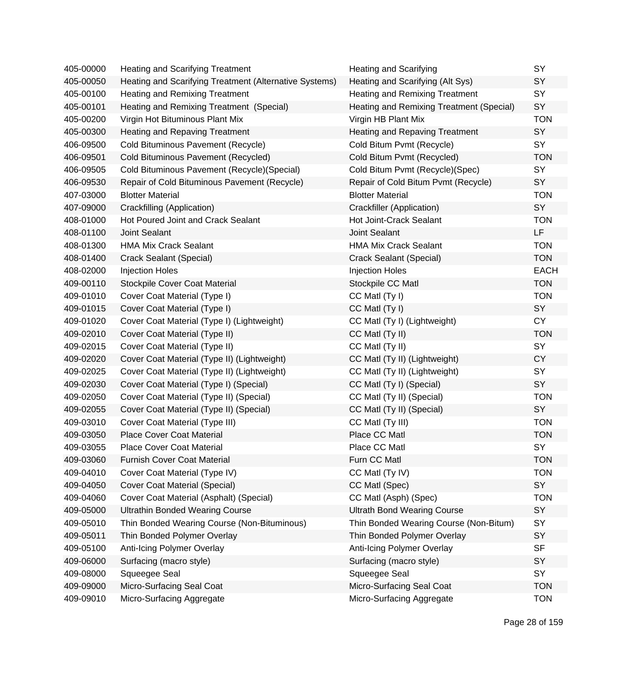| 405-00000 | <b>Heating and Scarifying Treatment</b>                | <b>Heating and Scarifying</b>            | SY          |
|-----------|--------------------------------------------------------|------------------------------------------|-------------|
| 405-00050 | Heating and Scarifying Treatment (Alternative Systems) | Heating and Scarifying (Alt Sys)         | SY          |
| 405-00100 | Heating and Remixing Treatment                         | Heating and Remixing Treatment           | SY          |
| 405-00101 | Heating and Remixing Treatment (Special)               | Heating and Remixing Treatment (Special) | SY          |
| 405-00200 | Virgin Hot Bituminous Plant Mix                        | Virgin HB Plant Mix                      | <b>TON</b>  |
| 405-00300 | <b>Heating and Repaving Treatment</b>                  | <b>Heating and Repaving Treatment</b>    | <b>SY</b>   |
| 406-09500 | Cold Bituminous Pavement (Recycle)                     | Cold Bitum Pvmt (Recycle)                | SY          |
| 406-09501 | Cold Bituminous Pavement (Recycled)                    | Cold Bitum Pvmt (Recycled)               | <b>TON</b>  |
| 406-09505 | Cold Bituminous Pavement (Recycle) (Special)           | Cold Bitum Pvmt (Recycle)(Spec)          | <b>SY</b>   |
| 406-09530 | Repair of Cold Bituminous Pavement (Recycle)           | Repair of Cold Bitum Pvmt (Recycle)      | SY          |
| 407-03000 | <b>Blotter Material</b>                                | <b>Blotter Material</b>                  | <b>TON</b>  |
| 407-09000 | Crackfilling (Application)                             | Crackfiller (Application)                | SY          |
| 408-01000 | Hot Poured Joint and Crack Sealant                     | Hot Joint-Crack Sealant                  | <b>TON</b>  |
| 408-01100 | <b>Joint Sealant</b>                                   | <b>Joint Sealant</b>                     | LF          |
| 408-01300 | <b>HMA Mix Crack Sealant</b>                           | <b>HMA Mix Crack Sealant</b>             | <b>TON</b>  |
| 408-01400 | Crack Sealant (Special)                                | Crack Sealant (Special)                  | <b>TON</b>  |
| 408-02000 | <b>Injection Holes</b>                                 | <b>Injection Holes</b>                   | <b>EACH</b> |
| 409-00110 | <b>Stockpile Cover Coat Material</b>                   | Stockpile CC Matl                        | <b>TON</b>  |
| 409-01010 | Cover Coat Material (Type I)                           | CC Matl (Ty I)                           | <b>TON</b>  |
| 409-01015 | Cover Coat Material (Type I)                           | CC Matl (Ty I)                           | SY          |
| 409-01020 | Cover Coat Material (Type I) (Lightweight)             | CC Matl (Ty I) (Lightweight)             | <b>CY</b>   |
| 409-02010 | Cover Coat Material (Type II)                          | CC Matl (Ty II)                          | <b>TON</b>  |
| 409-02015 | Cover Coat Material (Type II)                          | CC Matl (Ty II)                          | SY          |
| 409-02020 | Cover Coat Material (Type II) (Lightweight)            | CC Matl (Ty II) (Lightweight)            | <b>CY</b>   |
| 409-02025 | Cover Coat Material (Type II) (Lightweight)            | CC Matl (Ty II) (Lightweight)            | SY          |
| 409-02030 | Cover Coat Material (Type I) (Special)                 | CC Matl (Ty I) (Special)                 | SY          |
| 409-02050 | Cover Coat Material (Type II) (Special)                | CC Matl (Ty II) (Special)                | <b>TON</b>  |
| 409-02055 | Cover Coat Material (Type II) (Special)                | CC Matl (Ty II) (Special)                | SY          |
| 409-03010 | Cover Coat Material (Type III)                         | CC Matl (Ty III)                         | <b>TON</b>  |
| 409-03050 | <b>Place Cover Coat Material</b>                       | Place CC Matl                            | <b>TON</b>  |
| 409-03055 | <b>Place Cover Coat Material</b>                       | Place CC Matl                            | <b>SY</b>   |
| 409-03060 | <b>Furnish Cover Coat Material</b>                     | Furn CC Matl                             | <b>TON</b>  |
| 409-04010 | Cover Coat Material (Type IV)                          | CC Matl (Ty IV)                          | <b>TON</b>  |
| 409-04050 | <b>Cover Coat Material (Special)</b>                   | CC Matl (Spec)                           | SY          |
| 409-04060 | Cover Coat Material (Asphalt) (Special)                | CC Matl (Asph) (Spec)                    | <b>TON</b>  |
| 409-05000 | <b>Ultrathin Bonded Wearing Course</b>                 | <b>Ultrath Bond Wearing Course</b>       | SY          |
| 409-05010 | Thin Bonded Wearing Course (Non-Bituminous)            | Thin Bonded Wearing Course (Non-Bitum)   | SY          |
| 409-05011 | Thin Bonded Polymer Overlay                            | Thin Bonded Polymer Overlay              | SY          |
| 409-05100 | Anti-Icing Polymer Overlay                             | Anti-Icing Polymer Overlay               | <b>SF</b>   |
| 409-06000 | Surfacing (macro style)                                | Surfacing (macro style)                  | SY          |
| 409-08000 | Squeegee Seal                                          | Squeegee Seal                            | <b>SY</b>   |
| 409-09000 | Micro-Surfacing Seal Coat                              | Micro-Surfacing Seal Coat                | <b>TON</b>  |
| 409-09010 | Micro-Surfacing Aggregate                              | Micro-Surfacing Aggregate                | <b>TON</b>  |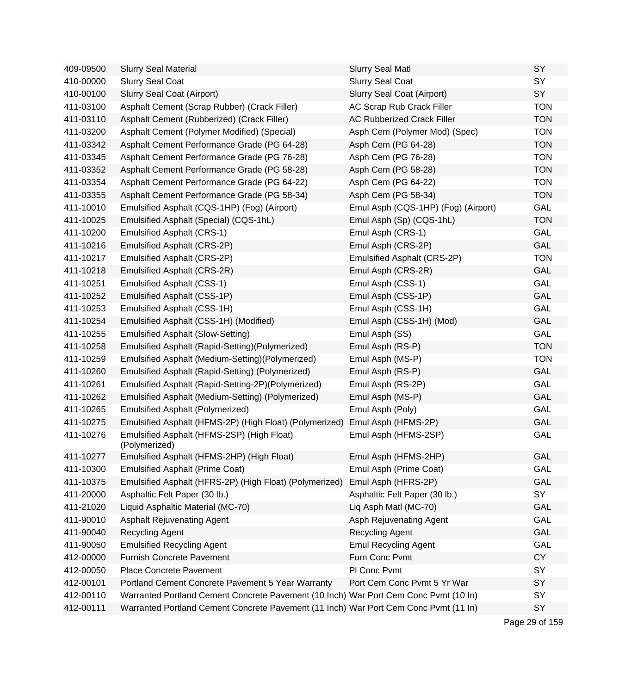| 409-09500 | <b>Slurry Seal Material</b>                                                          | <b>Slurry Seal Matl</b>             | SY         |
|-----------|--------------------------------------------------------------------------------------|-------------------------------------|------------|
| 410-00000 | <b>Slurry Seal Coat</b>                                                              | <b>Slurry Seal Coat</b>             | SY         |
| 410-00100 | Slurry Seal Coat (Airport)                                                           | Slurry Seal Coat (Airport)          | SY         |
| 411-03100 | Asphalt Cement (Scrap Rubber) (Crack Filler)                                         | AC Scrap Rub Crack Filler           | <b>TON</b> |
| 411-03110 | Asphalt Cement (Rubberized) (Crack Filler)                                           | AC Rubberized Crack Filler          | <b>TON</b> |
| 411-03200 | Asphalt Cement (Polymer Modified) (Special)                                          | Asph Cem (Polymer Mod) (Spec)       | <b>TON</b> |
| 411-03342 | Asphalt Cement Performance Grade (PG 64-28)                                          | Asph Cem (PG 64-28)                 | <b>TON</b> |
| 411-03345 | Asphalt Cement Performance Grade (PG 76-28)                                          | Asph Cem (PG 76-28)                 | <b>TON</b> |
| 411-03352 | Asphalt Cement Performance Grade (PG 58-28)                                          | Asph Cem (PG 58-28)                 | <b>TON</b> |
| 411-03354 | Asphalt Cement Performance Grade (PG 64-22)                                          | Asph Cem (PG 64-22)                 | <b>TON</b> |
| 411-03355 | Asphalt Cement Performance Grade (PG 58-34)                                          | Asph Cem (PG 58-34)                 | <b>TON</b> |
| 411-10010 | Emulsified Asphalt (CQS-1HP) (Fog) (Airport)                                         | Emul Asph (CQS-1HP) (Fog) (Airport) | GAL        |
| 411-10025 | Emulsified Asphalt (Special) (CQS-1hL)                                               | Emul Asph (Sp) (CQS-1hL)            | <b>TON</b> |
| 411-10200 | <b>Emulsified Asphalt (CRS-1)</b>                                                    | Emul Asph (CRS-1)                   | GAL        |
| 411-10216 | Emulsified Asphalt (CRS-2P)                                                          | Emul Asph (CRS-2P)                  | GAL        |
| 411-10217 | Emulsified Asphalt (CRS-2P)                                                          | Emulsified Asphalt (CRS-2P)         | <b>TON</b> |
| 411-10218 | Emulsified Asphalt (CRS-2R)                                                          | Emul Asph (CRS-2R)                  | GAL        |
| 411-10251 | <b>Emulsified Asphalt (CSS-1)</b>                                                    | Emul Asph (CSS-1)                   | GAL        |
| 411-10252 | Emulsified Asphalt (CSS-1P)                                                          | Emul Asph (CSS-1P)                  | GAL        |
| 411-10253 | Emulsified Asphalt (CSS-1H)                                                          | Emul Asph (CSS-1H)                  | GAL        |
| 411-10254 | Emulsified Asphalt (CSS-1H) (Modified)                                               | Emul Asph (CSS-1H) (Mod)            | GAL        |
| 411-10255 | <b>Emulsified Asphalt (Slow-Setting)</b>                                             | Emul Asph (SS)                      | GAL        |
| 411-10258 | Emulsified Asphalt (Rapid-Setting)(Polymerized)                                      | Emul Asph (RS-P)                    | <b>TON</b> |
| 411-10259 | Emulsified Asphalt (Medium-Setting) (Polymerized)                                    | Emul Asph (MS-P)                    | <b>TON</b> |
| 411-10260 | Emulsified Asphalt (Rapid-Setting) (Polymerized)                                     | Emul Asph (RS-P)                    | GAL        |
| 411-10261 | Emulsified Asphalt (Rapid-Setting-2P)(Polymerized)                                   | Emul Asph (RS-2P)                   | GAL        |
| 411-10262 | Emulsified Asphalt (Medium-Setting) (Polymerized)                                    | Emul Asph (MS-P)                    | GAL        |
| 411-10265 | <b>Emulsified Asphalt (Polymerized)</b>                                              | Emul Asph (Poly)                    | GAL        |
| 411-10275 | Emulsified Asphalt (HFMS-2P) (High Float) (Polymerized)                              | Emul Asph (HFMS-2P)                 | GAL        |
| 411-10276 | Emulsified Asphalt (HFMS-2SP) (High Float)<br>(Polymerized)                          | Emul Asph (HFMS-2SP)                | GAL        |
| 411-10277 | Emulsified Asphalt (HFMS-2HP) (High Float)                                           | Emul Asph (HFMS-2HP)                | GAL        |
| 411-10300 | <b>Emulsified Asphalt (Prime Coat)</b>                                               | Emul Asph (Prime Coat)              | GAL        |
| 411-10375 | Emulsified Asphalt (HFRS-2P) (High Float) (Polymerized)                              | Emul Asph (HFRS-2P)                 | <b>GAL</b> |
| 411-20000 | Asphaltic Felt Paper (30 lb.)                                                        | Asphaltic Felt Paper (30 lb.)       | SY         |
| 411-21020 | Liquid Asphaltic Material (MC-70)                                                    | Liq Asph Matl (MC-70)               | <b>GAL</b> |
| 411-90010 | <b>Asphalt Rejuvenating Agent</b>                                                    | Asph Rejuvenating Agent             | GAL        |
| 411-90040 | Recycling Agent                                                                      | <b>Recycling Agent</b>              | <b>GAL</b> |
| 411-90050 | <b>Emulsified Recycling Agent</b>                                                    | <b>Emul Recycling Agent</b>         | GAL        |
| 412-00000 | <b>Furnish Concrete Pavement</b>                                                     | Furn Conc Pvmt                      | <b>CY</b>  |
| 412-00050 | <b>Place Concrete Pavement</b>                                                       | PI Conc Pvmt                        | SY         |
| 412-00101 | Portland Cement Concrete Pavement 5 Year Warranty                                    | Port Cem Conc Pvmt 5 Yr War         | SY         |
| 412-00110 | Warranted Portland Cement Concrete Pavement (10 Inch) War Port Cem Conc Pvmt (10 In) |                                     | SY         |
| 412-00111 | Warranted Portland Cement Concrete Pavement (11 Inch) War Port Cem Conc Pvmt (11 In) |                                     | SY         |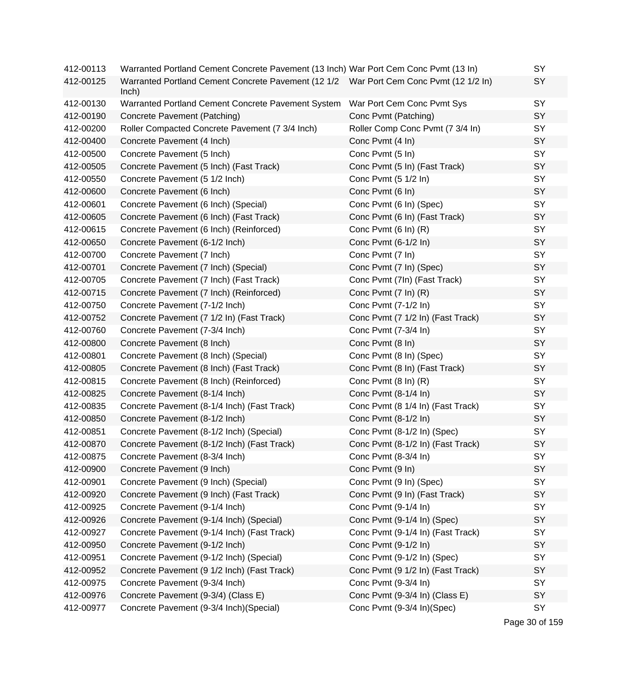| 412-00113 | Warranted Portland Cement Concrete Pavement (13 Inch) War Port Cem Conc Pvmt (13 In)            |                                   | SY |
|-----------|-------------------------------------------------------------------------------------------------|-----------------------------------|----|
| 412-00125 | Warranted Portland Cement Concrete Pavement (12 1/2 War Port Cem Conc Pvmt (12 1/2 In)<br>lnch) |                                   | SY |
| 412-00130 | Warranted Portland Cement Concrete Pavement System                                              | War Port Cem Conc Pvmt Sys        | SY |
| 412-00190 | Concrete Pavement (Patching)                                                                    | Conc Pvmt (Patching)              | SY |
| 412-00200 | Roller Compacted Concrete Pavement (7 3/4 Inch)                                                 | Roller Comp Conc Pvmt (7 3/4 In)  | SY |
| 412-00400 | Concrete Pavement (4 Inch)                                                                      | Conc Pvmt (4 In)                  | SY |
| 412-00500 | Concrete Pavement (5 Inch)                                                                      | Conc Pvmt (5 In)                  | SY |
| 412-00505 | Concrete Pavement (5 Inch) (Fast Track)                                                         | Conc Pvmt (5 In) (Fast Track)     | SY |
| 412-00550 | Concrete Pavement (5 1/2 Inch)                                                                  | Conc Pvmt (5 1/2 In)              | SY |
| 412-00600 | Concrete Pavement (6 Inch)                                                                      | Conc Pvmt (6 In)                  | SY |
| 412-00601 | Concrete Pavement (6 Inch) (Special)                                                            | Conc Pvmt (6 In) (Spec)           | SY |
| 412-00605 | Concrete Pavement (6 Inch) (Fast Track)                                                         | Conc Pvmt (6 In) (Fast Track)     | SY |
| 412-00615 | Concrete Pavement (6 Inch) (Reinforced)                                                         | Conc Pvmt (6 In) (R)              | SY |
| 412-00650 | Concrete Pavement (6-1/2 Inch)                                                                  | Conc Pvmt (6-1/2 In)              | SY |
| 412-00700 | Concrete Pavement (7 Inch)                                                                      | Conc Pvmt (7 In)                  | SY |
| 412-00701 | Concrete Pavement (7 Inch) (Special)                                                            | Conc Pvmt (7 In) (Spec)           | SY |
| 412-00705 | Concrete Pavement (7 Inch) (Fast Track)                                                         | Conc Pvmt (7In) (Fast Track)      | SY |
| 412-00715 | Concrete Pavement (7 Inch) (Reinforced)                                                         | Conc Pvmt (7 In) (R)              | SY |
| 412-00750 | Concrete Pavement (7-1/2 Inch)                                                                  | Conc Pvmt (7-1/2 In)              | SY |
| 412-00752 | Concrete Pavement (7 1/2 In) (Fast Track)                                                       | Conc Pvmt (7 1/2 In) (Fast Track) | SY |
| 412-00760 | Concrete Pavement (7-3/4 Inch)                                                                  | Conc Pvmt (7-3/4 In)              | SY |
| 412-00800 | Concrete Pavement (8 Inch)                                                                      | Conc Pvmt (8 In)                  | SY |
| 412-00801 | Concrete Pavement (8 Inch) (Special)                                                            | Conc Pvmt (8 In) (Spec)           | SY |
| 412-00805 | Concrete Pavement (8 Inch) (Fast Track)                                                         | Conc Pvmt (8 In) (Fast Track)     | SY |
| 412-00815 | Concrete Pavement (8 Inch) (Reinforced)                                                         | Conc Pvmt (8 In) (R)              | SY |
| 412-00825 | Concrete Pavement (8-1/4 Inch)                                                                  | Conc Pvmt (8-1/4 In)              | SY |
| 412-00835 | Concrete Pavement (8-1/4 Inch) (Fast Track)                                                     | Conc Pvmt (8 1/4 In) (Fast Track) | SY |
| 412-00850 | Concrete Pavement (8-1/2 Inch)                                                                  | Conc Pvmt (8-1/2 In)              | SY |
| 412-00851 | Concrete Pavement (8-1/2 Inch) (Special)                                                        | Conc Pvmt (8-1/2 In) (Spec)       | SY |
| 412-00870 | Concrete Pavement (8-1/2 Inch) (Fast Track)                                                     | Conc Pvmt (8-1/2 In) (Fast Track) | SY |
| 412-00875 | Concrete Pavement (8-3/4 Inch)                                                                  | Conc Pvmt (8-3/4 In)              | SY |
| 412-00900 | Concrete Pavement (9 Inch)                                                                      | Conc Pvmt (9 In)                  | SY |
| 412-00901 | Concrete Pavement (9 Inch) (Special)                                                            | Conc Pvmt (9 In) (Spec)           | SY |
| 412-00920 | Concrete Pavement (9 Inch) (Fast Track)                                                         | Conc Pvmt (9 In) (Fast Track)     | SY |
| 412-00925 | Concrete Pavement (9-1/4 Inch)                                                                  | Conc Pvmt (9-1/4 In)              | SY |
| 412-00926 | Concrete Pavement (9-1/4 Inch) (Special)                                                        | Conc Pvmt (9-1/4 In) (Spec)       | SY |
| 412-00927 | Concrete Pavement (9-1/4 Inch) (Fast Track)                                                     | Conc Pvmt (9-1/4 In) (Fast Track) | SY |
| 412-00950 | Concrete Pavement (9-1/2 Inch)                                                                  | Conc Pvmt (9-1/2 In)              | SY |
| 412-00951 | Concrete Pavement (9-1/2 Inch) (Special)                                                        | Conc Pvmt (9-1/2 In) (Spec)       | SY |
| 412-00952 | Concrete Pavement (9 1/2 Inch) (Fast Track)                                                     | Conc Pvmt (9 1/2 In) (Fast Track) | SY |
| 412-00975 | Concrete Pavement (9-3/4 Inch)                                                                  | Conc Pvmt (9-3/4 In)              | SY |
| 412-00976 | Concrete Pavement (9-3/4) (Class E)                                                             | Conc Pvmt (9-3/4 In) (Class E)    | SY |
| 412-00977 | Concrete Pavement (9-3/4 Inch)(Special)                                                         | Conc Pvmt (9-3/4 In)(Spec)        | SY |

Page 30 of 159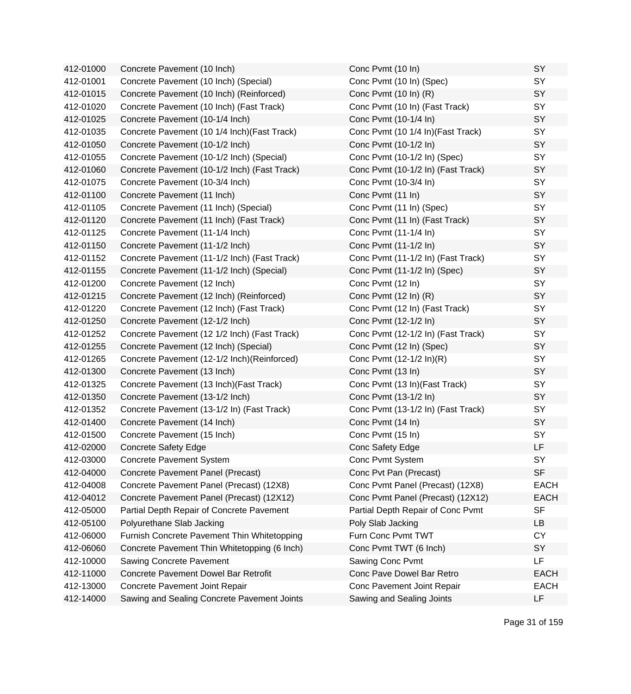| 412-01000 | Concrete Pavement (10 Inch)                  | Conc Pvmt (10 In)                  | SY          |
|-----------|----------------------------------------------|------------------------------------|-------------|
| 412-01001 | Concrete Pavement (10 Inch) (Special)        | Conc Pvmt (10 In) (Spec)           | SY          |
| 412-01015 | Concrete Pavement (10 Inch) (Reinforced)     | Conc Pvmt (10 In) (R)              | SY          |
| 412-01020 | Concrete Pavement (10 Inch) (Fast Track)     | Conc Pvmt (10 In) (Fast Track)     | SY          |
| 412-01025 | Concrete Pavement (10-1/4 Inch)              | Conc Pvmt (10-1/4 In)              | SY          |
| 412-01035 | Concrete Pavement (10 1/4 Inch) (Fast Track) | Conc Pvmt (10 1/4 In) (Fast Track) | SY          |
| 412-01050 | Concrete Pavement (10-1/2 Inch)              | Conc Pvmt (10-1/2 In)              | SY          |
| 412-01055 | Concrete Pavement (10-1/2 Inch) (Special)    | Conc Pvmt (10-1/2 In) (Spec)       | SY          |
| 412-01060 | Concrete Pavement (10-1/2 Inch) (Fast Track) | Conc Pvmt (10-1/2 In) (Fast Track) | SY          |
| 412-01075 | Concrete Pavement (10-3/4 Inch)              | Conc Pvmt (10-3/4 In)              | SY          |
| 412-01100 | Concrete Pavement (11 Inch)                  | Conc Pvmt (11 In)                  | SY          |
| 412-01105 | Concrete Pavement (11 Inch) (Special)        | Conc Pvmt (11 In) (Spec)           | SY          |
| 412-01120 | Concrete Pavement (11 Inch) (Fast Track)     | Conc Pvmt (11 In) (Fast Track)     | SY          |
| 412-01125 | Concrete Pavement (11-1/4 Inch)              | Conc Pvmt (11-1/4 In)              | SY          |
| 412-01150 | Concrete Pavement (11-1/2 Inch)              | Conc Pvmt (11-1/2 In)              | SY          |
| 412-01152 | Concrete Pavement (11-1/2 Inch) (Fast Track) | Conc Pvmt (11-1/2 In) (Fast Track) | SY          |
| 412-01155 | Concrete Pavement (11-1/2 Inch) (Special)    | Conc Pvmt (11-1/2 In) (Spec)       | SY          |
| 412-01200 | Concrete Pavement (12 Inch)                  | Conc Pvmt (12 In)                  | SY          |
| 412-01215 | Concrete Pavement (12 Inch) (Reinforced)     | Conc Pvmt (12 In) (R)              | SY          |
| 412-01220 | Concrete Pavement (12 Inch) (Fast Track)     | Conc Pvmt (12 In) (Fast Track)     | SY          |
| 412-01250 | Concrete Pavement (12-1/2 Inch)              | Conc Pvmt (12-1/2 In)              | SY          |
| 412-01252 | Concrete Pavement (12 1/2 Inch) (Fast Track) | Conc Pvmt (12-1/2 In) (Fast Track) | SY          |
| 412-01255 | Concrete Pavement (12 Inch) (Special)        | Conc Pvmt (12 In) (Spec)           | SY          |
| 412-01265 | Concrete Pavement (12-1/2 Inch) (Reinforced) | Conc Pvmt (12-1/2 ln)(R)           | SY          |
| 412-01300 | Concrete Pavement (13 Inch)                  | Conc Pvmt (13 In)                  | SY          |
| 412-01325 | Concrete Pavement (13 Inch) (Fast Track)     | Conc Pvmt (13 In) (Fast Track)     | SY          |
| 412-01350 | Concrete Pavement (13-1/2 Inch)              | Conc Pvmt (13-1/2 In)              | SY          |
| 412-01352 | Concrete Pavement (13-1/2 In) (Fast Track)   | Conc Pvmt (13-1/2 In) (Fast Track) | SY          |
| 412-01400 | Concrete Pavement (14 Inch)                  | Conc Pvmt (14 In)                  | SY          |
| 412-01500 | Concrete Pavement (15 Inch)                  | Conc Pvmt (15 In)                  | SY          |
| 412-02000 | <b>Concrete Safety Edge</b>                  | Conc Safety Edge                   | <b>LF</b>   |
| 412-03000 | Concrete Pavement System                     | Conc Pvmt System                   | SΥ          |
| 412-04000 | Concrete Pavement Panel (Precast)            | Conc Pvt Pan (Precast)             | <b>SF</b>   |
| 412-04008 | Concrete Pavement Panel (Precast) (12X8)     | Conc Pvmt Panel (Precast) (12X8)   | <b>EACH</b> |
| 412-04012 | Concrete Pavement Panel (Precast) (12X12)    | Conc Pvmt Panel (Precast) (12X12)  | <b>EACH</b> |
| 412-05000 | Partial Depth Repair of Concrete Pavement    | Partial Depth Repair of Conc Pvmt  | <b>SF</b>   |
| 412-05100 | Polyurethane Slab Jacking                    | Poly Slab Jacking                  | LB          |
| 412-06000 | Furnish Concrete Pavement Thin Whitetopping  | Furn Conc Pvmt TWT                 | <b>CY</b>   |
| 412-06060 | Concrete Pavement Thin Whitetopping (6 Inch) | Conc Pvmt TWT (6 Inch)             | <b>SY</b>   |
| 412-10000 | Sawing Concrete Pavement                     | Sawing Conc Pvmt                   | LF          |
| 412-11000 | <b>Concrete Pavement Dowel Bar Retrofit</b>  | Conc Pave Dowel Bar Retro          | <b>EACH</b> |
| 412-13000 | Concrete Pavement Joint Repair               | Conc Pavement Joint Repair         | <b>EACH</b> |
| 412-14000 | Sawing and Sealing Concrete Pavement Joints  | Sawing and Sealing Joints          | LF          |
|           |                                              |                                    |             |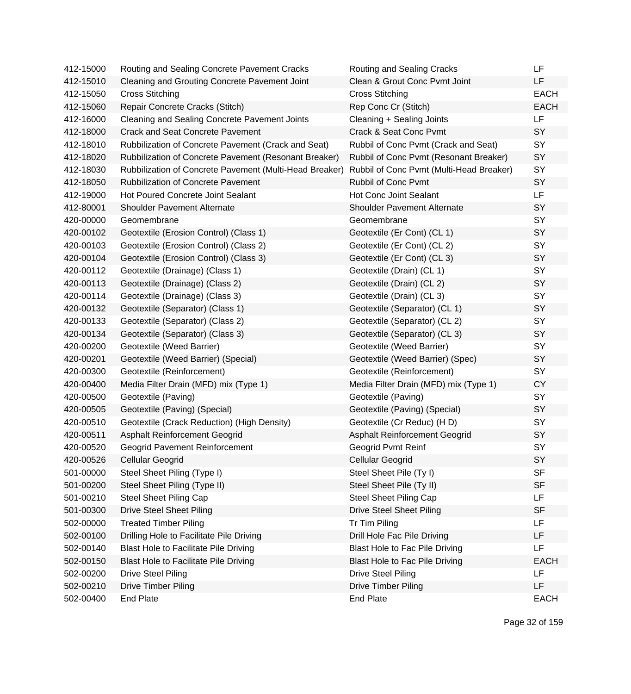| 412-15000 | Routing and Sealing Concrete Pavement Cracks            | Routing and Sealing Cracks               | LF          |
|-----------|---------------------------------------------------------|------------------------------------------|-------------|
| 412-15010 | Cleaning and Grouting Concrete Pavement Joint           | Clean & Grout Conc Pvmt Joint            | LF          |
| 412-15050 | <b>Cross Stitching</b>                                  | <b>Cross Stitching</b>                   | <b>EACH</b> |
| 412-15060 | Repair Concrete Cracks (Stitch)                         | Rep Conc Cr (Stitch)                     | <b>EACH</b> |
| 412-16000 | <b>Cleaning and Sealing Concrete Pavement Joints</b>    | Cleaning + Sealing Joints                | LF          |
| 412-18000 | <b>Crack and Seat Concrete Pavement</b>                 | Crack & Seat Conc Pvmt                   | SY          |
| 412-18010 | Rubbilization of Concrete Pavement (Crack and Seat)     | Rubbil of Conc Pvmt (Crack and Seat)     | SY          |
| 412-18020 | Rubbilization of Concrete Pavement (Resonant Breaker)   | Rubbil of Conc Pvmt (Resonant Breaker)   | SY          |
| 412-18030 | Rubbilization of Concrete Pavement (Multi-Head Breaker) | Rubbil of Conc Pvmt (Multi-Head Breaker) | SY          |
| 412-18050 | <b>Rubbilization of Concrete Pavement</b>               | Rubbil of Conc Pvmt                      | SY          |
| 412-19000 | <b>Hot Poured Concrete Joint Sealant</b>                | Hot Conc Joint Sealant                   | <b>LF</b>   |
| 412-80001 | <b>Shoulder Pavement Alternate</b>                      | <b>Shoulder Pavement Alternate</b>       | SY          |
| 420-00000 | Geomembrane                                             | Geomembrane                              | SY          |
| 420-00102 | Geotextile (Erosion Control) (Class 1)                  | Geotextile (Er Cont) (CL 1)              | SY          |
| 420-00103 | Geotextile (Erosion Control) (Class 2)                  | Geotextile (Er Cont) (CL 2)              | SY          |
| 420-00104 | Geotextile (Erosion Control) (Class 3)                  | Geotextile (Er Cont) (CL 3)              | SY          |
| 420-00112 | Geotextile (Drainage) (Class 1)                         | Geotextile (Drain) (CL 1)                | SY          |
| 420-00113 | Geotextile (Drainage) (Class 2)                         | Geotextile (Drain) (CL 2)                | SY          |
| 420-00114 | Geotextile (Drainage) (Class 3)                         | Geotextile (Drain) (CL 3)                | SY          |
| 420-00132 | Geotextile (Separator) (Class 1)                        | Geotextile (Separator) (CL 1)            | SY          |
| 420-00133 | Geotextile (Separator) (Class 2)                        | Geotextile (Separator) (CL 2)            | SY          |
| 420-00134 | Geotextile (Separator) (Class 3)                        | Geotextile (Separator) (CL 3)            | SY          |
| 420-00200 | Geotextile (Weed Barrier)                               | Geotextile (Weed Barrier)                | SY          |
| 420-00201 | Geotextile (Weed Barrier) (Special)                     | Geotextile (Weed Barrier) (Spec)         | SY          |
| 420-00300 | Geotextile (Reinforcement)                              | Geotextile (Reinforcement)               | SY          |
| 420-00400 | Media Filter Drain (MFD) mix (Type 1)                   | Media Filter Drain (MFD) mix (Type 1)    | <b>CY</b>   |
| 420-00500 | Geotextile (Paving)                                     | Geotextile (Paving)                      | SY          |
| 420-00505 | Geotextile (Paving) (Special)                           | Geotextile (Paving) (Special)            | SY          |
| 420-00510 | Geotextile (Crack Reduction) (High Density)             | Geotextile (Cr Reduc) (HD)               | SY          |
| 420-00511 | Asphalt Reinforcement Geogrid                           | Asphalt Reinforcement Geogrid            | SY          |
| 420-00520 | Geogrid Pavement Reinforcement                          | Geogrid Pvmt Reinf                       | SY          |
| 420-00526 | Cellular Geogrid                                        | Cellular Geogrid                         | SY          |
| 501-00000 | Steel Sheet Piling (Type I)                             | Steel Sheet Pile (Ty I)                  | <b>SF</b>   |
| 501-00200 | Steel Sheet Piling (Type II)                            | Steel Sheet Pile (Ty II)                 | <b>SF</b>   |
| 501-00210 | <b>Steel Sheet Piling Cap</b>                           | <b>Steel Sheet Piling Cap</b>            | <b>LF</b>   |
| 501-00300 | <b>Drive Steel Sheet Piling</b>                         | <b>Drive Steel Sheet Piling</b>          | <b>SF</b>   |
| 502-00000 | <b>Treated Timber Piling</b>                            | Tr Tim Piling                            | LF.         |
| 502-00100 | Drilling Hole to Facilitate Pile Driving                | Drill Hole Fac Pile Driving              | LF          |
| 502-00140 | Blast Hole to Facilitate Pile Driving                   | <b>Blast Hole to Fac Pile Driving</b>    | LF.         |
| 502-00150 | Blast Hole to Facilitate Pile Driving                   | Blast Hole to Fac Pile Driving           | <b>EACH</b> |
| 502-00200 | <b>Drive Steel Piling</b>                               | <b>Drive Steel Piling</b>                | LF          |
| 502-00210 | <b>Drive Timber Piling</b>                              | Drive Timber Piling                      | LF          |
| 502-00400 | <b>End Plate</b>                                        | <b>End Plate</b>                         | <b>EACH</b> |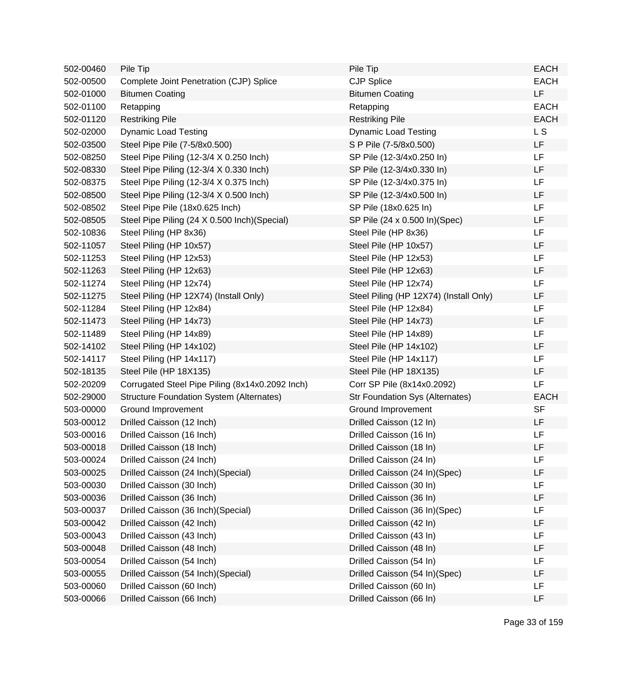| 502-00460 | Pile Tip                                        | Pile Tip                               | <b>EACH</b>    |
|-----------|-------------------------------------------------|----------------------------------------|----------------|
| 502-00500 | Complete Joint Penetration (CJP) Splice         | <b>CJP Splice</b>                      | <b>EACH</b>    |
| 502-01000 | <b>Bitumen Coating</b>                          | <b>Bitumen Coating</b>                 | LF             |
| 502-01100 | Retapping                                       | Retapping                              | <b>EACH</b>    |
| 502-01120 | <b>Restriking Pile</b>                          | <b>Restriking Pile</b>                 | <b>EACH</b>    |
| 502-02000 | <b>Dynamic Load Testing</b>                     | <b>Dynamic Load Testing</b>            | L <sub>S</sub> |
| 502-03500 | Steel Pipe Pile (7-5/8x0.500)                   | S P Pile (7-5/8x0.500)                 | LF             |
| 502-08250 | Steel Pipe Piling (12-3/4 X 0.250 Inch)         | SP Pile (12-3/4x0.250 In)              | LF             |
| 502-08330 | Steel Pipe Piling (12-3/4 X 0.330 Inch)         | SP Pile (12-3/4x0.330 In)              | LF             |
| 502-08375 | Steel Pipe Piling (12-3/4 X 0.375 Inch)         | SP Pile (12-3/4x0.375 In)              | LF             |
| 502-08500 | Steel Pipe Piling (12-3/4 X 0.500 Inch)         | SP Pile (12-3/4x0.500 In)              | LF             |
| 502-08502 | Steel Pipe Pile (18x0.625 Inch)                 | SP Pile (18x0.625 In)                  | LF             |
| 502-08505 | Steel Pipe Piling (24 X 0.500 Inch) (Special)   | SP Pile (24 x 0.500 ln)(Spec)          | LF             |
| 502-10836 | Steel Piling (HP 8x36)                          | Steel Pile (HP 8x36)                   | LF             |
| 502-11057 | Steel Piling (HP 10x57)                         | Steel Pile (HP 10x57)                  | LF             |
| 502-11253 | Steel Piling (HP 12x53)                         | Steel Pile (HP 12x53)                  | LF             |
| 502-11263 | Steel Piling (HP 12x63)                         | Steel Pile (HP 12x63)                  | LF             |
| 502-11274 | Steel Piling (HP 12x74)                         | Steel Pile (HP 12x74)                  | LF             |
| 502-11275 | Steel Piling (HP 12X74) (Install Only)          | Steel Piling (HP 12X74) (Install Only) | LF             |
| 502-11284 | Steel Piling (HP 12x84)                         | Steel Pile (HP 12x84)                  | LF             |
| 502-11473 | Steel Piling (HP 14x73)                         | Steel Pile (HP 14x73)                  | LF             |
| 502-11489 | Steel Piling (HP 14x89)                         | Steel Pile (HP 14x89)                  | LF             |
| 502-14102 | Steel Piling (HP 14x102)                        | Steel Pile (HP 14x102)                 | LF             |
| 502-14117 | Steel Piling (HP 14x117)                        | Steel Pile (HP 14x117)                 | LF             |
| 502-18135 | Steel Pile (HP 18X135)                          | Steel Pile (HP 18X135)                 | LF             |
| 502-20209 | Corrugated Steel Pipe Piling (8x14x0.2092 Inch) | Corr SP Pile (8x14x0.2092)             | LF             |
| 502-29000 | <b>Structure Foundation System (Alternates)</b> | <b>Str Foundation Sys (Alternates)</b> | <b>EACH</b>    |
| 503-00000 | Ground Improvement                              | Ground Improvement                     | <b>SF</b>      |
| 503-00012 | Drilled Caisson (12 Inch)                       | Drilled Caisson (12 In)                | LF             |
| 503-00016 | Drilled Caisson (16 Inch)                       | Drilled Caisson (16 In)                | LF             |
| 503-00018 | Drilled Caisson (18 Inch)                       | Drilled Caisson (18 In)                | LF             |
| 503-00024 | Drilled Caisson (24 Inch)                       | Drilled Caisson (24 In)                | LF             |
| 503-00025 | Drilled Caisson (24 Inch) (Special)             | Drilled Caisson (24 In)(Spec)          | LF             |
| 503-00030 | Drilled Caisson (30 Inch)                       | Drilled Caisson (30 In)                | LF             |
| 503-00036 | Drilled Caisson (36 Inch)                       | Drilled Caisson (36 In)                | LF             |
| 503-00037 | Drilled Caisson (36 Inch) (Special)             | Drilled Caisson (36 In)(Spec)          | LF             |
| 503-00042 | Drilled Caisson (42 Inch)                       | Drilled Caisson (42 In)                | LF             |
| 503-00043 | Drilled Caisson (43 Inch)                       | Drilled Caisson (43 In)                | LF             |
| 503-00048 | Drilled Caisson (48 Inch)                       | Drilled Caisson (48 In)                | LF             |
| 503-00054 | Drilled Caisson (54 Inch)                       | Drilled Caisson (54 In)                | LF             |
| 503-00055 | Drilled Caisson (54 Inch) (Special)             | Drilled Caisson (54 In)(Spec)          | LF             |
| 503-00060 | Drilled Caisson (60 Inch)                       | Drilled Caisson (60 In)                | LF             |
| 503-00066 | Drilled Caisson (66 Inch)                       | Drilled Caisson (66 In)                | LF             |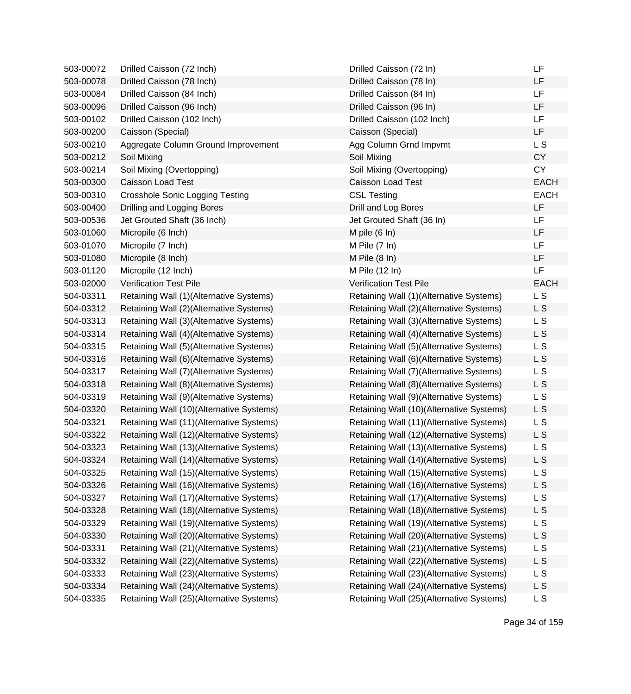| LF<br>503-00078<br>Drilled Caisson (78 Inch)<br>Drilled Caisson (78 In)<br>LF<br>Drilled Caisson (84 Inch)<br>Drilled Caisson (84 In)<br>503-00084<br>LF<br>503-00096<br>Drilled Caisson (96 Inch)<br>Drilled Caisson (96 In)<br>LF<br>503-00102<br>Drilled Caisson (102 Inch)<br>Drilled Caisson (102 Inch)<br>LF<br>503-00200<br>Caisson (Special)<br>Caisson (Special)<br>L S<br>503-00210<br>Aggregate Column Ground Improvement<br>Agg Column Grnd Impvmt<br><b>CY</b><br>503-00212<br>Soil Mixing<br>Soil Mixing<br><b>CY</b><br>503-00214<br>Soil Mixing (Overtopping)<br>Soil Mixing (Overtopping)<br>503-00300<br>Caisson Load Test<br>Caisson Load Test<br><b>CSL Testing</b><br>503-00310<br><b>Crosshole Sonic Logging Testing</b><br>LF<br>503-00400<br>Drilling and Logging Bores<br>Drill and Log Bores<br>LF<br>Jet Grouted Shaft (36 Inch)<br>Jet Grouted Shaft (36 In)<br>503-00536<br>LF<br>503-01060<br>Micropile (6 Inch)<br>M pile $(6 \ln)$<br>LF<br>503-01070<br>Micropile (7 Inch)<br>M Pile $(7 \ln)$<br>LF<br>Micropile (8 Inch)<br>503-01080<br>M Pile $(8 \ln)$<br>LF<br>503-01120<br>Micropile (12 Inch)<br>M Pile (12 In)<br>503-02000<br><b>Verification Test Pile</b><br><b>Verification Test Pile</b><br>L S<br>504-03311<br>Retaining Wall (1)(Alternative Systems)<br>Retaining Wall (1)(Alternative Systems)<br>L S<br>504-03312<br>Retaining Wall (2)(Alternative Systems)<br>Retaining Wall (2)(Alternative Systems)<br>L S<br>504-03313<br>Retaining Wall (3)(Alternative Systems)<br>Retaining Wall (3)(Alternative Systems)<br>L S<br>504-03314<br>Retaining Wall (4)(Alternative Systems)<br>Retaining Wall (4)(Alternative Systems)<br>L S<br>504-03315<br>Retaining Wall (5)(Alternative Systems)<br>Retaining Wall (5)(Alternative Systems)<br>504-03316<br>Retaining Wall (6)(Alternative Systems)<br>Retaining Wall (6)(Alternative Systems)<br>L S<br>L S<br>504-03317<br>Retaining Wall (7)(Alternative Systems)<br>Retaining Wall (7) (Alternative Systems)<br>L S<br>504-03318<br>Retaining Wall (8)(Alternative Systems)<br>Retaining Wall (8)(Alternative Systems)<br>L S<br>504-03319<br>Retaining Wall (9)(Alternative Systems)<br>Retaining Wall (9)(Alternative Systems)<br>L S<br>504-03320<br>Retaining Wall (10)(Alternative Systems)<br>Retaining Wall (10)(Alternative Systems)<br>504-03321<br>Retaining Wall (11)(Alternative Systems)<br>Retaining Wall (11)(Alternative Systems)<br>L S<br>L S<br>504-03322<br>Retaining Wall (12)(Alternative Systems)<br>Retaining Wall (12)(Alternative Systems)<br>L S<br>504-03323<br>Retaining Wall (13)(Alternative Systems)<br>Retaining Wall (13)(Alternative Systems)<br>Retaining Wall (14)(Alternative Systems)<br>Retaining Wall (14)(Alternative Systems)<br>504-03324<br>L S<br>Retaining Wall (15)(Alternative Systems)<br>L S<br>504-03325<br>Retaining Wall (15)(Alternative Systems)<br>L S<br>504-03326<br>Retaining Wall (16)(Alternative Systems)<br>Retaining Wall (16)(Alternative Systems)<br>L S<br>504-03327<br>Retaining Wall (17)(Alternative Systems)<br>Retaining Wall (17)(Alternative Systems)<br>L S<br>504-03328<br>Retaining Wall (18)(Alternative Systems)<br>Retaining Wall (18)(Alternative Systems)<br>L S<br>504-03329<br>Retaining Wall (19)(Alternative Systems)<br>Retaining Wall (19)(Alternative Systems)<br>L S<br>504-03330<br>Retaining Wall (20)(Alternative Systems)<br>Retaining Wall (20)(Alternative Systems)<br>Retaining Wall (21)(Alternative Systems)<br>Retaining Wall (21)(Alternative Systems)<br>L S<br>504-03331<br>L S<br>504-03332<br>Retaining Wall (22)(Alternative Systems)<br>Retaining Wall (22)(Alternative Systems)<br>L S<br>504-03333<br>Retaining Wall (23)(Alternative Systems)<br>Retaining Wall (23)(Alternative Systems)<br>L S<br>504-03334<br>Retaining Wall (24)(Alternative Systems)<br>Retaining Wall (24)(Alternative Systems)<br>L S<br>Retaining Wall (25)(Alternative Systems)<br>Retaining Wall (25)(Alternative Systems)<br>504-03335 | 503-00072 | Drilled Caisson (72 Inch) | Drilled Caisson (72 In) | LF          |
|------------------------------------------------------------------------------------------------------------------------------------------------------------------------------------------------------------------------------------------------------------------------------------------------------------------------------------------------------------------------------------------------------------------------------------------------------------------------------------------------------------------------------------------------------------------------------------------------------------------------------------------------------------------------------------------------------------------------------------------------------------------------------------------------------------------------------------------------------------------------------------------------------------------------------------------------------------------------------------------------------------------------------------------------------------------------------------------------------------------------------------------------------------------------------------------------------------------------------------------------------------------------------------------------------------------------------------------------------------------------------------------------------------------------------------------------------------------------------------------------------------------------------------------------------------------------------------------------------------------------------------------------------------------------------------------------------------------------------------------------------------------------------------------------------------------------------------------------------------------------------------------------------------------------------------------------------------------------------------------------------------------------------------------------------------------------------------------------------------------------------------------------------------------------------------------------------------------------------------------------------------------------------------------------------------------------------------------------------------------------------------------------------------------------------------------------------------------------------------------------------------------------------------------------------------------------------------------------------------------------------------------------------------------------------------------------------------------------------------------------------------------------------------------------------------------------------------------------------------------------------------------------------------------------------------------------------------------------------------------------------------------------------------------------------------------------------------------------------------------------------------------------------------------------------------------------------------------------------------------------------------------------------------------------------------------------------------------------------------------------------------------------------------------------------------------------------------------------------------------------------------------------------------------------------------------------------------------------------------------------------------------------------------------------------------------------------------------------------------------------------------------------------------------------------------------------------------------------------------------------------------------------------------------------------------------------------------------------------------------------------------------------------------|-----------|---------------------------|-------------------------|-------------|
|                                                                                                                                                                                                                                                                                                                                                                                                                                                                                                                                                                                                                                                                                                                                                                                                                                                                                                                                                                                                                                                                                                                                                                                                                                                                                                                                                                                                                                                                                                                                                                                                                                                                                                                                                                                                                                                                                                                                                                                                                                                                                                                                                                                                                                                                                                                                                                                                                                                                                                                                                                                                                                                                                                                                                                                                                                                                                                                                                                                                                                                                                                                                                                                                                                                                                                                                                                                                                                                                                                                                                                                                                                                                                                                                                                                                                                                                                                                                                                                                                                    |           |                           |                         |             |
|                                                                                                                                                                                                                                                                                                                                                                                                                                                                                                                                                                                                                                                                                                                                                                                                                                                                                                                                                                                                                                                                                                                                                                                                                                                                                                                                                                                                                                                                                                                                                                                                                                                                                                                                                                                                                                                                                                                                                                                                                                                                                                                                                                                                                                                                                                                                                                                                                                                                                                                                                                                                                                                                                                                                                                                                                                                                                                                                                                                                                                                                                                                                                                                                                                                                                                                                                                                                                                                                                                                                                                                                                                                                                                                                                                                                                                                                                                                                                                                                                                    |           |                           |                         |             |
|                                                                                                                                                                                                                                                                                                                                                                                                                                                                                                                                                                                                                                                                                                                                                                                                                                                                                                                                                                                                                                                                                                                                                                                                                                                                                                                                                                                                                                                                                                                                                                                                                                                                                                                                                                                                                                                                                                                                                                                                                                                                                                                                                                                                                                                                                                                                                                                                                                                                                                                                                                                                                                                                                                                                                                                                                                                                                                                                                                                                                                                                                                                                                                                                                                                                                                                                                                                                                                                                                                                                                                                                                                                                                                                                                                                                                                                                                                                                                                                                                                    |           |                           |                         |             |
|                                                                                                                                                                                                                                                                                                                                                                                                                                                                                                                                                                                                                                                                                                                                                                                                                                                                                                                                                                                                                                                                                                                                                                                                                                                                                                                                                                                                                                                                                                                                                                                                                                                                                                                                                                                                                                                                                                                                                                                                                                                                                                                                                                                                                                                                                                                                                                                                                                                                                                                                                                                                                                                                                                                                                                                                                                                                                                                                                                                                                                                                                                                                                                                                                                                                                                                                                                                                                                                                                                                                                                                                                                                                                                                                                                                                                                                                                                                                                                                                                                    |           |                           |                         |             |
|                                                                                                                                                                                                                                                                                                                                                                                                                                                                                                                                                                                                                                                                                                                                                                                                                                                                                                                                                                                                                                                                                                                                                                                                                                                                                                                                                                                                                                                                                                                                                                                                                                                                                                                                                                                                                                                                                                                                                                                                                                                                                                                                                                                                                                                                                                                                                                                                                                                                                                                                                                                                                                                                                                                                                                                                                                                                                                                                                                                                                                                                                                                                                                                                                                                                                                                                                                                                                                                                                                                                                                                                                                                                                                                                                                                                                                                                                                                                                                                                                                    |           |                           |                         |             |
|                                                                                                                                                                                                                                                                                                                                                                                                                                                                                                                                                                                                                                                                                                                                                                                                                                                                                                                                                                                                                                                                                                                                                                                                                                                                                                                                                                                                                                                                                                                                                                                                                                                                                                                                                                                                                                                                                                                                                                                                                                                                                                                                                                                                                                                                                                                                                                                                                                                                                                                                                                                                                                                                                                                                                                                                                                                                                                                                                                                                                                                                                                                                                                                                                                                                                                                                                                                                                                                                                                                                                                                                                                                                                                                                                                                                                                                                                                                                                                                                                                    |           |                           |                         |             |
|                                                                                                                                                                                                                                                                                                                                                                                                                                                                                                                                                                                                                                                                                                                                                                                                                                                                                                                                                                                                                                                                                                                                                                                                                                                                                                                                                                                                                                                                                                                                                                                                                                                                                                                                                                                                                                                                                                                                                                                                                                                                                                                                                                                                                                                                                                                                                                                                                                                                                                                                                                                                                                                                                                                                                                                                                                                                                                                                                                                                                                                                                                                                                                                                                                                                                                                                                                                                                                                                                                                                                                                                                                                                                                                                                                                                                                                                                                                                                                                                                                    |           |                           |                         |             |
|                                                                                                                                                                                                                                                                                                                                                                                                                                                                                                                                                                                                                                                                                                                                                                                                                                                                                                                                                                                                                                                                                                                                                                                                                                                                                                                                                                                                                                                                                                                                                                                                                                                                                                                                                                                                                                                                                                                                                                                                                                                                                                                                                                                                                                                                                                                                                                                                                                                                                                                                                                                                                                                                                                                                                                                                                                                                                                                                                                                                                                                                                                                                                                                                                                                                                                                                                                                                                                                                                                                                                                                                                                                                                                                                                                                                                                                                                                                                                                                                                                    |           |                           |                         |             |
|                                                                                                                                                                                                                                                                                                                                                                                                                                                                                                                                                                                                                                                                                                                                                                                                                                                                                                                                                                                                                                                                                                                                                                                                                                                                                                                                                                                                                                                                                                                                                                                                                                                                                                                                                                                                                                                                                                                                                                                                                                                                                                                                                                                                                                                                                                                                                                                                                                                                                                                                                                                                                                                                                                                                                                                                                                                                                                                                                                                                                                                                                                                                                                                                                                                                                                                                                                                                                                                                                                                                                                                                                                                                                                                                                                                                                                                                                                                                                                                                                                    |           |                           |                         | <b>EACH</b> |
|                                                                                                                                                                                                                                                                                                                                                                                                                                                                                                                                                                                                                                                                                                                                                                                                                                                                                                                                                                                                                                                                                                                                                                                                                                                                                                                                                                                                                                                                                                                                                                                                                                                                                                                                                                                                                                                                                                                                                                                                                                                                                                                                                                                                                                                                                                                                                                                                                                                                                                                                                                                                                                                                                                                                                                                                                                                                                                                                                                                                                                                                                                                                                                                                                                                                                                                                                                                                                                                                                                                                                                                                                                                                                                                                                                                                                                                                                                                                                                                                                                    |           |                           |                         | <b>EACH</b> |
|                                                                                                                                                                                                                                                                                                                                                                                                                                                                                                                                                                                                                                                                                                                                                                                                                                                                                                                                                                                                                                                                                                                                                                                                                                                                                                                                                                                                                                                                                                                                                                                                                                                                                                                                                                                                                                                                                                                                                                                                                                                                                                                                                                                                                                                                                                                                                                                                                                                                                                                                                                                                                                                                                                                                                                                                                                                                                                                                                                                                                                                                                                                                                                                                                                                                                                                                                                                                                                                                                                                                                                                                                                                                                                                                                                                                                                                                                                                                                                                                                                    |           |                           |                         |             |
|                                                                                                                                                                                                                                                                                                                                                                                                                                                                                                                                                                                                                                                                                                                                                                                                                                                                                                                                                                                                                                                                                                                                                                                                                                                                                                                                                                                                                                                                                                                                                                                                                                                                                                                                                                                                                                                                                                                                                                                                                                                                                                                                                                                                                                                                                                                                                                                                                                                                                                                                                                                                                                                                                                                                                                                                                                                                                                                                                                                                                                                                                                                                                                                                                                                                                                                                                                                                                                                                                                                                                                                                                                                                                                                                                                                                                                                                                                                                                                                                                                    |           |                           |                         |             |
|                                                                                                                                                                                                                                                                                                                                                                                                                                                                                                                                                                                                                                                                                                                                                                                                                                                                                                                                                                                                                                                                                                                                                                                                                                                                                                                                                                                                                                                                                                                                                                                                                                                                                                                                                                                                                                                                                                                                                                                                                                                                                                                                                                                                                                                                                                                                                                                                                                                                                                                                                                                                                                                                                                                                                                                                                                                                                                                                                                                                                                                                                                                                                                                                                                                                                                                                                                                                                                                                                                                                                                                                                                                                                                                                                                                                                                                                                                                                                                                                                                    |           |                           |                         |             |
|                                                                                                                                                                                                                                                                                                                                                                                                                                                                                                                                                                                                                                                                                                                                                                                                                                                                                                                                                                                                                                                                                                                                                                                                                                                                                                                                                                                                                                                                                                                                                                                                                                                                                                                                                                                                                                                                                                                                                                                                                                                                                                                                                                                                                                                                                                                                                                                                                                                                                                                                                                                                                                                                                                                                                                                                                                                                                                                                                                                                                                                                                                                                                                                                                                                                                                                                                                                                                                                                                                                                                                                                                                                                                                                                                                                                                                                                                                                                                                                                                                    |           |                           |                         |             |
|                                                                                                                                                                                                                                                                                                                                                                                                                                                                                                                                                                                                                                                                                                                                                                                                                                                                                                                                                                                                                                                                                                                                                                                                                                                                                                                                                                                                                                                                                                                                                                                                                                                                                                                                                                                                                                                                                                                                                                                                                                                                                                                                                                                                                                                                                                                                                                                                                                                                                                                                                                                                                                                                                                                                                                                                                                                                                                                                                                                                                                                                                                                                                                                                                                                                                                                                                                                                                                                                                                                                                                                                                                                                                                                                                                                                                                                                                                                                                                                                                                    |           |                           |                         |             |
|                                                                                                                                                                                                                                                                                                                                                                                                                                                                                                                                                                                                                                                                                                                                                                                                                                                                                                                                                                                                                                                                                                                                                                                                                                                                                                                                                                                                                                                                                                                                                                                                                                                                                                                                                                                                                                                                                                                                                                                                                                                                                                                                                                                                                                                                                                                                                                                                                                                                                                                                                                                                                                                                                                                                                                                                                                                                                                                                                                                                                                                                                                                                                                                                                                                                                                                                                                                                                                                                                                                                                                                                                                                                                                                                                                                                                                                                                                                                                                                                                                    |           |                           |                         |             |
|                                                                                                                                                                                                                                                                                                                                                                                                                                                                                                                                                                                                                                                                                                                                                                                                                                                                                                                                                                                                                                                                                                                                                                                                                                                                                                                                                                                                                                                                                                                                                                                                                                                                                                                                                                                                                                                                                                                                                                                                                                                                                                                                                                                                                                                                                                                                                                                                                                                                                                                                                                                                                                                                                                                                                                                                                                                                                                                                                                                                                                                                                                                                                                                                                                                                                                                                                                                                                                                                                                                                                                                                                                                                                                                                                                                                                                                                                                                                                                                                                                    |           |                           |                         | <b>EACH</b> |
|                                                                                                                                                                                                                                                                                                                                                                                                                                                                                                                                                                                                                                                                                                                                                                                                                                                                                                                                                                                                                                                                                                                                                                                                                                                                                                                                                                                                                                                                                                                                                                                                                                                                                                                                                                                                                                                                                                                                                                                                                                                                                                                                                                                                                                                                                                                                                                                                                                                                                                                                                                                                                                                                                                                                                                                                                                                                                                                                                                                                                                                                                                                                                                                                                                                                                                                                                                                                                                                                                                                                                                                                                                                                                                                                                                                                                                                                                                                                                                                                                                    |           |                           |                         |             |
|                                                                                                                                                                                                                                                                                                                                                                                                                                                                                                                                                                                                                                                                                                                                                                                                                                                                                                                                                                                                                                                                                                                                                                                                                                                                                                                                                                                                                                                                                                                                                                                                                                                                                                                                                                                                                                                                                                                                                                                                                                                                                                                                                                                                                                                                                                                                                                                                                                                                                                                                                                                                                                                                                                                                                                                                                                                                                                                                                                                                                                                                                                                                                                                                                                                                                                                                                                                                                                                                                                                                                                                                                                                                                                                                                                                                                                                                                                                                                                                                                                    |           |                           |                         |             |
|                                                                                                                                                                                                                                                                                                                                                                                                                                                                                                                                                                                                                                                                                                                                                                                                                                                                                                                                                                                                                                                                                                                                                                                                                                                                                                                                                                                                                                                                                                                                                                                                                                                                                                                                                                                                                                                                                                                                                                                                                                                                                                                                                                                                                                                                                                                                                                                                                                                                                                                                                                                                                                                                                                                                                                                                                                                                                                                                                                                                                                                                                                                                                                                                                                                                                                                                                                                                                                                                                                                                                                                                                                                                                                                                                                                                                                                                                                                                                                                                                                    |           |                           |                         |             |
|                                                                                                                                                                                                                                                                                                                                                                                                                                                                                                                                                                                                                                                                                                                                                                                                                                                                                                                                                                                                                                                                                                                                                                                                                                                                                                                                                                                                                                                                                                                                                                                                                                                                                                                                                                                                                                                                                                                                                                                                                                                                                                                                                                                                                                                                                                                                                                                                                                                                                                                                                                                                                                                                                                                                                                                                                                                                                                                                                                                                                                                                                                                                                                                                                                                                                                                                                                                                                                                                                                                                                                                                                                                                                                                                                                                                                                                                                                                                                                                                                                    |           |                           |                         |             |
|                                                                                                                                                                                                                                                                                                                                                                                                                                                                                                                                                                                                                                                                                                                                                                                                                                                                                                                                                                                                                                                                                                                                                                                                                                                                                                                                                                                                                                                                                                                                                                                                                                                                                                                                                                                                                                                                                                                                                                                                                                                                                                                                                                                                                                                                                                                                                                                                                                                                                                                                                                                                                                                                                                                                                                                                                                                                                                                                                                                                                                                                                                                                                                                                                                                                                                                                                                                                                                                                                                                                                                                                                                                                                                                                                                                                                                                                                                                                                                                                                                    |           |                           |                         |             |
|                                                                                                                                                                                                                                                                                                                                                                                                                                                                                                                                                                                                                                                                                                                                                                                                                                                                                                                                                                                                                                                                                                                                                                                                                                                                                                                                                                                                                                                                                                                                                                                                                                                                                                                                                                                                                                                                                                                                                                                                                                                                                                                                                                                                                                                                                                                                                                                                                                                                                                                                                                                                                                                                                                                                                                                                                                                                                                                                                                                                                                                                                                                                                                                                                                                                                                                                                                                                                                                                                                                                                                                                                                                                                                                                                                                                                                                                                                                                                                                                                                    |           |                           |                         |             |
|                                                                                                                                                                                                                                                                                                                                                                                                                                                                                                                                                                                                                                                                                                                                                                                                                                                                                                                                                                                                                                                                                                                                                                                                                                                                                                                                                                                                                                                                                                                                                                                                                                                                                                                                                                                                                                                                                                                                                                                                                                                                                                                                                                                                                                                                                                                                                                                                                                                                                                                                                                                                                                                                                                                                                                                                                                                                                                                                                                                                                                                                                                                                                                                                                                                                                                                                                                                                                                                                                                                                                                                                                                                                                                                                                                                                                                                                                                                                                                                                                                    |           |                           |                         |             |
|                                                                                                                                                                                                                                                                                                                                                                                                                                                                                                                                                                                                                                                                                                                                                                                                                                                                                                                                                                                                                                                                                                                                                                                                                                                                                                                                                                                                                                                                                                                                                                                                                                                                                                                                                                                                                                                                                                                                                                                                                                                                                                                                                                                                                                                                                                                                                                                                                                                                                                                                                                                                                                                                                                                                                                                                                                                                                                                                                                                                                                                                                                                                                                                                                                                                                                                                                                                                                                                                                                                                                                                                                                                                                                                                                                                                                                                                                                                                                                                                                                    |           |                           |                         |             |
|                                                                                                                                                                                                                                                                                                                                                                                                                                                                                                                                                                                                                                                                                                                                                                                                                                                                                                                                                                                                                                                                                                                                                                                                                                                                                                                                                                                                                                                                                                                                                                                                                                                                                                                                                                                                                                                                                                                                                                                                                                                                                                                                                                                                                                                                                                                                                                                                                                                                                                                                                                                                                                                                                                                                                                                                                                                                                                                                                                                                                                                                                                                                                                                                                                                                                                                                                                                                                                                                                                                                                                                                                                                                                                                                                                                                                                                                                                                                                                                                                                    |           |                           |                         |             |
|                                                                                                                                                                                                                                                                                                                                                                                                                                                                                                                                                                                                                                                                                                                                                                                                                                                                                                                                                                                                                                                                                                                                                                                                                                                                                                                                                                                                                                                                                                                                                                                                                                                                                                                                                                                                                                                                                                                                                                                                                                                                                                                                                                                                                                                                                                                                                                                                                                                                                                                                                                                                                                                                                                                                                                                                                                                                                                                                                                                                                                                                                                                                                                                                                                                                                                                                                                                                                                                                                                                                                                                                                                                                                                                                                                                                                                                                                                                                                                                                                                    |           |                           |                         |             |
|                                                                                                                                                                                                                                                                                                                                                                                                                                                                                                                                                                                                                                                                                                                                                                                                                                                                                                                                                                                                                                                                                                                                                                                                                                                                                                                                                                                                                                                                                                                                                                                                                                                                                                                                                                                                                                                                                                                                                                                                                                                                                                                                                                                                                                                                                                                                                                                                                                                                                                                                                                                                                                                                                                                                                                                                                                                                                                                                                                                                                                                                                                                                                                                                                                                                                                                                                                                                                                                                                                                                                                                                                                                                                                                                                                                                                                                                                                                                                                                                                                    |           |                           |                         |             |
|                                                                                                                                                                                                                                                                                                                                                                                                                                                                                                                                                                                                                                                                                                                                                                                                                                                                                                                                                                                                                                                                                                                                                                                                                                                                                                                                                                                                                                                                                                                                                                                                                                                                                                                                                                                                                                                                                                                                                                                                                                                                                                                                                                                                                                                                                                                                                                                                                                                                                                                                                                                                                                                                                                                                                                                                                                                                                                                                                                                                                                                                                                                                                                                                                                                                                                                                                                                                                                                                                                                                                                                                                                                                                                                                                                                                                                                                                                                                                                                                                                    |           |                           |                         |             |
|                                                                                                                                                                                                                                                                                                                                                                                                                                                                                                                                                                                                                                                                                                                                                                                                                                                                                                                                                                                                                                                                                                                                                                                                                                                                                                                                                                                                                                                                                                                                                                                                                                                                                                                                                                                                                                                                                                                                                                                                                                                                                                                                                                                                                                                                                                                                                                                                                                                                                                                                                                                                                                                                                                                                                                                                                                                                                                                                                                                                                                                                                                                                                                                                                                                                                                                                                                                                                                                                                                                                                                                                                                                                                                                                                                                                                                                                                                                                                                                                                                    |           |                           |                         |             |
|                                                                                                                                                                                                                                                                                                                                                                                                                                                                                                                                                                                                                                                                                                                                                                                                                                                                                                                                                                                                                                                                                                                                                                                                                                                                                                                                                                                                                                                                                                                                                                                                                                                                                                                                                                                                                                                                                                                                                                                                                                                                                                                                                                                                                                                                                                                                                                                                                                                                                                                                                                                                                                                                                                                                                                                                                                                                                                                                                                                                                                                                                                                                                                                                                                                                                                                                                                                                                                                                                                                                                                                                                                                                                                                                                                                                                                                                                                                                                                                                                                    |           |                           |                         |             |
|                                                                                                                                                                                                                                                                                                                                                                                                                                                                                                                                                                                                                                                                                                                                                                                                                                                                                                                                                                                                                                                                                                                                                                                                                                                                                                                                                                                                                                                                                                                                                                                                                                                                                                                                                                                                                                                                                                                                                                                                                                                                                                                                                                                                                                                                                                                                                                                                                                                                                                                                                                                                                                                                                                                                                                                                                                                                                                                                                                                                                                                                                                                                                                                                                                                                                                                                                                                                                                                                                                                                                                                                                                                                                                                                                                                                                                                                                                                                                                                                                                    |           |                           |                         |             |
|                                                                                                                                                                                                                                                                                                                                                                                                                                                                                                                                                                                                                                                                                                                                                                                                                                                                                                                                                                                                                                                                                                                                                                                                                                                                                                                                                                                                                                                                                                                                                                                                                                                                                                                                                                                                                                                                                                                                                                                                                                                                                                                                                                                                                                                                                                                                                                                                                                                                                                                                                                                                                                                                                                                                                                                                                                                                                                                                                                                                                                                                                                                                                                                                                                                                                                                                                                                                                                                                                                                                                                                                                                                                                                                                                                                                                                                                                                                                                                                                                                    |           |                           |                         |             |
|                                                                                                                                                                                                                                                                                                                                                                                                                                                                                                                                                                                                                                                                                                                                                                                                                                                                                                                                                                                                                                                                                                                                                                                                                                                                                                                                                                                                                                                                                                                                                                                                                                                                                                                                                                                                                                                                                                                                                                                                                                                                                                                                                                                                                                                                                                                                                                                                                                                                                                                                                                                                                                                                                                                                                                                                                                                                                                                                                                                                                                                                                                                                                                                                                                                                                                                                                                                                                                                                                                                                                                                                                                                                                                                                                                                                                                                                                                                                                                                                                                    |           |                           |                         |             |
|                                                                                                                                                                                                                                                                                                                                                                                                                                                                                                                                                                                                                                                                                                                                                                                                                                                                                                                                                                                                                                                                                                                                                                                                                                                                                                                                                                                                                                                                                                                                                                                                                                                                                                                                                                                                                                                                                                                                                                                                                                                                                                                                                                                                                                                                                                                                                                                                                                                                                                                                                                                                                                                                                                                                                                                                                                                                                                                                                                                                                                                                                                                                                                                                                                                                                                                                                                                                                                                                                                                                                                                                                                                                                                                                                                                                                                                                                                                                                                                                                                    |           |                           |                         |             |
|                                                                                                                                                                                                                                                                                                                                                                                                                                                                                                                                                                                                                                                                                                                                                                                                                                                                                                                                                                                                                                                                                                                                                                                                                                                                                                                                                                                                                                                                                                                                                                                                                                                                                                                                                                                                                                                                                                                                                                                                                                                                                                                                                                                                                                                                                                                                                                                                                                                                                                                                                                                                                                                                                                                                                                                                                                                                                                                                                                                                                                                                                                                                                                                                                                                                                                                                                                                                                                                                                                                                                                                                                                                                                                                                                                                                                                                                                                                                                                                                                                    |           |                           |                         |             |
|                                                                                                                                                                                                                                                                                                                                                                                                                                                                                                                                                                                                                                                                                                                                                                                                                                                                                                                                                                                                                                                                                                                                                                                                                                                                                                                                                                                                                                                                                                                                                                                                                                                                                                                                                                                                                                                                                                                                                                                                                                                                                                                                                                                                                                                                                                                                                                                                                                                                                                                                                                                                                                                                                                                                                                                                                                                                                                                                                                                                                                                                                                                                                                                                                                                                                                                                                                                                                                                                                                                                                                                                                                                                                                                                                                                                                                                                                                                                                                                                                                    |           |                           |                         |             |
|                                                                                                                                                                                                                                                                                                                                                                                                                                                                                                                                                                                                                                                                                                                                                                                                                                                                                                                                                                                                                                                                                                                                                                                                                                                                                                                                                                                                                                                                                                                                                                                                                                                                                                                                                                                                                                                                                                                                                                                                                                                                                                                                                                                                                                                                                                                                                                                                                                                                                                                                                                                                                                                                                                                                                                                                                                                                                                                                                                                                                                                                                                                                                                                                                                                                                                                                                                                                                                                                                                                                                                                                                                                                                                                                                                                                                                                                                                                                                                                                                                    |           |                           |                         |             |
|                                                                                                                                                                                                                                                                                                                                                                                                                                                                                                                                                                                                                                                                                                                                                                                                                                                                                                                                                                                                                                                                                                                                                                                                                                                                                                                                                                                                                                                                                                                                                                                                                                                                                                                                                                                                                                                                                                                                                                                                                                                                                                                                                                                                                                                                                                                                                                                                                                                                                                                                                                                                                                                                                                                                                                                                                                                                                                                                                                                                                                                                                                                                                                                                                                                                                                                                                                                                                                                                                                                                                                                                                                                                                                                                                                                                                                                                                                                                                                                                                                    |           |                           |                         |             |
|                                                                                                                                                                                                                                                                                                                                                                                                                                                                                                                                                                                                                                                                                                                                                                                                                                                                                                                                                                                                                                                                                                                                                                                                                                                                                                                                                                                                                                                                                                                                                                                                                                                                                                                                                                                                                                                                                                                                                                                                                                                                                                                                                                                                                                                                                                                                                                                                                                                                                                                                                                                                                                                                                                                                                                                                                                                                                                                                                                                                                                                                                                                                                                                                                                                                                                                                                                                                                                                                                                                                                                                                                                                                                                                                                                                                                                                                                                                                                                                                                                    |           |                           |                         |             |
|                                                                                                                                                                                                                                                                                                                                                                                                                                                                                                                                                                                                                                                                                                                                                                                                                                                                                                                                                                                                                                                                                                                                                                                                                                                                                                                                                                                                                                                                                                                                                                                                                                                                                                                                                                                                                                                                                                                                                                                                                                                                                                                                                                                                                                                                                                                                                                                                                                                                                                                                                                                                                                                                                                                                                                                                                                                                                                                                                                                                                                                                                                                                                                                                                                                                                                                                                                                                                                                                                                                                                                                                                                                                                                                                                                                                                                                                                                                                                                                                                                    |           |                           |                         |             |
|                                                                                                                                                                                                                                                                                                                                                                                                                                                                                                                                                                                                                                                                                                                                                                                                                                                                                                                                                                                                                                                                                                                                                                                                                                                                                                                                                                                                                                                                                                                                                                                                                                                                                                                                                                                                                                                                                                                                                                                                                                                                                                                                                                                                                                                                                                                                                                                                                                                                                                                                                                                                                                                                                                                                                                                                                                                                                                                                                                                                                                                                                                                                                                                                                                                                                                                                                                                                                                                                                                                                                                                                                                                                                                                                                                                                                                                                                                                                                                                                                                    |           |                           |                         |             |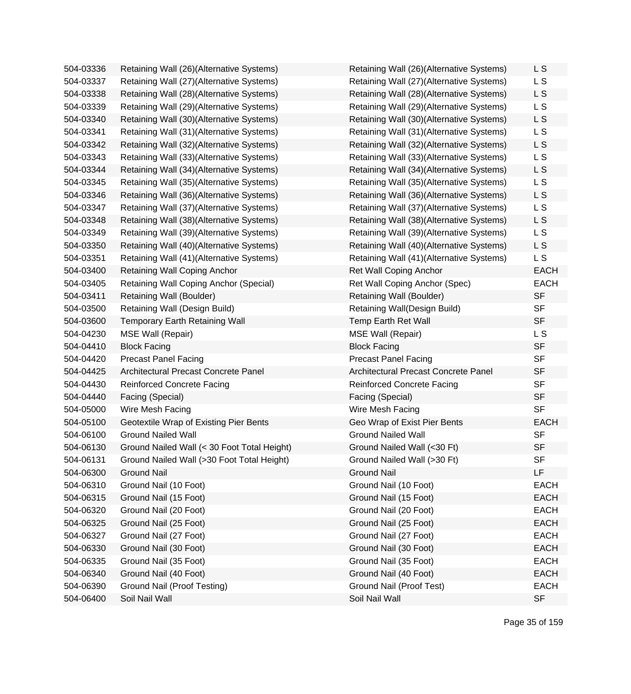| 504-03336 | Retaining Wall (26)(Alternative Systems)    | Retaining Wall (26)(Alternative Systems) | L S         |
|-----------|---------------------------------------------|------------------------------------------|-------------|
| 504-03337 | Retaining Wall (27)(Alternative Systems)    | Retaining Wall (27)(Alternative Systems) | L S         |
| 504-03338 | Retaining Wall (28)(Alternative Systems)    | Retaining Wall (28)(Alternative Systems) | L S         |
| 504-03339 | Retaining Wall (29)(Alternative Systems)    | Retaining Wall (29)(Alternative Systems) | L S         |
| 504-03340 | Retaining Wall (30)(Alternative Systems)    | Retaining Wall (30)(Alternative Systems) | L S         |
| 504-03341 | Retaining Wall (31)(Alternative Systems)    | Retaining Wall (31)(Alternative Systems) | L S         |
| 504-03342 | Retaining Wall (32)(Alternative Systems)    | Retaining Wall (32)(Alternative Systems) | L S         |
| 504-03343 | Retaining Wall (33)(Alternative Systems)    | Retaining Wall (33)(Alternative Systems) | L S         |
| 504-03344 | Retaining Wall (34)(Alternative Systems)    | Retaining Wall (34)(Alternative Systems) | L S         |
| 504-03345 | Retaining Wall (35)(Alternative Systems)    | Retaining Wall (35)(Alternative Systems) | L S         |
| 504-03346 | Retaining Wall (36)(Alternative Systems)    | Retaining Wall (36)(Alternative Systems) | L S         |
| 504-03347 | Retaining Wall (37)(Alternative Systems)    | Retaining Wall (37)(Alternative Systems) | L S         |
| 504-03348 | Retaining Wall (38)(Alternative Systems)    | Retaining Wall (38)(Alternative Systems) | L S         |
| 504-03349 | Retaining Wall (39)(Alternative Systems)    | Retaining Wall (39)(Alternative Systems) | L S         |
| 504-03350 | Retaining Wall (40)(Alternative Systems)    | Retaining Wall (40)(Alternative Systems) | L S         |
| 504-03351 | Retaining Wall (41)(Alternative Systems)    | Retaining Wall (41)(Alternative Systems) | L S         |
| 504-03400 | Retaining Wall Coping Anchor                | <b>Ret Wall Coping Anchor</b>            | <b>EACH</b> |
| 504-03405 | Retaining Wall Coping Anchor (Special)      | Ret Wall Coping Anchor (Spec)            | <b>EACH</b> |
| 504-03411 | Retaining Wall (Boulder)                    | Retaining Wall (Boulder)                 | <b>SF</b>   |
| 504-03500 | Retaining Wall (Design Build)               | Retaining Wall(Design Build)             | <b>SF</b>   |
| 504-03600 | <b>Temporary Earth Retaining Wall</b>       | Temp Earth Ret Wall                      | <b>SF</b>   |
| 504-04230 | MSE Wall (Repair)                           | <b>MSE Wall (Repair)</b>                 | L S         |
| 504-04410 | <b>Block Facing</b>                         | <b>Block Facing</b>                      | <b>SF</b>   |
| 504-04420 | <b>Precast Panel Facing</b>                 | <b>Precast Panel Facing</b>              | <b>SF</b>   |
| 504-04425 | Architectural Precast Concrete Panel        | Architectural Precast Concrete Panel     | <b>SF</b>   |
| 504-04430 | <b>Reinforced Concrete Facing</b>           | <b>Reinforced Concrete Facing</b>        | <b>SF</b>   |
| 504-04440 | Facing (Special)                            | Facing (Special)                         | <b>SF</b>   |
| 504-05000 | Wire Mesh Facing                            | Wire Mesh Facing                         | <b>SF</b>   |
| 504-05100 | Geotextile Wrap of Existing Pier Bents      | Geo Wrap of Exist Pier Bents             | <b>EACH</b> |
| 504-06100 | <b>Ground Nailed Wall</b>                   | <b>Ground Nailed Wall</b>                | <b>SF</b>   |
| 504-06130 | Ground Nailed Wall (< 30 Foot Total Height) | Ground Nailed Wall (<30 Ft)              | <b>SF</b>   |
| 504-06131 | Ground Nailed Wall (>30 Foot Total Height)  | Ground Nailed Wall (>30 Ft)              | <b>SF</b>   |
| 504-06300 | <b>Ground Nail</b>                          | <b>Ground Nail</b>                       | LF          |
| 504-06310 | Ground Nail (10 Foot)                       | Ground Nail (10 Foot)                    | <b>EACH</b> |
| 504-06315 | Ground Nail (15 Foot)                       | Ground Nail (15 Foot)                    | <b>EACH</b> |
| 504-06320 | Ground Nail (20 Foot)                       | Ground Nail (20 Foot)                    | <b>EACH</b> |
| 504-06325 | Ground Nail (25 Foot)                       | Ground Nail (25 Foot)                    | <b>EACH</b> |
| 504-06327 | Ground Nail (27 Foot)                       | Ground Nail (27 Foot)                    | <b>EACH</b> |
| 504-06330 | Ground Nail (30 Foot)                       | Ground Nail (30 Foot)                    | <b>EACH</b> |
| 504-06335 | Ground Nail (35 Foot)                       | Ground Nail (35 Foot)                    | <b>EACH</b> |
| 504-06340 | Ground Nail (40 Foot)                       | Ground Nail (40 Foot)                    | <b>EACH</b> |
| 504-06390 | Ground Nail (Proof Testing)                 | Ground Nail (Proof Test)                 | <b>EACH</b> |
| 504-06400 | Soil Nail Wall                              | Soil Nail Wall                           | <b>SF</b>   |

| Retaining Wall (26)(Alternative Systems) | L S                      |
|------------------------------------------|--------------------------|
| Retaining Wall (27)(Alternative Systems) | L S                      |
| Retaining Wall (28)(Alternative Systems) | L S                      |
| Retaining Wall (29)(Alternative Systems) | L S                      |
| Retaining Wall (30)(Alternative Systems) | L S                      |
| Retaining Wall (31)(Alternative Systems) | L S                      |
| Retaining Wall (32)(Alternative Systems) | L S                      |
| Retaining Wall (33)(Alternative Systems) | L S                      |
| Retaining Wall (34)(Alternative Systems) | L S                      |
| Retaining Wall (35)(Alternative Systems) | L S                      |
| Retaining Wall (36)(Alternative Systems) | L S                      |
| Retaining Wall (37)(Alternative Systems) | $\mathsf{L}\,\mathsf{S}$ |
| Retaining Wall (38)(Alternative Systems) | L S                      |
| Retaining Wall (39)(Alternative Systems) | L S                      |
| Retaining Wall (40)(Alternative Systems) | L S                      |
| Retaining Wall (41)(Alternative Systems) | L <sub>S</sub>           |
| <b>Ret Wall Coping Anchor</b>            | <b>EACH</b>              |
| Ret Wall Coping Anchor (Spec)            | <b>EACH</b>              |
| Retaining Wall (Boulder)                 | <b>SF</b>                |
| Retaining Wall(Design Build)             | <b>SF</b>                |
| <b>Temp Earth Ret Wall</b>               | <b>SF</b>                |
| <b>MSE Wall (Repair)</b>                 | L S                      |
| <b>Block Facing</b>                      | <b>SF</b>                |
| <b>Precast Panel Facing</b>              | <b>SF</b>                |
| Architectural Precast Concrete Panel     | <b>SF</b>                |
| <b>Reinforced Concrete Facing</b>        | <b>SF</b>                |
| Facing (Special)                         | <b>SF</b>                |
| Wire Mesh Facing                         | <b>SF</b>                |
| Geo Wrap of Exist Pier Bents             | <b>EACH</b>              |
| <b>Ground Nailed Wall</b>                | <b>SF</b>                |
| Ground Nailed Wall (<30 Ft)              | <b>SF</b>                |
| Ground Nailed Wall (>30 Ft)              | SF                       |
| <b>Ground Nail</b>                       | LF                       |
| Ground Nail (10 Foot)                    | <b>EACH</b>              |
| Ground Nail (15 Foot)                    | <b>EACH</b>              |
| Ground Nail (20 Foot)                    | <b>EACH</b>              |
| Ground Nail (25 Foot)                    | <b>EACH</b>              |
| Ground Nail (27 Foot)                    | <b>EACH</b>              |
| Ground Nail (30 Foot)                    | <b>EACH</b>              |
| Ground Nail (35 Foot)                    | <b>EACH</b>              |
| Ground Nail (40 Foot)                    | <b>EACH</b>              |
| Ground Nail (Proof Test)                 | <b>EACH</b>              |
| Soil Nail Wall                           | <b>SF</b>                |
|                                          |                          |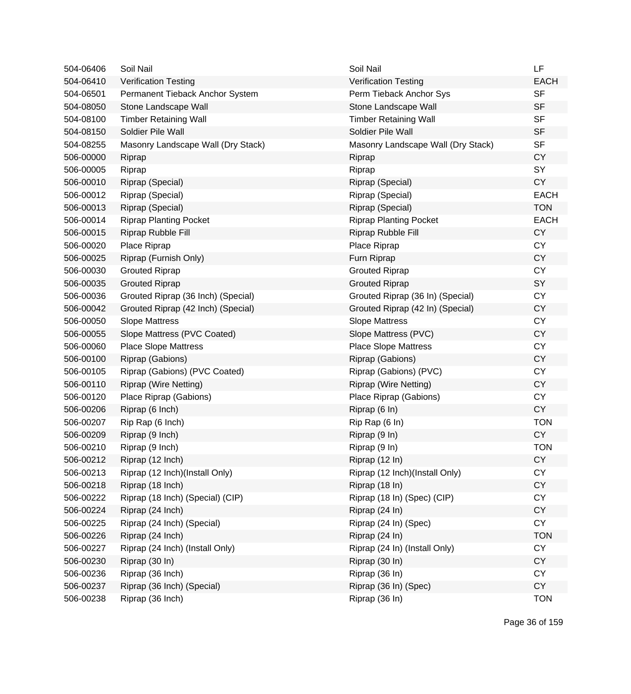| 504-06406 | Soil Nail                          | Soil Nail                          | LF          |
|-----------|------------------------------------|------------------------------------|-------------|
| 504-06410 | <b>Verification Testing</b>        | <b>Verification Testing</b>        | <b>EACH</b> |
| 504-06501 | Permanent Tieback Anchor System    | Perm Tieback Anchor Sys            | <b>SF</b>   |
| 504-08050 | Stone Landscape Wall               | Stone Landscape Wall               | <b>SF</b>   |
| 504-08100 | <b>Timber Retaining Wall</b>       | <b>Timber Retaining Wall</b>       | <b>SF</b>   |
| 504-08150 | Soldier Pile Wall                  | Soldier Pile Wall                  | <b>SF</b>   |
| 504-08255 | Masonry Landscape Wall (Dry Stack) | Masonry Landscape Wall (Dry Stack) | <b>SF</b>   |
| 506-00000 | Riprap                             | Riprap                             | <b>CY</b>   |
| 506-00005 | Riprap                             | Riprap                             | SY          |
| 506-00010 | Riprap (Special)                   | Riprap (Special)                   | <b>CY</b>   |
| 506-00012 | Riprap (Special)                   | Riprap (Special)                   | <b>EACH</b> |
| 506-00013 | Riprap (Special)                   | Riprap (Special)                   | <b>TON</b>  |
| 506-00014 | <b>Riprap Planting Pocket</b>      | <b>Riprap Planting Pocket</b>      | <b>EACH</b> |
| 506-00015 | Riprap Rubble Fill                 | Riprap Rubble Fill                 | <b>CY</b>   |
| 506-00020 | Place Riprap                       | Place Riprap                       | <b>CY</b>   |
| 506-00025 | Riprap (Furnish Only)              | Furn Riprap                        | <b>CY</b>   |
| 506-00030 | <b>Grouted Riprap</b>              | <b>Grouted Riprap</b>              | <b>CY</b>   |
| 506-00035 | <b>Grouted Riprap</b>              | <b>Grouted Riprap</b>              | SY          |
| 506-00036 | Grouted Riprap (36 Inch) (Special) | Grouted Riprap (36 In) (Special)   | <b>CY</b>   |
| 506-00042 | Grouted Riprap (42 Inch) (Special) | Grouted Riprap (42 In) (Special)   | <b>CY</b>   |
| 506-00050 | <b>Slope Mattress</b>              | <b>Slope Mattress</b>              | <b>CY</b>   |
| 506-00055 | Slope Mattress (PVC Coated)        | Slope Mattress (PVC)               | <b>CY</b>   |
| 506-00060 | <b>Place Slope Mattress</b>        | <b>Place Slope Mattress</b>        | <b>CY</b>   |
| 506-00100 | Riprap (Gabions)                   | Riprap (Gabions)                   | <b>CY</b>   |
| 506-00105 | Riprap (Gabions) (PVC Coated)      | Riprap (Gabions) (PVC)             | <b>CY</b>   |
| 506-00110 | Riprap (Wire Netting)              | <b>Riprap (Wire Netting)</b>       | <b>CY</b>   |
| 506-00120 | Place Riprap (Gabions)             | Place Riprap (Gabions)             | <b>CY</b>   |
| 506-00206 | Riprap (6 Inch)                    | Riprap (6 In)                      | <b>CY</b>   |
| 506-00207 | Rip Rap (6 Inch)                   | Rip Rap (6 In)                     | <b>TON</b>  |
| 506-00209 | Riprap (9 Inch)                    | Riprap (9 In)                      | <b>CY</b>   |
| 506-00210 | Riprap (9 Inch)                    | Riprap (9 In)                      | <b>TON</b>  |
| 506-00212 | Riprap (12 Inch)                   | Riprap (12 In)                     | <b>CY</b>   |
| 506-00213 | Riprap (12 Inch)(Install Only)     | Riprap (12 Inch)(Install Only)     | <b>CY</b>   |
| 506-00218 | Riprap (18 Inch)                   | Riprap (18 In)                     | <b>CY</b>   |
| 506-00222 | Riprap (18 Inch) (Special) (CIP)   | Riprap (18 In) (Spec) (CIP)        | <b>CY</b>   |
| 506-00224 | Riprap (24 Inch)                   | Riprap (24 In)                     | <b>CY</b>   |
| 506-00225 | Riprap (24 Inch) (Special)         | Riprap (24 In) (Spec)              | CY          |
| 506-00226 | Riprap (24 Inch)                   | Riprap (24 In)                     | <b>TON</b>  |
| 506-00227 | Riprap (24 Inch) (Install Only)    | Riprap (24 In) (Install Only)      | <b>CY</b>   |
| 506-00230 | Riprap (30 In)                     | Riprap (30 In)                     | <b>CY</b>   |
| 506-00236 | Riprap (36 Inch)                   | Riprap (36 In)                     | <b>CY</b>   |
| 506-00237 | Riprap (36 Inch) (Special)         | Riprap (36 In) (Spec)              | <b>CY</b>   |
| 506-00238 | Riprap (36 Inch)                   | Riprap (36 In)                     | <b>TON</b>  |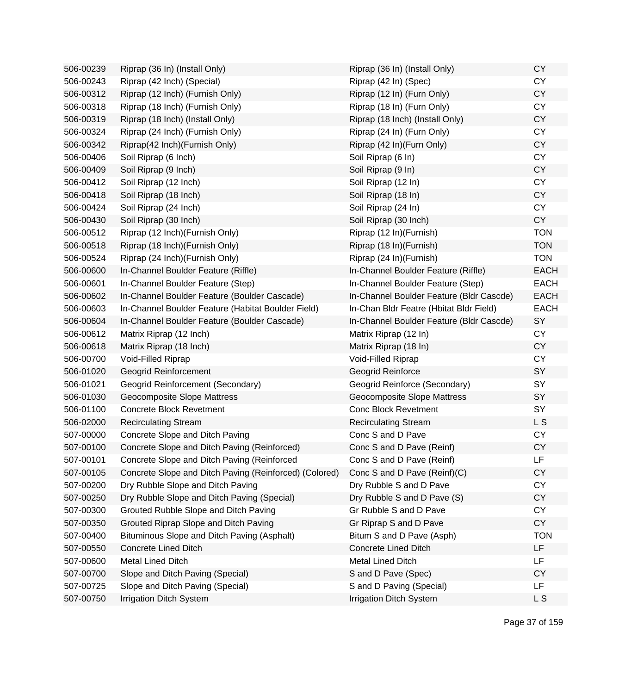| 506-00239 | Riprap (36 In) (Install Only)                          | Riprap (36 In) (Install Only)            | <b>CY</b>   |
|-----------|--------------------------------------------------------|------------------------------------------|-------------|
| 506-00243 | Riprap (42 Inch) (Special)                             | Riprap (42 In) (Spec)                    | <b>CY</b>   |
| 506-00312 | Riprap (12 Inch) (Furnish Only)                        | Riprap (12 In) (Furn Only)               | <b>CY</b>   |
| 506-00318 | Riprap (18 Inch) (Furnish Only)                        | Riprap (18 In) (Furn Only)               | <b>CY</b>   |
| 506-00319 | Riprap (18 Inch) (Install Only)                        | Riprap (18 Inch) (Install Only)          | <b>CY</b>   |
| 506-00324 | Riprap (24 Inch) (Furnish Only)                        | Riprap (24 In) (Furn Only)               | <b>CY</b>   |
| 506-00342 | Riprap(42 Inch)(Furnish Only)                          | Riprap (42 In)(Furn Only)                | <b>CY</b>   |
| 506-00406 | Soil Riprap (6 Inch)                                   | Soil Riprap (6 In)                       | <b>CY</b>   |
| 506-00409 | Soil Riprap (9 Inch)                                   | Soil Riprap (9 In)                       | <b>CY</b>   |
| 506-00412 | Soil Riprap (12 Inch)                                  | Soil Riprap (12 In)                      | <b>CY</b>   |
| 506-00418 | Soil Riprap (18 Inch)                                  | Soil Riprap (18 In)                      | <b>CY</b>   |
| 506-00424 | Soil Riprap (24 Inch)                                  | Soil Riprap (24 In)                      | <b>CY</b>   |
| 506-00430 | Soil Riprap (30 Inch)                                  | Soil Riprap (30 Inch)                    | CY          |
| 506-00512 | Riprap (12 Inch) (Furnish Only)                        | Riprap (12 In)(Furnish)                  | <b>TON</b>  |
| 506-00518 | Riprap (18 Inch) (Furnish Only)                        | Riprap (18 In) (Furnish)                 | <b>TON</b>  |
| 506-00524 | Riprap (24 Inch) (Furnish Only)                        | Riprap (24 In)(Furnish)                  | <b>TON</b>  |
| 506-00600 | In-Channel Boulder Feature (Riffle)                    | In-Channel Boulder Feature (Riffle)      | <b>EACH</b> |
| 506-00601 | In-Channel Boulder Feature (Step)                      | In-Channel Boulder Feature (Step)        | <b>EACH</b> |
| 506-00602 | In-Channel Boulder Feature (Boulder Cascade)           | In-Channel Boulder Feature (Bldr Cascde) | <b>EACH</b> |
| 506-00603 | In-Channel Boulder Feature (Habitat Boulder Field)     | In-Chan Bldr Featre (Hbitat Bldr Field)  | <b>EACH</b> |
| 506-00604 | In-Channel Boulder Feature (Boulder Cascade)           | In-Channel Boulder Feature (Bldr Cascde) | SY          |
| 506-00612 | Matrix Riprap (12 Inch)                                | Matrix Riprap (12 In)                    | CY          |
| 506-00618 | Matrix Riprap (18 Inch)                                | Matrix Riprap (18 In)                    | <b>CY</b>   |
| 506-00700 | Void-Filled Riprap                                     | Void-Filled Riprap                       | <b>CY</b>   |
| 506-01020 | <b>Geogrid Reinforcement</b>                           | Geogrid Reinforce                        | SY          |
| 506-01021 | Geogrid Reinforcement (Secondary)                      | Geogrid Reinforce (Secondary)            | SY          |
| 506-01030 | Geocomposite Slope Mattress                            | Geocomposite Slope Mattress              | SY          |
| 506-01100 | <b>Concrete Block Revetment</b>                        | <b>Conc Block Revetment</b>              | SY          |
| 506-02000 | <b>Recirculating Stream</b>                            | <b>Recirculating Stream</b>              | L S         |
| 507-00000 | Concrete Slope and Ditch Paving                        | Conc S and D Pave                        | <b>CY</b>   |
| 507-00100 | Concrete Slope and Ditch Paving (Reinforced)           | Conc S and D Pave (Reinf)                | <b>CY</b>   |
| 507-00101 | Concrete Slope and Ditch Paving (Reinforced            | Conc S and D Pave (Reinf)                | LF          |
| 507-00105 | Concrete Slope and Ditch Paving (Reinforced) (Colored) | Conc S and D Pave (Reinf)(C)             | <b>CY</b>   |
| 507-00200 | Dry Rubble Slope and Ditch Paving                      | Dry Rubble S and D Pave                  | <b>CY</b>   |
| 507-00250 | Dry Rubble Slope and Ditch Paving (Special)            | Dry Rubble S and D Pave (S)              | <b>CY</b>   |
| 507-00300 | Grouted Rubble Slope and Ditch Paving                  | Gr Rubble S and D Pave                   | <b>CY</b>   |
| 507-00350 | Grouted Riprap Slope and Ditch Paving                  | Gr Riprap S and D Pave                   | <b>CY</b>   |
| 507-00400 | Bituminous Slope and Ditch Paving (Asphalt)            | Bitum S and D Pave (Asph)                | <b>TON</b>  |
| 507-00550 | <b>Concrete Lined Ditch</b>                            | <b>Concrete Lined Ditch</b>              | LF.         |
| 507-00600 | Metal Lined Ditch                                      | <b>Metal Lined Ditch</b>                 | LF          |
| 507-00700 | Slope and Ditch Paving (Special)                       | S and D Pave (Spec)                      | <b>CY</b>   |
| 507-00725 | Slope and Ditch Paving (Special)                       | S and D Paving (Special)                 | LF          |
| 507-00750 | <b>Irrigation Ditch System</b>                         | <b>Irrigation Ditch System</b>           | L S         |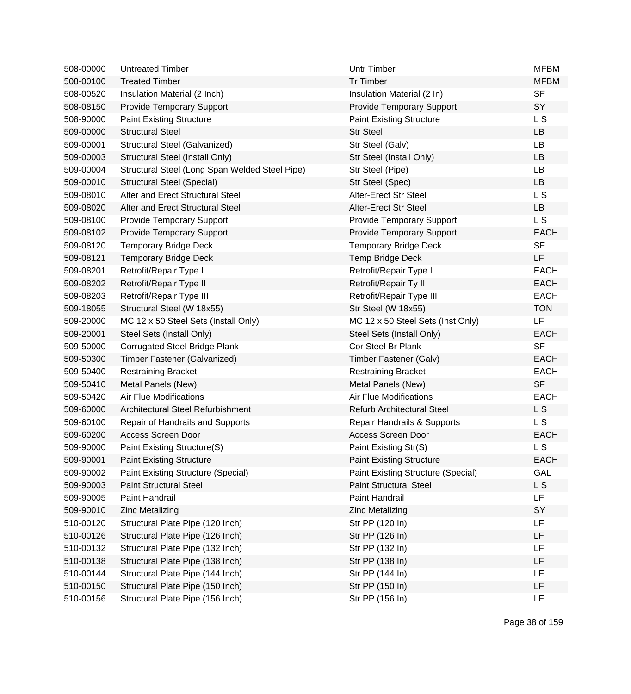| 508-00000 | <b>Untreated Timber</b>                        | <b>Untr Timber</b>                 | <b>MFBM</b> |
|-----------|------------------------------------------------|------------------------------------|-------------|
| 508-00100 | <b>Treated Timber</b>                          | <b>Tr Timber</b>                   | <b>MFBM</b> |
| 508-00520 | Insulation Material (2 Inch)                   | Insulation Material (2 In)         | <b>SF</b>   |
| 508-08150 | <b>Provide Temporary Support</b>               | <b>Provide Temporary Support</b>   | SY          |
| 508-90000 | <b>Paint Existing Structure</b>                | <b>Paint Existing Structure</b>    | L S         |
| 509-00000 | <b>Structural Steel</b>                        | <b>Str Steel</b>                   | <b>LB</b>   |
| 509-00001 | Structural Steel (Galvanized)                  | Str Steel (Galv)                   | LB          |
| 509-00003 | Structural Steel (Install Only)                | Str Steel (Install Only)           | <b>LB</b>   |
| 509-00004 | Structural Steel (Long Span Welded Steel Pipe) | Str Steel (Pipe)                   | LB          |
| 509-00010 | <b>Structural Steel (Special)</b>              | Str Steel (Spec)                   | LB          |
| 509-08010 | Alter and Erect Structural Steel               | Alter-Erect Str Steel              | L S         |
| 509-08020 | Alter and Erect Structural Steel               | Alter-Erect Str Steel              | <b>LB</b>   |
| 509-08100 | <b>Provide Temporary Support</b>               | <b>Provide Temporary Support</b>   | L S         |
| 509-08102 | <b>Provide Temporary Support</b>               | <b>Provide Temporary Support</b>   | <b>EACH</b> |
| 509-08120 | <b>Temporary Bridge Deck</b>                   | <b>Temporary Bridge Deck</b>       | <b>SF</b>   |
| 509-08121 | <b>Temporary Bridge Deck</b>                   | Temp Bridge Deck                   | LF          |
| 509-08201 | Retrofit/Repair Type I                         | Retrofit/Repair Type I             | <b>EACH</b> |
| 509-08202 | Retrofit/Repair Type II                        | Retrofit/Repair Ty II              | <b>EACH</b> |
| 509-08203 | Retrofit/Repair Type III                       | Retrofit/Repair Type III           | <b>EACH</b> |
| 509-18055 | Structural Steel (W 18x55)                     | Str Steel (W 18x55)                | <b>TON</b>  |
| 509-20000 | MC 12 x 50 Steel Sets (Install Only)           | MC 12 x 50 Steel Sets (Inst Only)  | LF          |
| 509-20001 | Steel Sets (Install Only)                      | Steel Sets (Install Only)          | <b>EACH</b> |
| 509-50000 | <b>Corrugated Steel Bridge Plank</b>           | Cor Steel Br Plank                 | <b>SF</b>   |
| 509-50300 | Timber Fastener (Galvanized)                   | Timber Fastener (Galv)             | <b>EACH</b> |
| 509-50400 | <b>Restraining Bracket</b>                     | <b>Restraining Bracket</b>         | <b>EACH</b> |
| 509-50410 | Metal Panels (New)                             | Metal Panels (New)                 | <b>SF</b>   |
| 509-50420 | Air Flue Modifications                         | <b>Air Flue Modifications</b>      | <b>EACH</b> |
| 509-60000 | Architectural Steel Refurbishment              | <b>Refurb Architectural Steel</b>  | L S         |
| 509-60100 | Repair of Handrails and Supports               | Repair Handrails & Supports        | L S         |
| 509-60200 | <b>Access Screen Door</b>                      | Access Screen Door                 | <b>EACH</b> |
| 509-90000 | Paint Existing Structure(S)                    | Paint Existing Str(S)              | <b>LS</b>   |
| 509-90001 | <b>Paint Existing Structure</b>                | <b>Paint Existing Structure</b>    | EACH        |
| 509-90002 | <b>Paint Existing Structure (Special)</b>      | Paint Existing Structure (Special) | <b>GAL</b>  |
| 509-90003 | <b>Paint Structural Steel</b>                  | <b>Paint Structural Steel</b>      | L S         |
| 509-90005 | Paint Handrail                                 | Paint Handrail                     | LF          |
| 509-90010 | <b>Zinc Metalizing</b>                         | <b>Zinc Metalizing</b>             | SY          |
| 510-00120 | Structural Plate Pipe (120 Inch)               | Str PP (120 ln)                    | LF          |
| 510-00126 | Structural Plate Pipe (126 Inch)               | Str PP (126 In)                    | LF          |
| 510-00132 | Structural Plate Pipe (132 Inch)               | Str PP (132 In)                    | LF          |
| 510-00138 | Structural Plate Pipe (138 Inch)               | Str PP (138 In)                    | LF          |
| 510-00144 | Structural Plate Pipe (144 Inch)               | Str PP (144 In)                    | LF          |
| 510-00150 | Structural Plate Pipe (150 Inch)               | Str PP (150 In)                    | LF          |
| 510-00156 | Structural Plate Pipe (156 Inch)               | Str PP (156 In)                    | LF          |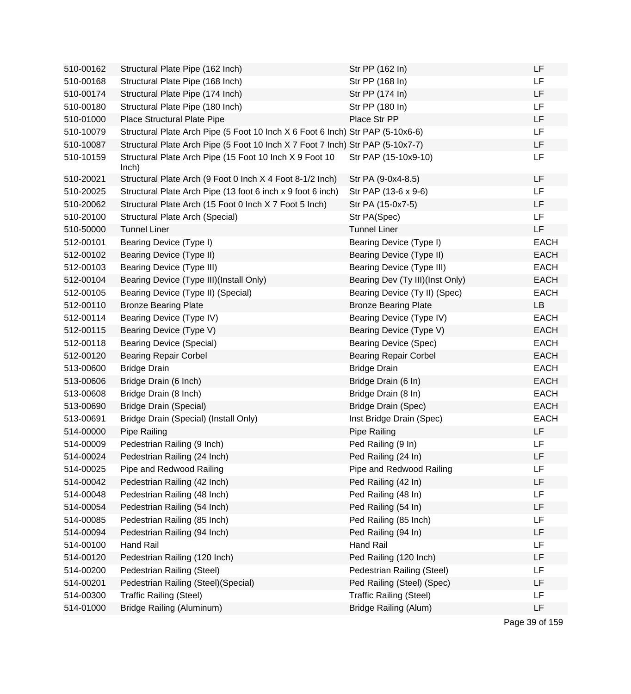| 510-00162 | Structural Plate Pipe (162 Inch)                                               | Str PP (162 In)                 | <b>LF</b>   |
|-----------|--------------------------------------------------------------------------------|---------------------------------|-------------|
| 510-00168 | Structural Plate Pipe (168 Inch)                                               | Str PP (168 In)                 | <b>LF</b>   |
| 510-00174 | Structural Plate Pipe (174 Inch)                                               | Str PP (174 In)                 | <b>LF</b>   |
| 510-00180 | Structural Plate Pipe (180 Inch)                                               | Str PP (180 In)                 | <b>LF</b>   |
| 510-01000 | Place Structural Plate Pipe                                                    | Place Str PP                    | LF          |
| 510-10079 | Structural Plate Arch Pipe (5 Foot 10 Inch X 6 Foot 6 Inch) Str PAP (5-10x6-6) |                                 | <b>LF</b>   |
| 510-10087 | Structural Plate Arch Pipe (5 Foot 10 Inch X 7 Foot 7 Inch) Str PAP (5-10x7-7) |                                 | LF          |
| 510-10159 | Structural Plate Arch Pipe (15 Foot 10 Inch X 9 Foot 10<br>lnch)               | Str PAP (15-10x9-10)            | LF          |
| 510-20021 | Structural Plate Arch (9 Foot 0 Inch X 4 Foot 8-1/2 Inch)                      | Str PA (9-0x4-8.5)              | <b>LF</b>   |
| 510-20025 | Structural Plate Arch Pipe (13 foot 6 inch x 9 foot 6 inch)                    | Str PAP (13-6 x 9-6)            | <b>LF</b>   |
| 510-20062 | Structural Plate Arch (15 Foot 0 Inch X 7 Foot 5 Inch)                         | Str PA (15-0x7-5)               | <b>LF</b>   |
| 510-20100 | Structural Plate Arch (Special)                                                | Str PA(Spec)                    | LF          |
| 510-50000 | <b>Tunnel Liner</b>                                                            | <b>Tunnel Liner</b>             | LF          |
| 512-00101 | Bearing Device (Type I)                                                        | Bearing Device (Type I)         | <b>EACH</b> |
| 512-00102 | Bearing Device (Type II)                                                       | Bearing Device (Type II)        | <b>EACH</b> |
| 512-00103 | Bearing Device (Type III)                                                      | Bearing Device (Type III)       | EACH        |
| 512-00104 | Bearing Device (Type III)(Install Only)                                        | Bearing Dev (Ty III)(Inst Only) | <b>EACH</b> |
| 512-00105 | Bearing Device (Type II) (Special)                                             | Bearing Device (Ty II) (Spec)   | <b>EACH</b> |
| 512-00110 | <b>Bronze Bearing Plate</b>                                                    | <b>Bronze Bearing Plate</b>     | LB          |
| 512-00114 | Bearing Device (Type IV)                                                       | Bearing Device (Type IV)        | <b>EACH</b> |
| 512-00115 | Bearing Device (Type V)                                                        | Bearing Device (Type V)         | <b>EACH</b> |
| 512-00118 | <b>Bearing Device (Special)</b>                                                | <b>Bearing Device (Spec)</b>    | <b>EACH</b> |
| 512-00120 | <b>Bearing Repair Corbel</b>                                                   | <b>Bearing Repair Corbel</b>    | <b>EACH</b> |
| 513-00600 | <b>Bridge Drain</b>                                                            | <b>Bridge Drain</b>             | <b>EACH</b> |
| 513-00606 | Bridge Drain (6 Inch)                                                          | Bridge Drain (6 In)             | <b>EACH</b> |
| 513-00608 | Bridge Drain (8 Inch)                                                          | Bridge Drain (8 In)             | EACH        |
| 513-00690 | <b>Bridge Drain (Special)</b>                                                  | Bridge Drain (Spec)             | <b>EACH</b> |
| 513-00691 | Bridge Drain (Special) (Install Only)                                          | Inst Bridge Drain (Spec)        | <b>EACH</b> |
| 514-00000 | Pipe Railing                                                                   | Pipe Railing                    | <b>LF</b>   |
| 514-00009 | Pedestrian Railing (9 Inch)                                                    | Ped Railing (9 In)              | <b>LF</b>   |
| 514-00024 | Pedestrian Railing (24 Inch)                                                   | Ped Railing (24 In)             | LF          |
| 514-00025 | Pipe and Redwood Railing                                                       | Pipe and Redwood Railing        | LF          |
| 514-00042 | Pedestrian Railing (42 Inch)                                                   | Ped Railing (42 In)             | <b>LF</b>   |
| 514-00048 | Pedestrian Railing (48 Inch)                                                   | Ped Railing (48 In)             | LF          |
| 514-00054 | Pedestrian Railing (54 Inch)                                                   | Ped Railing (54 In)             | LF          |
| 514-00085 | Pedestrian Railing (85 Inch)                                                   | Ped Railing (85 Inch)           | LF          |
| 514-00094 | Pedestrian Railing (94 Inch)                                                   | Ped Railing (94 In)             | LF          |
| 514-00100 | <b>Hand Rail</b>                                                               | <b>Hand Rail</b>                | LF          |
| 514-00120 | Pedestrian Railing (120 Inch)                                                  | Ped Railing (120 Inch)          | LF          |
| 514-00200 | Pedestrian Railing (Steel)                                                     | Pedestrian Railing (Steel)      | LF          |
| 514-00201 | Pedestrian Railing (Steel) (Special)                                           | Ped Railing (Steel) (Spec)      | LF          |
| 514-00300 | <b>Traffic Railing (Steel)</b>                                                 | <b>Traffic Railing (Steel)</b>  | LF          |
| 514-01000 | Bridge Railing (Aluminum)                                                      | <b>Bridge Railing (Alum)</b>    | LF          |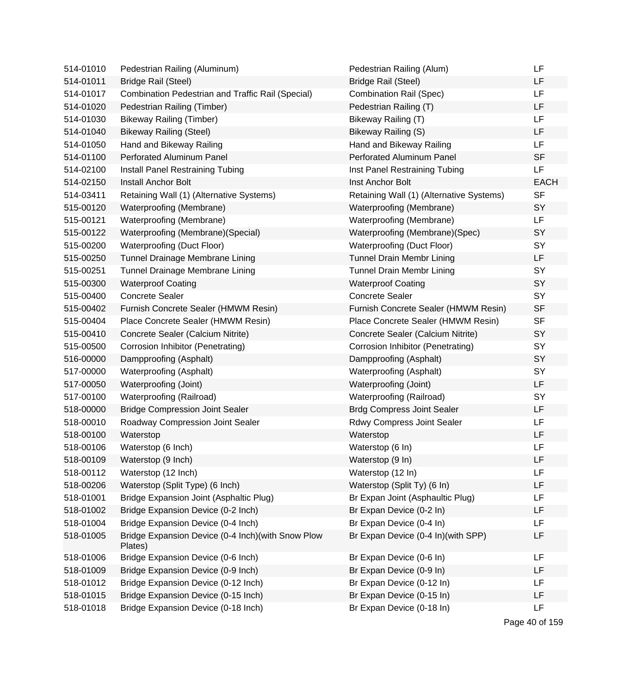| 514-01010 | Pedestrian Railing (Aluminum)                                 | Pedestrian Railing (Alum)                | LF          |
|-----------|---------------------------------------------------------------|------------------------------------------|-------------|
| 514-01011 | <b>Bridge Rail (Steel)</b>                                    | <b>Bridge Rail (Steel)</b>               | LF          |
| 514-01017 | Combination Pedestrian and Traffic Rail (Special)             | <b>Combination Rail (Spec)</b>           | <b>LF</b>   |
| 514-01020 | Pedestrian Railing (Timber)                                   | Pedestrian Railing (T)                   | LF          |
| 514-01030 | <b>Bikeway Railing (Timber)</b>                               | Bikeway Railing (T)                      | LF          |
| 514-01040 | <b>Bikeway Railing (Steel)</b>                                | Bikeway Railing (S)                      | LF          |
| 514-01050 | Hand and Bikeway Railing                                      | Hand and Bikeway Railing                 | LF          |
| 514-01100 | Perforated Aluminum Panel                                     | Perforated Aluminum Panel                | <b>SF</b>   |
| 514-02100 | Install Panel Restraining Tubing                              | Inst Panel Restraining Tubing            | LF          |
| 514-02150 | <b>Install Anchor Bolt</b>                                    | Inst Anchor Bolt                         | <b>EACH</b> |
| 514-03411 | Retaining Wall (1) (Alternative Systems)                      | Retaining Wall (1) (Alternative Systems) | <b>SF</b>   |
| 515-00120 | Waterproofing (Membrane)                                      | Waterproofing (Membrane)                 | <b>SY</b>   |
| 515-00121 | Waterproofing (Membrane)                                      | Waterproofing (Membrane)                 | <b>LF</b>   |
| 515-00122 | Waterproofing (Membrane) (Special)                            | Waterproofing (Membrane)(Spec)           | <b>SY</b>   |
| 515-00200 | Waterproofing (Duct Floor)                                    | Waterproofing (Duct Floor)               | SY          |
| 515-00250 | Tunnel Drainage Membrane Lining                               | <b>Tunnel Drain Membr Lining</b>         | LF          |
| 515-00251 | Tunnel Drainage Membrane Lining                               | <b>Tunnel Drain Membr Lining</b>         | SY          |
| 515-00300 | <b>Waterproof Coating</b>                                     | <b>Waterproof Coating</b>                | SY          |
| 515-00400 | <b>Concrete Sealer</b>                                        | <b>Concrete Sealer</b>                   | <b>SY</b>   |
| 515-00402 | Furnish Concrete Sealer (HMWM Resin)                          | Furnish Concrete Sealer (HMWM Resin)     | <b>SF</b>   |
| 515-00404 | Place Concrete Sealer (HMWM Resin)                            | Place Concrete Sealer (HMWM Resin)       | <b>SF</b>   |
| 515-00410 | Concrete Sealer (Calcium Nitrite)                             | Concrete Sealer (Calcium Nitrite)        | <b>SY</b>   |
| 515-00500 | Corrosion Inhibitor (Penetrating)                             | Corrosion Inhibitor (Penetrating)        | SY          |
| 516-00000 | Dampproofing (Asphalt)                                        | Dampproofing (Asphalt)                   | <b>SY</b>   |
| 517-00000 | <b>Waterproofing (Asphalt)</b>                                | <b>Waterproofing (Asphalt)</b>           | SY          |
| 517-00050 | Waterproofing (Joint)                                         | Waterproofing (Joint)                    | LF          |
| 517-00100 | Waterproofing (Railroad)                                      | Waterproofing (Railroad)                 | SY          |
| 518-00000 | <b>Bridge Compression Joint Sealer</b>                        | <b>Brdg Compress Joint Sealer</b>        | LF          |
| 518-00010 | Roadway Compression Joint Sealer                              | Rdwy Compress Joint Sealer               | LF          |
| 518-00100 | Waterstop                                                     | Waterstop                                | LF          |
| 518-00106 | Waterstop (6 Inch)                                            | Waterstop (6 In)                         | LF          |
| 518-00109 | Waterstop (9 Inch)                                            | Waterstop (9 In)                         | LF          |
| 518-00112 | Waterstop (12 Inch)                                           | Waterstop (12 In)                        | LF          |
| 518-00206 | Waterstop (Split Type) (6 Inch)                               | Waterstop (Split Ty) (6 In)              | LF          |
| 518-01001 | Bridge Expansion Joint (Asphaltic Plug)                       | Br Expan Joint (Asphaultic Plug)         | LF          |
| 518-01002 | Bridge Expansion Device (0-2 Inch)                            | Br Expan Device (0-2 In)                 | LF          |
| 518-01004 | Bridge Expansion Device (0-4 Inch)                            | Br Expan Device (0-4 In)                 | LF          |
| 518-01005 | Bridge Expansion Device (0-4 Inch) (with Snow Plow<br>Plates) | Br Expan Device (0-4 In)(with SPP)       | LF          |
| 518-01006 | Bridge Expansion Device (0-6 Inch)                            | Br Expan Device (0-6 In)                 | LF          |
| 518-01009 | Bridge Expansion Device (0-9 Inch)                            | Br Expan Device (0-9 In)                 | LF          |
| 518-01012 | Bridge Expansion Device (0-12 Inch)                           | Br Expan Device (0-12 In)                | LF          |
| 518-01015 | Bridge Expansion Device (0-15 Inch)                           | Br Expan Device (0-15 In)                | LF          |
| 518-01018 | Bridge Expansion Device (0-18 Inch)                           | Br Expan Device (0-18 In)                | LF          |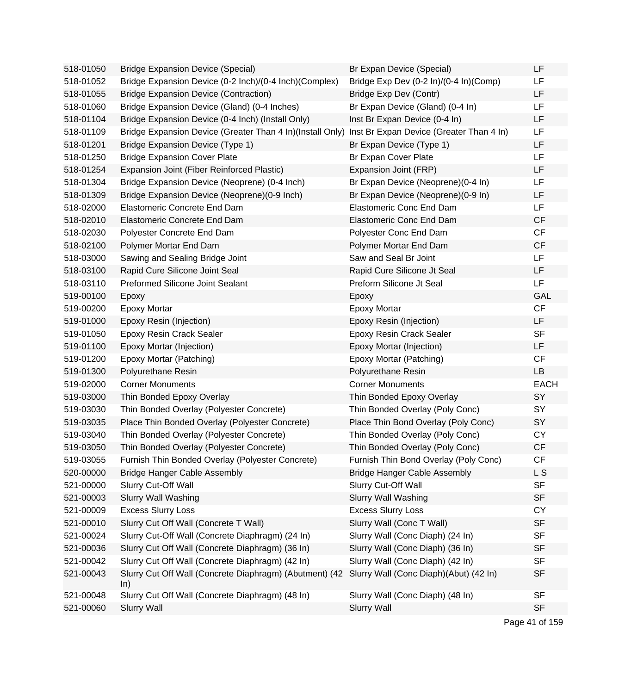| 518-01050 | <b>Bridge Expansion Device (Special)</b>                       | Br Expan Device (Special)                | LF          |
|-----------|----------------------------------------------------------------|------------------------------------------|-------------|
| 518-01052 | Bridge Expansion Device (0-2 Inch)/(0-4 Inch)(Complex)         | Bridge Exp Dev (0-2 ln)/(0-4 ln)(Comp)   | LF          |
| 518-01055 | <b>Bridge Expansion Device (Contraction)</b>                   | Bridge Exp Dev (Contr)                   | LF          |
| 518-01060 | Bridge Expansion Device (Gland) (0-4 Inches)                   | Br Expan Device (Gland) (0-4 In)         | LF          |
| 518-01104 | Bridge Expansion Device (0-4 Inch) (Install Only)              | Inst Br Expan Device (0-4 In)            | LF          |
| 518-01109 | Bridge Expansion Device (Greater Than 4 In)(Install Only)      | Inst Br Expan Device (Greater Than 4 In) | LF          |
| 518-01201 | Bridge Expansion Device (Type 1)                               | Br Expan Device (Type 1)                 | LF          |
| 518-01250 | <b>Bridge Expansion Cover Plate</b>                            | Br Expan Cover Plate                     | LF          |
| 518-01254 | Expansion Joint (Fiber Reinforced Plastic)                     | Expansion Joint (FRP)                    | LF          |
| 518-01304 | Bridge Expansion Device (Neoprene) (0-4 Inch)                  | Br Expan Device (Neoprene)(0-4 In)       | LF          |
| 518-01309 | Bridge Expansion Device (Neoprene) (0-9 Inch)                  | Br Expan Device (Neoprene)(0-9 In)       | LF          |
| 518-02000 | Elastomeric Concrete End Dam                                   | <b>Elastomeric Conc End Dam</b>          | LF          |
| 518-02010 | Elastomeric Concrete End Dam                                   | <b>Elastomeric Conc End Dam</b>          | CF          |
| 518-02030 | Polyester Concrete End Dam                                     | Polyester Conc End Dam                   | CF          |
| 518-02100 | Polymer Mortar End Dam                                         | Polymer Mortar End Dam                   | CF          |
| 518-03000 | Sawing and Sealing Bridge Joint                                | Saw and Seal Br Joint                    | LF          |
| 518-03100 | Rapid Cure Silicone Joint Seal                                 | Rapid Cure Silicone Jt Seal              | LF          |
| 518-03110 | <b>Preformed Silicone Joint Sealant</b>                        | Preform Silicone Jt Seal                 | LF          |
| 519-00100 | Epoxy                                                          | Epoxy                                    | GAL         |
| 519-00200 | <b>Epoxy Mortar</b>                                            | <b>Epoxy Mortar</b>                      | CF          |
| 519-01000 | Epoxy Resin (Injection)                                        | Epoxy Resin (Injection)                  | LF          |
| 519-01050 | Epoxy Resin Crack Sealer                                       | <b>Epoxy Resin Crack Sealer</b>          | <b>SF</b>   |
| 519-01100 | Epoxy Mortar (Injection)                                       | Epoxy Mortar (Injection)                 | LF          |
| 519-01200 | Epoxy Mortar (Patching)                                        | Epoxy Mortar (Patching)                  | CF          |
| 519-01300 | Polyurethane Resin                                             | Polyurethane Resin                       | <b>LB</b>   |
| 519-02000 | <b>Corner Monuments</b>                                        | <b>Corner Monuments</b>                  | <b>EACH</b> |
| 519-03000 | Thin Bonded Epoxy Overlay                                      | Thin Bonded Epoxy Overlay                | SY          |
| 519-03030 | Thin Bonded Overlay (Polyester Concrete)                       | Thin Bonded Overlay (Poly Conc)          | SY          |
| 519-03035 | Place Thin Bonded Overlay (Polyester Concrete)                 | Place Thin Bond Overlay (Poly Conc)      | SY          |
| 519-03040 | Thin Bonded Overlay (Polyester Concrete)                       | Thin Bonded Overlay (Poly Conc)          | <b>CY</b>   |
| 519-03050 | Thin Bonded Overlay (Polyester Concrete)                       | Thin Bonded Overlay (Poly Conc)          | <b>CF</b>   |
| 519-03055 | Furnish Thin Bonded Overlay (Polyester Concrete)               | Furnish Thin Bond Overlay (Poly Conc)    | CF          |
| 520-00000 | <b>Bridge Hanger Cable Assembly</b>                            | <b>Bridge Hanger Cable Assembly</b>      | L S         |
| 521-00000 | Slurry Cut-Off Wall                                            | Slurry Cut-Off Wall                      | <b>SF</b>   |
| 521-00003 | <b>Slurry Wall Washing</b>                                     | <b>Slurry Wall Washing</b>               | <b>SF</b>   |
| 521-00009 | <b>Excess Slurry Loss</b>                                      | <b>Excess Slurry Loss</b>                | <b>CY</b>   |
| 521-00010 | Slurry Cut Off Wall (Concrete T Wall)                          | Slurry Wall (Conc T Wall)                | <b>SF</b>   |
| 521-00024 | Slurry Cut-Off Wall (Concrete Diaphragm) (24 In)               | Slurry Wall (Conc Diaph) (24 In)         | <b>SF</b>   |
| 521-00036 | Slurry Cut Off Wall (Concrete Diaphragm) (36 In)               | Slurry Wall (Conc Diaph) (36 In)         | <b>SF</b>   |
| 521-00042 | Slurry Cut Off Wall (Concrete Diaphragm) (42 In)               | Slurry Wall (Conc Diaph) (42 In)         | <b>SF</b>   |
| 521-00043 | Slurry Cut Off Wall (Concrete Diaphragm) (Abutment) (42<br>ln) | Slurry Wall (Conc Diaph)(Abut) (42 In)   | <b>SF</b>   |
| 521-00048 | Slurry Cut Off Wall (Concrete Diaphragm) (48 In)               | Slurry Wall (Conc Diaph) (48 In)         | <b>SF</b>   |
| 521-00060 | <b>Slurry Wall</b>                                             | <b>Slurry Wall</b>                       | <b>SF</b>   |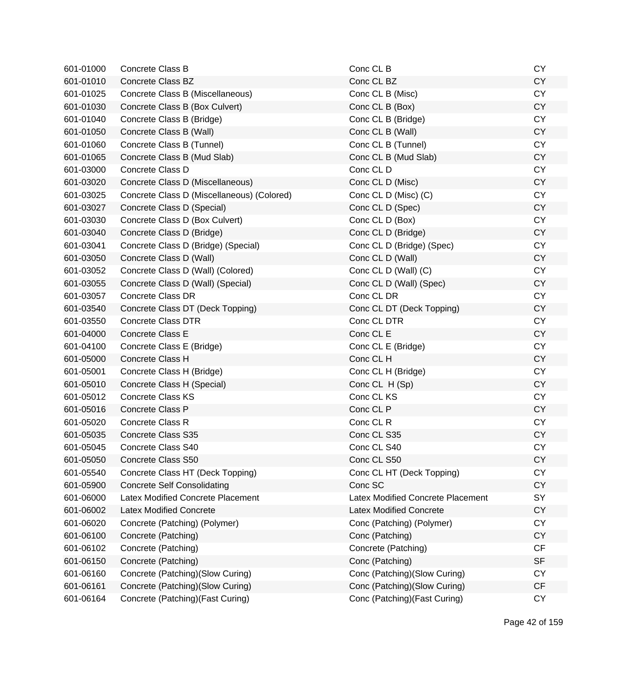| 601-01000 | Concrete Class B                           | Conc CL B                         | <b>CY</b> |
|-----------|--------------------------------------------|-----------------------------------|-----------|
| 601-01010 | <b>Concrete Class BZ</b>                   | Conc CL BZ                        | <b>CY</b> |
| 601-01025 | Concrete Class B (Miscellaneous)           | Conc CL B (Misc)                  | <b>CY</b> |
| 601-01030 | Concrete Class B (Box Culvert)             | Conc CL B (Box)                   | <b>CY</b> |
| 601-01040 | Concrete Class B (Bridge)                  | Conc CL B (Bridge)                | <b>CY</b> |
| 601-01050 | Concrete Class B (Wall)                    | Conc CL B (Wall)                  | <b>CY</b> |
| 601-01060 | Concrete Class B (Tunnel)                  | Conc CL B (Tunnel)                | <b>CY</b> |
| 601-01065 | Concrete Class B (Mud Slab)                | Conc CL B (Mud Slab)              | <b>CY</b> |
| 601-03000 | Concrete Class D                           | Conc CL D                         | <b>CY</b> |
| 601-03020 | Concrete Class D (Miscellaneous)           | Conc CL D (Misc)                  | <b>CY</b> |
| 601-03025 | Concrete Class D (Miscellaneous) (Colored) | Conc CL D (Misc) (C)              | <b>CY</b> |
| 601-03027 | Concrete Class D (Special)                 | Conc CL D (Spec)                  | <b>CY</b> |
| 601-03030 | Concrete Class D (Box Culvert)             | Conc CL D (Box)                   | <b>CY</b> |
| 601-03040 | Concrete Class D (Bridge)                  | Conc CL D (Bridge)                | <b>CY</b> |
| 601-03041 | Concrete Class D (Bridge) (Special)        | Conc CL D (Bridge) (Spec)         | <b>CY</b> |
| 601-03050 | Concrete Class D (Wall)                    | Conc CL D (Wall)                  | <b>CY</b> |
| 601-03052 | Concrete Class D (Wall) (Colored)          | Conc CL D (Wall) (C)              | <b>CY</b> |
| 601-03055 | Concrete Class D (Wall) (Special)          | Conc CL D (Wall) (Spec)           | <b>CY</b> |
| 601-03057 | <b>Concrete Class DR</b>                   | Conc CL DR                        | <b>CY</b> |
| 601-03540 | Concrete Class DT (Deck Topping)           | Conc CL DT (Deck Topping)         | <b>CY</b> |
| 601-03550 | <b>Concrete Class DTR</b>                  | Conc CL DTR                       | <b>CY</b> |
| 601-04000 | Concrete Class E                           | Conc CL E                         | <b>CY</b> |
| 601-04100 | Concrete Class E (Bridge)                  | Conc CL E (Bridge)                | <b>CY</b> |
| 601-05000 | Concrete Class H                           | Conc CL H                         | <b>CY</b> |
| 601-05001 | Concrete Class H (Bridge)                  | Conc CL H (Bridge)                | <b>CY</b> |
| 601-05010 | Concrete Class H (Special)                 | Conc CL H (Sp)                    | <b>CY</b> |
| 601-05012 | <b>Concrete Class KS</b>                   | Conc CL KS                        | <b>CY</b> |
| 601-05016 | Concrete Class P                           | Conc CL P                         | <b>CY</b> |
| 601-05020 | Concrete Class R                           | Conc CL R                         | <b>CY</b> |
| 601-05035 | Concrete Class S35                         | Conc CL S35                       | <b>CY</b> |
| 601-05045 | <b>Concrete Class S40</b>                  | Conc CL S40                       | <b>CY</b> |
| 601-05050 | Concrete Class S50                         | Conc CL S50                       | <b>CY</b> |
| 601-05540 | Concrete Class HT (Deck Topping)           | Conc CL HT (Deck Topping)         | <b>CY</b> |
| 601-05900 | <b>Concrete Self Consolidating</b>         | Conc SC                           | <b>CY</b> |
| 601-06000 | Latex Modified Concrete Placement          | Latex Modified Concrete Placement | SY        |
| 601-06002 | <b>Latex Modified Concrete</b>             | <b>Latex Modified Concrete</b>    | <b>CY</b> |
| 601-06020 | Concrete (Patching) (Polymer)              | Conc (Patching) (Polymer)         | <b>CY</b> |
| 601-06100 | Concrete (Patching)                        | Conc (Patching)                   | <b>CY</b> |
| 601-06102 | Concrete (Patching)                        | Concrete (Patching)               | <b>CF</b> |
| 601-06150 | Concrete (Patching)                        | Conc (Patching)                   | <b>SF</b> |
| 601-06160 | Concrete (Patching)(Slow Curing)           | Conc (Patching)(Slow Curing)      | <b>CY</b> |
| 601-06161 | Concrete (Patching) (Slow Curing)          | Conc (Patching)(Slow Curing)      | CF        |
| 601-06164 | Concrete (Patching) (Fast Curing)          | Conc (Patching) (Fast Curing)     | CY        |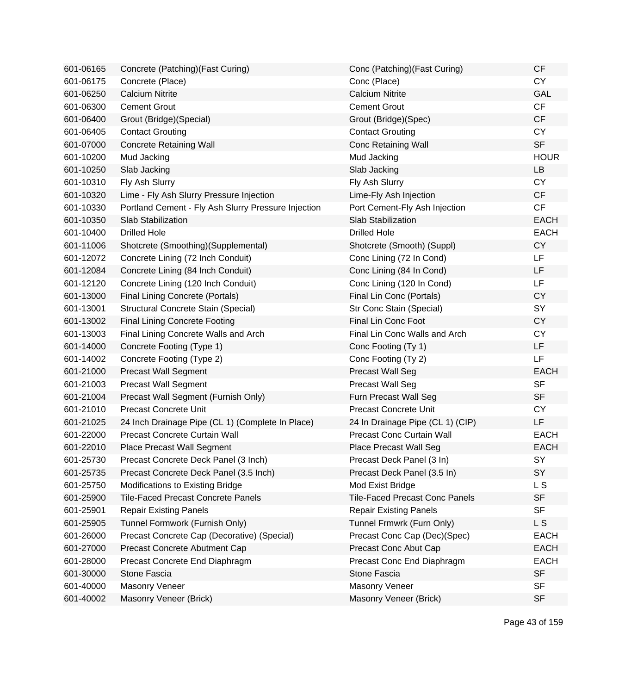| 601-06165 | Concrete (Patching) (Fast Curing)                   | Conc (Patching) (Fast Curing)         | <b>CF</b>   |
|-----------|-----------------------------------------------------|---------------------------------------|-------------|
| 601-06175 | Concrete (Place)                                    | Conc (Place)                          | <b>CY</b>   |
| 601-06250 | <b>Calcium Nitrite</b>                              | <b>Calcium Nitrite</b>                | <b>GAL</b>  |
| 601-06300 | <b>Cement Grout</b>                                 | <b>Cement Grout</b>                   | CF          |
| 601-06400 | Grout (Bridge) (Special)                            | Grout (Bridge)(Spec)                  | CF          |
| 601-06405 | <b>Contact Grouting</b>                             | <b>Contact Grouting</b>               | <b>CY</b>   |
| 601-07000 | <b>Concrete Retaining Wall</b>                      | <b>Conc Retaining Wall</b>            | <b>SF</b>   |
| 601-10200 | Mud Jacking                                         | Mud Jacking                           | <b>HOUR</b> |
| 601-10250 | Slab Jacking                                        | Slab Jacking                          | LB          |
| 601-10310 | Fly Ash Slurry                                      | Fly Ash Slurry                        | <b>CY</b>   |
| 601-10320 | Lime - Fly Ash Slurry Pressure Injection            | Lime-Fly Ash Injection                | <b>CF</b>   |
| 601-10330 | Portland Cement - Fly Ash Slurry Pressure Injection | Port Cement-Fly Ash Injection         | CF          |
| 601-10350 | <b>Slab Stabilization</b>                           | <b>Slab Stabilization</b>             | <b>EACH</b> |
| 601-10400 | <b>Drilled Hole</b>                                 | <b>Drilled Hole</b>                   | <b>EACH</b> |
| 601-11006 | Shotcrete (Smoothing)(Supplemental)                 | Shotcrete (Smooth) (Suppl)            | <b>CY</b>   |
| 601-12072 | Concrete Lining (72 Inch Conduit)                   | Conc Lining (72 In Cond)              | LF.         |
| 601-12084 | Concrete Lining (84 Inch Conduit)                   | Conc Lining (84 In Cond)              | <b>LF</b>   |
| 601-12120 | Concrete Lining (120 Inch Conduit)                  | Conc Lining (120 In Cond)             | LF          |
| 601-13000 | <b>Final Lining Concrete (Portals)</b>              | Final Lin Conc (Portals)              | <b>CY</b>   |
| 601-13001 | Structural Concrete Stain (Special)                 | Str Conc Stain (Special)              | SY          |
| 601-13002 | <b>Final Lining Concrete Footing</b>                | <b>Final Lin Conc Foot</b>            | <b>CY</b>   |
| 601-13003 | Final Lining Concrete Walls and Arch                | Final Lin Conc Walls and Arch         | <b>CY</b>   |
| 601-14000 | Concrete Footing (Type 1)                           | Conc Footing (Ty 1)                   | <b>LF</b>   |
| 601-14002 | Concrete Footing (Type 2)                           | Conc Footing (Ty 2)                   | LF          |
| 601-21000 | <b>Precast Wall Segment</b>                         | <b>Precast Wall Seg</b>               | <b>EACH</b> |
| 601-21003 | <b>Precast Wall Segment</b>                         | <b>Precast Wall Seg</b>               | <b>SF</b>   |
| 601-21004 | Precast Wall Segment (Furnish Only)                 | Furn Precast Wall Seg                 | <b>SF</b>   |
| 601-21010 | <b>Precast Concrete Unit</b>                        | <b>Precast Concrete Unit</b>          | <b>CY</b>   |
| 601-21025 | 24 Inch Drainage Pipe (CL 1) (Complete In Place)    | 24 In Drainage Pipe (CL 1) (CIP)      | LF.         |
| 601-22000 | Precast Concrete Curtain Wall                       | Precast Conc Curtain Wall             | <b>EACH</b> |
| 601-22010 | <b>Place Precast Wall Segment</b>                   | <b>Place Precast Wall Seg</b>         | <b>EACH</b> |
| 601-25730 | Precast Concrete Deck Panel (3 Inch)                | Precast Deck Panel (3 In)             | SY          |
| 601-25735 | Precast Concrete Deck Panel (3.5 Inch)              | Precast Deck Panel (3.5 In)           | SY          |
| 601-25750 | Modifications to Existing Bridge                    | Mod Exist Bridge                      | L S         |
| 601-25900 | <b>Tile-Faced Precast Concrete Panels</b>           | <b>Tile-Faced Precast Conc Panels</b> | <b>SF</b>   |
| 601-25901 | <b>Repair Existing Panels</b>                       | <b>Repair Existing Panels</b>         | <b>SF</b>   |
| 601-25905 | Tunnel Formwork (Furnish Only)                      | Tunnel Frmwrk (Furn Only)             | L S         |
| 601-26000 | Precast Concrete Cap (Decorative) (Special)         | Precast Conc Cap (Dec)(Spec)          | <b>EACH</b> |
| 601-27000 | Precast Concrete Abutment Cap                       | Precast Conc Abut Cap                 | <b>EACH</b> |
| 601-28000 | Precast Concrete End Diaphragm                      | Precast Conc End Diaphragm            | <b>EACH</b> |
| 601-30000 | Stone Fascia                                        | Stone Fascia                          | <b>SF</b>   |
| 601-40000 | <b>Masonry Veneer</b>                               | <b>Masonry Veneer</b>                 | <b>SF</b>   |
| 601-40002 | Masonry Veneer (Brick)                              | Masonry Veneer (Brick)                | <b>SF</b>   |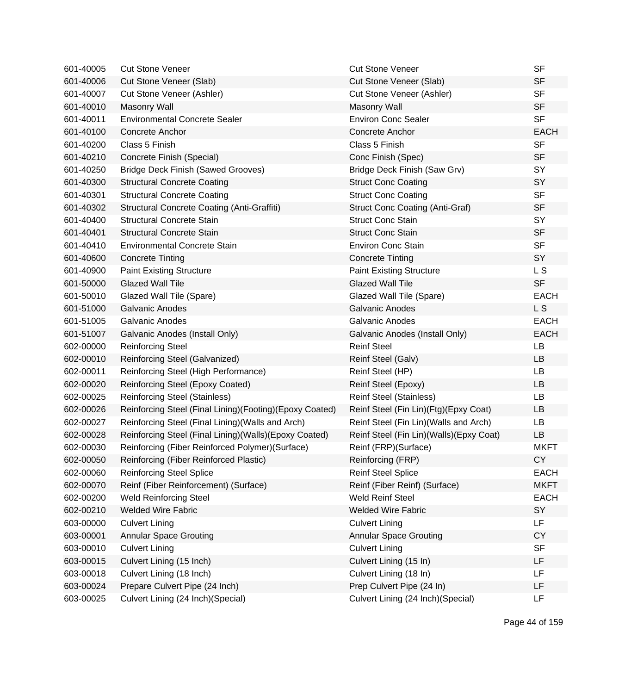| 601-40005 | <b>Cut Stone Veneer</b>                                 | <b>Cut Stone Veneer</b>                   | <b>SF</b>      |
|-----------|---------------------------------------------------------|-------------------------------------------|----------------|
| 601-40006 | Cut Stone Veneer (Slab)                                 | Cut Stone Veneer (Slab)                   | <b>SF</b>      |
| 601-40007 | Cut Stone Veneer (Ashler)                               | Cut Stone Veneer (Ashler)                 | <b>SF</b>      |
| 601-40010 | <b>Masonry Wall</b>                                     | <b>Masonry Wall</b>                       | <b>SF</b>      |
| 601-40011 | <b>Environmental Concrete Sealer</b>                    | <b>Environ Conc Sealer</b>                | <b>SF</b>      |
| 601-40100 | Concrete Anchor                                         | Concrete Anchor                           | <b>EACH</b>    |
| 601-40200 | Class 5 Finish                                          | Class 5 Finish                            | <b>SF</b>      |
| 601-40210 | Concrete Finish (Special)                               | Conc Finish (Spec)                        | <b>SF</b>      |
| 601-40250 | <b>Bridge Deck Finish (Sawed Grooves)</b>               | Bridge Deck Finish (Saw Grv)              | SY             |
| 601-40300 | <b>Structural Concrete Coating</b>                      | <b>Struct Conc Coating</b>                | SY             |
| 601-40301 | <b>Structural Concrete Coating</b>                      | <b>Struct Conc Coating</b>                | <b>SF</b>      |
| 601-40302 | <b>Structural Concrete Coating (Anti-Graffiti)</b>      | <b>Struct Conc Coating (Anti-Graf)</b>    | <b>SF</b>      |
| 601-40400 | <b>Structural Concrete Stain</b>                        | <b>Struct Conc Stain</b>                  | SY             |
| 601-40401 | <b>Structural Concrete Stain</b>                        | <b>Struct Conc Stain</b>                  | <b>SF</b>      |
| 601-40410 | <b>Environmental Concrete Stain</b>                     | <b>Environ Conc Stain</b>                 | <b>SF</b>      |
| 601-40600 | <b>Concrete Tinting</b>                                 | <b>Concrete Tinting</b>                   | SY             |
| 601-40900 | <b>Paint Existing Structure</b>                         | <b>Paint Existing Structure</b>           | L S            |
| 601-50000 | <b>Glazed Wall Tile</b>                                 | <b>Glazed Wall Tile</b>                   | <b>SF</b>      |
| 601-50010 | Glazed Wall Tile (Spare)                                | Glazed Wall Tile (Spare)                  | <b>EACH</b>    |
| 601-51000 | <b>Galvanic Anodes</b>                                  | <b>Galvanic Anodes</b>                    | L S            |
| 601-51005 | <b>Galvanic Anodes</b>                                  | <b>Galvanic Anodes</b>                    | <b>EACH</b>    |
| 601-51007 | Galvanic Anodes (Install Only)                          | Galvanic Anodes (Install Only)            | <b>EACH</b>    |
| 602-00000 | <b>Reinforcing Steel</b>                                | <b>Reinf Steel</b>                        | LB             |
| 602-00010 | Reinforcing Steel (Galvanized)                          | Reinf Steel (Galv)                        | LB             |
| 602-00011 | Reinforcing Steel (High Performance)                    | Reinf Steel (HP)                          | <b>LB</b>      |
| 602-00020 | Reinforcing Steel (Epoxy Coated)                        | Reinf Steel (Epoxy)                       | LB             |
| 602-00025 | <b>Reinforcing Steel (Stainless)</b>                    | <b>Reinf Steel (Stainless)</b>            | LB             |
| 602-00026 | Reinforcing Steel (Final Lining)(Footing)(Epoxy Coated) | Reinf Steel (Fin Lin)(Ftg)(Epxy Coat)     | LB             |
| 602-00027 | Reinforcing Steel (Final Lining) (Walls and Arch)       | Reinf Steel (Fin Lin) (Walls and Arch)    | LB             |
| 602-00028 | Reinforcing Steel (Final Lining)(Walls)(Epoxy Coated)   | Reinf Steel (Fin Lin) (Walls) (Epxy Coat) | LB             |
| 602-00030 | Reinforcing (Fiber Reinforced Polymer) (Surface)        | Reinf (FRP)(Surface)                      | <b>MKFT</b>    |
| 602-00050 | Reinforcing (Fiber Reinforced Plastic)                  | Reinforcing (FRP)                         | CY <sub></sub> |
| 602-00060 | <b>Reinforcing Steel Splice</b>                         | <b>Reinf Steel Splice</b>                 | <b>EACH</b>    |
| 602-00070 | Reinf (Fiber Reinforcement) (Surface)                   | Reinf (Fiber Reinf) (Surface)             | <b>MKFT</b>    |
| 602-00200 | <b>Weld Reinforcing Steel</b>                           | <b>Weld Reinf Steel</b>                   | <b>EACH</b>    |
| 602-00210 | <b>Welded Wire Fabric</b>                               | <b>Welded Wire Fabric</b>                 | SY             |
| 603-00000 | <b>Culvert Lining</b>                                   | <b>Culvert Lining</b>                     | LF             |
| 603-00001 | <b>Annular Space Grouting</b>                           | <b>Annular Space Grouting</b>             | <b>CY</b>      |
| 603-00010 | <b>Culvert Lining</b>                                   | <b>Culvert Lining</b>                     | <b>SF</b>      |
| 603-00015 | Culvert Lining (15 Inch)                                | Culvert Lining (15 In)                    | LF             |
| 603-00018 | Culvert Lining (18 Inch)                                | Culvert Lining (18 In)                    | LF             |
| 603-00024 | Prepare Culvert Pipe (24 Inch)                          | Prep Culvert Pipe (24 In)                 | LF             |
| 603-00025 | Culvert Lining (24 Inch)(Special)                       | Culvert Lining (24 Inch) (Special)        | LF             |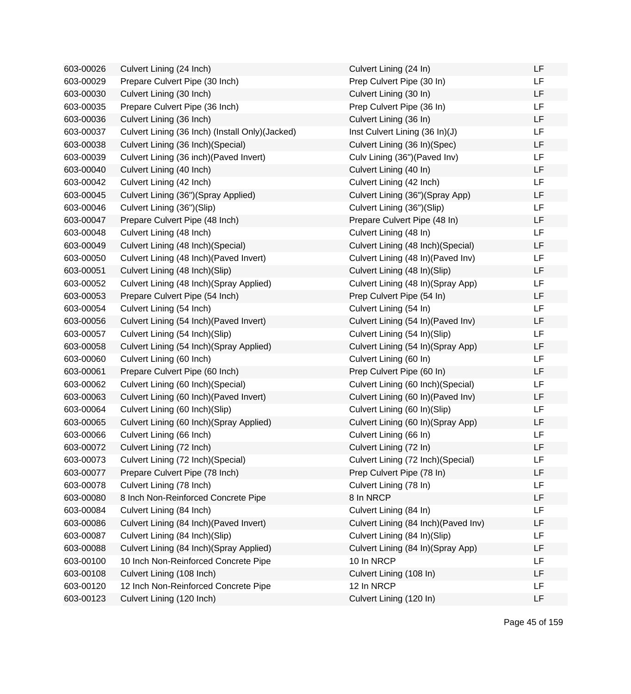| 603-00026 | Culvert Lining (24 Inch)                         | Culvert Lining (24 In)               | LF        |
|-----------|--------------------------------------------------|--------------------------------------|-----------|
| 603-00029 | Prepare Culvert Pipe (30 Inch)                   | Prep Culvert Pipe (30 In)            | <b>LF</b> |
| 603-00030 | Culvert Lining (30 Inch)                         | Culvert Lining (30 In)               | LF        |
| 603-00035 | Prepare Culvert Pipe (36 Inch)                   | Prep Culvert Pipe (36 In)            | LF        |
| 603-00036 | Culvert Lining (36 Inch)                         | Culvert Lining (36 In)               | LF        |
| 603-00037 | Culvert Lining (36 Inch) (Install Only) (Jacked) | Inst Culvert Lining (36 In)(J)       | LF        |
| 603-00038 | Culvert Lining (36 Inch) (Special)               | Culvert Lining (36 In)(Spec)         | LF        |
| 603-00039 | Culvert Lining (36 inch) (Paved Invert)          | Culv Lining (36") (Paved Inv)        | LF        |
| 603-00040 | Culvert Lining (40 Inch)                         | Culvert Lining (40 In)               | LF        |
| 603-00042 | Culvert Lining (42 Inch)                         | Culvert Lining (42 Inch)             | LF        |
| 603-00045 | Culvert Lining (36")(Spray Applied)              | Culvert Lining (36")(Spray App)      | LF        |
| 603-00046 | Culvert Lining (36")(Slip)                       | Culvert Lining (36")(Slip)           | LF        |
| 603-00047 | Prepare Culvert Pipe (48 Inch)                   | Prepare Culvert Pipe (48 In)         | LF        |
| 603-00048 | Culvert Lining (48 Inch)                         | Culvert Lining (48 In)               | LF        |
| 603-00049 | Culvert Lining (48 Inch) (Special)               | Culvert Lining (48 Inch) (Special)   | LF        |
| 603-00050 | Culvert Lining (48 Inch) (Paved Invert)          | Culvert Lining (48 In) (Paved Inv)   | LF        |
| 603-00051 | Culvert Lining (48 Inch)(Slip)                   | Culvert Lining (48 In)(Slip)         | LF        |
| 603-00052 | Culvert Lining (48 Inch)(Spray Applied)          | Culvert Lining (48 In)(Spray App)    | LF        |
| 603-00053 | Prepare Culvert Pipe (54 Inch)                   | Prep Culvert Pipe (54 In)            | LF        |
| 603-00054 | Culvert Lining (54 Inch)                         | Culvert Lining (54 In)               | LF        |
| 603-00056 | Culvert Lining (54 Inch) (Paved Invert)          | Culvert Lining (54 In) (Paved Inv)   | LF        |
| 603-00057 | Culvert Lining (54 Inch)(Slip)                   | Culvert Lining (54 In)(Slip)         | LF        |
| 603-00058 | Culvert Lining (54 Inch) (Spray Applied)         | Culvert Lining (54 In)(Spray App)    | LF        |
| 603-00060 | Culvert Lining (60 Inch)                         | Culvert Lining (60 In)               | LF        |
| 603-00061 | Prepare Culvert Pipe (60 Inch)                   | Prep Culvert Pipe (60 In)            | LF        |
| 603-00062 | Culvert Lining (60 Inch) (Special)               | Culvert Lining (60 Inch) (Special)   | LF        |
| 603-00063 | Culvert Lining (60 Inch) (Paved Invert)          | Culvert Lining (60 In)(Paved Inv)    | LF        |
| 603-00064 | Culvert Lining (60 Inch)(Slip)                   | Culvert Lining (60 In)(Slip)         | LF        |
| 603-00065 | Culvert Lining (60 Inch) (Spray Applied)         | Culvert Lining (60 In) (Spray App)   | LF        |
| 603-00066 | Culvert Lining (66 Inch)                         | Culvert Lining (66 In)               | LF        |
| 603-00072 | Culvert Lining (72 Inch)                         | Culvert Lining (72 In)               | LF        |
| 603-00073 | Culvert Lining (72 Inch)(Special)                | Culvert Lining (72 Inch)(Special)    | ᄔ         |
| 603-00077 | Prepare Culvert Pipe (78 Inch)                   | Prep Culvert Pipe (78 In)            | LF        |
| 603-00078 | Culvert Lining (78 Inch)                         | Culvert Lining (78 In)               | LF        |
| 603-00080 | 8 Inch Non-Reinforced Concrete Pipe              | 8 In NRCP                            | LF        |
| 603-00084 | Culvert Lining (84 Inch)                         | Culvert Lining (84 In)               | LF        |
| 603-00086 | Culvert Lining (84 Inch) (Paved Invert)          | Culvert Lining (84 Inch) (Paved Inv) | LF        |
| 603-00087 | Culvert Lining (84 Inch)(Slip)                   | Culvert Lining (84 In)(Slip)         | LF        |
| 603-00088 | Culvert Lining (84 Inch)(Spray Applied)          | Culvert Lining (84 In)(Spray App)    | LF        |
| 603-00100 | 10 Inch Non-Reinforced Concrete Pipe             | 10 In NRCP                           | LF        |
| 603-00108 | Culvert Lining (108 Inch)                        | Culvert Lining (108 In)              | LF        |
| 603-00120 | 12 Inch Non-Reinforced Concrete Pipe             | 12 In NRCP                           | LF        |
| 603-00123 | Culvert Lining (120 Inch)                        | Culvert Lining (120 In)              | LF        |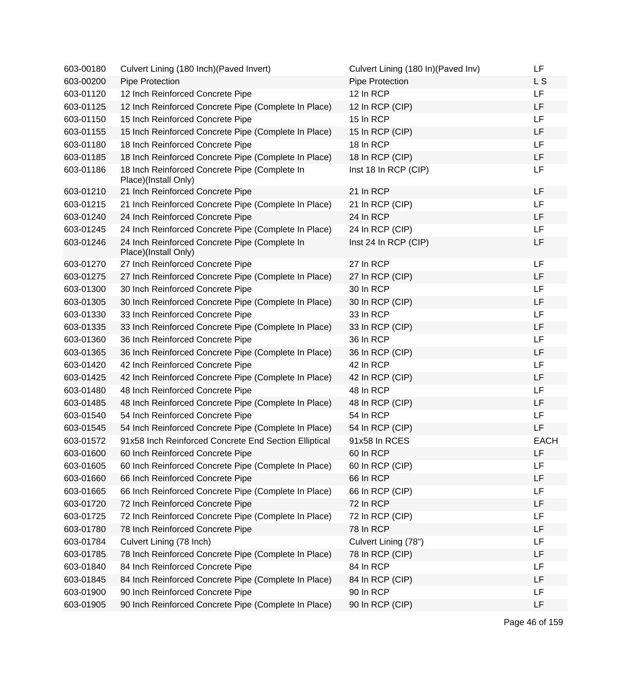| 603-00180 | Culvert Lining (180 Inch) (Paved Invert)                              | Culvert Lining (180 In) (Paved Inv) | LF          |
|-----------|-----------------------------------------------------------------------|-------------------------------------|-------------|
| 603-00200 | Pipe Protection                                                       | Pipe Protection                     | L S         |
| 603-01120 | 12 Inch Reinforced Concrete Pipe                                      | 12 In RCP                           | LF          |
| 603-01125 | 12 Inch Reinforced Concrete Pipe (Complete In Place)                  | 12 In RCP (CIP)                     | LF          |
| 603-01150 | 15 Inch Reinforced Concrete Pipe                                      | 15 In RCP                           | LF          |
| 603-01155 | 15 Inch Reinforced Concrete Pipe (Complete In Place)                  | 15 In RCP (CIP)                     | LF          |
| 603-01180 | 18 Inch Reinforced Concrete Pipe                                      | 18 In RCP                           | LF          |
| 603-01185 | 18 Inch Reinforced Concrete Pipe (Complete In Place)                  | 18 In RCP (CIP)                     | LF          |
| 603-01186 | 18 Inch Reinforced Concrete Pipe (Complete In<br>Place)(Install Only) | Inst 18 In RCP (CIP)                | LF          |
| 603-01210 | 21 Inch Reinforced Concrete Pipe                                      | 21 In RCP                           | LF          |
| 603-01215 | 21 Inch Reinforced Concrete Pipe (Complete In Place)                  | 21 In RCP (CIP)                     | LF          |
| 603-01240 | 24 Inch Reinforced Concrete Pipe                                      | 24 In RCP                           | LF          |
| 603-01245 | 24 Inch Reinforced Concrete Pipe (Complete In Place)                  | 24 In RCP (CIP)                     | LF          |
| 603-01246 | 24 Inch Reinforced Concrete Pipe (Complete In<br>Place)(Install Only) | Inst 24 In RCP (CIP)                | LF          |
| 603-01270 | 27 Inch Reinforced Concrete Pipe                                      | 27 In RCP                           | LF          |
| 603-01275 | 27 Inch Reinforced Concrete Pipe (Complete In Place)                  | 27 In RCP (CIP)                     | LF          |
| 603-01300 | 30 Inch Reinforced Concrete Pipe                                      | 30 In RCP                           | LF          |
| 603-01305 | 30 Inch Reinforced Concrete Pipe (Complete In Place)                  | 30 In RCP (CIP)                     | LF          |
| 603-01330 | 33 Inch Reinforced Concrete Pipe                                      | 33 In RCP                           | LF          |
| 603-01335 | 33 Inch Reinforced Concrete Pipe (Complete In Place)                  | 33 In RCP (CIP)                     | LF          |
| 603-01360 | 36 Inch Reinforced Concrete Pipe                                      | 36 In RCP                           | LF          |
| 603-01365 | 36 Inch Reinforced Concrete Pipe (Complete In Place)                  | 36 In RCP (CIP)                     | LF          |
| 603-01420 | 42 Inch Reinforced Concrete Pipe                                      | 42 In RCP                           | LF          |
| 603-01425 | 42 Inch Reinforced Concrete Pipe (Complete In Place)                  | 42 In RCP (CIP)                     | LF          |
| 603-01480 | 48 Inch Reinforced Concrete Pipe                                      | 48 In RCP                           | LF          |
| 603-01485 | 48 Inch Reinforced Concrete Pipe (Complete In Place)                  | 48 In RCP (CIP)                     | LF          |
| 603-01540 | 54 Inch Reinforced Concrete Pipe                                      | 54 In RCP                           | LF          |
| 603-01545 | 54 Inch Reinforced Concrete Pipe (Complete In Place)                  | 54 In RCP (CIP)                     | LF          |
| 603-01572 | 91x58 Inch Reinforced Concrete End Section Elliptical                 | 91x58 In RCES                       | <b>EACH</b> |
| 603-01600 | 60 Inch Reinforced Concrete Pipe                                      | 60 In RCP                           | LF          |
| 603-01605 | 60 Inch Reinforced Concrete Pipe (Complete In Place)                  | 60 In RCP (CIP)                     | LF          |
| 603-01660 | 66 Inch Reinforced Concrete Pipe                                      | 66 In RCP                           | LF          |
| 603-01665 | 66 Inch Reinforced Concrete Pipe (Complete In Place)                  | 66 In RCP (CIP)                     | LF          |
| 603-01720 | 72 Inch Reinforced Concrete Pipe                                      | 72 In RCP                           | LF          |
| 603-01725 | 72 Inch Reinforced Concrete Pipe (Complete In Place)                  | 72 In RCP (CIP)                     | LF          |
| 603-01780 | 78 Inch Reinforced Concrete Pipe                                      | 78 In RCP                           | LF          |
| 603-01784 | Culvert Lining (78 Inch)                                              | Culvert Lining (78")                | LF          |
| 603-01785 | 78 Inch Reinforced Concrete Pipe (Complete In Place)                  | 78 In RCP (CIP)                     | LF          |
| 603-01840 | 84 Inch Reinforced Concrete Pipe                                      | 84 In RCP                           | LF          |
| 603-01845 | 84 Inch Reinforced Concrete Pipe (Complete In Place)                  | 84 In RCP (CIP)                     | LF          |
| 603-01900 | 90 Inch Reinforced Concrete Pipe                                      | 90 In RCP                           | LF          |
| 603-01905 | 90 Inch Reinforced Concrete Pipe (Complete In Place)                  | 90 In RCP (CIP)                     | LF          |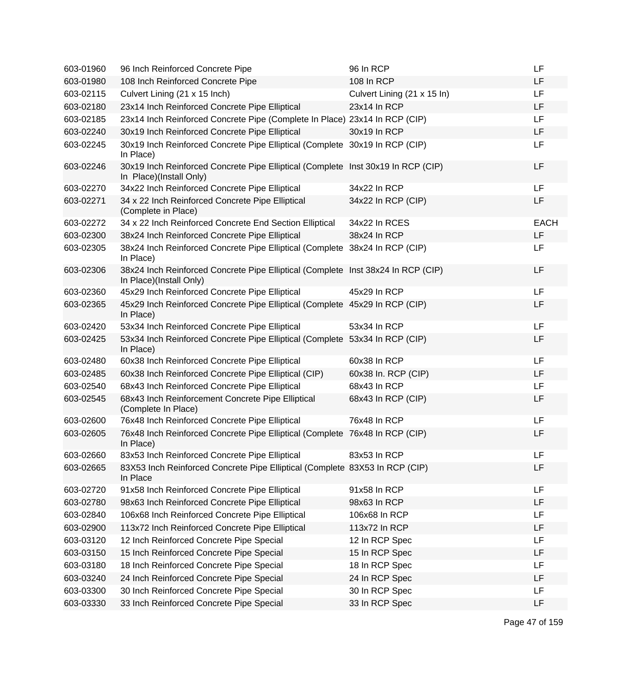| 603-01960 | 96 Inch Reinforced Concrete Pipe                                                                            | 96 In RCP                   | LF          |
|-----------|-------------------------------------------------------------------------------------------------------------|-----------------------------|-------------|
| 603-01980 | 108 Inch Reinforced Concrete Pipe                                                                           | 108 In RCP                  | LF          |
| 603-02115 | Culvert Lining (21 x 15 Inch)                                                                               | Culvert Lining (21 x 15 ln) | LF          |
| 603-02180 | 23x14 Inch Reinforced Concrete Pipe Elliptical                                                              | 23x14 In RCP                | LF          |
| 603-02185 | 23x14 Inch Reinforced Concrete Pipe (Complete In Place) 23x14 In RCP (CIP)                                  |                             | LF          |
| 603-02240 | 30x19 Inch Reinforced Concrete Pipe Elliptical                                                              | 30x19 In RCP                | LF          |
| 603-02245 | 30x19 Inch Reinforced Concrete Pipe Elliptical (Complete 30x19 In RCP (CIP)<br>In Place)                    |                             | LF          |
| 603-02246 | 30x19 Inch Reinforced Concrete Pipe Elliptical (Complete Inst 30x19 In RCP (CIP)<br>In Place)(Install Only) |                             | LF          |
| 603-02270 | 34x22 Inch Reinforced Concrete Pipe Elliptical                                                              | 34x22 In RCP                | LF          |
| 603-02271 | 34 x 22 Inch Reinforced Concrete Pipe Elliptical<br>(Complete in Place)                                     | 34x22 In RCP (CIP)          | LF          |
| 603-02272 | 34 x 22 Inch Reinforced Concrete End Section Elliptical                                                     | 34x22 In RCES               | <b>EACH</b> |
| 603-02300 | 38x24 Inch Reinforced Concrete Pipe Elliptical                                                              | 38x24 In RCP                | LF          |
| 603-02305 | 38x24 Inch Reinforced Concrete Pipe Elliptical (Complete 38x24 In RCP (CIP)<br>In Place)                    |                             | LF          |
| 603-02306 | 38x24 Inch Reinforced Concrete Pipe Elliptical (Complete Inst 38x24 In RCP (CIP)<br>In Place)(Install Only) |                             | LF          |
| 603-02360 | 45x29 Inch Reinforced Concrete Pipe Elliptical                                                              | 45x29 In RCP                | LF          |
| 603-02365 | 45x29 Inch Reinforced Concrete Pipe Elliptical (Complete 45x29 In RCP (CIP)<br>In Place)                    |                             | LF          |
| 603-02420 | 53x34 Inch Reinforced Concrete Pipe Elliptical                                                              | 53x34 In RCP                | LF          |
| 603-02425 | 53x34 Inch Reinforced Concrete Pipe Elliptical (Complete 53x34 In RCP (CIP)<br>In Place)                    |                             | LF          |
| 603-02480 | 60x38 Inch Reinforced Concrete Pipe Elliptical                                                              | 60x38 In RCP                | LF          |
| 603-02485 | 60x38 Inch Reinforced Concrete Pipe Elliptical (CIP)                                                        | 60x38 In. RCP (CIP)         | LF          |
| 603-02540 | 68x43 Inch Reinforced Concrete Pipe Elliptical                                                              | 68x43 In RCP                | LF          |
| 603-02545 | 68x43 Inch Reinforcement Concrete Pipe Elliptical<br>(Complete In Place)                                    | 68x43 In RCP (CIP)          | LF          |
| 603-02600 | 76x48 Inch Reinforced Concrete Pipe Elliptical                                                              | 76x48 In RCP                | LF          |
| 603-02605 | 76x48 Inch Reinforced Concrete Pipe Elliptical (Complete 76x48 In RCP (CIP)<br>In Place)                    |                             | LF          |
| 603-02660 | 83x53 Inch Reinforced Concrete Pipe Elliptical                                                              | 83x53 In RCP                | LF          |
| 603-02665 | 83X53 Inch Reinforced Concrete Pipe Elliptical (Complete 83X53 In RCP (CIP)<br>In Place                     |                             | LF          |
| 603-02720 | 91x58 Inch Reinforced Concrete Pipe Elliptical                                                              | 91x58 In RCP                | LF          |
| 603-02780 | 98x63 Inch Reinforced Concrete Pipe Elliptical                                                              | 98x63 In RCP                | LF          |
| 603-02840 | 106x68 Inch Reinforced Concrete Pipe Elliptical                                                             | 106x68 In RCP               | LF          |
| 603-02900 | 113x72 Inch Reinforced Concrete Pipe Elliptical                                                             | 113x72 In RCP               | LF          |
| 603-03120 | 12 Inch Reinforced Concrete Pipe Special                                                                    | 12 In RCP Spec              | LF          |
| 603-03150 | 15 Inch Reinforced Concrete Pipe Special                                                                    | 15 In RCP Spec              | LF          |
| 603-03180 | 18 Inch Reinforced Concrete Pipe Special                                                                    | 18 In RCP Spec              | LF          |
| 603-03240 | 24 Inch Reinforced Concrete Pipe Special                                                                    | 24 In RCP Spec              | LF          |
| 603-03300 | 30 Inch Reinforced Concrete Pipe Special                                                                    | 30 In RCP Spec              | LF          |
| 603-03330 | 33 Inch Reinforced Concrete Pipe Special                                                                    | 33 In RCP Spec              | LF          |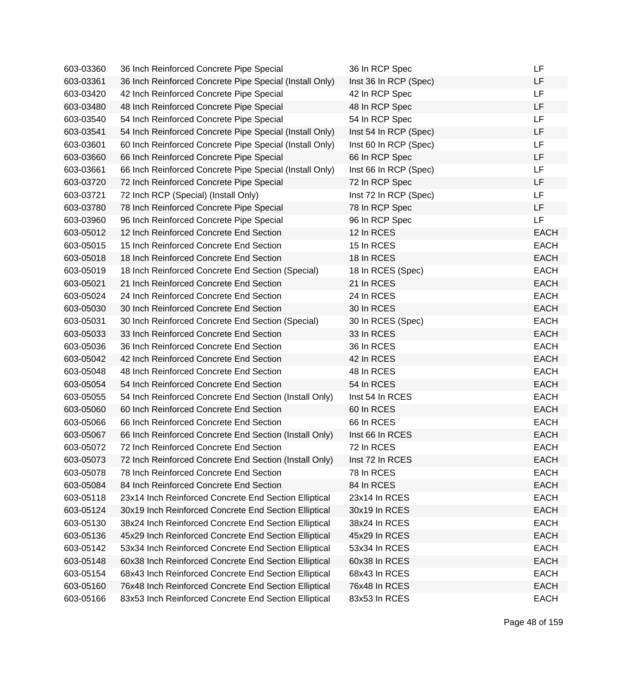| 603-03360 | 36 Inch Reinforced Concrete Pipe Special                | 36 In RCP Spec        | LF          |
|-----------|---------------------------------------------------------|-----------------------|-------------|
| 603-03361 | 36 Inch Reinforced Concrete Pipe Special (Install Only) | Inst 36 In RCP (Spec) | LF          |
| 603-03420 | 42 Inch Reinforced Concrete Pipe Special                | 42 In RCP Spec        | <b>LF</b>   |
| 603-03480 | 48 Inch Reinforced Concrete Pipe Special                | 48 In RCP Spec        | LF          |
| 603-03540 | 54 Inch Reinforced Concrete Pipe Special                | 54 In RCP Spec        | LF          |
| 603-03541 | 54 Inch Reinforced Concrete Pipe Special (Install Only) | Inst 54 In RCP (Spec) | LF          |
| 603-03601 | 60 Inch Reinforced Concrete Pipe Special (Install Only) | Inst 60 In RCP (Spec) | LF          |
| 603-03660 | 66 Inch Reinforced Concrete Pipe Special                | 66 In RCP Spec        | LF          |
| 603-03661 | 66 Inch Reinforced Concrete Pipe Special (Install Only) | Inst 66 In RCP (Spec) | LF          |
| 603-03720 | 72 Inch Reinforced Concrete Pipe Special                | 72 In RCP Spec        | LF          |
| 603-03721 | 72 Inch RCP (Special) (Install Only)                    | Inst 72 In RCP (Spec) | LF.         |
| 603-03780 | 78 Inch Reinforced Concrete Pipe Special                | 78 In RCP Spec        | <b>LF</b>   |
| 603-03960 | 96 Inch Reinforced Concrete Pipe Special                | 96 In RCP Spec        | LF          |
| 603-05012 | 12 Inch Reinforced Concrete End Section                 | 12 In RCES            | <b>EACH</b> |
| 603-05015 | 15 Inch Reinforced Concrete End Section                 | 15 In RCES            | <b>EACH</b> |
| 603-05018 | 18 Inch Reinforced Concrete End Section                 | 18 In RCES            | <b>EACH</b> |
| 603-05019 | 18 Inch Reinforced Concrete End Section (Special)       | 18 In RCES (Spec)     | <b>EACH</b> |
| 603-05021 | 21 Inch Reinforced Concrete End Section                 | 21 In RCES            | <b>EACH</b> |
| 603-05024 | 24 Inch Reinforced Concrete End Section                 | 24 In RCES            | <b>EACH</b> |
| 603-05030 | 30 Inch Reinforced Concrete End Section                 | 30 In RCES            | <b>EACH</b> |
| 603-05031 | 30 Inch Reinforced Concrete End Section (Special)       | 30 In RCES (Spec)     | <b>EACH</b> |
| 603-05033 | 33 Inch Reinforced Concrete End Section                 | 33 In RCES            | <b>EACH</b> |
| 603-05036 | 36 Inch Reinforced Concrete End Section                 | 36 In RCES            | <b>EACH</b> |
| 603-05042 | 42 Inch Reinforced Concrete End Section                 | 42 In RCES            | <b>EACH</b> |
| 603-05048 | 48 Inch Reinforced Concrete End Section                 | 48 In RCES            | <b>EACH</b> |
| 603-05054 | 54 Inch Reinforced Concrete End Section                 | 54 In RCES            | <b>EACH</b> |
| 603-05055 | 54 Inch Reinforced Concrete End Section (Install Only)  | Inst 54 In RCES       | <b>EACH</b> |
| 603-05060 | 60 Inch Reinforced Concrete End Section                 | 60 In RCES            | <b>EACH</b> |
| 603-05066 | 66 Inch Reinforced Concrete End Section                 | 66 In RCES            | <b>EACH</b> |
| 603-05067 | 66 Inch Reinforced Concrete End Section (Install Only)  | Inst 66 In RCES       | <b>EACH</b> |
| 603-05072 | 72 Inch Reinforced Concrete End Section                 | 72 In RCES            | <b>EACH</b> |
| 603-05073 | 72 Inch Reinforced Concrete End Section (Install Only)  | Inst 72 In RCES       | <b>EACH</b> |
| 603-05078 | 78 Inch Reinforced Concrete End Section                 | 78 In RCES            | <b>EACH</b> |
| 603-05084 | 84 Inch Reinforced Concrete End Section                 | 84 In RCES            | <b>EACH</b> |
| 603-05118 | 23x14 Inch Reinforced Concrete End Section Elliptical   | 23x14 In RCES         | <b>EACH</b> |
| 603-05124 | 30x19 Inch Reinforced Concrete End Section Elliptical   | 30x19 In RCES         | <b>EACH</b> |
| 603-05130 | 38x24 Inch Reinforced Concrete End Section Elliptical   | 38x24 In RCES         | <b>EACH</b> |
| 603-05136 | 45x29 Inch Reinforced Concrete End Section Elliptical   | 45x29 In RCES         | <b>EACH</b> |
| 603-05142 | 53x34 Inch Reinforced Concrete End Section Elliptical   | 53x34 In RCES         | <b>EACH</b> |
| 603-05148 | 60x38 Inch Reinforced Concrete End Section Elliptical   | 60x38 In RCES         | <b>EACH</b> |
| 603-05154 | 68x43 Inch Reinforced Concrete End Section Elliptical   | 68x43 In RCES         | <b>EACH</b> |
| 603-05160 | 76x48 Inch Reinforced Concrete End Section Elliptical   | 76x48 In RCES         | <b>EACH</b> |
| 603-05166 | 83x53 Inch Reinforced Concrete End Section Elliptical   | 83x53 In RCES         | <b>EACH</b> |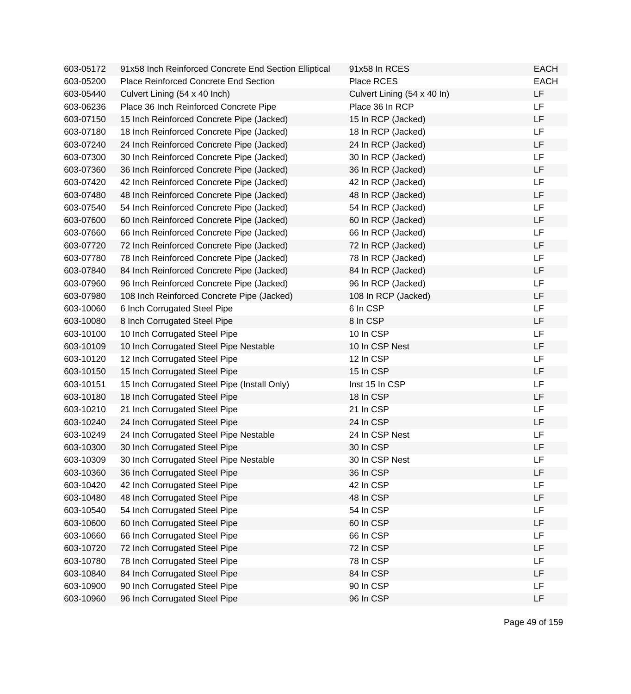| 603-05172 | 91x58 Inch Reinforced Concrete End Section Elliptical | 91x58 In RCES               | <b>EACH</b> |
|-----------|-------------------------------------------------------|-----------------------------|-------------|
| 603-05200 | Place Reinforced Concrete End Section                 | Place RCES                  | <b>EACH</b> |
| 603-05440 | Culvert Lining (54 x 40 Inch)                         | Culvert Lining (54 x 40 ln) | LF          |
| 603-06236 | Place 36 Inch Reinforced Concrete Pipe                | Place 36 In RCP             | LF          |
| 603-07150 | 15 Inch Reinforced Concrete Pipe (Jacked)             | 15 In RCP (Jacked)          | <b>LF</b>   |
| 603-07180 | 18 Inch Reinforced Concrete Pipe (Jacked)             | 18 In RCP (Jacked)          | <b>LF</b>   |
| 603-07240 | 24 Inch Reinforced Concrete Pipe (Jacked)             | 24 In RCP (Jacked)          | LF          |
| 603-07300 | 30 Inch Reinforced Concrete Pipe (Jacked)             | 30 In RCP (Jacked)          | LF          |
| 603-07360 | 36 Inch Reinforced Concrete Pipe (Jacked)             | 36 In RCP (Jacked)          | LF          |
| 603-07420 | 42 Inch Reinforced Concrete Pipe (Jacked)             | 42 In RCP (Jacked)          | <b>LF</b>   |
| 603-07480 | 48 Inch Reinforced Concrete Pipe (Jacked)             | 48 In RCP (Jacked)          | LF          |
| 603-07540 | 54 Inch Reinforced Concrete Pipe (Jacked)             | 54 In RCP (Jacked)          | <b>LF</b>   |
| 603-07600 | 60 Inch Reinforced Concrete Pipe (Jacked)             | 60 In RCP (Jacked)          | <b>LF</b>   |
| 603-07660 | 66 Inch Reinforced Concrete Pipe (Jacked)             | 66 In RCP (Jacked)          | LF          |
| 603-07720 | 72 Inch Reinforced Concrete Pipe (Jacked)             | 72 In RCP (Jacked)          | LF          |
| 603-07780 | 78 Inch Reinforced Concrete Pipe (Jacked)             | 78 In RCP (Jacked)          | <b>LF</b>   |
| 603-07840 | 84 Inch Reinforced Concrete Pipe (Jacked)             | 84 In RCP (Jacked)          | LF          |
| 603-07960 | 96 Inch Reinforced Concrete Pipe (Jacked)             | 96 In RCP (Jacked)          | LF          |
| 603-07980 | 108 Inch Reinforced Concrete Pipe (Jacked)            | 108 In RCP (Jacked)         | LF          |
| 603-10060 | 6 Inch Corrugated Steel Pipe                          | 6 In CSP                    | <b>LF</b>   |
| 603-10080 | 8 Inch Corrugated Steel Pipe                          | 8 In CSP                    | LF          |
| 603-10100 | 10 Inch Corrugated Steel Pipe                         | 10 In CSP                   | <b>LF</b>   |
| 603-10109 | 10 Inch Corrugated Steel Pipe Nestable                | 10 In CSP Nest              | LF          |
| 603-10120 | 12 Inch Corrugated Steel Pipe                         | 12 In CSP                   | LF          |
| 603-10150 | 15 Inch Corrugated Steel Pipe                         | 15 In CSP                   | <b>LF</b>   |
| 603-10151 | 15 Inch Corrugated Steel Pipe (Install Only)          | Inst 15 In CSP              | LF          |
| 603-10180 | 18 Inch Corrugated Steel Pipe                         | 18 In CSP                   | LF          |
| 603-10210 | 21 Inch Corrugated Steel Pipe                         | 21 In CSP                   | LF          |
| 603-10240 | 24 Inch Corrugated Steel Pipe                         | 24 In CSP                   | LF          |
| 603-10249 | 24 Inch Corrugated Steel Pipe Nestable                | 24 In CSP Nest              | LF          |
| 603-10300 | 30 Inch Corrugated Steel Pipe                         | 30 In CSP                   | LF          |
| 603-10309 | 30 Inch Corrugated Steel Pipe Nestable                | 30 In CSP Nest              | LF          |
| 603-10360 | 36 Inch Corrugated Steel Pipe                         | 36 In CSP                   | LF          |
| 603-10420 | 42 Inch Corrugated Steel Pipe                         | 42 In CSP                   | LF          |
| 603-10480 | 48 Inch Corrugated Steel Pipe                         | 48 In CSP                   | LF          |
| 603-10540 | 54 Inch Corrugated Steel Pipe                         | 54 In CSP                   | LF          |
| 603-10600 | 60 Inch Corrugated Steel Pipe                         | 60 In CSP                   | LF          |
| 603-10660 | 66 Inch Corrugated Steel Pipe                         | 66 In CSP                   | LF          |
| 603-10720 | 72 Inch Corrugated Steel Pipe                         | 72 In CSP                   | LF          |
| 603-10780 | 78 Inch Corrugated Steel Pipe                         | 78 In CSP                   | LF          |
| 603-10840 | 84 Inch Corrugated Steel Pipe                         | 84 In CSP                   | LF          |
| 603-10900 | 90 Inch Corrugated Steel Pipe                         | 90 In CSP                   | LF          |
| 603-10960 | 96 Inch Corrugated Steel Pipe                         | 96 In CSP                   | LF          |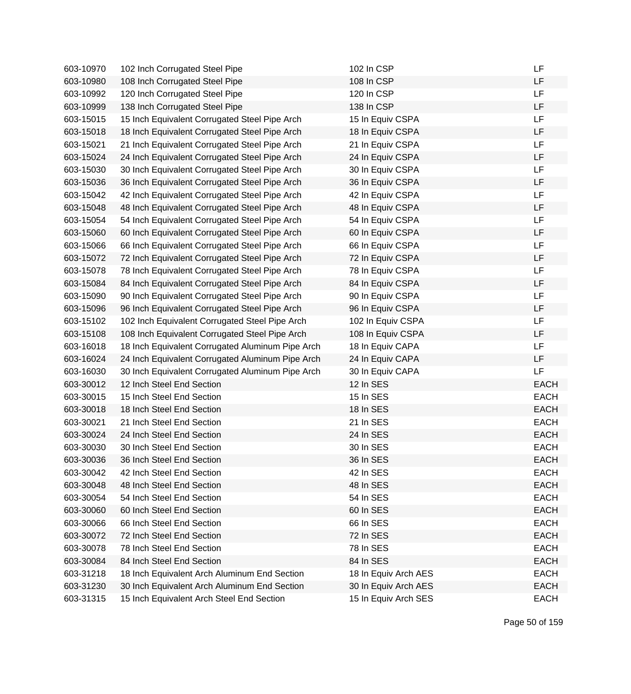| 603-10970 | 102 Inch Corrugated Steel Pipe                   | 102 In CSP           | LF          |
|-----------|--------------------------------------------------|----------------------|-------------|
| 603-10980 | 108 Inch Corrugated Steel Pipe                   | 108 In CSP           | LF          |
| 603-10992 | 120 Inch Corrugated Steel Pipe                   | 120 In CSP           | LF          |
| 603-10999 | 138 Inch Corrugated Steel Pipe                   | 138 In CSP           | LF          |
| 603-15015 | 15 Inch Equivalent Corrugated Steel Pipe Arch    | 15 In Equiv CSPA     | LF          |
| 603-15018 | 18 Inch Equivalent Corrugated Steel Pipe Arch    | 18 In Equiv CSPA     | LF          |
| 603-15021 | 21 Inch Equivalent Corrugated Steel Pipe Arch    | 21 In Equiv CSPA     | LF          |
| 603-15024 | 24 Inch Equivalent Corrugated Steel Pipe Arch    | 24 In Equiv CSPA     | LF          |
| 603-15030 | 30 Inch Equivalent Corrugated Steel Pipe Arch    | 30 In Equiv CSPA     | <b>LF</b>   |
| 603-15036 | 36 Inch Equivalent Corrugated Steel Pipe Arch    | 36 In Equiv CSPA     | LF          |
| 603-15042 | 42 Inch Equivalent Corrugated Steel Pipe Arch    | 42 In Equiv CSPA     | <b>LF</b>   |
| 603-15048 | 48 Inch Equivalent Corrugated Steel Pipe Arch    | 48 In Equiv CSPA     | LF          |
| 603-15054 | 54 Inch Equivalent Corrugated Steel Pipe Arch    | 54 In Equiv CSPA     | LF          |
| 603-15060 | 60 Inch Equivalent Corrugated Steel Pipe Arch    | 60 In Equiv CSPA     | LF          |
| 603-15066 | 66 Inch Equivalent Corrugated Steel Pipe Arch    | 66 In Equiv CSPA     | LF          |
| 603-15072 | 72 Inch Equivalent Corrugated Steel Pipe Arch    | 72 In Equiv CSPA     | LF          |
| 603-15078 | 78 Inch Equivalent Corrugated Steel Pipe Arch    | 78 In Equiv CSPA     | LF          |
| 603-15084 | 84 Inch Equivalent Corrugated Steel Pipe Arch    | 84 In Equiv CSPA     | LF          |
| 603-15090 | 90 Inch Equivalent Corrugated Steel Pipe Arch    | 90 In Equiv CSPA     | <b>LF</b>   |
| 603-15096 | 96 Inch Equivalent Corrugated Steel Pipe Arch    | 96 In Equiv CSPA     | LF          |
| 603-15102 | 102 Inch Equivalent Corrugated Steel Pipe Arch   | 102 In Equiv CSPA    | LF          |
| 603-15108 | 108 Inch Equivalent Corrugated Steel Pipe Arch   | 108 In Equiv CSPA    | LF          |
| 603-16018 | 18 Inch Equivalent Corrugated Aluminum Pipe Arch | 18 In Equiv CAPA     | LF          |
| 603-16024 | 24 Inch Equivalent Corrugated Aluminum Pipe Arch | 24 In Equiv CAPA     | LF          |
| 603-16030 | 30 Inch Equivalent Corrugated Aluminum Pipe Arch | 30 In Equiv CAPA     | LF          |
| 603-30012 | 12 Inch Steel End Section                        | 12 In SES            | <b>EACH</b> |
| 603-30015 | 15 Inch Steel End Section                        | 15 In SES            | <b>EACH</b> |
| 603-30018 | 18 Inch Steel End Section                        | 18 In SES            | <b>EACH</b> |
| 603-30021 | 21 Inch Steel End Section                        | 21 In SES            | <b>EACH</b> |
| 603-30024 | 24 Inch Steel End Section                        | 24 In SES            | <b>EACH</b> |
| 603-30030 | 30 Inch Steel End Section                        | 30 In SES            | <b>EACH</b> |
| 603-30036 | 36 Inch Steel End Section                        | 36 In SES            | <b>EACH</b> |
| 603-30042 | 42 Inch Steel End Section                        | 42 In SES            | <b>EACH</b> |
| 603-30048 | 48 Inch Steel End Section                        | 48 In SES            | <b>EACH</b> |
| 603-30054 | 54 Inch Steel End Section                        | 54 In SES            | <b>EACH</b> |
| 603-30060 | 60 Inch Steel End Section                        | 60 In SES            | <b>EACH</b> |
| 603-30066 | 66 Inch Steel End Section                        | 66 In SES            | <b>EACH</b> |
| 603-30072 | 72 Inch Steel End Section                        | 72 In SES            | <b>EACH</b> |
| 603-30078 | 78 Inch Steel End Section                        | 78 In SES            | <b>EACH</b> |
| 603-30084 | 84 Inch Steel End Section                        | 84 In SES            | <b>EACH</b> |
| 603-31218 | 18 Inch Equivalent Arch Aluminum End Section     | 18 In Equiv Arch AES | <b>EACH</b> |
| 603-31230 | 30 Inch Equivalent Arch Aluminum End Section     | 30 In Equiv Arch AES | <b>EACH</b> |
| 603-31315 | 15 Inch Equivalent Arch Steel End Section        | 15 In Equiv Arch SES | <b>EACH</b> |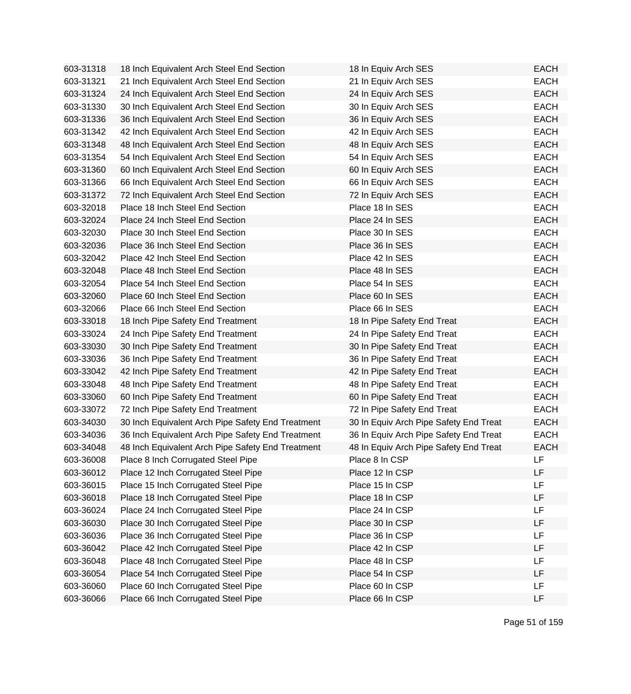| 603-31318 | 18 Inch Equivalent Arch Steel End Section         | 18 In Equiv Arch SES                   | <b>EACH</b> |
|-----------|---------------------------------------------------|----------------------------------------|-------------|
| 603-31321 | 21 Inch Equivalent Arch Steel End Section         | 21 In Equiv Arch SES                   | <b>EACH</b> |
| 603-31324 | 24 Inch Equivalent Arch Steel End Section         | 24 In Equiv Arch SES                   | <b>EACH</b> |
| 603-31330 | 30 Inch Equivalent Arch Steel End Section         | 30 In Equiv Arch SES                   | <b>EACH</b> |
| 603-31336 | 36 Inch Equivalent Arch Steel End Section         | 36 In Equiv Arch SES                   | <b>EACH</b> |
| 603-31342 | 42 Inch Equivalent Arch Steel End Section         | 42 In Equiv Arch SES                   | <b>EACH</b> |
| 603-31348 | 48 Inch Equivalent Arch Steel End Section         | 48 In Equiv Arch SES                   | <b>EACH</b> |
| 603-31354 | 54 Inch Equivalent Arch Steel End Section         | 54 In Equiv Arch SES                   | <b>EACH</b> |
| 603-31360 | 60 Inch Equivalent Arch Steel End Section         | 60 In Equiv Arch SES                   | <b>EACH</b> |
| 603-31366 | 66 Inch Equivalent Arch Steel End Section         | 66 In Equiv Arch SES                   | <b>EACH</b> |
| 603-31372 | 72 Inch Equivalent Arch Steel End Section         | 72 In Equiv Arch SES                   | <b>EACH</b> |
| 603-32018 | Place 18 Inch Steel End Section                   | Place 18 In SES                        | <b>EACH</b> |
| 603-32024 | Place 24 Inch Steel End Section                   | Place 24 In SES                        | <b>EACH</b> |
| 603-32030 | Place 30 Inch Steel End Section                   | Place 30 In SES                        | <b>EACH</b> |
| 603-32036 | Place 36 Inch Steel End Section                   | Place 36 In SES                        | <b>EACH</b> |
| 603-32042 | Place 42 Inch Steel End Section                   | Place 42 In SES                        | <b>EACH</b> |
| 603-32048 | Place 48 Inch Steel End Section                   | Place 48 In SES                        | <b>EACH</b> |
| 603-32054 | Place 54 Inch Steel End Section                   | Place 54 In SES                        | <b>EACH</b> |
| 603-32060 | Place 60 Inch Steel End Section                   | Place 60 In SES                        | <b>EACH</b> |
| 603-32066 | Place 66 Inch Steel End Section                   | Place 66 In SES                        | <b>EACH</b> |
| 603-33018 | 18 Inch Pipe Safety End Treatment                 | 18 In Pipe Safety End Treat            | <b>EACH</b> |
| 603-33024 | 24 Inch Pipe Safety End Treatment                 | 24 In Pipe Safety End Treat            | <b>EACH</b> |
| 603-33030 | 30 Inch Pipe Safety End Treatment                 | 30 In Pipe Safety End Treat            | <b>EACH</b> |
| 603-33036 | 36 Inch Pipe Safety End Treatment                 | 36 In Pipe Safety End Treat            | <b>EACH</b> |
| 603-33042 | 42 Inch Pipe Safety End Treatment                 | 42 In Pipe Safety End Treat            | <b>EACH</b> |
| 603-33048 | 48 Inch Pipe Safety End Treatment                 | 48 In Pipe Safety End Treat            | <b>EACH</b> |
| 603-33060 | 60 Inch Pipe Safety End Treatment                 | 60 In Pipe Safety End Treat            | <b>EACH</b> |
| 603-33072 | 72 Inch Pipe Safety End Treatment                 | 72 In Pipe Safety End Treat            | <b>EACH</b> |
| 603-34030 | 30 Inch Equivalent Arch Pipe Safety End Treatment | 30 In Equiv Arch Pipe Safety End Treat | <b>EACH</b> |
| 603-34036 | 36 Inch Equivalent Arch Pipe Safety End Treatment | 36 In Equiv Arch Pipe Safety End Treat | <b>EACH</b> |
| 603-34048 | 48 Inch Equivalent Arch Pipe Safety End Treatment | 48 In Equiv Arch Pipe Safety End Treat | <b>EACH</b> |
| 603-36008 | Place 8 Inch Corrugated Steel Pipe                | Place 8 In CSP                         | LF          |
| 603-36012 | Place 12 Inch Corrugated Steel Pipe               | Place 12 In CSP                        | LF          |
| 603-36015 | Place 15 Inch Corrugated Steel Pipe               | Place 15 In CSP                        | LF          |
| 603-36018 | Place 18 Inch Corrugated Steel Pipe               | Place 18 In CSP                        | <b>LF</b>   |
| 603-36024 | Place 24 Inch Corrugated Steel Pipe               | Place 24 In CSP                        | <b>LF</b>   |
| 603-36030 | Place 30 Inch Corrugated Steel Pipe               | Place 30 In CSP                        | LF          |
| 603-36036 | Place 36 Inch Corrugated Steel Pipe               | Place 36 In CSP                        | LF          |
| 603-36042 | Place 42 Inch Corrugated Steel Pipe               | Place 42 In CSP                        | LF          |
| 603-36048 | Place 48 Inch Corrugated Steel Pipe               | Place 48 In CSP                        | LF          |
| 603-36054 | Place 54 Inch Corrugated Steel Pipe               | Place 54 In CSP                        | LF          |
| 603-36060 | Place 60 Inch Corrugated Steel Pipe               | Place 60 In CSP                        | LF          |
| 603-36066 | Place 66 Inch Corrugated Steel Pipe               | Place 66 In CSP                        | LF          |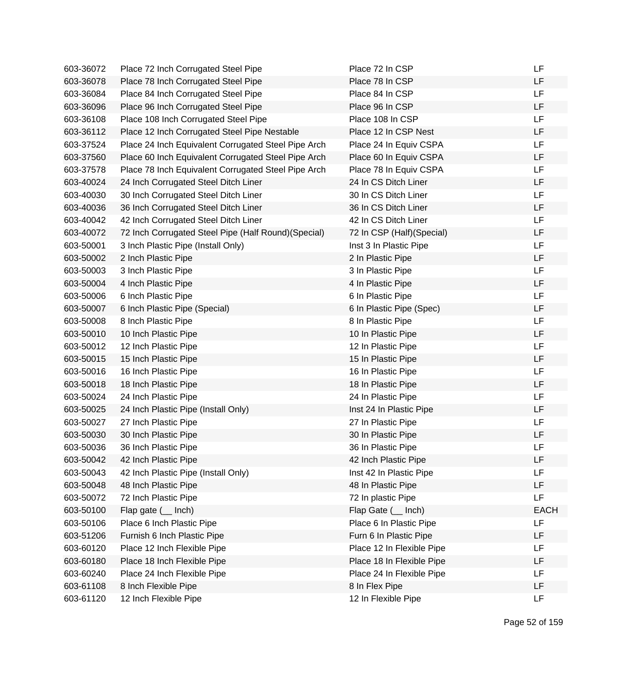| 603-36072 | Place 72 Inch Corrugated Steel Pipe                  | Place 72 In CSP           | LF          |
|-----------|------------------------------------------------------|---------------------------|-------------|
| 603-36078 | Place 78 Inch Corrugated Steel Pipe                  | Place 78 In CSP           | LF          |
| 603-36084 | Place 84 Inch Corrugated Steel Pipe                  | Place 84 In CSP           | <b>LF</b>   |
| 603-36096 | Place 96 Inch Corrugated Steel Pipe                  | Place 96 In CSP           | LF          |
| 603-36108 | Place 108 Inch Corrugated Steel Pipe                 | Place 108 In CSP          | LF          |
| 603-36112 | Place 12 Inch Corrugated Steel Pipe Nestable         | Place 12 In CSP Nest      | LF          |
| 603-37524 | Place 24 Inch Equivalent Corrugated Steel Pipe Arch  | Place 24 In Equiv CSPA    | <b>LF</b>   |
| 603-37560 | Place 60 Inch Equivalent Corrugated Steel Pipe Arch  | Place 60 In Equiv CSPA    | LF          |
| 603-37578 | Place 78 Inch Equivalent Corrugated Steel Pipe Arch  | Place 78 In Equiv CSPA    | LF          |
| 603-40024 | 24 Inch Corrugated Steel Ditch Liner                 | 24 In CS Ditch Liner      | LF          |
| 603-40030 | 30 Inch Corrugated Steel Ditch Liner                 | 30 In CS Ditch Liner      | <b>LF</b>   |
| 603-40036 | 36 Inch Corrugated Steel Ditch Liner                 | 36 In CS Ditch Liner      | LF          |
| 603-40042 | 42 Inch Corrugated Steel Ditch Liner                 | 42 In CS Ditch Liner      | LF          |
| 603-40072 | 72 Inch Corrugated Steel Pipe (Half Round) (Special) | 72 In CSP (Half)(Special) | LF          |
| 603-50001 | 3 Inch Plastic Pipe (Install Only)                   | Inst 3 In Plastic Pipe    | LF          |
| 603-50002 | 2 Inch Plastic Pipe                                  | 2 In Plastic Pipe         | LF          |
| 603-50003 | 3 Inch Plastic Pipe                                  | 3 In Plastic Pipe         | <b>LF</b>   |
| 603-50004 | 4 Inch Plastic Pipe                                  | 4 In Plastic Pipe         | LF          |
| 603-50006 | 6 Inch Plastic Pipe                                  | 6 In Plastic Pipe         | LF          |
| 603-50007 | 6 Inch Plastic Pipe (Special)                        | 6 In Plastic Pipe (Spec)  | LF          |
| 603-50008 | 8 Inch Plastic Pipe                                  | 8 In Plastic Pipe         | <b>LF</b>   |
| 603-50010 | 10 Inch Plastic Pipe                                 | 10 In Plastic Pipe        | LF          |
| 603-50012 | 12 Inch Plastic Pipe                                 | 12 In Plastic Pipe        | LF          |
| 603-50015 | 15 Inch Plastic Pipe                                 | 15 In Plastic Pipe        | LF          |
| 603-50016 | 16 Inch Plastic Pipe                                 | 16 In Plastic Pipe        | LF          |
| 603-50018 | 18 Inch Plastic Pipe                                 | 18 In Plastic Pipe        | LF          |
| 603-50024 | 24 Inch Plastic Pipe                                 | 24 In Plastic Pipe        | LF          |
| 603-50025 | 24 Inch Plastic Pipe (Install Only)                  | Inst 24 In Plastic Pipe   | LF          |
| 603-50027 | 27 Inch Plastic Pipe                                 | 27 In Plastic Pipe        | LF          |
| 603-50030 | 30 Inch Plastic Pipe                                 | 30 In Plastic Pipe        | LF          |
| 603-50036 | 36 Inch Plastic Pipe                                 | 36 In Plastic Pipe        | LF          |
| 603-50042 | 42 Inch Plastic Pipe                                 | 42 Inch Plastic Pipe      | LF          |
| 603-50043 | 42 Inch Plastic Pipe (Install Only)                  | Inst 42 In Plastic Pipe   | LF          |
| 603-50048 | 48 Inch Plastic Pipe                                 | 48 In Plastic Pipe        | LF          |
| 603-50072 | 72 Inch Plastic Pipe                                 | 72 In plastic Pipe        | <b>LF</b>   |
| 603-50100 | Flap gate $($ Inch)                                  | Flap Gate ( __ Inch)      | <b>EACH</b> |
| 603-50106 | Place 6 Inch Plastic Pipe                            | Place 6 In Plastic Pipe   | LF          |
| 603-51206 | Furnish 6 Inch Plastic Pipe                          | Furn 6 In Plastic Pipe    | LF          |
| 603-60120 | Place 12 Inch Flexible Pipe                          | Place 12 In Flexible Pipe | LF          |
| 603-60180 | Place 18 Inch Flexible Pipe                          | Place 18 In Flexible Pipe | LF          |
| 603-60240 | Place 24 Inch Flexible Pipe                          | Place 24 In Flexible Pipe | LF          |
| 603-61108 | 8 Inch Flexible Pipe                                 | 8 In Flex Pipe            | LF          |
| 603-61120 | 12 Inch Flexible Pipe                                | 12 In Flexible Pipe       | <b>LF</b>   |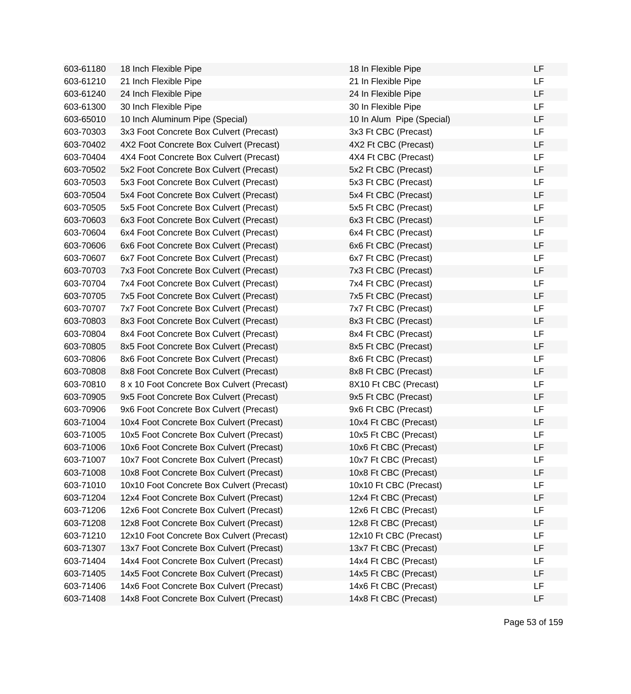| 603-61180 | 18 Inch Flexible Pipe                      | 18 In Flexible Pipe       | LF        |
|-----------|--------------------------------------------|---------------------------|-----------|
| 603-61210 | 21 Inch Flexible Pipe                      | 21 In Flexible Pipe       | LF        |
| 603-61240 | 24 Inch Flexible Pipe                      | 24 In Flexible Pipe       | <b>LF</b> |
| 603-61300 | 30 Inch Flexible Pipe                      | 30 In Flexible Pipe       | <b>LF</b> |
| 603-65010 | 10 Inch Aluminum Pipe (Special)            | 10 In Alum Pipe (Special) | LF        |
| 603-70303 | 3x3 Foot Concrete Box Culvert (Precast)    | 3x3 Ft CBC (Precast)      | <b>LF</b> |
| 603-70402 | 4X2 Foot Concrete Box Culvert (Precast)    | 4X2 Ft CBC (Precast)      | LF        |
| 603-70404 | 4X4 Foot Concrete Box Culvert (Precast)    | 4X4 Ft CBC (Precast)      | LF        |
| 603-70502 | 5x2 Foot Concrete Box Culvert (Precast)    | 5x2 Ft CBC (Precast)      | LF        |
| 603-70503 | 5x3 Foot Concrete Box Culvert (Precast)    | 5x3 Ft CBC (Precast)      | <b>LF</b> |
| 603-70504 | 5x4 Foot Concrete Box Culvert (Precast)    | 5x4 Ft CBC (Precast)      | <b>LF</b> |
| 603-70505 | 5x5 Foot Concrete Box Culvert (Precast)    | 5x5 Ft CBC (Precast)      | <b>LF</b> |
| 603-70603 | 6x3 Foot Concrete Box Culvert (Precast)    | 6x3 Ft CBC (Precast)      | <b>LF</b> |
| 603-70604 | 6x4 Foot Concrete Box Culvert (Precast)    | 6x4 Ft CBC (Precast)      | <b>LF</b> |
| 603-70606 | 6x6 Foot Concrete Box Culvert (Precast)    | 6x6 Ft CBC (Precast)      | <b>LF</b> |
| 603-70607 | 6x7 Foot Concrete Box Culvert (Precast)    | 6x7 Ft CBC (Precast)      | LF        |
| 603-70703 | 7x3 Foot Concrete Box Culvert (Precast)    | 7x3 Ft CBC (Precast)      | LF        |
| 603-70704 | 7x4 Foot Concrete Box Culvert (Precast)    | 7x4 Ft CBC (Precast)      | LF        |
| 603-70705 | 7x5 Foot Concrete Box Culvert (Precast)    | 7x5 Ft CBC (Precast)      | LF        |
| 603-70707 | 7x7 Foot Concrete Box Culvert (Precast)    | 7x7 Ft CBC (Precast)      | <b>LF</b> |
| 603-70803 | 8x3 Foot Concrete Box Culvert (Precast)    | 8x3 Ft CBC (Precast)      | <b>LF</b> |
| 603-70804 | 8x4 Foot Concrete Box Culvert (Precast)    | 8x4 Ft CBC (Precast)      | <b>LF</b> |
| 603-70805 | 8x5 Foot Concrete Box Culvert (Precast)    | 8x5 Ft CBC (Precast)      | <b>LF</b> |
| 603-70806 | 8x6 Foot Concrete Box Culvert (Precast)    | 8x6 Ft CBC (Precast)      | LF        |
| 603-70808 | 8x8 Foot Concrete Box Culvert (Precast)    | 8x8 Ft CBC (Precast)      | LF        |
| 603-70810 | 8 x 10 Foot Concrete Box Culvert (Precast) | 8X10 Ft CBC (Precast)     | <b>LF</b> |
| 603-70905 | 9x5 Foot Concrete Box Culvert (Precast)    | 9x5 Ft CBC (Precast)      | LF        |
| 603-70906 | 9x6 Foot Concrete Box Culvert (Precast)    | 9x6 Ft CBC (Precast)      | <b>LF</b> |
| 603-71004 | 10x4 Foot Concrete Box Culvert (Precast)   | 10x4 Ft CBC (Precast)     | LF        |
| 603-71005 | 10x5 Foot Concrete Box Culvert (Precast)   | 10x5 Ft CBC (Precast)     | LF        |
| 603-71006 | 10x6 Foot Concrete Box Culvert (Precast)   | 10x6 Ft CBC (Precast)     | LF        |
| 603-71007 | 10x7 Foot Concrete Box Culvert (Precast)   | 10x7 Ft CBC (Precast)     | LF        |
| 603-71008 | 10x8 Foot Concrete Box Culvert (Precast)   | 10x8 Ft CBC (Precast)     | LF        |
| 603-71010 | 10x10 Foot Concrete Box Culvert (Precast)  | 10x10 Ft CBC (Precast)    | LF        |
| 603-71204 | 12x4 Foot Concrete Box Culvert (Precast)   | 12x4 Ft CBC (Precast)     | LF        |
| 603-71206 | 12x6 Foot Concrete Box Culvert (Precast)   | 12x6 Ft CBC (Precast)     | LF        |
| 603-71208 | 12x8 Foot Concrete Box Culvert (Precast)   | 12x8 Ft CBC (Precast)     | LF        |
| 603-71210 | 12x10 Foot Concrete Box Culvert (Precast)  | 12x10 Ft CBC (Precast)    | LF        |
| 603-71307 | 13x7 Foot Concrete Box Culvert (Precast)   | 13x7 Ft CBC (Precast)     | LF        |
| 603-71404 | 14x4 Foot Concrete Box Culvert (Precast)   | 14x4 Ft CBC (Precast)     | LF        |
| 603-71405 | 14x5 Foot Concrete Box Culvert (Precast)   | 14x5 Ft CBC (Precast)     | LF        |
| 603-71406 | 14x6 Foot Concrete Box Culvert (Precast)   | 14x6 Ft CBC (Precast)     | LF        |
| 603-71408 | 14x8 Foot Concrete Box Culvert (Precast)   | 14x8 Ft CBC (Precast)     | LF        |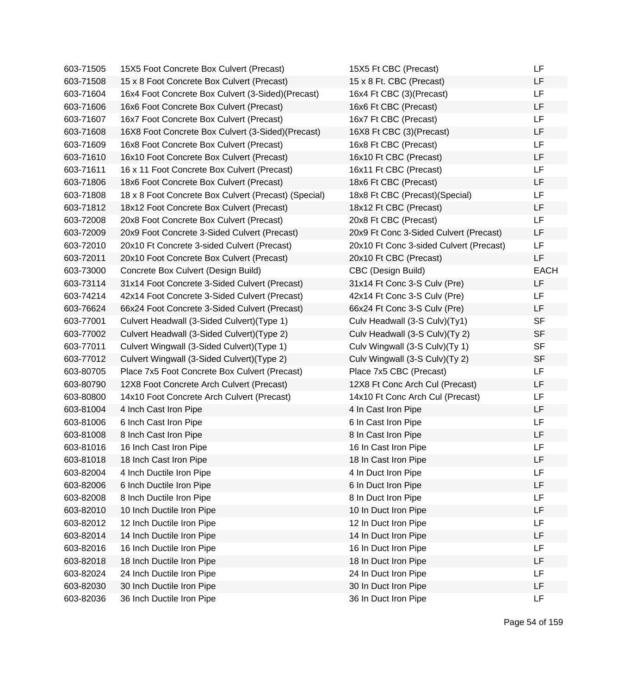| 603-71505 | 15X5 Foot Concrete Box Culvert (Precast)             | 15X5 Ft CBC (Precast)                   | LF          |
|-----------|------------------------------------------------------|-----------------------------------------|-------------|
| 603-71508 | 15 x 8 Foot Concrete Box Culvert (Precast)           | 15 x 8 Ft. CBC (Precast)                | LF          |
| 603-71604 | 16x4 Foot Concrete Box Culvert (3-Sided)(Precast)    | 16x4 Ft CBC (3)(Precast)                | LF          |
| 603-71606 | 16x6 Foot Concrete Box Culvert (Precast)             | 16x6 Ft CBC (Precast)                   | LF          |
| 603-71607 | 16x7 Foot Concrete Box Culvert (Precast)             | 16x7 Ft CBC (Precast)                   | <b>LF</b>   |
| 603-71608 | 16X8 Foot Concrete Box Culvert (3-Sided)(Precast)    | 16X8 Ft CBC (3)(Precast)                | LF          |
| 603-71609 | 16x8 Foot Concrete Box Culvert (Precast)             | 16x8 Ft CBC (Precast)                   | <b>LF</b>   |
| 603-71610 | 16x10 Foot Concrete Box Culvert (Precast)            | 16x10 Ft CBC (Precast)                  | <b>LF</b>   |
| 603-71611 | 16 x 11 Foot Concrete Box Culvert (Precast)          | 16x11 Ft CBC (Precast)                  | LF          |
| 603-71806 | 18x6 Foot Concrete Box Culvert (Precast)             | 18x6 Ft CBC (Precast)                   | LF          |
| 603-71808 | 18 x 8 Foot Concrete Box Culvert (Precast) (Special) | 18x8 Ft CBC (Precast)(Special)          | <b>LF</b>   |
| 603-71812 | 18x12 Foot Concrete Box Culvert (Precast)            | 18x12 Ft CBC (Precast)                  | LF          |
| 603-72008 | 20x8 Foot Concrete Box Culvert (Precast)             | 20x8 Ft CBC (Precast)                   | LF          |
| 603-72009 | 20x9 Foot Concrete 3-Sided Culvert (Precast)         | 20x9 Ft Conc 3-Sided Culvert (Precast)  | LF          |
| 603-72010 | 20x10 Ft Concrete 3-sided Culvert (Precast)          | 20x10 Ft Conc 3-sided Culvert (Precast) | <b>LF</b>   |
| 603-72011 | 20x10 Foot Concrete Box Culvert (Precast)            | 20x10 Ft CBC (Precast)                  | LF          |
| 603-73000 | Concrete Box Culvert (Design Build)                  | CBC (Design Build)                      | <b>EACH</b> |
| 603-73114 | 31x14 Foot Concrete 3-Sided Culvert (Precast)        | 31x14 Ft Conc 3-S Culv (Pre)            | LF          |
| 603-74214 | 42x14 Foot Concrete 3-Sided Culvert (Precast)        | 42x14 Ft Conc 3-S Culv (Pre)            | LF          |
| 603-76624 | 66x24 Foot Concrete 3-Sided Culvert (Precast)        | 66x24 Ft Conc 3-S Culv (Pre)            | <b>LF</b>   |
| 603-77001 | Culvert Headwall (3-Sided Culvert) (Type 1)          | Culv Headwall (3-S Culv)(Ty1)           | <b>SF</b>   |
| 603-77002 | Culvert Headwall (3-Sided Culvert) (Type 2)          | Culv Headwall (3-S Culv)(Ty 2)          | <b>SF</b>   |
| 603-77011 | Culvert Wingwall (3-Sided Culvert)(Type 1)           | Culv Wingwall (3-S Culv)(Ty 1)          | <b>SF</b>   |
| 603-77012 | Culvert Wingwall (3-Sided Culvert) (Type 2)          | Culv Wingwall (3-S Culv)(Ty 2)          | <b>SF</b>   |
| 603-80705 | Place 7x5 Foot Concrete Box Culvert (Precast)        | Place 7x5 CBC (Precast)                 | LF          |
| 603-80790 | 12X8 Foot Concrete Arch Culvert (Precast)            | 12X8 Ft Conc Arch Cul (Precast)         | LF          |
| 603-80800 | 14x10 Foot Concrete Arch Culvert (Precast)           | 14x10 Ft Conc Arch Cul (Precast)        | <b>LF</b>   |
| 603-81004 | 4 Inch Cast Iron Pipe                                | 4 In Cast Iron Pipe                     | <b>LF</b>   |
| 603-81006 | 6 Inch Cast Iron Pipe                                | 6 In Cast Iron Pipe                     | LF          |
| 603-81008 | 8 Inch Cast Iron Pipe                                | 8 In Cast Iron Pipe                     | <b>LF</b>   |
| 603-81016 | 16 Inch Cast Iron Pipe                               | 16 In Cast Iron Pipe                    | <b>LF</b>   |
| 603-81018 | 18 Inch Cast Iron Pipe                               | 18 In Cast Iron Pipe                    | LF          |
| 603-82004 | 4 Inch Ductile Iron Pipe                             | 4 In Duct Iron Pipe                     | LF          |
| 603-82006 | 6 Inch Ductile Iron Pipe                             | 6 In Duct Iron Pipe                     | LF          |
| 603-82008 | 8 Inch Ductile Iron Pipe                             | 8 In Duct Iron Pipe                     | LF          |
| 603-82010 | 10 Inch Ductile Iron Pipe                            | 10 In Duct Iron Pipe                    | LF          |
| 603-82012 | 12 Inch Ductile Iron Pipe                            | 12 In Duct Iron Pipe                    | LF          |
| 603-82014 | 14 Inch Ductile Iron Pipe                            | 14 In Duct Iron Pipe                    | LF          |
| 603-82016 | 16 Inch Ductile Iron Pipe                            | 16 In Duct Iron Pipe                    | LF          |
| 603-82018 | 18 Inch Ductile Iron Pipe                            | 18 In Duct Iron Pipe                    | LF          |
| 603-82024 | 24 Inch Ductile Iron Pipe                            | 24 In Duct Iron Pipe                    | LF          |
| 603-82030 | 30 Inch Ductile Iron Pipe                            | 30 In Duct Iron Pipe                    | LF          |
| 603-82036 | 36 Inch Ductile Iron Pipe                            | 36 In Duct Iron Pipe                    | LF          |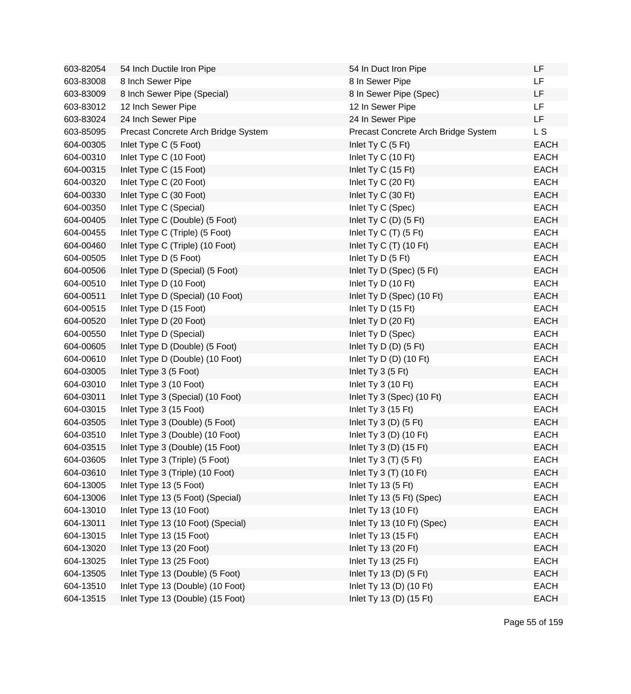| 603-82054 | 54 Inch Ductile Iron Pipe           | 54 In Duct Iron Pipe                | LF          |
|-----------|-------------------------------------|-------------------------------------|-------------|
| 603-83008 | 8 Inch Sewer Pipe                   | 8 In Sewer Pipe                     | <b>LF</b>   |
| 603-83009 | 8 Inch Sewer Pipe (Special)         | 8 In Sewer Pipe (Spec)              | <b>LF</b>   |
| 603-83012 | 12 Inch Sewer Pipe                  | 12 In Sewer Pipe                    | <b>LF</b>   |
| 603-83024 | 24 Inch Sewer Pipe                  | 24 In Sewer Pipe                    | LF          |
| 603-85095 | Precast Concrete Arch Bridge System | Precast Concrete Arch Bridge System | L S         |
| 604-00305 | Inlet Type C (5 Foot)               | Inlet Ty C (5 Ft)                   | <b>EACH</b> |
| 604-00310 | Inlet Type C (10 Foot)              | Inlet Ty C (10 Ft)                  | <b>EACH</b> |
| 604-00315 | Inlet Type C (15 Foot)              | Inlet Ty C (15 Ft)                  | <b>EACH</b> |
| 604-00320 | Inlet Type C (20 Foot)              | Inlet Ty C (20 Ft)                  | <b>EACH</b> |
| 604-00330 | Inlet Type C (30 Foot)              | Inlet Ty C (30 Ft)                  | <b>EACH</b> |
| 604-00350 | Inlet Type C (Special)              | Inlet Ty C (Spec)                   | <b>EACH</b> |
| 604-00405 | Inlet Type C (Double) (5 Foot)      | Inlet Ty C $(D)$ $(5 \text{ Ft})$   | <b>EACH</b> |
| 604-00455 | Inlet Type C (Triple) (5 Foot)      | Inlet Ty C $(T)$ (5 Ft)             | <b>EACH</b> |
| 604-00460 | Inlet Type C (Triple) (10 Foot)     | Inlet Ty C $(T)$ (10 Ft)            | <b>EACH</b> |
| 604-00505 | Inlet Type D (5 Foot)               | Inlet Ty D (5 Ft)                   | <b>EACH</b> |
| 604-00506 | Inlet Type D (Special) (5 Foot)     | Inlet Ty D (Spec) (5 Ft)            | <b>EACH</b> |
| 604-00510 | Inlet Type D (10 Foot)              | Inlet Ty D (10 Ft)                  | <b>EACH</b> |
| 604-00511 | Inlet Type D (Special) (10 Foot)    | Inlet Ty D (Spec) (10 Ft)           | <b>EACH</b> |
| 604-00515 | Inlet Type D (15 Foot)              | Inlet Ty D (15 Ft)                  | <b>EACH</b> |
| 604-00520 | Inlet Type D (20 Foot)              | Inlet Ty D (20 Ft)                  | <b>EACH</b> |
| 604-00550 | Inlet Type D (Special)              | Inlet Ty D (Spec)                   | <b>EACH</b> |
| 604-00605 | Inlet Type D (Double) (5 Foot)      | Inlet Ty D $(D)$ $(5 \text{ Ft})$   | <b>EACH</b> |
| 604-00610 | Inlet Type D (Double) (10 Foot)     | Inlet Ty D $(D)$ (10 Ft)            | <b>EACH</b> |
| 604-03005 | Inlet Type 3 (5 Foot)               | Inlet Ty 3 (5 Ft)                   | <b>EACH</b> |
| 604-03010 | Inlet Type 3 (10 Foot)              | Inlet Ty 3 (10 Ft)                  | <b>EACH</b> |
| 604-03011 | Inlet Type 3 (Special) (10 Foot)    | Inlet Ty 3 (Spec) (10 Ft)           | <b>EACH</b> |
| 604-03015 | Inlet Type 3 (15 Foot)              | Inlet Ty $3(15 \text{ Ft})$         | <b>EACH</b> |
| 604-03505 | Inlet Type 3 (Double) (5 Foot)      | Inlet Ty $3(D)$ (5 Ft)              | <b>EACH</b> |
| 604-03510 | Inlet Type 3 (Double) (10 Foot)     | Inlet Ty $3(D)$ (10 Ft)             | <b>EACH</b> |
| 604-03515 | Inlet Type 3 (Double) (15 Foot)     | Inlet Ty $3(D)$ (15 Ft)             | <b>EACH</b> |
| 604-03605 | Inlet Type 3 (Triple) (5 Foot)      | Inlet Ty $3(T)$ (5 Ft)              | <b>EACH</b> |
| 604-03610 | Inlet Type 3 (Triple) (10 Foot)     | Inlet Ty 3 (T) (10 Ft)              | <b>EACH</b> |
| 604-13005 | Inlet Type 13 (5 Foot)              | Inlet Ty 13 $(5 \text{ Ft})$        | <b>EACH</b> |
| 604-13006 | Inlet Type 13 (5 Foot) (Special)    | Inlet Ty 13 (5 Ft) (Spec)           | <b>EACH</b> |
| 604-13010 | Inlet Type 13 (10 Foot)             | Inlet Ty 13 (10 Ft)                 | <b>EACH</b> |
| 604-13011 | Inlet Type 13 (10 Foot) (Special)   | Inlet Ty 13 (10 Ft) (Spec)          | <b>EACH</b> |
| 604-13015 | Inlet Type 13 (15 Foot)             | Inlet Ty 13 (15 Ft)                 | <b>EACH</b> |
| 604-13020 | Inlet Type 13 (20 Foot)             | Inlet Ty 13 (20 Ft)                 | <b>EACH</b> |
| 604-13025 | Inlet Type 13 (25 Foot)             | Inlet Ty 13 (25 Ft)                 | <b>EACH</b> |
| 604-13505 | Inlet Type 13 (Double) (5 Foot)     | Inlet Ty 13 (D) (5 Ft)              | <b>EACH</b> |
| 604-13510 | Inlet Type 13 (Double) (10 Foot)    | Inlet Ty 13 (D) (10 Ft)             | <b>EACH</b> |
| 604-13515 | Inlet Type 13 (Double) (15 Foot)    | Inlet Ty 13 (D) (15 Ft)             | <b>EACH</b> |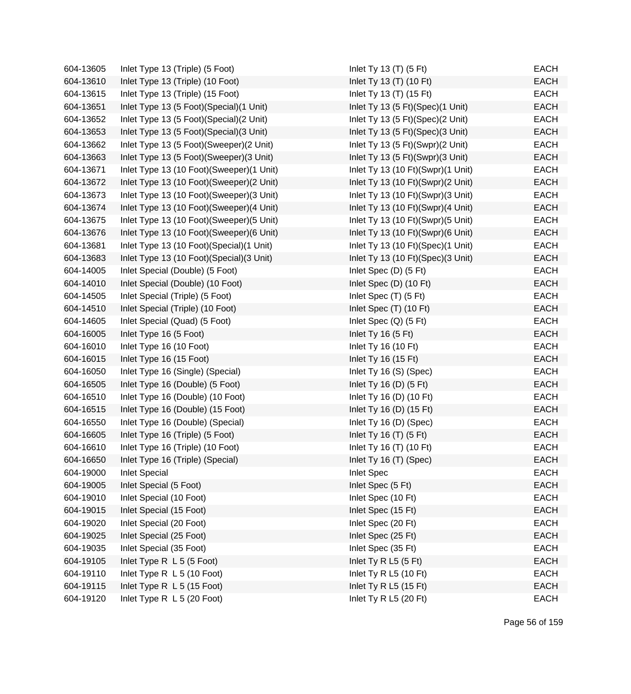| 604-13605 | Inlet Type 13 (Triple) (5 Foot)            | Inlet Ty 13 $(T)$ (5 Ft)          | <b>EACH</b> |
|-----------|--------------------------------------------|-----------------------------------|-------------|
| 604-13610 | Inlet Type 13 (Triple) (10 Foot)           | Inlet Ty 13 (T) (10 Ft)           | <b>EACH</b> |
| 604-13615 | Inlet Type 13 (Triple) (15 Foot)           | Inlet Ty 13 (T) (15 Ft)           | <b>EACH</b> |
| 604-13651 | Inlet Type 13 (5 Foot) (Special) (1 Unit)  | Inlet Ty 13 (5 Ft)(Spec)(1 Unit)  | <b>EACH</b> |
| 604-13652 | Inlet Type 13 (5 Foot) (Special) (2 Unit)  | Inlet Ty 13 (5 Ft)(Spec)(2 Unit)  | <b>EACH</b> |
| 604-13653 | Inlet Type 13 (5 Foot) (Special) (3 Unit)  | Inlet Ty 13 (5 Ft)(Spec)(3 Unit)  | <b>EACH</b> |
| 604-13662 | Inlet Type 13 (5 Foot)(Sweeper)(2 Unit)    | Inlet Ty 13 (5 Ft)(Swpr)(2 Unit)  | <b>EACH</b> |
| 604-13663 | Inlet Type 13 (5 Foot) (Sweeper) (3 Unit)  | Inlet Ty 13 (5 Ft)(Swpr)(3 Unit)  | <b>EACH</b> |
| 604-13671 | Inlet Type 13 (10 Foot)(Sweeper)(1 Unit)   | Inlet Ty 13 (10 Ft)(Swpr)(1 Unit) | <b>EACH</b> |
| 604-13672 | Inlet Type 13 (10 Foot)(Sweeper)(2 Unit)   | Inlet Ty 13 (10 Ft)(Swpr)(2 Unit) | <b>EACH</b> |
| 604-13673 | Inlet Type 13 (10 Foot)(Sweeper)(3 Unit)   | Inlet Ty 13 (10 Ft)(Swpr)(3 Unit) | <b>EACH</b> |
| 604-13674 | Inlet Type 13 (10 Foot)(Sweeper)(4 Unit)   | Inlet Ty 13 (10 Ft)(Swpr)(4 Unit) | <b>EACH</b> |
| 604-13675 | Inlet Type 13 (10 Foot)(Sweeper)(5 Unit)   | Inlet Ty 13 (10 Ft)(Swpr)(5 Unit) | <b>EACH</b> |
| 604-13676 | Inlet Type 13 (10 Foot)(Sweeper)(6 Unit)   | Inlet Ty 13 (10 Ft)(Swpr)(6 Unit) | <b>EACH</b> |
| 604-13681 | Inlet Type 13 (10 Foot)(Special)(1 Unit)   | Inlet Ty 13 (10 Ft)(Spec)(1 Unit) | <b>EACH</b> |
| 604-13683 | Inlet Type 13 (10 Foot) (Special) (3 Unit) | Inlet Ty 13 (10 Ft)(Spec)(3 Unit) | <b>EACH</b> |
| 604-14005 | Inlet Special (Double) (5 Foot)            | Inlet Spec $(D)$ $(5 \text{ Ft})$ | <b>EACH</b> |
| 604-14010 | Inlet Special (Double) (10 Foot)           | Inlet Spec (D) (10 Ft)            | <b>EACH</b> |
| 604-14505 | Inlet Special (Triple) (5 Foot)            | Inlet Spec $(T)$ (5 Ft)           | <b>EACH</b> |
| 604-14510 | Inlet Special (Triple) (10 Foot)           | Inlet Spec $(T)$ (10 Ft)          | <b>EACH</b> |
| 604-14605 | Inlet Special (Quad) (5 Foot)              | Inlet Spec $(Q)$ (5 Ft)           | <b>EACH</b> |
| 604-16005 | Inlet Type 16 (5 Foot)                     | Inlet Ty 16 $(5 \text{ Ft})$      | <b>EACH</b> |
| 604-16010 | Inlet Type 16 (10 Foot)                    | Inlet Ty 16 (10 Ft)               | <b>EACH</b> |
| 604-16015 | Inlet Type 16 (15 Foot)                    | Inlet Ty 16 (15 Ft)               | <b>EACH</b> |
| 604-16050 | Inlet Type 16 (Single) (Special)           | Inlet Ty 16 (S) (Spec)            | <b>EACH</b> |
| 604-16505 | Inlet Type 16 (Double) (5 Foot)            | Inlet Ty 16 (D) $(5 \text{ Ft})$  | <b>EACH</b> |
| 604-16510 | Inlet Type 16 (Double) (10 Foot)           | Inlet Ty 16 (D) (10 Ft)           | <b>EACH</b> |
| 604-16515 | Inlet Type 16 (Double) (15 Foot)           | Inlet Ty 16 (D) (15 Ft)           | <b>EACH</b> |
| 604-16550 | Inlet Type 16 (Double) (Special)           | Inlet Ty 16 (D) (Spec)            | <b>EACH</b> |
| 604-16605 | Inlet Type 16 (Triple) (5 Foot)            | Inlet Ty 16 $(T)$ (5 Ft)          | <b>EACH</b> |
| 604-16610 | Inlet Type 16 (Triple) (10 Foot)           | Inlet Ty 16 (T) (10 Ft)           | <b>EACH</b> |
| 604-16650 | Inlet Type 16 (Triple) (Special)           | Inlet Ty 16 (T) (Spec)            | <b>EACH</b> |
| 604-19000 | <b>Inlet Special</b>                       | <b>Inlet Spec</b>                 | <b>EACH</b> |
| 604-19005 | Inlet Special (5 Foot)                     | Inlet Spec (5 Ft)                 | <b>EACH</b> |
| 604-19010 | Inlet Special (10 Foot)                    | Inlet Spec (10 Ft)                | <b>EACH</b> |
| 604-19015 | Inlet Special (15 Foot)                    | Inlet Spec (15 Ft)                | <b>EACH</b> |
| 604-19020 | Inlet Special (20 Foot)                    | Inlet Spec (20 Ft)                | <b>EACH</b> |
| 604-19025 | Inlet Special (25 Foot)                    | Inlet Spec (25 Ft)                | <b>EACH</b> |
| 604-19035 | Inlet Special (35 Foot)                    | Inlet Spec (35 Ft)                | <b>EACH</b> |
| 604-19105 | Inlet Type R L 5 (5 Foot)                  | Inlet Ty R L5 (5 Ft)              | <b>EACH</b> |
| 604-19110 | Inlet Type R L 5 (10 Foot)                 | Inlet Ty R L5 (10 Ft)             | <b>EACH</b> |
| 604-19115 | Inlet Type R L 5 (15 Foot)                 | Inlet Ty R L5 (15 Ft)             | <b>EACH</b> |
| 604-19120 | Inlet Type R L 5 (20 Foot)                 | Inlet Ty R L5 (20 Ft)             | <b>EACH</b> |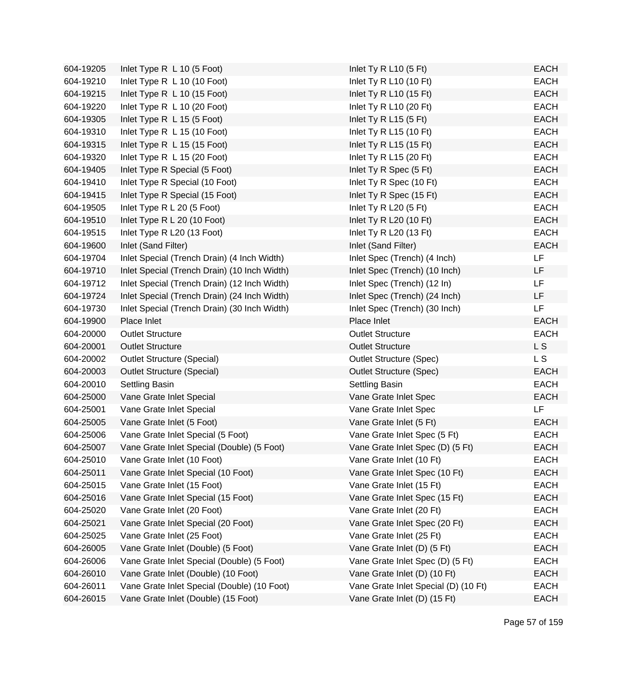| 604-19205 | Inlet Type R L 10 (5 Foot)                   | Inlet Ty R L10 $(5$ Ft)              | <b>EACH</b> |
|-----------|----------------------------------------------|--------------------------------------|-------------|
| 604-19210 | Inlet Type R L 10 (10 Foot)                  | Inlet Ty R L10 (10 Ft)               | <b>EACH</b> |
| 604-19215 | Inlet Type R L 10 (15 Foot)                  | Inlet Ty R L10 (15 Ft)               | <b>EACH</b> |
| 604-19220 | Inlet Type R L 10 (20 Foot)                  | Inlet Ty R L10 (20 Ft)               | <b>EACH</b> |
| 604-19305 | Inlet Type R L 15 (5 Foot)                   | Inlet Ty R L15 $(5$ Ft)              | <b>EACH</b> |
| 604-19310 | Inlet Type R L 15 (10 Foot)                  | Inlet Ty R L15 (10 Ft)               | <b>EACH</b> |
| 604-19315 | Inlet Type R L 15 (15 Foot)                  | Inlet Ty R L15 (15 Ft)               | <b>EACH</b> |
| 604-19320 | Inlet Type R L 15 (20 Foot)                  | Inlet Ty R L15 (20 Ft)               | <b>EACH</b> |
| 604-19405 | Inlet Type R Special (5 Foot)                | Inlet Ty R Spec (5 Ft)               | <b>EACH</b> |
| 604-19410 | Inlet Type R Special (10 Foot)               | Inlet Ty R Spec (10 Ft)              | <b>EACH</b> |
| 604-19415 | Inlet Type R Special (15 Foot)               | Inlet Ty R Spec (15 Ft)              | <b>EACH</b> |
| 604-19505 | Inlet Type R L 20 (5 Foot)                   | Inlet Ty R L20 $(5$ Ft)              | <b>EACH</b> |
| 604-19510 | Inlet Type R L 20 (10 Foot)                  | Inlet Ty R L20 (10 Ft)               | <b>EACH</b> |
| 604-19515 | Inlet Type R L20 (13 Foot)                   | Inlet Ty R L20 (13 Ft)               | <b>EACH</b> |
| 604-19600 | Inlet (Sand Filter)                          | Inlet (Sand Filter)                  | <b>EACH</b> |
| 604-19704 | Inlet Special (Trench Drain) (4 Inch Width)  | Inlet Spec (Trench) (4 Inch)         | LF          |
| 604-19710 | Inlet Special (Trench Drain) (10 Inch Width) | Inlet Spec (Trench) (10 Inch)        | LF          |
| 604-19712 | Inlet Special (Trench Drain) (12 Inch Width) | Inlet Spec (Trench) (12 In)          | LF          |
| 604-19724 | Inlet Special (Trench Drain) (24 Inch Width) | Inlet Spec (Trench) (24 Inch)        | LF          |
| 604-19730 | Inlet Special (Trench Drain) (30 Inch Width) | Inlet Spec (Trench) (30 Inch)        | LF          |
| 604-19900 | Place Inlet                                  | Place Inlet                          | <b>EACH</b> |
| 604-20000 | <b>Outlet Structure</b>                      | <b>Outlet Structure</b>              | <b>EACH</b> |
| 604-20001 | <b>Outlet Structure</b>                      | <b>Outlet Structure</b>              | L S         |
| 604-20002 | <b>Outlet Structure (Special)</b>            | <b>Outlet Structure (Spec)</b>       | L S         |
| 604-20003 | <b>Outlet Structure (Special)</b>            | <b>Outlet Structure (Spec)</b>       | <b>EACH</b> |
| 604-20010 | Settling Basin                               | Settling Basin                       | <b>EACH</b> |
| 604-25000 | Vane Grate Inlet Special                     | Vane Grate Inlet Spec                | <b>EACH</b> |
| 604-25001 | Vane Grate Inlet Special                     | Vane Grate Inlet Spec                | <b>LF</b>   |
| 604-25005 | Vane Grate Inlet (5 Foot)                    | Vane Grate Inlet (5 Ft)              | <b>EACH</b> |
| 604-25006 | Vane Grate Inlet Special (5 Foot)            | Vane Grate Inlet Spec (5 Ft)         | <b>EACH</b> |
| 604-25007 | Vane Grate Inlet Special (Double) (5 Foot)   | Vane Grate Inlet Spec (D) (5 Ft)     | <b>EACH</b> |
| 604-25010 | Vane Grate Inlet (10 Foot)                   | Vane Grate Inlet (10 Ft)             | <b>EACH</b> |
| 604-25011 | Vane Grate Inlet Special (10 Foot)           | Vane Grate Inlet Spec (10 Ft)        | <b>EACH</b> |
| 604-25015 | Vane Grate Inlet (15 Foot)                   | Vane Grate Inlet (15 Ft)             | <b>EACH</b> |
| 604-25016 | Vane Grate Inlet Special (15 Foot)           | Vane Grate Inlet Spec (15 Ft)        | <b>EACH</b> |
| 604-25020 | Vane Grate Inlet (20 Foot)                   | Vane Grate Inlet (20 Ft)             | <b>EACH</b> |
| 604-25021 | Vane Grate Inlet Special (20 Foot)           | Vane Grate Inlet Spec (20 Ft)        | <b>EACH</b> |
| 604-25025 | Vane Grate Inlet (25 Foot)                   | Vane Grate Inlet (25 Ft)             | <b>EACH</b> |
| 604-26005 | Vane Grate Inlet (Double) (5 Foot)           | Vane Grate Inlet (D) (5 Ft)          | <b>EACH</b> |
| 604-26006 | Vane Grate Inlet Special (Double) (5 Foot)   | Vane Grate Inlet Spec (D) (5 Ft)     | <b>EACH</b> |
| 604-26010 | Vane Grate Inlet (Double) (10 Foot)          | Vane Grate Inlet (D) (10 Ft)         | EACH        |
| 604-26011 | Vane Grate Inlet Special (Double) (10 Foot)  | Vane Grate Inlet Special (D) (10 Ft) | <b>EACH</b> |
| 604-26015 | Vane Grate Inlet (Double) (15 Foot)          | Vane Grate Inlet (D) (15 Ft)         | <b>EACH</b> |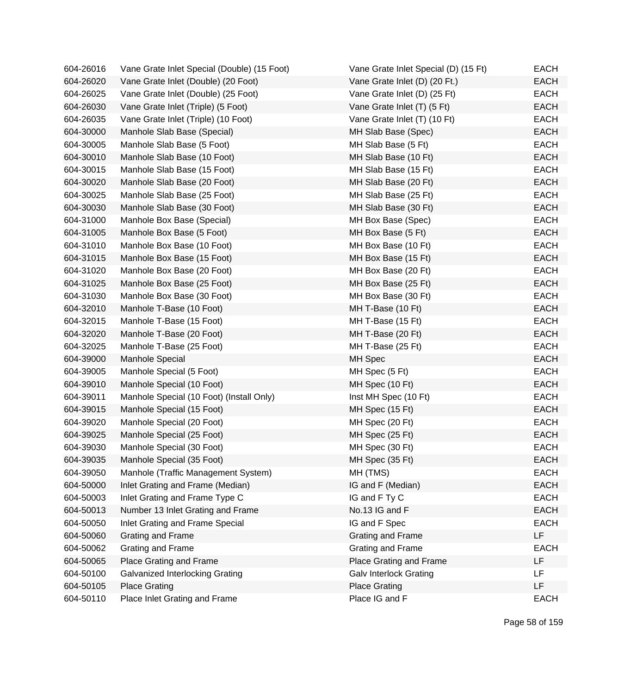| 604-26016 | Vane Grate Inlet Special (Double) (15 Foot) | Vane Grate Inlet Special (D) (15 Ft) | EACH        |
|-----------|---------------------------------------------|--------------------------------------|-------------|
| 604-26020 | Vane Grate Inlet (Double) (20 Foot)         | Vane Grate Inlet (D) (20 Ft.)        | <b>EACH</b> |
| 604-26025 | Vane Grate Inlet (Double) (25 Foot)         | Vane Grate Inlet (D) (25 Ft)         | <b>EACH</b> |
| 604-26030 | Vane Grate Inlet (Triple) (5 Foot)          | Vane Grate Inlet (T) (5 Ft)          | <b>EACH</b> |
| 604-26035 | Vane Grate Inlet (Triple) (10 Foot)         | Vane Grate Inlet (T) (10 Ft)         | <b>EACH</b> |
| 604-30000 | Manhole Slab Base (Special)                 | MH Slab Base (Spec)                  | <b>EACH</b> |
| 604-30005 | Manhole Slab Base (5 Foot)                  | MH Slab Base (5 Ft)                  | <b>EACH</b> |
| 604-30010 | Manhole Slab Base (10 Foot)                 | MH Slab Base (10 Ft)                 | <b>EACH</b> |
| 604-30015 | Manhole Slab Base (15 Foot)                 | MH Slab Base (15 Ft)                 | <b>EACH</b> |
| 604-30020 | Manhole Slab Base (20 Foot)                 | MH Slab Base (20 Ft)                 | <b>EACH</b> |
| 604-30025 | Manhole Slab Base (25 Foot)                 | MH Slab Base (25 Ft)                 | <b>EACH</b> |
| 604-30030 | Manhole Slab Base (30 Foot)                 | MH Slab Base (30 Ft)                 | <b>EACH</b> |
| 604-31000 | Manhole Box Base (Special)                  | MH Box Base (Spec)                   | <b>EACH</b> |
| 604-31005 | Manhole Box Base (5 Foot)                   | MH Box Base (5 Ft)                   | <b>EACH</b> |
| 604-31010 | Manhole Box Base (10 Foot)                  | MH Box Base (10 Ft)                  | <b>EACH</b> |
| 604-31015 | Manhole Box Base (15 Foot)                  | MH Box Base (15 Ft)                  | <b>EACH</b> |
| 604-31020 | Manhole Box Base (20 Foot)                  | MH Box Base (20 Ft)                  | <b>EACH</b> |
| 604-31025 | Manhole Box Base (25 Foot)                  | MH Box Base (25 Ft)                  | <b>EACH</b> |
| 604-31030 | Manhole Box Base (30 Foot)                  | MH Box Base (30 Ft)                  | <b>EACH</b> |
| 604-32010 | Manhole T-Base (10 Foot)                    | MH T-Base (10 Ft)                    | <b>EACH</b> |
| 604-32015 | Manhole T-Base (15 Foot)                    | MH T-Base (15 Ft)                    | <b>EACH</b> |
| 604-32020 | Manhole T-Base (20 Foot)                    | MH T-Base (20 Ft)                    | <b>EACH</b> |
| 604-32025 | Manhole T-Base (25 Foot)                    | MH T-Base (25 Ft)                    | <b>EACH</b> |
| 604-39000 | Manhole Special                             | MH Spec                              | <b>EACH</b> |
| 604-39005 | Manhole Special (5 Foot)                    | MH Spec (5 Ft)                       | <b>EACH</b> |
| 604-39010 | Manhole Special (10 Foot)                   | MH Spec (10 Ft)                      | <b>EACH</b> |
| 604-39011 | Manhole Special (10 Foot) (Install Only)    | Inst MH Spec (10 Ft)                 | <b>EACH</b> |
| 604-39015 | Manhole Special (15 Foot)                   | MH Spec (15 Ft)                      | <b>EACH</b> |
| 604-39020 | Manhole Special (20 Foot)                   | MH Spec (20 Ft)                      | <b>EACH</b> |
| 604-39025 | Manhole Special (25 Foot)                   | MH Spec (25 Ft)                      | <b>EACH</b> |
| 604-39030 | Manhole Special (30 Foot)                   | MH Spec (30 Ft)                      | <b>EACH</b> |
| 604-39035 | Manhole Special (35 Foot)                   | MH Spec (35 Ft)                      | <b>EACH</b> |
| 604-39050 | Manhole (Traffic Management System)         | MH (TMS)                             | <b>EACH</b> |
| 604-50000 | Inlet Grating and Frame (Median)            | IG and F (Median)                    | <b>EACH</b> |
| 604-50003 | Inlet Grating and Frame Type C              | IG and F Ty C                        | <b>EACH</b> |
| 604-50013 | Number 13 Inlet Grating and Frame           | No.13 IG and F                       | <b>EACH</b> |
| 604-50050 | Inlet Grating and Frame Special             | IG and F Spec                        | <b>EACH</b> |
| 604-50060 | Grating and Frame                           | Grating and Frame                    | LF          |
| 604-50062 | Grating and Frame                           | Grating and Frame                    | <b>EACH</b> |
| 604-50065 | Place Grating and Frame                     | Place Grating and Frame              | LF          |
| 604-50100 | Galvanized Interlocking Grating             | <b>Galv Interlock Grating</b>        | <b>LF</b>   |
| 604-50105 | <b>Place Grating</b>                        | <b>Place Grating</b>                 | LF          |
| 604-50110 | Place Inlet Grating and Frame               | Place IG and F                       | <b>EACH</b> |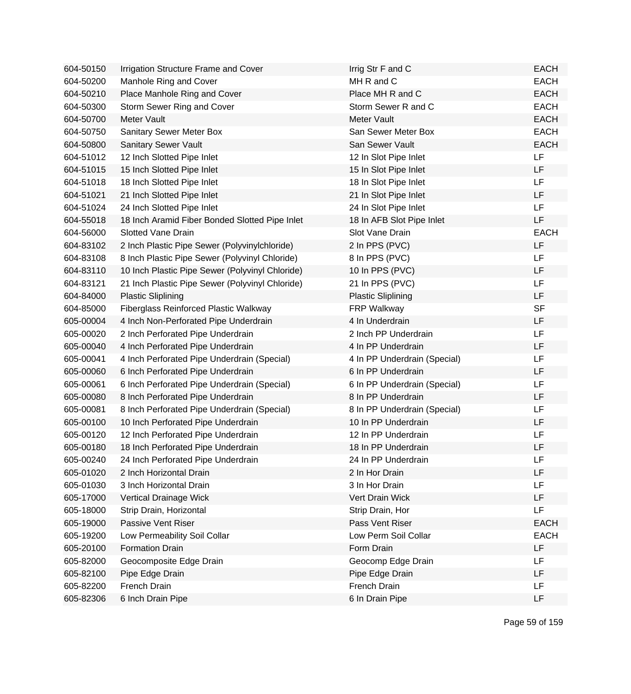| 604-50150 | Irrigation Structure Frame and Cover            | Irrig Str F and C            | <b>EACH</b> |
|-----------|-------------------------------------------------|------------------------------|-------------|
| 604-50200 | Manhole Ring and Cover                          | MH R and C                   | <b>EACH</b> |
| 604-50210 | Place Manhole Ring and Cover                    | Place MH R and C             | <b>EACH</b> |
| 604-50300 | Storm Sewer Ring and Cover                      | Storm Sewer R and C          | <b>EACH</b> |
| 604-50700 | Meter Vault                                     | Meter Vault                  | <b>EACH</b> |
| 604-50750 | <b>Sanitary Sewer Meter Box</b>                 | San Sewer Meter Box          | <b>EACH</b> |
| 604-50800 | Sanitary Sewer Vault                            | San Sewer Vault              | <b>EACH</b> |
| 604-51012 | 12 Inch Slotted Pipe Inlet                      | 12 In Slot Pipe Inlet        | LF          |
| 604-51015 | 15 Inch Slotted Pipe Inlet                      | 15 In Slot Pipe Inlet        | LF          |
| 604-51018 | 18 Inch Slotted Pipe Inlet                      | 18 In Slot Pipe Inlet        | <b>LF</b>   |
| 604-51021 | 21 Inch Slotted Pipe Inlet                      | 21 In Slot Pipe Inlet        | LF          |
| 604-51024 | 24 Inch Slotted Pipe Inlet                      | 24 In Slot Pipe Inlet        | <b>LF</b>   |
| 604-55018 | 18 Inch Aramid Fiber Bonded Slotted Pipe Inlet  | 18 In AFB Slot Pipe Inlet    | <b>LF</b>   |
| 604-56000 | <b>Slotted Vane Drain</b>                       | Slot Vane Drain              | <b>EACH</b> |
| 604-83102 | 2 Inch Plastic Pipe Sewer (Polyvinylchloride)   | 2 In PPS (PVC)               | LF          |
| 604-83108 | 8 Inch Plastic Pipe Sewer (Polyvinyl Chloride)  | 8 In PPS (PVC)               | <b>LF</b>   |
| 604-83110 | 10 Inch Plastic Pipe Sewer (Polyvinyl Chloride) | 10 In PPS (PVC)              | LF          |
| 604-83121 | 21 Inch Plastic Pipe Sewer (Polyvinyl Chloride) | 21 In PPS (PVC)              | <b>LF</b>   |
| 604-84000 | <b>Plastic Sliplining</b>                       | <b>Plastic Sliplining</b>    | LF          |
| 604-85000 | <b>Fiberglass Reinforced Plastic Walkway</b>    | <b>FRP Walkway</b>           | <b>SF</b>   |
| 605-00004 | 4 Inch Non-Perforated Pipe Underdrain           | 4 In Underdrain              | LF          |
| 605-00020 | 2 Inch Perforated Pipe Underdrain               | 2 Inch PP Underdrain         | LF          |
| 605-00040 | 4 Inch Perforated Pipe Underdrain               | 4 In PP Underdrain           | LF          |
| 605-00041 | 4 Inch Perforated Pipe Underdrain (Special)     | 4 In PP Underdrain (Special) | LF          |
| 605-00060 | 6 Inch Perforated Pipe Underdrain               | 6 In PP Underdrain           | LF          |
| 605-00061 | 6 Inch Perforated Pipe Underdrain (Special)     | 6 In PP Underdrain (Special) | LF          |
| 605-00080 | 8 Inch Perforated Pipe Underdrain               | 8 In PP Underdrain           | LF          |
| 605-00081 | 8 Inch Perforated Pipe Underdrain (Special)     | 8 In PP Underdrain (Special) | LF          |
| 605-00100 | 10 Inch Perforated Pipe Underdrain              | 10 In PP Underdrain          | LF          |
| 605-00120 | 12 Inch Perforated Pipe Underdrain              | 12 In PP Underdrain          | LF          |
| 605-00180 | 18 Inch Perforated Pipe Underdrain              | 18 In PP Underdrain          | LF          |
| 605-00240 | 24 Inch Perforated Pipe Underdrain              | 24 In PP Underdrain          | LF          |
| 605-01020 | 2 Inch Horizontal Drain                         | 2 In Hor Drain               | LF          |
| 605-01030 | 3 Inch Horizontal Drain                         | 3 In Hor Drain               | LF          |
| 605-17000 | Vertical Drainage Wick                          | Vert Drain Wick              | LF          |
| 605-18000 | Strip Drain, Horizontal                         | Strip Drain, Hor             | LF          |
| 605-19000 | Passive Vent Riser                              | Pass Vent Riser              | <b>EACH</b> |
| 605-19200 | Low Permeability Soil Collar                    | Low Perm Soil Collar         | <b>EACH</b> |
| 605-20100 | <b>Formation Drain</b>                          | Form Drain                   | LF          |
| 605-82000 | Geocomposite Edge Drain                         | Geocomp Edge Drain           | <b>LF</b>   |
| 605-82100 | Pipe Edge Drain                                 | Pipe Edge Drain              | LF          |
| 605-82200 | French Drain                                    | French Drain                 | LF          |
| 605-82306 | 6 Inch Drain Pipe                               | 6 In Drain Pipe              | LF          |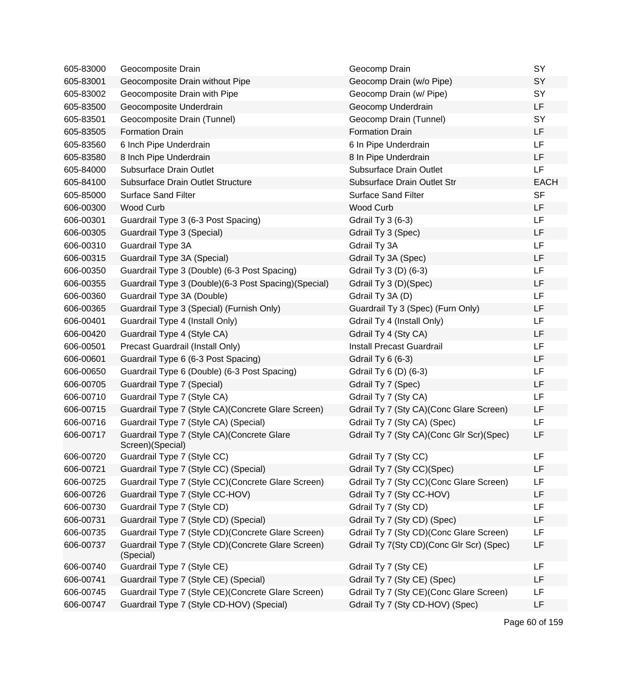| 605-83000 | Geocomposite Drain                                               | Geocomp Drain                            | SY          |
|-----------|------------------------------------------------------------------|------------------------------------------|-------------|
| 605-83001 | Geocomposite Drain without Pipe                                  | Geocomp Drain (w/o Pipe)                 | SY          |
| 605-83002 | Geocomposite Drain with Pipe                                     | Geocomp Drain (w/ Pipe)                  | SY          |
| 605-83500 | Geocomposite Underdrain                                          | Geocomp Underdrain                       | LF          |
| 605-83501 | Geocomposite Drain (Tunnel)                                      | Geocomp Drain (Tunnel)                   | SY          |
| 605-83505 | <b>Formation Drain</b>                                           | <b>Formation Drain</b>                   | LF          |
| 605-83560 | 6 Inch Pipe Underdrain                                           | 6 In Pipe Underdrain                     | LF          |
| 605-83580 | 8 Inch Pipe Underdrain                                           | 8 In Pipe Underdrain                     | LF          |
| 605-84000 | <b>Subsurface Drain Outlet</b>                                   | Subsurface Drain Outlet                  | LF          |
| 605-84100 | Subsurface Drain Outlet Structure                                | Subsurface Drain Outlet Str              | <b>EACH</b> |
| 605-85000 | <b>Surface Sand Filter</b>                                       | <b>Surface Sand Filter</b>               | <b>SF</b>   |
| 606-00300 | <b>Wood Curb</b>                                                 | <b>Wood Curb</b>                         | LF          |
| 606-00301 | Guardrail Type 3 (6-3 Post Spacing)                              | <b>Gdrail Ty 3 (6-3)</b>                 | LF          |
| 606-00305 | Guardrail Type 3 (Special)                                       | Gdrail Ty 3 (Spec)                       | LF          |
| 606-00310 | Guardrail Type 3A                                                | Gdrail Ty 3A                             | LF          |
| 606-00315 | Guardrail Type 3A (Special)                                      | Gdrail Ty 3A (Spec)                      | LF          |
| 606-00350 | Guardrail Type 3 (Double) (6-3 Post Spacing)                     | Gdrail Ty 3 (D) (6-3)                    | LF          |
| 606-00355 | Guardrail Type 3 (Double) (6-3 Post Spacing) (Special)           | Gdrail Ty 3 (D)(Spec)                    | LF          |
| 606-00360 | Guardrail Type 3A (Double)                                       | Gdrail Ty 3A (D)                         | LF          |
| 606-00365 | Guardrail Type 3 (Special) (Furnish Only)                        | Guardrail Ty 3 (Spec) (Furn Only)        | LF          |
| 606-00401 | Guardrail Type 4 (Install Only)                                  | Gdrail Ty 4 (Install Only)               | LF          |
| 606-00420 | Guardrail Type 4 (Style CA)                                      | Gdrail Ty 4 (Sty CA)                     | LF          |
| 606-00501 | Precast Guardrail (Install Only)                                 | Install Precast Guardrail                | LF          |
| 606-00601 | Guardrail Type 6 (6-3 Post Spacing)                              | Gdrail Ty 6 (6-3)                        | LF          |
| 606-00650 | Guardrail Type 6 (Double) (6-3 Post Spacing)                     | Gdrail Ty 6 (D) (6-3)                    | LF          |
| 606-00705 | Guardrail Type 7 (Special)                                       | Gdrail Ty 7 (Spec)                       | LF          |
| 606-00710 | Guardrail Type 7 (Style CA)                                      | Gdrail Ty 7 (Sty CA)                     | LF          |
| 606-00715 | Guardrail Type 7 (Style CA) (Concrete Glare Screen)              | Gdrail Ty 7 (Sty CA) (Conc Glare Screen) | LF          |
| 606-00716 | Guardrail Type 7 (Style CA) (Special)                            | Gdrail Ty 7 (Sty CA) (Spec)              | LF          |
| 606-00717 | Guardrail Type 7 (Style CA) (Concrete Glare<br>Screen)(Special)  | Gdrail Ty 7 (Sty CA)(Conc Glr Scr)(Spec) | LF          |
| 606-00720 | Guardrail Type 7 (Style CC)                                      | Gdrail Ty 7 (Sty CC)                     | LF          |
| 606-00721 | Guardrail Type 7 (Style CC) (Special)                            | Gdrail Ty 7 (Sty CC)(Spec)               | LF          |
| 606-00725 | Guardrail Type 7 (Style CC) (Concrete Glare Screen)              | Gdrail Ty 7 (Sty CC) (Conc Glare Screen) | LF          |
| 606-00726 | Guardrail Type 7 (Style CC-HOV)                                  | Gdrail Ty 7 (Sty CC-HOV)                 | LF          |
| 606-00730 | Guardrail Type 7 (Style CD)                                      | Gdrail Ty 7 (Sty CD)                     | LF          |
| 606-00731 | Guardrail Type 7 (Style CD) (Special)                            | Gdrail Ty 7 (Sty CD) (Spec)              | LF          |
| 606-00735 | Guardrail Type 7 (Style CD) (Concrete Glare Screen)              | Gdrail Ty 7 (Sty CD)(Conc Glare Screen)  | LF          |
| 606-00737 | Guardrail Type 7 (Style CD) (Concrete Glare Screen)<br>(Special) | Gdrail Ty 7(Sty CD)(Conc Glr Scr) (Spec) | LF          |
| 606-00740 | Guardrail Type 7 (Style CE)                                      | Gdrail Ty 7 (Sty CE)                     | LF          |
| 606-00741 | Guardrail Type 7 (Style CE) (Special)                            | Gdrail Ty 7 (Sty CE) (Spec)              | LF          |
| 606-00745 | Guardrail Type 7 (Style CE) (Concrete Glare Screen)              | Gdrail Ty 7 (Sty CE) (Conc Glare Screen) | LF          |
| 606-00747 | Guardrail Type 7 (Style CD-HOV) (Special)                        | Gdrail Ty 7 (Sty CD-HOV) (Spec)          | LF          |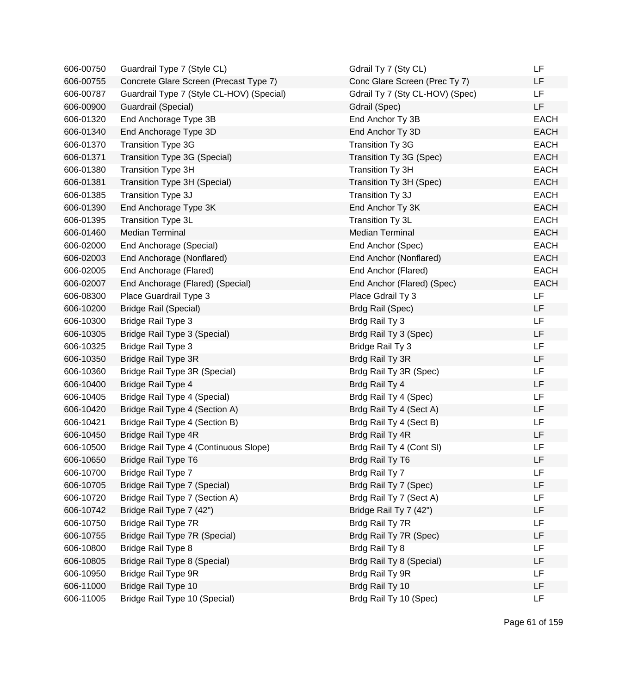| 606-00750 | Guardrail Type 7 (Style CL)               | Gdrail Ty 7 (Sty CL)            | LF          |
|-----------|-------------------------------------------|---------------------------------|-------------|
| 606-00755 | Concrete Glare Screen (Precast Type 7)    | Conc Glare Screen (Prec Ty 7)   | LF          |
| 606-00787 | Guardrail Type 7 (Style CL-HOV) (Special) | Gdrail Ty 7 (Sty CL-HOV) (Spec) | LF          |
| 606-00900 | Guardrail (Special)                       | Gdrail (Spec)                   | LF          |
| 606-01320 | End Anchorage Type 3B                     | End Anchor Ty 3B                | <b>EACH</b> |
| 606-01340 | End Anchorage Type 3D                     | End Anchor Ty 3D                | <b>EACH</b> |
| 606-01370 | <b>Transition Type 3G</b>                 | Transition Ty 3G                | <b>EACH</b> |
| 606-01371 | Transition Type 3G (Special)              | Transition Ty 3G (Spec)         | <b>EACH</b> |
| 606-01380 | <b>Transition Type 3H</b>                 | Transition Ty 3H                | <b>EACH</b> |
| 606-01381 | Transition Type 3H (Special)              | Transition Ty 3H (Spec)         | <b>EACH</b> |
| 606-01385 | Transition Type 3J                        | Transition Ty 3J                | <b>EACH</b> |
| 606-01390 | End Anchorage Type 3K                     | End Anchor Ty 3K                | <b>EACH</b> |
| 606-01395 | Transition Type 3L                        | Transition Ty 3L                | <b>EACH</b> |
| 606-01460 | <b>Median Terminal</b>                    | <b>Median Terminal</b>          | <b>EACH</b> |
| 606-02000 | End Anchorage (Special)                   | End Anchor (Spec)               | <b>EACH</b> |
| 606-02003 | End Anchorage (Nonflared)                 | End Anchor (Nonflared)          | <b>EACH</b> |
| 606-02005 | End Anchorage (Flared)                    | End Anchor (Flared)             | <b>EACH</b> |
| 606-02007 | End Anchorage (Flared) (Special)          | End Anchor (Flared) (Spec)      | <b>EACH</b> |
| 606-08300 | Place Guardrail Type 3                    | Place Gdrail Ty 3               | LF          |
| 606-10200 | <b>Bridge Rail (Special)</b>              | Brdg Rail (Spec)                | LF          |
| 606-10300 | <b>Bridge Rail Type 3</b>                 | Brdg Rail Ty 3                  | LF          |
| 606-10305 | Bridge Rail Type 3 (Special)              | Brdg Rail Ty 3 (Spec)           | LF          |
| 606-10325 | <b>Bridge Rail Type 3</b>                 | Bridge Rail Ty 3                | LF          |
| 606-10350 | Bridge Rail Type 3R                       | Brdg Rail Ty 3R                 | LF          |
| 606-10360 | Bridge Rail Type 3R (Special)             | Brdg Rail Ty 3R (Spec)          | LF          |
| 606-10400 | Bridge Rail Type 4                        | Brdg Rail Ty 4                  | LF          |
| 606-10405 | Bridge Rail Type 4 (Special)              | Brdg Rail Ty 4 (Spec)           | LF          |
| 606-10420 | Bridge Rail Type 4 (Section A)            | Brdg Rail Ty 4 (Sect A)         | LF          |
| 606-10421 | Bridge Rail Type 4 (Section B)            | Brdg Rail Ty 4 (Sect B)         | LF          |
| 606-10450 | Bridge Rail Type 4R                       | Brdg Rail Ty 4R                 | LF          |
| 606-10500 | Bridge Rail Type 4 (Continuous Slope)     | Brdg Rail Ty 4 (Cont SI)        | LF          |
| 606-10650 | Bridge Rail Type T6                       | Brdg Rail Ty T6                 | LF          |
| 606-10700 | Bridge Rail Type 7                        | Brdg Rail Ty 7                  | LF          |
| 606-10705 | Bridge Rail Type 7 (Special)              | Brdg Rail Ty 7 (Spec)           | LF          |
| 606-10720 | Bridge Rail Type 7 (Section A)            | Brdg Rail Ty 7 (Sect A)         | LF          |
| 606-10742 | Bridge Rail Type 7 (42")                  | Bridge Rail Ty 7 (42")          | LF          |
| 606-10750 | Bridge Rail Type 7R                       | Brdg Rail Ty 7R                 | LF          |
| 606-10755 | Bridge Rail Type 7R (Special)             | Brdg Rail Ty 7R (Spec)          | LF          |
| 606-10800 | Bridge Rail Type 8                        | Brdg Rail Ty 8                  | LF          |
| 606-10805 | Bridge Rail Type 8 (Special)              | Brdg Rail Ty 8 (Special)        | LF          |
| 606-10950 | Bridge Rail Type 9R                       | Brdg Rail Ty 9R                 | LF          |
| 606-11000 | Bridge Rail Type 10                       | Brdg Rail Ty 10                 | LF          |
| 606-11005 | Bridge Rail Type 10 (Special)             | Brdg Rail Ty 10 (Spec)          | LF          |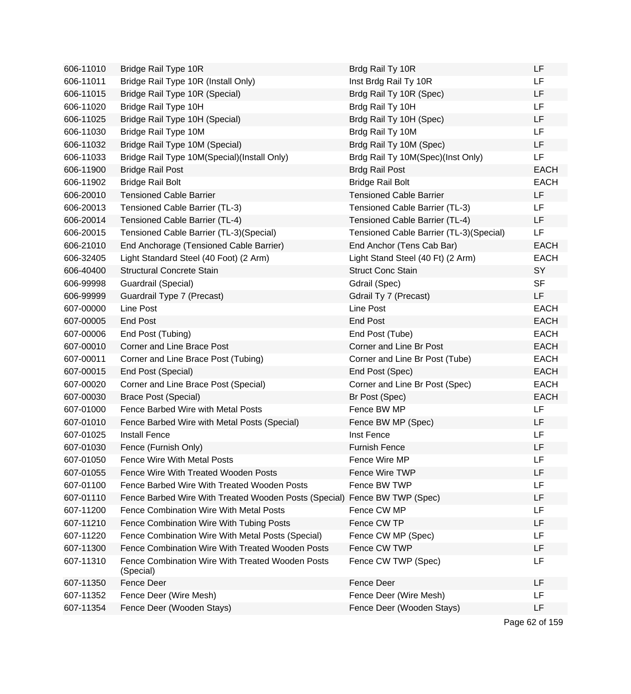| 606-11010 | Bridge Rail Type 10R                                          | Brdg Rail Ty 10R                        | LF          |
|-----------|---------------------------------------------------------------|-----------------------------------------|-------------|
| 606-11011 | Bridge Rail Type 10R (Install Only)                           | Inst Brdg Rail Ty 10R                   | LF          |
| 606-11015 | Bridge Rail Type 10R (Special)                                | Brdg Rail Ty 10R (Spec)                 | LF          |
| 606-11020 | Bridge Rail Type 10H                                          | Brdg Rail Ty 10H                        | LF          |
| 606-11025 | Bridge Rail Type 10H (Special)                                | Brdg Rail Ty 10H (Spec)                 | LF          |
| 606-11030 | Bridge Rail Type 10M                                          | Brdg Rail Ty 10M                        | LF          |
| 606-11032 | Bridge Rail Type 10M (Special)                                | Brdg Rail Ty 10M (Spec)                 | LF          |
| 606-11033 | Bridge Rail Type 10M(Special)(Install Only)                   | Brdg Rail Ty 10M(Spec)(Inst Only)       | LF          |
| 606-11900 | <b>Bridge Rail Post</b>                                       | <b>Brdg Rail Post</b>                   | <b>EACH</b> |
| 606-11902 | <b>Bridge Rail Bolt</b>                                       | <b>Bridge Rail Bolt</b>                 | <b>EACH</b> |
| 606-20010 | <b>Tensioned Cable Barrier</b>                                | <b>Tensioned Cable Barrier</b>          | LF          |
| 606-20013 | Tensioned Cable Barrier (TL-3)                                | Tensioned Cable Barrier (TL-3)          | LF          |
| 606-20014 | Tensioned Cable Barrier (TL-4)                                | Tensioned Cable Barrier (TL-4)          | LF          |
| 606-20015 | Tensioned Cable Barrier (TL-3)(Special)                       | Tensioned Cable Barrier (TL-3)(Special) | LF          |
| 606-21010 | End Anchorage (Tensioned Cable Barrier)                       | End Anchor (Tens Cab Bar)               | <b>EACH</b> |
| 606-32405 | Light Standard Steel (40 Foot) (2 Arm)                        | Light Stand Steel (40 Ft) (2 Arm)       | <b>EACH</b> |
| 606-40400 | <b>Structural Concrete Stain</b>                              | <b>Struct Conc Stain</b>                | SY          |
| 606-99998 | Guardrail (Special)                                           | Gdrail (Spec)                           | <b>SF</b>   |
| 606-99999 | Guardrail Type 7 (Precast)                                    | Gdrail Ty 7 (Precast)                   | LF          |
| 607-00000 | <b>Line Post</b>                                              | Line Post                               | <b>EACH</b> |
| 607-00005 | <b>End Post</b>                                               | <b>End Post</b>                         | <b>EACH</b> |
| 607-00006 | End Post (Tubing)                                             | End Post (Tube)                         | <b>EACH</b> |
| 607-00010 | Corner and Line Brace Post                                    | Corner and Line Br Post                 | <b>EACH</b> |
| 607-00011 | Corner and Line Brace Post (Tubing)                           | Corner and Line Br Post (Tube)          | <b>EACH</b> |
| 607-00015 | End Post (Special)                                            | End Post (Spec)                         | <b>EACH</b> |
| 607-00020 | Corner and Line Brace Post (Special)                          | Corner and Line Br Post (Spec)          | <b>EACH</b> |
| 607-00030 | <b>Brace Post (Special)</b>                                   | Br Post (Spec)                          | <b>EACH</b> |
| 607-01000 | Fence Barbed Wire with Metal Posts                            | Fence BW MP                             | LF          |
| 607-01010 | Fence Barbed Wire with Metal Posts (Special)                  | Fence BW MP (Spec)                      | LF          |
| 607-01025 | <b>Install Fence</b>                                          | Inst Fence                              | LF          |
| 607-01030 | Fence (Furnish Only)                                          | <b>Furnish Fence</b>                    | LF          |
| 607-01050 | <b>Fence Wire With Metal Posts</b>                            | Fence Wire MP                           | LF          |
| 607-01055 | Fence Wire With Treated Wooden Posts                          | Fence Wire TWP                          | LF          |
| 607-01100 | Fence Barbed Wire With Treated Wooden Posts                   | Fence BW TWP                            | LF          |
| 607-01110 | Fence Barbed Wire With Treated Wooden Posts (Special)         | Fence BW TWP (Spec)                     | LF          |
| 607-11200 | Fence Combination Wire With Metal Posts                       | Fence CW MP                             | LF          |
| 607-11210 | Fence Combination Wire With Tubing Posts                      | Fence CW TP                             | LF          |
| 607-11220 | Fence Combination Wire With Metal Posts (Special)             | Fence CW MP (Spec)                      | LF          |
| 607-11300 | Fence Combination Wire With Treated Wooden Posts              | Fence CW TWP                            | LF          |
| 607-11310 | Fence Combination Wire With Treated Wooden Posts<br>(Special) | Fence CW TWP (Spec)                     | LF          |
| 607-11350 | Fence Deer                                                    | <b>Fence Deer</b>                       | LF          |
| 607-11352 | Fence Deer (Wire Mesh)                                        | Fence Deer (Wire Mesh)                  | LF          |
| 607-11354 | Fence Deer (Wooden Stays)                                     | Fence Deer (Wooden Stays)               | LF          |
|           |                                                               |                                         |             |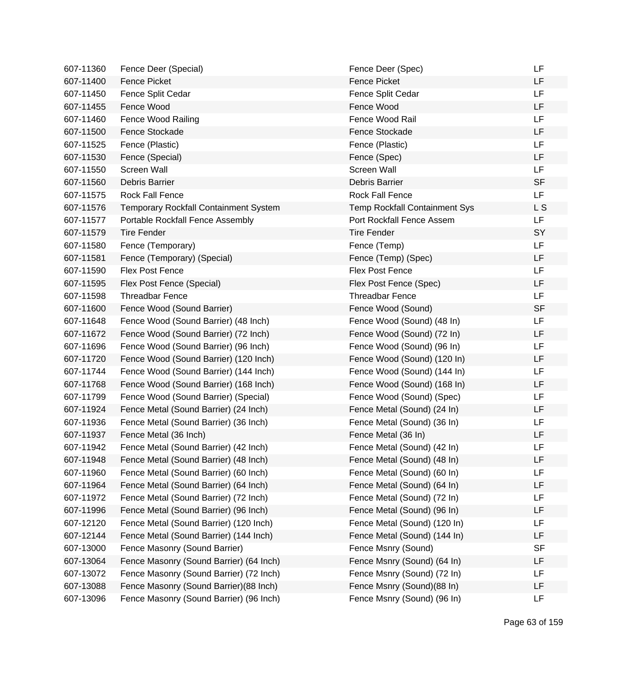| 607-11360 | Fence Deer (Special)                         | Fence Deer (Spec)                    | LF        |
|-----------|----------------------------------------------|--------------------------------------|-----------|
| 607-11400 | <b>Fence Picket</b>                          | <b>Fence Picket</b>                  | LF        |
| 607-11450 | Fence Split Cedar                            | Fence Split Cedar                    | LF        |
| 607-11455 | Fence Wood                                   | Fence Wood                           | LF        |
| 607-11460 | Fence Wood Railing                           | Fence Wood Rail                      | <b>LF</b> |
| 607-11500 | Fence Stockade                               | <b>Fence Stockade</b>                | LF        |
| 607-11525 | Fence (Plastic)                              | Fence (Plastic)                      | <b>LF</b> |
| 607-11530 | Fence (Special)                              | Fence (Spec)                         | <b>LF</b> |
| 607-11550 | Screen Wall                                  | Screen Wall                          | <b>LF</b> |
| 607-11560 | Debris Barrier                               | Debris Barrier                       | <b>SF</b> |
| 607-11575 | <b>Rock Fall Fence</b>                       | <b>Rock Fall Fence</b>               | <b>LF</b> |
| 607-11576 | <b>Temporary Rockfall Containment System</b> | <b>Temp Rockfall Containment Sys</b> | L S       |
| 607-11577 | Portable Rockfall Fence Assembly             | Port Rockfall Fence Assem            | LF        |
| 607-11579 | <b>Tire Fender</b>                           | <b>Tire Fender</b>                   | SY        |
| 607-11580 | Fence (Temporary)                            | Fence (Temp)                         | <b>LF</b> |
| 607-11581 | Fence (Temporary) (Special)                  | Fence (Temp) (Spec)                  | LF        |
| 607-11590 | <b>Flex Post Fence</b>                       | Flex Post Fence                      | <b>LF</b> |
| 607-11595 | Flex Post Fence (Special)                    | Flex Post Fence (Spec)               | <b>LF</b> |
| 607-11598 | <b>Threadbar Fence</b>                       | <b>Threadbar Fence</b>               | <b>LF</b> |
| 607-11600 | Fence Wood (Sound Barrier)                   | Fence Wood (Sound)                   | <b>SF</b> |
| 607-11648 | Fence Wood (Sound Barrier) (48 Inch)         | Fence Wood (Sound) (48 In)           | LF        |
| 607-11672 | Fence Wood (Sound Barrier) (72 Inch)         | Fence Wood (Sound) (72 In)           | LF        |
| 607-11696 | Fence Wood (Sound Barrier) (96 Inch)         | Fence Wood (Sound) (96 In)           | <b>LF</b> |
| 607-11720 | Fence Wood (Sound Barrier) (120 Inch)        | Fence Wood (Sound) (120 In)          | LF        |
| 607-11744 | Fence Wood (Sound Barrier) (144 Inch)        | Fence Wood (Sound) (144 In)          | LF        |
| 607-11768 | Fence Wood (Sound Barrier) (168 Inch)        | Fence Wood (Sound) (168 In)          | LF        |
| 607-11799 | Fence Wood (Sound Barrier) (Special)         | Fence Wood (Sound) (Spec)            | LF        |
| 607-11924 | Fence Metal (Sound Barrier) (24 Inch)        | Fence Metal (Sound) (24 In)          | LF        |
| 607-11936 | Fence Metal (Sound Barrier) (36 Inch)        | Fence Metal (Sound) (36 In)          | LF        |
| 607-11937 | Fence Metal (36 Inch)                        | Fence Metal (36 In)                  | LF        |
| 607-11942 | Fence Metal (Sound Barrier) (42 Inch)        | Fence Metal (Sound) (42 In)          | LF        |
| 607-11948 | Fence Metal (Sound Barrier) (48 Inch)        | Fence Metal (Sound) (48 In)          | LF        |
| 607-11960 | Fence Metal (Sound Barrier) (60 Inch)        | Fence Metal (Sound) (60 In)          | LF        |
| 607-11964 | Fence Metal (Sound Barrier) (64 Inch)        | Fence Metal (Sound) (64 In)          | LF        |
| 607-11972 | Fence Metal (Sound Barrier) (72 Inch)        | Fence Metal (Sound) (72 In)          | LF        |
| 607-11996 | Fence Metal (Sound Barrier) (96 Inch)        | Fence Metal (Sound) (96 In)          | LF        |
| 607-12120 | Fence Metal (Sound Barrier) (120 Inch)       | Fence Metal (Sound) (120 In)         | LF        |
| 607-12144 | Fence Metal (Sound Barrier) (144 Inch)       | Fence Metal (Sound) (144 In)         | LF        |
| 607-13000 | Fence Masonry (Sound Barrier)                | Fence Msnry (Sound)                  | <b>SF</b> |
| 607-13064 | Fence Masonry (Sound Barrier) (64 Inch)      | Fence Msnry (Sound) (64 In)          | LF        |
| 607-13072 | Fence Masonry (Sound Barrier) (72 Inch)      | Fence Msnry (Sound) (72 In)          | LF        |
| 607-13088 | Fence Masonry (Sound Barrier)(88 Inch)       | Fence Msnry (Sound)(88 In)           | LF        |
| 607-13096 | Fence Masonry (Sound Barrier) (96 Inch)      | Fence Msnry (Sound) (96 In)          | LF        |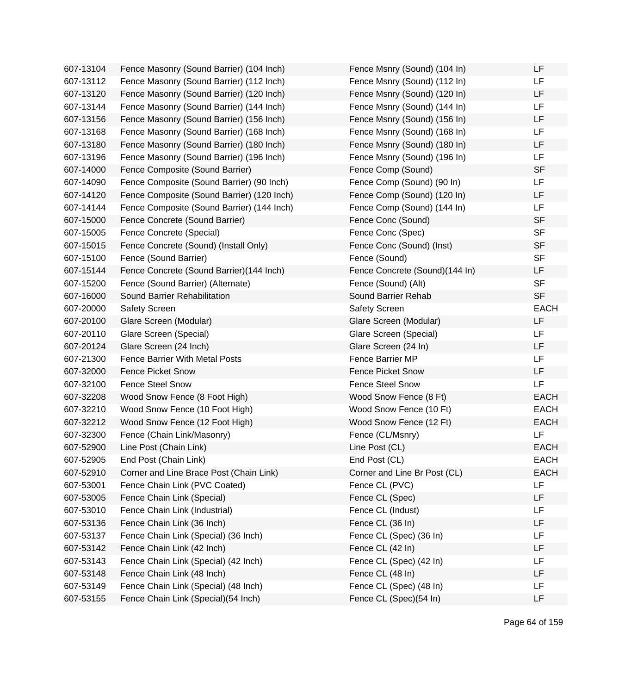| 607-13104 | Fence Masonry (Sound Barrier) (104 Inch)   | Fence Msnry (Sound) (104 In)   | LF          |
|-----------|--------------------------------------------|--------------------------------|-------------|
| 607-13112 | Fence Masonry (Sound Barrier) (112 Inch)   | Fence Msnry (Sound) (112 In)   | LF          |
| 607-13120 | Fence Masonry (Sound Barrier) (120 Inch)   | Fence Msnry (Sound) (120 In)   | LF          |
| 607-13144 | Fence Masonry (Sound Barrier) (144 Inch)   | Fence Msnry (Sound) (144 In)   | LF          |
| 607-13156 | Fence Masonry (Sound Barrier) (156 Inch)   | Fence Msnry (Sound) (156 In)   | LF          |
| 607-13168 | Fence Masonry (Sound Barrier) (168 Inch)   | Fence Msnry (Sound) (168 In)   | LF          |
| 607-13180 | Fence Masonry (Sound Barrier) (180 Inch)   | Fence Msnry (Sound) (180 In)   | LF          |
| 607-13196 | Fence Masonry (Sound Barrier) (196 Inch)   | Fence Msnry (Sound) (196 In)   | LF          |
| 607-14000 | Fence Composite (Sound Barrier)            | Fence Comp (Sound)             | <b>SF</b>   |
| 607-14090 | Fence Composite (Sound Barrier) (90 Inch)  | Fence Comp (Sound) (90 In)     | LF          |
| 607-14120 | Fence Composite (Sound Barrier) (120 Inch) | Fence Comp (Sound) (120 In)    | LF          |
| 607-14144 | Fence Composite (Sound Barrier) (144 Inch) | Fence Comp (Sound) (144 In)    | LF          |
| 607-15000 | Fence Concrete (Sound Barrier)             | Fence Conc (Sound)             | <b>SF</b>   |
| 607-15005 | Fence Concrete (Special)                   | Fence Conc (Spec)              | <b>SF</b>   |
| 607-15015 | Fence Concrete (Sound) (Install Only)      | Fence Conc (Sound) (Inst)      | <b>SF</b>   |
| 607-15100 | Fence (Sound Barrier)                      | Fence (Sound)                  | <b>SF</b>   |
| 607-15144 | Fence Concrete (Sound Barrier)(144 Inch)   | Fence Concrete (Sound)(144 In) | LF          |
| 607-15200 | Fence (Sound Barrier) (Alternate)          | Fence (Sound) (Alt)            | <b>SF</b>   |
| 607-16000 | Sound Barrier Rehabilitation               | Sound Barrier Rehab            | <b>SF</b>   |
| 607-20000 | <b>Safety Screen</b>                       | <b>Safety Screen</b>           | <b>EACH</b> |
| 607-20100 | Glare Screen (Modular)                     | Glare Screen (Modular)         | LF          |
| 607-20110 | Glare Screen (Special)                     | Glare Screen (Special)         | LF          |
| 607-20124 | Glare Screen (24 Inch)                     | Glare Screen (24 In)           | LF.         |
| 607-21300 | <b>Fence Barrier With Metal Posts</b>      | Fence Barrier MP               | LF          |
| 607-32000 | <b>Fence Picket Snow</b>                   | <b>Fence Picket Snow</b>       | LF          |
| 607-32100 | <b>Fence Steel Snow</b>                    | <b>Fence Steel Snow</b>        | LF          |
| 607-32208 | Wood Snow Fence (8 Foot High)              | Wood Snow Fence (8 Ft)         | <b>EACH</b> |
| 607-32210 | Wood Snow Fence (10 Foot High)             | Wood Snow Fence (10 Ft)        | <b>EACH</b> |
| 607-32212 | Wood Snow Fence (12 Foot High)             | Wood Snow Fence (12 Ft)        | <b>EACH</b> |
| 607-32300 | Fence (Chain Link/Masonry)                 | Fence (CL/Msnry)               | LF          |
| 607-52900 | Line Post (Chain Link)                     | Line Post (CL)                 | <b>EACH</b> |
| 607-52905 | End Post (Chain Link)                      | End Post (CL)                  | <b>EACH</b> |
| 607-52910 | Corner and Line Brace Post (Chain Link)    | Corner and Line Br Post (CL)   | <b>EACH</b> |
| 607-53001 | Fence Chain Link (PVC Coated)              | Fence CL (PVC)                 | LF          |
| 607-53005 | Fence Chain Link (Special)                 | Fence CL (Spec)                | LF          |
| 607-53010 | Fence Chain Link (Industrial)              | Fence CL (Indust)              | LF          |
| 607-53136 | Fence Chain Link (36 Inch)                 | Fence CL (36 In)               | LF          |
| 607-53137 | Fence Chain Link (Special) (36 Inch)       | Fence CL (Spec) (36 In)        | LF          |
| 607-53142 | Fence Chain Link (42 Inch)                 | Fence CL (42 In)               | LF          |
| 607-53143 | Fence Chain Link (Special) (42 Inch)       | Fence CL (Spec) (42 In)        | LF          |
| 607-53148 | Fence Chain Link (48 Inch)                 | Fence CL (48 In)               | LF          |
| 607-53149 | Fence Chain Link (Special) (48 Inch)       | Fence CL (Spec) (48 In)        | LF          |
| 607-53155 | Fence Chain Link (Special) (54 Inch)       | Fence CL (Spec)(54 In)         | LF          |
|           |                                            |                                |             |

| Fence Msnry (Sound) (104 In)   | LF          |
|--------------------------------|-------------|
| Fence Msnry (Sound) (112 In)   | LF          |
| Fence Msnry (Sound) (120 In)   | LF          |
| Fence Msnry (Sound) (144 In)   | LF          |
| Fence Msnry (Sound) (156 In)   | LF          |
| Fence Msnry (Sound) (168 In)   | LF          |
| Fence Msnry (Sound) (180 In)   | LF          |
| Fence Msnry (Sound) (196 In)   | LF          |
| Fence Comp (Sound)             | <b>SF</b>   |
| Fence Comp (Sound) (90 In)     | LF          |
| Fence Comp (Sound) (120 In)    | LF          |
| Fence Comp (Sound) (144 In)    | LF          |
| Fence Conc (Sound)             | <b>SF</b>   |
| Fence Conc (Spec)              | <b>SF</b>   |
| Fence Conc (Sound) (Inst)      | <b>SF</b>   |
| Fence (Sound)                  | <b>SF</b>   |
| Fence Concrete (Sound)(144 In) | LF          |
| Fence (Sound) (Alt)            | <b>SF</b>   |
| Sound Barrier Rehab            | <b>SF</b>   |
| <b>Safety Screen</b>           | <b>EACH</b> |
| Glare Screen (Modular)         | LF          |
| Glare Screen (Special)         | LF          |
| Glare Screen (24 In)           | LF          |
| <b>Fence Barrier MP</b>        | LF          |
| <b>Fence Picket Snow</b>       | LF          |
| <b>Fence Steel Snow</b>        | LF          |
| Wood Snow Fence (8 Ft)         | <b>EACH</b> |
| Wood Snow Fence (10 Ft)        | <b>EACH</b> |
| Wood Snow Fence (12 Ft)        | <b>EACH</b> |
| Fence (CL/Msnry)               | LF          |
| Line Post (CL)                 | <b>EACH</b> |
| End Post (CL)                  | <b>EACH</b> |
| Corner and Line Br Post (CL)   | <b>EACH</b> |
| Fence CL (PVC)                 | LF          |
| Fence CL (Spec)                | LF          |
| Fence CL (Indust)              | LF          |
| Fence CL (36 In)               | LF          |
| Fence CL (Spec) (36 In)        | LF          |
| Fence CL (42 In)               | LF          |
| Fence CL (Spec) (42 In)        | LF          |
| Fence CL (48 In)               | LF          |
| Fence CL (Spec) (48 In)        | LF          |
| Fence CL (Spec)(54 In)         | LF          |
|                                |             |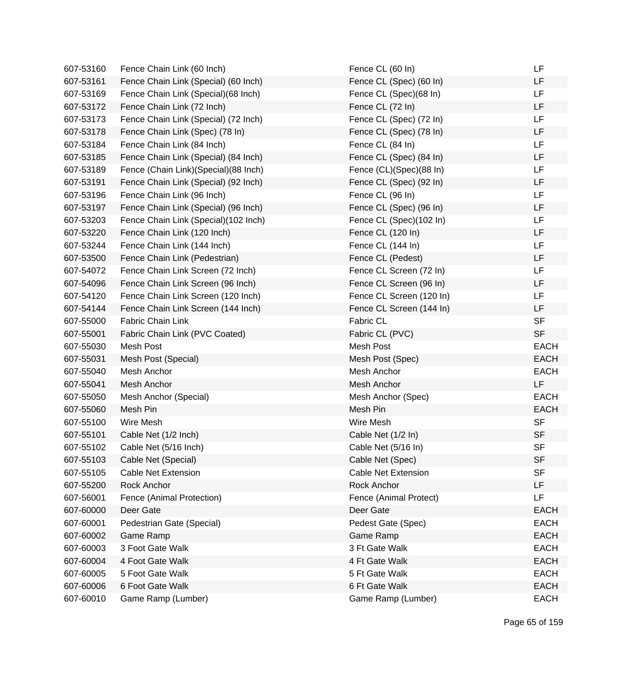| 607-53160 | Fence Chain Link (60 Inch)           | Fence CL (60 In)           | LF          |
|-----------|--------------------------------------|----------------------------|-------------|
| 607-53161 | Fence Chain Link (Special) (60 Inch) | Fence CL (Spec) (60 In)    | LF          |
| 607-53169 | Fence Chain Link (Special) (68 Inch) | Fence CL (Spec)(68 In)     | LF          |
| 607-53172 | Fence Chain Link (72 Inch)           | Fence CL (72 In)           | LF          |
| 607-53173 | Fence Chain Link (Special) (72 Inch) | Fence CL (Spec) (72 In)    | <b>LF</b>   |
| 607-53178 | Fence Chain Link (Spec) (78 In)      | Fence CL (Spec) (78 In)    | LF          |
| 607-53184 | Fence Chain Link (84 Inch)           | Fence CL (84 In)           | <b>LF</b>   |
| 607-53185 | Fence Chain Link (Special) (84 Inch) | Fence CL (Spec) (84 In)    | <b>LF</b>   |
| 607-53189 | Fence (Chain Link)(Special)(88 Inch) | Fence (CL)(Spec)(88 In)    | LF          |
| 607-53191 | Fence Chain Link (Special) (92 Inch) | Fence CL (Spec) (92 In)    | LF          |
| 607-53196 | Fence Chain Link (96 Inch)           | Fence CL (96 In)           | <b>LF</b>   |
| 607-53197 | Fence Chain Link (Special) (96 Inch) | Fence CL (Spec) (96 In)    | LF          |
| 607-53203 | Fence Chain Link (Special)(102 Inch) | Fence CL (Spec)(102 In)    | LF          |
| 607-53220 | Fence Chain Link (120 Inch)          | Fence CL (120 In)          | LF          |
| 607-53244 | Fence Chain Link (144 Inch)          | Fence CL (144 In)          | <b>LF</b>   |
| 607-53500 | Fence Chain Link (Pedestrian)        | Fence CL (Pedest)          | LF          |
| 607-54072 | Fence Chain Link Screen (72 Inch)    | Fence CL Screen (72 In)    | LF          |
| 607-54096 | Fence Chain Link Screen (96 Inch)    | Fence CL Screen (96 In)    | <b>LF</b>   |
| 607-54120 | Fence Chain Link Screen (120 Inch)   | Fence CL Screen (120 In)   | LF          |
| 607-54144 | Fence Chain Link Screen (144 Inch)   | Fence CL Screen (144 In)   | <b>LF</b>   |
| 607-55000 | Fabric Chain Link                    | Fabric CL                  | <b>SF</b>   |
| 607-55001 | Fabric Chain Link (PVC Coated)       | Fabric CL (PVC)            | <b>SF</b>   |
| 607-55030 | Mesh Post                            | Mesh Post                  | <b>EACH</b> |
| 607-55031 | Mesh Post (Special)                  | Mesh Post (Spec)           | <b>EACH</b> |
| 607-55040 | Mesh Anchor                          | Mesh Anchor                | <b>EACH</b> |
| 607-55041 | Mesh Anchor                          | Mesh Anchor                | LF          |
| 607-55050 | Mesh Anchor (Special)                | Mesh Anchor (Spec)         | <b>EACH</b> |
| 607-55060 | Mesh Pin                             | Mesh Pin                   | <b>EACH</b> |
| 607-55100 | Wire Mesh                            | Wire Mesh                  | <b>SF</b>   |
| 607-55101 | Cable Net (1/2 Inch)                 | Cable Net (1/2 In)         | <b>SF</b>   |
| 607-55102 | Cable Net (5/16 Inch)                | Cable Net (5/16 In)        | <b>SF</b>   |
| 607-55103 | Cable Net (Special)                  | Cable Net (Spec)           | <b>SF</b>   |
| 607-55105 | <b>Cable Net Extension</b>           | <b>Cable Net Extension</b> | <b>SF</b>   |
| 607-55200 | Rock Anchor                          | Rock Anchor                | LF          |
| 607-56001 | Fence (Animal Protection)            | Fence (Animal Protect)     | LF          |
| 607-60000 | Deer Gate                            | Deer Gate                  | <b>EACH</b> |
| 607-60001 | Pedestrian Gate (Special)            | Pedest Gate (Spec)         | <b>EACH</b> |
| 607-60002 | Game Ramp                            | Game Ramp                  | <b>EACH</b> |
| 607-60003 | 3 Foot Gate Walk                     | 3 Ft Gate Walk             | <b>EACH</b> |
| 607-60004 | 4 Foot Gate Walk                     | 4 Ft Gate Walk             | <b>EACH</b> |
| 607-60005 | 5 Foot Gate Walk                     | 5 Ft Gate Walk             | <b>EACH</b> |
| 607-60006 | 6 Foot Gate Walk                     | 6 Ft Gate Walk             | <b>EACH</b> |
| 607-60010 | Game Ramp (Lumber)                   | Game Ramp (Lumber)         | <b>EACH</b> |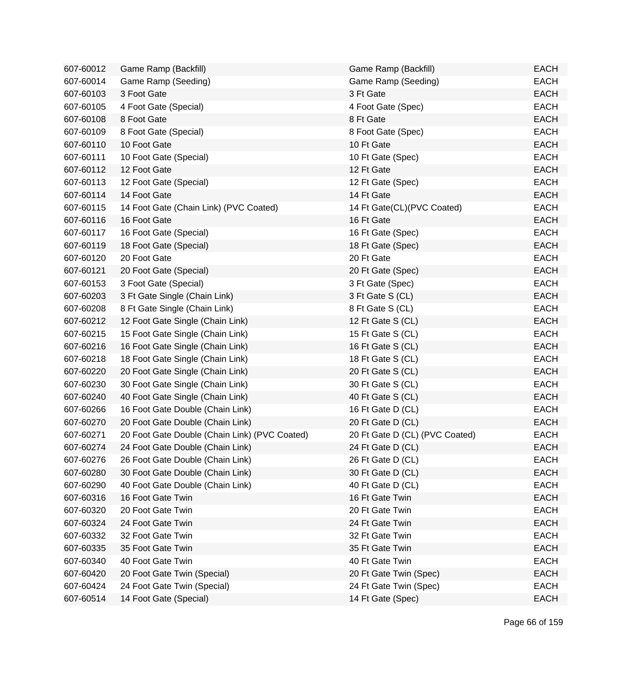| 607-60012 | Game Ramp (Backfill)                          | Game Ramp (Backfill)           | <b>EACH</b> |
|-----------|-----------------------------------------------|--------------------------------|-------------|
| 607-60014 | Game Ramp (Seeding)                           | Game Ramp (Seeding)            | <b>EACH</b> |
| 607-60103 | 3 Foot Gate                                   | 3 Ft Gate                      | <b>EACH</b> |
| 607-60105 | 4 Foot Gate (Special)                         | 4 Foot Gate (Spec)             | <b>EACH</b> |
| 607-60108 | 8 Foot Gate                                   | 8 Ft Gate                      | <b>EACH</b> |
| 607-60109 | 8 Foot Gate (Special)                         | 8 Foot Gate (Spec)             | <b>EACH</b> |
| 607-60110 | 10 Foot Gate                                  | 10 Ft Gate                     | <b>EACH</b> |
| 607-60111 | 10 Foot Gate (Special)                        | 10 Ft Gate (Spec)              | <b>EACH</b> |
| 607-60112 | 12 Foot Gate                                  | 12 Ft Gate                     | <b>EACH</b> |
| 607-60113 | 12 Foot Gate (Special)                        | 12 Ft Gate (Spec)              | <b>EACH</b> |
| 607-60114 | 14 Foot Gate                                  | 14 Ft Gate                     | <b>EACH</b> |
| 607-60115 | 14 Foot Gate (Chain Link) (PVC Coated)        | 14 Ft Gate(CL)(PVC Coated)     | <b>EACH</b> |
| 607-60116 | 16 Foot Gate                                  | 16 Ft Gate                     | <b>EACH</b> |
| 607-60117 | 16 Foot Gate (Special)                        | 16 Ft Gate (Spec)              | <b>EACH</b> |
| 607-60119 | 18 Foot Gate (Special)                        | 18 Ft Gate (Spec)              | <b>EACH</b> |
| 607-60120 | 20 Foot Gate                                  | 20 Ft Gate                     | <b>EACH</b> |
| 607-60121 | 20 Foot Gate (Special)                        | 20 Ft Gate (Spec)              | <b>EACH</b> |
| 607-60153 | 3 Foot Gate (Special)                         | 3 Ft Gate (Spec)               | <b>EACH</b> |
| 607-60203 | 3 Ft Gate Single (Chain Link)                 | 3 Ft Gate S (CL)               | <b>EACH</b> |
| 607-60208 | 8 Ft Gate Single (Chain Link)                 | 8 Ft Gate S (CL)               | <b>EACH</b> |
| 607-60212 | 12 Foot Gate Single (Chain Link)              | 12 Ft Gate S (CL)              | <b>EACH</b> |
| 607-60215 | 15 Foot Gate Single (Chain Link)              | 15 Ft Gate S (CL)              | <b>EACH</b> |
| 607-60216 | 16 Foot Gate Single (Chain Link)              | 16 Ft Gate S (CL)              | <b>EACH</b> |
| 607-60218 | 18 Foot Gate Single (Chain Link)              | 18 Ft Gate S (CL)              | <b>EACH</b> |
| 607-60220 | 20 Foot Gate Single (Chain Link)              | 20 Ft Gate S (CL)              | <b>EACH</b> |
| 607-60230 | 30 Foot Gate Single (Chain Link)              | 30 Ft Gate S (CL)              | <b>EACH</b> |
| 607-60240 | 40 Foot Gate Single (Chain Link)              | 40 Ft Gate S (CL)              | <b>EACH</b> |
| 607-60266 | 16 Foot Gate Double (Chain Link)              | 16 Ft Gate D (CL)              | <b>EACH</b> |
| 607-60270 | 20 Foot Gate Double (Chain Link)              | 20 Ft Gate D (CL)              | <b>EACH</b> |
| 607-60271 | 20 Foot Gate Double (Chain Link) (PVC Coated) | 20 Ft Gate D (CL) (PVC Coated) | <b>EACH</b> |
| 607-60274 | 24 Foot Gate Double (Chain Link)              | 24 Ft Gate D (CL)              | <b>EACH</b> |
| 607-60276 | 26 Foot Gate Double (Chain Link)              | 26 Ft Gate D (CL)              | <b>EACH</b> |
| 607-60280 | 30 Foot Gate Double (Chain Link)              | 30 Ft Gate D (CL)              | <b>EACH</b> |
| 607-60290 | 40 Foot Gate Double (Chain Link)              | 40 Ft Gate D (CL)              | <b>EACH</b> |
| 607-60316 | 16 Foot Gate Twin                             | 16 Ft Gate Twin                | <b>EACH</b> |
| 607-60320 | 20 Foot Gate Twin                             | 20 Ft Gate Twin                | <b>EACH</b> |
| 607-60324 | 24 Foot Gate Twin                             | 24 Ft Gate Twin                | <b>EACH</b> |
| 607-60332 | 32 Foot Gate Twin                             | 32 Ft Gate Twin                | <b>EACH</b> |
| 607-60335 | 35 Foot Gate Twin                             | 35 Ft Gate Twin                | <b>EACH</b> |
| 607-60340 | 40 Foot Gate Twin                             | 40 Ft Gate Twin                | <b>EACH</b> |
| 607-60420 | 20 Foot Gate Twin (Special)                   | 20 Ft Gate Twin (Spec)         | <b>EACH</b> |
| 607-60424 | 24 Foot Gate Twin (Special)                   | 24 Ft Gate Twin (Spec)         | <b>EACH</b> |
| 607-60514 | 14 Foot Gate (Special)                        | 14 Ft Gate (Spec)              | <b>EACH</b> |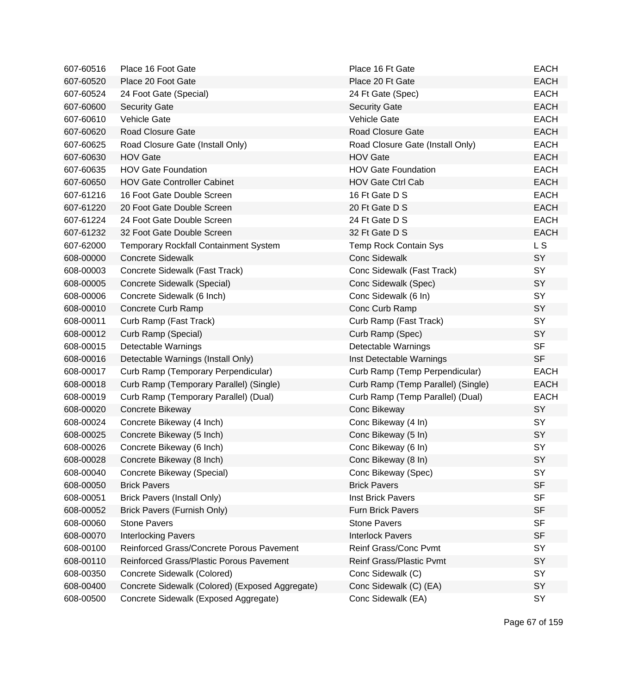| 607-60516 | Place 16 Foot Gate                              | Place 16 Ft Gate                   | <b>EACH</b> |
|-----------|-------------------------------------------------|------------------------------------|-------------|
| 607-60520 | Place 20 Foot Gate                              | Place 20 Ft Gate                   | <b>EACH</b> |
| 607-60524 | 24 Foot Gate (Special)                          | 24 Ft Gate (Spec)                  | <b>EACH</b> |
| 607-60600 | <b>Security Gate</b>                            | <b>Security Gate</b>               | <b>EACH</b> |
| 607-60610 | <b>Vehicle Gate</b>                             | Vehicle Gate                       | <b>EACH</b> |
| 607-60620 | Road Closure Gate                               | Road Closure Gate                  | <b>EACH</b> |
| 607-60625 | Road Closure Gate (Install Only)                | Road Closure Gate (Install Only)   | <b>EACH</b> |
| 607-60630 | <b>HOV Gate</b>                                 | <b>HOV Gate</b>                    | <b>EACH</b> |
| 607-60635 | <b>HOV Gate Foundation</b>                      | <b>HOV Gate Foundation</b>         | <b>EACH</b> |
| 607-60650 | <b>HOV Gate Controller Cabinet</b>              | <b>HOV Gate Ctrl Cab</b>           | <b>EACH</b> |
| 607-61216 | 16 Foot Gate Double Screen                      | 16 Ft Gate D S                     | <b>EACH</b> |
| 607-61220 | 20 Foot Gate Double Screen                      | 20 Ft Gate D S                     | <b>EACH</b> |
| 607-61224 | 24 Foot Gate Double Screen                      | 24 Ft Gate D S                     | <b>EACH</b> |
| 607-61232 | 32 Foot Gate Double Screen                      | 32 Ft Gate D S                     | <b>EACH</b> |
| 607-62000 | <b>Temporary Rockfall Containment System</b>    | <b>Temp Rock Contain Sys</b>       | L S         |
| 608-00000 | <b>Concrete Sidewalk</b>                        | <b>Conc Sidewalk</b>               | SY          |
| 608-00003 | Concrete Sidewalk (Fast Track)                  | Conc Sidewalk (Fast Track)         | SY          |
| 608-00005 | Concrete Sidewalk (Special)                     | Conc Sidewalk (Spec)               | SY          |
| 608-00006 | Concrete Sidewalk (6 Inch)                      | Conc Sidewalk (6 In)               | SY          |
| 608-00010 | Concrete Curb Ramp                              | Conc Curb Ramp                     | SY          |
| 608-00011 | Curb Ramp (Fast Track)                          | Curb Ramp (Fast Track)             | SY          |
| 608-00012 | Curb Ramp (Special)                             | Curb Ramp (Spec)                   | SY          |
| 608-00015 | Detectable Warnings                             | Detectable Warnings                | <b>SF</b>   |
| 608-00016 | Detectable Warnings (Install Only)              | Inst Detectable Warnings           | <b>SF</b>   |
| 608-00017 | Curb Ramp (Temporary Perpendicular)             | Curb Ramp (Temp Perpendicular)     | <b>EACH</b> |
| 608-00018 | Curb Ramp (Temporary Parallel) (Single)         | Curb Ramp (Temp Parallel) (Single) | <b>EACH</b> |
| 608-00019 | Curb Ramp (Temporary Parallel) (Dual)           | Curb Ramp (Temp Parallel) (Dual)   | <b>EACH</b> |
| 608-00020 | Concrete Bikeway                                | Conc Bikeway                       | SY          |
| 608-00024 | Concrete Bikeway (4 Inch)                       | Conc Bikeway (4 In)                | SY          |
| 608-00025 | Concrete Bikeway (5 Inch)                       | Conc Bikeway (5 In)                | SY          |
| 608-00026 | Concrete Bikeway (6 Inch)                       | Conc Bikeway (6 In)                | SY          |
| 608-00028 | Concrete Bikeway (8 Inch)                       | Conc Bikeway (8 In)                | <b>SY</b>   |
| 608-00040 | Concrete Bikeway (Special)                      | Conc Bikeway (Spec)                | SY          |
| 608-00050 | <b>Brick Pavers</b>                             | <b>Brick Pavers</b>                | <b>SF</b>   |
| 608-00051 | <b>Brick Pavers (Install Only)</b>              | <b>Inst Brick Pavers</b>           | <b>SF</b>   |
| 608-00052 | Brick Pavers (Furnish Only)                     | <b>Furn Brick Pavers</b>           | <b>SF</b>   |
| 608-00060 | <b>Stone Pavers</b>                             | <b>Stone Pavers</b>                | <b>SF</b>   |
| 608-00070 | <b>Interlocking Pavers</b>                      | <b>Interlock Pavers</b>            | <b>SF</b>   |
| 608-00100 | Reinforced Grass/Concrete Porous Pavement       | Reinf Grass/Conc Pvmt              | SY          |
| 608-00110 | Reinforced Grass/Plastic Porous Pavement        | <b>Reinf Grass/Plastic Pvmt</b>    | SY          |
| 608-00350 | Concrete Sidewalk (Colored)                     | Conc Sidewalk (C)                  | SY          |
| 608-00400 | Concrete Sidewalk (Colored) (Exposed Aggregate) | Conc Sidewalk (C) (EA)             | SY          |
| 608-00500 | Concrete Sidewalk (Exposed Aggregate)           | Conc Sidewalk (EA)                 | SY          |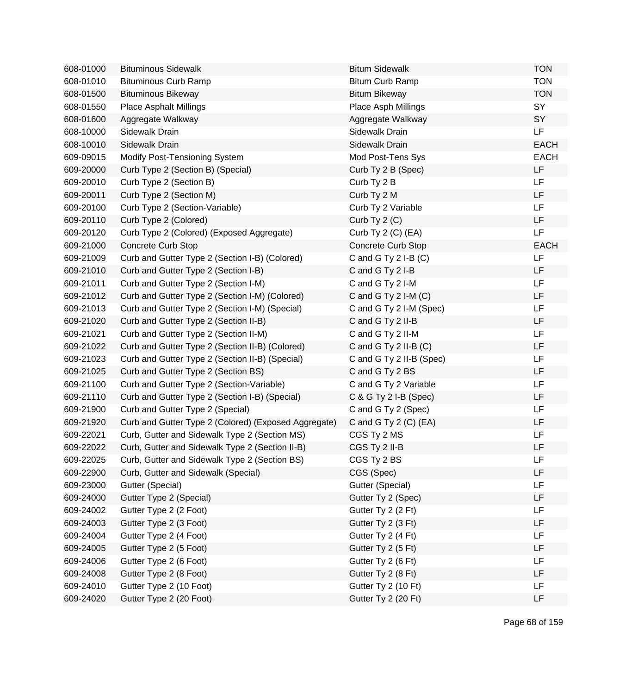| 608-01000 | <b>Bituminous Sidewalk</b>                           | <b>Bitum Sidewalk</b>     | <b>TON</b>  |
|-----------|------------------------------------------------------|---------------------------|-------------|
| 608-01010 | <b>Bituminous Curb Ramp</b>                          | <b>Bitum Curb Ramp</b>    | <b>TON</b>  |
| 608-01500 | <b>Bituminous Bikeway</b>                            | <b>Bitum Bikeway</b>      | <b>TON</b>  |
| 608-01550 | <b>Place Asphalt Millings</b>                        | Place Asph Millings       | SY          |
| 608-01600 | Aggregate Walkway                                    | Aggregate Walkway         | SY          |
| 608-10000 | Sidewalk Drain                                       | Sidewalk Drain            | <b>LF</b>   |
| 608-10010 | Sidewalk Drain                                       | Sidewalk Drain            | <b>EACH</b> |
| 609-09015 | Modify Post-Tensioning System                        | Mod Post-Tens Sys         | <b>EACH</b> |
| 609-20000 | Curb Type 2 (Section B) (Special)                    | Curb Ty 2 B (Spec)        | LF          |
| 609-20010 | Curb Type 2 (Section B)                              | Curb Ty 2 B               | <b>LF</b>   |
| 609-20011 | Curb Type 2 (Section M)                              | Curb Ty 2 M               | <b>LF</b>   |
| 609-20100 | Curb Type 2 (Section-Variable)                       | Curb Ty 2 Variable        | LF          |
| 609-20110 | Curb Type 2 (Colored)                                | Curb Ty $2$ (C)           | LF          |
| 609-20120 | Curb Type 2 (Colored) (Exposed Aggregate)            | Curb Ty 2 (C) (EA)        | LF          |
| 609-21000 | <b>Concrete Curb Stop</b>                            | <b>Concrete Curb Stop</b> | <b>EACH</b> |
| 609-21009 | Curb and Gutter Type 2 (Section I-B) (Colored)       | C and G Ty 2 I-B (C)      | LF          |
| 609-21010 | Curb and Gutter Type 2 (Section I-B)                 | C and G Ty 2 I-B          | LF          |
| 609-21011 | Curb and Gutter Type 2 (Section I-M)                 | C and G Ty 2 I-M          | LF          |
| 609-21012 | Curb and Gutter Type 2 (Section I-M) (Colored)       | C and G Ty $2$ I-M $(C)$  | LF          |
| 609-21013 | Curb and Gutter Type 2 (Section I-M) (Special)       | C and G Ty 2 I-M (Spec)   | LF          |
| 609-21020 | Curb and Gutter Type 2 (Section II-B)                | C and G Ty 2 II-B         | LF          |
| 609-21021 | Curb and Gutter Type 2 (Section II-M)                | C and G Ty 2 II-M         | LF          |
| 609-21022 | Curb and Gutter Type 2 (Section II-B) (Colored)      | C and G Ty $2$ II-B $(C)$ | LF          |
| 609-21023 | Curb and Gutter Type 2 (Section II-B) (Special)      | C and G Ty 2 II-B (Spec)  | LF          |
| 609-21025 | Curb and Gutter Type 2 (Section BS)                  | C and G Ty 2 BS           | LF          |
| 609-21100 | Curb and Gutter Type 2 (Section-Variable)            | C and G Ty 2 Variable     | LF          |
| 609-21110 | Curb and Gutter Type 2 (Section I-B) (Special)       | C & G Ty 2 I-B (Spec)     | LF          |
| 609-21900 | Curb and Gutter Type 2 (Special)                     | C and G Ty 2 (Spec)       | LF          |
| 609-21920 | Curb and Gutter Type 2 (Colored) (Exposed Aggregate) | C and G Ty $2$ (C) (EA)   | LF          |
| 609-22021 | Curb, Gutter and Sidewalk Type 2 (Section MS)        | CGS Ty 2 MS               | LF          |
| 609-22022 | Curb, Gutter and Sidewalk Type 2 (Section II-B)      | CGS Ty 2 II-B             | LF          |
| 609-22025 | Curb, Gutter and Sidewalk Type 2 (Section BS)        | CGS Ty 2 BS               | LF          |
| 609-22900 | Curb, Gutter and Sidewalk (Special)                  | CGS (Spec)                | LF          |
| 609-23000 | Gutter (Special)                                     | Gutter (Special)          | LF          |
| 609-24000 | Gutter Type 2 (Special)                              | Gutter Ty 2 (Spec)        | LF          |
| 609-24002 | Gutter Type 2 (2 Foot)                               | Gutter Ty 2 (2 Ft)        | LF          |
| 609-24003 | Gutter Type 2 (3 Foot)                               | Gutter Ty 2 (3 Ft)        | LF          |
| 609-24004 | Gutter Type 2 (4 Foot)                               | Gutter Ty 2 (4 Ft)        | LF          |
| 609-24005 | Gutter Type 2 (5 Foot)                               | Gutter Ty 2 (5 Ft)        | LF          |
| 609-24006 | Gutter Type 2 (6 Foot)                               | Gutter Ty 2 (6 Ft)        | LF          |
| 609-24008 | Gutter Type 2 (8 Foot)                               | Gutter Ty 2 (8 Ft)        | LF          |
| 609-24010 | Gutter Type 2 (10 Foot)                              | Gutter Ty 2 (10 Ft)       | LF          |
| 609-24020 | Gutter Type 2 (20 Foot)                              | Gutter Ty 2 (20 Ft)       | LF          |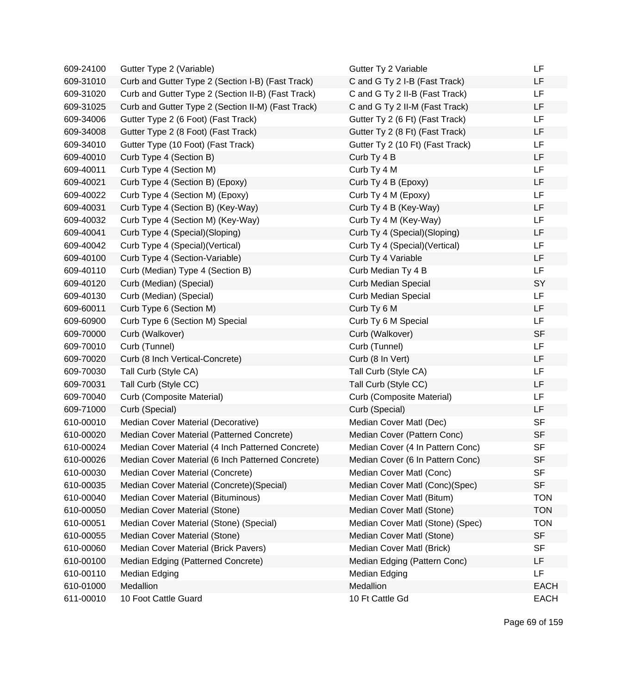| 609-24100 | Gutter Type 2 (Variable)                           | Gutter Ty 2 Variable             | LF          |
|-----------|----------------------------------------------------|----------------------------------|-------------|
| 609-31010 | Curb and Gutter Type 2 (Section I-B) (Fast Track)  | C and G Ty 2 I-B (Fast Track)    | LF          |
| 609-31020 | Curb and Gutter Type 2 (Section II-B) (Fast Track) | C and G Ty 2 II-B (Fast Track)   | LF          |
| 609-31025 | Curb and Gutter Type 2 (Section II-M) (Fast Track) | C and G Ty 2 II-M (Fast Track)   | LF          |
| 609-34006 | Gutter Type 2 (6 Foot) (Fast Track)                | Gutter Ty 2 (6 Ft) (Fast Track)  | LF          |
| 609-34008 | Gutter Type 2 (8 Foot) (Fast Track)                | Gutter Ty 2 (8 Ft) (Fast Track)  | LF          |
| 609-34010 | Gutter Type (10 Foot) (Fast Track)                 | Gutter Ty 2 (10 Ft) (Fast Track) | LF          |
| 609-40010 | Curb Type 4 (Section B)                            | Curb Ty 4 B                      | LF          |
| 609-40011 | Curb Type 4 (Section M)                            | Curb Ty 4 M                      | LF          |
| 609-40021 | Curb Type 4 (Section B) (Epoxy)                    | Curb Ty 4 B (Epoxy)              | LF          |
| 609-40022 | Curb Type 4 (Section M) (Epoxy)                    | Curb Ty 4 M (Epoxy)              | LF          |
| 609-40031 | Curb Type 4 (Section B) (Key-Way)                  | Curb Ty 4 B (Key-Way)            | LF          |
| 609-40032 | Curb Type 4 (Section M) (Key-Way)                  | Curb Ty 4 M (Key-Way)            | LF          |
| 609-40041 | Curb Type 4 (Special)(Sloping)                     | Curb Ty 4 (Special)(Sloping)     | LF          |
| 609-40042 | Curb Type 4 (Special) (Vertical)                   | Curb Ty 4 (Special) (Vertical)   | LF          |
| 609-40100 | Curb Type 4 (Section-Variable)                     | Curb Ty 4 Variable               | LF          |
| 609-40110 | Curb (Median) Type 4 (Section B)                   | Curb Median Ty 4 B               | LF          |
| 609-40120 | Curb (Median) (Special)                            | <b>Curb Median Special</b>       | SY          |
| 609-40130 | Curb (Median) (Special)                            | <b>Curb Median Special</b>       | LF          |
| 609-60011 | Curb Type 6 (Section M)                            | Curb Ty 6 M                      | LF          |
| 609-60900 | Curb Type 6 (Section M) Special                    | Curb Ty 6 M Special              | LF          |
| 609-70000 | Curb (Walkover)                                    | Curb (Walkover)                  | <b>SF</b>   |
| 609-70010 | Curb (Tunnel)                                      | Curb (Tunnel)                    | LF          |
| 609-70020 | Curb (8 Inch Vertical-Concrete)                    | Curb (8 In Vert)                 | LF          |
| 609-70030 | Tall Curb (Style CA)                               | Tall Curb (Style CA)             | LF          |
| 609-70031 | Tall Curb (Style CC)                               | Tall Curb (Style CC)             | LF          |
| 609-70040 | Curb (Composite Material)                          | Curb (Composite Material)        | LF          |
| 609-71000 | Curb (Special)                                     | Curb (Special)                   | LF          |
| 610-00010 | Median Cover Material (Decorative)                 | Median Cover Matl (Dec)          | <b>SF</b>   |
| 610-00020 | Median Cover Material (Patterned Concrete)         | Median Cover (Pattern Conc)      | <b>SF</b>   |
| 610-00024 | Median Cover Material (4 Inch Patterned Concrete)  | Median Cover (4 In Pattern Conc) | <b>SF</b>   |
| 610-00026 | Median Cover Material (6 Inch Patterned Concrete)  | Median Cover (6 In Pattern Conc) | <b>SF</b>   |
| 610-00030 | Median Cover Material (Concrete)                   | Median Cover Matl (Conc)         | <b>SF</b>   |
| 610-00035 | Median Cover Material (Concrete) (Special)         | Median Cover Matl (Conc)(Spec)   | <b>SF</b>   |
| 610-00040 | Median Cover Material (Bituminous)                 | Median Cover Matl (Bitum)        | <b>TON</b>  |
| 610-00050 | Median Cover Material (Stone)                      | Median Cover Matl (Stone)        | <b>TON</b>  |
| 610-00051 | Median Cover Material (Stone) (Special)            | Median Cover Matl (Stone) (Spec) | <b>TON</b>  |
| 610-00055 | Median Cover Material (Stone)                      | Median Cover Matl (Stone)        | <b>SF</b>   |
| 610-00060 | Median Cover Material (Brick Pavers)               | Median Cover Matl (Brick)        | <b>SF</b>   |
| 610-00100 | Median Edging (Patterned Concrete)                 | Median Edging (Pattern Conc)     | LF          |
| 610-00110 | Median Edging                                      | Median Edging                    | LF          |
| 610-01000 | Medallion                                          | Medallion                        | <b>EACH</b> |
| 611-00010 | 10 Foot Cattle Guard                               | 10 Ft Cattle Gd                  | <b>EACH</b> |

Page 69 of 159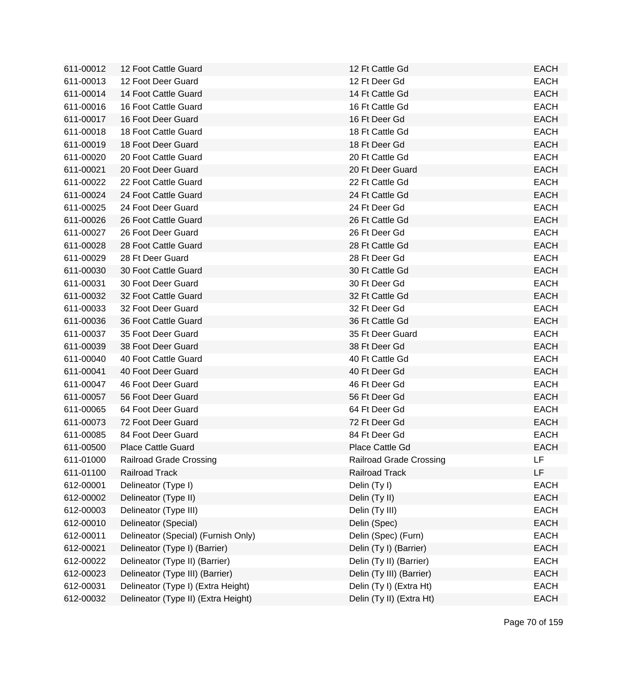| 611-00012 | 12 Foot Cattle Guard                | 12 Ft Cattle Gd                | <b>EACH</b> |
|-----------|-------------------------------------|--------------------------------|-------------|
| 611-00013 | 12 Foot Deer Guard                  | 12 Ft Deer Gd                  | <b>EACH</b> |
| 611-00014 | 14 Foot Cattle Guard                | 14 Ft Cattle Gd                | <b>EACH</b> |
| 611-00016 | 16 Foot Cattle Guard                | 16 Ft Cattle Gd                | <b>EACH</b> |
| 611-00017 | 16 Foot Deer Guard                  | 16 Ft Deer Gd                  | <b>EACH</b> |
| 611-00018 | 18 Foot Cattle Guard                | 18 Ft Cattle Gd                | <b>EACH</b> |
| 611-00019 | 18 Foot Deer Guard                  | 18 Ft Deer Gd                  | <b>EACH</b> |
| 611-00020 | 20 Foot Cattle Guard                | 20 Ft Cattle Gd                | <b>EACH</b> |
| 611-00021 | 20 Foot Deer Guard                  | 20 Ft Deer Guard               | <b>EACH</b> |
| 611-00022 | 22 Foot Cattle Guard                | 22 Ft Cattle Gd                | <b>EACH</b> |
| 611-00024 | 24 Foot Cattle Guard                | 24 Ft Cattle Gd                | <b>EACH</b> |
| 611-00025 | 24 Foot Deer Guard                  | 24 Ft Deer Gd                  | <b>EACH</b> |
| 611-00026 | 26 Foot Cattle Guard                | 26 Ft Cattle Gd                | <b>EACH</b> |
| 611-00027 | 26 Foot Deer Guard                  | 26 Ft Deer Gd                  | <b>EACH</b> |
| 611-00028 | 28 Foot Cattle Guard                | 28 Ft Cattle Gd                | <b>EACH</b> |
| 611-00029 | 28 Ft Deer Guard                    | 28 Ft Deer Gd                  | <b>EACH</b> |
| 611-00030 | 30 Foot Cattle Guard                | 30 Ft Cattle Gd                | <b>EACH</b> |
| 611-00031 | 30 Foot Deer Guard                  | 30 Ft Deer Gd                  | <b>EACH</b> |
| 611-00032 | 32 Foot Cattle Guard                | 32 Ft Cattle Gd                | <b>EACH</b> |
| 611-00033 | 32 Foot Deer Guard                  | 32 Ft Deer Gd                  | <b>EACH</b> |
| 611-00036 | 36 Foot Cattle Guard                | 36 Ft Cattle Gd                | <b>EACH</b> |
| 611-00037 | 35 Foot Deer Guard                  | 35 Ft Deer Guard               | <b>EACH</b> |
| 611-00039 | 38 Foot Deer Guard                  | 38 Ft Deer Gd                  | <b>EACH</b> |
| 611-00040 | 40 Foot Cattle Guard                | 40 Ft Cattle Gd                | <b>EACH</b> |
| 611-00041 | 40 Foot Deer Guard                  | 40 Ft Deer Gd                  | <b>EACH</b> |
| 611-00047 | 46 Foot Deer Guard                  | 46 Ft Deer Gd                  | <b>EACH</b> |
| 611-00057 | 56 Foot Deer Guard                  | 56 Ft Deer Gd                  | <b>EACH</b> |
| 611-00065 | 64 Foot Deer Guard                  | 64 Ft Deer Gd                  | <b>EACH</b> |
| 611-00073 | 72 Foot Deer Guard                  | 72 Ft Deer Gd                  | <b>EACH</b> |
| 611-00085 | 84 Foot Deer Guard                  | 84 Ft Deer Gd                  | <b>EACH</b> |
| 611-00500 | <b>Place Cattle Guard</b>           | Place Cattle Gd                | <b>EACH</b> |
| 611-01000 | <b>Railroad Grade Crossing</b>      | <b>Railroad Grade Crossing</b> | LF          |
| 611-01100 | <b>Railroad Track</b>               | <b>Railroad Track</b>          | <b>LF</b>   |
| 612-00001 | Delineator (Type I)                 | Delin (Ty I)                   | <b>EACH</b> |
| 612-00002 | Delineator (Type II)                | Delin (Ty II)                  | <b>EACH</b> |
| 612-00003 | Delineator (Type III)               | Delin (Ty III)                 | <b>EACH</b> |
| 612-00010 | Delineator (Special)                | Delin (Spec)                   | <b>EACH</b> |
| 612-00011 | Delineator (Special) (Furnish Only) | Delin (Spec) (Furn)            | <b>EACH</b> |
| 612-00021 | Delineator (Type I) (Barrier)       | Delin (Ty I) (Barrier)         | <b>EACH</b> |
| 612-00022 | Delineator (Type II) (Barrier)      | Delin (Ty II) (Barrier)        | <b>EACH</b> |
| 612-00023 | Delineator (Type III) (Barrier)     | Delin (Ty III) (Barrier)       | <b>EACH</b> |
| 612-00031 | Delineator (Type I) (Extra Height)  | Delin (Ty I) (Extra Ht)        | <b>EACH</b> |
| 612-00032 | Delineator (Type II) (Extra Height) | Delin (Ty II) (Extra Ht)       | <b>EACH</b> |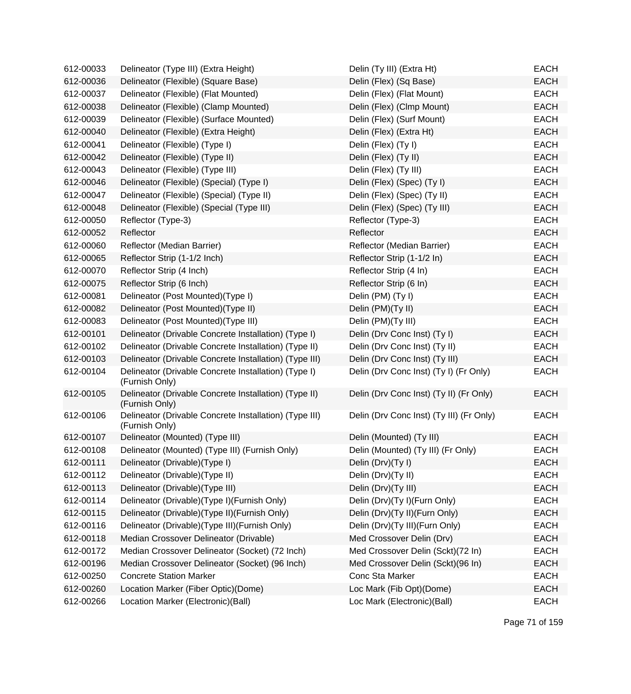| 612-00033 | Delineator (Type III) (Extra Height)                                     | Delin (Ty III) (Extra Ht)                | <b>EACH</b> |
|-----------|--------------------------------------------------------------------------|------------------------------------------|-------------|
| 612-00036 | Delineator (Flexible) (Square Base)                                      | Delin (Flex) (Sq Base)                   | <b>EACH</b> |
| 612-00037 | Delineator (Flexible) (Flat Mounted)                                     | Delin (Flex) (Flat Mount)                | <b>EACH</b> |
| 612-00038 | Delineator (Flexible) (Clamp Mounted)                                    | Delin (Flex) (Clmp Mount)                | <b>EACH</b> |
| 612-00039 | Delineator (Flexible) (Surface Mounted)                                  | Delin (Flex) (Surf Mount)                | <b>EACH</b> |
| 612-00040 | Delineator (Flexible) (Extra Height)                                     | Delin (Flex) (Extra Ht)                  | <b>EACH</b> |
| 612-00041 | Delineator (Flexible) (Type I)                                           | Delin (Flex) (Ty I)                      | <b>EACH</b> |
| 612-00042 | Delineator (Flexible) (Type II)                                          | Delin (Flex) (Ty II)                     | <b>EACH</b> |
| 612-00043 | Delineator (Flexible) (Type III)                                         | Delin (Flex) (Ty III)                    | <b>EACH</b> |
| 612-00046 | Delineator (Flexible) (Special) (Type I)                                 | Delin (Flex) (Spec) (Ty I)               | <b>EACH</b> |
| 612-00047 | Delineator (Flexible) (Special) (Type II)                                | Delin (Flex) (Spec) (Ty II)              | <b>EACH</b> |
| 612-00048 | Delineator (Flexible) (Special (Type III)                                | Delin (Flex) (Spec) (Ty III)             | <b>EACH</b> |
| 612-00050 | Reflector (Type-3)                                                       | Reflector (Type-3)                       | <b>EACH</b> |
| 612-00052 | Reflector                                                                | Reflector                                | <b>EACH</b> |
| 612-00060 | Reflector (Median Barrier)                                               | Reflector (Median Barrier)               | <b>EACH</b> |
| 612-00065 | Reflector Strip (1-1/2 Inch)                                             | Reflector Strip (1-1/2 In)               | <b>EACH</b> |
| 612-00070 | Reflector Strip (4 Inch)                                                 | Reflector Strip (4 In)                   | <b>EACH</b> |
| 612-00075 | Reflector Strip (6 Inch)                                                 | Reflector Strip (6 In)                   | <b>EACH</b> |
| 612-00081 | Delineator (Post Mounted)(Type I)                                        | Delin (PM) (Ty I)                        | <b>EACH</b> |
| 612-00082 | Delineator (Post Mounted)(Type II)                                       | Delin (PM)(Ty II)                        | <b>EACH</b> |
| 612-00083 | Delineator (Post Mounted)(Type III)                                      | Delin (PM)(Ty III)                       | <b>EACH</b> |
| 612-00101 | Delineator (Drivable Concrete Installation) (Type I)                     | Delin (Drv Conc Inst) (Ty I)             | <b>EACH</b> |
| 612-00102 | Delineator (Drivable Concrete Installation) (Type II)                    | Delin (Drv Conc Inst) (Ty II)            | <b>EACH</b> |
| 612-00103 | Delineator (Drivable Concrete Installation) (Type III)                   | Delin (Drv Conc Inst) (Ty III)           | <b>EACH</b> |
| 612-00104 | Delineator (Drivable Concrete Installation) (Type I)<br>(Furnish Only)   | Delin (Drv Conc Inst) (Ty I) (Fr Only)   | <b>EACH</b> |
| 612-00105 | Delineator (Drivable Concrete Installation) (Type II)<br>(Furnish Only)  | Delin (Drv Conc Inst) (Ty II) (Fr Only)  | <b>EACH</b> |
| 612-00106 | Delineator (Drivable Concrete Installation) (Type III)<br>(Furnish Only) | Delin (Drv Conc Inst) (Ty III) (Fr Only) | <b>EACH</b> |
| 612-00107 | Delineator (Mounted) (Type III)                                          | Delin (Mounted) (Ty III)                 | <b>EACH</b> |
| 612-00108 | Delineator (Mounted) (Type III) (Furnish Only)                           | Delin (Mounted) (Ty III) (Fr Only)       | <b>EACH</b> |
| 612-00111 | Delineator (Drivable)(Type I)                                            | Delin (Drv)(Ty I)                        | <b>EACH</b> |
| 612-00112 | Delineator (Drivable) (Type II)                                          | Delin (Drv)(Ty II)                       | <b>EACH</b> |
| 612-00113 | Delineator (Drivable) (Type III)                                         | Delin (Drv)(Ty III)                      | <b>EACH</b> |
| 612-00114 | Delineator (Drivable)(Type I)(Furnish Only)                              | Delin (Drv)(Ty I)(Furn Only)             | <b>EACH</b> |
| 612-00115 | Delineator (Drivable) (Type II) (Furnish Only)                           | Delin (Drv)(Ty II)(Furn Only)            | <b>EACH</b> |
| 612-00116 | Delineator (Drivable) (Type III) (Furnish Only)                          | Delin (Drv)(Ty III)(Furn Only)           | <b>EACH</b> |
| 612-00118 | Median Crossover Delineator (Drivable)                                   | Med Crossover Delin (Drv)                | <b>EACH</b> |
| 612-00172 | Median Crossover Delineator (Socket) (72 Inch)                           | Med Crossover Delin (Sckt)(72 In)        | <b>EACH</b> |
| 612-00196 | Median Crossover Delineator (Socket) (96 Inch)                           | Med Crossover Delin (Sckt)(96 In)        | <b>EACH</b> |
| 612-00250 | <b>Concrete Station Marker</b>                                           | Conc Sta Marker                          | <b>EACH</b> |
| 612-00260 | Location Marker (Fiber Optic)(Dome)                                      | Loc Mark (Fib Opt)(Dome)                 | <b>EACH</b> |
| 612-00266 | Location Marker (Electronic)(Ball)                                       | Loc Mark (Electronic)(Ball)              | <b>EACH</b> |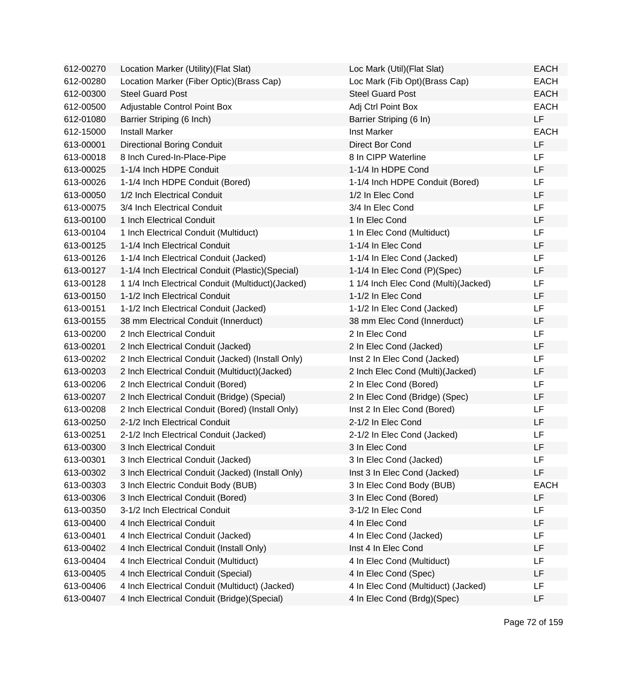| 612-00270 | Location Marker (Utility) (Flat Slat)              | Loc Mark (Util) (Flat Slat)          | <b>EACH</b> |
|-----------|----------------------------------------------------|--------------------------------------|-------------|
| 612-00280 | Location Marker (Fiber Optic) (Brass Cap)          | Loc Mark (Fib Opt) (Brass Cap)       | <b>EACH</b> |
| 612-00300 | <b>Steel Guard Post</b>                            | <b>Steel Guard Post</b>              | <b>EACH</b> |
| 612-00500 | Adjustable Control Point Box                       | Adj Ctrl Point Box                   | <b>EACH</b> |
| 612-01080 | Barrier Striping (6 Inch)                          | Barrier Striping (6 In)              | LF          |
| 612-15000 | <b>Install Marker</b>                              | Inst Marker                          | <b>EACH</b> |
| 613-00001 | <b>Directional Boring Conduit</b>                  | Direct Bor Cond                      | LF          |
| 613-00018 | 8 Inch Cured-In-Place-Pipe                         | 8 In CIPP Waterline                  | <b>LF</b>   |
| 613-00025 | 1-1/4 Inch HDPE Conduit                            | 1-1/4 In HDPE Cond                   | LF          |
| 613-00026 | 1-1/4 Inch HDPE Conduit (Bored)                    | 1-1/4 Inch HDPE Conduit (Bored)      | LF          |
| 613-00050 | 1/2 Inch Electrical Conduit                        | 1/2 In Elec Cond                     | LF          |
| 613-00075 | 3/4 Inch Electrical Conduit                        | 3/4 In Elec Cond                     | <b>LF</b>   |
| 613-00100 | 1 Inch Electrical Conduit                          | 1 In Elec Cond                       | <b>LF</b>   |
| 613-00104 | 1 Inch Electrical Conduit (Multiduct)              | 1 In Elec Cond (Multiduct)           | LF          |
| 613-00125 | 1-1/4 Inch Electrical Conduit                      | 1-1/4 In Elec Cond                   | LF          |
| 613-00126 | 1-1/4 Inch Electrical Conduit (Jacked)             | 1-1/4 In Elec Cond (Jacked)          | <b>LF</b>   |
| 613-00127 | 1-1/4 Inch Electrical Conduit (Plastic)(Special)   | 1-1/4 In Elec Cond (P)(Spec)         | LF          |
| 613-00128 | 1 1/4 Inch Electrical Conduit (Multiduct) (Jacked) | 1 1/4 Inch Elec Cond (Multi)(Jacked) | <b>LF</b>   |
| 613-00150 | 1-1/2 Inch Electrical Conduit                      | 1-1/2 In Elec Cond                   | LF          |
| 613-00151 | 1-1/2 Inch Electrical Conduit (Jacked)             | 1-1/2 In Elec Cond (Jacked)          | LF          |
| 613-00155 | 38 mm Electrical Conduit (Innerduct)               | 38 mm Elec Cond (Innerduct)          | LF          |
| 613-00200 | 2 Inch Electrical Conduit                          | 2 In Elec Cond                       | LF          |
| 613-00201 | 2 Inch Electrical Conduit (Jacked)                 | 2 In Elec Cond (Jacked)              | <b>LF</b>   |
| 613-00202 | 2 Inch Electrical Conduit (Jacked) (Install Only)  | Inst 2 In Elec Cond (Jacked)         | LF          |
| 613-00203 | 2 Inch Electrical Conduit (Multiduct) (Jacked)     | 2 Inch Elec Cond (Multi) (Jacked)    | LF          |
| 613-00206 | 2 Inch Electrical Conduit (Bored)                  | 2 In Elec Cond (Bored)               | <b>LF</b>   |
| 613-00207 | 2 Inch Electrical Conduit (Bridge) (Special)       | 2 In Elec Cond (Bridge) (Spec)       | LF          |
| 613-00208 | 2 Inch Electrical Conduit (Bored) (Install Only)   | Inst 2 In Elec Cond (Bored)          | <b>LF</b>   |
| 613-00250 | 2-1/2 Inch Electrical Conduit                      | 2-1/2 In Elec Cond                   | LF          |
| 613-00251 | 2-1/2 Inch Electrical Conduit (Jacked)             | 2-1/2 In Elec Cond (Jacked)          | LF          |
| 613-00300 | 3 Inch Electrical Conduit                          | 3 In Elec Cond                       | LF          |
| 613-00301 | 3 Inch Electrical Conduit (Jacked)                 | 3 In Elec Cond (Jacked)              | LF          |
| 613-00302 | 3 Inch Electrical Conduit (Jacked) (Install Only)  | Inst 3 In Elec Cond (Jacked)         | LF          |
| 613-00303 | 3 Inch Electric Conduit Body (BUB)                 | 3 In Elec Cond Body (BUB)            | <b>EACH</b> |
| 613-00306 | 3 Inch Electrical Conduit (Bored)                  | 3 In Elec Cond (Bored)               | <b>LF</b>   |
| 613-00350 | 3-1/2 Inch Electrical Conduit                      | 3-1/2 In Elec Cond                   | LF          |
| 613-00400 | 4 Inch Electrical Conduit                          | 4 In Elec Cond                       | LF          |
| 613-00401 | 4 Inch Electrical Conduit (Jacked)                 | 4 In Elec Cond (Jacked)              | <b>LF</b>   |
| 613-00402 | 4 Inch Electrical Conduit (Install Only)           | Inst 4 In Elec Cond                  | LF          |
| 613-00404 | 4 Inch Electrical Conduit (Multiduct)              | 4 In Elec Cond (Multiduct)           | LF          |
| 613-00405 | 4 Inch Electrical Conduit (Special)                | 4 In Elec Cond (Spec)                | LF          |
| 613-00406 | 4 Inch Electrical Conduit (Multiduct) (Jacked)     | 4 In Elec Cond (Multiduct) (Jacked)  | LF          |
| 613-00407 | 4 Inch Electrical Conduit (Bridge) (Special)       | 4 In Elec Cond (Brdg)(Spec)          | LF          |
|           |                                                    |                                      |             |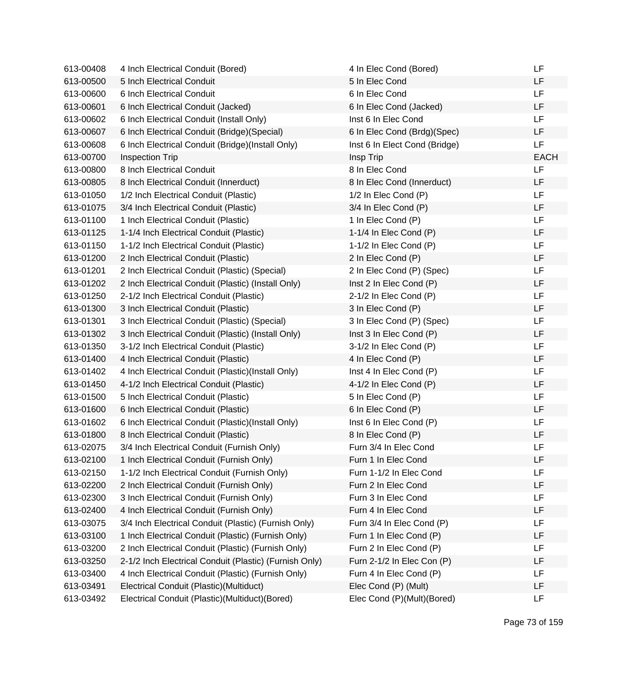| 613-00408 | 4 Inch Electrical Conduit (Bored)                      | 4 In Elec Cond (Bored)        | LF          |
|-----------|--------------------------------------------------------|-------------------------------|-------------|
| 613-00500 | 5 Inch Electrical Conduit                              | 5 In Elec Cond                | LF          |
| 613-00600 | 6 Inch Electrical Conduit                              | 6 In Elec Cond                | <b>LF</b>   |
| 613-00601 | 6 Inch Electrical Conduit (Jacked)                     | 6 In Elec Cond (Jacked)       | LF          |
| 613-00602 | 6 Inch Electrical Conduit (Install Only)               | Inst 6 In Elec Cond           | LF          |
| 613-00607 | 6 Inch Electrical Conduit (Bridge) (Special)           | 6 In Elec Cond (Brdg)(Spec)   | LF          |
| 613-00608 | 6 Inch Electrical Conduit (Bridge)(Install Only)       | Inst 6 In Elect Cond (Bridge) | LF          |
| 613-00700 | <b>Inspection Trip</b>                                 | Insp Trip                     | <b>EACH</b> |
| 613-00800 | 8 Inch Electrical Conduit                              | 8 In Elec Cond                | LF          |
| 613-00805 | 8 Inch Electrical Conduit (Innerduct)                  | 8 In Elec Cond (Innerduct)    | LF          |
| 613-01050 | 1/2 Inch Electrical Conduit (Plastic)                  | 1/2 In Elec Cond (P)          | LF.         |
| 613-01075 | 3/4 Inch Electrical Conduit (Plastic)                  | 3/4 In Elec Cond (P)          | LF          |
| 613-01100 | 1 Inch Electrical Conduit (Plastic)                    | 1 In Elec Cond (P)            | <b>LF</b>   |
| 613-01125 | 1-1/4 Inch Electrical Conduit (Plastic)                | 1-1/4 In Elec Cond (P)        | LF          |
| 613-01150 | 1-1/2 Inch Electrical Conduit (Plastic)                | 1-1/2 In Elec Cond (P)        | LF          |
| 613-01200 | 2 Inch Electrical Conduit (Plastic)                    | 2 In Elec Cond (P)            | LF          |
| 613-01201 | 2 Inch Electrical Conduit (Plastic) (Special)          | 2 In Elec Cond (P) (Spec)     | LF          |
| 613-01202 | 2 Inch Electrical Conduit (Plastic) (Install Only)     | Inst 2 In Elec Cond (P)       | LF          |
| 613-01250 | 2-1/2 Inch Electrical Conduit (Plastic)                | 2-1/2 In Elec Cond (P)        | LF.         |
| 613-01300 | 3 Inch Electrical Conduit (Plastic)                    | 3 In Elec Cond (P)            | LF          |
| 613-01301 | 3 Inch Electrical Conduit (Plastic) (Special)          | 3 In Elec Cond (P) (Spec)     | LF.         |
| 613-01302 | 3 Inch Electrical Conduit (Plastic) (Install Only)     | Inst 3 In Elec Cond (P)       | LF          |
| 613-01350 | 3-1/2 Inch Electrical Conduit (Plastic)                | 3-1/2 In Elec Cond (P)        | LF          |
| 613-01400 | 4 Inch Electrical Conduit (Plastic)                    | 4 In Elec Cond (P)            | LF          |
| 613-01402 | 4 Inch Electrical Conduit (Plastic)(Install Only)      | Inst 4 In Elec Cond (P)       | LF          |
| 613-01450 | 4-1/2 Inch Electrical Conduit (Plastic)                | 4-1/2 In Elec Cond (P)        | LF          |
| 613-01500 | 5 Inch Electrical Conduit (Plastic)                    | 5 In Elec Cond (P)            | <b>LF</b>   |
| 613-01600 | 6 Inch Electrical Conduit (Plastic)                    | 6 In Elec Cond (P)            | <b>LF</b>   |
| 613-01602 | 6 Inch Electrical Conduit (Plastic)(Install Only)      | Inst 6 In Elec Cond (P)       | LF          |
| 613-01800 | 8 Inch Electrical Conduit (Plastic)                    | 8 In Elec Cond (P)            | LF          |
| 613-02075 | 3/4 Inch Electrical Conduit (Furnish Only)             | Furn 3/4 In Elec Cond         | LF          |
| 613-02100 | 1 Inch Electrical Conduit (Furnish Only)               | Furn 1 In Elec Cond           | LF          |
| 613-02150 | 1-1/2 Inch Electrical Conduit (Furnish Only)           | Furn 1-1/2 In Elec Cond       | LF          |
| 613-02200 | 2 Inch Electrical Conduit (Furnish Only)               | Furn 2 In Elec Cond           | LF          |
| 613-02300 | 3 Inch Electrical Conduit (Furnish Only)               | Furn 3 In Elec Cond           | LF          |
| 613-02400 | 4 Inch Electrical Conduit (Furnish Only)               | Furn 4 In Elec Cond           | LF          |
| 613-03075 | 3/4 Inch Electrical Conduit (Plastic) (Furnish Only)   | Furn 3/4 In Elec Cond (P)     | LF          |
| 613-03100 | 1 Inch Electrical Conduit (Plastic) (Furnish Only)     | Furn 1 In Elec Cond (P)       | LF          |
| 613-03200 | 2 Inch Electrical Conduit (Plastic) (Furnish Only)     | Furn 2 In Elec Cond (P)       | LF          |
| 613-03250 | 2-1/2 Inch Electrical Conduit (Plastic) (Furnish Only) | Furn 2-1/2 In Elec Con (P)    | LF          |
| 613-03400 | 4 Inch Electrical Conduit (Plastic) (Furnish Only)     | Furn 4 In Elec Cond (P)       | LF          |
| 613-03491 | Electrical Conduit (Plastic) (Multiduct)               | Elec Cond (P) (Mult)          | LF          |
| 613-03492 | Electrical Conduit (Plastic)(Multiduct)(Bored)         | Elec Cond (P)(Mult)(Bored)    | LF          |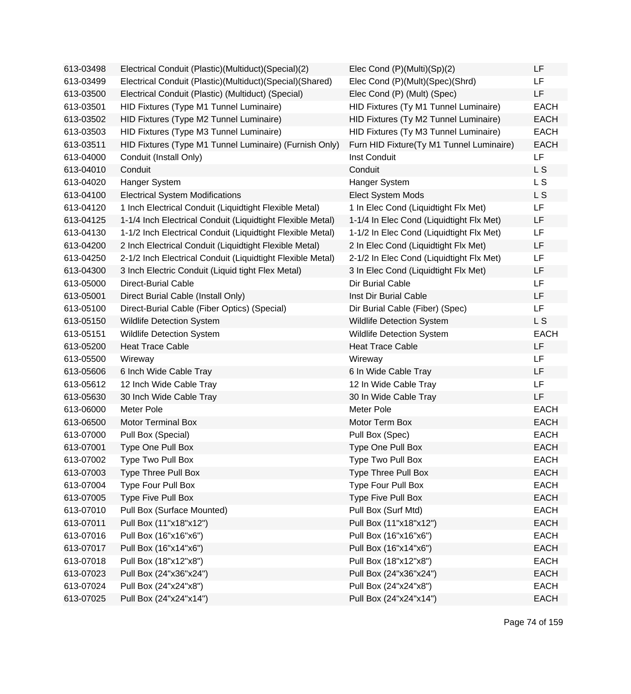| 613-03498 | Electrical Conduit (Plastic)(Multiduct)(Special)(2)        | Elec Cond (P)(Multi)(Sp)(2)              | LF          |
|-----------|------------------------------------------------------------|------------------------------------------|-------------|
| 613-03499 | Electrical Conduit (Plastic)(Multiduct)(Special)(Shared)   | Elec Cond (P)(Mult)(Spec)(Shrd)          | LF          |
| 613-03500 | Electrical Conduit (Plastic) (Multiduct) (Special)         | Elec Cond (P) (Mult) (Spec)              | LF          |
| 613-03501 | HID Fixtures (Type M1 Tunnel Luminaire)                    | HID Fixtures (Ty M1 Tunnel Luminaire)    | <b>EACH</b> |
| 613-03502 | HID Fixtures (Type M2 Tunnel Luminaire)                    | HID Fixtures (Ty M2 Tunnel Luminaire)    | <b>EACH</b> |
| 613-03503 | HID Fixtures (Type M3 Tunnel Luminaire)                    | HID Fixtures (Ty M3 Tunnel Luminaire)    | <b>EACH</b> |
| 613-03511 | HID Fixtures (Type M1 Tunnel Luminaire) (Furnish Only)     | Furn HID Fixture(Ty M1 Tunnel Luminaire) | <b>EACH</b> |
| 613-04000 | Conduit (Install Only)                                     | Inst Conduit                             | <b>LF</b>   |
| 613-04010 | Conduit                                                    | Conduit                                  | L S         |
| 613-04020 | Hanger System                                              | Hanger System                            | L S         |
| 613-04100 | <b>Electrical System Modifications</b>                     | Elect System Mods                        | L S         |
| 613-04120 | 1 Inch Electrical Conduit (Liquidtight Flexible Metal)     | 1 In Elec Cond (Liquidtight Flx Met)     | <b>LF</b>   |
| 613-04125 | 1-1/4 Inch Electrical Conduit (Liquidtight Flexible Metal) | 1-1/4 In Elec Cond (Liquidtight Flx Met) | LF          |
| 613-04130 | 1-1/2 Inch Electrical Conduit (Liquidtight Flexible Metal) | 1-1/2 In Elec Cond (Liquidtight Flx Met) | LF          |
| 613-04200 | 2 Inch Electrical Conduit (Liquidtight Flexible Metal)     | 2 In Elec Cond (Liquidtight Flx Met)     | LF          |
| 613-04250 | 2-1/2 Inch Electrical Conduit (Liquidtight Flexible Metal) | 2-1/2 In Elec Cond (Liquidtight Flx Met) | LF          |
| 613-04300 | 3 Inch Electric Conduit (Liquid tight Flex Metal)          | 3 In Elec Cond (Liquidtight Flx Met)     | LF          |
| 613-05000 | <b>Direct-Burial Cable</b>                                 | Dir Burial Cable                         | <b>LF</b>   |
| 613-05001 | Direct Burial Cable (Install Only)                         | Inst Dir Burial Cable                    | LF          |
| 613-05100 | Direct-Burial Cable (Fiber Optics) (Special)               | Dir Burial Cable (Fiber) (Spec)          | LF          |
| 613-05150 | <b>Wildlife Detection System</b>                           | Wildlife Detection System                | L S         |
| 613-05151 | <b>Wildlife Detection System</b>                           | Wildlife Detection System                | <b>EACH</b> |
| 613-05200 | <b>Heat Trace Cable</b>                                    | <b>Heat Trace Cable</b>                  | <b>LF</b>   |
| 613-05500 | Wireway                                                    | Wireway                                  | LF          |
| 613-05606 | 6 Inch Wide Cable Tray                                     | 6 In Wide Cable Tray                     | <b>LF</b>   |
| 613-05612 | 12 Inch Wide Cable Tray                                    | 12 In Wide Cable Tray                    | <b>LF</b>   |
| 613-05630 | 30 Inch Wide Cable Tray                                    | 30 In Wide Cable Tray                    | LF          |
| 613-06000 | Meter Pole                                                 | Meter Pole                               | <b>EACH</b> |
| 613-06500 | <b>Motor Terminal Box</b>                                  | Motor Term Box                           | <b>EACH</b> |
| 613-07000 | Pull Box (Special)                                         | Pull Box (Spec)                          | <b>EACH</b> |
| 613-07001 | Type One Pull Box                                          | Type One Pull Box                        | <b>EACH</b> |
| 613-07002 | Type Two Pull Box                                          | Type Two Pull Box                        | <b>EACH</b> |
| 613-07003 | <b>Type Three Pull Box</b>                                 | Type Three Pull Box                      | <b>EACH</b> |
| 613-07004 | Type Four Pull Box                                         | Type Four Pull Box                       | <b>EACH</b> |
| 613-07005 | Type Five Pull Box                                         | Type Five Pull Box                       | <b>EACH</b> |
| 613-07010 | Pull Box (Surface Mounted)                                 | Pull Box (Surf Mtd)                      | <b>EACH</b> |
| 613-07011 | Pull Box (11"x18"x12")                                     | Pull Box (11"x18"x12")                   | <b>EACH</b> |
| 613-07016 | Pull Box (16"x16"x6")                                      | Pull Box (16"x16"x6")                    | <b>EACH</b> |
| 613-07017 | Pull Box (16"x14"x6")                                      | Pull Box (16"x14"x6")                    | <b>EACH</b> |
| 613-07018 | Pull Box (18"x12"x8")                                      | Pull Box (18"x12"x8")                    | <b>EACH</b> |
| 613-07023 | Pull Box (24"x36"x24")                                     | Pull Box (24"x36"x24")                   | <b>EACH</b> |
| 613-07024 | Pull Box (24"x24"x8")                                      | Pull Box (24"x24"x8")                    | <b>EACH</b> |
| 613-07025 | Pull Box (24"x24"x14")                                     | Pull Box (24"x24"x14")                   | <b>EACH</b> |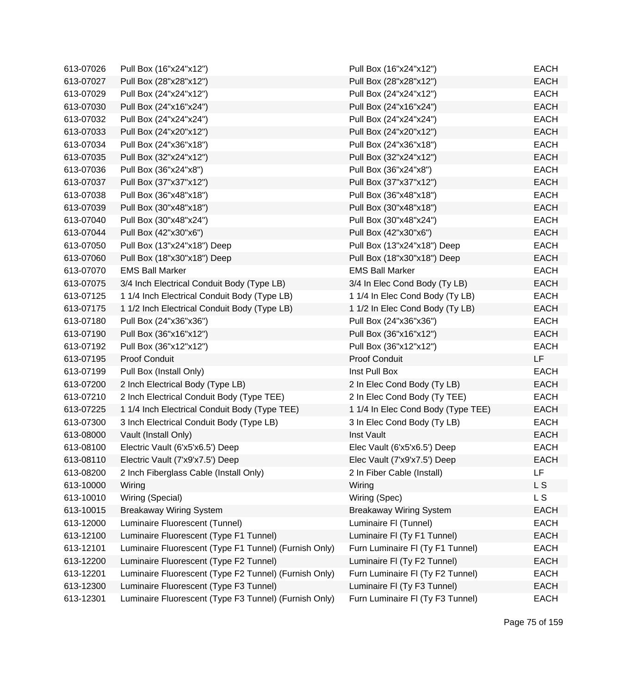| 613-07026 | Pull Box (16"x24"x12")                                | Pull Box (16"x24"x12")             | <b>EACH</b> |
|-----------|-------------------------------------------------------|------------------------------------|-------------|
| 613-07027 | Pull Box (28"x28"x12")                                | Pull Box (28"x28"x12")             | <b>EACH</b> |
| 613-07029 | Pull Box (24"x24"x12")                                | Pull Box (24"x24"x12")             | <b>EACH</b> |
| 613-07030 | Pull Box (24"x16"x24")                                | Pull Box (24"x16"x24")             | <b>EACH</b> |
| 613-07032 | Pull Box (24"x24"x24")                                | Pull Box (24"x24"x24")             | <b>EACH</b> |
| 613-07033 | Pull Box (24"x20"x12")                                | Pull Box (24"x20"x12")             | <b>EACH</b> |
| 613-07034 | Pull Box (24"x36"x18")                                | Pull Box (24"x36"x18")             | <b>EACH</b> |
| 613-07035 | Pull Box (32"x24"x12")                                | Pull Box (32"x24"x12")             | <b>EACH</b> |
| 613-07036 | Pull Box (36"x24"x8")                                 | Pull Box (36"x24"x8")              | <b>EACH</b> |
| 613-07037 | Pull Box (37"x37"x12")                                | Pull Box (37"x37"x12")             | <b>EACH</b> |
| 613-07038 | Pull Box (36"x48"x18")                                | Pull Box (36"x48"x18")             | <b>EACH</b> |
| 613-07039 | Pull Box (30"x48"x18")                                | Pull Box (30"x48"x18")             | <b>EACH</b> |
| 613-07040 | Pull Box (30"x48"x24")                                | Pull Box (30"x48"x24")             | <b>EACH</b> |
| 613-07044 | Pull Box (42"x30"x6")                                 | Pull Box (42"x30"x6")              | <b>EACH</b> |
| 613-07050 | Pull Box (13"x24"x18") Deep                           | Pull Box (13"x24"x18") Deep        | <b>EACH</b> |
| 613-07060 | Pull Box (18"x30"x18") Deep                           | Pull Box (18"x30"x18") Deep        | <b>EACH</b> |
| 613-07070 | <b>EMS Ball Marker</b>                                | <b>EMS Ball Marker</b>             | <b>EACH</b> |
| 613-07075 | 3/4 Inch Electrical Conduit Body (Type LB)            | 3/4 In Elec Cond Body (Ty LB)      | <b>EACH</b> |
| 613-07125 | 1 1/4 Inch Electrical Conduit Body (Type LB)          | 1 1/4 In Elec Cond Body (Ty LB)    | <b>EACH</b> |
| 613-07175 | 1 1/2 Inch Electrical Conduit Body (Type LB)          | 1 1/2 In Elec Cond Body (Ty LB)    | <b>EACH</b> |
| 613-07180 | Pull Box (24"x36"x36")                                | Pull Box (24"x36"x36")             | <b>EACH</b> |
| 613-07190 | Pull Box (36"x16"x12")                                | Pull Box (36"x16"x12")             | <b>EACH</b> |
| 613-07192 | Pull Box (36"x12"x12")                                | Pull Box (36"x12"x12")             | <b>EACH</b> |
| 613-07195 | Proof Conduit                                         | <b>Proof Conduit</b>               | LF          |
| 613-07199 | Pull Box (Install Only)                               | Inst Pull Box                      | <b>EACH</b> |
| 613-07200 | 2 Inch Electrical Body (Type LB)                      | 2 In Elec Cond Body (Ty LB)        | <b>EACH</b> |
| 613-07210 | 2 Inch Electrical Conduit Body (Type TEE)             | 2 In Elec Cond Body (Ty TEE)       | <b>EACH</b> |
| 613-07225 | 1 1/4 Inch Electrical Conduit Body (Type TEE)         | 1 1/4 In Elec Cond Body (Type TEE) | <b>EACH</b> |
| 613-07300 | 3 Inch Electrical Conduit Body (Type LB)              | 3 In Elec Cond Body (Ty LB)        | <b>EACH</b> |
| 613-08000 | Vault (Install Only)                                  | Inst Vault                         | <b>EACH</b> |
| 613-08100 | Electric Vault (6'x5'x6.5') Deep                      | Elec Vault (6'x5'x6.5') Deep       | <b>EACH</b> |
| 613-08110 | Electric Vault (7'x9'x7.5') Deep                      | Elec Vault (7'x9'x7.5') Deep       | <b>EACH</b> |
| 613-08200 | 2 Inch Fiberglass Cable (Install Only)                | 2 In Fiber Cable (Install)         | <b>LF</b>   |
| 613-10000 | Wiring                                                | Wiring                             | L S         |
| 613-10010 | Wiring (Special)                                      | Wiring (Spec)                      | L S         |
| 613-10015 | <b>Breakaway Wiring System</b>                        | <b>Breakaway Wiring System</b>     | <b>EACH</b> |
| 613-12000 | Luminaire Fluorescent (Tunnel)                        | Luminaire FI (Tunnel)              | <b>EACH</b> |
| 613-12100 | Luminaire Fluorescent (Type F1 Tunnel)                | Luminaire FI (Ty F1 Tunnel)        | <b>EACH</b> |
| 613-12101 | Luminaire Fluorescent (Type F1 Tunnel) (Furnish Only) | Furn Luminaire FI (Ty F1 Tunnel)   | <b>EACH</b> |
| 613-12200 | Luminaire Fluorescent (Type F2 Tunnel)                | Luminaire FI (Ty F2 Tunnel)        | <b>EACH</b> |
| 613-12201 | Luminaire Fluorescent (Type F2 Tunnel) (Furnish Only) | Furn Luminaire FI (Ty F2 Tunnel)   | <b>EACH</b> |
| 613-12300 | Luminaire Fluorescent (Type F3 Tunnel)                | Luminaire FI (Ty F3 Tunnel)        | <b>EACH</b> |
| 613-12301 | Luminaire Fluorescent (Type F3 Tunnel) (Furnish Only) | Furn Luminaire FI (Ty F3 Tunnel)   | <b>EACH</b> |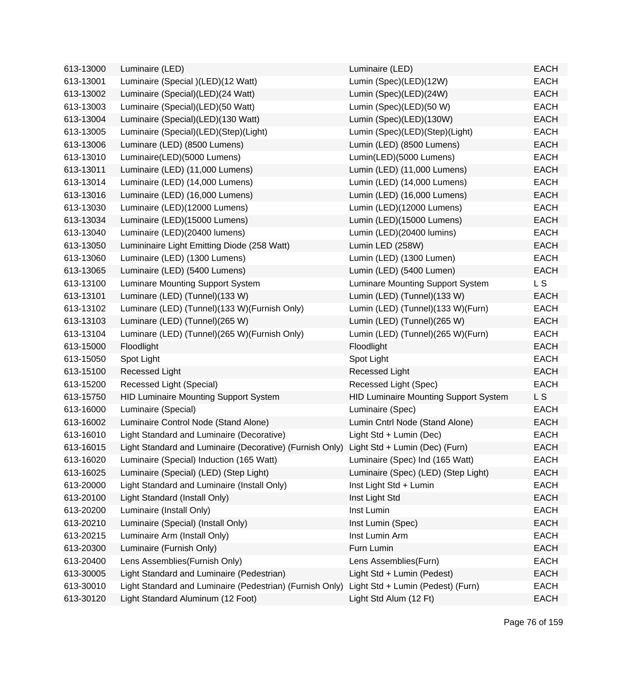| 613-13000 | Luminaire (LED)                                                                         | Luminaire (LED)                              | <b>EACH</b> |
|-----------|-----------------------------------------------------------------------------------------|----------------------------------------------|-------------|
| 613-13001 | Luminaire (Special )(LED)(12 Watt)                                                      | Lumin (Spec)(LED)(12W)                       | <b>EACH</b> |
| 613-13002 | Luminaire (Special)(LED)(24 Watt)                                                       | Lumin (Spec)(LED)(24W)                       | <b>EACH</b> |
| 613-13003 | Luminaire (Special)(LED)(50 Watt)                                                       | Lumin (Spec)(LED)(50 W)                      | <b>EACH</b> |
| 613-13004 | Luminaire (Special)(LED)(130 Watt)                                                      | Lumin (Spec)(LED)(130W)                      | <b>EACH</b> |
| 613-13005 | Luminaire (Special)(LED)(Step)(Light)                                                   | Lumin (Spec)(LED)(Step)(Light)               | <b>EACH</b> |
| 613-13006 | Luminare (LED) (8500 Lumens)                                                            | Lumin (LED) (8500 Lumens)                    | <b>EACH</b> |
| 613-13010 | Luminaire(LED)(5000 Lumens)                                                             | Lumin(LED)(5000 Lumens)                      | <b>EACH</b> |
| 613-13011 | Luminaire (LED) (11,000 Lumens)                                                         | Lumin (LED) (11,000 Lumens)                  | <b>EACH</b> |
| 613-13014 | Luminaire (LED) (14,000 Lumens)                                                         | Lumin (LED) (14,000 Lumens)                  | <b>EACH</b> |
| 613-13016 | Luminaire (LED) (16,000 Lumens)                                                         | Lumin (LED) (16,000 Lumens)                  | <b>EACH</b> |
| 613-13030 | Luminaire (LED)(12000 Lumens)                                                           | Lumin (LED)(12000 Lumens)                    | <b>EACH</b> |
| 613-13034 | Luminaire (LED)(15000 Lumens)                                                           | Lumin (LED)(15000 Lumens)                    | <b>EACH</b> |
| 613-13040 | Luminaire (LED)(20400 lumens)                                                           | Lumin (LED)(20400 lumins)                    | <b>EACH</b> |
| 613-13050 | Lumininaire Light Emitting Diode (258 Watt)                                             | Lumin LED (258W)                             | <b>EACH</b> |
| 613-13060 | Luminaire (LED) (1300 Lumens)                                                           | Lumin (LED) (1300 Lumen)                     | <b>EACH</b> |
| 613-13065 | Luminaire (LED) (5400 Lumens)                                                           | Lumin (LED) (5400 Lumen)                     | <b>EACH</b> |
| 613-13100 | Luminare Mounting Support System                                                        | Luminare Mounting Support System             | <b>LS</b>   |
| 613-13101 | Luminare (LED) (Tunnel)(133 W)                                                          | Lumin (LED) (Tunnel)(133 W)                  | <b>EACH</b> |
| 613-13102 | Luminare (LED) (Tunnel)(133 W)(Furnish Only)                                            | Lumin (LED) (Tunnel)(133 W)(Furn)            | <b>EACH</b> |
| 613-13103 | Luminare (LED) (Tunnel)(265 W)                                                          | Lumin (LED) (Tunnel)(265 W)                  | <b>EACH</b> |
| 613-13104 | Luminare (LED) (Tunnel)(265 W)(Furnish Only)                                            | Lumin (LED) (Tunnel)(265 W)(Furn)            | <b>EACH</b> |
| 613-15000 | Floodlight                                                                              | Floodlight                                   | <b>EACH</b> |
| 613-15050 | Spot Light                                                                              | Spot Light                                   | <b>EACH</b> |
| 613-15100 | Recessed Light                                                                          | <b>Recessed Light</b>                        | <b>EACH</b> |
| 613-15200 | Recessed Light (Special)                                                                | Recessed Light (Spec)                        | <b>EACH</b> |
| 613-15750 | <b>HID Luminaire Mounting Support System</b>                                            | <b>HID Luminaire Mounting Support System</b> | L S         |
| 613-16000 | Luminaire (Special)                                                                     | Luminaire (Spec)                             | <b>EACH</b> |
| 613-16002 | Luminaire Control Node (Stand Alone)                                                    | Lumin Cntrl Node (Stand Alone)               | <b>EACH</b> |
| 613-16010 | Light Standard and Luminaire (Decorative)                                               | Light Std + Lumin (Dec)                      | <b>EACH</b> |
| 613-16015 | Light Standard and Luminaire (Decorative) (Furnish Only) Light Std + Lumin (Dec) (Furn) |                                              | <b>EACH</b> |
| 613-16020 | Luminaire (Special) Induction (165 Watt)                                                | Luminaire (Spec) Ind (165 Watt)              | <b>EACH</b> |
| 613-16025 | Luminaire (Special) (LED) (Step Light)                                                  | Luminaire (Spec) (LED) (Step Light)          | <b>EACH</b> |
| 613-20000 | Light Standard and Luminaire (Install Only)                                             | Inst Light Std + Lumin                       | <b>EACH</b> |
| 613-20100 | Light Standard (Install Only)                                                           | Inst Light Std                               | <b>EACH</b> |
| 613-20200 | Luminaire (Install Only)                                                                | Inst Lumin                                   | <b>EACH</b> |
| 613-20210 | Luminaire (Special) (Install Only)                                                      | Inst Lumin (Spec)                            | <b>EACH</b> |
| 613-20215 | Luminaire Arm (Install Only)                                                            | Inst Lumin Arm                               | <b>EACH</b> |
| 613-20300 | Luminaire (Furnish Only)                                                                | Furn Lumin                                   | <b>EACH</b> |
| 613-20400 | Lens Assemblies (Furnish Only)                                                          | Lens Assemblies(Furn)                        | <b>EACH</b> |
| 613-30005 | Light Standard and Luminaire (Pedestrian)                                               | Light Std + Lumin (Pedest)                   | <b>EACH</b> |
| 613-30010 | Light Standard and Luminaire (Pedestrian) (Furnish Only)                                | Light Std + Lumin (Pedest) (Furn)            | <b>EACH</b> |
| 613-30120 | Light Standard Aluminum (12 Foot)                                                       | Light Std Alum (12 Ft)                       | <b>EACH</b> |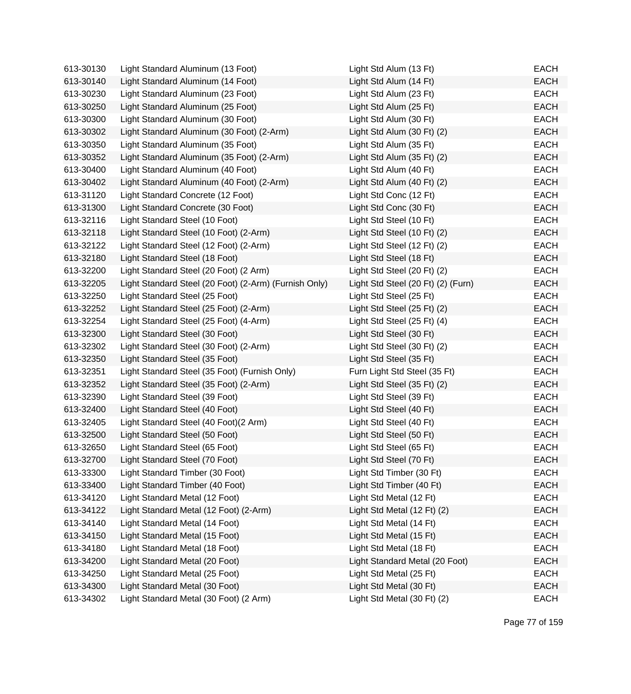| 613-30130 | Light Standard Aluminum (13 Foot)                     | Light Std Alum (13 Ft)             | EACH        |
|-----------|-------------------------------------------------------|------------------------------------|-------------|
| 613-30140 | Light Standard Aluminum (14 Foot)                     | Light Std Alum (14 Ft)             | <b>EACH</b> |
| 613-30230 | Light Standard Aluminum (23 Foot)                     | Light Std Alum (23 Ft)             | <b>EACH</b> |
| 613-30250 | Light Standard Aluminum (25 Foot)                     | Light Std Alum (25 Ft)             | <b>EACH</b> |
| 613-30300 | Light Standard Aluminum (30 Foot)                     | Light Std Alum (30 Ft)             | EACH        |
| 613-30302 | Light Standard Aluminum (30 Foot) (2-Arm)             | Light Std Alum (30 Ft) (2)         | <b>EACH</b> |
| 613-30350 | Light Standard Aluminum (35 Foot)                     | Light Std Alum (35 Ft)             | <b>EACH</b> |
| 613-30352 | Light Standard Aluminum (35 Foot) (2-Arm)             | Light Std Alum (35 Ft) (2)         | <b>EACH</b> |
| 613-30400 | Light Standard Aluminum (40 Foot)                     | Light Std Alum (40 Ft)             | <b>EACH</b> |
| 613-30402 | Light Standard Aluminum (40 Foot) (2-Arm)             | Light Std Alum (40 Ft) (2)         | EACH        |
| 613-31120 | Light Standard Concrete (12 Foot)                     | Light Std Conc (12 Ft)             | <b>EACH</b> |
| 613-31300 | Light Standard Concrete (30 Foot)                     | Light Std Conc (30 Ft)             | <b>EACH</b> |
| 613-32116 | Light Standard Steel (10 Foot)                        | Light Std Steel (10 Ft)            | <b>EACH</b> |
| 613-32118 | Light Standard Steel (10 Foot) (2-Arm)                | Light Std Steel (10 Ft) (2)        | <b>EACH</b> |
| 613-32122 | Light Standard Steel (12 Foot) (2-Arm)                | Light Std Steel (12 Ft) (2)        | <b>EACH</b> |
| 613-32180 | Light Standard Steel (18 Foot)                        | Light Std Steel (18 Ft)            | <b>EACH</b> |
| 613-32200 | Light Standard Steel (20 Foot) (2 Arm)                | Light Std Steel (20 Ft) (2)        | <b>EACH</b> |
| 613-32205 | Light Standard Steel (20 Foot) (2-Arm) (Furnish Only) | Light Std Steel (20 Ft) (2) (Furn) | <b>EACH</b> |
| 613-32250 | Light Standard Steel (25 Foot)                        | Light Std Steel (25 Ft)            | EACH        |
| 613-32252 | Light Standard Steel (25 Foot) (2-Arm)                | Light Std Steel (25 Ft) (2)        | <b>EACH</b> |
| 613-32254 | Light Standard Steel (25 Foot) (4-Arm)                | Light Std Steel (25 Ft) (4)        | <b>EACH</b> |
| 613-32300 | Light Standard Steel (30 Foot)                        | Light Std Steel (30 Ft)            | <b>EACH</b> |
| 613-32302 | Light Standard Steel (30 Foot) (2-Arm)                | Light Std Steel (30 Ft) (2)        | <b>EACH</b> |
| 613-32350 | Light Standard Steel (35 Foot)                        | Light Std Steel (35 Ft)            | <b>EACH</b> |
| 613-32351 | Light Standard Steel (35 Foot) (Furnish Only)         | Furn Light Std Steel (35 Ft)       | EACH        |
| 613-32352 | Light Standard Steel (35 Foot) (2-Arm)                | Light Std Steel (35 Ft) (2)        | <b>EACH</b> |
| 613-32390 | Light Standard Steel (39 Foot)                        | Light Std Steel (39 Ft)            | <b>EACH</b> |
| 613-32400 | Light Standard Steel (40 Foot)                        | Light Std Steel (40 Ft)            | <b>EACH</b> |
| 613-32405 | Light Standard Steel (40 Foot)(2 Arm)                 | Light Std Steel (40 Ft)            | EACH        |
| 613-32500 | Light Standard Steel (50 Foot)                        | Light Std Steel (50 Ft)            | <b>EACH</b> |
| 613-32650 | Light Standard Steel (65 Foot)                        | Light Std Steel (65 Ft)            | <b>EACH</b> |
| 613-32700 | Light Standard Steel (70 Foot)                        | Light Std Steel (70 Ft)            | EACH        |
| 613-33300 | Light Standard Timber (30 Foot)                       | Light Std Timber (30 Ft)           | <b>EACH</b> |
| 613-33400 | Light Standard Timber (40 Foot)                       | Light Std Timber (40 Ft)           | <b>EACH</b> |
| 613-34120 | Light Standard Metal (12 Foot)                        | Light Std Metal (12 Ft)            | EACH        |
| 613-34122 | Light Standard Metal (12 Foot) (2-Arm)                | Light Std Metal (12 Ft) (2)        | <b>EACH</b> |
| 613-34140 | Light Standard Metal (14 Foot)                        | Light Std Metal (14 Ft)            | <b>EACH</b> |
| 613-34150 | Light Standard Metal (15 Foot)                        | Light Std Metal (15 Ft)            | <b>EACH</b> |
| 613-34180 | Light Standard Metal (18 Foot)                        | Light Std Metal (18 Ft)            | <b>EACH</b> |
| 613-34200 | Light Standard Metal (20 Foot)                        | Light Standard Metal (20 Foot)     | <b>EACH</b> |
| 613-34250 | Light Standard Metal (25 Foot)                        | Light Std Metal (25 Ft)            | <b>EACH</b> |
| 613-34300 | Light Standard Metal (30 Foot)                        | Light Std Metal (30 Ft)            | <b>EACH</b> |
| 613-34302 | Light Standard Metal (30 Foot) (2 Arm)                | Light Std Metal (30 Ft) (2)        | <b>EACH</b> |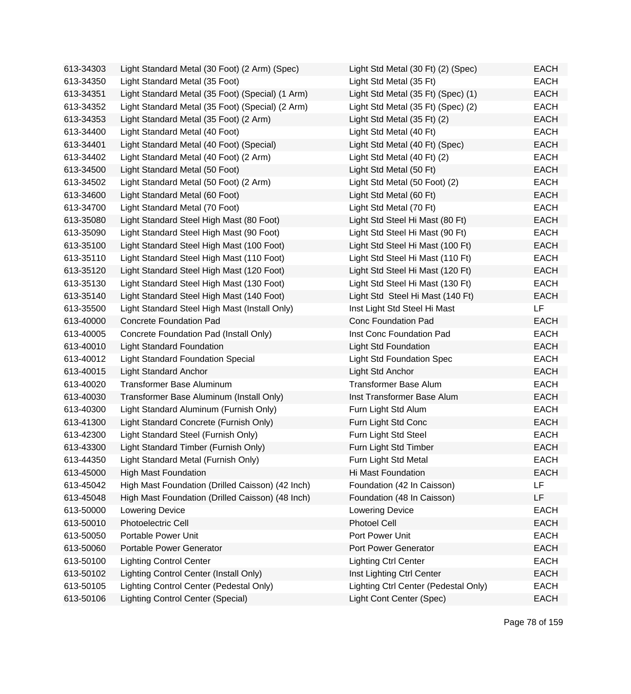| 613-34303 | Light Standard Metal (30 Foot) (2 Arm) (Spec)    | Light Std Metal (30 Ft) (2) (Spec)   | <b>EACH</b> |
|-----------|--------------------------------------------------|--------------------------------------|-------------|
| 613-34350 | Light Standard Metal (35 Foot)                   | Light Std Metal (35 Ft)              | EACH        |
| 613-34351 | Light Standard Metal (35 Foot) (Special) (1 Arm) | Light Std Metal (35 Ft) (Spec) (1)   | <b>EACH</b> |
| 613-34352 | Light Standard Metal (35 Foot) (Special) (2 Arm) | Light Std Metal (35 Ft) (Spec) (2)   | <b>EACH</b> |
| 613-34353 | Light Standard Metal (35 Foot) (2 Arm)           | Light Std Metal (35 Ft) (2)          | <b>EACH</b> |
| 613-34400 | Light Standard Metal (40 Foot)                   | Light Std Metal (40 Ft)              | <b>EACH</b> |
| 613-34401 | Light Standard Metal (40 Foot) (Special)         | Light Std Metal (40 Ft) (Spec)       | <b>EACH</b> |
| 613-34402 | Light Standard Metal (40 Foot) (2 Arm)           | Light Std Metal (40 Ft) (2)          | <b>EACH</b> |
| 613-34500 | Light Standard Metal (50 Foot)                   | Light Std Metal (50 Ft)              | <b>EACH</b> |
| 613-34502 | Light Standard Metal (50 Foot) (2 Arm)           | Light Std Metal (50 Foot) (2)        | <b>EACH</b> |
| 613-34600 | Light Standard Metal (60 Foot)                   | Light Std Metal (60 Ft)              | <b>EACH</b> |
| 613-34700 | Light Standard Metal (70 Foot)                   | Light Std Metal (70 Ft)              | <b>EACH</b> |
| 613-35080 | Light Standard Steel High Mast (80 Foot)         | Light Std Steel Hi Mast (80 Ft)      | <b>EACH</b> |
| 613-35090 | Light Standard Steel High Mast (90 Foot)         | Light Std Steel Hi Mast (90 Ft)      | <b>EACH</b> |
| 613-35100 | Light Standard Steel High Mast (100 Foot)        | Light Std Steel Hi Mast (100 Ft)     | <b>EACH</b> |
| 613-35110 | Light Standard Steel High Mast (110 Foot)        | Light Std Steel Hi Mast (110 Ft)     | EACH        |
| 613-35120 | Light Standard Steel High Mast (120 Foot)        | Light Std Steel Hi Mast (120 Ft)     | <b>EACH</b> |
| 613-35130 | Light Standard Steel High Mast (130 Foot)        | Light Std Steel Hi Mast (130 Ft)     | <b>EACH</b> |
| 613-35140 | Light Standard Steel High Mast (140 Foot)        | Light Std Steel Hi Mast (140 Ft)     | <b>EACH</b> |
| 613-35500 | Light Standard Steel High Mast (Install Only)    | Inst Light Std Steel Hi Mast         | <b>LF</b>   |
| 613-40000 | <b>Concrete Foundation Pad</b>                   | <b>Conc Foundation Pad</b>           | <b>EACH</b> |
| 613-40005 | Concrete Foundation Pad (Install Only)           | Inst Conc Foundation Pad             | <b>EACH</b> |
| 613-40010 | <b>Light Standard Foundation</b>                 | <b>Light Std Foundation</b>          | <b>EACH</b> |
| 613-40012 | Light Standard Foundation Special                | <b>Light Std Foundation Spec</b>     | <b>EACH</b> |
| 613-40015 | <b>Light Standard Anchor</b>                     | Light Std Anchor                     | <b>EACH</b> |
| 613-40020 | Transformer Base Aluminum                        | <b>Transformer Base Alum</b>         | <b>EACH</b> |
| 613-40030 | Transformer Base Aluminum (Install Only)         | Inst Transformer Base Alum           | <b>EACH</b> |
| 613-40300 | Light Standard Aluminum (Furnish Only)           | Furn Light Std Alum                  | <b>EACH</b> |
| 613-41300 | Light Standard Concrete (Furnish Only)           | Furn Light Std Conc                  | <b>EACH</b> |
| 613-42300 | Light Standard Steel (Furnish Only)              | Furn Light Std Steel                 | <b>EACH</b> |
| 613-43300 | Light Standard Timber (Furnish Only)             | Furn Light Std Timber                | <b>EACH</b> |
| 613-44350 | Light Standard Metal (Furnish Only)              | Furn Light Std Metal                 | <b>EACH</b> |
| 613-45000 | <b>High Mast Foundation</b>                      | Hi Mast Foundation                   | <b>EACH</b> |
| 613-45042 | High Mast Foundation (Drilled Caisson) (42 Inch) | Foundation (42 In Caisson)           | LF          |
| 613-45048 | High Mast Foundation (Drilled Caisson) (48 Inch) | Foundation (48 In Caisson)           | LF          |
| 613-50000 | Lowering Device                                  | Lowering Device                      | <b>EACH</b> |
| 613-50010 | Photoelectric Cell                               | <b>Photoel Cell</b>                  | <b>EACH</b> |
| 613-50050 | Portable Power Unit                              | Port Power Unit                      | <b>EACH</b> |
| 613-50060 | <b>Portable Power Generator</b>                  | Port Power Generator                 | <b>EACH</b> |
| 613-50100 | <b>Lighting Control Center</b>                   | <b>Lighting Ctrl Center</b>          | <b>EACH</b> |
| 613-50102 | Lighting Control Center (Install Only)           | Inst Lighting Ctrl Center            | <b>EACH</b> |
| 613-50105 | Lighting Control Center (Pedestal Only)          | Lighting Ctrl Center (Pedestal Only) | <b>EACH</b> |
| 613-50106 | <b>Lighting Control Center (Special)</b>         | Light Cont Center (Spec)             | <b>EACH</b> |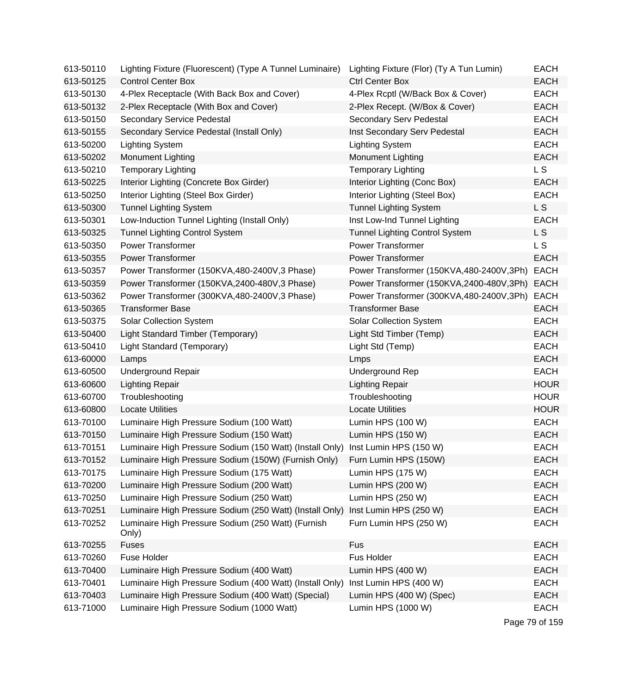| 613-50110 | Lighting Fixture (Fluorescent) (Type A Tunnel Luminaire)                        | Lighting Fixture (Flor) (Ty A Tun Lumin) | <b>EACH</b>    |
|-----------|---------------------------------------------------------------------------------|------------------------------------------|----------------|
| 613-50125 | <b>Control Center Box</b>                                                       | <b>Ctrl Center Box</b>                   | <b>EACH</b>    |
| 613-50130 | 4-Plex Receptacle (With Back Box and Cover)                                     | 4-Plex Rcptl (W/Back Box & Cover)        | <b>EACH</b>    |
| 613-50132 | 2-Plex Receptacle (With Box and Cover)                                          | 2-Plex Recept. (W/Box & Cover)           | <b>EACH</b>    |
| 613-50150 | Secondary Service Pedestal                                                      | Secondary Serv Pedestal                  | <b>EACH</b>    |
| 613-50155 | Secondary Service Pedestal (Install Only)                                       | Inst Secondary Serv Pedestal             | <b>EACH</b>    |
| 613-50200 | <b>Lighting System</b>                                                          | <b>Lighting System</b>                   | <b>EACH</b>    |
| 613-50202 | Monument Lighting                                                               | <b>Monument Lighting</b>                 | <b>EACH</b>    |
| 613-50210 | <b>Temporary Lighting</b>                                                       | <b>Temporary Lighting</b>                | L S            |
| 613-50225 | Interior Lighting (Concrete Box Girder)                                         | Interior Lighting (Conc Box)             | <b>EACH</b>    |
| 613-50250 | Interior Lighting (Steel Box Girder)                                            | Interior Lighting (Steel Box)            | <b>EACH</b>    |
| 613-50300 | <b>Tunnel Lighting System</b>                                                   | <b>Tunnel Lighting System</b>            | L <sub>S</sub> |
| 613-50301 | Low-Induction Tunnel Lighting (Install Only)                                    | Inst Low-Ind Tunnel Lighting             | <b>EACH</b>    |
| 613-50325 | <b>Tunnel Lighting Control System</b>                                           | <b>Tunnel Lighting Control System</b>    | L S            |
| 613-50350 | <b>Power Transformer</b>                                                        | <b>Power Transformer</b>                 | L <sub>S</sub> |
| 613-50355 | <b>Power Transformer</b>                                                        | <b>Power Transformer</b>                 | <b>EACH</b>    |
| 613-50357 | Power Transformer (150KVA,480-2400V,3 Phase)                                    | Power Transformer (150KVA,480-2400V,3Ph) | <b>EACH</b>    |
| 613-50359 | Power Transformer (150KVA,2400-480V,3 Phase)                                    | Power Transformer (150KVA,2400-480V,3Ph) | <b>EACH</b>    |
| 613-50362 | Power Transformer (300KVA,480-2400V,3 Phase)                                    | Power Transformer (300KVA,480-2400V,3Ph) | <b>EACH</b>    |
| 613-50365 | <b>Transformer Base</b>                                                         | <b>Transformer Base</b>                  | <b>EACH</b>    |
| 613-50375 | <b>Solar Collection System</b>                                                  | <b>Solar Collection System</b>           | <b>EACH</b>    |
| 613-50400 | Light Standard Timber (Temporary)                                               | Light Std Timber (Temp)                  | <b>EACH</b>    |
| 613-50410 | Light Standard (Temporary)                                                      | Light Std (Temp)                         | <b>EACH</b>    |
| 613-60000 | Lamps                                                                           | Lmps                                     | <b>EACH</b>    |
| 613-60500 | <b>Underground Repair</b>                                                       | <b>Underground Rep</b>                   | <b>EACH</b>    |
| 613-60600 | <b>Lighting Repair</b>                                                          | <b>Lighting Repair</b>                   | <b>HOUR</b>    |
| 613-60700 | Troubleshooting                                                                 | Troubleshooting                          | <b>HOUR</b>    |
| 613-60800 | <b>Locate Utilities</b>                                                         | <b>Locate Utilities</b>                  | <b>HOUR</b>    |
| 613-70100 | Luminaire High Pressure Sodium (100 Watt)                                       | Lumin HPS (100 W)                        | <b>EACH</b>    |
| 613-70150 | Luminaire High Pressure Sodium (150 Watt)                                       | Lumin HPS (150 W)                        | <b>EACH</b>    |
| 613-70151 | Luminaire High Pressure Sodium (150 Watt) (Install Only) Inst Lumin HPS (150 W) |                                          | <b>EACH</b>    |
| 613-70152 | Luminaire High Pressure Sodium (150W) (Furnish Only)                            | Furn Lumin HPS (150W)                    | <b>EACH</b>    |
| 613-70175 | Luminaire High Pressure Sodium (175 Watt)                                       | Lumin HPS (175 W)                        | <b>EACH</b>    |
| 613-70200 | Luminaire High Pressure Sodium (200 Watt)                                       | Lumin HPS (200 W)                        | <b>EACH</b>    |
| 613-70250 | Luminaire High Pressure Sodium (250 Watt)                                       | Lumin HPS (250 W)                        | <b>EACH</b>    |
| 613-70251 | Luminaire High Pressure Sodium (250 Watt) (Install Only)                        | Inst Lumin HPS (250 W)                   | <b>EACH</b>    |
| 613-70252 | Luminaire High Pressure Sodium (250 Watt) (Furnish<br>Only)                     | Furn Lumin HPS (250 W)                   | <b>EACH</b>    |
| 613-70255 | <b>Fuses</b>                                                                    | Fus                                      | <b>EACH</b>    |
| 613-70260 | Fuse Holder                                                                     | Fus Holder                               | <b>EACH</b>    |
| 613-70400 | Luminaire High Pressure Sodium (400 Watt)                                       | Lumin HPS (400 W)                        | <b>EACH</b>    |
| 613-70401 | Luminaire High Pressure Sodium (400 Watt) (Install Only)                        | Inst Lumin HPS (400 W)                   | <b>EACH</b>    |
| 613-70403 | Luminaire High Pressure Sodium (400 Watt) (Special)                             | Lumin HPS (400 W) (Spec)                 | <b>EACH</b>    |
| 613-71000 | Luminaire High Pressure Sodium (1000 Watt)                                      | Lumin HPS (1000 W)                       | <b>EACH</b>    |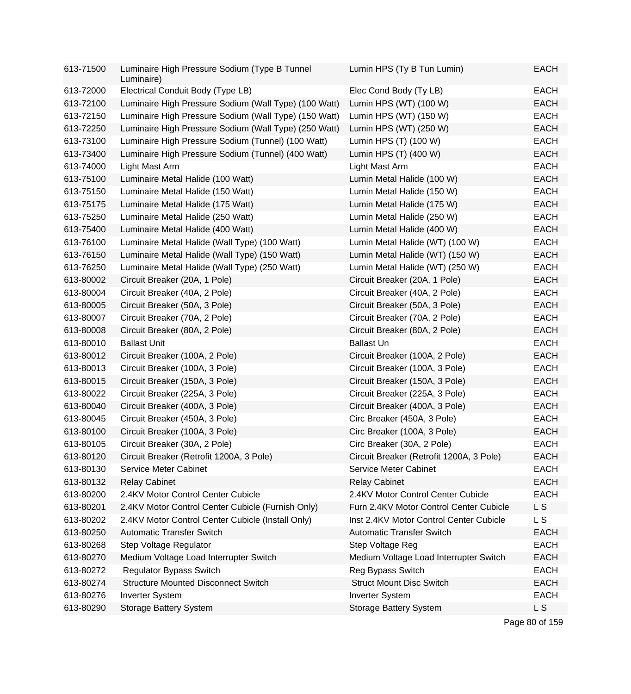| 613-71500 | Luminaire High Pressure Sodium (Type B Tunnel<br>Luminaire) | Lumin HPS (Ty B Tun Lumin)               | <b>EACH</b>    |
|-----------|-------------------------------------------------------------|------------------------------------------|----------------|
| 613-72000 | Electrical Conduit Body (Type LB)                           | Elec Cond Body (Ty LB)                   | <b>EACH</b>    |
| 613-72100 | Luminaire High Pressure Sodium (Wall Type) (100 Watt)       | Lumin HPS (WT) (100 W)                   | <b>EACH</b>    |
| 613-72150 | Luminaire High Pressure Sodium (Wall Type) (150 Watt)       | Lumin HPS (WT) (150 W)                   | <b>EACH</b>    |
| 613-72250 | Luminaire High Pressure Sodium (Wall Type) (250 Watt)       | Lumin HPS (WT) (250 W)                   | <b>EACH</b>    |
| 613-73100 | Luminaire High Pressure Sodium (Tunnel) (100 Watt)          | Lumin HPS (T) (100 W)                    | <b>EACH</b>    |
| 613-73400 | Luminaire High Pressure Sodium (Tunnel) (400 Watt)          | Lumin HPS (T) (400 W)                    | <b>EACH</b>    |
| 613-74000 | Light Mast Arm                                              | Light Mast Arm                           | <b>EACH</b>    |
| 613-75100 | Luminaire Metal Halide (100 Watt)                           | Lumin Metal Halide (100 W)               | <b>EACH</b>    |
| 613-75150 | Luminaire Metal Halide (150 Watt)                           | Lumin Metal Halide (150 W)               | <b>EACH</b>    |
| 613-75175 | Luminaire Metal Halide (175 Watt)                           | Lumin Metal Halide (175 W)               | <b>EACH</b>    |
| 613-75250 | Luminaire Metal Halide (250 Watt)                           | Lumin Metal Halide (250 W)               | <b>EACH</b>    |
| 613-75400 | Luminaire Metal Halide (400 Watt)                           | Lumin Metal Halide (400 W)               | <b>EACH</b>    |
| 613-76100 | Luminaire Metal Halide (Wall Type) (100 Watt)               | Lumin Metal Halide (WT) (100 W)          | <b>EACH</b>    |
| 613-76150 | Luminaire Metal Halide (Wall Type) (150 Watt)               | Lumin Metal Halide (WT) (150 W)          | <b>EACH</b>    |
| 613-76250 | Luminaire Metal Halide (Wall Type) (250 Watt)               | Lumin Metal Halide (WT) (250 W)          | <b>EACH</b>    |
| 613-80002 | Circuit Breaker (20A, 1 Pole)                               | Circuit Breaker (20A, 1 Pole)            | <b>EACH</b>    |
| 613-80004 | Circuit Breaker (40A, 2 Pole)                               | Circuit Breaker (40A, 2 Pole)            | <b>EACH</b>    |
| 613-80005 | Circuit Breaker (50A, 3 Pole)                               | Circuit Breaker (50A, 3 Pole)            | <b>EACH</b>    |
| 613-80007 | Circuit Breaker (70A, 2 Pole)                               | Circuit Breaker (70A, 2 Pole)            | <b>EACH</b>    |
| 613-80008 | Circuit Breaker (80A, 2 Pole)                               | Circuit Breaker (80A, 2 Pole)            | <b>EACH</b>    |
| 613-80010 | <b>Ballast Unit</b>                                         | <b>Ballast Un</b>                        | <b>EACH</b>    |
| 613-80012 | Circuit Breaker (100A, 2 Pole)                              | Circuit Breaker (100A, 2 Pole)           | <b>EACH</b>    |
| 613-80013 | Circuit Breaker (100A, 3 Pole)                              | Circuit Breaker (100A, 3 Pole)           | <b>EACH</b>    |
| 613-80015 | Circuit Breaker (150A, 3 Pole)                              | Circuit Breaker (150A, 3 Pole)           | <b>EACH</b>    |
| 613-80022 | Circuit Breaker (225A, 3 Pole)                              | Circuit Breaker (225A, 3 Pole)           | <b>EACH</b>    |
| 613-80040 | Circuit Breaker (400A, 3 Pole)                              | Circuit Breaker (400A, 3 Pole)           | <b>EACH</b>    |
| 613-80045 | Circuit Breaker (450A, 3 Pole)                              | Circ Breaker (450A, 3 Pole)              | <b>EACH</b>    |
| 613-80100 | Circuit Breaker (100A, 3 Pole)                              | Circ Breaker (100A, 3 Pole)              | <b>EACH</b>    |
| 613-80105 | Circuit Breaker (30A, 2 Pole)                               | Circ Breaker (30A, 2 Pole)               | <b>EACH</b>    |
| 613-80120 | Circuit Breaker (Retrofit 1200A, 3 Pole)                    | Circuit Breaker (Retrofit 1200A, 3 Pole) | <b>EACH</b>    |
| 613-80130 | <b>Service Meter Cabinet</b>                                | Service Meter Cabinet                    | <b>EACH</b>    |
| 613-80132 | <b>Relay Cabinet</b>                                        | <b>Relay Cabinet</b>                     | <b>EACH</b>    |
| 613-80200 | 2.4KV Motor Control Center Cubicle                          | 2.4KV Motor Control Center Cubicle       | <b>EACH</b>    |
| 613-80201 | 2.4KV Motor Control Center Cubicle (Furnish Only)           | Furn 2.4KV Motor Control Center Cubicle  | L S            |
| 613-80202 | 2.4KV Motor Control Center Cubicle (Install Only)           | Inst 2.4KV Motor Control Center Cubicle  | L S            |
| 613-80250 | <b>Automatic Transfer Switch</b>                            | <b>Automatic Transfer Switch</b>         | <b>EACH</b>    |
| 613-80268 | Step Voltage Regulator                                      | Step Voltage Reg                         | <b>EACH</b>    |
| 613-80270 | Medium Voltage Load Interrupter Switch                      | Medium Voltage Load Interrupter Switch   | <b>EACH</b>    |
| 613-80272 | <b>Regulator Bypass Switch</b>                              | Reg Bypass Switch                        | <b>EACH</b>    |
| 613-80274 | <b>Structure Mounted Disconnect Switch</b>                  | <b>Struct Mount Disc Switch</b>          | <b>EACH</b>    |
| 613-80276 | <b>Inverter System</b>                                      | <b>Inverter System</b>                   | <b>EACH</b>    |
| 613-80290 | <b>Storage Battery System</b>                               | <b>Storage Battery System</b>            | L <sub>S</sub> |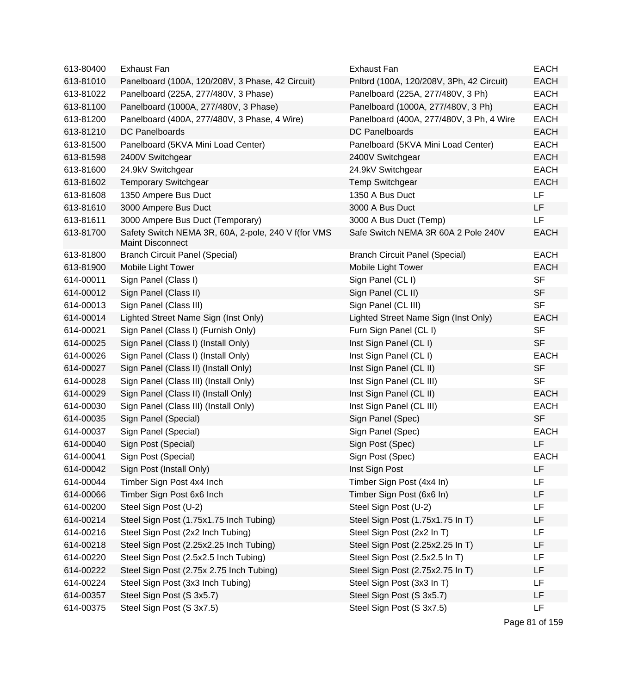| 613-80400 | <b>Exhaust Fan</b>                                                             | Exhaust Fan                              | <b>EACH</b> |
|-----------|--------------------------------------------------------------------------------|------------------------------------------|-------------|
| 613-81010 | Panelboard (100A, 120/208V, 3 Phase, 42 Circuit)                               | Pnlbrd (100A, 120/208V, 3Ph, 42 Circuit) | <b>EACH</b> |
| 613-81022 | Panelboard (225A, 277/480V, 3 Phase)                                           | Panelboard (225A, 277/480V, 3 Ph)        | <b>EACH</b> |
| 613-81100 | Panelboard (1000A, 277/480V, 3 Phase)                                          | Panelboard (1000A, 277/480V, 3 Ph)       | <b>EACH</b> |
| 613-81200 | Panelboard (400A, 277/480V, 3 Phase, 4 Wire)                                   | Panelboard (400A, 277/480V, 3 Ph, 4 Wire | <b>EACH</b> |
| 613-81210 | DC Panelboards                                                                 | DC Panelboards                           | <b>EACH</b> |
| 613-81500 | Panelboard (5KVA Mini Load Center)                                             | Panelboard (5KVA Mini Load Center)       | <b>EACH</b> |
| 613-81598 | 2400V Switchgear                                                               | 2400V Switchgear                         | <b>EACH</b> |
| 613-81600 | 24.9kV Switchgear                                                              | 24.9kV Switchgear                        | <b>EACH</b> |
| 613-81602 | <b>Temporary Switchgear</b>                                                    | <b>Temp Switchgear</b>                   | <b>EACH</b> |
| 613-81608 | 1350 Ampere Bus Duct                                                           | 1350 A Bus Duct                          | LF          |
| 613-81610 | 3000 Ampere Bus Duct                                                           | 3000 A Bus Duct                          | LF          |
| 613-81611 | 3000 Ampere Bus Duct (Temporary)                                               | 3000 A Bus Duct (Temp)                   | <b>LF</b>   |
| 613-81700 | Safety Switch NEMA 3R, 60A, 2-pole, 240 V f(for VMS<br><b>Maint Disconnect</b> | Safe Switch NEMA 3R 60A 2 Pole 240V      | <b>EACH</b> |
| 613-81800 | <b>Branch Circuit Panel (Special)</b>                                          | <b>Branch Circuit Panel (Special)</b>    | <b>EACH</b> |
| 613-81900 | Mobile Light Tower                                                             | Mobile Light Tower                       | <b>EACH</b> |
| 614-00011 | Sign Panel (Class I)                                                           | Sign Panel (CL I)                        | <b>SF</b>   |
| 614-00012 | Sign Panel (Class II)                                                          | Sign Panel (CL II)                       | <b>SF</b>   |
| 614-00013 | Sign Panel (Class III)                                                         | Sign Panel (CL III)                      | <b>SF</b>   |
| 614-00014 | Lighted Street Name Sign (Inst Only)                                           | Lighted Street Name Sign (Inst Only)     | <b>EACH</b> |
| 614-00021 | Sign Panel (Class I) (Furnish Only)                                            | Furn Sign Panel (CL I)                   | <b>SF</b>   |
| 614-00025 | Sign Panel (Class I) (Install Only)                                            | Inst Sign Panel (CL I)                   | <b>SF</b>   |
| 614-00026 | Sign Panel (Class I) (Install Only)                                            | Inst Sign Panel (CL I)                   | <b>EACH</b> |
| 614-00027 | Sign Panel (Class II) (Install Only)                                           | Inst Sign Panel (CL II)                  | <b>SF</b>   |
| 614-00028 | Sign Panel (Class III) (Install Only)                                          | Inst Sign Panel (CL III)                 | <b>SF</b>   |
| 614-00029 | Sign Panel (Class II) (Install Only)                                           | Inst Sign Panel (CL II)                  | <b>EACH</b> |
| 614-00030 | Sign Panel (Class III) (Install Only)                                          | Inst Sign Panel (CL III)                 | <b>EACH</b> |
| 614-00035 | Sign Panel (Special)                                                           | Sign Panel (Spec)                        | <b>SF</b>   |
| 614-00037 | Sign Panel (Special)                                                           | Sign Panel (Spec)                        | <b>EACH</b> |
| 614-00040 | Sign Post (Special)                                                            | Sign Post (Spec)                         | LF          |
| 614-00041 | Sign Post (Special)                                                            | Sign Post (Spec)                         | <b>EACH</b> |
| 614-00042 | Sign Post (Install Only)                                                       | Inst Sign Post                           | LF          |
| 614-00044 | Timber Sign Post 4x4 Inch                                                      | Timber Sign Post (4x4 In)                | LF          |
| 614-00066 | Timber Sign Post 6x6 Inch                                                      | Timber Sign Post (6x6 In)                | LF          |
| 614-00200 | Steel Sign Post (U-2)                                                          | Steel Sign Post (U-2)                    | LF          |
| 614-00214 | Steel Sign Post (1.75x1.75 Inch Tubing)                                        | Steel Sign Post (1.75x1.75 In T)         | LF          |
| 614-00216 | Steel Sign Post (2x2 Inch Tubing)                                              | Steel Sign Post (2x2 In T)               | LF          |
| 614-00218 | Steel Sign Post (2.25x2.25 Inch Tubing)                                        | Steel Sign Post (2.25x2.25 In T)         | LF          |
| 614-00220 | Steel Sign Post (2.5x2.5 Inch Tubing)                                          | Steel Sign Post (2.5x2.5 In T)           | LF          |
| 614-00222 | Steel Sign Post (2.75x 2.75 Inch Tubing)                                       | Steel Sign Post (2.75x2.75 In T)         | LF          |
| 614-00224 | Steel Sign Post (3x3 Inch Tubing)                                              | Steel Sign Post (3x3 In T)               | LF          |
| 614-00357 | Steel Sign Post (S 3x5.7)                                                      | Steel Sign Post (S 3x5.7)                | LF          |
| 614-00375 | Steel Sign Post (S 3x7.5)                                                      | Steel Sign Post (S 3x7.5)                | LF          |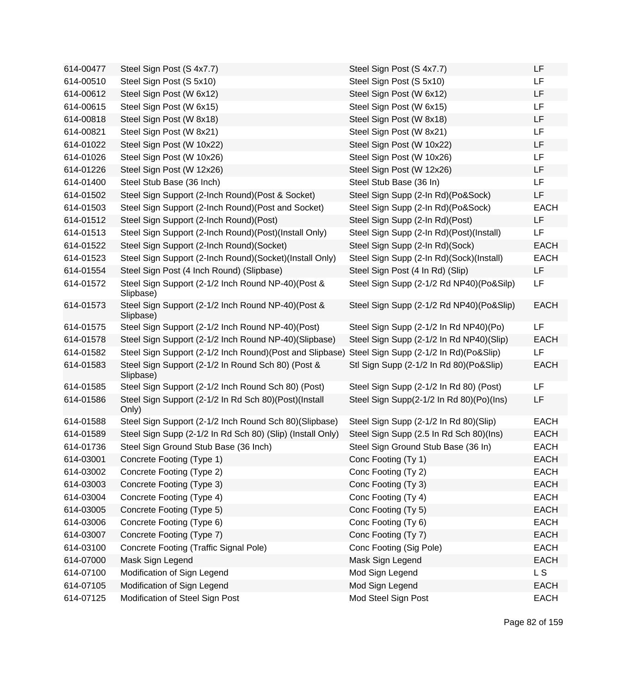| 614-00477 | Steel Sign Post (S 4x7.7)                                       | Steel Sign Post (S 4x7.7)                | LF          |
|-----------|-----------------------------------------------------------------|------------------------------------------|-------------|
| 614-00510 | Steel Sign Post (S 5x10)                                        | Steel Sign Post (S 5x10)                 | LF          |
| 614-00612 | Steel Sign Post (W 6x12)                                        | Steel Sign Post (W 6x12)                 | <b>LF</b>   |
| 614-00615 | Steel Sign Post (W 6x15)                                        | Steel Sign Post (W 6x15)                 | LF          |
| 614-00818 | Steel Sign Post (W 8x18)                                        | Steel Sign Post (W 8x18)                 | LF          |
| 614-00821 | Steel Sign Post (W 8x21)                                        | Steel Sign Post (W 8x21)                 | LF          |
| 614-01022 | Steel Sign Post (W 10x22)                                       | Steel Sign Post (W 10x22)                | LF          |
| 614-01026 | Steel Sign Post (W 10x26)                                       | Steel Sign Post (W 10x26)                | LF          |
| 614-01226 | Steel Sign Post (W 12x26)                                       | Steel Sign Post (W 12x26)                | LF          |
| 614-01400 | Steel Stub Base (36 Inch)                                       | Steel Stub Base (36 In)                  | <b>LF</b>   |
| 614-01502 | Steel Sign Support (2-Inch Round)(Post & Socket)                | Steel Sign Supp (2-In Rd)(Po&Sock)       | LF          |
| 614-01503 | Steel Sign Support (2-Inch Round)(Post and Socket)              | Steel Sign Supp (2-In Rd)(Po&Sock)       | <b>EACH</b> |
| 614-01512 | Steel Sign Support (2-Inch Round)(Post)                         | Steel Sign Supp (2-In Rd)(Post)          | LF          |
| 614-01513 | Steel Sign Support (2-Inch Round)(Post)(Install Only)           | Steel Sign Supp (2-In Rd)(Post)(Install) | LF          |
| 614-01522 | Steel Sign Support (2-Inch Round)(Socket)                       | Steel Sign Supp (2-In Rd)(Sock)          | <b>EACH</b> |
| 614-01523 | Steel Sign Support (2-Inch Round)(Socket)(Install Only)         | Steel Sign Supp (2-In Rd)(Sock)(Install) | <b>EACH</b> |
| 614-01554 | Steel Sign Post (4 Inch Round) (Slipbase)                       | Steel Sign Post (4 In Rd) (Slip)         | LF          |
| 614-01572 | Steel Sign Support (2-1/2 Inch Round NP-40)(Post &<br>Slipbase) | Steel Sign Supp (2-1/2 Rd NP40)(Po&Silp) | LF          |
| 614-01573 | Steel Sign Support (2-1/2 Inch Round NP-40)(Post &<br>Slipbase) | Steel Sign Supp (2-1/2 Rd NP40)(Po&Slip) | <b>EACH</b> |
| 614-01575 | Steel Sign Support (2-1/2 Inch Round NP-40)(Post)               | Steel Sign Supp (2-1/2 In Rd NP40)(Po)   | LF          |
| 614-01578 | Steel Sign Support (2-1/2 Inch Round NP-40)(Slipbase)           | Steel Sign Supp (2-1/2 In Rd NP40)(Slip) | <b>EACH</b> |
| 614-01582 | Steel Sign Support (2-1/2 Inch Round) (Post and Slipbase)       | Steel Sign Supp (2-1/2 In Rd)(Po&Slip)   | <b>LF</b>   |
| 614-01583 | Steel Sign Support (2-1/2 In Round Sch 80) (Post &<br>Slipbase) | Stl Sign Supp (2-1/2 In Rd 80)(Po&Slip)  | <b>EACH</b> |
| 614-01585 | Steel Sign Support (2-1/2 Inch Round Sch 80) (Post)             | Steel Sign Supp (2-1/2 In Rd 80) (Post)  | LF          |
| 614-01586 | Steel Sign Support (2-1/2 In Rd Sch 80)(Post)(Install<br>Only)  | Steel Sign Supp(2-1/2 In Rd 80)(Po)(Ins) | LF          |
| 614-01588 | Steel Sign Support (2-1/2 Inch Round Sch 80)(Slipbase)          | Steel Sign Supp (2-1/2 In Rd 80)(Slip)   | <b>EACH</b> |
| 614-01589 | Steel Sign Supp (2-1/2 In Rd Sch 80) (Slip) (Install Only)      | Steel Sign Supp (2.5 In Rd Sch 80)(Ins)  | <b>EACH</b> |
| 614-01736 | Steel Sign Ground Stub Base (36 Inch)                           | Steel Sign Ground Stub Base (36 In)      | <b>EACH</b> |
| 614-03001 | Concrete Footing (Type 1)                                       | Conc Footing (Ty 1)                      | <b>EACH</b> |
| 614-03002 | Concrete Footing (Type 2)                                       | Conc Footing (Ty 2)                      | <b>EACH</b> |
| 614-03003 | Concrete Footing (Type 3)                                       | Conc Footing (Ty 3)                      | <b>EACH</b> |
| 614-03004 | Concrete Footing (Type 4)                                       | Conc Footing (Ty 4)                      | <b>EACH</b> |
| 614-03005 | Concrete Footing (Type 5)                                       | Conc Footing (Ty 5)                      | <b>EACH</b> |
| 614-03006 | Concrete Footing (Type 6)                                       | Conc Footing (Ty 6)                      | <b>EACH</b> |
| 614-03007 | Concrete Footing (Type 7)                                       | Conc Footing (Ty 7)                      | <b>EACH</b> |
| 614-03100 | Concrete Footing (Traffic Signal Pole)                          | Conc Footing (Sig Pole)                  | <b>EACH</b> |
| 614-07000 | Mask Sign Legend                                                | Mask Sign Legend                         | <b>EACH</b> |
| 614-07100 | Modification of Sign Legend                                     | Mod Sign Legend                          | <b>LS</b>   |
| 614-07105 | Modification of Sign Legend                                     | Mod Sign Legend                          | <b>EACH</b> |
| 614-07125 | Modification of Steel Sign Post                                 | Mod Steel Sign Post                      | <b>EACH</b> |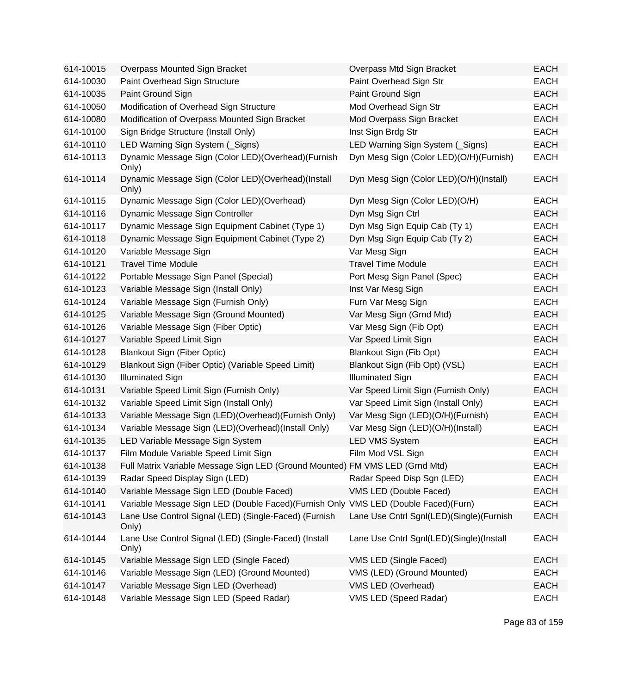| 614-10015 | Overpass Mounted Sign Bracket                                                        | Overpass Mtd Sign Bracket                | <b>EACH</b> |
|-----------|--------------------------------------------------------------------------------------|------------------------------------------|-------------|
| 614-10030 | Paint Overhead Sign Structure                                                        | Paint Overhead Sign Str                  | <b>EACH</b> |
| 614-10035 | Paint Ground Sign                                                                    | Paint Ground Sign                        | <b>EACH</b> |
| 614-10050 | Modification of Overhead Sign Structure                                              | Mod Overhead Sign Str                    | <b>EACH</b> |
| 614-10080 | Modification of Overpass Mounted Sign Bracket                                        | Mod Overpass Sign Bracket                | <b>EACH</b> |
| 614-10100 | Sign Bridge Structure (Install Only)                                                 | Inst Sign Brdg Str                       | <b>EACH</b> |
| 614-10110 | LED Warning Sign System (Signs)                                                      | LED Warning Sign System (Signs)          | <b>EACH</b> |
| 614-10113 | Dynamic Message Sign (Color LED)(Overhead)(Furnish<br>Only)                          | Dyn Mesg Sign (Color LED)(O/H)(Furnish)  | <b>EACH</b> |
| 614-10114 | Dynamic Message Sign (Color LED)(Overhead)(Install<br>Only)                          | Dyn Mesg Sign (Color LED)(O/H)(Install)  | <b>EACH</b> |
| 614-10115 | Dynamic Message Sign (Color LED) (Overhead)                                          | Dyn Mesg Sign (Color LED)(O/H)           | <b>EACH</b> |
| 614-10116 | Dynamic Message Sign Controller                                                      | Dyn Msg Sign Ctrl                        | <b>EACH</b> |
| 614-10117 | Dynamic Message Sign Equipment Cabinet (Type 1)                                      | Dyn Msg Sign Equip Cab (Ty 1)            | <b>EACH</b> |
| 614-10118 | Dynamic Message Sign Equipment Cabinet (Type 2)                                      | Dyn Msg Sign Equip Cab (Ty 2)            | <b>EACH</b> |
| 614-10120 | Variable Message Sign                                                                | Var Mesg Sign                            | <b>EACH</b> |
| 614-10121 | <b>Travel Time Module</b>                                                            | <b>Travel Time Module</b>                | <b>EACH</b> |
| 614-10122 | Portable Message Sign Panel (Special)                                                | Port Mesg Sign Panel (Spec)              | <b>EACH</b> |
| 614-10123 | Variable Message Sign (Install Only)                                                 | Inst Var Mesg Sign                       | <b>EACH</b> |
| 614-10124 | Variable Message Sign (Furnish Only)                                                 | Furn Var Mesg Sign                       | <b>EACH</b> |
| 614-10125 | Variable Message Sign (Ground Mounted)                                               | Var Mesg Sign (Grnd Mtd)                 | <b>EACH</b> |
| 614-10126 | Variable Message Sign (Fiber Optic)                                                  | Var Mesg Sign (Fib Opt)                  | <b>EACH</b> |
| 614-10127 | Variable Speed Limit Sign                                                            | Var Speed Limit Sign                     | <b>EACH</b> |
| 614-10128 | <b>Blankout Sign (Fiber Optic)</b>                                                   | Blankout Sign (Fib Opt)                  | <b>EACH</b> |
| 614-10129 | Blankout Sign (Fiber Optic) (Variable Speed Limit)                                   | Blankout Sign (Fib Opt) (VSL)            | <b>EACH</b> |
| 614-10130 | <b>Illuminated Sign</b>                                                              | <b>Illuminated Sign</b>                  | <b>EACH</b> |
| 614-10131 | Variable Speed Limit Sign (Furnish Only)                                             | Var Speed Limit Sign (Furnish Only)      | <b>EACH</b> |
| 614-10132 | Variable Speed Limit Sign (Install Only)                                             | Var Speed Limit Sign (Install Only)      | <b>EACH</b> |
| 614-10133 | Variable Message Sign (LED)(Overhead)(Furnish Only)                                  | Var Mesg Sign (LED)(O/H)(Furnish)        | <b>EACH</b> |
| 614-10134 | Variable Message Sign (LED)(Overhead)(Install Only)                                  | Var Mesg Sign (LED)(O/H)(Install)        | <b>EACH</b> |
| 614-10135 | LED Variable Message Sign System                                                     | <b>LED VMS System</b>                    | <b>EACH</b> |
| 614-10137 | Film Module Variable Speed Limit Sign                                                | Film Mod VSL Sign                        | <b>EACH</b> |
| 614-10138 | Full Matrix Variable Message Sign LED (Ground Mounted) FM VMS LED (Grnd Mtd)         |                                          | <b>EACH</b> |
| 614-10139 | Radar Speed Display Sign (LED)                                                       | Radar Speed Disp Sgn (LED)               | <b>EACH</b> |
| 614-10140 | Variable Message Sign LED (Double Faced)                                             | VMS LED (Double Faced)                   | <b>EACH</b> |
| 614-10141 | Variable Message Sign LED (Double Faced) (Furnish Only VMS LED (Double Faced) (Furn) |                                          | <b>EACH</b> |
| 614-10143 | Lane Use Control Signal (LED) (Single-Faced) (Furnish<br>Only)                       | Lane Use Cntrl Sgnl(LED)(Single)(Furnish | <b>EACH</b> |
| 614-10144 | Lane Use Control Signal (LED) (Single-Faced) (Install<br>Only)                       | Lane Use Cntrl Sgnl(LED)(Single)(Install | <b>EACH</b> |
| 614-10145 | Variable Message Sign LED (Single Faced)                                             | VMS LED (Single Faced)                   | <b>EACH</b> |
| 614-10146 | Variable Message Sign (LED) (Ground Mounted)                                         | VMS (LED) (Ground Mounted)               | <b>EACH</b> |
| 614-10147 | Variable Message Sign LED (Overhead)                                                 | VMS LED (Overhead)                       | <b>EACH</b> |
| 614-10148 | Variable Message Sign LED (Speed Radar)                                              | VMS LED (Speed Radar)                    | <b>EACH</b> |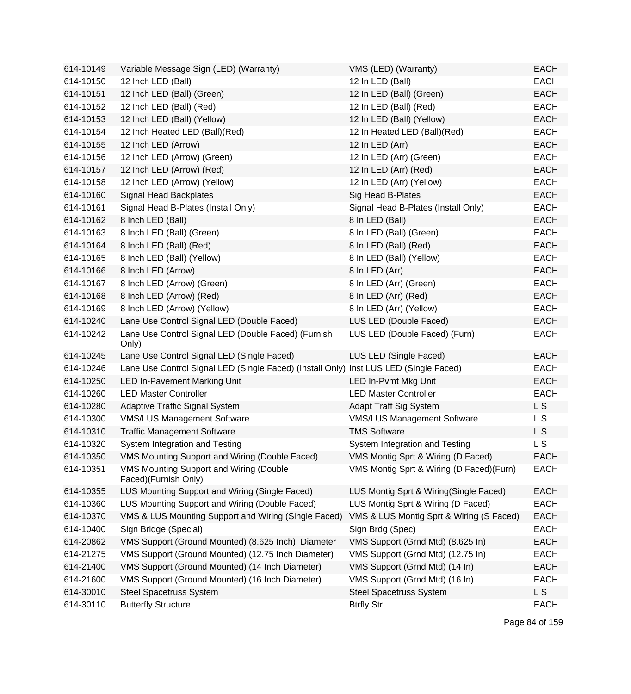| 614-10149 | Variable Message Sign (LED) (Warranty)                                                | VMS (LED) (Warranty)                      | <b>EACH</b> |
|-----------|---------------------------------------------------------------------------------------|-------------------------------------------|-------------|
| 614-10150 | 12 Inch LED (Ball)                                                                    | 12 In LED (Ball)                          | <b>EACH</b> |
| 614-10151 | 12 Inch LED (Ball) (Green)                                                            | 12 In LED (Ball) (Green)                  | <b>EACH</b> |
| 614-10152 | 12 Inch LED (Ball) (Red)                                                              | 12 In LED (Ball) (Red)                    | <b>EACH</b> |
| 614-10153 | 12 Inch LED (Ball) (Yellow)                                                           | 12 In LED (Ball) (Yellow)                 | <b>EACH</b> |
| 614-10154 | 12 Inch Heated LED (Ball)(Red)                                                        | 12 In Heated LED (Ball)(Red)              | <b>EACH</b> |
| 614-10155 | 12 Inch LED (Arrow)                                                                   | 12 In LED (Arr)                           | <b>EACH</b> |
| 614-10156 | 12 Inch LED (Arrow) (Green)                                                           | 12 In LED (Arr) (Green)                   | <b>EACH</b> |
| 614-10157 | 12 Inch LED (Arrow) (Red)                                                             | 12 In LED (Arr) (Red)                     | <b>EACH</b> |
| 614-10158 | 12 Inch LED (Arrow) (Yellow)                                                          | 12 In LED (Arr) (Yellow)                  | <b>EACH</b> |
| 614-10160 | Signal Head Backplates                                                                | Sig Head B-Plates                         | <b>EACH</b> |
| 614-10161 | Signal Head B-Plates (Install Only)                                                   | Signal Head B-Plates (Install Only)       | <b>EACH</b> |
| 614-10162 | 8 Inch LED (Ball)                                                                     | 8 In LED (Ball)                           | <b>EACH</b> |
| 614-10163 | 8 Inch LED (Ball) (Green)                                                             | 8 In LED (Ball) (Green)                   | <b>EACH</b> |
| 614-10164 | 8 Inch LED (Ball) (Red)                                                               | 8 In LED (Ball) (Red)                     | <b>EACH</b> |
| 614-10165 | 8 Inch LED (Ball) (Yellow)                                                            | 8 In LED (Ball) (Yellow)                  | <b>EACH</b> |
| 614-10166 | 8 Inch LED (Arrow)                                                                    | 8 In LED (Arr)                            | <b>EACH</b> |
| 614-10167 | 8 Inch LED (Arrow) (Green)                                                            | 8 In LED (Arr) (Green)                    | <b>EACH</b> |
| 614-10168 | 8 Inch LED (Arrow) (Red)                                                              | 8 In LED (Arr) (Red)                      | <b>EACH</b> |
| 614-10169 | 8 Inch LED (Arrow) (Yellow)                                                           | 8 In LED (Arr) (Yellow)                   | <b>EACH</b> |
| 614-10240 | Lane Use Control Signal LED (Double Faced)                                            | LUS LED (Double Faced)                    | <b>EACH</b> |
| 614-10242 | Lane Use Control Signal LED (Double Faced) (Furnish<br>Only)                          | LUS LED (Double Faced) (Furn)             | <b>EACH</b> |
| 614-10245 | Lane Use Control Signal LED (Single Faced)                                            | LUS LED (Single Faced)                    | <b>EACH</b> |
| 614-10246 | Lane Use Control Signal LED (Single Faced) (Install Only) Inst LUS LED (Single Faced) |                                           | <b>EACH</b> |
| 614-10250 | <b>LED In-Pavement Marking Unit</b>                                                   | LED In-Pvmt Mkg Unit                      | <b>EACH</b> |
| 614-10260 | <b>LED Master Controller</b>                                                          | <b>LED Master Controller</b>              | <b>EACH</b> |
| 614-10280 | Adaptive Traffic Signal System                                                        | <b>Adapt Traff Sig System</b>             | L S         |
| 614-10300 | <b>VMS/LUS Management Software</b>                                                    | <b>VMS/LUS Management Software</b>        | L S         |
| 614-10310 | <b>Traffic Management Software</b>                                                    | <b>TMS Software</b>                       | L S         |
| 614-10320 | System Integration and Testing                                                        | System Integration and Testing            | <b>LS</b>   |
| 614-10350 | VMS Mounting Support and Wiring (Double Faced)                                        | VMS Montig Sprt & Wiring (D Faced)        | <b>EACH</b> |
| 614-10351 | <b>VMS Mounting Support and Wiring (Double</b><br>Faced)(Furnish Only)                | VMS Montig Sprt & Wiring (D Faced) (Furn) | <b>EACH</b> |
| 614-10355 | LUS Mounting Support and Wiring (Single Faced)                                        | LUS Montig Sprt & Wiring(Single Faced)    | <b>EACH</b> |
| 614-10360 | LUS Mounting Support and Wiring (Double Faced)                                        | LUS Montig Sprt & Wiring (D Faced)        | <b>EACH</b> |
| 614-10370 | VMS & LUS Mounting Support and Wiring (Single Faced)                                  | VMS & LUS Montig Sprt & Wiring (S Faced)  | <b>EACH</b> |
| 614-10400 | Sign Bridge (Special)                                                                 | Sign Brdg (Spec)                          | <b>EACH</b> |
| 614-20862 | VMS Support (Ground Mounted) (8.625 Inch) Diameter                                    | VMS Support (Grnd Mtd) (8.625 In)         | <b>EACH</b> |
| 614-21275 | VMS Support (Ground Mounted) (12.75 Inch Diameter)                                    | VMS Support (Grnd Mtd) (12.75 In)         | <b>EACH</b> |
| 614-21400 | VMS Support (Ground Mounted) (14 Inch Diameter)                                       | VMS Support (Grnd Mtd) (14 In)            | <b>EACH</b> |
| 614-21600 | VMS Support (Ground Mounted) (16 Inch Diameter)                                       | VMS Support (Grnd Mtd) (16 In)            | <b>EACH</b> |
| 614-30010 | <b>Steel Spacetruss System</b>                                                        | <b>Steel Spacetruss System</b>            | L S         |
| 614-30110 | <b>Butterfly Structure</b>                                                            | <b>Btrfly Str</b>                         | <b>EACH</b> |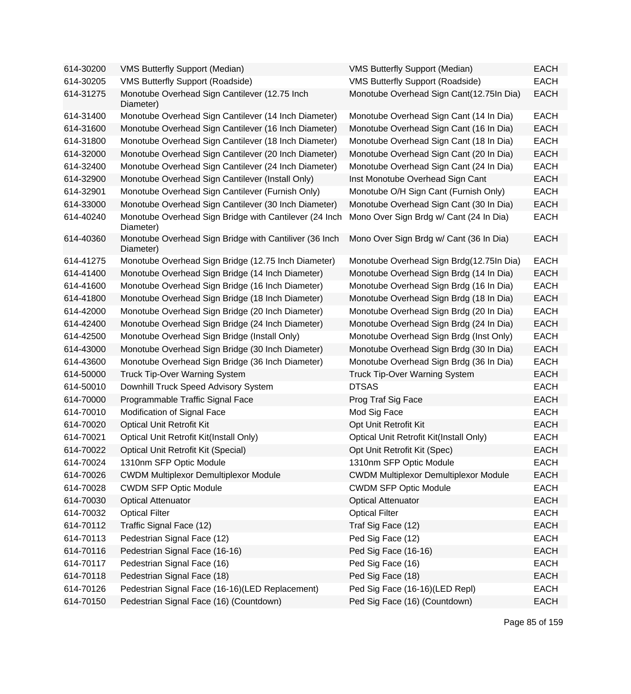| 614-30200 | <b>VMS Butterfly Support (Median)</b>                               | <b>VMS Butterfly Support (Median)</b>        | <b>EACH</b> |
|-----------|---------------------------------------------------------------------|----------------------------------------------|-------------|
| 614-30205 | <b>VMS Butterfly Support (Roadside)</b>                             | <b>VMS Butterfly Support (Roadside)</b>      | <b>EACH</b> |
| 614-31275 | Monotube Overhead Sign Cantilever (12.75 Inch<br>Diameter)          | Monotube Overhead Sign Cant(12.75In Dia)     | <b>EACH</b> |
| 614-31400 | Monotube Overhead Sign Cantilever (14 Inch Diameter)                | Monotube Overhead Sign Cant (14 In Dia)      | <b>EACH</b> |
| 614-31600 | Monotube Overhead Sign Cantilever (16 Inch Diameter)                | Monotube Overhead Sign Cant (16 In Dia)      | <b>EACH</b> |
| 614-31800 | Monotube Overhead Sign Cantilever (18 Inch Diameter)                | Monotube Overhead Sign Cant (18 In Dia)      | <b>EACH</b> |
| 614-32000 | Monotube Overhead Sign Cantilever (20 Inch Diameter)                | Monotube Overhead Sign Cant (20 In Dia)      | <b>EACH</b> |
| 614-32400 | Monotube Overhead Sign Cantilever (24 Inch Diameter)                | Monotube Overhead Sign Cant (24 In Dia)      | <b>EACH</b> |
| 614-32900 | Monotube Overhead Sign Cantilever (Install Only)                    | Inst Monotube Overhead Sign Cant             | <b>EACH</b> |
| 614-32901 | Monotube Overhead Sign Cantilever (Furnish Only)                    | Monotube O/H Sign Cant (Furnish Only)        | <b>EACH</b> |
| 614-33000 | Monotube Overhead Sign Cantilever (30 Inch Diameter)                | Monotube Overhead Sign Cant (30 In Dia)      | <b>EACH</b> |
| 614-40240 | Monotube Overhead Sign Bridge with Cantilever (24 Inch<br>Diameter) | Mono Over Sign Brdg w/ Cant (24 In Dia)      | <b>EACH</b> |
| 614-40360 | Monotube Overhead Sign Bridge with Cantiliver (36 Inch<br>Diameter) | Mono Over Sign Brdg w/ Cant (36 In Dia)      | <b>EACH</b> |
| 614-41275 | Monotube Overhead Sign Bridge (12.75 Inch Diameter)                 | Monotube Overhead Sign Brdg(12.75In Dia)     | <b>EACH</b> |
| 614-41400 | Monotube Overhead Sign Bridge (14 Inch Diameter)                    | Monotube Overhead Sign Brdg (14 In Dia)      | <b>EACH</b> |
| 614-41600 | Monotube Overhead Sign Bridge (16 Inch Diameter)                    | Monotube Overhead Sign Brdg (16 In Dia)      | <b>EACH</b> |
| 614-41800 | Monotube Overhead Sign Bridge (18 Inch Diameter)                    | Monotube Overhead Sign Brdg (18 In Dia)      | <b>EACH</b> |
| 614-42000 | Monotube Overhead Sign Bridge (20 Inch Diameter)                    | Monotube Overhead Sign Brdg (20 In Dia)      | <b>EACH</b> |
| 614-42400 | Monotube Overhead Sign Bridge (24 Inch Diameter)                    | Monotube Overhead Sign Brdg (24 In Dia)      | <b>EACH</b> |
| 614-42500 | Monotube Overhead Sign Bridge (Install Only)                        | Monotube Overhead Sign Brdg (Inst Only)      | <b>EACH</b> |
| 614-43000 | Monotube Overhead Sign Bridge (30 Inch Diameter)                    | Monotube Overhead Sign Brdg (30 In Dia)      | <b>EACH</b> |
| 614-43600 | Monotube Overhead Sign Bridge (36 Inch Diameter)                    | Monotube Overhead Sign Brdg (36 In Dia)      | <b>EACH</b> |
| 614-50000 | <b>Truck Tip-Over Warning System</b>                                | <b>Truck Tip-Over Warning System</b>         | <b>EACH</b> |
| 614-50010 | Downhill Truck Speed Advisory System                                | <b>DTSAS</b>                                 | <b>EACH</b> |
| 614-70000 | Programmable Traffic Signal Face                                    | Prog Traf Sig Face                           | <b>EACH</b> |
| 614-70010 | Modification of Signal Face                                         | Mod Sig Face                                 | <b>EACH</b> |
| 614-70020 | <b>Optical Unit Retrofit Kit</b>                                    | Opt Unit Retrofit Kit                        | <b>EACH</b> |
| 614-70021 | Optical Unit Retrofit Kit(Install Only)                             | Optical Unit Retrofit Kit(Install Only)      | <b>EACH</b> |
| 614-70022 | Optical Unit Retrofit Kit (Special)                                 | Opt Unit Retrofit Kit (Spec)                 | <b>EACH</b> |
| 614-70024 | 1310nm SFP Optic Module                                             | 1310nm SFP Optic Module                      | <b>EACH</b> |
| 614-70026 | <b>CWDM Multiplexor Demultiplexor Module</b>                        | <b>CWDM Multiplexor Demultiplexor Module</b> | <b>EACH</b> |
| 614-70028 | <b>CWDM SFP Optic Module</b>                                        | <b>CWDM SFP Optic Module</b>                 | EACH        |
| 614-70030 | <b>Optical Attenuator</b>                                           | <b>Optical Attenuator</b>                    | <b>EACH</b> |
| 614-70032 | <b>Optical Filter</b>                                               | <b>Optical Filter</b>                        | <b>EACH</b> |
| 614-70112 | Traffic Signal Face (12)                                            | Traf Sig Face (12)                           | <b>EACH</b> |
| 614-70113 | Pedestrian Signal Face (12)                                         | Ped Sig Face (12)                            | <b>EACH</b> |
| 614-70116 | Pedestrian Signal Face (16-16)                                      | Ped Sig Face (16-16)                         | <b>EACH</b> |
| 614-70117 | Pedestrian Signal Face (16)                                         | Ped Sig Face (16)                            | <b>EACH</b> |
| 614-70118 | Pedestrian Signal Face (18)                                         | Ped Sig Face (18)                            | <b>EACH</b> |
| 614-70126 | Pedestrian Signal Face (16-16)(LED Replacement)                     | Ped Sig Face (16-16)(LED Repl)               | <b>EACH</b> |
| 614-70150 | Pedestrian Signal Face (16) (Countdown)                             | Ped Sig Face (16) (Countdown)                | <b>EACH</b> |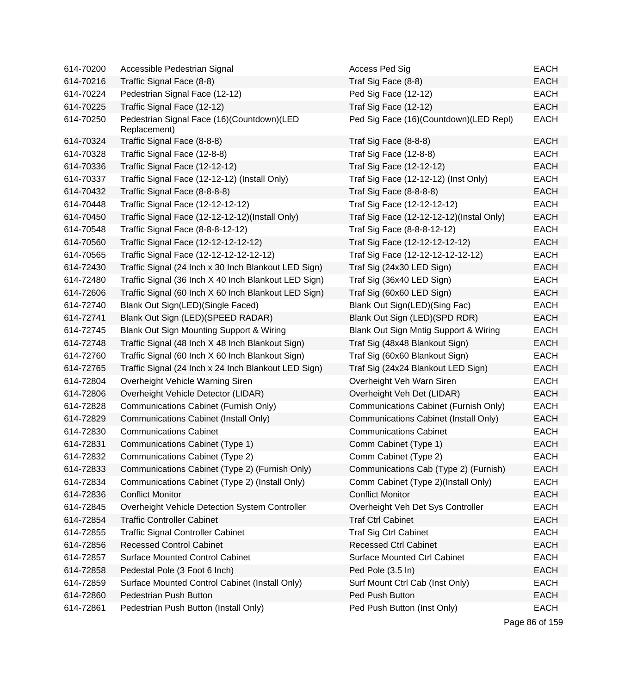| 614-70200 | Accessible Pedestrian Signal                               | Access Ped Sig                           | <b>EACH</b>    |
|-----------|------------------------------------------------------------|------------------------------------------|----------------|
| 614-70216 | Traffic Signal Face (8-8)                                  | Traf Sig Face (8-8)                      | <b>EACH</b>    |
| 614-70224 | Pedestrian Signal Face (12-12)                             | Ped Sig Face (12-12)                     | <b>EACH</b>    |
| 614-70225 | Traffic Signal Face (12-12)                                | Traf Sig Face (12-12)                    | <b>EACH</b>    |
| 614-70250 | Pedestrian Signal Face (16)(Countdown)(LED<br>Replacement) | Ped Sig Face (16)(Countdown)(LED Repl)   | <b>EACH</b>    |
| 614-70324 | Traffic Signal Face (8-8-8)                                | Traf Sig Face (8-8-8)                    | <b>EACH</b>    |
| 614-70328 | Traffic Signal Face (12-8-8)                               | Traf Sig Face (12-8-8)                   | <b>EACH</b>    |
| 614-70336 | Traffic Signal Face (12-12-12)                             | Traf Sig Face (12-12-12)                 | <b>EACH</b>    |
| 614-70337 | Traffic Signal Face (12-12-12) (Install Only)              | Traf Sig Face (12-12-12) (Inst Only)     | <b>EACH</b>    |
| 614-70432 | Traffic Signal Face (8-8-8-8)                              | Traf Sig Face (8-8-8-8)                  | <b>EACH</b>    |
| 614-70448 | Traffic Signal Face (12-12-12-12)                          | Traf Sig Face (12-12-12-12)              | <b>EACH</b>    |
| 614-70450 | Traffic Signal Face (12-12-12-12)(Install Only)            | Traf Sig Face (12-12-12-12)(Instal Only) | <b>EACH</b>    |
| 614-70548 | Traffic Signal Face (8-8-8-12-12)                          | Traf Sig Face (8-8-8-12-12)              | <b>EACH</b>    |
| 614-70560 | Traffic Signal Face (12-12-12-12-12)                       | Traf Sig Face (12-12-12-12-12)           | <b>EACH</b>    |
| 614-70565 | Traffic Signal Face (12-12-12-12-12-12)                    | Traf Sig Face (12-12-12-12-12-12)        | <b>EACH</b>    |
| 614-72430 | Traffic Signal (24 Inch x 30 Inch Blankout LED Sign)       | Traf Sig (24x30 LED Sign)                | <b>EACH</b>    |
| 614-72480 | Traffic Signal (36 Inch X 40 Inch Blankout LED Sign)       | Traf Sig (36x40 LED Sign)                | <b>EACH</b>    |
| 614-72606 | Traffic Signal (60 Inch X 60 Inch Blankout LED Sign)       | Traf Sig (60x60 LED Sign)                | <b>EACH</b>    |
| 614-72740 | Blank Out Sign(LED)(Single Faced)                          | Blank Out Sign(LED)(Sing Fac)            | <b>EACH</b>    |
| 614-72741 | Blank Out Sign (LED)(SPEED RADAR)                          | Blank Out Sign (LED)(SPD RDR)            | <b>EACH</b>    |
| 614-72745 | Blank Out Sign Mounting Support & Wiring                   | Blank Out Sign Mntig Support & Wiring    | <b>EACH</b>    |
| 614-72748 | Traffic Signal (48 Inch X 48 Inch Blankout Sign)           | Traf Sig (48x48 Blankout Sign)           | <b>EACH</b>    |
| 614-72760 | Traffic Signal (60 Inch X 60 Inch Blankout Sign)           | Traf Sig (60x60 Blankout Sign)           | <b>EACH</b>    |
| 614-72765 | Traffic Signal (24 Inch x 24 Inch Blankout LED Sign)       | Traf Sig (24x24 Blankout LED Sign)       | <b>EACH</b>    |
| 614-72804 | Overheight Vehicle Warning Siren                           | Overheight Veh Warn Siren                | <b>EACH</b>    |
| 614-72806 | Overheight Vehicle Detector (LIDAR)                        | Overheight Veh Det (LIDAR)               | <b>EACH</b>    |
| 614-72828 | Communications Cabinet (Furnish Only)                      | Communications Cabinet (Furnish Only)    | <b>EACH</b>    |
| 614-72829 | <b>Communications Cabinet (Install Only)</b>               | Communications Cabinet (Install Only)    | <b>EACH</b>    |
| 614-72830 | <b>Communications Cabinet</b>                              | <b>Communications Cabinet</b>            | <b>EACH</b>    |
| 614-72831 | Communications Cabinet (Type 1)                            | Comm Cabinet (Type 1)                    | <b>EACH</b>    |
| 614-72832 | Communications Cabinet (Type 2)                            | Comm Cabinet (Type 2)                    | <b>EACH</b>    |
| 614-72833 | Communications Cabinet (Type 2) (Furnish Only)             | Communications Cab (Type 2) (Furnish)    | <b>EACH</b>    |
| 614-72834 | Communications Cabinet (Type 2) (Install Only)             | Comm Cabinet (Type 2)(Install Only)      | <b>EACH</b>    |
| 614-72836 | <b>Conflict Monitor</b>                                    | <b>Conflict Monitor</b>                  | <b>EACH</b>    |
| 614-72845 | Overheight Vehicle Detection System Controller             | Overheight Veh Det Sys Controller        | <b>EACH</b>    |
| 614-72854 | <b>Traffic Controller Cabinet</b>                          | <b>Traf Ctrl Cabinet</b>                 | <b>EACH</b>    |
| 614-72855 | <b>Traffic Signal Controller Cabinet</b>                   | <b>Traf Sig Ctrl Cabinet</b>             | <b>EACH</b>    |
| 614-72856 | <b>Recessed Control Cabinet</b>                            | <b>Recessed Ctrl Cabinet</b>             | <b>EACH</b>    |
| 614-72857 | <b>Surface Mounted Control Cabinet</b>                     | <b>Surface Mounted Ctrl Cabinet</b>      | <b>EACH</b>    |
| 614-72858 | Pedestal Pole (3 Foot 6 Inch)                              | Ped Pole (3.5 In)                        | <b>EACH</b>    |
| 614-72859 | Surface Mounted Control Cabinet (Install Only)             | Surf Mount Ctrl Cab (Inst Only)          | <b>EACH</b>    |
| 614-72860 | Pedestrian Push Button                                     | Ped Push Button                          | <b>EACH</b>    |
| 614-72861 | Pedestrian Push Button (Install Only)                      | Ped Push Button (Inst Only)              | <b>EACH</b>    |
|           |                                                            |                                          | Page 86 of 159 |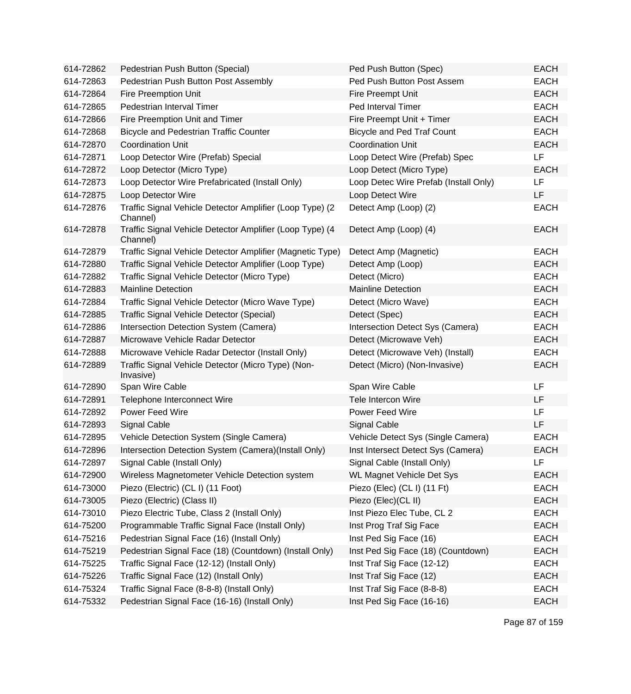| 614-72862 | Pedestrian Push Button (Special)                                     | Ped Push Button (Spec)                | <b>EACH</b> |
|-----------|----------------------------------------------------------------------|---------------------------------------|-------------|
| 614-72863 | Pedestrian Push Button Post Assembly                                 | Ped Push Button Post Assem            | <b>EACH</b> |
| 614-72864 | <b>Fire Preemption Unit</b>                                          | Fire Preempt Unit                     | <b>EACH</b> |
| 614-72865 | Pedestrian Interval Timer                                            | Ped Interval Timer                    | <b>EACH</b> |
| 614-72866 | Fire Preemption Unit and Timer                                       | Fire Preempt Unit + Timer             | <b>EACH</b> |
| 614-72868 | <b>Bicycle and Pedestrian Traffic Counter</b>                        | <b>Bicycle and Ped Traf Count</b>     | <b>EACH</b> |
| 614-72870 | <b>Coordination Unit</b>                                             | <b>Coordination Unit</b>              | <b>EACH</b> |
| 614-72871 | Loop Detector Wire (Prefab) Special                                  | Loop Detect Wire (Prefab) Spec        | <b>LF</b>   |
| 614-72872 | Loop Detector (Micro Type)                                           | Loop Detect (Micro Type)              | <b>EACH</b> |
| 614-72873 | Loop Detector Wire Prefabricated (Install Only)                      | Loop Detec Wire Prefab (Install Only) | <b>LF</b>   |
| 614-72875 | Loop Detector Wire                                                   | Loop Detect Wire                      | <b>LF</b>   |
| 614-72876 | Traffic Signal Vehicle Detector Amplifier (Loop Type) (2<br>Channel) | Detect Amp (Loop) (2)                 | <b>EACH</b> |
| 614-72878 | Traffic Signal Vehicle Detector Amplifier (Loop Type) (4<br>Channel) | Detect Amp (Loop) (4)                 | <b>EACH</b> |
| 614-72879 | Traffic Signal Vehicle Detector Amplifier (Magnetic Type)            | Detect Amp (Magnetic)                 | <b>EACH</b> |
| 614-72880 | Traffic Signal Vehicle Detector Amplifier (Loop Type)                | Detect Amp (Loop)                     | <b>EACH</b> |
| 614-72882 | Traffic Signal Vehicle Detector (Micro Type)                         | Detect (Micro)                        | <b>EACH</b> |
| 614-72883 | <b>Mainline Detection</b>                                            | <b>Mainline Detection</b>             | <b>EACH</b> |
| 614-72884 | Traffic Signal Vehicle Detector (Micro Wave Type)                    | Detect (Micro Wave)                   | <b>EACH</b> |
| 614-72885 | Traffic Signal Vehicle Detector (Special)                            | Detect (Spec)                         | <b>EACH</b> |
| 614-72886 | Intersection Detection System (Camera)                               | Intersection Detect Sys (Camera)      | <b>EACH</b> |
| 614-72887 | Microwave Vehicle Radar Detector                                     | Detect (Microwave Veh)                | <b>EACH</b> |
| 614-72888 | Microwave Vehicle Radar Detector (Install Only)                      | Detect (Microwave Veh) (Install)      | <b>EACH</b> |
| 614-72889 | Traffic Signal Vehicle Detector (Micro Type) (Non-<br>Invasive)      | Detect (Micro) (Non-Invasive)         | <b>EACH</b> |
| 614-72890 | Span Wire Cable                                                      | Span Wire Cable                       | LF          |
| 614-72891 | Telephone Interconnect Wire                                          | Tele Intercon Wire                    | <b>LF</b>   |
| 614-72892 | Power Feed Wire                                                      | Power Feed Wire                       | LF          |
| 614-72893 | Signal Cable                                                         | Signal Cable                          | <b>LF</b>   |
| 614-72895 | Vehicle Detection System (Single Camera)                             | Vehicle Detect Sys (Single Camera)    | <b>EACH</b> |
| 614-72896 | Intersection Detection System (Camera)(Install Only)                 | Inst Intersect Detect Sys (Camera)    | <b>EACH</b> |
| 614-72897 | Signal Cable (Install Only)                                          | Signal Cable (Install Only)           | LF          |
| 614-72900 | Wireless Magnetometer Vehicle Detection system                       | <b>WL Magnet Vehicle Det Sys</b>      | <b>EACH</b> |
| 614-73000 | Piezo (Electric) (CL I) (11 Foot)                                    | Piezo (Elec) (CL I) (11 Ft)           | <b>EACH</b> |
| 614-73005 | Piezo (Electric) (Class II)                                          | Piezo (Elec)(CL II)                   | <b>EACH</b> |
| 614-73010 | Piezo Electric Tube, Class 2 (Install Only)                          | Inst Piezo Elec Tube, CL 2            | <b>EACH</b> |
| 614-75200 | Programmable Traffic Signal Face (Install Only)                      | Inst Prog Traf Sig Face               | <b>EACH</b> |
| 614-75216 | Pedestrian Signal Face (16) (Install Only)                           | Inst Ped Sig Face (16)                | <b>EACH</b> |
| 614-75219 | Pedestrian Signal Face (18) (Countdown) (Install Only)               | Inst Ped Sig Face (18) (Countdown)    | <b>EACH</b> |
| 614-75225 | Traffic Signal Face (12-12) (Install Only)                           | Inst Traf Sig Face (12-12)            | <b>EACH</b> |
| 614-75226 | Traffic Signal Face (12) (Install Only)                              | Inst Traf Sig Face (12)               | <b>EACH</b> |
| 614-75324 | Traffic Signal Face (8-8-8) (Install Only)                           | Inst Traf Sig Face (8-8-8)            | <b>EACH</b> |
| 614-75332 | Pedestrian Signal Face (16-16) (Install Only)                        | Inst Ped Sig Face (16-16)             | <b>EACH</b> |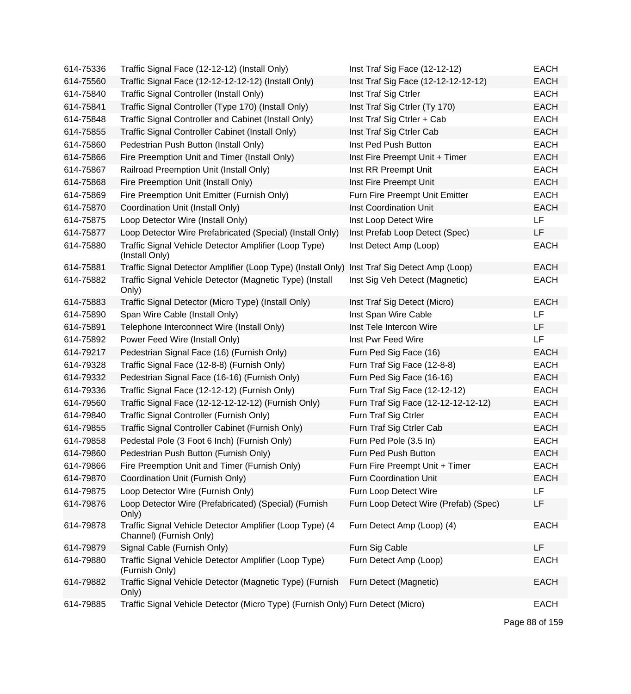| 614-75336 | Traffic Signal Face (12-12-12) (Install Only)                                                | Inst Traf Sig Face (12-12-12)         | <b>EACH</b> |
|-----------|----------------------------------------------------------------------------------------------|---------------------------------------|-------------|
| 614-75560 | Traffic Signal Face (12-12-12-12-12) (Install Only)                                          | Inst Traf Sig Face (12-12-12-12-12)   | <b>EACH</b> |
| 614-75840 | Traffic Signal Controller (Install Only)                                                     | Inst Traf Sig Ctrler                  | <b>EACH</b> |
| 614-75841 | Traffic Signal Controller (Type 170) (Install Only)                                          | Inst Traf Sig Ctrler (Ty 170)         | <b>EACH</b> |
| 614-75848 | Traffic Signal Controller and Cabinet (Install Only)                                         | Inst Traf Sig Ctrler + Cab            | <b>EACH</b> |
| 614-75855 | Traffic Signal Controller Cabinet (Install Only)                                             | Inst Traf Sig Ctrler Cab              | <b>EACH</b> |
| 614-75860 | Pedestrian Push Button (Install Only)                                                        | Inst Ped Push Button                  | <b>EACH</b> |
| 614-75866 | Fire Preemption Unit and Timer (Install Only)                                                | Inst Fire Preempt Unit + Timer        | <b>EACH</b> |
| 614-75867 | Railroad Preemption Unit (Install Only)                                                      | Inst RR Preempt Unit                  | <b>EACH</b> |
| 614-75868 | Fire Preemption Unit (Install Only)                                                          | Inst Fire Preempt Unit                | <b>EACH</b> |
| 614-75869 | Fire Preemption Unit Emitter (Furnish Only)                                                  | Furn Fire Preempt Unit Emitter        | <b>EACH</b> |
| 614-75870 | Coordination Unit (Install Only)                                                             | Inst Coordination Unit                | <b>EACH</b> |
| 614-75875 | Loop Detector Wire (Install Only)                                                            | Inst Loop Detect Wire                 | <b>LF</b>   |
| 614-75877 | Loop Detector Wire Prefabricated (Special) (Install Only)                                    | Inst Prefab Loop Detect (Spec)        | LF          |
| 614-75880 | Traffic Signal Vehicle Detector Amplifier (Loop Type)<br>(Install Only)                      | Inst Detect Amp (Loop)                | <b>EACH</b> |
| 614-75881 | Traffic Signal Detector Amplifier (Loop Type) (Install Only) Inst Traf Sig Detect Amp (Loop) |                                       | <b>EACH</b> |
| 614-75882 | Traffic Signal Vehicle Detector (Magnetic Type) (Install<br>Only)                            | Inst Sig Veh Detect (Magnetic)        | <b>EACH</b> |
| 614-75883 | Traffic Signal Detector (Micro Type) (Install Only)                                          | Inst Traf Sig Detect (Micro)          | <b>EACH</b> |
| 614-75890 | Span Wire Cable (Install Only)                                                               | Inst Span Wire Cable                  | <b>LF</b>   |
| 614-75891 | Telephone Interconnect Wire (Install Only)                                                   | Inst Tele Intercon Wire               | LF          |
| 614-75892 | Power Feed Wire (Install Only)                                                               | Inst Pwr Feed Wire                    | <b>LF</b>   |
| 614-79217 | Pedestrian Signal Face (16) (Furnish Only)                                                   | Furn Ped Sig Face (16)                | <b>EACH</b> |
| 614-79328 | Traffic Signal Face (12-8-8) (Furnish Only)                                                  | Furn Traf Sig Face (12-8-8)           | <b>EACH</b> |
| 614-79332 | Pedestrian Signal Face (16-16) (Furnish Only)                                                | Furn Ped Sig Face (16-16)             | <b>EACH</b> |
| 614-79336 | Traffic Signal Face (12-12-12) (Furnish Only)                                                | Furn Traf Sig Face (12-12-12)         | <b>EACH</b> |
| 614-79560 | Traffic Signal Face (12-12-12-12-12) (Furnish Only)                                          | Furn Traf Sig Face (12-12-12-12-12)   | <b>EACH</b> |
| 614-79840 | Traffic Signal Controller (Furnish Only)                                                     | Furn Traf Sig Ctrler                  | <b>EACH</b> |
| 614-79855 | Traffic Signal Controller Cabinet (Furnish Only)                                             | Furn Traf Sig Ctrler Cab              | <b>EACH</b> |
| 614-79858 | Pedestal Pole (3 Foot 6 Inch) (Furnish Only)                                                 | Furn Ped Pole (3.5 In)                | <b>EACH</b> |
| 614-79860 | Pedestrian Push Button (Furnish Only)                                                        | Furn Ped Push Button                  | <b>EACH</b> |
| 614-79866 | Fire Preemption Unit and Timer (Furnish Only)                                                | Furn Fire Preempt Unit + Timer        | <b>EACH</b> |
| 614-79870 | Coordination Unit (Furnish Only)                                                             | Furn Coordination Unit                | <b>EACH</b> |
| 614-79875 | Loop Detector Wire (Furnish Only)                                                            | Furn Loop Detect Wire                 | LF          |
| 614-79876 | Loop Detector Wire (Prefabricated) (Special) (Furnish<br>Only)                               | Furn Loop Detect Wire (Prefab) (Spec) | LF          |
| 614-79878 | Traffic Signal Vehicle Detector Amplifier (Loop Type) (4<br>Channel) (Furnish Only)          | Furn Detect Amp (Loop) (4)            | <b>EACH</b> |
| 614-79879 | Signal Cable (Furnish Only)                                                                  | Furn Sig Cable                        | LF          |
| 614-79880 | Traffic Signal Vehicle Detector Amplifier (Loop Type)<br>(Furnish Only)                      | Furn Detect Amp (Loop)                | <b>EACH</b> |
| 614-79882 | Traffic Signal Vehicle Detector (Magnetic Type) (Furnish<br>Only)                            | Furn Detect (Magnetic)                | <b>EACH</b> |
| 614-79885 | Traffic Signal Vehicle Detector (Micro Type) (Furnish Only) Furn Detect (Micro)              |                                       | <b>EACH</b> |

Page 88 of 159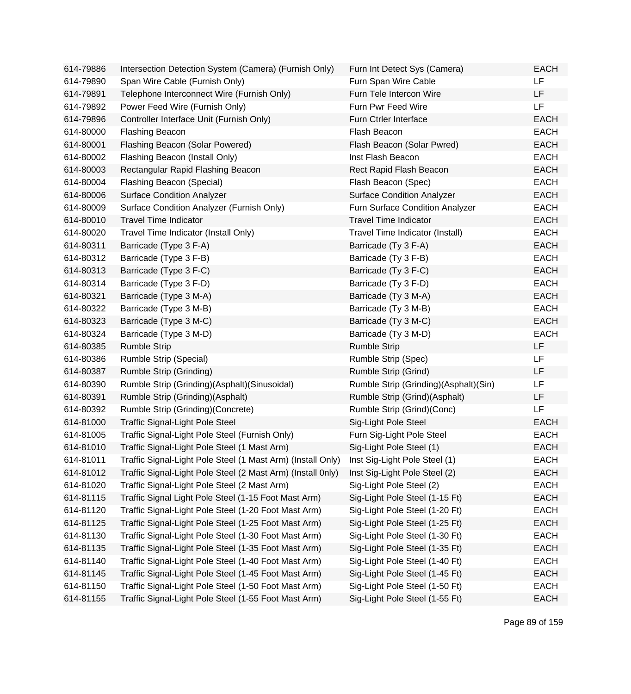| 614-79886 | Intersection Detection System (Camera) (Furnish Only)       | Furn Int Detect Sys (Camera)          | <b>EACH</b> |
|-----------|-------------------------------------------------------------|---------------------------------------|-------------|
| 614-79890 | Span Wire Cable (Furnish Only)                              | Furn Span Wire Cable                  | LF          |
| 614-79891 | Telephone Interconnect Wire (Furnish Only)                  | Furn Tele Intercon Wire               | LF          |
| 614-79892 | Power Feed Wire (Furnish Only)                              | Furn Pwr Feed Wire                    | <b>LF</b>   |
| 614-79896 | Controller Interface Unit (Furnish Only)                    | Furn Ctrler Interface                 | <b>EACH</b> |
| 614-80000 | <b>Flashing Beacon</b>                                      | Flash Beacon                          | <b>EACH</b> |
| 614-80001 | Flashing Beacon (Solar Powered)                             | Flash Beacon (Solar Pwred)            | <b>EACH</b> |
| 614-80002 | Flashing Beacon (Install Only)                              | Inst Flash Beacon                     | <b>EACH</b> |
| 614-80003 | Rectangular Rapid Flashing Beacon                           | Rect Rapid Flash Beacon               | <b>EACH</b> |
| 614-80004 | Flashing Beacon (Special)                                   | Flash Beacon (Spec)                   | <b>EACH</b> |
| 614-80006 | <b>Surface Condition Analyzer</b>                           | <b>Surface Condition Analyzer</b>     | <b>EACH</b> |
| 614-80009 | Surface Condition Analyzer (Furnish Only)                   | Furn Surface Condition Analyzer       | <b>EACH</b> |
| 614-80010 | <b>Travel Time Indicator</b>                                | <b>Travel Time Indicator</b>          | <b>EACH</b> |
| 614-80020 | Travel Time Indicator (Install Only)                        | Travel Time Indicator (Install)       | <b>EACH</b> |
| 614-80311 | Barricade (Type 3 F-A)                                      | Barricade (Ty 3 F-A)                  | <b>EACH</b> |
| 614-80312 | Barricade (Type 3 F-B)                                      | Barricade (Ty 3 F-B)                  | <b>EACH</b> |
| 614-80313 | Barricade (Type 3 F-C)                                      | Barricade (Ty 3 F-C)                  | <b>EACH</b> |
| 614-80314 | Barricade (Type 3 F-D)                                      | Barricade (Ty 3 F-D)                  | <b>EACH</b> |
| 614-80321 | Barricade (Type 3 M-A)                                      | Barricade (Ty 3 M-A)                  | <b>EACH</b> |
| 614-80322 | Barricade (Type 3 M-B)                                      | Barricade (Ty 3 M-B)                  | <b>EACH</b> |
| 614-80323 | Barricade (Type 3 M-C)                                      | Barricade (Ty 3 M-C)                  | <b>EACH</b> |
| 614-80324 | Barricade (Type 3 M-D)                                      | Barricade (Ty 3 M-D)                  | <b>EACH</b> |
| 614-80385 | <b>Rumble Strip</b>                                         | <b>Rumble Strip</b>                   | LF          |
| 614-80386 | Rumble Strip (Special)                                      | Rumble Strip (Spec)                   | <b>LF</b>   |
| 614-80387 | Rumble Strip (Grinding)                                     | Rumble Strip (Grind)                  | LF          |
| 614-80390 | Rumble Strip (Grinding)(Asphalt)(Sinusoidal)                | Rumble Strip (Grinding)(Asphalt)(Sin) | LF          |
| 614-80391 | Rumble Strip (Grinding)(Asphalt)                            | Rumble Strip (Grind)(Asphalt)         | LF          |
| 614-80392 | Rumble Strip (Grinding) (Concrete)                          | Rumble Strip (Grind)(Conc)            | LF          |
| 614-81000 | <b>Traffic Signal-Light Pole Steel</b>                      | Sig-Light Pole Steel                  | <b>EACH</b> |
| 614-81005 | Traffic Signal-Light Pole Steel (Furnish Only)              | Furn Sig-Light Pole Steel             | <b>EACH</b> |
| 614-81010 | Traffic Signal-Light Pole Steel (1 Mast Arm)                | Sig-Light Pole Steel (1)              | <b>EACH</b> |
| 614-81011 | Traffic Signal-Light Pole Steel (1 Mast Arm) (Install Only) | Inst Sig-Light Pole Steel (1)         | EACH        |
| 614-81012 | Traffic Signal-Light Pole Steel (2 Mast Arm) (Install 0nly) | Inst Sig-Light Pole Steel (2)         | <b>EACH</b> |
| 614-81020 | Traffic Signal-Light Pole Steel (2 Mast Arm)                | Sig-Light Pole Steel (2)              | <b>EACH</b> |
| 614-81115 | Traffic Signal Light Pole Steel (1-15 Foot Mast Arm)        | Sig-Light Pole Steel (1-15 Ft)        | <b>EACH</b> |
| 614-81120 | Traffic Signal-Light Pole Steel (1-20 Foot Mast Arm)        | Sig-Light Pole Steel (1-20 Ft)        | <b>EACH</b> |
| 614-81125 | Traffic Signal-Light Pole Steel (1-25 Foot Mast Arm)        | Sig-Light Pole Steel (1-25 Ft)        | <b>EACH</b> |
| 614-81130 | Traffic Signal-Light Pole Steel (1-30 Foot Mast Arm)        | Sig-Light Pole Steel (1-30 Ft)        | <b>EACH</b> |
| 614-81135 | Traffic Signal-Light Pole Steel (1-35 Foot Mast Arm)        | Sig-Light Pole Steel (1-35 Ft)        | <b>EACH</b> |
| 614-81140 | Traffic Signal-Light Pole Steel (1-40 Foot Mast Arm)        | Sig-Light Pole Steel (1-40 Ft)        | <b>EACH</b> |
| 614-81145 | Traffic Signal-Light Pole Steel (1-45 Foot Mast Arm)        | Sig-Light Pole Steel (1-45 Ft)        | <b>EACH</b> |
| 614-81150 | Traffic Signal-Light Pole Steel (1-50 Foot Mast Arm)        | Sig-Light Pole Steel (1-50 Ft)        | <b>EACH</b> |
| 614-81155 | Traffic Signal-Light Pole Steel (1-55 Foot Mast Arm)        | Sig-Light Pole Steel (1-55 Ft)        | <b>EACH</b> |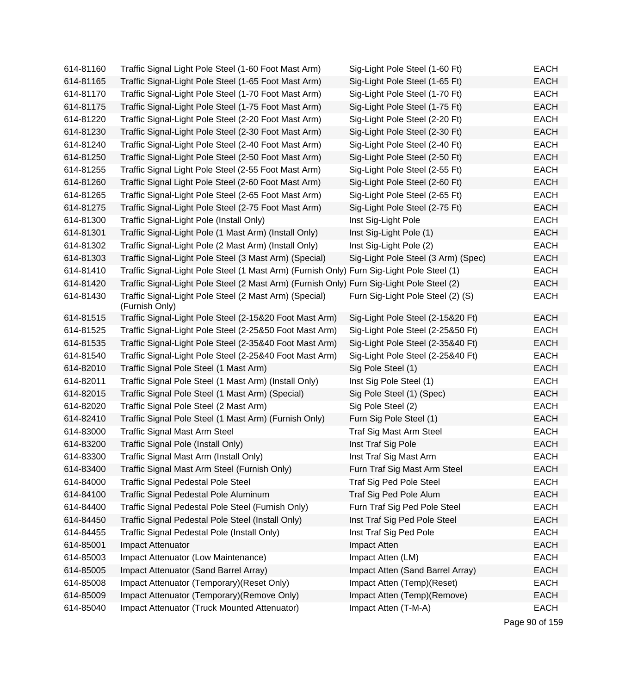| 614-81160 | Traffic Signal Light Pole Steel (1-60 Foot Mast Arm)                                      | Sig-Light Pole Steel (1-60 Ft)      | <b>EACH</b> |
|-----------|-------------------------------------------------------------------------------------------|-------------------------------------|-------------|
| 614-81165 | Traffic Signal-Light Pole Steel (1-65 Foot Mast Arm)                                      | Sig-Light Pole Steel (1-65 Ft)      | <b>EACH</b> |
| 614-81170 | Traffic Signal-Light Pole Steel (1-70 Foot Mast Arm)                                      | Sig-Light Pole Steel (1-70 Ft)      | <b>EACH</b> |
| 614-81175 | Traffic Signal-Light Pole Steel (1-75 Foot Mast Arm)                                      | Sig-Light Pole Steel (1-75 Ft)      | <b>EACH</b> |
| 614-81220 | Traffic Signal-Light Pole Steel (2-20 Foot Mast Arm)                                      | Sig-Light Pole Steel (2-20 Ft)      | <b>EACH</b> |
| 614-81230 | Traffic Signal-Light Pole Steel (2-30 Foot Mast Arm)                                      | Sig-Light Pole Steel (2-30 Ft)      | <b>EACH</b> |
| 614-81240 | Traffic Signal-Light Pole Steel (2-40 Foot Mast Arm)                                      | Sig-Light Pole Steel (2-40 Ft)      | <b>EACH</b> |
| 614-81250 | Traffic Signal-Light Pole Steel (2-50 Foot Mast Arm)                                      | Sig-Light Pole Steel (2-50 Ft)      | <b>EACH</b> |
| 614-81255 | Traffic Signal Light Pole Steel (2-55 Foot Mast Arm)                                      | Sig-Light Pole Steel (2-55 Ft)      | <b>EACH</b> |
| 614-81260 | Traffic Signal Light Pole Steel (2-60 Foot Mast Arm)                                      | Sig-Light Pole Steel (2-60 Ft)      | <b>EACH</b> |
| 614-81265 | Traffic Signal-Light Pole Steel (2-65 Foot Mast Arm)                                      | Sig-Light Pole Steel (2-65 Ft)      | <b>EACH</b> |
| 614-81275 | Traffic Signal-Light Pole Steel (2-75 Foot Mast Arm)                                      | Sig-Light Pole Steel (2-75 Ft)      | <b>EACH</b> |
| 614-81300 | Traffic Signal-Light Pole (Install Only)                                                  | Inst Sig-Light Pole                 | <b>EACH</b> |
| 614-81301 | Traffic Signal-Light Pole (1 Mast Arm) (Install Only)                                     | Inst Sig-Light Pole (1)             | <b>EACH</b> |
| 614-81302 | Traffic Signal-Light Pole (2 Mast Arm) (Install Only)                                     | Inst Sig-Light Pole (2)             | <b>EACH</b> |
| 614-81303 | Traffic Signal-Light Pole Steel (3 Mast Arm) (Special)                                    | Sig-Light Pole Steel (3 Arm) (Spec) | <b>EACH</b> |
| 614-81410 | Traffic Signal-Light Pole Steel (1 Mast Arm) (Furnish Only) Furn Sig-Light Pole Steel (1) |                                     | <b>EACH</b> |
| 614-81420 | Traffic Signal-Light Pole Steel (2 Mast Arm) (Furnish Only) Furn Sig-Light Pole Steel (2) |                                     | <b>EACH</b> |
| 614-81430 | Traffic Signal-Light Pole Steel (2 Mast Arm) (Special)<br>(Furnish Only)                  | Furn Sig-Light Pole Steel (2) (S)   | <b>EACH</b> |
| 614-81515 | Traffic Signal-Light Pole Steel (2-15&20 Foot Mast Arm)                                   | Sig-Light Pole Steel (2-15&20 Ft)   | <b>EACH</b> |
| 614-81525 | Traffic Signal-Light Pole Steel (2-25&50 Foot Mast Arm)                                   | Sig-Light Pole Steel (2-25&50 Ft)   | <b>EACH</b> |
| 614-81535 | Traffic Signal-Light Pole Steel (2-35&40 Foot Mast Arm)                                   | Sig-Light Pole Steel (2-35&40 Ft)   | <b>EACH</b> |
| 614-81540 | Traffic Signal-Light Pole Steel (2-25&40 Foot Mast Arm)                                   | Sig-Light Pole Steel (2-25&40 Ft)   | <b>EACH</b> |
| 614-82010 | Traffic Signal Pole Steel (1 Mast Arm)                                                    | Sig Pole Steel (1)                  | <b>EACH</b> |
| 614-82011 | Traffic Signal Pole Steel (1 Mast Arm) (Install Only)                                     | Inst Sig Pole Steel (1)             | <b>EACH</b> |
| 614-82015 | Traffic Signal Pole Steel (1 Mast Arm) (Special)                                          | Sig Pole Steel (1) (Spec)           | <b>EACH</b> |
| 614-82020 | Traffic Signal Pole Steel (2 Mast Arm)                                                    | Sig Pole Steel (2)                  | <b>EACH</b> |
| 614-82410 | Traffic Signal Pole Steel (1 Mast Arm) (Furnish Only)                                     | Furn Sig Pole Steel (1)             | <b>EACH</b> |
| 614-83000 | <b>Traffic Signal Mast Arm Steel</b>                                                      | Traf Sig Mast Arm Steel             | <b>EACH</b> |
| 614-83200 | Traffic Signal Pole (Install Only)                                                        | Inst Traf Sig Pole                  | <b>EACH</b> |
| 614-83300 | Traffic Signal Mast Arm (Install Only)                                                    | Inst Traf Sig Mast Arm              | <b>EACH</b> |
| 614-83400 | Traffic Signal Mast Arm Steel (Furnish Only)                                              | Furn Traf Sig Mast Arm Steel        | <b>EACH</b> |
| 614-84000 | <b>Traffic Signal Pedestal Pole Steel</b>                                                 | <b>Traf Sig Ped Pole Steel</b>      | <b>EACH</b> |
| 614-84100 | Traffic Signal Pedestal Pole Aluminum                                                     | Traf Sig Ped Pole Alum              | <b>EACH</b> |
| 614-84400 | Traffic Signal Pedestal Pole Steel (Furnish Only)                                         | Furn Traf Sig Ped Pole Steel        | <b>EACH</b> |
| 614-84450 | Traffic Signal Pedestal Pole Steel (Install Only)                                         | Inst Traf Sig Ped Pole Steel        | <b>EACH</b> |
| 614-84455 | Traffic Signal Pedestal Pole (Install Only)                                               | Inst Traf Sig Ped Pole              | <b>EACH</b> |
| 614-85001 | Impact Attenuator                                                                         | Impact Atten                        | <b>EACH</b> |
| 614-85003 | Impact Attenuator (Low Maintenance)                                                       | Impact Atten (LM)                   | <b>EACH</b> |
| 614-85005 | Impact Attenuator (Sand Barrel Array)                                                     | Impact Atten (Sand Barrel Array)    | <b>EACH</b> |
| 614-85008 | Impact Attenuator (Temporary) (Reset Only)                                                | Impact Atten (Temp)(Reset)          | <b>EACH</b> |
| 614-85009 | Impact Attenuator (Temporary) (Remove Only)                                               | Impact Atten (Temp)(Remove)         | <b>EACH</b> |
| 614-85040 | Impact Attenuator (Truck Mounted Attenuator)                                              | Impact Atten (T-M-A)                | <b>EACH</b> |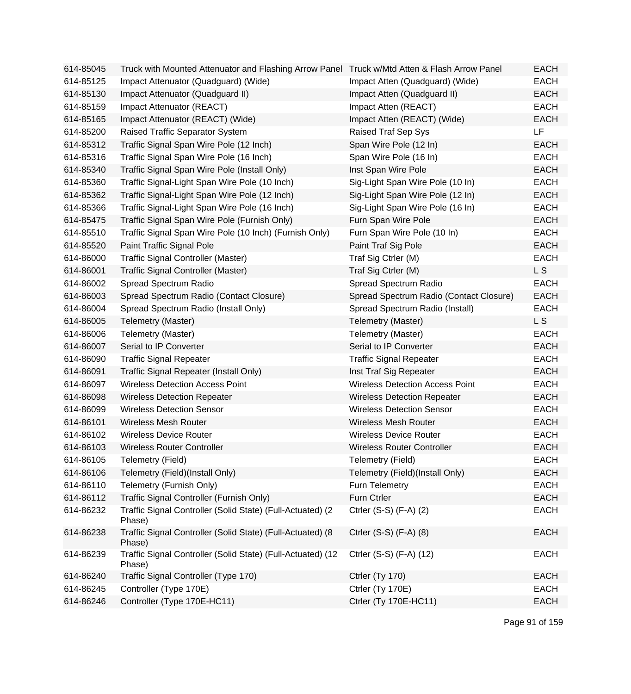| 614-85045 | Truck with Mounted Attenuator and Flashing Arrow Panel Truck w/Mtd Atten & Flash Arrow Panel |                                         | <b>EACH</b> |
|-----------|----------------------------------------------------------------------------------------------|-----------------------------------------|-------------|
| 614-85125 | Impact Attenuator (Quadguard) (Wide)                                                         | Impact Atten (Quadguard) (Wide)         | <b>EACH</b> |
| 614-85130 | Impact Attenuator (Quadguard II)                                                             | Impact Atten (Quadguard II)             | <b>EACH</b> |
| 614-85159 | Impact Attenuator (REACT)                                                                    | Impact Atten (REACT)                    | <b>EACH</b> |
| 614-85165 | Impact Attenuator (REACT) (Wide)                                                             | Impact Atten (REACT) (Wide)             | <b>EACH</b> |
| 614-85200 | Raised Traffic Separator System                                                              | Raised Traf Sep Sys                     | <b>LF</b>   |
| 614-85312 | Traffic Signal Span Wire Pole (12 Inch)                                                      | Span Wire Pole (12 In)                  | <b>EACH</b> |
| 614-85316 | Traffic Signal Span Wire Pole (16 Inch)                                                      | Span Wire Pole (16 In)                  | <b>EACH</b> |
| 614-85340 | Traffic Signal Span Wire Pole (Install Only)                                                 | Inst Span Wire Pole                     | <b>EACH</b> |
| 614-85360 | Traffic Signal-Light Span Wire Pole (10 Inch)                                                | Sig-Light Span Wire Pole (10 In)        | <b>EACH</b> |
| 614-85362 | Traffic Signal-Light Span Wire Pole (12 Inch)                                                | Sig-Light Span Wire Pole (12 In)        | <b>EACH</b> |
| 614-85366 | Traffic Signal-Light Span Wire Pole (16 Inch)                                                | Sig-Light Span Wire Pole (16 In)        | <b>EACH</b> |
| 614-85475 | Traffic Signal Span Wire Pole (Furnish Only)                                                 | Furn Span Wire Pole                     | <b>EACH</b> |
| 614-85510 | Traffic Signal Span Wire Pole (10 Inch) (Furnish Only)                                       | Furn Span Wire Pole (10 In)             | <b>EACH</b> |
| 614-85520 | Paint Traffic Signal Pole                                                                    | Paint Traf Sig Pole                     | <b>EACH</b> |
| 614-86000 | <b>Traffic Signal Controller (Master)</b>                                                    | Traf Sig Ctrler (M)                     | <b>EACH</b> |
| 614-86001 | Traffic Signal Controller (Master)                                                           | Traf Sig Ctrler (M)                     | L S         |
| 614-86002 | Spread Spectrum Radio                                                                        | Spread Spectrum Radio                   | <b>EACH</b> |
| 614-86003 | Spread Spectrum Radio (Contact Closure)                                                      | Spread Spectrum Radio (Contact Closure) | <b>EACH</b> |
| 614-86004 | Spread Spectrum Radio (Install Only)                                                         | Spread Spectrum Radio (Install)         | <b>EACH</b> |
| 614-86005 | Telemetry (Master)                                                                           | Telemetry (Master)                      | L S         |
| 614-86006 | Telemetry (Master)                                                                           | Telemetry (Master)                      | <b>EACH</b> |
| 614-86007 | Serial to IP Converter                                                                       | Serial to IP Converter                  | <b>EACH</b> |
| 614-86090 | <b>Traffic Signal Repeater</b>                                                               | <b>Traffic Signal Repeater</b>          | <b>EACH</b> |
| 614-86091 | Traffic Signal Repeater (Install Only)                                                       | Inst Traf Sig Repeater                  | <b>EACH</b> |
| 614-86097 | <b>Wireless Detection Access Point</b>                                                       | <b>Wireless Detection Access Point</b>  | <b>EACH</b> |
| 614-86098 | <b>Wireless Detection Repeater</b>                                                           | <b>Wireless Detection Repeater</b>      | <b>EACH</b> |
| 614-86099 | <b>Wireless Detection Sensor</b>                                                             | <b>Wireless Detection Sensor</b>        | <b>EACH</b> |
| 614-86101 | <b>Wireless Mesh Router</b>                                                                  | <b>Wireless Mesh Router</b>             | <b>EACH</b> |
| 614-86102 | <b>Wireless Device Router</b>                                                                | <b>Wireless Device Router</b>           | <b>EACH</b> |
| 614-86103 | <b>Wireless Router Controller</b>                                                            | <b>Wireless Router Controller</b>       | <b>EACH</b> |
| 614-86105 | Telemetry (Field)                                                                            | Telemetry (Field)                       | EACH        |
| 614-86106 | Telemetry (Field)(Install Only)                                                              | Telemetry (Field)(Install Only)         | <b>EACH</b> |
| 614-86110 | Telemetry (Furnish Only)                                                                     | Furn Telemetry                          | <b>EACH</b> |
| 614-86112 | Traffic Signal Controller (Furnish Only)                                                     | Furn Ctrler                             | <b>EACH</b> |
| 614-86232 | Traffic Signal Controller (Solid State) (Full-Actuated) (2<br>Phase)                         | Ctrler (S-S) (F-A) (2)                  | <b>EACH</b> |
| 614-86238 | Traffic Signal Controller (Solid State) (Full-Actuated) (8<br>Phase)                         | Ctrler (S-S) (F-A) (8)                  | <b>EACH</b> |
| 614-86239 | Traffic Signal Controller (Solid State) (Full-Actuated) (12<br>Phase)                        | Ctrler (S-S) (F-A) (12)                 | <b>EACH</b> |
| 614-86240 | Traffic Signal Controller (Type 170)                                                         | Ctrler (Ty 170)                         | <b>EACH</b> |
| 614-86245 | Controller (Type 170E)                                                                       | Ctrler (Ty 170E)                        | <b>EACH</b> |
| 614-86246 | Controller (Type 170E-HC11)                                                                  | Ctrler (Ty 170E-HC11)                   | <b>EACH</b> |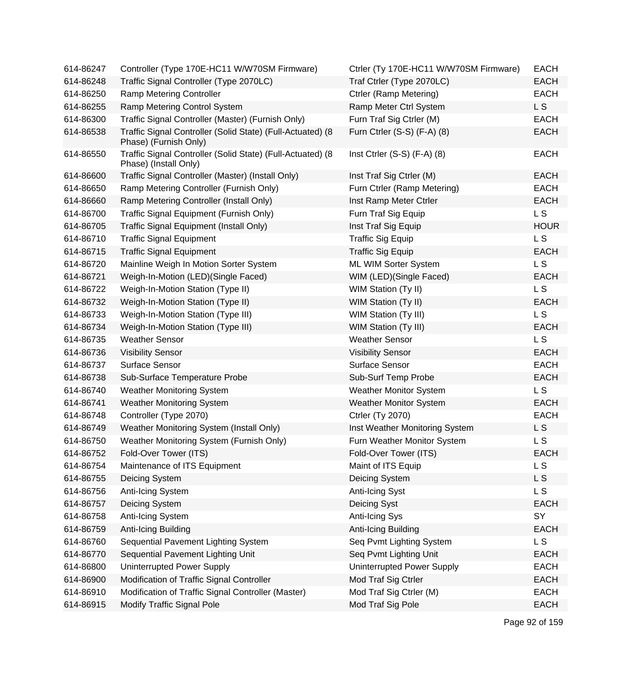| 614-86247 | Controller (Type 170E-HC11 W/W70SM Firmware)                                        | Ctrler (Ty 170E-HC11 W/W70SM Firmware) | <b>EACH</b>    |
|-----------|-------------------------------------------------------------------------------------|----------------------------------------|----------------|
| 614-86248 | Traffic Signal Controller (Type 2070LC)                                             | Traf Ctrler (Type 2070LC)              | <b>EACH</b>    |
| 614-86250 | Ramp Metering Controller                                                            | Ctrler (Ramp Metering)                 | <b>EACH</b>    |
| 614-86255 | Ramp Metering Control System                                                        | Ramp Meter Ctrl System                 | L S            |
| 614-86300 | Traffic Signal Controller (Master) (Furnish Only)                                   | Furn Traf Sig Ctrler (M)               | <b>EACH</b>    |
| 614-86538 | Traffic Signal Controller (Solid State) (Full-Actuated) (8<br>Phase) (Furnish Only) | Furn Ctrler (S-S) (F-A) (8)            | <b>EACH</b>    |
| 614-86550 | Traffic Signal Controller (Solid State) (Full-Actuated) (8<br>Phase) (Install Only) | Inst Ctrler $(S-S)$ $(F-A)$ $(8)$      | <b>EACH</b>    |
| 614-86600 | Traffic Signal Controller (Master) (Install Only)                                   | Inst Traf Sig Ctrler (M)               | <b>EACH</b>    |
| 614-86650 | Ramp Metering Controller (Furnish Only)                                             | Furn Ctrler (Ramp Metering)            | <b>EACH</b>    |
| 614-86660 | Ramp Metering Controller (Install Only)                                             | Inst Ramp Meter Ctrler                 | <b>EACH</b>    |
| 614-86700 | Traffic Signal Equipment (Furnish Only)                                             | Furn Traf Sig Equip                    | L S            |
| 614-86705 | Traffic Signal Equipment (Install Only)                                             | Inst Traf Sig Equip                    | <b>HOUR</b>    |
| 614-86710 | <b>Traffic Signal Equipment</b>                                                     | <b>Traffic Sig Equip</b>               | L S            |
| 614-86715 | <b>Traffic Signal Equipment</b>                                                     | <b>Traffic Sig Equip</b>               | <b>EACH</b>    |
| 614-86720 | Mainline Weigh In Motion Sorter System                                              | ML WIM Sorter System                   | L S            |
| 614-86721 | Weigh-In-Motion (LED)(Single Faced)                                                 | WIM (LED) (Single Faced)               | <b>EACH</b>    |
| 614-86722 | Weigh-In-Motion Station (Type II)                                                   | WIM Station (Ty II)                    | L S            |
| 614-86732 | Weigh-In-Motion Station (Type II)                                                   | WIM Station (Ty II)                    | <b>EACH</b>    |
| 614-86733 | Weigh-In-Motion Station (Type III)                                                  | WIM Station (Ty III)                   | L S            |
| 614-86734 | Weigh-In-Motion Station (Type III)                                                  | <b>WIM Station (Ty III)</b>            | <b>EACH</b>    |
| 614-86735 | <b>Weather Sensor</b>                                                               | <b>Weather Sensor</b>                  | L S            |
| 614-86736 | <b>Visibility Sensor</b>                                                            | <b>Visibility Sensor</b>               | <b>EACH</b>    |
| 614-86737 | <b>Surface Sensor</b>                                                               | <b>Surface Sensor</b>                  | <b>EACH</b>    |
| 614-86738 | Sub-Surface Temperature Probe                                                       | Sub-Surf Temp Probe                    | <b>EACH</b>    |
| 614-86740 | <b>Weather Monitoring System</b>                                                    | <b>Weather Monitor System</b>          | L S            |
| 614-86741 | <b>Weather Monitoring System</b>                                                    | <b>Weather Monitor System</b>          | <b>EACH</b>    |
| 614-86748 | Controller (Type 2070)                                                              | <b>Ctrler (Ty 2070)</b>                | <b>EACH</b>    |
| 614-86749 | Weather Monitoring System (Install Only)                                            | Inst Weather Monitoring System         | L S            |
| 614-86750 | Weather Monitoring System (Furnish Only)                                            | Furn Weather Monitor System            | L S            |
| 614-86752 | Fold-Over Tower (ITS)                                                               | Fold-Over Tower (ITS)                  | <b>EACH</b>    |
| 614-86754 | Maintenance of ITS Equipment                                                        | Maint of ITS Equip                     | L S            |
| 614-86755 | Deicing System                                                                      | Deicing System                         | L <sub>S</sub> |
| 614-86756 | Anti-Icing System                                                                   | Anti-Icing Syst                        | L S            |
| 614-86757 | Deicing System                                                                      | Deicing Syst                           | <b>EACH</b>    |
| 614-86758 | Anti-Icing System                                                                   | Anti-Icing Sys                         | SY             |
| 614-86759 | Anti-Icing Building                                                                 | Anti-Icing Building                    | <b>EACH</b>    |
| 614-86760 | Sequential Pavement Lighting System                                                 | Seq Pvmt Lighting System               | LS.            |
| 614-86770 | Sequential Pavement Lighting Unit                                                   | Seq Pvmt Lighting Unit                 | <b>EACH</b>    |
| 614-86800 | Uninterrupted Power Supply                                                          | Uninterrupted Power Supply             | <b>EACH</b>    |
| 614-86900 | Modification of Traffic Signal Controller                                           | Mod Traf Sig Ctrler                    | <b>EACH</b>    |
| 614-86910 | Modification of Traffic Signal Controller (Master)                                  | Mod Traf Sig Ctrler (M)                | <b>EACH</b>    |
| 614-86915 | <b>Modify Traffic Signal Pole</b>                                                   | Mod Traf Sig Pole                      | <b>EACH</b>    |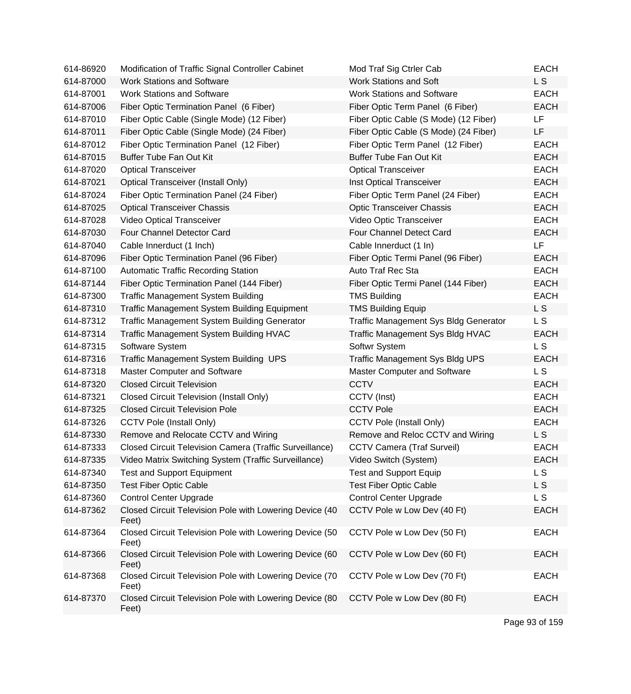| 614-86920 | Modification of Traffic Signal Controller Cabinet                | Mod Traf Sig Ctrler Cab                      | <b>EACH</b>    |
|-----------|------------------------------------------------------------------|----------------------------------------------|----------------|
| 614-87000 | <b>Work Stations and Software</b>                                | <b>Work Stations and Soft</b>                | L S            |
| 614-87001 | <b>Work Stations and Software</b>                                | <b>Work Stations and Software</b>            | <b>EACH</b>    |
| 614-87006 | Fiber Optic Termination Panel (6 Fiber)                          | Fiber Optic Term Panel (6 Fiber)             | <b>EACH</b>    |
| 614-87010 | Fiber Optic Cable (Single Mode) (12 Fiber)                       | Fiber Optic Cable (S Mode) (12 Fiber)        | <b>LF</b>      |
| 614-87011 | Fiber Optic Cable (Single Mode) (24 Fiber)                       | Fiber Optic Cable (S Mode) (24 Fiber)        | LF             |
| 614-87012 | Fiber Optic Termination Panel (12 Fiber)                         | Fiber Optic Term Panel (12 Fiber)            | <b>EACH</b>    |
| 614-87015 | <b>Buffer Tube Fan Out Kit</b>                                   | <b>Buffer Tube Fan Out Kit</b>               | <b>EACH</b>    |
| 614-87020 | <b>Optical Transceiver</b>                                       | <b>Optical Transceiver</b>                   | <b>EACH</b>    |
| 614-87021 | <b>Optical Transceiver (Install Only)</b>                        | Inst Optical Transceiver                     | <b>EACH</b>    |
| 614-87024 | Fiber Optic Termination Panel (24 Fiber)                         | Fiber Optic Term Panel (24 Fiber)            | <b>EACH</b>    |
| 614-87025 | <b>Optical Transceiver Chassis</b>                               | <b>Optic Transceiver Chassis</b>             | <b>EACH</b>    |
| 614-87028 | Video Optical Transceiver                                        | Video Optic Transceiver                      | <b>EACH</b>    |
| 614-87030 | Four Channel Detector Card                                       | Four Channel Detect Card                     | <b>EACH</b>    |
| 614-87040 | Cable Innerduct (1 Inch)                                         | Cable Innerduct (1 In)                       | LF             |
| 614-87096 | Fiber Optic Termination Panel (96 Fiber)                         | Fiber Optic Termi Panel (96 Fiber)           | <b>EACH</b>    |
| 614-87100 | <b>Automatic Traffic Recording Station</b>                       | Auto Traf Rec Sta                            | <b>EACH</b>    |
| 614-87144 | Fiber Optic Termination Panel (144 Fiber)                        | Fiber Optic Termi Panel (144 Fiber)          | <b>EACH</b>    |
| 614-87300 | <b>Traffic Management System Building</b>                        | <b>TMS Building</b>                          | <b>EACH</b>    |
| 614-87310 | Traffic Management System Building Equipment                     | <b>TMS Building Equip</b>                    | L <sub>S</sub> |
| 614-87312 | <b>Traffic Management System Building Generator</b>              | <b>Traffic Management Sys Bldg Generator</b> | L S            |
| 614-87314 | Traffic Management System Building HVAC                          | Traffic Management Sys Bldg HVAC             | <b>EACH</b>    |
| 614-87315 | Software System                                                  | Softwr System                                | L <sub>S</sub> |
| 614-87316 | Traffic Management System Building UPS                           | <b>Traffic Management Sys Bldg UPS</b>       | <b>EACH</b>    |
| 614-87318 | Master Computer and Software                                     | Master Computer and Software                 | L S            |
| 614-87320 | <b>Closed Circuit Television</b>                                 | <b>CCTV</b>                                  | <b>EACH</b>    |
| 614-87321 | <b>Closed Circuit Television (Install Only)</b>                  | CCTV (Inst)                                  | <b>EACH</b>    |
| 614-87325 | <b>Closed Circuit Television Pole</b>                            | <b>CCTV Pole</b>                             | <b>EACH</b>    |
| 614-87326 | <b>CCTV Pole (Install Only)</b>                                  | <b>CCTV Pole (Install Only)</b>              | <b>EACH</b>    |
| 614-87330 | Remove and Relocate CCTV and Wiring                              | Remove and Reloc CCTV and Wiring             | L S            |
| 614-87333 | Closed Circuit Television Camera (Traffic Surveillance)          | <b>CCTV Camera (Traf Surveil)</b>            | <b>EACH</b>    |
| 614-87335 | Video Matrix Switching System (Traffic Surveillance)             | Video Switch (System)                        | <b>EACH</b>    |
| 614-87340 | <b>Test and Support Equipment</b>                                | <b>Test and Support Equip</b>                | L <sub>S</sub> |
| 614-87350 | <b>Test Fiber Optic Cable</b>                                    | <b>Test Fiber Optic Cable</b>                | L S            |
| 614-87360 | <b>Control Center Upgrade</b>                                    | <b>Control Center Upgrade</b>                | L S            |
| 614-87362 | Closed Circuit Television Pole with Lowering Device (40<br>Feet) | CCTV Pole w Low Dev (40 Ft)                  | <b>EACH</b>    |
| 614-87364 | Closed Circuit Television Pole with Lowering Device (50<br>Feet) | CCTV Pole w Low Dev (50 Ft)                  | <b>EACH</b>    |
| 614-87366 | Closed Circuit Television Pole with Lowering Device (60<br>Feet) | CCTV Pole w Low Dev (60 Ft)                  | <b>EACH</b>    |
| 614-87368 | Closed Circuit Television Pole with Lowering Device (70<br>Feet) | CCTV Pole w Low Dev (70 Ft)                  | <b>EACH</b>    |
| 614-87370 | Closed Circuit Television Pole with Lowering Device (80<br>Feet) | CCTV Pole w Low Dev (80 Ft)                  | <b>EACH</b>    |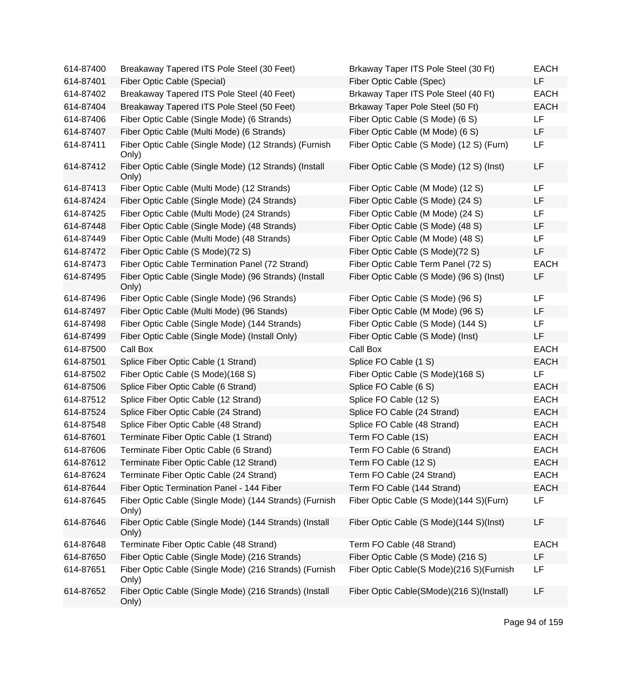| 614-87400 | Breakaway Tapered ITS Pole Steel (30 Feet)                      | Brkaway Taper ITS Pole Steel (30 Ft)     | <b>EACH</b> |
|-----------|-----------------------------------------------------------------|------------------------------------------|-------------|
| 614-87401 | Fiber Optic Cable (Special)                                     | Fiber Optic Cable (Spec)                 | <b>LF</b>   |
| 614-87402 | Breakaway Tapered ITS Pole Steel (40 Feet)                      | Brkaway Taper ITS Pole Steel (40 Ft)     | <b>EACH</b> |
| 614-87404 | Breakaway Tapered ITS Pole Steel (50 Feet)                      | Brkaway Taper Pole Steel (50 Ft)         | <b>EACH</b> |
| 614-87406 | Fiber Optic Cable (Single Mode) (6 Strands)                     | Fiber Optic Cable (S Mode) (6 S)         | LF          |
| 614-87407 | Fiber Optic Cable (Multi Mode) (6 Strands)                      | Fiber Optic Cable (M Mode) (6 S)         | LF          |
| 614-87411 | Fiber Optic Cable (Single Mode) (12 Strands) (Furnish<br>Only)  | Fiber Optic Cable (S Mode) (12 S) (Furn) | LF          |
| 614-87412 | Fiber Optic Cable (Single Mode) (12 Strands) (Install<br>Only)  | Fiber Optic Cable (S Mode) (12 S) (Inst) | LF          |
| 614-87413 | Fiber Optic Cable (Multi Mode) (12 Strands)                     | Fiber Optic Cable (M Mode) (12 S)        | LF          |
| 614-87424 | Fiber Optic Cable (Single Mode) (24 Strands)                    | Fiber Optic Cable (S Mode) (24 S)        | LF          |
| 614-87425 | Fiber Optic Cable (Multi Mode) (24 Strands)                     | Fiber Optic Cable (M Mode) (24 S)        | LF          |
| 614-87448 | Fiber Optic Cable (Single Mode) (48 Strands)                    | Fiber Optic Cable (S Mode) (48 S)        | LF          |
| 614-87449 | Fiber Optic Cable (Multi Mode) (48 Strands)                     | Fiber Optic Cable (M Mode) (48 S)        | LF          |
| 614-87472 | Fiber Optic Cable (S Mode)(72 S)                                | Fiber Optic Cable (S Mode)(72 S)         | LF          |
| 614-87473 | Fiber Optic Cable Termination Panel (72 Strand)                 | Fiber Optic Cable Term Panel (72 S)      | <b>EACH</b> |
| 614-87495 | Fiber Optic Cable (Single Mode) (96 Strands) (Install<br>Only)  | Fiber Optic Cable (S Mode) (96 S) (Inst) | LF          |
| 614-87496 | Fiber Optic Cable (Single Mode) (96 Strands)                    | Fiber Optic Cable (S Mode) (96 S)        | LF          |
| 614-87497 | Fiber Optic Cable (Multi Mode) (96 Stands)                      | Fiber Optic Cable (M Mode) (96 S)        | LF          |
| 614-87498 | Fiber Optic Cable (Single Mode) (144 Strands)                   | Fiber Optic Cable (S Mode) (144 S)       | LF          |
| 614-87499 | Fiber Optic Cable (Single Mode) (Install Only)                  | Fiber Optic Cable (S Mode) (Inst)        | LF          |
| 614-87500 | Call Box                                                        | Call Box                                 | <b>EACH</b> |
| 614-87501 | Splice Fiber Optic Cable (1 Strand)                             | Splice FO Cable (1 S)                    | <b>EACH</b> |
| 614-87502 | Fiber Optic Cable (S Mode)(168 S)                               | Fiber Optic Cable (S Mode)(168 S)        | LF.         |
| 614-87506 | Splice Fiber Optic Cable (6 Strand)                             | Splice FO Cable (6 S)                    | <b>EACH</b> |
| 614-87512 | Splice Fiber Optic Cable (12 Strand)                            | Splice FO Cable (12 S)                   | <b>EACH</b> |
| 614-87524 | Splice Fiber Optic Cable (24 Strand)                            | Splice FO Cable (24 Strand)              | <b>EACH</b> |
| 614-87548 | Splice Fiber Optic Cable (48 Strand)                            | Splice FO Cable (48 Strand)              | <b>EACH</b> |
| 614-87601 | Terminate Fiber Optic Cable (1 Strand)                          | Term FO Cable (1S)                       | <b>EACH</b> |
| 614-87606 | Terminate Fiber Optic Cable (6 Strand)                          | Term FO Cable (6 Strand)                 | <b>EACH</b> |
| 614-87612 | Terminate Fiber Optic Cable (12 Strand)                         | Term FO Cable (12 S)                     | <b>EACH</b> |
| 614-87624 | Terminate Fiber Optic Cable (24 Strand)                         | Term FO Cable (24 Strand)                | <b>EACH</b> |
| 614-87644 | Fiber Optic Termination Panel - 144 Fiber                       | Term FO Cable (144 Strand)               | <b>EACH</b> |
| 614-87645 | Fiber Optic Cable (Single Mode) (144 Strands) (Furnish<br>Only) | Fiber Optic Cable (S Mode)(144 S)(Furn)  | LF          |
| 614-87646 | Fiber Optic Cable (Single Mode) (144 Strands) (Install<br>Only) | Fiber Optic Cable (S Mode)(144 S)(Inst)  | LF          |
| 614-87648 | Terminate Fiber Optic Cable (48 Strand)                         | Term FO Cable (48 Strand)                | <b>EACH</b> |
| 614-87650 | Fiber Optic Cable (Single Mode) (216 Strands)                   | Fiber Optic Cable (S Mode) (216 S)       | LF          |
| 614-87651 | Fiber Optic Cable (Single Mode) (216 Strands) (Furnish<br>Only) | Fiber Optic Cable(S Mode)(216 S)(Furnish | LF          |
| 614-87652 | Fiber Optic Cable (Single Mode) (216 Strands) (Install<br>Only) | Fiber Optic Cable(SMode)(216 S)(Install) | LF          |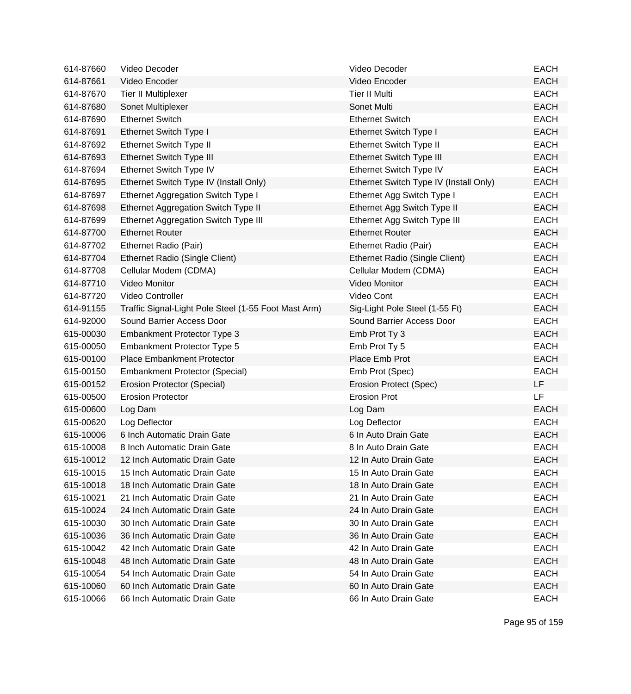| 614-87660 | Video Decoder                                        | Video Decoder                          | <b>EACH</b> |
|-----------|------------------------------------------------------|----------------------------------------|-------------|
| 614-87661 | Video Encoder                                        | Video Encoder                          | <b>EACH</b> |
| 614-87670 | Tier II Multiplexer                                  | <b>Tier II Multi</b>                   | <b>EACH</b> |
| 614-87680 | Sonet Multiplexer                                    | Sonet Multi                            | <b>EACH</b> |
| 614-87690 | <b>Ethernet Switch</b>                               | <b>Ethernet Switch</b>                 | <b>EACH</b> |
| 614-87691 | Ethernet Switch Type I                               | Ethernet Switch Type I                 | <b>EACH</b> |
| 614-87692 | Ethernet Switch Type II                              | <b>Ethernet Switch Type II</b>         | <b>EACH</b> |
| 614-87693 | Ethernet Switch Type III                             | <b>Ethernet Switch Type III</b>        | <b>EACH</b> |
| 614-87694 | Ethernet Switch Type IV                              | Ethernet Switch Type IV                | <b>EACH</b> |
| 614-87695 | Ethernet Switch Type IV (Install Only)               | Ethernet Switch Type IV (Install Only) | <b>EACH</b> |
| 614-87697 | Ethernet Aggregation Switch Type I                   | Ethernet Agg Switch Type I             | <b>EACH</b> |
| 614-87698 | Ethernet Aggregation Switch Type II                  | Ethernet Agg Switch Type II            | <b>EACH</b> |
| 614-87699 | Ethernet Aggregation Switch Type III                 | Ethernet Agg Switch Type III           | <b>EACH</b> |
| 614-87700 | <b>Ethernet Router</b>                               | <b>Ethernet Router</b>                 | <b>EACH</b> |
| 614-87702 | Ethernet Radio (Pair)                                | Ethernet Radio (Pair)                  | <b>EACH</b> |
| 614-87704 | Ethernet Radio (Single Client)                       | Ethernet Radio (Single Client)         | <b>EACH</b> |
| 614-87708 | Cellular Modem (CDMA)                                | Cellular Modem (CDMA)                  | <b>EACH</b> |
| 614-87710 | <b>Video Monitor</b>                                 | <b>Video Monitor</b>                   | <b>EACH</b> |
| 614-87720 | Video Controller                                     | Video Cont                             | <b>EACH</b> |
| 614-91155 | Traffic Signal-Light Pole Steel (1-55 Foot Mast Arm) | Sig-Light Pole Steel (1-55 Ft)         | <b>EACH</b> |
| 614-92000 | Sound Barrier Access Door                            | Sound Barrier Access Door              | <b>EACH</b> |
| 615-00030 | Embankment Protector Type 3                          | Emb Prot Ty 3                          | <b>EACH</b> |
| 615-00050 | <b>Embankment Protector Type 5</b>                   | Emb Prot Ty 5                          | <b>EACH</b> |
| 615-00100 | <b>Place Embankment Protector</b>                    | Place Emb Prot                         | <b>EACH</b> |
| 615-00150 | <b>Embankment Protector (Special)</b>                | Emb Prot (Spec)                        | <b>EACH</b> |
| 615-00152 | Erosion Protector (Special)                          | <b>Erosion Protect (Spec)</b>          | <b>LF</b>   |
| 615-00500 | <b>Erosion Protector</b>                             | <b>Erosion Prot</b>                    | <b>LF</b>   |
| 615-00600 | Log Dam                                              | Log Dam                                | <b>EACH</b> |
| 615-00620 | Log Deflector                                        | Log Deflector                          | <b>EACH</b> |
| 615-10006 | 6 Inch Automatic Drain Gate                          | 6 In Auto Drain Gate                   | <b>EACH</b> |
| 615-10008 | 8 Inch Automatic Drain Gate                          | 8 In Auto Drain Gate                   | <b>EACH</b> |
| 615-10012 | 12 Inch Automatic Drain Gate                         | 12 In Auto Drain Gate                  | <b>EACH</b> |
| 615-10015 | 15 Inch Automatic Drain Gate                         | 15 In Auto Drain Gate                  | <b>EACH</b> |
| 615-10018 | 18 Inch Automatic Drain Gate                         | 18 In Auto Drain Gate                  | <b>EACH</b> |
| 615-10021 | 21 Inch Automatic Drain Gate                         | 21 In Auto Drain Gate                  | <b>EACH</b> |
| 615-10024 | 24 Inch Automatic Drain Gate                         | 24 In Auto Drain Gate                  | <b>EACH</b> |
| 615-10030 | 30 Inch Automatic Drain Gate                         | 30 In Auto Drain Gate                  | <b>EACH</b> |
| 615-10036 | 36 Inch Automatic Drain Gate                         | 36 In Auto Drain Gate                  | <b>EACH</b> |
| 615-10042 | 42 Inch Automatic Drain Gate                         | 42 In Auto Drain Gate                  | <b>EACH</b> |
| 615-10048 | 48 Inch Automatic Drain Gate                         | 48 In Auto Drain Gate                  | <b>EACH</b> |
| 615-10054 | 54 Inch Automatic Drain Gate                         | 54 In Auto Drain Gate                  | <b>EACH</b> |
| 615-10060 | 60 Inch Automatic Drain Gate                         | 60 In Auto Drain Gate                  | <b>EACH</b> |
| 615-10066 | 66 Inch Automatic Drain Gate                         | 66 In Auto Drain Gate                  | <b>EACH</b> |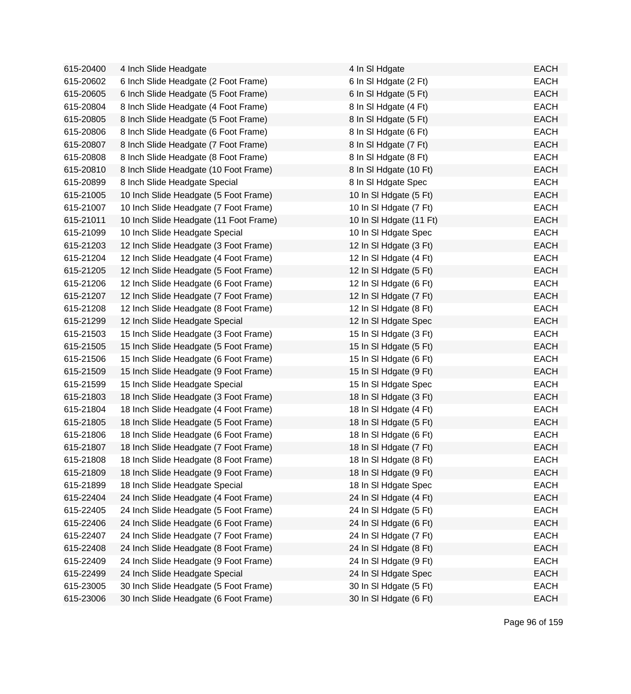| 615-20400 | 4 Inch Slide Headgate                  | 4 In SI Hdgate          | <b>EACH</b> |
|-----------|----------------------------------------|-------------------------|-------------|
| 615-20602 | 6 Inch Slide Headgate (2 Foot Frame)   | 6 In SI Hdgate (2 Ft)   | <b>EACH</b> |
| 615-20605 | 6 Inch Slide Headgate (5 Foot Frame)   | 6 In SI Hdgate (5 Ft)   | <b>EACH</b> |
| 615-20804 | 8 Inch Slide Headgate (4 Foot Frame)   | 8 In SI Hdgate (4 Ft)   | <b>EACH</b> |
| 615-20805 | 8 Inch Slide Headgate (5 Foot Frame)   | 8 In SI Hdgate (5 Ft)   | <b>EACH</b> |
| 615-20806 | 8 Inch Slide Headgate (6 Foot Frame)   | 8 In SI Hdgate (6 Ft)   | <b>EACH</b> |
| 615-20807 | 8 Inch Slide Headgate (7 Foot Frame)   | 8 In SI Hdgate (7 Ft)   | <b>EACH</b> |
| 615-20808 | 8 Inch Slide Headgate (8 Foot Frame)   | 8 In SI Hdgate (8 Ft)   | <b>EACH</b> |
| 615-20810 | 8 Inch Slide Headgate (10 Foot Frame)  | 8 In SI Hdgate (10 Ft)  | <b>EACH</b> |
| 615-20899 | 8 Inch Slide Headgate Special          | 8 In SI Hdgate Spec     | <b>EACH</b> |
| 615-21005 | 10 Inch Slide Headgate (5 Foot Frame)  | 10 In SI Hdgate (5 Ft)  | <b>EACH</b> |
| 615-21007 | 10 Inch Slide Headgate (7 Foot Frame)  | 10 In SI Hdgate (7 Ft)  | <b>EACH</b> |
| 615-21011 | 10 Inch Slide Headgate (11 Foot Frame) | 10 In SI Hdgate (11 Ft) | <b>EACH</b> |
| 615-21099 | 10 Inch Slide Headgate Special         | 10 In SI Hdgate Spec    | <b>EACH</b> |
| 615-21203 | 12 Inch Slide Headgate (3 Foot Frame)  | 12 In SI Hdgate (3 Ft)  | <b>EACH</b> |
| 615-21204 | 12 Inch Slide Headgate (4 Foot Frame)  | 12 In SI Hdgate (4 Ft)  | <b>EACH</b> |
| 615-21205 | 12 Inch Slide Headgate (5 Foot Frame)  | 12 In SI Hdgate (5 Ft)  | <b>EACH</b> |
| 615-21206 | 12 Inch Slide Headgate (6 Foot Frame)  | 12 In SI Hdgate (6 Ft)  | <b>EACH</b> |
| 615-21207 | 12 Inch Slide Headgate (7 Foot Frame)  | 12 In SI Hdgate (7 Ft)  | <b>EACH</b> |
| 615-21208 | 12 Inch Slide Headgate (8 Foot Frame)  | 12 In SI Hdgate (8 Ft)  | <b>EACH</b> |
| 615-21299 | 12 Inch Slide Headgate Special         | 12 In SI Hdgate Spec    | <b>EACH</b> |
| 615-21503 | 15 Inch Slide Headgate (3 Foot Frame)  | 15 In SI Hdgate (3 Ft)  | <b>EACH</b> |
| 615-21505 | 15 Inch Slide Headgate (5 Foot Frame)  | 15 In SI Hdgate (5 Ft)  | <b>EACH</b> |
| 615-21506 | 15 Inch Slide Headgate (6 Foot Frame)  | 15 In SI Hdgate (6 Ft)  | <b>EACH</b> |
| 615-21509 | 15 Inch Slide Headgate (9 Foot Frame)  | 15 In SI Hdgate (9 Ft)  | <b>EACH</b> |
| 615-21599 | 15 Inch Slide Headgate Special         | 15 In SI Hdgate Spec    | <b>EACH</b> |
| 615-21803 | 18 Inch Slide Headgate (3 Foot Frame)  | 18 In SI Hdgate (3 Ft)  | <b>EACH</b> |
| 615-21804 | 18 Inch Slide Headgate (4 Foot Frame)  | 18 In SI Hdgate (4 Ft)  | <b>EACH</b> |
| 615-21805 | 18 Inch Slide Headgate (5 Foot Frame)  | 18 In SI Hdgate (5 Ft)  | <b>EACH</b> |
| 615-21806 | 18 Inch Slide Headgate (6 Foot Frame)  | 18 In SI Hdgate (6 Ft)  | <b>EACH</b> |
| 615-21807 | 18 Inch Slide Headgate (7 Foot Frame)  | 18 In SI Hdgate (7 Ft)  | <b>EACH</b> |
| 615-21808 | 18 Inch Slide Headgate (8 Foot Frame)  | 18 In SI Hdgate (8 Ft)  | <b>EACH</b> |
| 615-21809 | 18 Inch Slide Headgate (9 Foot Frame)  | 18 In SI Hdgate (9 Ft)  | <b>EACH</b> |
| 615-21899 | 18 Inch Slide Headgate Special         | 18 In SI Hdgate Spec    | <b>EACH</b> |
| 615-22404 | 24 Inch Slide Headgate (4 Foot Frame)  | 24 In SI Hdgate (4 Ft)  | <b>EACH</b> |
| 615-22405 | 24 Inch Slide Headgate (5 Foot Frame)  | 24 In SI Hdgate (5 Ft)  | <b>EACH</b> |
| 615-22406 | 24 Inch Slide Headgate (6 Foot Frame)  | 24 In SI Hdgate (6 Ft)  | <b>EACH</b> |
| 615-22407 | 24 Inch Slide Headgate (7 Foot Frame)  | 24 In SI Hdgate (7 Ft)  | <b>EACH</b> |
| 615-22408 | 24 Inch Slide Headgate (8 Foot Frame)  | 24 In SI Hdgate (8 Ft)  | <b>EACH</b> |
| 615-22409 | 24 Inch Slide Headgate (9 Foot Frame)  | 24 In SI Hdgate (9 Ft)  | <b>EACH</b> |
| 615-22499 | 24 Inch Slide Headgate Special         | 24 In SI Hdgate Spec    | <b>EACH</b> |
| 615-23005 | 30 Inch Slide Headgate (5 Foot Frame)  | 30 In SI Hdgate (5 Ft)  | <b>EACH</b> |
| 615-23006 | 30 Inch Slide Headgate (6 Foot Frame)  | 30 In SI Hdgate (6 Ft)  | <b>EACH</b> |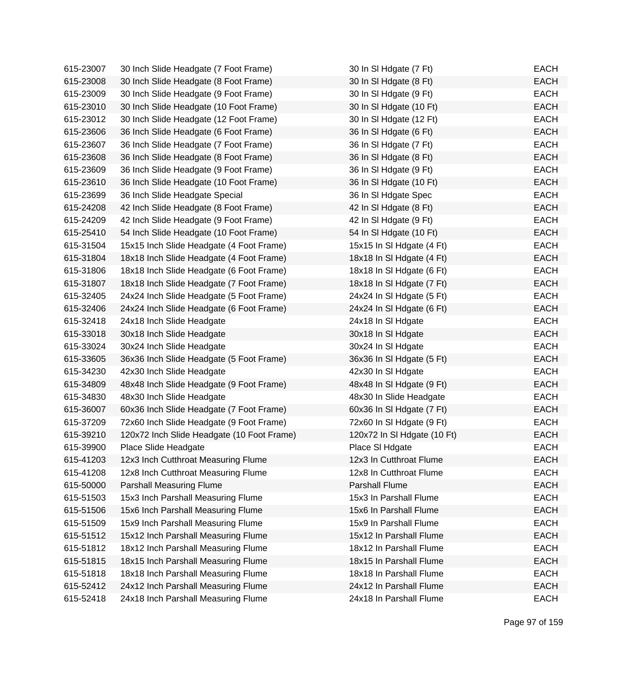| 615-23007 | 30 Inch Slide Headgate (7 Foot Frame)      | 30 In SI Hdgate (7 Ft)      | <b>EACH</b> |
|-----------|--------------------------------------------|-----------------------------|-------------|
| 615-23008 | 30 Inch Slide Headgate (8 Foot Frame)      | 30 In SI Hdgate (8 Ft)      | <b>EACH</b> |
| 615-23009 | 30 Inch Slide Headgate (9 Foot Frame)      | 30 In SI Hdgate (9 Ft)      | <b>EACH</b> |
| 615-23010 | 30 Inch Slide Headgate (10 Foot Frame)     | 30 In SI Hdgate (10 Ft)     | <b>EACH</b> |
| 615-23012 | 30 Inch Slide Headgate (12 Foot Frame)     | 30 In SI Hdgate (12 Ft)     | <b>EACH</b> |
| 615-23606 | 36 Inch Slide Headgate (6 Foot Frame)      | 36 In SI Hdgate (6 Ft)      | <b>EACH</b> |
| 615-23607 | 36 Inch Slide Headgate (7 Foot Frame)      | 36 In SI Hdgate (7 Ft)      | <b>EACH</b> |
| 615-23608 | 36 Inch Slide Headgate (8 Foot Frame)      | 36 In SI Hdgate (8 Ft)      | <b>EACH</b> |
| 615-23609 | 36 Inch Slide Headgate (9 Foot Frame)      | 36 In SI Hdgate (9 Ft)      | <b>EACH</b> |
| 615-23610 | 36 Inch Slide Headgate (10 Foot Frame)     | 36 In SI Hdgate (10 Ft)     | <b>EACH</b> |
| 615-23699 | 36 Inch Slide Headgate Special             | 36 In SI Hdgate Spec        | <b>EACH</b> |
| 615-24208 | 42 Inch Slide Headgate (8 Foot Frame)      | 42 In SI Hdgate (8 Ft)      | <b>EACH</b> |
| 615-24209 | 42 Inch Slide Headgate (9 Foot Frame)      | 42 In SI Hdgate (9 Ft)      | <b>EACH</b> |
| 615-25410 | 54 Inch Slide Headgate (10 Foot Frame)     | 54 In SI Hdgate (10 Ft)     | <b>EACH</b> |
| 615-31504 | 15x15 Inch Slide Headgate (4 Foot Frame)   | 15x15 In SI Hdgate (4 Ft)   | <b>EACH</b> |
| 615-31804 | 18x18 Inch Slide Headgate (4 Foot Frame)   | 18x18 In SI Hdgate (4 Ft)   | <b>EACH</b> |
| 615-31806 | 18x18 Inch Slide Headgate (6 Foot Frame)   | 18x18 In SI Hdgate (6 Ft)   | <b>EACH</b> |
| 615-31807 | 18x18 Inch Slide Headgate (7 Foot Frame)   | 18x18 In SI Hdgate (7 Ft)   | <b>EACH</b> |
| 615-32405 | 24x24 Inch Slide Headgate (5 Foot Frame)   | 24x24 In SI Hdgate (5 Ft)   | <b>EACH</b> |
| 615-32406 | 24x24 Inch Slide Headgate (6 Foot Frame)   | 24x24 In SI Hdgate (6 Ft)   | <b>EACH</b> |
| 615-32418 | 24x18 Inch Slide Headgate                  | 24x18 In SI Hdgate          | <b>EACH</b> |
| 615-33018 | 30x18 Inch Slide Headgate                  | 30x18 In SI Hdgate          | <b>EACH</b> |
| 615-33024 | 30x24 Inch Slide Headgate                  | 30x24 In SI Hdgate          | <b>EACH</b> |
| 615-33605 | 36x36 Inch Slide Headgate (5 Foot Frame)   | 36x36 In SI Hdgate (5 Ft)   | <b>EACH</b> |
| 615-34230 | 42x30 Inch Slide Headgate                  | 42x30 In SI Hdgate          | <b>EACH</b> |
| 615-34809 | 48x48 Inch Slide Headgate (9 Foot Frame)   | 48x48 In SI Hdgate (9 Ft)   | <b>EACH</b> |
| 615-34830 | 48x30 Inch Slide Headgate                  | 48x30 In Slide Headgate     | <b>EACH</b> |
| 615-36007 | 60x36 Inch Slide Headgate (7 Foot Frame)   | 60x36 In SI Hdgate (7 Ft)   | <b>EACH</b> |
| 615-37209 | 72x60 Inch Slide Headgate (9 Foot Frame)   | 72x60 In SI Hdgate (9 Ft)   | <b>EACH</b> |
| 615-39210 | 120x72 Inch Slide Headgate (10 Foot Frame) | 120x72 In SI Hdgate (10 Ft) | <b>EACH</b> |
| 615-39900 | Place Slide Headgate                       | Place SI Hdgate             | <b>EACH</b> |
| 615-41203 | 12x3 Inch Cutthroat Measuring Flume        | 12x3 In Cutthroat Flume     | <b>EACH</b> |
| 615-41208 | 12x8 Inch Cutthroat Measuring Flume        | 12x8 In Cutthroat Flume     | <b>EACH</b> |
| 615-50000 | Parshall Measuring Flume                   | Parshall Flume              | <b>EACH</b> |
| 615-51503 | 15x3 Inch Parshall Measuring Flume         | 15x3 In Parshall Flume      | <b>EACH</b> |
| 615-51506 | 15x6 Inch Parshall Measuring Flume         | 15x6 In Parshall Flume      | <b>EACH</b> |
| 615-51509 | 15x9 Inch Parshall Measuring Flume         | 15x9 In Parshall Flume      | <b>EACH</b> |
| 615-51512 | 15x12 Inch Parshall Measuring Flume        | 15x12 In Parshall Flume     | <b>EACH</b> |
| 615-51812 | 18x12 Inch Parshall Measuring Flume        | 18x12 In Parshall Flume     | <b>EACH</b> |
| 615-51815 | 18x15 Inch Parshall Measuring Flume        | 18x15 In Parshall Flume     | <b>EACH</b> |
| 615-51818 | 18x18 Inch Parshall Measuring Flume        | 18x18 In Parshall Flume     | <b>EACH</b> |
| 615-52412 | 24x12 Inch Parshall Measuring Flume        | 24x12 In Parshall Flume     | <b>EACH</b> |
| 615-52418 | 24x18 Inch Parshall Measuring Flume        | 24x18 In Parshall Flume     | EACH        |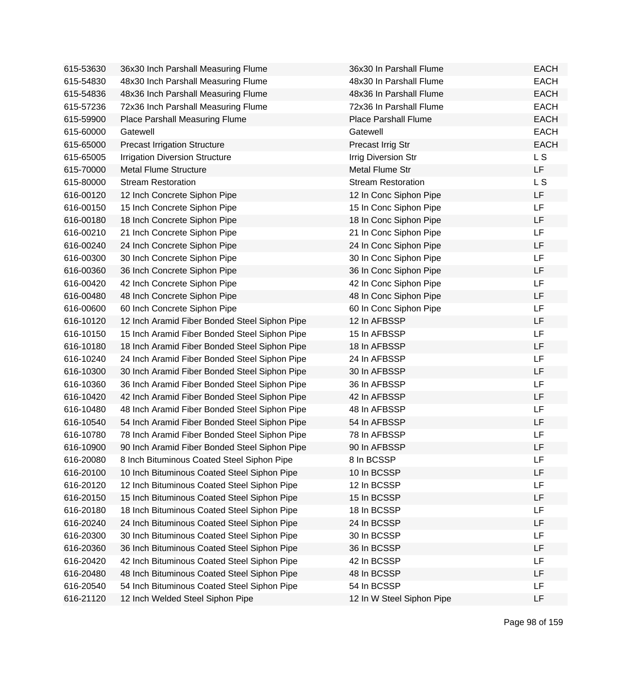| 615-53630 | 36x30 Inch Parshall Measuring Flume           | 36x30 In Parshall Flume     | <b>EACH</b> |
|-----------|-----------------------------------------------|-----------------------------|-------------|
| 615-54830 | 48x30 Inch Parshall Measuring Flume           | 48x30 In Parshall Flume     | <b>EACH</b> |
| 615-54836 | 48x36 Inch Parshall Measuring Flume           | 48x36 In Parshall Flume     | <b>EACH</b> |
| 615-57236 | 72x36 Inch Parshall Measuring Flume           | 72x36 In Parshall Flume     | <b>EACH</b> |
| 615-59900 | Place Parshall Measuring Flume                | <b>Place Parshall Flume</b> | <b>EACH</b> |
| 615-60000 | Gatewell                                      | Gatewell                    | <b>EACH</b> |
| 615-65000 | <b>Precast Irrigation Structure</b>           | Precast Irrig Str           | <b>EACH</b> |
| 615-65005 | <b>Irrigation Diversion Structure</b>         | <b>Irrig Diversion Str</b>  | <b>LS</b>   |
| 615-70000 | <b>Metal Flume Structure</b>                  | Metal Flume Str             | LF          |
| 615-80000 | <b>Stream Restoration</b>                     | <b>Stream Restoration</b>   | L S         |
| 616-00120 | 12 Inch Concrete Siphon Pipe                  | 12 In Conc Siphon Pipe      | LF          |
| 616-00150 | 15 Inch Concrete Siphon Pipe                  | 15 In Conc Siphon Pipe      | <b>LF</b>   |
| 616-00180 | 18 Inch Concrete Siphon Pipe                  | 18 In Conc Siphon Pipe      | <b>LF</b>   |
| 616-00210 | 21 Inch Concrete Siphon Pipe                  | 21 In Conc Siphon Pipe      | LF          |
| 616-00240 | 24 Inch Concrete Siphon Pipe                  | 24 In Conc Siphon Pipe      | LF          |
| 616-00300 | 30 Inch Concrete Siphon Pipe                  | 30 In Conc Siphon Pipe      | LF          |
| 616-00360 | 36 Inch Concrete Siphon Pipe                  | 36 In Conc Siphon Pipe      | LF          |
| 616-00420 | 42 Inch Concrete Siphon Pipe                  | 42 In Conc Siphon Pipe      | <b>LF</b>   |
| 616-00480 | 48 Inch Concrete Siphon Pipe                  | 48 In Conc Siphon Pipe      | LF          |
| 616-00600 | 60 Inch Concrete Siphon Pipe                  | 60 In Conc Siphon Pipe      | <b>LF</b>   |
| 616-10120 | 12 Inch Aramid Fiber Bonded Steel Siphon Pipe | 12 In AFBSSP                | LF          |
| 616-10150 | 15 Inch Aramid Fiber Bonded Steel Siphon Pipe | 15 In AFBSSP                | <b>LF</b>   |
| 616-10180 | 18 Inch Aramid Fiber Bonded Steel Siphon Pipe | 18 In AFBSSP                | <b>LF</b>   |
| 616-10240 | 24 Inch Aramid Fiber Bonded Steel Siphon Pipe | 24 In AFBSSP                | LF          |
| 616-10300 | 30 Inch Aramid Fiber Bonded Steel Siphon Pipe | 30 In AFBSSP                | LF          |
| 616-10360 | 36 Inch Aramid Fiber Bonded Steel Siphon Pipe | 36 In AFBSSP                | LF          |
| 616-10420 | 42 Inch Aramid Fiber Bonded Steel Siphon Pipe | 42 In AFBSSP                | LF          |
| 616-10480 | 48 Inch Aramid Fiber Bonded Steel Siphon Pipe | 48 In AFBSSP                | LF          |
| 616-10540 | 54 Inch Aramid Fiber Bonded Steel Siphon Pipe | 54 In AFBSSP                | LF          |
| 616-10780 | 78 Inch Aramid Fiber Bonded Steel Siphon Pipe | 78 In AFBSSP                | LF          |
| 616-10900 | 90 Inch Aramid Fiber Bonded Steel Siphon Pipe | 90 In AFBSSP                | LF          |
| 616-20080 | 8 Inch Bituminous Coated Steel Siphon Pipe    | 8 In BCSSP                  | LF          |
| 616-20100 | 10 Inch Bituminous Coated Steel Siphon Pipe   | 10 In BCSSP                 | LF          |
| 616-20120 | 12 Inch Bituminous Coated Steel Siphon Pipe   | 12 In BCSSP                 | LF          |
| 616-20150 | 15 Inch Bituminous Coated Steel Siphon Pipe   | 15 In BCSSP                 | LF          |
| 616-20180 | 18 Inch Bituminous Coated Steel Siphon Pipe   | 18 In BCSSP                 | LF          |
| 616-20240 | 24 Inch Bituminous Coated Steel Siphon Pipe   | 24 In BCSSP                 | LF          |
| 616-20300 | 30 Inch Bituminous Coated Steel Siphon Pipe   | 30 In BCSSP                 | <b>LF</b>   |
| 616-20360 | 36 Inch Bituminous Coated Steel Siphon Pipe   | 36 In BCSSP                 | LF          |
| 616-20420 | 42 Inch Bituminous Coated Steel Siphon Pipe   | 42 In BCSSP                 | LF          |
| 616-20480 | 48 Inch Bituminous Coated Steel Siphon Pipe   | 48 In BCSSP                 | LF          |
| 616-20540 | 54 Inch Bituminous Coated Steel Siphon Pipe   | 54 In BCSSP                 | LF          |
| 616-21120 | 12 Inch Welded Steel Siphon Pipe              | 12 In W Steel Siphon Pipe   | LF          |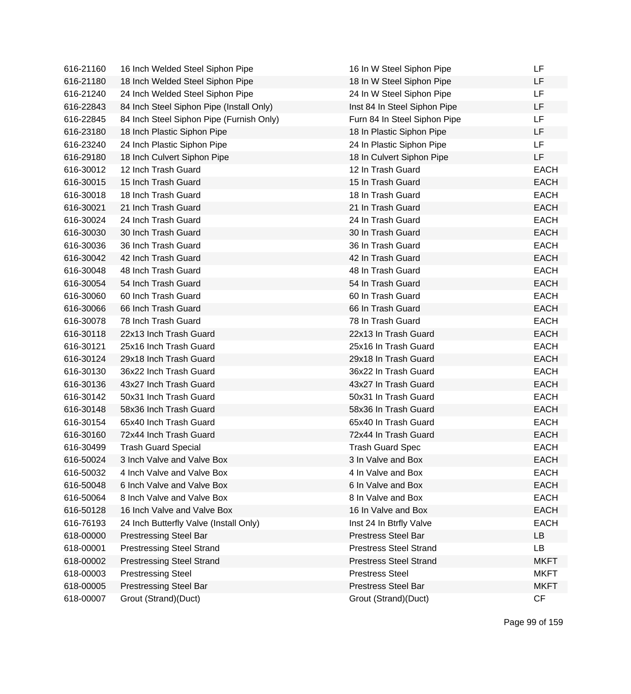| 616-21160 | 16 Inch Welded Steel Siphon Pipe         | 16 In W Steel Siphon Pipe     | LF          |
|-----------|------------------------------------------|-------------------------------|-------------|
| 616-21180 | 18 Inch Welded Steel Siphon Pipe         | 18 In W Steel Siphon Pipe     | LF          |
| 616-21240 | 24 Inch Welded Steel Siphon Pipe         | 24 In W Steel Siphon Pipe     | <b>LF</b>   |
| 616-22843 | 84 Inch Steel Siphon Pipe (Install Only) | Inst 84 In Steel Siphon Pipe  | LF          |
| 616-22845 | 84 Inch Steel Siphon Pipe (Furnish Only) | Furn 84 In Steel Siphon Pipe  | LF          |
| 616-23180 | 18 Inch Plastic Siphon Pipe              | 18 In Plastic Siphon Pipe     | LF          |
| 616-23240 | 24 Inch Plastic Siphon Pipe              | 24 In Plastic Siphon Pipe     | LF          |
| 616-29180 | 18 Inch Culvert Siphon Pipe              | 18 In Culvert Siphon Pipe     | LF          |
| 616-30012 | 12 Inch Trash Guard                      | 12 In Trash Guard             | <b>EACH</b> |
| 616-30015 | 15 Inch Trash Guard                      | 15 In Trash Guard             | <b>EACH</b> |
| 616-30018 | 18 Inch Trash Guard                      | 18 In Trash Guard             | <b>EACH</b> |
| 616-30021 | 21 Inch Trash Guard                      | 21 In Trash Guard             | <b>EACH</b> |
| 616-30024 | 24 Inch Trash Guard                      | 24 In Trash Guard             | <b>EACH</b> |
| 616-30030 | 30 Inch Trash Guard                      | 30 In Trash Guard             | <b>EACH</b> |
| 616-30036 | 36 Inch Trash Guard                      | 36 In Trash Guard             | <b>EACH</b> |
| 616-30042 | 42 Inch Trash Guard                      | 42 In Trash Guard             | <b>EACH</b> |
| 616-30048 | 48 Inch Trash Guard                      | 48 In Trash Guard             | <b>EACH</b> |
| 616-30054 | 54 Inch Trash Guard                      | 54 In Trash Guard             | <b>EACH</b> |
| 616-30060 | 60 Inch Trash Guard                      | 60 In Trash Guard             | <b>EACH</b> |
| 616-30066 | 66 Inch Trash Guard                      | 66 In Trash Guard             | <b>EACH</b> |
| 616-30078 | 78 Inch Trash Guard                      | 78 In Trash Guard             | <b>EACH</b> |
| 616-30118 | 22x13 Inch Trash Guard                   | 22x13 In Trash Guard          | <b>EACH</b> |
| 616-30121 | 25x16 Inch Trash Guard                   | 25x16 In Trash Guard          | <b>EACH</b> |
| 616-30124 | 29x18 Inch Trash Guard                   | 29x18 In Trash Guard          | <b>EACH</b> |
| 616-30130 | 36x22 Inch Trash Guard                   | 36x22 In Trash Guard          | <b>EACH</b> |
| 616-30136 | 43x27 Inch Trash Guard                   | 43x27 In Trash Guard          | <b>EACH</b> |
| 616-30142 | 50x31 Inch Trash Guard                   | 50x31 In Trash Guard          | <b>EACH</b> |
| 616-30148 | 58x36 Inch Trash Guard                   | 58x36 In Trash Guard          | <b>EACH</b> |
| 616-30154 | 65x40 Inch Trash Guard                   | 65x40 In Trash Guard          | <b>EACH</b> |
| 616-30160 | 72x44 Inch Trash Guard                   | 72x44 In Trash Guard          | <b>EACH</b> |
| 616-30499 | <b>Trash Guard Special</b>               | <b>Trash Guard Spec</b>       | <b>EACH</b> |
| 616-50024 | 3 Inch Valve and Valve Box               | 3 In Valve and Box            | <b>EACH</b> |
| 616-50032 | 4 Inch Valve and Valve Box               | 4 In Valve and Box            | <b>EACH</b> |
| 616-50048 | 6 Inch Valve and Valve Box               | 6 In Valve and Box            | <b>EACH</b> |
| 616-50064 | 8 Inch Valve and Valve Box               | 8 In Valve and Box            | <b>EACH</b> |
| 616-50128 | 16 Inch Valve and Valve Box              | 16 In Valve and Box           | <b>EACH</b> |
| 616-76193 | 24 Inch Butterfly Valve (Install Only)   | Inst 24 In Btrfly Valve       | <b>EACH</b> |
| 618-00000 | <b>Prestressing Steel Bar</b>            | <b>Prestress Steel Bar</b>    | LB          |
| 618-00001 | <b>Prestressing Steel Strand</b>         | <b>Prestress Steel Strand</b> | LB          |
| 618-00002 | <b>Prestressing Steel Strand</b>         | <b>Prestress Steel Strand</b> | <b>MKFT</b> |
| 618-00003 | <b>Prestressing Steel</b>                | <b>Prestress Steel</b>        | <b>MKFT</b> |
| 618-00005 | <b>Prestressing Steel Bar</b>            | Prestress Steel Bar           | <b>MKFT</b> |
| 618-00007 | Grout (Strand)(Duct)                     | Grout (Strand)(Duct)          | CF          |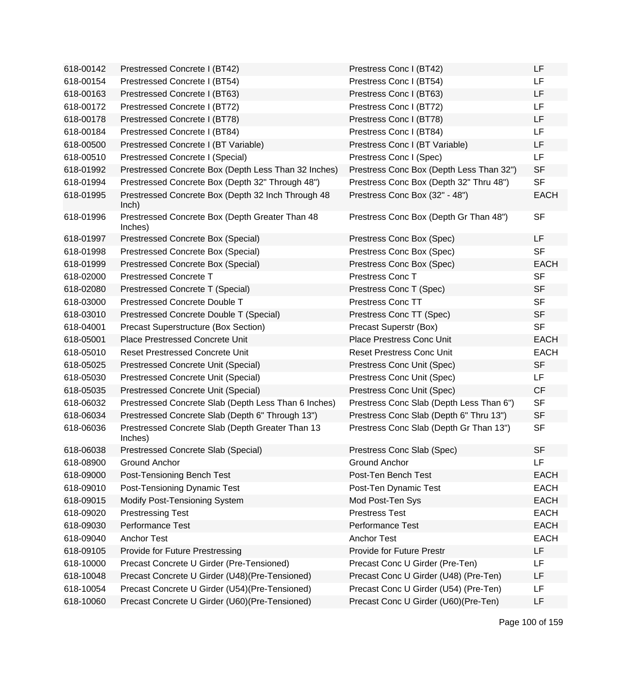| 618-00142 | Prestressed Concrete I (BT42)                               | Prestress Conc I (BT42)                  | <b>LF</b>   |
|-----------|-------------------------------------------------------------|------------------------------------------|-------------|
| 618-00154 | Prestressed Concrete I (BT54)                               | Prestress Conc I (BT54)                  | LF.         |
| 618-00163 | Prestressed Concrete I (BT63)                               | Prestress Conc I (BT63)                  | <b>LF</b>   |
| 618-00172 | Prestressed Concrete I (BT72)                               | Prestress Conc I (BT72)                  | LF          |
| 618-00178 | Prestressed Concrete I (BT78)                               | Prestress Conc I (BT78)                  | LF          |
| 618-00184 | Prestressed Concrete I (BT84)                               | Prestress Conc I (BT84)                  | <b>LF</b>   |
| 618-00500 | Prestressed Concrete I (BT Variable)                        | Prestress Conc I (BT Variable)           | LF          |
| 618-00510 | Prestressed Concrete I (Special)                            | Prestress Conc I (Spec)                  | <b>LF</b>   |
| 618-01992 | Prestressed Concrete Box (Depth Less Than 32 Inches)        | Prestress Conc Box (Depth Less Than 32") | <b>SF</b>   |
| 618-01994 | Prestressed Concrete Box (Depth 32" Through 48")            | Prestress Conc Box (Depth 32" Thru 48")  | <b>SF</b>   |
| 618-01995 | Prestressed Concrete Box (Depth 32 Inch Through 48<br>lnch) | Prestress Conc Box (32" - 48")           | <b>EACH</b> |
| 618-01996 | Prestressed Concrete Box (Depth Greater Than 48<br>Inches)  | Prestress Conc Box (Depth Gr Than 48")   | <b>SF</b>   |
| 618-01997 | Prestressed Concrete Box (Special)                          | Prestress Conc Box (Spec)                | LF.         |
| 618-01998 | Prestressed Concrete Box (Special)                          | Prestress Conc Box (Spec)                | <b>SF</b>   |
| 618-01999 | Prestressed Concrete Box (Special)                          | Prestress Conc Box (Spec)                | <b>EACH</b> |
| 618-02000 | <b>Prestressed Concrete T</b>                               | Prestress Conc T                         | <b>SF</b>   |
| 618-02080 | Prestressed Concrete T (Special)                            | Prestress Conc T (Spec)                  | <b>SF</b>   |
| 618-03000 | Prestressed Concrete Double T                               | <b>Prestress Conc TT</b>                 | <b>SF</b>   |
| 618-03010 | Prestressed Concrete Double T (Special)                     | Prestress Conc TT (Spec)                 | <b>SF</b>   |
| 618-04001 | <b>Precast Superstructure (Box Section)</b>                 | Precast Superstr (Box)                   | <b>SF</b>   |
| 618-05001 | <b>Place Prestressed Concrete Unit</b>                      | Place Prestress Conc Unit                | <b>EACH</b> |
| 618-05010 | <b>Reset Prestressed Concrete Unit</b>                      | <b>Reset Prestress Conc Unit</b>         | <b>EACH</b> |
| 618-05025 | Prestressed Concrete Unit (Special)                         | Prestress Conc Unit (Spec)               | <b>SF</b>   |
| 618-05030 | <b>Prestressed Concrete Unit (Special)</b>                  | Prestress Conc Unit (Spec)               | LF.         |
| 618-05035 | Prestressed Concrete Unit (Special)                         | Prestress Conc Unit (Spec)               | <b>CF</b>   |
| 618-06032 | Prestressed Concrete Slab (Depth Less Than 6 Inches)        | Prestress Conc Slab (Depth Less Than 6") | <b>SF</b>   |
| 618-06034 | Prestressed Concrete Slab (Depth 6" Through 13")            | Prestress Conc Slab (Depth 6" Thru 13")  | <b>SF</b>   |
| 618-06036 | Prestressed Concrete Slab (Depth Greater Than 13<br>Inches) | Prestress Conc Slab (Depth Gr Than 13")  | SF          |
| 618-06038 | Prestressed Concrete Slab (Special)                         | Prestress Conc Slab (Spec)               | <b>SF</b>   |
| 618-08900 | <b>Ground Anchor</b>                                        | <b>Ground Anchor</b>                     | LF          |
| 618-09000 | Post-Tensioning Bench Test                                  | Post-Ten Bench Test                      | <b>EACH</b> |
| 618-09010 | Post-Tensioning Dynamic Test                                | Post-Ten Dynamic Test                    | <b>EACH</b> |
| 618-09015 | Modify Post-Tensioning System                               | Mod Post-Ten Sys                         | <b>EACH</b> |
| 618-09020 | <b>Prestressing Test</b>                                    | <b>Prestress Test</b>                    | <b>EACH</b> |
| 618-09030 | Performance Test                                            | Performance Test                         | <b>EACH</b> |
| 618-09040 | <b>Anchor Test</b>                                          | <b>Anchor Test</b>                       | <b>EACH</b> |
| 618-09105 | Provide for Future Prestressing                             | Provide for Future Prestr                | LF          |
| 618-10000 | Precast Concrete U Girder (Pre-Tensioned)                   | Precast Conc U Girder (Pre-Ten)          | LF          |
| 618-10048 | Precast Concrete U Girder (U48) (Pre-Tensioned)             | Precast Conc U Girder (U48) (Pre-Ten)    | LF          |
| 618-10054 | Precast Concrete U Girder (U54)(Pre-Tensioned)              | Precast Conc U Girder (U54) (Pre-Ten)    | LF          |
| 618-10060 | Precast Concrete U Girder (U60)(Pre-Tensioned)              | Precast Conc U Girder (U60)(Pre-Ten)     | LF          |
|           |                                                             |                                          |             |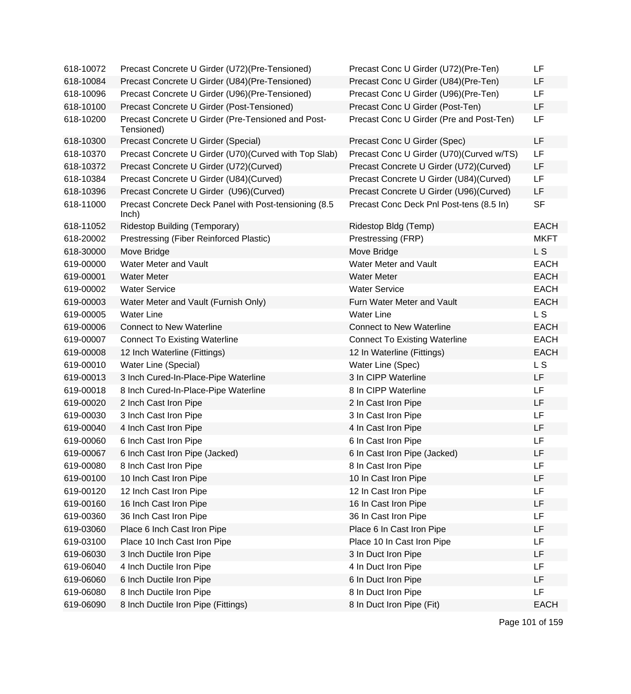| 618-10072 | Precast Concrete U Girder (U72) (Pre-Tensioned)                  | Precast Conc U Girder (U72)(Pre-Ten)      | LF          |
|-----------|------------------------------------------------------------------|-------------------------------------------|-------------|
| 618-10084 | Precast Concrete U Girder (U84) (Pre-Tensioned)                  | Precast Conc U Girder (U84) (Pre-Ten)     | LF          |
| 618-10096 | Precast Concrete U Girder (U96) (Pre-Tensioned)                  | Precast Conc U Girder (U96)(Pre-Ten)      | LF          |
| 618-10100 | Precast Concrete U Girder (Post-Tensioned)                       | Precast Conc U Girder (Post-Ten)          | LF          |
| 618-10200 | Precast Concrete U Girder (Pre-Tensioned and Post-<br>Tensioned) | Precast Conc U Girder (Pre and Post-Ten)  | LF          |
| 618-10300 | Precast Concrete U Girder (Special)                              | Precast Conc U Girder (Spec)              | LF          |
| 618-10370 | Precast Concrete U Girder (U70) (Curved with Top Slab)           | Precast Conc U Girder (U70) (Curved w/TS) | LF          |
| 618-10372 | Precast Concrete U Girder (U72)(Curved)                          | Precast Concrete U Girder (U72) (Curved)  | LF          |
| 618-10384 | Precast Concrete U Girder (U84) (Curved)                         | Precast Concrete U Girder (U84)(Curved)   | LF          |
| 618-10396 | Precast Concrete U Girder (U96)(Curved)                          | Precast Concrete U Girder (U96)(Curved)   | LF          |
| 618-11000 | Precast Concrete Deck Panel with Post-tensioning (8.5<br>lnch)   | Precast Conc Deck Pnl Post-tens (8.5 In)  | <b>SF</b>   |
| 618-11052 | Ridestop Building (Temporary)                                    | Ridestop Bldg (Temp)                      | <b>EACH</b> |
| 618-20002 | Prestressing (Fiber Reinforced Plastic)                          | Prestressing (FRP)                        | <b>MKFT</b> |
| 618-30000 | Move Bridge                                                      | Move Bridge                               | L S         |
| 619-00000 | Water Meter and Vault                                            | Water Meter and Vault                     | <b>EACH</b> |
| 619-00001 | <b>Water Meter</b>                                               | <b>Water Meter</b>                        | <b>EACH</b> |
| 619-00002 | <b>Water Service</b>                                             | <b>Water Service</b>                      | <b>EACH</b> |
| 619-00003 | Water Meter and Vault (Furnish Only)                             | Furn Water Meter and Vault                | <b>EACH</b> |
| 619-00005 | <b>Water Line</b>                                                | <b>Water Line</b>                         | LS          |
| 619-00006 | <b>Connect to New Waterline</b>                                  | <b>Connect to New Waterline</b>           | <b>EACH</b> |
| 619-00007 | <b>Connect To Existing Waterline</b>                             | <b>Connect To Existing Waterline</b>      | <b>EACH</b> |
| 619-00008 | 12 Inch Waterline (Fittings)                                     | 12 In Waterline (Fittings)                | <b>EACH</b> |
| 619-00010 | Water Line (Special)                                             | Water Line (Spec)                         | L S         |
| 619-00013 | 3 Inch Cured-In-Place-Pipe Waterline                             | 3 In CIPP Waterline                       | LF          |
| 619-00018 | 8 Inch Cured-In-Place-Pipe Waterline                             | 8 In CIPP Waterline                       | LF          |
| 619-00020 | 2 Inch Cast Iron Pipe                                            | 2 In Cast Iron Pipe                       | LF          |
| 619-00030 | 3 Inch Cast Iron Pipe                                            | 3 In Cast Iron Pipe                       | LF          |
| 619-00040 | 4 Inch Cast Iron Pipe                                            | 4 In Cast Iron Pipe                       | LF          |
| 619-00060 | 6 Inch Cast Iron Pipe                                            | 6 In Cast Iron Pipe                       | LF          |
| 619-00067 | 6 Inch Cast Iron Pipe (Jacked)                                   | 6 In Cast Iron Pipe (Jacked)              | LF          |
| 619-00080 | 8 Inch Cast Iron Pipe                                            | 8 In Cast Iron Pipe                       | LF          |
| 619-00100 | 10 Inch Cast Iron Pipe                                           | 10 In Cast Iron Pipe                      | LF          |
| 619-00120 | 12 Inch Cast Iron Pipe                                           | 12 In Cast Iron Pipe                      | LF          |
| 619-00160 | 16 Inch Cast Iron Pipe                                           | 16 In Cast Iron Pipe                      | LF          |
| 619-00360 | 36 Inch Cast Iron Pipe                                           | 36 In Cast Iron Pipe                      | LF          |
| 619-03060 | Place 6 Inch Cast Iron Pipe                                      | Place 6 In Cast Iron Pipe                 | LF          |
| 619-03100 | Place 10 Inch Cast Iron Pipe                                     | Place 10 In Cast Iron Pipe                | LF          |
| 619-06030 | 3 Inch Ductile Iron Pipe                                         | 3 In Duct Iron Pipe                       | LF          |
| 619-06040 | 4 Inch Ductile Iron Pipe                                         | 4 In Duct Iron Pipe                       | LF          |
| 619-06060 | 6 Inch Ductile Iron Pipe                                         | 6 In Duct Iron Pipe                       | LF          |
| 619-06080 | 8 Inch Ductile Iron Pipe                                         | 8 In Duct Iron Pipe                       | LF          |
| 619-06090 | 8 Inch Ductile Iron Pipe (Fittings)                              | 8 In Duct Iron Pipe (Fit)                 | <b>EACH</b> |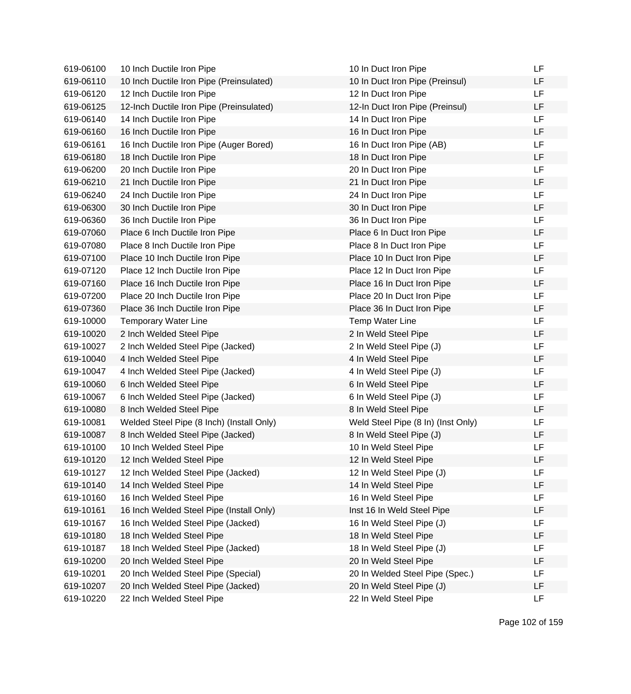| 619-06100 | 10 Inch Ductile Iron Pipe                 | 10 In Duct Iron Pipe               | LF        |
|-----------|-------------------------------------------|------------------------------------|-----------|
| 619-06110 | 10 Inch Ductile Iron Pipe (Preinsulated)  | 10 In Duct Iron Pipe (Preinsul)    | LF        |
| 619-06120 | 12 Inch Ductile Iron Pipe                 | 12 In Duct Iron Pipe               | <b>LF</b> |
| 619-06125 | 12-Inch Ductile Iron Pipe (Preinsulated)  | 12-In Duct Iron Pipe (Preinsul)    | LF        |
| 619-06140 | 14 Inch Ductile Iron Pipe                 | 14 In Duct Iron Pipe               | LF        |
| 619-06160 | 16 Inch Ductile Iron Pipe                 | 16 In Duct Iron Pipe               | LF        |
| 619-06161 | 16 Inch Ductile Iron Pipe (Auger Bored)   | 16 In Duct Iron Pipe (AB)          | <b>LF</b> |
| 619-06180 | 18 Inch Ductile Iron Pipe                 | 18 In Duct Iron Pipe               | <b>LF</b> |
| 619-06200 | 20 Inch Ductile Iron Pipe                 | 20 In Duct Iron Pipe               | LF        |
| 619-06210 | 21 Inch Ductile Iron Pipe                 | 21 In Duct Iron Pipe               | LF        |
| 619-06240 | 24 Inch Ductile Iron Pipe                 | 24 In Duct Iron Pipe               | <b>LF</b> |
| 619-06300 | 30 Inch Ductile Iron Pipe                 | 30 In Duct Iron Pipe               | LF        |
| 619-06360 | 36 Inch Ductile Iron Pipe                 | 36 In Duct Iron Pipe               | LF        |
| 619-07060 | Place 6 Inch Ductile Iron Pipe            | Place 6 In Duct Iron Pipe          | LF        |
| 619-07080 | Place 8 Inch Ductile Iron Pipe            | Place 8 In Duct Iron Pipe          | LF        |
| 619-07100 | Place 10 Inch Ductile Iron Pipe           | Place 10 In Duct Iron Pipe         | LF        |
| 619-07120 | Place 12 Inch Ductile Iron Pipe           | Place 12 In Duct Iron Pipe         | LF        |
| 619-07160 | Place 16 Inch Ductile Iron Pipe           | Place 16 In Duct Iron Pipe         | <b>LF</b> |
| 619-07200 | Place 20 Inch Ductile Iron Pipe           | Place 20 In Duct Iron Pipe         | LF        |
| 619-07360 | Place 36 Inch Ductile Iron Pipe           | Place 36 In Duct Iron Pipe         | LF        |
| 619-10000 | <b>Temporary Water Line</b>               | <b>Temp Water Line</b>             | <b>LF</b> |
| 619-10020 | 2 Inch Welded Steel Pipe                  | 2 In Weld Steel Pipe               | LF        |
| 619-10027 | 2 Inch Welded Steel Pipe (Jacked)         | 2 In Weld Steel Pipe (J)           | <b>LF</b> |
| 619-10040 | 4 Inch Welded Steel Pipe                  | 4 In Weld Steel Pipe               | LF        |
| 619-10047 | 4 Inch Welded Steel Pipe (Jacked)         | 4 In Weld Steel Pipe (J)           | LF        |
| 619-10060 | 6 Inch Welded Steel Pipe                  | 6 In Weld Steel Pipe               | LF        |
| 619-10067 | 6 Inch Welded Steel Pipe (Jacked)         | 6 In Weld Steel Pipe (J)           | LF        |
| 619-10080 | 8 Inch Welded Steel Pipe                  | 8 In Weld Steel Pipe               | <b>LF</b> |
| 619-10081 | Welded Steel Pipe (8 Inch) (Install Only) | Weld Steel Pipe (8 In) (Inst Only) | LF        |
| 619-10087 | 8 Inch Welded Steel Pipe (Jacked)         | 8 In Weld Steel Pipe (J)           | LF        |
| 619-10100 | 10 Inch Welded Steel Pipe                 | 10 In Weld Steel Pipe              | <b>LF</b> |
| 619-10120 | 12 Inch Welded Steel Pipe                 | 12 In Weld Steel Pipe              | LF        |
| 619-10127 | 12 Inch Welded Steel Pipe (Jacked)        | 12 In Weld Steel Pipe (J)          | LF        |
| 619-10140 | 14 Inch Welded Steel Pipe                 | 14 In Weld Steel Pipe              | LF        |
| 619-10160 | 16 Inch Welded Steel Pipe                 | 16 In Weld Steel Pipe              | LF        |
| 619-10161 | 16 Inch Welded Steel Pipe (Install Only)  | Inst 16 In Weld Steel Pipe         | LF        |
| 619-10167 | 16 Inch Welded Steel Pipe (Jacked)        | 16 In Weld Steel Pipe (J)          | LF        |
| 619-10180 | 18 Inch Welded Steel Pipe                 | 18 In Weld Steel Pipe              | LF        |
| 619-10187 | 18 Inch Welded Steel Pipe (Jacked)        | 18 In Weld Steel Pipe (J)          | LF        |
| 619-10200 | 20 Inch Welded Steel Pipe                 | 20 In Weld Steel Pipe              | LF        |
| 619-10201 | 20 Inch Welded Steel Pipe (Special)       | 20 In Welded Steel Pipe (Spec.)    | LF        |
| 619-10207 | 20 Inch Welded Steel Pipe (Jacked)        | 20 In Weld Steel Pipe (J)          | LF        |
| 619-10220 | 22 Inch Welded Steel Pipe                 | 22 In Weld Steel Pipe              | LF.       |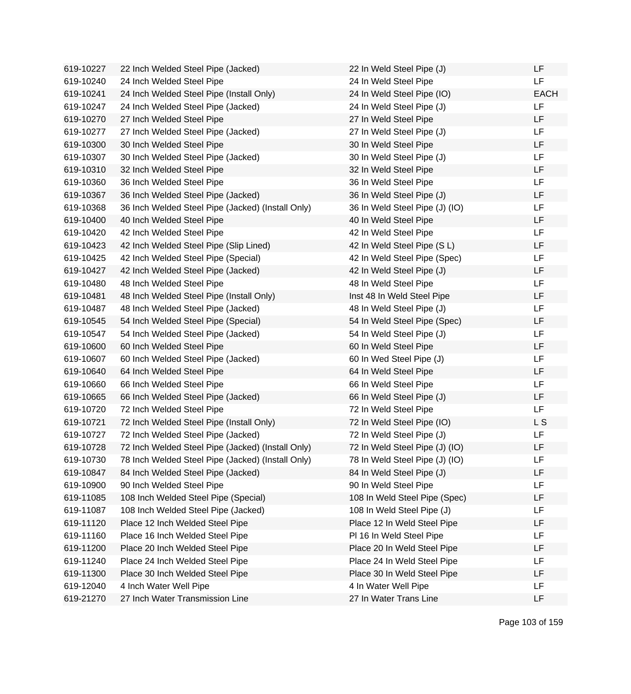| 619-10227 | 22 Inch Welded Steel Pipe (Jacked)                | 22 In Weld Steel Pipe (J)      | LF          |
|-----------|---------------------------------------------------|--------------------------------|-------------|
| 619-10240 | 24 Inch Welded Steel Pipe                         | 24 In Weld Steel Pipe          | LF.         |
| 619-10241 | 24 Inch Welded Steel Pipe (Install Only)          | 24 In Weld Steel Pipe (IO)     | <b>EACH</b> |
| 619-10247 | 24 Inch Welded Steel Pipe (Jacked)                | 24 In Weld Steel Pipe (J)      | LF.         |
| 619-10270 | 27 Inch Welded Steel Pipe                         | 27 In Weld Steel Pipe          | LF.         |
| 619-10277 | 27 Inch Welded Steel Pipe (Jacked)                | 27 In Weld Steel Pipe (J)      | LF.         |
| 619-10300 | 30 Inch Welded Steel Pipe                         | 30 In Weld Steel Pipe          | LF          |
| 619-10307 | 30 Inch Welded Steel Pipe (Jacked)                | 30 In Weld Steel Pipe (J)      | LF          |
| 619-10310 | 32 Inch Welded Steel Pipe                         | 32 In Weld Steel Pipe          | LF          |
| 619-10360 | 36 Inch Welded Steel Pipe                         | 36 In Weld Steel Pipe          | LF          |
| 619-10367 | 36 Inch Welded Steel Pipe (Jacked)                | 36 In Weld Steel Pipe (J)      | LF          |
| 619-10368 | 36 Inch Welded Steel Pipe (Jacked) (Install Only) | 36 In Weld Steel Pipe (J) (IO) | LF          |
| 619-10400 | 40 Inch Welded Steel Pipe                         | 40 In Weld Steel Pipe          | LF          |
| 619-10420 | 42 Inch Welded Steel Pipe                         | 42 In Weld Steel Pipe          | LF.         |
| 619-10423 | 42 Inch Welded Steel Pipe (Slip Lined)            | 42 In Weld Steel Pipe (S L)    | LF          |
| 619-10425 | 42 Inch Welded Steel Pipe (Special)               | 42 In Weld Steel Pipe (Spec)   | LF          |
| 619-10427 | 42 Inch Welded Steel Pipe (Jacked)                | 42 In Weld Steel Pipe (J)      | LF          |
| 619-10480 | 48 Inch Welded Steel Pipe                         | 48 In Weld Steel Pipe          | LF          |
| 619-10481 | 48 Inch Welded Steel Pipe (Install Only)          | Inst 48 In Weld Steel Pipe     | LF          |
| 619-10487 | 48 Inch Welded Steel Pipe (Jacked)                | 48 In Weld Steel Pipe (J)      | LF          |
| 619-10545 | 54 Inch Welded Steel Pipe (Special)               | 54 In Weld Steel Pipe (Spec)   | LF          |
| 619-10547 | 54 Inch Welded Steel Pipe (Jacked)                | 54 In Weld Steel Pipe (J)      | LF          |
| 619-10600 | 60 Inch Welded Steel Pipe                         | 60 In Weld Steel Pipe          | LF          |
| 619-10607 | 60 Inch Welded Steel Pipe (Jacked)                | 60 In Wed Steel Pipe (J)       | LF          |
| 619-10640 | 64 Inch Welded Steel Pipe                         | 64 In Weld Steel Pipe          | LF          |
| 619-10660 | 66 Inch Welded Steel Pipe                         | 66 In Weld Steel Pipe          | LF          |
| 619-10665 | 66 Inch Welded Steel Pipe (Jacked)                | 66 In Weld Steel Pipe (J)      | LF          |
| 619-10720 | 72 Inch Welded Steel Pipe                         | 72 In Weld Steel Pipe          | LF.         |
| 619-10721 | 72 Inch Welded Steel Pipe (Install Only)          | 72 In Weld Steel Pipe (IO)     | L S         |
| 619-10727 | 72 Inch Welded Steel Pipe (Jacked)                | 72 In Weld Steel Pipe (J)      | LF          |
| 619-10728 | 72 Inch Welded Steel Pipe (Jacked) (Install Only) | 72 In Weld Steel Pipe (J) (IO) | LF          |
| 619-10730 | 78 Inch Welded Steel Pipe (Jacked) (Install Only) | 78 In Weld Steel Pipe (J) (IO) | LF          |
| 619-10847 | 84 Inch Welded Steel Pipe (Jacked)                | 84 In Weld Steel Pipe (J)      | LF          |
| 619-10900 | 90 Inch Welded Steel Pipe                         | 90 In Weld Steel Pipe          | LF          |
| 619-11085 | 108 Inch Welded Steel Pipe (Special)              | 108 In Weld Steel Pipe (Spec)  | LF          |
| 619-11087 | 108 Inch Welded Steel Pipe (Jacked)               | 108 In Weld Steel Pipe (J)     | LF          |
| 619-11120 | Place 12 Inch Welded Steel Pipe                   | Place 12 In Weld Steel Pipe    | LF          |
| 619-11160 | Place 16 Inch Welded Steel Pipe                   | PI 16 In Weld Steel Pipe       | LF          |
| 619-11200 | Place 20 Inch Welded Steel Pipe                   | Place 20 In Weld Steel Pipe    | LF          |
| 619-11240 | Place 24 Inch Welded Steel Pipe                   | Place 24 In Weld Steel Pipe    | LF          |
| 619-11300 | Place 30 Inch Welded Steel Pipe                   | Place 30 In Weld Steel Pipe    | LF          |
| 619-12040 | 4 Inch Water Well Pipe                            | 4 In Water Well Pipe           | LF          |
| 619-21270 | 27 Inch Water Transmission Line                   | 27 In Water Trans Line         | LF          |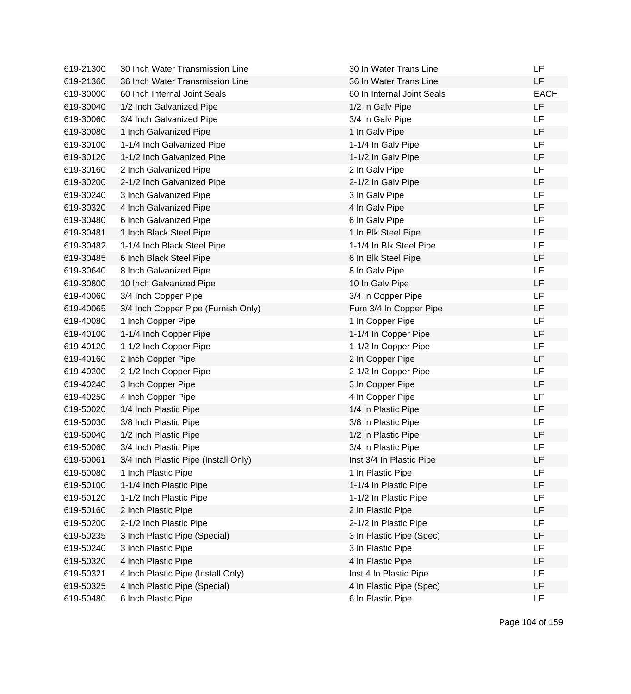| 619-21300 | 30 Inch Water Transmission Line      | 30 In Water Trans Line     | LF          |
|-----------|--------------------------------------|----------------------------|-------------|
| 619-21360 | 36 Inch Water Transmission Line      | 36 In Water Trans Line     | LF          |
| 619-30000 | 60 Inch Internal Joint Seals         | 60 In Internal Joint Seals | <b>EACH</b> |
| 619-30040 | 1/2 Inch Galvanized Pipe             | 1/2 In Galv Pipe           | LF          |
| 619-30060 | 3/4 Inch Galvanized Pipe             | 3/4 In Galv Pipe           | LF          |
| 619-30080 | 1 Inch Galvanized Pipe               | 1 In Galv Pipe             | LF          |
| 619-30100 | 1-1/4 Inch Galvanized Pipe           | 1-1/4 In Galv Pipe         | <b>LF</b>   |
| 619-30120 | 1-1/2 Inch Galvanized Pipe           | 1-1/2 In Galv Pipe         | LF          |
| 619-30160 | 2 Inch Galvanized Pipe               | 2 In Galv Pipe             | LF.         |
| 619-30200 | 2-1/2 Inch Galvanized Pipe           | 2-1/2 In Galv Pipe         | LF          |
| 619-30240 | 3 Inch Galvanized Pipe               | 3 In Galv Pipe             | LF          |
| 619-30320 | 4 Inch Galvanized Pipe               | 4 In Galv Pipe             | LF          |
| 619-30480 | 6 Inch Galvanized Pipe               | 6 In Galv Pipe             | LF          |
| 619-30481 | 1 Inch Black Steel Pipe              | 1 In Blk Steel Pipe        | LF          |
| 619-30482 | 1-1/4 Inch Black Steel Pipe          | 1-1/4 In Blk Steel Pipe    | LF          |
| 619-30485 | 6 Inch Black Steel Pipe              | 6 In Blk Steel Pipe        | LF          |
| 619-30640 | 8 Inch Galvanized Pipe               | 8 In Galv Pipe             | LF          |
| 619-30800 | 10 Inch Galvanized Pipe              | 10 In Galv Pipe            | LF          |
| 619-40060 | 3/4 Inch Copper Pipe                 | 3/4 In Copper Pipe         | LF.         |
| 619-40065 | 3/4 Inch Copper Pipe (Furnish Only)  | Furn 3/4 In Copper Pipe    | LF          |
| 619-40080 | 1 Inch Copper Pipe                   | 1 In Copper Pipe           | LF          |
| 619-40100 | 1-1/4 Inch Copper Pipe               | 1-1/4 In Copper Pipe       | LF          |
| 619-40120 | 1-1/2 Inch Copper Pipe               | 1-1/2 In Copper Pipe       | LF          |
| 619-40160 | 2 Inch Copper Pipe                   | 2 In Copper Pipe           | LF          |
| 619-40200 | 2-1/2 Inch Copper Pipe               | 2-1/2 In Copper Pipe       | LF          |
| 619-40240 | 3 Inch Copper Pipe                   | 3 In Copper Pipe           | LF          |
| 619-40250 | 4 Inch Copper Pipe                   | 4 In Copper Pipe           | LF          |
| 619-50020 | 1/4 Inch Plastic Pipe                | 1/4 In Plastic Pipe        | LF          |
| 619-50030 | 3/8 Inch Plastic Pipe                | 3/8 In Plastic Pipe        | LF.         |
| 619-50040 | 1/2 Inch Plastic Pipe                | 1/2 In Plastic Pipe        | LF          |
| 619-50060 | 3/4 Inch Plastic Pipe                | 3/4 In Plastic Pipe        | LF          |
| 619-50061 | 3/4 Inch Plastic Pipe (Install Only) | Inst 3/4 In Plastic Pipe   | LF          |
| 619-50080 | 1 Inch Plastic Pipe                  | 1 In Plastic Pipe          | LF          |
| 619-50100 | 1-1/4 Inch Plastic Pipe              | 1-1/4 In Plastic Pipe      | LF          |
| 619-50120 | 1-1/2 Inch Plastic Pipe              | 1-1/2 In Plastic Pipe      | LF          |
| 619-50160 | 2 Inch Plastic Pipe                  | 2 In Plastic Pipe          | LF          |
| 619-50200 | 2-1/2 Inch Plastic Pipe              | 2-1/2 In Plastic Pipe      | LF          |
| 619-50235 | 3 Inch Plastic Pipe (Special)        | 3 In Plastic Pipe (Spec)   | LF          |
| 619-50240 | 3 Inch Plastic Pipe                  | 3 In Plastic Pipe          | LF          |
| 619-50320 | 4 Inch Plastic Pipe                  | 4 In Plastic Pipe          | LF          |
| 619-50321 | 4 Inch Plastic Pipe (Install Only)   | Inst 4 In Plastic Pipe     | LF          |
| 619-50325 | 4 Inch Plastic Pipe (Special)        | 4 In Plastic Pipe (Spec)   | LF          |
| 619-50480 | 6 Inch Plastic Pipe                  | 6 In Plastic Pipe          | LF.         |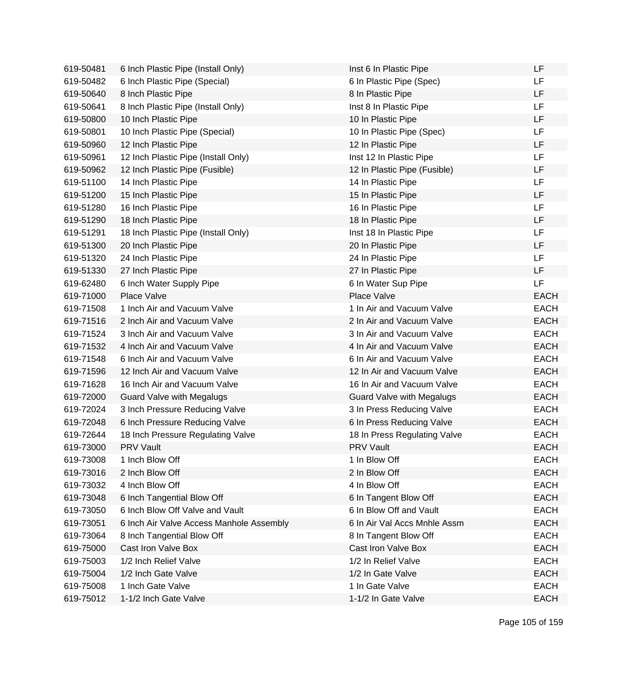| 619-50481 | 6 Inch Plastic Pipe (Install Only)       | Inst 6 In Plastic Pipe           | LF          |
|-----------|------------------------------------------|----------------------------------|-------------|
| 619-50482 | 6 Inch Plastic Pipe (Special)            | 6 In Plastic Pipe (Spec)         | LF.         |
| 619-50640 | 8 Inch Plastic Pipe                      | 8 In Plastic Pipe                | <b>LF</b>   |
| 619-50641 | 8 Inch Plastic Pipe (Install Only)       | Inst 8 In Plastic Pipe           | LF          |
| 619-50800 | 10 Inch Plastic Pipe                     | 10 In Plastic Pipe               | LF          |
| 619-50801 | 10 Inch Plastic Pipe (Special)           | 10 In Plastic Pipe (Spec)        | <b>LF</b>   |
| 619-50960 | 12 Inch Plastic Pipe                     | 12 In Plastic Pipe               | LF          |
| 619-50961 | 12 Inch Plastic Pipe (Install Only)      | Inst 12 In Plastic Pipe          | LF          |
| 619-50962 | 12 Inch Plastic Pipe (Fusible)           | 12 In Plastic Pipe (Fusible)     | LF          |
| 619-51100 | 14 Inch Plastic Pipe                     | 14 In Plastic Pipe               | LF          |
| 619-51200 | 15 Inch Plastic Pipe                     | 15 In Plastic Pipe               | LF          |
| 619-51280 | 16 Inch Plastic Pipe                     | 16 In Plastic Pipe               | <b>LF</b>   |
| 619-51290 | 18 Inch Plastic Pipe                     | 18 In Plastic Pipe               | <b>LF</b>   |
| 619-51291 | 18 Inch Plastic Pipe (Install Only)      | Inst 18 In Plastic Pipe          | LF          |
| 619-51300 | 20 Inch Plastic Pipe                     | 20 In Plastic Pipe               | LF          |
| 619-51320 | 24 Inch Plastic Pipe                     | 24 In Plastic Pipe               | LF          |
| 619-51330 | 27 Inch Plastic Pipe                     | 27 In Plastic Pipe               | LF          |
| 619-62480 | 6 Inch Water Supply Pipe                 | 6 In Water Sup Pipe              | LF          |
| 619-71000 | Place Valve                              | Place Valve                      | <b>EACH</b> |
| 619-71508 | 1 Inch Air and Vacuum Valve              | 1 In Air and Vacuum Valve        | <b>EACH</b> |
| 619-71516 | 2 Inch Air and Vacuum Valve              | 2 In Air and Vacuum Valve        | <b>EACH</b> |
| 619-71524 | 3 Inch Air and Vacuum Valve              | 3 In Air and Vacuum Valve        | <b>EACH</b> |
| 619-71532 | 4 Inch Air and Vacuum Valve              | 4 In Air and Vacuum Valve        | <b>EACH</b> |
| 619-71548 | 6 Inch Air and Vacuum Valve              | 6 In Air and Vacuum Valve        | <b>EACH</b> |
| 619-71596 | 12 Inch Air and Vacuum Valve             | 12 In Air and Vacuum Valve       | <b>EACH</b> |
| 619-71628 | 16 Inch Air and Vacuum Valve             | 16 In Air and Vacuum Valve       | <b>EACH</b> |
| 619-72000 | <b>Guard Valve with Megalugs</b>         | <b>Guard Valve with Megalugs</b> | <b>EACH</b> |
| 619-72024 | 3 Inch Pressure Reducing Valve           | 3 In Press Reducing Valve        | <b>EACH</b> |
| 619-72048 | 6 Inch Pressure Reducing Valve           | 6 In Press Reducing Valve        | <b>EACH</b> |
| 619-72644 | 18 Inch Pressure Regulating Valve        | 18 In Press Regulating Valve     | <b>EACH</b> |
| 619-73000 | <b>PRV Vault</b>                         | <b>PRV Vault</b>                 | <b>EACH</b> |
| 619-73008 | 1 Inch Blow Off                          | 1 In Blow Off                    | EACH        |
| 619-73016 | 2 Inch Blow Off                          | 2 In Blow Off                    | <b>EACH</b> |
| 619-73032 | 4 Inch Blow Off                          | 4 In Blow Off                    | <b>EACH</b> |
| 619-73048 | 6 Inch Tangential Blow Off               | 6 In Tangent Blow Off            | <b>EACH</b> |
| 619-73050 | 6 Inch Blow Off Valve and Vault          | 6 In Blow Off and Vault          | <b>EACH</b> |
| 619-73051 | 6 Inch Air Valve Access Manhole Assembly | 6 In Air Val Accs Mnhle Assm     | <b>EACH</b> |
| 619-73064 | 8 Inch Tangential Blow Off               | 8 In Tangent Blow Off            | <b>EACH</b> |
| 619-75000 | Cast Iron Valve Box                      | Cast Iron Valve Box              | <b>EACH</b> |
| 619-75003 | 1/2 Inch Relief Valve                    | 1/2 In Relief Valve              | <b>EACH</b> |
| 619-75004 | 1/2 Inch Gate Valve                      | 1/2 In Gate Valve                | <b>EACH</b> |
| 619-75008 | 1 Inch Gate Valve                        | 1 In Gate Valve                  | <b>EACH</b> |
| 619-75012 | 1-1/2 Inch Gate Valve                    | 1-1/2 In Gate Valve              | <b>EACH</b> |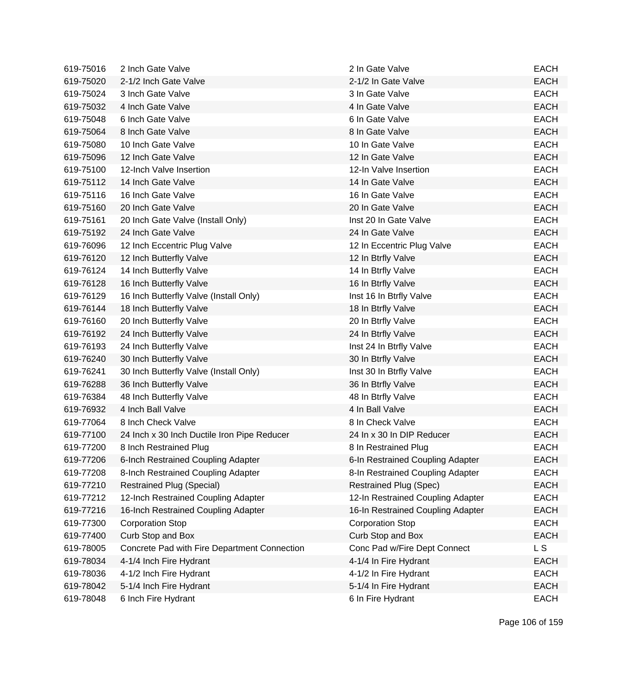| 619-75016 | 2 Inch Gate Valve                            | 2 In Gate Valve                   | <b>EACH</b> |
|-----------|----------------------------------------------|-----------------------------------|-------------|
| 619-75020 | 2-1/2 Inch Gate Valve                        | 2-1/2 In Gate Valve               | <b>EACH</b> |
| 619-75024 | 3 Inch Gate Valve                            | 3 In Gate Valve                   | <b>EACH</b> |
| 619-75032 | 4 Inch Gate Valve                            | 4 In Gate Valve                   | <b>EACH</b> |
| 619-75048 | 6 Inch Gate Valve                            | 6 In Gate Valve                   | <b>EACH</b> |
| 619-75064 | 8 Inch Gate Valve                            | 8 In Gate Valve                   | <b>EACH</b> |
| 619-75080 | 10 Inch Gate Valve                           | 10 In Gate Valve                  | <b>EACH</b> |
| 619-75096 | 12 Inch Gate Valve                           | 12 In Gate Valve                  | <b>EACH</b> |
| 619-75100 | 12-Inch Valve Insertion                      | 12-In Valve Insertion             | <b>EACH</b> |
| 619-75112 | 14 Inch Gate Valve                           | 14 In Gate Valve                  | <b>EACH</b> |
| 619-75116 | 16 Inch Gate Valve                           | 16 In Gate Valve                  | <b>EACH</b> |
| 619-75160 | 20 Inch Gate Valve                           | 20 In Gate Valve                  | <b>EACH</b> |
| 619-75161 | 20 Inch Gate Valve (Install Only)            | Inst 20 In Gate Valve             | <b>EACH</b> |
| 619-75192 | 24 Inch Gate Valve                           | 24 In Gate Valve                  | <b>EACH</b> |
| 619-76096 | 12 Inch Eccentric Plug Valve                 | 12 In Eccentric Plug Valve        | <b>EACH</b> |
| 619-76120 | 12 Inch Butterfly Valve                      | 12 In Btrfly Valve                | <b>EACH</b> |
| 619-76124 | 14 Inch Butterfly Valve                      | 14 In Btrfly Valve                | <b>EACH</b> |
| 619-76128 | 16 Inch Butterfly Valve                      | 16 In Btrfly Valve                | <b>EACH</b> |
| 619-76129 | 16 Inch Butterfly Valve (Install Only)       | Inst 16 In Btrfly Valve           | <b>EACH</b> |
| 619-76144 | 18 Inch Butterfly Valve                      | 18 In Btrfly Valve                | <b>EACH</b> |
| 619-76160 | 20 Inch Butterfly Valve                      | 20 In Btrfly Valve                | <b>EACH</b> |
| 619-76192 | 24 Inch Butterfly Valve                      | 24 In Btrfly Valve                | <b>EACH</b> |
| 619-76193 | 24 Inch Butterfly Valve                      | Inst 24 In Btrfly Valve           | <b>EACH</b> |
| 619-76240 | 30 Inch Butterfly Valve                      | 30 In Btrfly Valve                | <b>EACH</b> |
| 619-76241 | 30 Inch Butterfly Valve (Install Only)       | Inst 30 In Btrfly Valve           | <b>EACH</b> |
| 619-76288 | 36 Inch Butterfly Valve                      | 36 In Btrfly Valve                | <b>EACH</b> |
| 619-76384 | 48 Inch Butterfly Valve                      | 48 In Btrfly Valve                | <b>EACH</b> |
| 619-76932 | 4 Inch Ball Valve                            | 4 In Ball Valve                   | <b>EACH</b> |
| 619-77064 | 8 Inch Check Valve                           | 8 In Check Valve                  | <b>EACH</b> |
| 619-77100 | 24 Inch x 30 Inch Ductile Iron Pipe Reducer  | 24 In x 30 In DIP Reducer         | <b>EACH</b> |
| 619-77200 | 8 Inch Restrained Plug                       | 8 In Restrained Plug              | <b>EACH</b> |
| 619-77206 | 6-Inch Restrained Coupling Adapter           | 6-In Restrained Coupling Adapter  | EACH        |
| 619-77208 | 8-Inch Restrained Coupling Adapter           | 8-In Restrained Coupling Adapter  | <b>EACH</b> |
| 619-77210 | <b>Restrained Plug (Special)</b>             | <b>Restrained Plug (Spec)</b>     | <b>EACH</b> |
| 619-77212 | 12-Inch Restrained Coupling Adapter          | 12-In Restrained Coupling Adapter | <b>EACH</b> |
| 619-77216 | 16-Inch Restrained Coupling Adapter          | 16-In Restrained Coupling Adapter | <b>EACH</b> |
| 619-77300 | <b>Corporation Stop</b>                      | <b>Corporation Stop</b>           | <b>EACH</b> |
| 619-77400 | Curb Stop and Box                            | Curb Stop and Box                 | <b>EACH</b> |
| 619-78005 | Concrete Pad with Fire Department Connection | Conc Pad w/Fire Dept Connect      | L S         |
| 619-78034 | 4-1/4 Inch Fire Hydrant                      | 4-1/4 In Fire Hydrant             | <b>EACH</b> |
| 619-78036 | 4-1/2 Inch Fire Hydrant                      | 4-1/2 In Fire Hydrant             | <b>EACH</b> |
| 619-78042 | 5-1/4 Inch Fire Hydrant                      | 5-1/4 In Fire Hydrant             | <b>EACH</b> |
| 619-78048 | 6 Inch Fire Hydrant                          | 6 In Fire Hydrant                 | EACH        |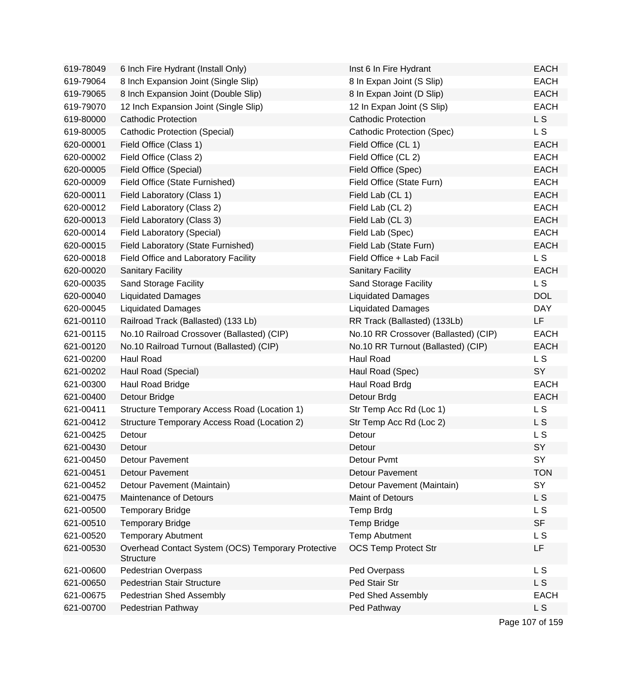| 619-78049 | 6 Inch Fire Hydrant (Install Only)                                     | Inst 6 In Fire Hydrant               | <b>EACH</b>    |
|-----------|------------------------------------------------------------------------|--------------------------------------|----------------|
| 619-79064 | 8 Inch Expansion Joint (Single Slip)                                   | 8 In Expan Joint (S Slip)            | <b>EACH</b>    |
| 619-79065 | 8 Inch Expansion Joint (Double Slip)                                   | 8 In Expan Joint (D Slip)            | <b>EACH</b>    |
| 619-79070 | 12 Inch Expansion Joint (Single Slip)                                  | 12 In Expan Joint (S Slip)           | <b>EACH</b>    |
| 619-80000 | <b>Cathodic Protection</b>                                             | <b>Cathodic Protection</b>           | L S            |
| 619-80005 | <b>Cathodic Protection (Special)</b>                                   | Cathodic Protection (Spec)           | L S            |
| 620-00001 | Field Office (Class 1)                                                 | Field Office (CL 1)                  | <b>EACH</b>    |
| 620-00002 | Field Office (Class 2)                                                 | Field Office (CL 2)                  | <b>EACH</b>    |
| 620-00005 | Field Office (Special)                                                 | Field Office (Spec)                  | <b>EACH</b>    |
| 620-00009 | Field Office (State Furnished)                                         | Field Office (State Furn)            | <b>EACH</b>    |
| 620-00011 | Field Laboratory (Class 1)                                             | Field Lab (CL 1)                     | <b>EACH</b>    |
| 620-00012 | Field Laboratory (Class 2)                                             | Field Lab (CL 2)                     | <b>EACH</b>    |
| 620-00013 | Field Laboratory (Class 3)                                             | Field Lab (CL 3)                     | <b>EACH</b>    |
| 620-00014 | Field Laboratory (Special)                                             | Field Lab (Spec)                     | <b>EACH</b>    |
| 620-00015 | Field Laboratory (State Furnished)                                     | Field Lab (State Furn)               | <b>EACH</b>    |
| 620-00018 | Field Office and Laboratory Facility                                   | Field Office + Lab Facil             | L S            |
| 620-00020 | <b>Sanitary Facility</b>                                               | <b>Sanitary Facility</b>             | <b>EACH</b>    |
| 620-00035 | Sand Storage Facility                                                  | Sand Storage Facility                | L S            |
| 620-00040 | <b>Liquidated Damages</b>                                              | <b>Liquidated Damages</b>            | <b>DOL</b>     |
| 620-00045 | <b>Liquidated Damages</b>                                              | <b>Liquidated Damages</b>            | <b>DAY</b>     |
| 621-00110 | Railroad Track (Ballasted) (133 Lb)                                    | RR Track (Ballasted) (133Lb)         | LF.            |
| 621-00115 | No.10 Railroad Crossover (Ballasted) (CIP)                             | No.10 RR Crossover (Ballasted) (CIP) | <b>EACH</b>    |
| 621-00120 | No.10 Railroad Turnout (Ballasted) (CIP)                               | No.10 RR Turnout (Ballasted) (CIP)   | <b>EACH</b>    |
| 621-00200 | Haul Road                                                              | Haul Road                            | L S            |
| 621-00202 | Haul Road (Special)                                                    | Haul Road (Spec)                     | SY             |
| 621-00300 | Haul Road Bridge                                                       | Haul Road Brdg                       | <b>EACH</b>    |
| 621-00400 | Detour Bridge                                                          | Detour Brdg                          | <b>EACH</b>    |
| 621-00411 | Structure Temporary Access Road (Location 1)                           | Str Temp Acc Rd (Loc 1)              | L S            |
| 621-00412 | Structure Temporary Access Road (Location 2)                           | Str Temp Acc Rd (Loc 2)              | L S            |
| 621-00425 | Detour                                                                 | Detour                               | L S            |
| 621-00430 | Detour                                                                 | Detour                               | SY             |
| 621-00450 | <b>Detour Pavement</b>                                                 | Detour Pvmt                          | SY             |
| 621-00451 | <b>Detour Pavement</b>                                                 | <b>Detour Pavement</b>               | <b>TON</b>     |
| 621-00452 | Detour Pavement (Maintain)                                             | Detour Pavement (Maintain)           | SY             |
| 621-00475 | <b>Maintenance of Detours</b>                                          | <b>Maint of Detours</b>              | L S            |
| 621-00500 | <b>Temporary Bridge</b>                                                | Temp Brdg                            | L S            |
| 621-00510 | <b>Temporary Bridge</b>                                                | Temp Bridge                          | <b>SF</b>      |
| 621-00520 | <b>Temporary Abutment</b>                                              | <b>Temp Abutment</b>                 | L S            |
| 621-00530 | Overhead Contact System (OCS) Temporary Protective<br><b>Structure</b> | <b>OCS Temp Protect Str</b>          | LF.            |
| 621-00600 | <b>Pedestrian Overpass</b>                                             | Ped Overpass                         | L S            |
| 621-00650 | Pedestrian Stair Structure                                             | Ped Stair Str                        | L S            |
| 621-00675 | Pedestrian Shed Assembly                                               | Ped Shed Assembly                    | <b>EACH</b>    |
| 621-00700 | Pedestrian Pathway                                                     | Ped Pathway                          | L <sub>S</sub> |
|           |                                                                        |                                      |                |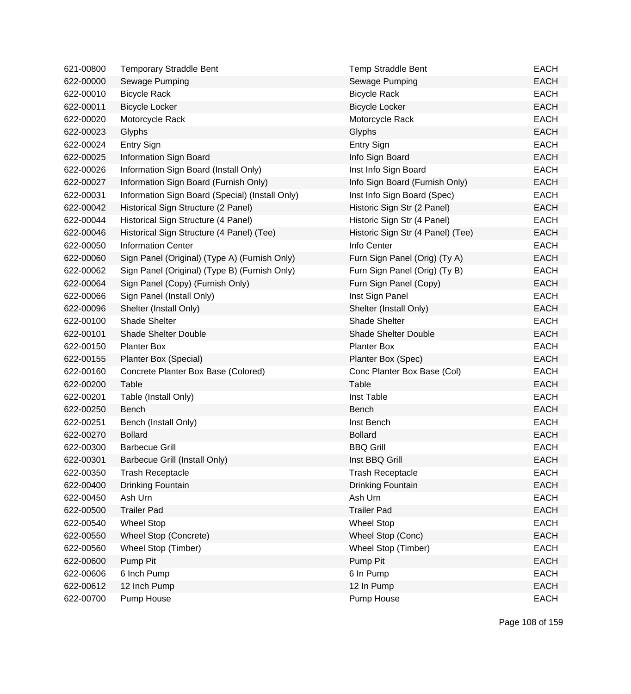| 621-00800 | <b>Temporary Straddle Bent</b>                  | <b>Temp Straddle Bent</b>         | <b>EACH</b> |
|-----------|-------------------------------------------------|-----------------------------------|-------------|
| 622-00000 | Sewage Pumping                                  | Sewage Pumping                    | <b>EACH</b> |
| 622-00010 | <b>Bicycle Rack</b>                             | <b>Bicycle Rack</b>               | <b>EACH</b> |
| 622-00011 | <b>Bicycle Locker</b>                           | <b>Bicycle Locker</b>             | <b>EACH</b> |
| 622-00020 | Motorcycle Rack                                 | Motorcycle Rack                   | <b>EACH</b> |
| 622-00023 | Glyphs                                          | Glyphs                            | <b>EACH</b> |
| 622-00024 | Entry Sign                                      | <b>Entry Sign</b>                 | <b>EACH</b> |
| 622-00025 | Information Sign Board                          | Info Sign Board                   | <b>EACH</b> |
| 622-00026 | Information Sign Board (Install Only)           | Inst Info Sign Board              | <b>EACH</b> |
| 622-00027 | Information Sign Board (Furnish Only)           | Info Sign Board (Furnish Only)    | <b>EACH</b> |
| 622-00031 | Information Sign Board (Special) (Install Only) | Inst Info Sign Board (Spec)       | <b>EACH</b> |
| 622-00042 | Historical Sign Structure (2 Panel)             | Historic Sign Str (2 Panel)       | <b>EACH</b> |
| 622-00044 | Historical Sign Structure (4 Panel)             | Historic Sign Str (4 Panel)       | <b>EACH</b> |
| 622-00046 | Historical Sign Structure (4 Panel) (Tee)       | Historic Sign Str (4 Panel) (Tee) | <b>EACH</b> |
| 622-00050 | <b>Information Center</b>                       | Info Center                       | <b>EACH</b> |
| 622-00060 | Sign Panel (Original) (Type A) (Furnish Only)   | Furn Sign Panel (Orig) (Ty A)     | <b>EACH</b> |
| 622-00062 | Sign Panel (Original) (Type B) (Furnish Only)   | Furn Sign Panel (Orig) (Ty B)     | <b>EACH</b> |
| 622-00064 | Sign Panel (Copy) (Furnish Only)                | Furn Sign Panel (Copy)            | <b>EACH</b> |
| 622-00066 | Sign Panel (Install Only)                       | Inst Sign Panel                   | <b>EACH</b> |
| 622-00096 | Shelter (Install Only)                          | Shelter (Install Only)            | <b>EACH</b> |
| 622-00100 | <b>Shade Shelter</b>                            | <b>Shade Shelter</b>              | <b>EACH</b> |
| 622-00101 | <b>Shade Shelter Double</b>                     | <b>Shade Shelter Double</b>       | <b>EACH</b> |
| 622-00150 | <b>Planter Box</b>                              | <b>Planter Box</b>                | <b>EACH</b> |
| 622-00155 | Planter Box (Special)                           | Planter Box (Spec)                | <b>EACH</b> |
| 622-00160 | Concrete Planter Box Base (Colored)             | Conc Planter Box Base (Col)       | <b>EACH</b> |
| 622-00200 | Table                                           | Table                             | <b>EACH</b> |
| 622-00201 | Table (Install Only)                            | Inst Table                        | <b>EACH</b> |
| 622-00250 | Bench                                           | Bench                             | <b>EACH</b> |
| 622-00251 | Bench (Install Only)                            | Inst Bench                        | <b>EACH</b> |
| 622-00270 | <b>Bollard</b>                                  | <b>Bollard</b>                    | <b>EACH</b> |
| 622-00300 | <b>Barbecue Grill</b>                           | <b>BBQ Grill</b>                  | <b>EACH</b> |
| 622-00301 | Barbecue Grill (Install Only)                   | Inst BBQ Grill                    | EACH        |
| 622-00350 | <b>Trash Receptacle</b>                         | <b>Trash Receptacle</b>           | <b>EACH</b> |
| 622-00400 | Drinking Fountain                               | Drinking Fountain                 | <b>EACH</b> |
| 622-00450 | Ash Urn                                         | Ash Urn                           | <b>EACH</b> |
| 622-00500 | <b>Trailer Pad</b>                              | <b>Trailer Pad</b>                | <b>EACH</b> |
| 622-00540 | <b>Wheel Stop</b>                               | <b>Wheel Stop</b>                 | <b>EACH</b> |
| 622-00550 | Wheel Stop (Concrete)                           | Wheel Stop (Conc)                 | <b>EACH</b> |
| 622-00560 | Wheel Stop (Timber)                             | Wheel Stop (Timber)               | EACH        |
| 622-00600 | Pump Pit                                        | Pump Pit                          | <b>EACH</b> |
| 622-00606 | 6 Inch Pump                                     | 6 In Pump                         | <b>EACH</b> |
| 622-00612 | 12 Inch Pump                                    | 12 In Pump                        | <b>EACH</b> |
| 622-00700 | Pump House                                      | Pump House                        | <b>EACH</b> |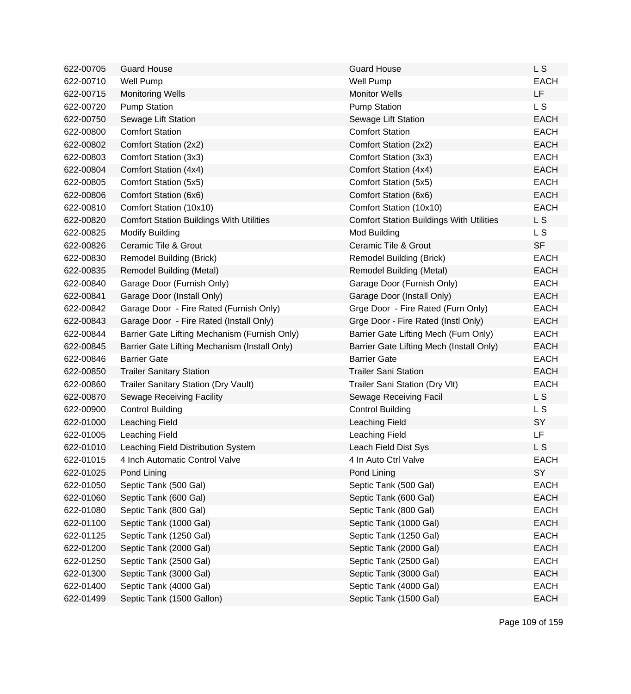| 622-00705 | <b>Guard House</b>                              | <b>Guard House</b>                              | <b>LS</b>      |
|-----------|-------------------------------------------------|-------------------------------------------------|----------------|
| 622-00710 | Well Pump                                       | <b>Well Pump</b>                                | <b>EACH</b>    |
| 622-00715 | <b>Monitoring Wells</b>                         | <b>Monitor Wells</b>                            | <b>LF</b>      |
| 622-00720 | <b>Pump Station</b>                             | <b>Pump Station</b>                             | L <sub>S</sub> |
| 622-00750 | Sewage Lift Station                             | Sewage Lift Station                             | <b>EACH</b>    |
| 622-00800 | <b>Comfort Station</b>                          | <b>Comfort Station</b>                          | <b>EACH</b>    |
| 622-00802 | Comfort Station (2x2)                           | Comfort Station (2x2)                           | <b>EACH</b>    |
| 622-00803 | Comfort Station (3x3)                           | Comfort Station (3x3)                           | <b>EACH</b>    |
| 622-00804 | Comfort Station (4x4)                           | Comfort Station (4x4)                           | <b>EACH</b>    |
| 622-00805 | Comfort Station (5x5)                           | Comfort Station (5x5)                           | <b>EACH</b>    |
| 622-00806 | Comfort Station (6x6)                           | Comfort Station (6x6)                           | <b>EACH</b>    |
| 622-00810 | Comfort Station (10x10)                         | Comfort Station (10x10)                         | <b>EACH</b>    |
| 622-00820 | <b>Comfort Station Buildings With Utilities</b> | <b>Comfort Station Buildings With Utilities</b> | L <sub>S</sub> |
| 622-00825 | <b>Modify Building</b>                          | Mod Building                                    | L S            |
| 622-00826 | Ceramic Tile & Grout                            | Ceramic Tile & Grout                            | <b>SF</b>      |
| 622-00830 | Remodel Building (Brick)                        | Remodel Building (Brick)                        | <b>EACH</b>    |
| 622-00835 | Remodel Building (Metal)                        | Remodel Building (Metal)                        | <b>EACH</b>    |
| 622-00840 | Garage Door (Furnish Only)                      | Garage Door (Furnish Only)                      | <b>EACH</b>    |
| 622-00841 | Garage Door (Install Only)                      | Garage Door (Install Only)                      | <b>EACH</b>    |
| 622-00842 | Garage Door - Fire Rated (Furnish Only)         | Grge Door - Fire Rated (Furn Only)              | <b>EACH</b>    |
| 622-00843 | Garage Door - Fire Rated (Install Only)         | Grge Door - Fire Rated (Instl Only)             | <b>EACH</b>    |
| 622-00844 | Barrier Gate Lifting Mechanism (Furnish Only)   | Barrier Gate Lifting Mech (Furn Only)           | <b>EACH</b>    |
| 622-00845 | Barrier Gate Lifting Mechanism (Install Only)   | Barrier Gate Lifting Mech (Install Only)        | <b>EACH</b>    |
| 622-00846 | <b>Barrier Gate</b>                             | <b>Barrier Gate</b>                             | <b>EACH</b>    |
| 622-00850 | <b>Trailer Sanitary Station</b>                 | <b>Trailer Sani Station</b>                     | <b>EACH</b>    |
| 622-00860 | <b>Trailer Sanitary Station (Dry Vault)</b>     | Trailer Sani Station (Dry Vlt)                  | <b>EACH</b>    |
| 622-00870 | <b>Sewage Receiving Facility</b>                | Sewage Receiving Facil                          | L S            |
| 622-00900 | <b>Control Building</b>                         | <b>Control Building</b>                         | L S            |
| 622-01000 | Leaching Field                                  | Leaching Field                                  | SY             |
| 622-01005 | Leaching Field                                  | Leaching Field                                  | <b>LF</b>      |
| 622-01010 | Leaching Field Distribution System              | Leach Field Dist Sys                            | L S            |
| 622-01015 | 4 Inch Automatic Control Valve                  | 4 In Auto Ctrl Valve                            | <b>EACH</b>    |
| 622-01025 | Pond Lining                                     | Pond Lining                                     | SY             |
| 622-01050 | Septic Tank (500 Gal)                           | Septic Tank (500 Gal)                           | <b>EACH</b>    |
| 622-01060 | Septic Tank (600 Gal)                           | Septic Tank (600 Gal)                           | <b>EACH</b>    |
| 622-01080 | Septic Tank (800 Gal)                           | Septic Tank (800 Gal)                           | <b>EACH</b>    |
| 622-01100 | Septic Tank (1000 Gal)                          | Septic Tank (1000 Gal)                          | <b>EACH</b>    |
| 622-01125 | Septic Tank (1250 Gal)                          | Septic Tank (1250 Gal)                          | <b>EACH</b>    |
| 622-01200 | Septic Tank (2000 Gal)                          | Septic Tank (2000 Gal)                          | <b>EACH</b>    |
| 622-01250 | Septic Tank (2500 Gal)                          | Septic Tank (2500 Gal)                          | <b>EACH</b>    |
| 622-01300 | Septic Tank (3000 Gal)                          | Septic Tank (3000 Gal)                          | <b>EACH</b>    |
| 622-01400 | Septic Tank (4000 Gal)                          | Septic Tank (4000 Gal)                          | <b>EACH</b>    |
| 622-01499 | Septic Tank (1500 Gallon)                       | Septic Tank (1500 Gal)                          | <b>EACH</b>    |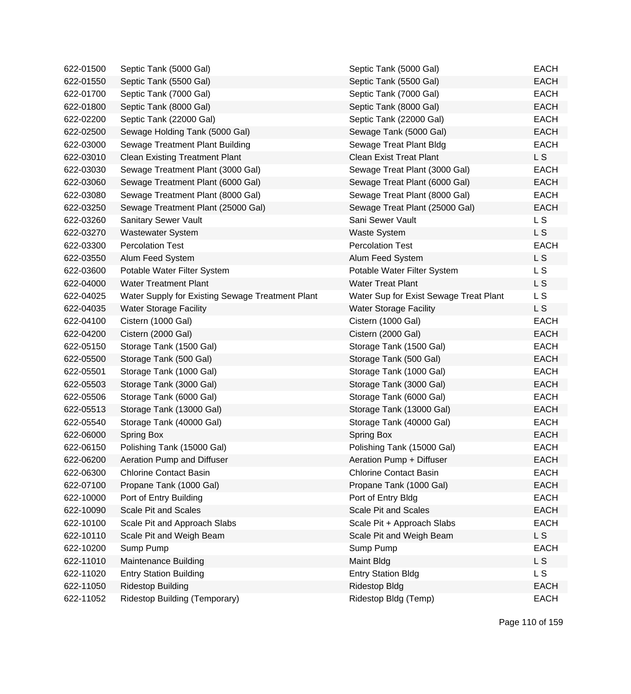| 622-01500 | Septic Tank (5000 Gal)                           | Septic Tank (5000 Gal)                 | <b>EACH</b> |
|-----------|--------------------------------------------------|----------------------------------------|-------------|
| 622-01550 | Septic Tank (5500 Gal)                           | Septic Tank (5500 Gal)                 | <b>EACH</b> |
| 622-01700 | Septic Tank (7000 Gal)                           | Septic Tank (7000 Gal)                 | <b>EACH</b> |
| 622-01800 | Septic Tank (8000 Gal)                           | Septic Tank (8000 Gal)                 | <b>EACH</b> |
| 622-02200 | Septic Tank (22000 Gal)                          | Septic Tank (22000 Gal)                | <b>EACH</b> |
| 622-02500 | Sewage Holding Tank (5000 Gal)                   | Sewage Tank (5000 Gal)                 | <b>EACH</b> |
| 622-03000 | Sewage Treatment Plant Building                  | Sewage Treat Plant Bldg                | <b>EACH</b> |
| 622-03010 | <b>Clean Existing Treatment Plant</b>            | <b>Clean Exist Treat Plant</b>         | L S         |
| 622-03030 | Sewage Treatment Plant (3000 Gal)                | Sewage Treat Plant (3000 Gal)          | <b>EACH</b> |
| 622-03060 | Sewage Treatment Plant (6000 Gal)                | Sewage Treat Plant (6000 Gal)          | <b>EACH</b> |
| 622-03080 | Sewage Treatment Plant (8000 Gal)                | Sewage Treat Plant (8000 Gal)          | <b>EACH</b> |
| 622-03250 | Sewage Treatment Plant (25000 Gal)               | Sewage Treat Plant (25000 Gal)         | <b>EACH</b> |
| 622-03260 | Sanitary Sewer Vault                             | Sani Sewer Vault                       | L S         |
| 622-03270 | <b>Wastewater System</b>                         | <b>Waste System</b>                    | L S         |
| 622-03300 | <b>Percolation Test</b>                          | <b>Percolation Test</b>                | <b>EACH</b> |
| 622-03550 | Alum Feed System                                 | Alum Feed System                       | L S         |
| 622-03600 | Potable Water Filter System                      | Potable Water Filter System            | L S         |
| 622-04000 | <b>Water Treatment Plant</b>                     | <b>Water Treat Plant</b>               | L S         |
| 622-04025 | Water Supply for Existing Sewage Treatment Plant | Water Sup for Exist Sewage Treat Plant | L S         |
| 622-04035 | <b>Water Storage Facility</b>                    | <b>Water Storage Facility</b>          | L S         |
| 622-04100 | Cistern (1000 Gal)                               | Cistern (1000 Gal)                     | <b>EACH</b> |
| 622-04200 | Cistern (2000 Gal)                               | Cistern (2000 Gal)                     | <b>EACH</b> |
| 622-05150 | Storage Tank (1500 Gal)                          | Storage Tank (1500 Gal)                | <b>EACH</b> |
| 622-05500 | Storage Tank (500 Gal)                           | Storage Tank (500 Gal)                 | <b>EACH</b> |
| 622-05501 | Storage Tank (1000 Gal)                          | Storage Tank (1000 Gal)                | <b>EACH</b> |
| 622-05503 | Storage Tank (3000 Gal)                          | Storage Tank (3000 Gal)                | <b>EACH</b> |
| 622-05506 | Storage Tank (6000 Gal)                          | Storage Tank (6000 Gal)                | <b>EACH</b> |
| 622-05513 | Storage Tank (13000 Gal)                         | Storage Tank (13000 Gal)               | <b>EACH</b> |
| 622-05540 | Storage Tank (40000 Gal)                         | Storage Tank (40000 Gal)               | <b>EACH</b> |
| 622-06000 | <b>Spring Box</b>                                | Spring Box                             | <b>EACH</b> |
| 622-06150 | Polishing Tank (15000 Gal)                       | Polishing Tank (15000 Gal)             | <b>EACH</b> |
| 622-06200 | Aeration Pump and Diffuser                       | Aeration Pump + Diffuser               | <b>EACH</b> |
| 622-06300 | <b>Chlorine Contact Basin</b>                    | <b>Chlorine Contact Basin</b>          | <b>EACH</b> |
| 622-07100 | Propane Tank (1000 Gal)                          | Propane Tank (1000 Gal)                | <b>EACH</b> |
| 622-10000 | Port of Entry Building                           | Port of Entry Bldg                     | <b>EACH</b> |
| 622-10090 | <b>Scale Pit and Scales</b>                      | <b>Scale Pit and Scales</b>            | <b>EACH</b> |
| 622-10100 | Scale Pit and Approach Slabs                     | Scale Pit + Approach Slabs             | <b>EACH</b> |
| 622-10110 | Scale Pit and Weigh Beam                         | Scale Pit and Weigh Beam               | L S         |
| 622-10200 | Sump Pump                                        | Sump Pump                              | <b>EACH</b> |
| 622-11010 | Maintenance Building                             | Maint Bldg                             | L S         |
| 622-11020 | <b>Entry Station Building</b>                    | <b>Entry Station Bldg</b>              | L S         |
| 622-11050 | <b>Ridestop Building</b>                         | <b>Ridestop Bldg</b>                   | <b>EACH</b> |
| 622-11052 | Ridestop Building (Temporary)                    | Ridestop Bldg (Temp)                   | <b>EACH</b> |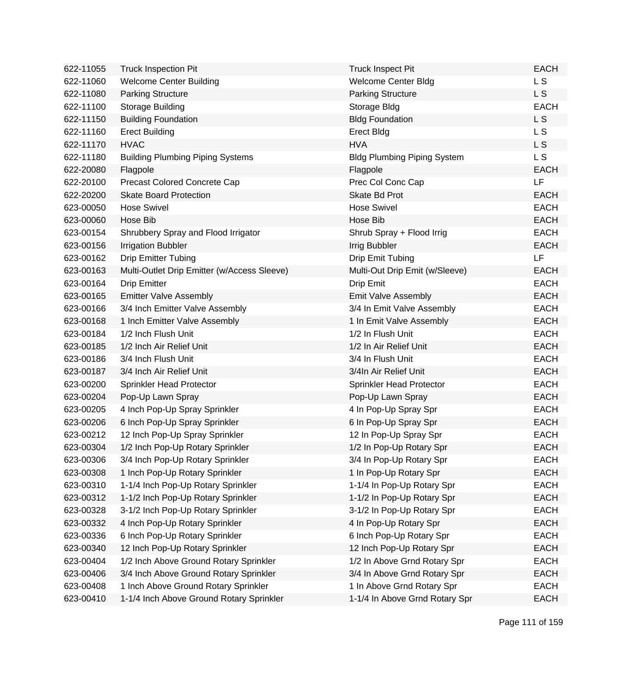| 622-11055 | <b>Truck Inspection Pit</b>                 | <b>Truck Inspect Pit</b>           | <b>EACH</b>    |
|-----------|---------------------------------------------|------------------------------------|----------------|
| 622-11060 | <b>Welcome Center Building</b>              | <b>Welcome Center Bldg</b>         | L S            |
| 622-11080 | <b>Parking Structure</b>                    | <b>Parking Structure</b>           | L <sub>S</sub> |
| 622-11100 | Storage Building                            | Storage Bldg                       | <b>EACH</b>    |
| 622-11150 | <b>Building Foundation</b>                  | <b>Bldg Foundation</b>             | L S            |
| 622-11160 | <b>Erect Building</b>                       | <b>Erect Bldg</b>                  | L S            |
| 622-11170 | <b>HVAC</b>                                 | <b>HVA</b>                         | L S            |
| 622-11180 | <b>Building Plumbing Piping Systems</b>     | <b>Bldg Plumbing Piping System</b> | L <sub>S</sub> |
| 622-20080 | Flagpole                                    | Flagpole                           | <b>EACH</b>    |
| 622-20100 | Precast Colored Concrete Cap                | Prec Col Conc Cap                  | LF             |
| 622-20200 | <b>Skate Board Protection</b>               | Skate Bd Prot                      | <b>EACH</b>    |
| 623-00050 | <b>Hose Swivel</b>                          | <b>Hose Swivel</b>                 | <b>EACH</b>    |
| 623-00060 | Hose Bib                                    | Hose Bib                           | <b>EACH</b>    |
| 623-00154 | Shrubbery Spray and Flood Irrigator         | Shrub Spray + Flood Irrig          | <b>EACH</b>    |
| 623-00156 | <b>Irrigation Bubbler</b>                   | Irrig Bubbler                      | <b>EACH</b>    |
| 623-00162 | <b>Drip Emitter Tubing</b>                  | Drip Emit Tubing                   | <b>LF</b>      |
| 623-00163 | Multi-Outlet Drip Emitter (w/Access Sleeve) | Multi-Out Drip Emit (w/Sleeve)     | <b>EACH</b>    |
| 623-00164 | <b>Drip Emitter</b>                         | Drip Emit                          | <b>EACH</b>    |
| 623-00165 | <b>Emitter Valve Assembly</b>               | <b>Emit Valve Assembly</b>         | <b>EACH</b>    |
| 623-00166 | 3/4 Inch Emitter Valve Assembly             | 3/4 In Emit Valve Assembly         | <b>EACH</b>    |
| 623-00168 | 1 Inch Emitter Valve Assembly               | 1 In Emit Valve Assembly           | <b>EACH</b>    |
| 623-00184 | 1/2 Inch Flush Unit                         | 1/2 In Flush Unit                  | <b>EACH</b>    |
| 623-00185 | 1/2 Inch Air Relief Unit                    | 1/2 In Air Relief Unit             | <b>EACH</b>    |
| 623-00186 | 3/4 Inch Flush Unit                         | 3/4 In Flush Unit                  | <b>EACH</b>    |
| 623-00187 | 3/4 Inch Air Relief Unit                    | 3/4In Air Relief Unit              | <b>EACH</b>    |
| 623-00200 | Sprinkler Head Protector                    | Sprinkler Head Protector           | <b>EACH</b>    |
| 623-00204 | Pop-Up Lawn Spray                           | Pop-Up Lawn Spray                  | <b>EACH</b>    |
| 623-00205 | 4 Inch Pop-Up Spray Sprinkler               | 4 In Pop-Up Spray Spr              | <b>EACH</b>    |
| 623-00206 | 6 Inch Pop-Up Spray Sprinkler               | 6 In Pop-Up Spray Spr              | <b>EACH</b>    |
| 623-00212 | 12 Inch Pop-Up Spray Sprinkler              | 12 In Pop-Up Spray Spr             | <b>EACH</b>    |
| 623-00304 | 1/2 Inch Pop-Up Rotary Sprinkler            | 1/2 In Pop-Up Rotary Spr           | <b>EACH</b>    |
| 623-00306 | 3/4 Inch Pop-Up Rotary Sprinkler            | 3/4 In Pop-Up Rotary Spr           | EACH           |
| 623-00308 | 1 Inch Pop-Up Rotary Sprinkler              | 1 In Pop-Up Rotary Spr             | <b>EACH</b>    |
| 623-00310 | 1-1/4 Inch Pop-Up Rotary Sprinkler          | 1-1/4 In Pop-Up Rotary Spr         | <b>EACH</b>    |
| 623-00312 | 1-1/2 Inch Pop-Up Rotary Sprinkler          | 1-1/2 In Pop-Up Rotary Spr         | <b>EACH</b>    |
| 623-00328 | 3-1/2 Inch Pop-Up Rotary Sprinkler          | 3-1/2 In Pop-Up Rotary Spr         | <b>EACH</b>    |
| 623-00332 | 4 Inch Pop-Up Rotary Sprinkler              | 4 In Pop-Up Rotary Spr             | <b>EACH</b>    |
| 623-00336 | 6 Inch Pop-Up Rotary Sprinkler              | 6 Inch Pop-Up Rotary Spr           | <b>EACH</b>    |
| 623-00340 | 12 Inch Pop-Up Rotary Sprinkler             | 12 Inch Pop-Up Rotary Spr          | <b>EACH</b>    |
| 623-00404 | 1/2 Inch Above Ground Rotary Sprinkler      | 1/2 In Above Grnd Rotary Spr       | <b>EACH</b>    |
| 623-00406 | 3/4 Inch Above Ground Rotary Sprinkler      | 3/4 In Above Grnd Rotary Spr       | <b>EACH</b>    |
| 623-00408 | 1 Inch Above Ground Rotary Sprinkler        | 1 In Above Grnd Rotary Spr         | <b>EACH</b>    |
| 623-00410 | 1-1/4 Inch Above Ground Rotary Sprinkler    | 1-1/4 In Above Grnd Rotary Spr     | <b>EACH</b>    |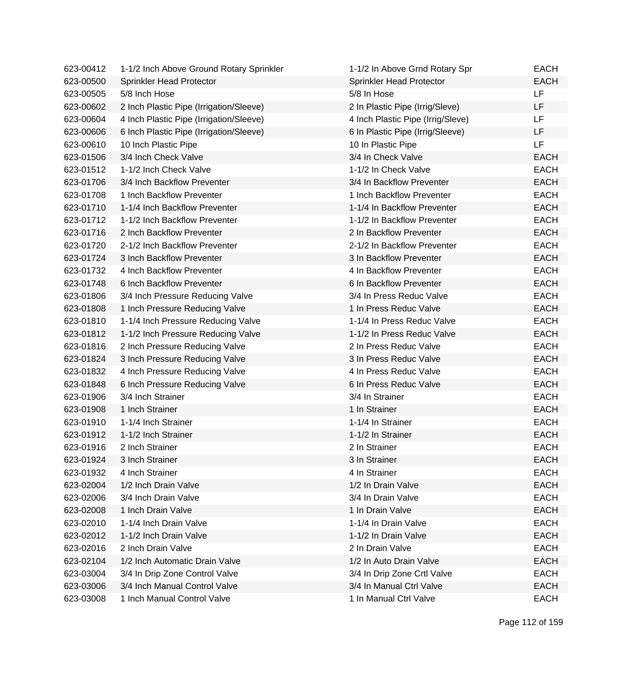| 623-00412 | 1-1/2 Inch Above Ground Rotary Sprinkler | 1-1/2 In Above Grnd Rotary Spr    | <b>EACH</b> |
|-----------|------------------------------------------|-----------------------------------|-------------|
| 623-00500 | Sprinkler Head Protector                 | Sprinkler Head Protector          | <b>EACH</b> |
| 623-00505 | 5/8 Inch Hose                            | 5/8 In Hose                       | <b>LF</b>   |
| 623-00602 | 2 Inch Plastic Pipe (Irrigation/Sleeve)  | 2 In Plastic Pipe (Irrig/Sleve)   | LF.         |
| 623-00604 | 4 Inch Plastic Pipe (Irrigation/Sleeve)  | 4 Inch Plastic Pipe (Irrig/Sleve) | LF          |
| 623-00606 | 6 Inch Plastic Pipe (Irrigation/Sleeve)  | 6 In Plastic Pipe (Irrig/Sleeve)  | LF          |
| 623-00610 | 10 Inch Plastic Pipe                     | 10 In Plastic Pipe                | LF          |
| 623-01506 | 3/4 Inch Check Valve                     | 3/4 In Check Valve                | <b>EACH</b> |
| 623-01512 | 1-1/2 Inch Check Valve                   | 1-1/2 In Check Valve              | <b>EACH</b> |
| 623-01706 | 3/4 Inch Backflow Preventer              | 3/4 In Backflow Preventer         | <b>EACH</b> |
| 623-01708 | 1 Inch Backflow Preventer                | 1 Inch Backflow Preventer         | <b>EACH</b> |
| 623-01710 | 1-1/4 Inch Backflow Preventer            | 1-1/4 In Backflow Preventer       | <b>EACH</b> |
| 623-01712 | 1-1/2 Inch Backflow Preventer            | 1-1/2 In Backflow Preventer       | <b>EACH</b> |
| 623-01716 | 2 Inch Backflow Preventer                | 2 In Backflow Preventer           | <b>EACH</b> |
| 623-01720 | 2-1/2 Inch Backflow Preventer            | 2-1/2 In Backflow Preventer       | <b>EACH</b> |
| 623-01724 | 3 Inch Backflow Preventer                | 3 In Backflow Preventer           | <b>EACH</b> |
| 623-01732 | 4 Inch Backflow Preventer                | 4 In Backflow Preventer           | <b>EACH</b> |
| 623-01748 | 6 Inch Backflow Preventer                | 6 In Backflow Preventer           | <b>EACH</b> |
| 623-01806 | 3/4 Inch Pressure Reducing Valve         | 3/4 In Press Reduc Valve          | <b>EACH</b> |
| 623-01808 | 1 Inch Pressure Reducing Valve           | 1 In Press Reduc Valve            | <b>EACH</b> |
| 623-01810 | 1-1/4 Inch Pressure Reducing Valve       | 1-1/4 In Press Reduc Valve        | <b>EACH</b> |
| 623-01812 | 1-1/2 Inch Pressure Reducing Valve       | 1-1/2 In Press Reduc Valve        | <b>EACH</b> |
| 623-01816 | 2 Inch Pressure Reducing Valve           | 2 In Press Reduc Valve            | <b>EACH</b> |
| 623-01824 | 3 Inch Pressure Reducing Valve           | 3 In Press Reduc Valve            | <b>EACH</b> |
| 623-01832 | 4 Inch Pressure Reducing Valve           | 4 In Press Reduc Valve            | <b>EACH</b> |
| 623-01848 | 6 Inch Pressure Reducing Valve           | 6 In Press Reduc Valve            | <b>EACH</b> |
| 623-01906 | 3/4 Inch Strainer                        | 3/4 In Strainer                   | <b>EACH</b> |
| 623-01908 | 1 Inch Strainer                          | 1 In Strainer                     | <b>EACH</b> |
| 623-01910 | 1-1/4 Inch Strainer                      | 1-1/4 In Strainer                 | <b>EACH</b> |
| 623-01912 | 1-1/2 Inch Strainer                      | 1-1/2 In Strainer                 | <b>EACH</b> |
| 623-01916 | 2 Inch Strainer                          | 2 In Strainer                     | <b>EACH</b> |
| 623-01924 | 3 Inch Strainer                          | 3 In Strainer                     | <b>EACH</b> |
| 623-01932 | 4 Inch Strainer                          | 4 In Strainer                     | EACH        |
| 623-02004 | 1/2 Inch Drain Valve                     | 1/2 In Drain Valve                | <b>EACH</b> |
| 623-02006 | 3/4 Inch Drain Valve                     | 3/4 In Drain Valve                | <b>EACH</b> |
| 623-02008 | 1 Inch Drain Valve                       | 1 In Drain Valve                  | <b>EACH</b> |
| 623-02010 | 1-1/4 Inch Drain Valve                   | 1-1/4 In Drain Valve              | <b>EACH</b> |
| 623-02012 | 1-1/2 Inch Drain Valve                   | 1-1/2 In Drain Valve              | <b>EACH</b> |
| 623-02016 | 2 Inch Drain Valve                       | 2 In Drain Valve                  | <b>EACH</b> |
| 623-02104 | 1/2 Inch Automatic Drain Valve           | 1/2 In Auto Drain Valve           | <b>EACH</b> |
| 623-03004 | 3/4 In Drip Zone Control Valve           | 3/4 In Drip Zone Crtl Valve       | <b>EACH</b> |
| 623-03006 | 3/4 Inch Manual Control Valve            | 3/4 In Manual Ctrl Valve          | <b>EACH</b> |
| 623-03008 | 1 Inch Manual Control Valve              | 1 In Manual Ctrl Valve            | <b>EACH</b> |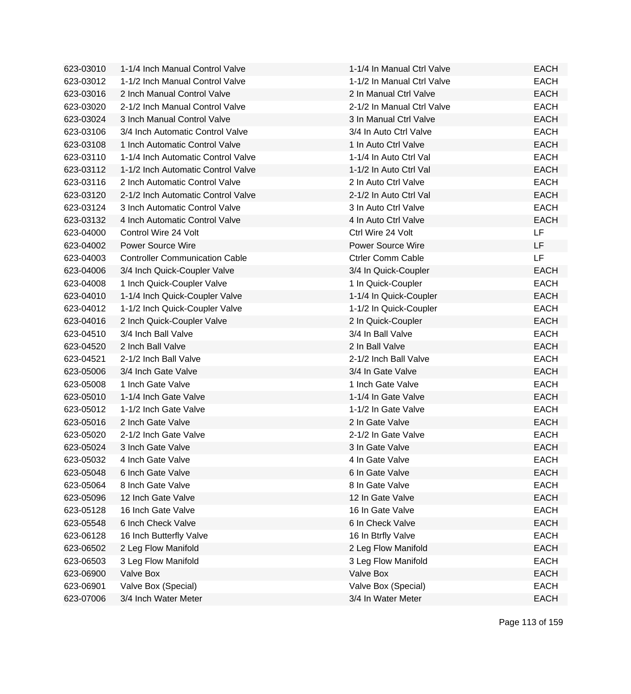| 623-03010 | 1-1/4 Inch Manual Control Valve       | 1-1/4 In Manual Ctrl Valve | <b>EACH</b> |
|-----------|---------------------------------------|----------------------------|-------------|
| 623-03012 | 1-1/2 Inch Manual Control Valve       | 1-1/2 In Manual Ctrl Valve | <b>EACH</b> |
| 623-03016 | 2 Inch Manual Control Valve           | 2 In Manual Ctrl Valve     | <b>EACH</b> |
| 623-03020 | 2-1/2 Inch Manual Control Valve       | 2-1/2 In Manual Ctrl Valve | <b>EACH</b> |
| 623-03024 | 3 Inch Manual Control Valve           | 3 In Manual Ctrl Valve     | <b>EACH</b> |
| 623-03106 | 3/4 Inch Automatic Control Valve      | 3/4 In Auto Ctrl Valve     | <b>EACH</b> |
| 623-03108 | 1 Inch Automatic Control Valve        | 1 In Auto Ctrl Valve       | <b>EACH</b> |
| 623-03110 | 1-1/4 Inch Automatic Control Valve    | 1-1/4 In Auto Ctrl Val     | <b>EACH</b> |
| 623-03112 | 1-1/2 Inch Automatic Control Valve    | 1-1/2 In Auto Ctrl Val     | <b>EACH</b> |
| 623-03116 | 2 Inch Automatic Control Valve        | 2 In Auto Ctrl Valve       | <b>EACH</b> |
| 623-03120 | 2-1/2 Inch Automatic Control Valve    | 2-1/2 In Auto Ctrl Val     | <b>EACH</b> |
| 623-03124 | 3 Inch Automatic Control Valve        | 3 In Auto Ctrl Valve       | <b>EACH</b> |
| 623-03132 | 4 Inch Automatic Control Valve        | 4 In Auto Ctrl Valve       | <b>EACH</b> |
| 623-04000 | Control Wire 24 Volt                  | Ctrl Wire 24 Volt          | <b>LF</b>   |
| 623-04002 | <b>Power Source Wire</b>              | <b>Power Source Wire</b>   | LF.         |
| 623-04003 | <b>Controller Communication Cable</b> | <b>Ctrler Comm Cable</b>   | LF          |
| 623-04006 | 3/4 Inch Quick-Coupler Valve          | 3/4 In Quick-Coupler       | <b>EACH</b> |
| 623-04008 | 1 Inch Quick-Coupler Valve            | 1 In Quick-Coupler         | <b>EACH</b> |
| 623-04010 | 1-1/4 Inch Quick-Coupler Valve        | 1-1/4 In Quick-Coupler     | <b>EACH</b> |
| 623-04012 | 1-1/2 Inch Quick-Coupler Valve        | 1-1/2 In Quick-Coupler     | <b>EACH</b> |
| 623-04016 | 2 Inch Quick-Coupler Valve            | 2 In Quick-Coupler         | <b>EACH</b> |
| 623-04510 | 3/4 Inch Ball Valve                   | 3/4 In Ball Valve          | <b>EACH</b> |
| 623-04520 | 2 Inch Ball Valve                     | 2 In Ball Valve            | <b>EACH</b> |
| 623-04521 | 2-1/2 Inch Ball Valve                 | 2-1/2 Inch Ball Valve      | <b>EACH</b> |
| 623-05006 | 3/4 Inch Gate Valve                   | 3/4 In Gate Valve          | <b>EACH</b> |
| 623-05008 | 1 Inch Gate Valve                     | 1 Inch Gate Valve          | <b>EACH</b> |
| 623-05010 | 1-1/4 Inch Gate Valve                 | 1-1/4 In Gate Valve        | <b>EACH</b> |
| 623-05012 | 1-1/2 Inch Gate Valve                 | 1-1/2 In Gate Valve        | <b>EACH</b> |
| 623-05016 | 2 Inch Gate Valve                     | 2 In Gate Valve            | <b>EACH</b> |
| 623-05020 | 2-1/2 Inch Gate Valve                 | 2-1/2 In Gate Valve        | <b>EACH</b> |
| 623-05024 | 3 Inch Gate Valve                     | 3 In Gate Valve            | <b>EACH</b> |
| 623-05032 | 4 Inch Gate Valve                     | 4 In Gate Valve            | <b>EACH</b> |
| 623-05048 | 6 Inch Gate Valve                     | 6 In Gate Valve            | <b>EACH</b> |
| 623-05064 | 8 Inch Gate Valve                     | 8 In Gate Valve            | <b>EACH</b> |
| 623-05096 | 12 Inch Gate Valve                    | 12 In Gate Valve           | <b>EACH</b> |
| 623-05128 | 16 Inch Gate Valve                    | 16 In Gate Valve           | <b>EACH</b> |
| 623-05548 | 6 Inch Check Valve                    | 6 In Check Valve           | <b>EACH</b> |
| 623-06128 | 16 Inch Butterfly Valve               | 16 In Btrfly Valve         | <b>EACH</b> |
| 623-06502 | 2 Leg Flow Manifold                   | 2 Leg Flow Manifold        | <b>EACH</b> |
| 623-06503 | 3 Leg Flow Manifold                   | 3 Leg Flow Manifold        | <b>EACH</b> |
| 623-06900 | Valve Box                             | Valve Box                  | <b>EACH</b> |
| 623-06901 | Valve Box (Special)                   | Valve Box (Special)        | <b>EACH</b> |
| 623-07006 | 3/4 Inch Water Meter                  | 3/4 In Water Meter         | <b>EACH</b> |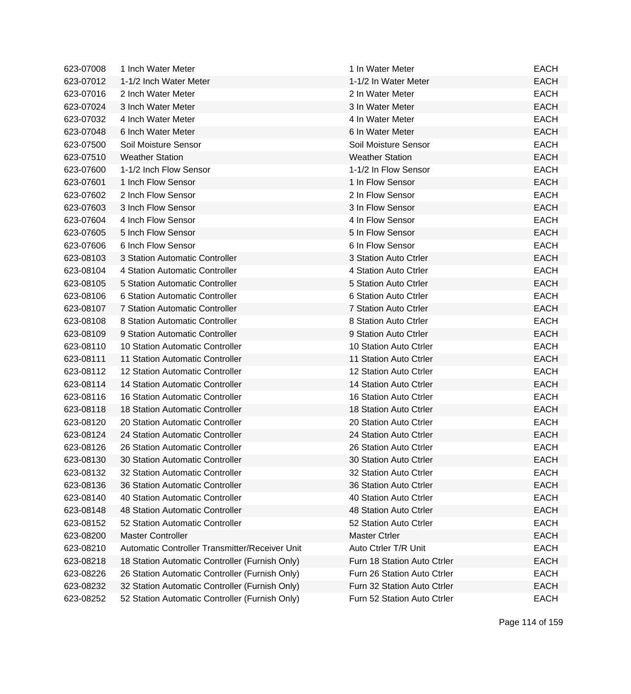| 623-07008 | 1 Inch Water Meter                             | 1 In Water Meter            | <b>EACH</b> |
|-----------|------------------------------------------------|-----------------------------|-------------|
| 623-07012 | 1-1/2 Inch Water Meter                         | 1-1/2 In Water Meter        | <b>EACH</b> |
| 623-07016 | 2 Inch Water Meter                             | 2 In Water Meter            | <b>EACH</b> |
| 623-07024 | 3 Inch Water Meter                             | 3 In Water Meter            | <b>EACH</b> |
| 623-07032 | 4 Inch Water Meter                             | 4 In Water Meter            | <b>EACH</b> |
| 623-07048 | 6 Inch Water Meter                             | 6 In Water Meter            | <b>EACH</b> |
| 623-07500 | Soil Moisture Sensor                           | Soil Moisture Sensor        | <b>EACH</b> |
| 623-07510 | <b>Weather Station</b>                         | <b>Weather Station</b>      | <b>EACH</b> |
| 623-07600 | 1-1/2 Inch Flow Sensor                         | 1-1/2 In Flow Sensor        | <b>EACH</b> |
| 623-07601 | 1 Inch Flow Sensor                             | 1 In Flow Sensor            | <b>EACH</b> |
| 623-07602 | 2 Inch Flow Sensor                             | 2 In Flow Sensor            | <b>EACH</b> |
| 623-07603 | 3 Inch Flow Sensor                             | 3 In Flow Sensor            | <b>EACH</b> |
| 623-07604 | 4 Inch Flow Sensor                             | 4 In Flow Sensor            | <b>EACH</b> |
| 623-07605 | 5 Inch Flow Sensor                             | 5 In Flow Sensor            | <b>EACH</b> |
| 623-07606 | 6 Inch Flow Sensor                             | 6 In Flow Sensor            | <b>EACH</b> |
| 623-08103 | 3 Station Automatic Controller                 | 3 Station Auto Ctrler       | <b>EACH</b> |
| 623-08104 | 4 Station Automatic Controller                 | 4 Station Auto Ctrler       | <b>EACH</b> |
| 623-08105 | 5 Station Automatic Controller                 | 5 Station Auto Ctrler       | <b>EACH</b> |
| 623-08106 | 6 Station Automatic Controller                 | 6 Station Auto Ctrler       | <b>EACH</b> |
| 623-08107 | <b>7 Station Automatic Controller</b>          | 7 Station Auto Ctrler       | <b>EACH</b> |
| 623-08108 | 8 Station Automatic Controller                 | 8 Station Auto Ctrler       | <b>EACH</b> |
| 623-08109 | 9 Station Automatic Controller                 | 9 Station Auto Ctrler       | <b>EACH</b> |
| 623-08110 | 10 Station Automatic Controller                | 10 Station Auto Ctrler      | <b>EACH</b> |
| 623-08111 | 11 Station Automatic Controller                | 11 Station Auto Ctrler      | <b>EACH</b> |
| 623-08112 | 12 Station Automatic Controller                | 12 Station Auto Ctrler      | <b>EACH</b> |
| 623-08114 | 14 Station Automatic Controller                | 14 Station Auto Ctrler      | <b>EACH</b> |
| 623-08116 | 16 Station Automatic Controller                | 16 Station Auto Ctrler      | <b>EACH</b> |
| 623-08118 | 18 Station Automatic Controller                | 18 Station Auto Ctrler      | <b>EACH</b> |
| 623-08120 | 20 Station Automatic Controller                | 20 Station Auto Ctrler      | <b>EACH</b> |
| 623-08124 | 24 Station Automatic Controller                | 24 Station Auto Ctrler      | <b>EACH</b> |
| 623-08126 | 26 Station Automatic Controller                | 26 Station Auto Ctrler      | <b>EACH</b> |
| 623-08130 | 30 Station Automatic Controller                | 30 Station Auto Ctrler      | <b>EACH</b> |
| 623-08132 | 32 Station Automatic Controller                | 32 Station Auto Ctrler      | <b>EACH</b> |
| 623-08136 | 36 Station Automatic Controller                | 36 Station Auto Ctrler      | <b>EACH</b> |
| 623-08140 | 40 Station Automatic Controller                | 40 Station Auto Ctrler      | <b>EACH</b> |
| 623-08148 | 48 Station Automatic Controller                | 48 Station Auto Ctrler      | <b>EACH</b> |
| 623-08152 | 52 Station Automatic Controller                | 52 Station Auto Ctrler      | <b>EACH</b> |
| 623-08200 | <b>Master Controller</b>                       | <b>Master Ctrler</b>        | <b>EACH</b> |
| 623-08210 | Automatic Controller Transmitter/Receiver Unit | Auto Ctrler T/R Unit        | <b>EACH</b> |
| 623-08218 | 18 Station Automatic Controller (Furnish Only) | Furn 18 Station Auto Ctrler | <b>EACH</b> |
| 623-08226 | 26 Station Automatic Controller (Furnish Only) | Furn 26 Station Auto Ctrler | <b>EACH</b> |
| 623-08232 | 32 Station Automatic Controller (Furnish Only) | Furn 32 Station Auto Ctrler | <b>EACH</b> |
| 623-08252 | 52 Station Automatic Controller (Furnish Only) | Furn 52 Station Auto Ctrler | <b>EACH</b> |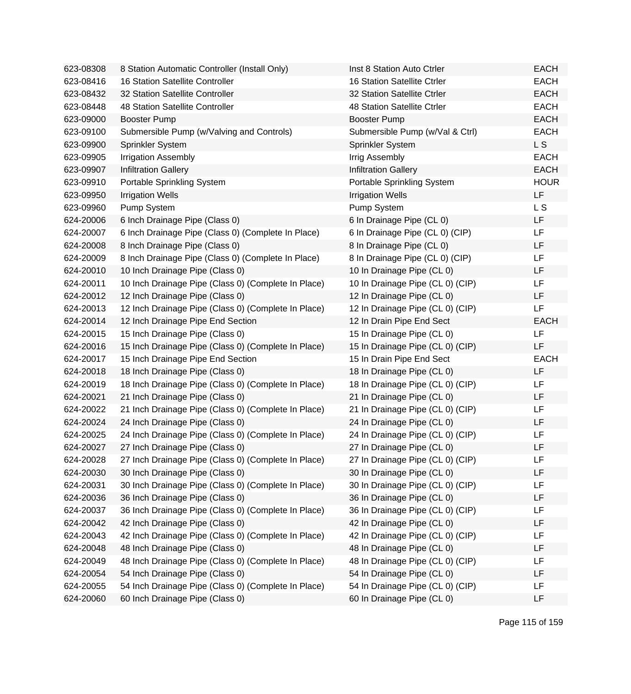| 623-08308 | 8 Station Automatic Controller (Install Only)       | Inst 8 Station Auto Ctrler       | <b>EACH</b> |
|-----------|-----------------------------------------------------|----------------------------------|-------------|
| 623-08416 | <b>16 Station Satellite Controller</b>              | 16 Station Satellite Ctrler      | <b>EACH</b> |
| 623-08432 | 32 Station Satellite Controller                     | 32 Station Satellite Ctrler      | <b>EACH</b> |
| 623-08448 | 48 Station Satellite Controller                     | 48 Station Satellite Ctrler      | <b>EACH</b> |
| 623-09000 | <b>Booster Pump</b>                                 | <b>Booster Pump</b>              | <b>EACH</b> |
| 623-09100 | Submersible Pump (w/Valving and Controls)           | Submersible Pump (w/Val & Ctrl)  | <b>EACH</b> |
| 623-09900 | Sprinkler System                                    | Sprinkler System                 | L S         |
| 623-09905 | <b>Irrigation Assembly</b>                          | Irrig Assembly                   | <b>EACH</b> |
| 623-09907 | <b>Infiltration Gallery</b>                         | <b>Infiltration Gallery</b>      | <b>EACH</b> |
| 623-09910 | Portable Sprinkling System                          | Portable Sprinkling System       | <b>HOUR</b> |
| 623-09950 | <b>Irrigation Wells</b>                             | <b>Irrigation Wells</b>          | <b>LF</b>   |
| 623-09960 | Pump System                                         | Pump System                      | L S         |
| 624-20006 | 6 Inch Drainage Pipe (Class 0)                      | 6 In Drainage Pipe (CL 0)        | <b>LF</b>   |
| 624-20007 | 6 Inch Drainage Pipe (Class 0) (Complete In Place)  | 6 In Drainage Pipe (CL 0) (CIP)  | <b>LF</b>   |
| 624-20008 | 8 Inch Drainage Pipe (Class 0)                      | 8 In Drainage Pipe (CL 0)        | LF          |
| 624-20009 | 8 Inch Drainage Pipe (Class 0) (Complete In Place)  | 8 In Drainage Pipe (CL 0) (CIP)  | LF          |
| 624-20010 | 10 Inch Drainage Pipe (Class 0)                     | 10 In Drainage Pipe (CL 0)       | LF          |
| 624-20011 | 10 Inch Drainage Pipe (Class 0) (Complete In Place) | 10 In Drainage Pipe (CL 0) (CIP) | LF          |
| 624-20012 | 12 Inch Drainage Pipe (Class 0)                     | 12 In Drainage Pipe (CL 0)       | LF          |
| 624-20013 | 12 Inch Drainage Pipe (Class 0) (Complete In Place) | 12 In Drainage Pipe (CL 0) (CIP) | LF          |
| 624-20014 | 12 Inch Drainage Pipe End Section                   | 12 In Drain Pipe End Sect        | <b>EACH</b> |
| 624-20015 | 15 Inch Drainage Pipe (Class 0)                     | 15 In Drainage Pipe (CL 0)       | LF          |
| 624-20016 | 15 Inch Drainage Pipe (Class 0) (Complete In Place) | 15 In Drainage Pipe (CL 0) (CIP) | LF          |
| 624-20017 | 15 Inch Drainage Pipe End Section                   | 15 In Drain Pipe End Sect        | <b>EACH</b> |
| 624-20018 | 18 Inch Drainage Pipe (Class 0)                     | 18 In Drainage Pipe (CL 0)       | LF          |
| 624-20019 | 18 Inch Drainage Pipe (Class 0) (Complete In Place) | 18 In Drainage Pipe (CL 0) (CIP) | LF          |
| 624-20021 | 21 Inch Drainage Pipe (Class 0)                     | 21 In Drainage Pipe (CL 0)       | LF          |
| 624-20022 | 21 Inch Drainage Pipe (Class 0) (Complete In Place) | 21 In Drainage Pipe (CL 0) (CIP) | LF          |
| 624-20024 | 24 Inch Drainage Pipe (Class 0)                     | 24 In Drainage Pipe (CL 0)       | LF          |
| 624-20025 | 24 Inch Drainage Pipe (Class 0) (Complete In Place) | 24 In Drainage Pipe (CL 0) (CIP) | LF          |
| 624-20027 | 27 Inch Drainage Pipe (Class 0)                     | 27 In Drainage Pipe (CL 0)       | LF          |
| 624-20028 | 27 Inch Drainage Pipe (Class 0) (Complete In Place) | 27 In Drainage Pipe (CL 0) (CIP) | LF          |
| 624-20030 | 30 Inch Drainage Pipe (Class 0)                     | 30 In Drainage Pipe (CL 0)       | LF          |
| 624-20031 | 30 Inch Drainage Pipe (Class 0) (Complete In Place) | 30 In Drainage Pipe (CL 0) (CIP) | LF          |
| 624-20036 | 36 Inch Drainage Pipe (Class 0)                     | 36 In Drainage Pipe (CL 0)       | LF          |
| 624-20037 | 36 Inch Drainage Pipe (Class 0) (Complete In Place) | 36 In Drainage Pipe (CL 0) (CIP) | LF          |
| 624-20042 | 42 Inch Drainage Pipe (Class 0)                     | 42 In Drainage Pipe (CL 0)       | LF          |
| 624-20043 | 42 Inch Drainage Pipe (Class 0) (Complete In Place) | 42 In Drainage Pipe (CL 0) (CIP) | LF          |
| 624-20048 | 48 Inch Drainage Pipe (Class 0)                     | 48 In Drainage Pipe (CL 0)       | LF          |
| 624-20049 | 48 Inch Drainage Pipe (Class 0) (Complete In Place) | 48 In Drainage Pipe (CL 0) (CIP) | LF          |
| 624-20054 | 54 Inch Drainage Pipe (Class 0)                     | 54 In Drainage Pipe (CL 0)       | LF          |
| 624-20055 | 54 Inch Drainage Pipe (Class 0) (Complete In Place) | 54 In Drainage Pipe (CL 0) (CIP) | LF          |
| 624-20060 | 60 Inch Drainage Pipe (Class 0)                     | 60 In Drainage Pipe (CL 0)       | LF          |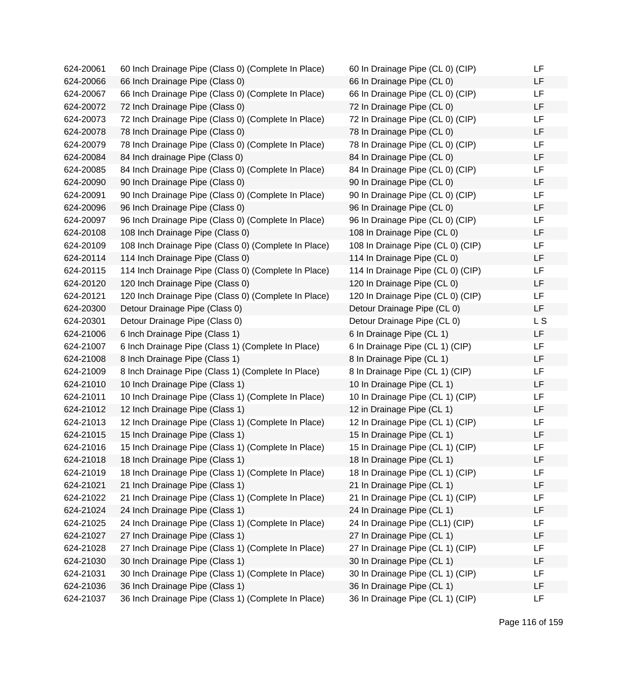| 624-20061 | 60 Inch Drainage Pipe (Class 0) (Complete In Place)  | 60 In Drainage Pipe (CL 0) (CIP)  | LF        |
|-----------|------------------------------------------------------|-----------------------------------|-----------|
| 624-20066 | 66 Inch Drainage Pipe (Class 0)                      | 66 In Drainage Pipe (CL 0)        | LF.       |
| 624-20067 | 66 Inch Drainage Pipe (Class 0) (Complete In Place)  | 66 In Drainage Pipe (CL 0) (CIP)  | LF        |
| 624-20072 | 72 Inch Drainage Pipe (Class 0)                      | 72 In Drainage Pipe (CL 0)        | LF        |
| 624-20073 | 72 Inch Drainage Pipe (Class 0) (Complete In Place)  | 72 In Drainage Pipe (CL 0) (CIP)  | LF        |
| 624-20078 | 78 Inch Drainage Pipe (Class 0)                      | 78 In Drainage Pipe (CL 0)        | LF        |
| 624-20079 | 78 Inch Drainage Pipe (Class 0) (Complete In Place)  | 78 In Drainage Pipe (CL 0) (CIP)  | LF.       |
| 624-20084 | 84 Inch drainage Pipe (Class 0)                      | 84 In Drainage Pipe (CL 0)        | LF.       |
| 624-20085 | 84 Inch Drainage Pipe (Class 0) (Complete In Place)  | 84 In Drainage Pipe (CL 0) (CIP)  | <b>LF</b> |
| 624-20090 | 90 Inch Drainage Pipe (Class 0)                      | 90 In Drainage Pipe (CL 0)        | LF        |
| 624-20091 | 90 Inch Drainage Pipe (Class 0) (Complete In Place)  | 90 In Drainage Pipe (CL 0) (CIP)  | LF        |
| 624-20096 | 96 Inch Drainage Pipe (Class 0)                      | 96 In Drainage Pipe (CL 0)        | LF        |
| 624-20097 | 96 Inch Drainage Pipe (Class 0) (Complete In Place)  | 96 In Drainage Pipe (CL 0) (CIP)  | LF        |
| 624-20108 | 108 Inch Drainage Pipe (Class 0)                     | 108 In Drainage Pipe (CL 0)       | LF        |
| 624-20109 | 108 Inch Drainage Pipe (Class 0) (Complete In Place) | 108 In Drainage Pipe (CL 0) (CIP) | LF        |
| 624-20114 | 114 Inch Drainage Pipe (Class 0)                     | 114 In Drainage Pipe (CL 0)       | LF        |
| 624-20115 | 114 Inch Drainage Pipe (Class 0) (Complete In Place) | 114 In Drainage Pipe (CL 0) (CIP) | LF.       |
| 624-20120 | 120 Inch Drainage Pipe (Class 0)                     | 120 In Drainage Pipe (CL 0)       | LF.       |
| 624-20121 | 120 Inch Drainage Pipe (Class 0) (Complete In Place) | 120 In Drainage Pipe (CL 0) (CIP) | LF        |
| 624-20300 | Detour Drainage Pipe (Class 0)                       | Detour Drainage Pipe (CL 0)       | LF        |
| 624-20301 | Detour Drainage Pipe (Class 0)                       | Detour Drainage Pipe (CL 0)       | L S       |
| 624-21006 | 6 Inch Drainage Pipe (Class 1)                       | 6 In Drainage Pipe (CL 1)         | LF        |
| 624-21007 | 6 Inch Drainage Pipe (Class 1) (Complete In Place)   | 6 In Drainage Pipe (CL 1) (CIP)   | LF        |
| 624-21008 | 8 Inch Drainage Pipe (Class 1)                       | 8 In Drainage Pipe (CL 1)         | LF        |
| 624-21009 | 8 Inch Drainage Pipe (Class 1) (Complete In Place)   | 8 In Drainage Pipe (CL 1) (CIP)   | LF        |
| 624-21010 | 10 Inch Drainage Pipe (Class 1)                      | 10 In Drainage Pipe (CL 1)        | LF        |
| 624-21011 | 10 Inch Drainage Pipe (Class 1) (Complete In Place)  | 10 In Drainage Pipe (CL 1) (CIP)  | LF.       |
| 624-21012 | 12 Inch Drainage Pipe (Class 1)                      | 12 in Drainage Pipe (CL 1)        | LF        |
| 624-21013 | 12 Inch Drainage Pipe (Class 1) (Complete In Place)  | 12 In Drainage Pipe (CL 1) (CIP)  | LF        |
| 624-21015 | 15 Inch Drainage Pipe (Class 1)                      | 15 In Drainage Pipe (CL 1)        | LF        |
| 624-21016 | 15 Inch Drainage Pipe (Class 1) (Complete In Place)  | 15 In Drainage Pipe (CL 1) (CIP)  | LF        |
| 624-21018 | 18 Inch Drainage Pipe (Class 1)                      | 18 In Drainage Pipe (CL 1)        | LF        |
| 624-21019 | 18 Inch Drainage Pipe (Class 1) (Complete In Place)  | 18 In Drainage Pipe (CL 1) (CIP)  | LF        |
| 624-21021 | 21 Inch Drainage Pipe (Class 1)                      | 21 In Drainage Pipe (CL 1)        | LF        |
| 624-21022 | 21 Inch Drainage Pipe (Class 1) (Complete In Place)  | 21 In Drainage Pipe (CL 1) (CIP)  | LF        |
| 624-21024 | 24 Inch Drainage Pipe (Class 1)                      | 24 In Drainage Pipe (CL 1)        | LF        |
| 624-21025 | 24 Inch Drainage Pipe (Class 1) (Complete In Place)  | 24 In Drainage Pipe (CL1) (CIP)   | LF        |
| 624-21027 | 27 Inch Drainage Pipe (Class 1)                      | 27 In Drainage Pipe (CL 1)        | LF        |
| 624-21028 | 27 Inch Drainage Pipe (Class 1) (Complete In Place)  | 27 In Drainage Pipe (CL 1) (CIP)  | LF        |
| 624-21030 | 30 Inch Drainage Pipe (Class 1)                      | 30 In Drainage Pipe (CL 1)        | LF        |
| 624-21031 | 30 Inch Drainage Pipe (Class 1) (Complete In Place)  | 30 In Drainage Pipe (CL 1) (CIP)  | LF        |
| 624-21036 | 36 Inch Drainage Pipe (Class 1)                      | 36 In Drainage Pipe (CL 1)        | LF        |
| 624-21037 | 36 Inch Drainage Pipe (Class 1) (Complete In Place)  | 36 In Drainage Pipe (CL 1) (CIP)  | LF        |

| 60 In Drainage Pipe (CL 0) (CIP)  | LF             |
|-----------------------------------|----------------|
| 66 In Drainage Pipe (CL 0)        | LF             |
| 66 In Drainage Pipe (CL 0) (CIP)  | LF             |
| 72 In Drainage Pipe (CL 0)        | LF             |
| 72 In Drainage Pipe (CL 0) (CIP)  | LF             |
| 78 In Drainage Pipe (CL 0)        | LF             |
| 78 In Drainage Pipe (CL 0) (CIP)  | LF             |
| 84 In Drainage Pipe (CL 0)        | LF             |
| 84 In Drainage Pipe (CL 0) (CIP)  | LF             |
| 90 In Drainage Pipe (CL 0)        | LF             |
| 90 In Drainage Pipe (CL 0) (CIP)  | LF             |
| 96 In Drainage Pipe (CL 0)        | LF             |
| 96 In Drainage Pipe (CL 0) (CIP)  | LF             |
| 108 In Drainage Pipe (CL 0)       | LF             |
| 108 In Drainage Pipe (CL 0) (CIP) | LF             |
| 114 In Drainage Pipe (CL 0)       | LF             |
| 114 In Drainage Pipe (CL 0) (CIP) | LF             |
| 120 In Drainage Pipe (CL 0)       | LF             |
| 120 In Drainage Pipe (CL 0) (CIP) | LF             |
| Detour Drainage Pipe (CL 0)       | LF             |
| Detour Drainage Pipe (CL 0)       | L <sub>S</sub> |
| 6 In Drainage Pipe (CL 1)         | LF             |
| 6 In Drainage Pipe (CL 1) (CIP)   | LF             |
| 8 In Drainage Pipe (CL 1)         | LF             |
| 8 In Drainage Pipe (CL 1) (CIP)   | LF             |
| 10 In Drainage Pipe (CL 1)        | LF             |
| 10 In Drainage Pipe (CL 1) (CIP)  | LF             |
| 12 in Drainage Pipe (CL 1)        | LF             |
| 12 In Drainage Pipe (CL 1) (CIP)  | LF             |
| 15 In Drainage Pipe (CL 1)        | LF             |
| 15 In Drainage Pipe (CL 1) (CIP)  | LF             |
| 18 In Drainage Pipe (CL 1)        | LF             |
| 18 In Drainage Pipe (CL 1) (CIP)  | LF             |
| 21 In Drainage Pipe (CL 1)        | LF             |
| 21 In Drainage Pipe (CL 1) (CIP)  | LF             |
| 24 In Drainage Pipe (CL 1)        | LF             |
| 24 In Drainage Pipe (CL1) (CIP)   | LF             |
| 27 In Drainage Pipe (CL 1)        | LF             |
| 27 In Drainage Pipe (CL 1) (CIP)  | LF             |
| 30 In Drainage Pipe (CL 1)        | LF             |
| 30 In Drainage Pipe (CL 1) (CIP)  | LF             |
| 36 In Drainage Pipe (CL 1)        | LF             |
| 36 In Drainage Pipe (CL 1) (CIP)  | LF             |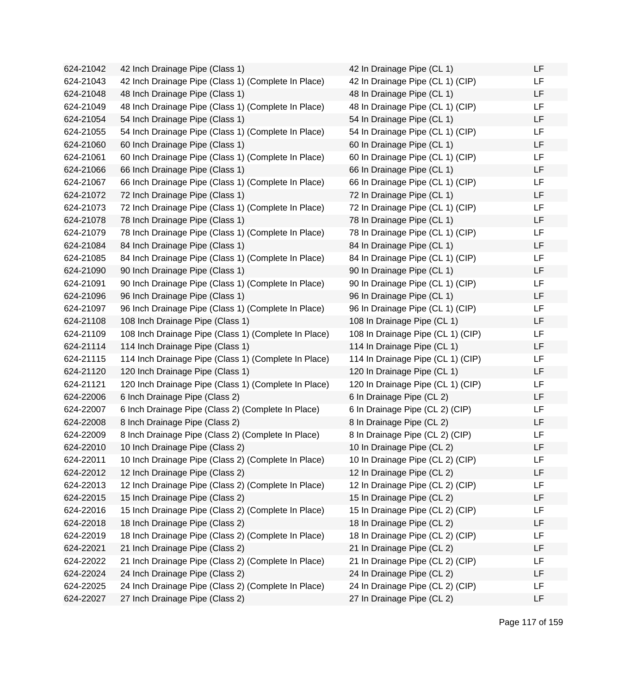624-21042 42 Inch Drainage Pipe (Class 1) 624-21043 42 Inch Drainage Pipe (Class 1) (Complete In Place) 624-21048 48 Inch Drainage Pipe (Class 1) 624-21049 48 Inch Drainage Pipe (Class 1) (Complete In Place) 624-21054 54 Inch Drainage Pipe (Class 1) 624-21055 54 Inch Drainage Pipe (Class 1) (Complete In Place) 624-21060 60 Inch Drainage Pipe (Class 1) 624-21061 60 Inch Drainage Pipe (Class 1) (Complete In Place) 624-21066 66 Inch Drainage Pipe (Class 1) 624-21067 66 Inch Drainage Pipe (Class 1) (Complete In Place) 624-21072 72 Inch Drainage Pipe (Class 1) 624-21073 72 Inch Drainage Pipe (Class 1) (Complete In Place) 624-21078 78 Inch Drainage Pipe (Class 1) 624-21079 78 Inch Drainage Pipe (Class 1) (Complete In Place) 624-21084 84 Inch Drainage Pipe (Class 1) 624-21085 84 Inch Drainage Pipe (Class 1) (Complete In Place) 624-21090 90 Inch Drainage Pipe (Class 1) 624-21091 90 Inch Drainage Pipe (Class 1) (Complete In Place) 624-21096 96 Inch Drainage Pipe (Class 1) 624-21097 96 Inch Drainage Pipe (Class 1) (Complete In Place) 624-21108 108 Inch Drainage Pipe (Class 1) 624-21109 108 Inch Drainage Pipe (Class 1) (Complete In Place) 624-21114 114 Inch Drainage Pipe (Class 1) 624-21115 114 Inch Drainage Pipe (Class 1) (Complete In Place) 624-21120 120 Inch Drainage Pipe (Class 1) 624-21121 120 Inch Drainage Pipe (Class 1) (Complete In Place) 624-22006 6 Inch Drainage Pipe (Class 2) 624-22007 6 Inch Drainage Pipe (Class 2) (Complete In Place) 624-22008 8 Inch Drainage Pipe (Class 2) 624-22009 8 Inch Drainage Pipe (Class 2) (Complete In Place) 624-22010 10 Inch Drainage Pipe (Class 2) 624-22011 10 Inch Drainage Pipe (Class 2) (Complete In Place) 624-22012 12 Inch Drainage Pipe (Class 2) 624-22013 12 Inch Drainage Pipe (Class 2) (Complete In Place) 624-22015 15 Inch Drainage Pipe (Class 2) 624-22016 15 Inch Drainage Pipe (Class 2) (Complete In Place) 624-22018 18 Inch Drainage Pipe (Class 2) 624-22019 18 Inch Drainage Pipe (Class 2) (Complete In Place) 624-22021 21 Inch Drainage Pipe (Class 2) 624-22022 21 Inch Drainage Pipe (Class 2) (Complete In Place) 624-22024 24 Inch Drainage Pipe (Class 2) 624-22025 24 Inch Drainage Pipe (Class 2) (Complete In Place) 624-22027 27 Inch Drainage Pipe (Class 2)

| 42 In Drainage Pipe (CL 1)        | LF |
|-----------------------------------|----|
| 42 In Drainage Pipe (CL 1) (CIP)  | LF |
| 48 In Drainage Pipe (CL 1)        | LF |
| 48 In Drainage Pipe (CL 1) (CIP)  | LF |
| 54 In Drainage Pipe (CL 1)        | LF |
| 54 In Drainage Pipe (CL 1) (CIP)  | LF |
| 60 In Drainage Pipe (CL 1)        | LF |
| 60 In Drainage Pipe (CL 1) (CIP)  | LF |
| 66 In Drainage Pipe (CL 1)        | LF |
| 66 In Drainage Pipe (CL 1) (CIP)  | LF |
| 72 In Drainage Pipe (CL 1)        | LF |
| 72 In Drainage Pipe (CL 1) (CIP)  | LF |
| 78 In Drainage Pipe (CL 1)        | LF |
| 78 In Drainage Pipe (CL 1) (CIP)  | LF |
| 84 In Drainage Pipe (CL 1)        | LF |
| 84 In Drainage Pipe (CL 1) (CIP)  | LF |
| 90 In Drainage Pipe (CL 1)        | LF |
| 90 In Drainage Pipe (CL 1) (CIP)  | LF |
| 96 In Drainage Pipe (CL 1)        | LF |
| 96 In Drainage Pipe (CL 1) (CIP)  | LF |
| 108 In Drainage Pipe (CL 1)       | LF |
| 108 In Drainage Pipe (CL 1) (CIP) | LF |
| 114 In Drainage Pipe (CL 1)       | LF |
| 114 In Drainage Pipe (CL 1) (CIP) | LF |
| 120 In Drainage Pipe (CL 1)       | LF |
| 120 In Drainage Pipe (CL 1) (CIP) | LF |
| 6 In Drainage Pipe (CL 2)         | LF |
| 6 In Drainage Pipe (CL 2) (CIP)   | LF |
| 8 In Drainage Pipe (CL 2)         | LF |
| 8 In Drainage Pipe (CL 2) (CIP)   | LF |
| 10 In Drainage Pipe (CL 2)        | LF |
| 10 In Drainage Pipe (CL 2) (CIP)  | ᄔ  |
| 12 In Drainage Pipe (CL 2)        | LF |
| 12 In Drainage Pipe (CL 2) (CIP)  | LF |
| 15 In Drainage Pipe (CL 2)        | LF |
| 15 In Drainage Pipe (CL 2) (CIP)  | LF |
| 18 In Drainage Pipe (CL 2)        | LF |
| 18 In Drainage Pipe (CL 2) (CIP)  | LF |
| 21 In Drainage Pipe (CL 2)        | LF |
| 21 In Drainage Pipe (CL 2) (CIP)  | LF |
| 24 In Drainage Pipe (CL 2)        | LF |
| 24 In Drainage Pipe (CL 2) (CIP)  | LF |
| 27 In Drainage Pipe (CL 2)        | LF |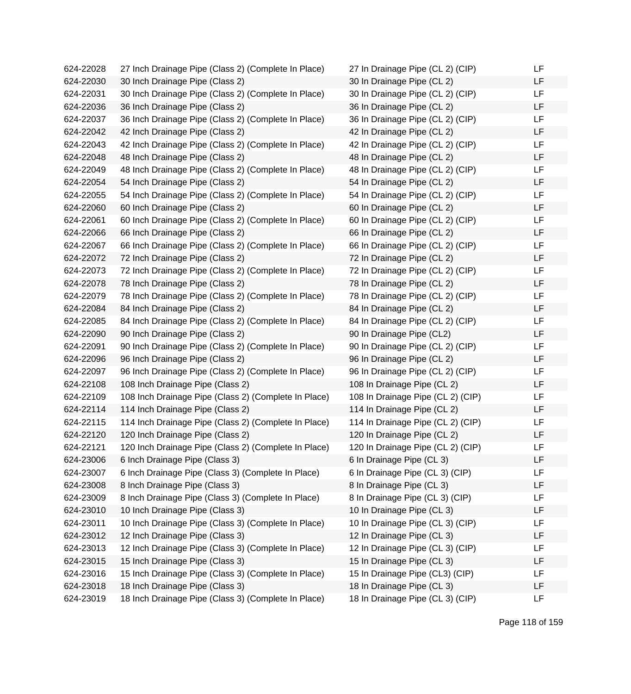624-22028 27 Inch Drainage Pipe (Class 2) (Complete In Place) 624-22030 30 Inch Drainage Pipe (Class 2) 624-22031 30 Inch Drainage Pipe (Class 2) (Complete In Place) 624-22036 36 Inch Drainage Pipe (Class 2) 624-22037 36 Inch Drainage Pipe (Class 2) (Complete In Place) 624-22042 42 Inch Drainage Pipe (Class 2) 624-22043 42 Inch Drainage Pipe (Class 2) (Complete In Place) 624-22048 48 Inch Drainage Pipe (Class 2) 624-22049 48 Inch Drainage Pipe (Class 2) (Complete In Place) 624-22054 54 Inch Drainage Pipe (Class 2) 624-22055 54 Inch Drainage Pipe (Class 2) (Complete In Place) 624-22060 60 Inch Drainage Pipe (Class 2) 624-22061 60 Inch Drainage Pipe (Class 2) (Complete In Place) 624-22066 66 Inch Drainage Pipe (Class 2) 624-22067 66 Inch Drainage Pipe (Class 2) (Complete In Place) 624-22072 72 Inch Drainage Pipe (Class 2) 624-22073 72 Inch Drainage Pipe (Class 2) (Complete In Place) 624-22078 78 Inch Drainage Pipe (Class 2) 624-22079 78 Inch Drainage Pipe (Class 2) (Complete In Place) 624-22084 84 Inch Drainage Pipe (Class 2) 624-22085 84 Inch Drainage Pipe (Class 2) (Complete In Place) 624-22090 90 Inch Drainage Pipe (Class 2) 624-22091 90 Inch Drainage Pipe (Class 2) (Complete In Place) 624-22096 96 Inch Drainage Pipe (Class 2) 624-22097 96 Inch Drainage Pipe (Class 2) (Complete In Place) 624-22108 108 Inch Drainage Pipe (Class 2) 624-22109 108 Inch Drainage Pipe (Class 2) (Complete In Place) 624-22114 114 Inch Drainage Pipe (Class 2) 624-22115 114 Inch Drainage Pipe (Class 2) (Complete In Place) 624-22120 120 Inch Drainage Pipe (Class 2) 624-22121 120 Inch Drainage Pipe (Class 2) (Complete In Place)  $624-23006$  6 Inch Drainage Pipe (Class 3) 624-23007 6 Inch Drainage Pipe (Class 3) (Complete In Place) 624-23008 8 Inch Drainage Pipe (Class 3) 624-23009 8 Inch Drainage Pipe (Class 3) (Complete In Place) 624-23010 10 Inch Drainage Pipe (Class 3) 624-23011 10 Inch Drainage Pipe (Class 3) (Complete In Place) 624-23012 12 Inch Drainage Pipe (Class 3) 624-23013 12 Inch Drainage Pipe (Class 3) (Complete In Place) 624-23015 15 Inch Drainage Pipe (Class 3) 624-23016 15 Inch Drainage Pipe (Class 3) (Complete In Place) 624-23018 18 Inch Drainage Pipe (Class 3) 624-23019 18 Inch Drainage Pipe (Class 3) (Complete In Place)

| 27 In Drainage Pipe (CL 2) (CIP)  | LF |
|-----------------------------------|----|
| 30 In Drainage Pipe (CL 2)        | LF |
| 30 In Drainage Pipe (CL 2) (CIP)  | LF |
| 36 In Drainage Pipe (CL 2)        | LF |
| 36 In Drainage Pipe (CL 2) (CIP)  | LF |
| 42 In Drainage Pipe (CL 2)        | LF |
| 42 In Drainage Pipe (CL 2) (CIP)  | LF |
| 48 In Drainage Pipe (CL 2)        | LF |
| 48 In Drainage Pipe (CL 2) (CIP)  | LF |
| 54 In Drainage Pipe (CL 2)        | LF |
| 54 In Drainage Pipe (CL 2) (CIP)  | LF |
| 60 In Drainage Pipe (CL 2)        | LF |
| 60 In Drainage Pipe (CL 2) (CIP)  | LF |
| 66 In Drainage Pipe (CL 2)        | LF |
| 66 In Drainage Pipe (CL 2) (CIP)  | LF |
| 72 In Drainage Pipe (CL 2)        | LF |
| 72 In Drainage Pipe (CL 2) (CIP)  | LF |
| 78 In Drainage Pipe (CL 2)        | LF |
| 78 In Drainage Pipe (CL 2) (CIP)  | LF |
| 84 In Drainage Pipe (CL 2)        | LF |
| 84 In Drainage Pipe (CL 2) (CIP)  | LF |
| 90 In Drainage Pipe (CL2)         | LF |
| 90 In Drainage Pipe (CL 2) (CIP)  | LF |
| 96 In Drainage Pipe (CL 2)        | LF |
| 96 In Drainage Pipe (CL 2) (CIP)  | LF |
| 108 In Drainage Pipe (CL 2)       | LF |
| 108 In Drainage Pipe (CL 2) (CIP) | LF |
| 114 In Drainage Pipe (CL 2)       | LF |
| 114 In Drainage Pipe (CL 2) (CIP) | LF |
| 120 In Drainage Pipe (CL 2)       | LF |
| 120 In Drainage Pipe (CL 2) (CIP) | LF |
| 6 In Drainage Pipe (CL 3)         | LF |
| 6 In Drainage Pipe (CL 3) (CIP)   | LF |
| 8 In Drainage Pipe (CL 3)         | LF |
| 8 In Drainage Pipe (CL 3) (CIP)   | LF |
| 10 In Drainage Pipe (CL 3)        | LF |
| 10 In Drainage Pipe (CL 3) (CIP)  | LF |
| 12 In Drainage Pipe (CL 3)        | LF |
| 12 In Drainage Pipe (CL 3) (CIP)  | LF |
| 15 In Drainage Pipe (CL 3)        | LF |
| 15 In Drainage Pipe (CL3) (CIP)   | LF |
| 18 In Drainage Pipe (CL 3)        | LF |
| 18 In Drainage Pipe (CL 3) (CIP)  | LF |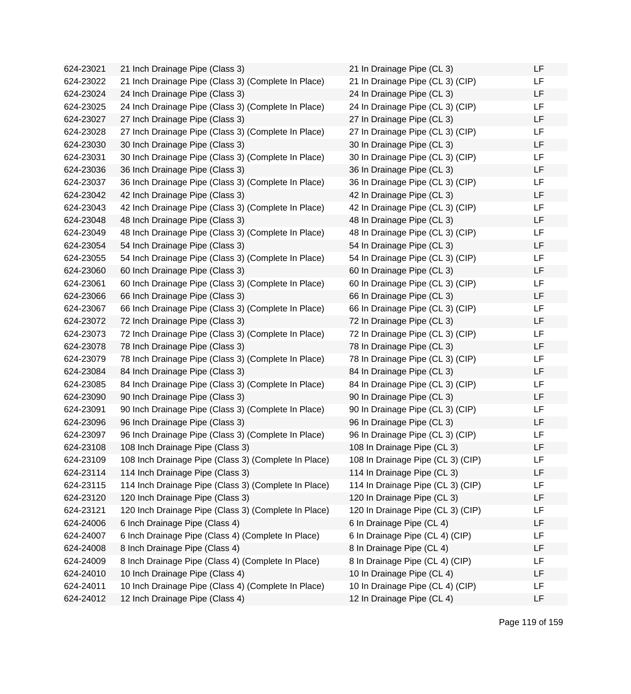624-23021 21 Inch Drainage Pipe (Class 3) 624-23022 21 Inch Drainage Pipe (Class 3) (Complete In Place) 624-23024 24 Inch Drainage Pipe (Class 3) 624-23025 24 Inch Drainage Pipe (Class 3) (Complete In Place) 624-23027 27 Inch Drainage Pipe (Class 3) 624-23028 27 Inch Drainage Pipe (Class 3) (Complete In Place) 624-23030 30 Inch Drainage Pipe (Class 3) 624-23031 30 Inch Drainage Pipe (Class 3) (Complete In Place) 624-23036 36 Inch Drainage Pipe (Class 3) 624-23037 36 Inch Drainage Pipe (Class 3) (Complete In Place) 624-23042 42 Inch Drainage Pipe (Class 3) 624-23043 42 Inch Drainage Pipe (Class 3) (Complete In Place) 624-23048 48 Inch Drainage Pipe (Class 3) 624-23049 48 Inch Drainage Pipe (Class 3) (Complete In Place) 624-23054 54 Inch Drainage Pipe (Class 3) 624-23055 54 Inch Drainage Pipe (Class 3) (Complete In Place) 624-23060 60 Inch Drainage Pipe (Class 3) 624-23061 60 Inch Drainage Pipe (Class 3) (Complete In Place) 624-23066 66 Inch Drainage Pipe (Class 3) 624-23067 66 Inch Drainage Pipe (Class 3) (Complete In Place) 624-23072 72 Inch Drainage Pipe (Class 3) 624-23073 72 Inch Drainage Pipe (Class 3) (Complete In Place) 624-23078 78 Inch Drainage Pipe (Class 3) 624-23079 78 Inch Drainage Pipe (Class 3) (Complete In Place) 624-23084 84 Inch Drainage Pipe (Class 3) 624-23085 84 Inch Drainage Pipe (Class 3) (Complete In Place) 624-23090 90 Inch Drainage Pipe (Class 3) 624-23091 90 Inch Drainage Pipe (Class 3) (Complete In Place) 624-23096 96 Inch Drainage Pipe (Class 3) 624-23097 96 Inch Drainage Pipe (Class 3) (Complete In Place) 624-23108 108 Inch Drainage Pipe (Class 3) 624-23109 108 Inch Drainage Pipe (Class 3) (Complete In Place) 624-23114 114 Inch Drainage Pipe (Class 3) 624-23115 114 Inch Drainage Pipe (Class 3) (Complete In Place) 624-23120 120 Inch Drainage Pipe (Class 3) 624-23121 120 Inch Drainage Pipe (Class 3) (Complete In Place) 624-24006 6 Inch Drainage Pipe (Class 4) 624-24007 6 Inch Drainage Pipe (Class 4) (Complete In Place) 624-24008 8 Inch Drainage Pipe (Class 4) 624-24009 8 Inch Drainage Pipe (Class 4) (Complete In Place) 624-24010 10 Inch Drainage Pipe (Class 4) 624-24011 10 Inch Drainage Pipe (Class 4) (Complete In Place) 624-24012 12 Inch Drainage Pipe (Class 4)

| 21 In Drainage Pipe (CL 3)        | LF |
|-----------------------------------|----|
| 21 In Drainage Pipe (CL 3) (CIP)  | LF |
| 24 In Drainage Pipe (CL 3)        | LF |
| 24 In Drainage Pipe (CL 3) (CIP)  | LF |
| 27 In Drainage Pipe (CL 3)        | LF |
| 27 In Drainage Pipe (CL 3) (CIP)  | LF |
| 30 In Drainage Pipe (CL 3)        | LF |
| 30 In Drainage Pipe (CL 3) (CIP)  | LF |
| 36 In Drainage Pipe (CL 3)        | LF |
| 36 In Drainage Pipe (CL 3) (CIP)  | LF |
| 42 In Drainage Pipe (CL 3)        | LF |
| 42 In Drainage Pipe (CL 3) (CIP)  | LF |
| 48 In Drainage Pipe (CL 3)        | LF |
| 48 In Drainage Pipe (CL 3) (CIP)  | LF |
| 54 In Drainage Pipe (CL 3)        | LF |
| 54 In Drainage Pipe (CL 3) (CIP)  | LF |
| 60 In Drainage Pipe (CL 3)        | LF |
| 60 In Drainage Pipe (CL 3) (CIP)  | LF |
| 66 In Drainage Pipe (CL 3)        | LF |
| 66 In Drainage Pipe (CL 3) (CIP)  | LF |
| 72 In Drainage Pipe (CL 3)        | LF |
| 72 In Drainage Pipe (CL 3) (CIP)  | LF |
| 78 In Drainage Pipe (CL 3)        | LF |
| 78 In Drainage Pipe (CL 3) (CIP)  | LF |
| 84 In Drainage Pipe (CL 3)        | LF |
| 84 In Drainage Pipe (CL 3) (CIP)  | LF |
| 90 In Drainage Pipe (CL 3)        | LF |
| 90 In Drainage Pipe (CL 3) (CIP)  | LF |
| 96 In Drainage Pipe (CL 3)        | LF |
| 96 In Drainage Pipe (CL 3) (CIP)  | LF |
| 108 In Drainage Pipe (CL 3)       | LF |
| 108 In Drainage Pipe (CL 3) (CIP) | LF |
| 114 In Drainage Pipe (CL 3)       | LF |
| 114 In Drainage Pipe (CL 3) (CIP) | LF |
| 120 In Drainage Pipe (CL 3)       | LF |
| 120 In Drainage Pipe (CL 3) (CIP) | LF |
| 6 In Drainage Pipe (CL 4)         | LF |
| 6 In Drainage Pipe (CL 4) (CIP)   | LF |
| 8 In Drainage Pipe (CL 4)         | LF |
| 8 In Drainage Pipe (CL 4) (CIP)   | LF |
| 10 In Drainage Pipe (CL 4)        | LF |
| 10 In Drainage Pipe (CL 4) (CIP)  | LF |
| 12 In Drainage Pipe (CL 4)        | LF |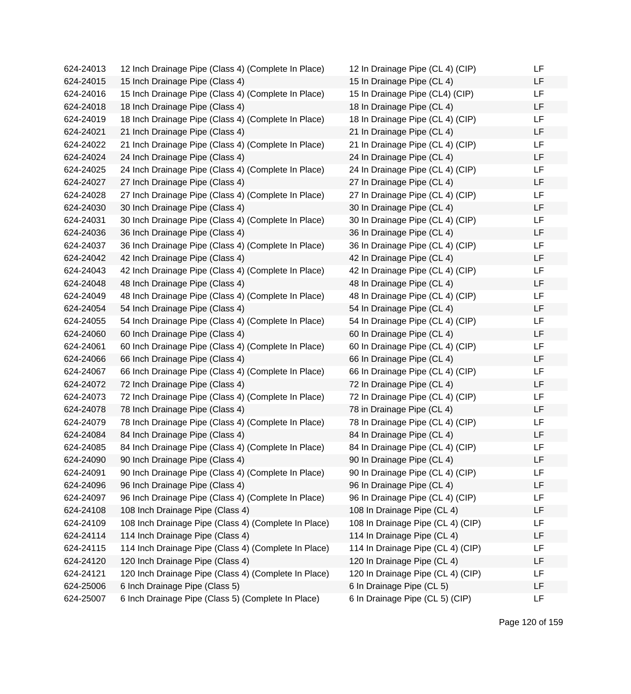624-24013 12 Inch Drainage Pipe (Class 4) (Complete In Place) 624-24015 15 Inch Drainage Pipe (Class 4) 624-24016 15 Inch Drainage Pipe (Class 4) (Complete In Place) 624-24018 18 Inch Drainage Pipe (Class 4) 624-24019 18 Inch Drainage Pipe (Class 4) (Complete In Place)  $624-24021$  21 Inch Drainage Pipe (Class 4) 624-24022 21 Inch Drainage Pipe (Class 4) (Complete In Place)  $624-24024$  24 Inch Drainage Pipe (Class 4) 624-24025 24 Inch Drainage Pipe (Class 4) (Complete In Place) 624-24027 27 Inch Drainage Pipe (Class 4) 624-24028 27 Inch Drainage Pipe (Class 4) (Complete In Place) 624-24030 30 Inch Drainage Pipe (Class 4) 624-24031 30 Inch Drainage Pipe (Class 4) (Complete In Place) 624-24036 36 Inch Drainage Pipe (Class 4) 624-24037 36 Inch Drainage Pipe (Class 4) (Complete In Place) 624-24042 42 Inch Drainage Pipe (Class 4) 624-24043 42 Inch Drainage Pipe (Class 4) (Complete In Place) 624-24048 48 Inch Drainage Pipe (Class 4) 624-24049 48 Inch Drainage Pipe (Class 4) (Complete In Place) 624-24054 54 Inch Drainage Pipe (Class 4) 624-24055 54 Inch Drainage Pipe (Class 4) (Complete In Place) 624-24060 60 Inch Drainage Pipe (Class 4) 624-24061 60 Inch Drainage Pipe (Class 4) (Complete In Place) 624-24066 66 Inch Drainage Pipe (Class 4) 624-24067 66 Inch Drainage Pipe (Class 4) (Complete In Place) 624-24072 72 Inch Drainage Pipe (Class 4) 624-24073 72 Inch Drainage Pipe (Class 4) (Complete In Place) 624-24078 78 Inch Drainage Pipe (Class 4) 624-24079 78 Inch Drainage Pipe (Class 4) (Complete In Place)  $624-24084$  84 Inch Drainage Pipe (Class 4) 624-24085 84 Inch Drainage Pipe (Class 4) (Complete In Place)  $624-24090$  90 Inch Drainage Pipe (Class 4) 624-24091 90 Inch Drainage Pipe (Class 4) (Complete In Place) 624-24096 96 Inch Drainage Pipe (Class 4) 624-24097 96 Inch Drainage Pipe (Class 4) (Complete In Place) 624-24108 108 Inch Drainage Pipe (Class 4) 624-24109 108 Inch Drainage Pipe (Class 4) (Complete In Place) 624-24114 114 Inch Drainage Pipe (Class 4) 624-24115 114 Inch Drainage Pipe (Class 4) (Complete In Place) 624-24120 120 Inch Drainage Pipe (Class 4) 624-24121 120 Inch Drainage Pipe (Class 4) (Complete In Place) 624-25006 6 Inch Drainage Pipe (Class 5) 624-25007 6 Inch Drainage Pipe (Class 5) (Complete In Place)

| 12 In Drainage Pipe (CL 4) (CIP)  | LF |
|-----------------------------------|----|
| 15 In Drainage Pipe (CL 4)        | LF |
| 15 In Drainage Pipe (CL4) (CIP)   | LF |
| 18 In Drainage Pipe (CL 4)        | LF |
| 18 In Drainage Pipe (CL 4) (CIP)  | LF |
| 21 In Drainage Pipe (CL 4)        | LF |
| 21 In Drainage Pipe (CL 4) (CIP)  | LF |
| 24 In Drainage Pipe (CL 4)        | LF |
| 24 In Drainage Pipe (CL 4) (CIP)  | LF |
| 27 In Drainage Pipe (CL 4)        | LF |
| 27 In Drainage Pipe (CL 4) (CIP)  | LF |
| 30 In Drainage Pipe (CL 4)        | LF |
| 30 In Drainage Pipe (CL 4) (CIP)  | LF |
| 36 In Drainage Pipe (CL 4)        | LF |
| 36 In Drainage Pipe (CL 4) (CIP)  | LF |
| 42 In Drainage Pipe (CL 4)        | LF |
| 42 In Drainage Pipe (CL 4) (CIP)  | LF |
| 48 In Drainage Pipe (CL 4)        | LF |
| 48 In Drainage Pipe (CL 4) (CIP)  | LF |
| 54 In Drainage Pipe (CL 4)        | LF |
| 54 In Drainage Pipe (CL 4) (CIP)  | LF |
| 60 In Drainage Pipe (CL 4)        | LF |
| 60 In Drainage Pipe (CL 4) (CIP)  | LF |
| 66 In Drainage Pipe (CL 4)        | LF |
| 66 In Drainage Pipe (CL 4) (CIP)  | LF |
| 72 In Drainage Pipe (CL 4)        | LF |
| 72 In Drainage Pipe (CL 4) (CIP)  | LF |
| 78 in Drainage Pipe (CL 4)        | LF |
| 78 In Drainage Pipe (CL 4) (CIP)  | LF |
| 84 In Drainage Pipe (CL 4)        | LF |
| 84 In Drainage Pipe (CL 4) (CIP)  | LF |
| 90 In Drainage Pipe (CL 4)        | ᄔ  |
| 90 In Drainage Pipe (CL 4) (CIP)  | LF |
| 96 In Drainage Pipe (CL 4)        | LF |
| 96 In Drainage Pipe (CL 4) (CIP)  | LF |
| 108 In Drainage Pipe (CL 4)       | LF |
| 108 In Drainage Pipe (CL 4) (CIP) | LF |
| 114 In Drainage Pipe (CL 4)       | LF |
| 114 In Drainage Pipe (CL 4) (CIP) | LF |
| 120 In Drainage Pipe (CL 4)       | LF |
| 120 In Drainage Pipe (CL 4) (CIP) | LF |
| 6 In Drainage Pipe (CL 5)         | LF |
| 6 In Drainage Pipe (CL 5) (CIP)   | LF |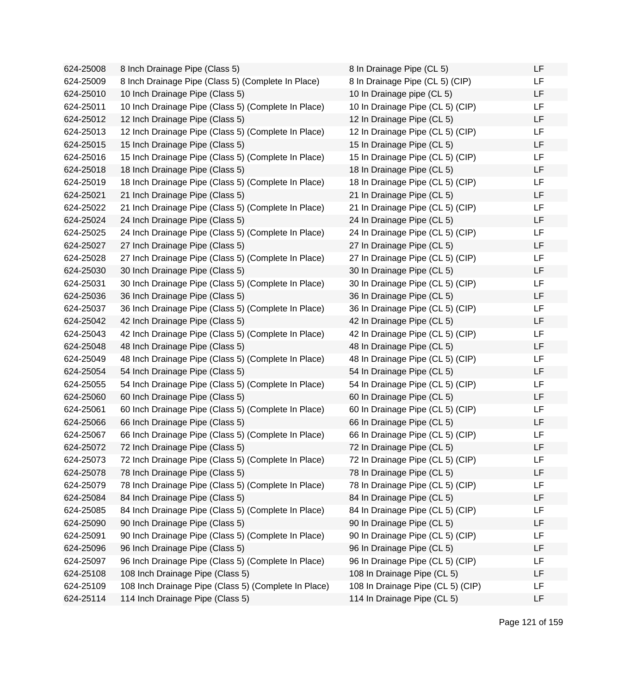| 624-25008 | 8 Inch Drainage Pipe (Class 5)                       | 8 In Drainage Pipe (CL 5)         | LF |
|-----------|------------------------------------------------------|-----------------------------------|----|
| 624-25009 | 8 Inch Drainage Pipe (Class 5) (Complete In Place)   | 8 In Drainage Pipe (CL 5) (CIP)   | LF |
| 624-25010 | 10 Inch Drainage Pipe (Class 5)                      | 10 In Drainage pipe (CL 5)        | LF |
| 624-25011 | 10 Inch Drainage Pipe (Class 5) (Complete In Place)  | 10 In Drainage Pipe (CL 5) (CIP)  | LF |
| 624-25012 | 12 Inch Drainage Pipe (Class 5)                      | 12 In Drainage Pipe (CL 5)        | LF |
| 624-25013 | 12 Inch Drainage Pipe (Class 5) (Complete In Place)  | 12 In Drainage Pipe (CL 5) (CIP)  | LF |
| 624-25015 | 15 Inch Drainage Pipe (Class 5)                      | 15 In Drainage Pipe (CL 5)        | LF |
| 624-25016 | 15 Inch Drainage Pipe (Class 5) (Complete In Place)  | 15 In Drainage Pipe (CL 5) (CIP)  | LF |
| 624-25018 | 18 Inch Drainage Pipe (Class 5)                      | 18 In Drainage Pipe (CL 5)        | LF |
| 624-25019 | 18 Inch Drainage Pipe (Class 5) (Complete In Place)  | 18 In Drainage Pipe (CL 5) (CIP)  | LF |
| 624-25021 | 21 Inch Drainage Pipe (Class 5)                      | 21 In Drainage Pipe (CL 5)        | LF |
| 624-25022 | 21 Inch Drainage Pipe (Class 5) (Complete In Place)  | 21 In Drainage Pipe (CL 5) (CIP)  | LF |
| 624-25024 | 24 Inch Drainage Pipe (Class 5)                      | 24 In Drainage Pipe (CL 5)        | LF |
| 624-25025 | 24 Inch Drainage Pipe (Class 5) (Complete In Place)  | 24 In Drainage Pipe (CL 5) (CIP)  | LF |
| 624-25027 | 27 Inch Drainage Pipe (Class 5)                      | 27 In Drainage Pipe (CL 5)        | LF |
| 624-25028 | 27 Inch Drainage Pipe (Class 5) (Complete In Place)  | 27 In Drainage Pipe (CL 5) (CIP)  | LF |
| 624-25030 | 30 Inch Drainage Pipe (Class 5)                      | 30 In Drainage Pipe (CL 5)        | LF |
| 624-25031 | 30 Inch Drainage Pipe (Class 5) (Complete In Place)  | 30 In Drainage Pipe (CL 5) (CIP)  | LF |
| 624-25036 | 36 Inch Drainage Pipe (Class 5)                      | 36 In Drainage Pipe (CL 5)        | LF |
| 624-25037 | 36 Inch Drainage Pipe (Class 5) (Complete In Place)  | 36 In Drainage Pipe (CL 5) (CIP)  | LF |
| 624-25042 | 42 Inch Drainage Pipe (Class 5)                      | 42 In Drainage Pipe (CL 5)        | LF |
| 624-25043 | 42 Inch Drainage Pipe (Class 5) (Complete In Place)  | 42 In Drainage Pipe (CL 5) (CIP)  | LF |
| 624-25048 | 48 Inch Drainage Pipe (Class 5)                      | 48 In Drainage Pipe (CL 5)        | LF |
| 624-25049 | 48 Inch Drainage Pipe (Class 5) (Complete In Place)  | 48 In Drainage Pipe (CL 5) (CIP)  | LF |
| 624-25054 | 54 Inch Drainage Pipe (Class 5)                      | 54 In Drainage Pipe (CL 5)        | LF |
| 624-25055 | 54 Inch Drainage Pipe (Class 5) (Complete In Place)  | 54 In Drainage Pipe (CL 5) (CIP)  | LF |
| 624-25060 | 60 Inch Drainage Pipe (Class 5)                      | 60 In Drainage Pipe (CL 5)        | LF |
| 624-25061 | 60 Inch Drainage Pipe (Class 5) (Complete In Place)  | 60 In Drainage Pipe (CL 5) (CIP)  | LF |
| 624-25066 | 66 Inch Drainage Pipe (Class 5)                      | 66 In Drainage Pipe (CL 5)        | LF |
| 624-25067 | 66 Inch Drainage Pipe (Class 5) (Complete In Place)  | 66 In Drainage Pipe (CL 5) (CIP)  | LF |
| 624-25072 | 72 Inch Drainage Pipe (Class 5)                      | 72 In Drainage Pipe (CL 5)        | LF |
| 624-25073 | 72 Inch Drainage Pipe (Class 5) (Complete In Place)  | 72 In Drainage Pipe (CL 5) (CIP)  | LF |
| 624-25078 | 78 Inch Drainage Pipe (Class 5)                      | 78 In Drainage Pipe (CL 5)        | LF |
| 624-25079 | 78 Inch Drainage Pipe (Class 5) (Complete In Place)  | 78 In Drainage Pipe (CL 5) (CIP)  | LF |
| 624-25084 | 84 Inch Drainage Pipe (Class 5)                      | 84 In Drainage Pipe (CL 5)        | LF |
| 624-25085 | 84 Inch Drainage Pipe (Class 5) (Complete In Place)  | 84 In Drainage Pipe (CL 5) (CIP)  | LF |
| 624-25090 | 90 Inch Drainage Pipe (Class 5)                      | 90 In Drainage Pipe (CL 5)        | LF |
| 624-25091 | 90 Inch Drainage Pipe (Class 5) (Complete In Place)  | 90 In Drainage Pipe (CL 5) (CIP)  | LF |
| 624-25096 | 96 Inch Drainage Pipe (Class 5)                      | 96 In Drainage Pipe (CL 5)        | LF |
| 624-25097 | 96 Inch Drainage Pipe (Class 5) (Complete In Place)  | 96 In Drainage Pipe (CL 5) (CIP)  | LF |
| 624-25108 | 108 Inch Drainage Pipe (Class 5)                     | 108 In Drainage Pipe (CL 5)       | LF |
| 624-25109 | 108 Inch Drainage Pipe (Class 5) (Complete In Place) | 108 In Drainage Pipe (CL 5) (CIP) | LF |
| 624-25114 | 114 Inch Drainage Pipe (Class 5)                     | 114 In Drainage Pipe (CL 5)       | LF |

| 8 In Drainage Pipe (CL 5)         | LF |
|-----------------------------------|----|
| 8 In Drainage Pipe (CL 5) (CIP)   | LF |
| 10 In Drainage pipe (CL 5)        | LF |
| 10 In Drainage Pipe (CL 5) (CIP)  | LF |
| 12 In Drainage Pipe (CL 5)        | LF |
| 12 In Drainage Pipe (CL 5) (CIP)  | LF |
| 15 In Drainage Pipe (CL 5)        | LF |
| 15 In Drainage Pipe (CL 5) (CIP)  | LF |
| 18 In Drainage Pipe (CL 5)        | LF |
| 18 In Drainage Pipe (CL 5) (CIP)  | LF |
| 21 In Drainage Pipe (CL 5)        | LF |
| 21 In Drainage Pipe (CL 5) (CIP)  | LF |
| 24 In Drainage Pipe (CL 5)        | LF |
| 24 In Drainage Pipe (CL 5) (CIP)  | LF |
| 27 In Drainage Pipe (CL 5)        | LF |
| 27 In Drainage Pipe (CL 5) (CIP)  | LF |
| 30 In Drainage Pipe (CL 5)        | LF |
| 30 In Drainage Pipe (CL 5) (CIP)  | LF |
| 36 In Drainage Pipe (CL 5)        | LF |
| 36 In Drainage Pipe (CL 5) (CIP)  | LF |
| 42 In Drainage Pipe (CL 5)        | LF |
| 42 In Drainage Pipe (CL 5) (CIP)  | LF |
| 48 In Drainage Pipe (CL 5)        | LF |
| 48 In Drainage Pipe (CL 5) (CIP)  | LF |
| 54 In Drainage Pipe (CL 5)        | LF |
| 54 In Drainage Pipe (CL 5) (CIP)  | LF |
| 60 In Drainage Pipe (CL 5)        | LF |
| 60 In Drainage Pipe (CL 5) (CIP)  | LF |
| 66 In Drainage Pipe (CL 5)        | LF |
| 66 In Drainage Pipe (CL 5) (CIP)  | LF |
| 72 In Drainage Pipe (CL 5)        | LF |
| 72 In Drainage Pipe (CL 5) (CIP)  | LF |
| 78 In Drainage Pipe (CL 5)        | LF |
| 78 In Drainage Pipe (CL 5) (CIP)  | LF |
| 84 In Drainage Pipe (CL 5)        | LF |
| 84 In Drainage Pipe (CL 5) (CIP)  | LF |
| 90 In Drainage Pipe (CL 5)        | LF |
| 90 In Drainage Pipe (CL 5) (CIP)  | LF |
| 96 In Drainage Pipe (CL 5)        | LF |
| 96 In Drainage Pipe (CL 5) (CIP)  | LF |
| 108 In Drainage Pipe (CL 5)       | LF |
| 108 In Drainage Pipe (CL 5) (CIP) | LF |
| 114 In Drainage Pipe (CL 5)       | LF |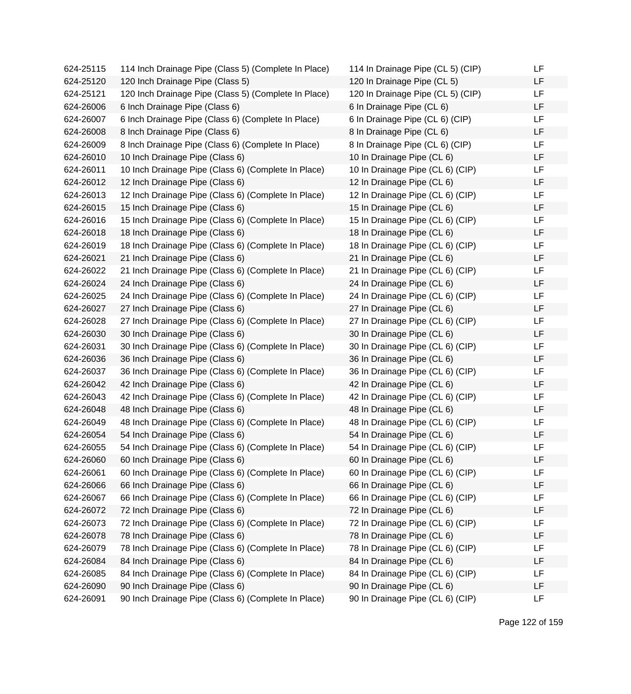| 624-25115 | 114 Inch Drainage Pipe (Class 5) (Complete In Place) | 114 In Drainage Pipe (CL 5) (CIP) | LF        |
|-----------|------------------------------------------------------|-----------------------------------|-----------|
| 624-25120 | 120 Inch Drainage Pipe (Class 5)                     | 120 In Drainage Pipe (CL 5)       | LF        |
| 624-25121 | 120 Inch Drainage Pipe (Class 5) (Complete In Place) | 120 In Drainage Pipe (CL 5) (CIP) | <b>LF</b> |
| 624-26006 | 6 Inch Drainage Pipe (Class 6)                       | 6 In Drainage Pipe (CL 6)         | <b>LF</b> |
| 624-26007 | 6 Inch Drainage Pipe (Class 6) (Complete In Place)   | 6 In Drainage Pipe (CL 6) (CIP)   | <b>LF</b> |
| 624-26008 | 8 Inch Drainage Pipe (Class 6)                       | 8 In Drainage Pipe (CL 6)         | LF        |
| 624-26009 | 8 Inch Drainage Pipe (Class 6) (Complete In Place)   | 8 In Drainage Pipe (CL 6) (CIP)   | LF        |
| 624-26010 | 10 Inch Drainage Pipe (Class 6)                      | 10 In Drainage Pipe (CL 6)        | LF        |
| 624-26011 | 10 Inch Drainage Pipe (Class 6) (Complete In Place)  | 10 In Drainage Pipe (CL 6) (CIP)  | <b>LF</b> |
| 624-26012 | 12 Inch Drainage Pipe (Class 6)                      | 12 In Drainage Pipe (CL 6)        | LF        |
| 624-26013 | 12 Inch Drainage Pipe (Class 6) (Complete In Place)  | 12 In Drainage Pipe (CL 6) (CIP)  | LF        |
| 624-26015 | 15 Inch Drainage Pipe (Class 6)                      | 15 In Drainage Pipe (CL 6)        | LF        |
| 624-26016 | 15 Inch Drainage Pipe (Class 6) (Complete In Place)  | 15 In Drainage Pipe (CL 6) (CIP)  | <b>LF</b> |
| 624-26018 | 18 Inch Drainage Pipe (Class 6)                      | 18 In Drainage Pipe (CL 6)        | LF        |
| 624-26019 | 18 Inch Drainage Pipe (Class 6) (Complete In Place)  | 18 In Drainage Pipe (CL 6) (CIP)  | LF        |
| 624-26021 | 21 Inch Drainage Pipe (Class 6)                      | 21 In Drainage Pipe (CL 6)        | LF        |
| 624-26022 | 21 Inch Drainage Pipe (Class 6) (Complete In Place)  | 21 In Drainage Pipe (CL 6) (CIP)  | LF        |
| 624-26024 | 24 Inch Drainage Pipe (Class 6)                      | 24 In Drainage Pipe (CL 6)        | LF        |
| 624-26025 | 24 Inch Drainage Pipe (Class 6) (Complete In Place)  | 24 In Drainage Pipe (CL 6) (CIP)  | LF        |
| 624-26027 | 27 Inch Drainage Pipe (Class 6)                      | 27 In Drainage Pipe (CL 6)        | LF        |
| 624-26028 | 27 Inch Drainage Pipe (Class 6) (Complete In Place)  | 27 In Drainage Pipe (CL 6) (CIP)  | LF        |
| 624-26030 | 30 Inch Drainage Pipe (Class 6)                      | 30 In Drainage Pipe (CL 6)        | LF        |
| 624-26031 | 30 Inch Drainage Pipe (Class 6) (Complete In Place)  | 30 In Drainage Pipe (CL 6) (CIP)  | LF        |
| 624-26036 | 36 Inch Drainage Pipe (Class 6)                      | 36 In Drainage Pipe (CL 6)        | LF        |
| 624-26037 | 36 Inch Drainage Pipe (Class 6) (Complete In Place)  | 36 In Drainage Pipe (CL 6) (CIP)  | LF        |
| 624-26042 | 42 Inch Drainage Pipe (Class 6)                      | 42 In Drainage Pipe (CL 6)        | <b>LF</b> |
| 624-26043 | 42 Inch Drainage Pipe (Class 6) (Complete In Place)  | 42 In Drainage Pipe (CL 6) (CIP)  | LF        |
| 624-26048 | 48 Inch Drainage Pipe (Class 6)                      | 48 In Drainage Pipe (CL 6)        | LF        |
| 624-26049 | 48 Inch Drainage Pipe (Class 6) (Complete In Place)  | 48 In Drainage Pipe (CL 6) (CIP)  | LF        |
| 624-26054 | 54 Inch Drainage Pipe (Class 6)                      | 54 In Drainage Pipe (CL 6)        | LF        |
| 624-26055 | 54 Inch Drainage Pipe (Class 6) (Complete In Place)  | 54 In Drainage Pipe (CL 6) (CIP)  | LF        |
| 624-26060 | 60 Inch Drainage Pipe (Class 6)                      | 60 In Drainage Pipe (CL 6)        | LF        |
| 624-26061 | 60 Inch Drainage Pipe (Class 6) (Complete In Place)  | 60 In Drainage Pipe (CL 6) (CIP)  | LF        |
| 624-26066 | 66 Inch Drainage Pipe (Class 6)                      | 66 In Drainage Pipe (CL 6)        | LF        |
| 624-26067 | 66 Inch Drainage Pipe (Class 6) (Complete In Place)  | 66 In Drainage Pipe (CL 6) (CIP)  | LF        |
| 624-26072 | 72 Inch Drainage Pipe (Class 6)                      | 72 In Drainage Pipe (CL 6)        | LF        |
| 624-26073 | 72 Inch Drainage Pipe (Class 6) (Complete In Place)  | 72 In Drainage Pipe (CL 6) (CIP)  | LF        |
| 624-26078 | 78 Inch Drainage Pipe (Class 6)                      | 78 In Drainage Pipe (CL 6)        | LF        |
| 624-26079 | 78 Inch Drainage Pipe (Class 6) (Complete In Place)  | 78 In Drainage Pipe (CL 6) (CIP)  | LF        |
| 624-26084 | 84 Inch Drainage Pipe (Class 6)                      | 84 In Drainage Pipe (CL 6)        | LF        |
| 624-26085 | 84 Inch Drainage Pipe (Class 6) (Complete In Place)  | 84 In Drainage Pipe (CL 6) (CIP)  | LF        |
| 624-26090 | 90 Inch Drainage Pipe (Class 6)                      | 90 In Drainage Pipe (CL 6)        | LF        |
| 624-26091 | 90 Inch Drainage Pipe (Class 6) (Complete In Place)  | 90 In Drainage Pipe (CL 6) (CIP)  | LF        |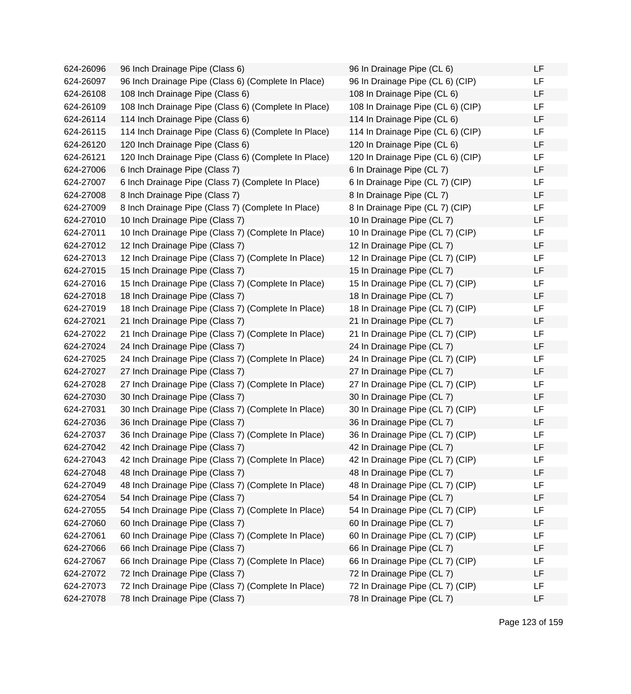| 624-26096 | 96 Inch Drainage Pipe (Class 6)                      | 96 In Drainage Pipe (CL 6)        | LF |
|-----------|------------------------------------------------------|-----------------------------------|----|
| 624-26097 | 96 Inch Drainage Pipe (Class 6) (Complete In Place)  | 96 In Drainage Pipe (CL 6) (CIP)  | LF |
| 624-26108 | 108 Inch Drainage Pipe (Class 6)                     | 108 In Drainage Pipe (CL 6)       | LF |
| 624-26109 | 108 Inch Drainage Pipe (Class 6) (Complete In Place) | 108 In Drainage Pipe (CL 6) (CIP) | LF |
| 624-26114 | 114 Inch Drainage Pipe (Class 6)                     | 114 In Drainage Pipe (CL 6)       | LF |
| 624-26115 | 114 Inch Drainage Pipe (Class 6) (Complete In Place) | 114 In Drainage Pipe (CL 6) (CIP) | LF |
| 624-26120 | 120 Inch Drainage Pipe (Class 6)                     | 120 In Drainage Pipe (CL 6)       | LF |
| 624-26121 | 120 Inch Drainage Pipe (Class 6) (Complete In Place) | 120 In Drainage Pipe (CL 6) (CIP) | LF |
| 624-27006 | 6 Inch Drainage Pipe (Class 7)                       | 6 In Drainage Pipe (CL 7)         | LF |
| 624-27007 | 6 Inch Drainage Pipe (Class 7) (Complete In Place)   | 6 In Drainage Pipe (CL 7) (CIP)   | LF |
| 624-27008 | 8 Inch Drainage Pipe (Class 7)                       | 8 In Drainage Pipe (CL 7)         | LF |
| 624-27009 | 8 Inch Drainage Pipe (Class 7) (Complete In Place)   | 8 In Drainage Pipe (CL 7) (CIP)   | LF |
| 624-27010 | 10 Inch Drainage Pipe (Class 7)                      | 10 In Drainage Pipe (CL 7)        | LF |
| 624-27011 | 10 Inch Drainage Pipe (Class 7) (Complete In Place)  | 10 In Drainage Pipe (CL 7) (CIP)  | LF |
| 624-27012 | 12 Inch Drainage Pipe (Class 7)                      | 12 In Drainage Pipe (CL 7)        | LF |
| 624-27013 | 12 Inch Drainage Pipe (Class 7) (Complete In Place)  | 12 In Drainage Pipe (CL 7) (CIP)  | LF |
| 624-27015 | 15 Inch Drainage Pipe (Class 7)                      | 15 In Drainage Pipe (CL 7)        | LF |
| 624-27016 | 15 Inch Drainage Pipe (Class 7) (Complete In Place)  | 15 In Drainage Pipe (CL 7) (CIP)  | LF |
| 624-27018 | 18 Inch Drainage Pipe (Class 7)                      | 18 In Drainage Pipe (CL 7)        | LF |
| 624-27019 | 18 Inch Drainage Pipe (Class 7) (Complete In Place)  | 18 In Drainage Pipe (CL 7) (CIP)  | LF |
| 624-27021 | 21 Inch Drainage Pipe (Class 7)                      | 21 In Drainage Pipe (CL 7)        | LF |
| 624-27022 | 21 Inch Drainage Pipe (Class 7) (Complete In Place)  | 21 In Drainage Pipe (CL 7) (CIP)  | LF |
| 624-27024 | 24 Inch Drainage Pipe (Class 7)                      | 24 In Drainage Pipe (CL 7)        | LF |
| 624-27025 | 24 Inch Drainage Pipe (Class 7) (Complete In Place)  | 24 In Drainage Pipe (CL 7) (CIP)  | LF |
| 624-27027 | 27 Inch Drainage Pipe (Class 7)                      | 27 In Drainage Pipe (CL 7)        | LF |
| 624-27028 | 27 Inch Drainage Pipe (Class 7) (Complete In Place)  | 27 In Drainage Pipe (CL 7) (CIP)  | LF |
| 624-27030 | 30 Inch Drainage Pipe (Class 7)                      | 30 In Drainage Pipe (CL 7)        | LF |
| 624-27031 | 30 Inch Drainage Pipe (Class 7) (Complete In Place)  | 30 In Drainage Pipe (CL 7) (CIP)  | LF |
| 624-27036 | 36 Inch Drainage Pipe (Class 7)                      | 36 In Drainage Pipe (CL 7)        | LF |
| 624-27037 | 36 Inch Drainage Pipe (Class 7) (Complete In Place)  | 36 In Drainage Pipe (CL 7) (CIP)  | LF |
| 624-27042 | 42 Inch Drainage Pipe (Class 7)                      | 42 In Drainage Pipe (CL 7)        | LF |
| 624-27043 | 42 Inch Drainage Pipe (Class 7) (Complete In Place)  | 42 In Drainage Pipe (CL 7) (CIP)  | LF |
| 624-27048 | 48 Inch Drainage Pipe (Class 7)                      | 48 In Drainage Pipe (CL 7)        | LF |
| 624-27049 | 48 Inch Drainage Pipe (Class 7) (Complete In Place)  | 48 In Drainage Pipe (CL 7) (CIP)  | LF |
| 624-27054 | 54 Inch Drainage Pipe (Class 7)                      | 54 In Drainage Pipe (CL 7)        | LF |
| 624-27055 | 54 Inch Drainage Pipe (Class 7) (Complete In Place)  | 54 In Drainage Pipe (CL 7) (CIP)  | LF |
| 624-27060 | 60 Inch Drainage Pipe (Class 7)                      | 60 In Drainage Pipe (CL 7)        | LF |
| 624-27061 | 60 Inch Drainage Pipe (Class 7) (Complete In Place)  | 60 In Drainage Pipe (CL 7) (CIP)  | LF |
| 624-27066 | 66 Inch Drainage Pipe (Class 7)                      | 66 In Drainage Pipe (CL 7)        | LF |
| 624-27067 | 66 Inch Drainage Pipe (Class 7) (Complete In Place)  | 66 In Drainage Pipe (CL 7) (CIP)  | LF |
| 624-27072 | 72 Inch Drainage Pipe (Class 7)                      | 72 In Drainage Pipe (CL 7)        | LF |
| 624-27073 | 72 Inch Drainage Pipe (Class 7) (Complete In Place)  | 72 In Drainage Pipe (CL 7) (CIP)  | LF |
| 624-27078 | 78 Inch Drainage Pipe (Class 7)                      | 78 In Drainage Pipe (CL 7)        | LF |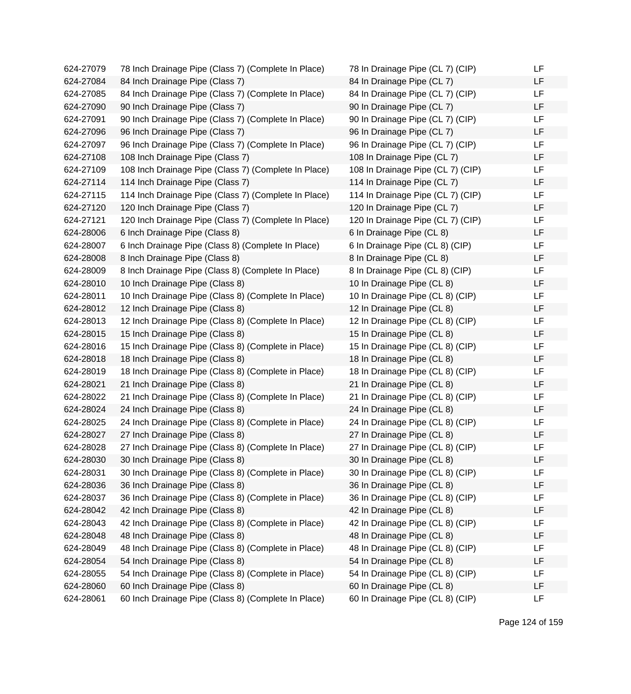| 624-27079 | 78 Inch Drainage Pipe (Class 7) (Complete In Place)  | 78 In Drainage Pipe (CL 7) (CIP)  | LF |
|-----------|------------------------------------------------------|-----------------------------------|----|
| 624-27084 | 84 Inch Drainage Pipe (Class 7)                      | 84 In Drainage Pipe (CL 7)        | LF |
| 624-27085 | 84 Inch Drainage Pipe (Class 7) (Complete In Place)  | 84 In Drainage Pipe (CL 7) (CIP)  | LF |
| 624-27090 | 90 Inch Drainage Pipe (Class 7)                      | 90 In Drainage Pipe (CL 7)        | LF |
| 624-27091 | 90 Inch Drainage Pipe (Class 7) (Complete In Place)  | 90 In Drainage Pipe (CL 7) (CIP)  | LF |
| 624-27096 | 96 Inch Drainage Pipe (Class 7)                      | 96 In Drainage Pipe (CL 7)        | LF |
| 624-27097 | 96 Inch Drainage Pipe (Class 7) (Complete In Place)  | 96 In Drainage Pipe (CL 7) (CIP)  | LF |
| 624-27108 | 108 Inch Drainage Pipe (Class 7)                     | 108 In Drainage Pipe (CL 7)       | LF |
| 624-27109 | 108 Inch Drainage Pipe (Class 7) (Complete In Place) | 108 In Drainage Pipe (CL 7) (CIP) | LF |
| 624-27114 | 114 Inch Drainage Pipe (Class 7)                     | 114 In Drainage Pipe (CL 7)       | LF |
| 624-27115 | 114 Inch Drainage Pipe (Class 7) (Complete In Place) | 114 In Drainage Pipe (CL 7) (CIP) | LF |
| 624-27120 | 120 Inch Drainage Pipe (Class 7)                     | 120 In Drainage Pipe (CL 7)       | LF |
| 624-27121 | 120 Inch Drainage Pipe (Class 7) (Complete In Place) | 120 In Drainage Pipe (CL 7) (CIP) | LF |
| 624-28006 | 6 Inch Drainage Pipe (Class 8)                       | 6 In Drainage Pipe (CL 8)         | LF |
| 624-28007 | 6 Inch Drainage Pipe (Class 8) (Complete In Place)   | 6 In Drainage Pipe (CL 8) (CIP)   | LF |
| 624-28008 | 8 Inch Drainage Pipe (Class 8)                       | 8 In Drainage Pipe (CL 8)         | LF |
| 624-28009 | 8 Inch Drainage Pipe (Class 8) (Complete In Place)   | 8 In Drainage Pipe (CL 8) (CIP)   | LF |
| 624-28010 | 10 Inch Drainage Pipe (Class 8)                      | 10 In Drainage Pipe (CL 8)        | LF |
| 624-28011 | 10 Inch Drainage Pipe (Class 8) (Complete In Place)  | 10 In Drainage Pipe (CL 8) (CIP)  | LF |
| 624-28012 | 12 Inch Drainage Pipe (Class 8)                      | 12 In Drainage Pipe (CL 8)        | LF |
| 624-28013 | 12 Inch Drainage Pipe (Class 8) (Complete In Place)  | 12 In Drainage Pipe (CL 8) (CIP)  | LF |
| 624-28015 | 15 Inch Drainage Pipe (Class 8)                      | 15 In Drainage Pipe (CL 8)        | LF |
| 624-28016 | 15 Inch Drainage Pipe (Class 8) (Complete in Place)  | 15 In Drainage Pipe (CL 8) (CIP)  | LF |
| 624-28018 | 18 Inch Drainage Pipe (Class 8)                      | 18 In Drainage Pipe (CL 8)        | LF |
| 624-28019 | 18 Inch Drainage Pipe (Class 8) (Complete in Place)  | 18 In Drainage Pipe (CL 8) (CIP)  | LF |
| 624-28021 | 21 Inch Drainage Pipe (Class 8)                      | 21 In Drainage Pipe (CL 8)        | LF |
| 624-28022 | 21 Inch Drainage Pipe (Class 8) (Complete In Place)  | 21 In Drainage Pipe (CL 8) (CIP)  | LF |
| 624-28024 | 24 Inch Drainage Pipe (Class 8)                      | 24 In Drainage Pipe (CL 8)        | LF |
| 624-28025 | 24 Inch Drainage Pipe (Class 8) (Complete in Place)  | 24 In Drainage Pipe (CL 8) (CIP)  | LF |
| 624-28027 | 27 Inch Drainage Pipe (Class 8)                      | 27 In Drainage Pipe (CL 8)        | LF |
| 624-28028 | 27 Inch Drainage Pipe (Class 8) (Complete In Place)  | 27 In Drainage Pipe (CL 8) (CIP)  | LF |
| 624-28030 | 30 Inch Drainage Pipe (Class 8)                      | 30 In Drainage Pipe (CL 8)        | LF |
| 624-28031 | 30 Inch Drainage Pipe (Class 8) (Complete in Place)  | 30 In Drainage Pipe (CL 8) (CIP)  | LF |
| 624-28036 | 36 Inch Drainage Pipe (Class 8)                      | 36 In Drainage Pipe (CL 8)        | LF |
| 624-28037 | 36 Inch Drainage Pipe (Class 8) (Complete in Place)  | 36 In Drainage Pipe (CL 8) (CIP)  | LF |
| 624-28042 | 42 Inch Drainage Pipe (Class 8)                      | 42 In Drainage Pipe (CL 8)        | LF |
| 624-28043 | 42 Inch Drainage Pipe (Class 8) (Complete in Place)  | 42 In Drainage Pipe (CL 8) (CIP)  | LF |
| 624-28048 | 48 Inch Drainage Pipe (Class 8)                      | 48 In Drainage Pipe (CL 8)        | LF |
| 624-28049 | 48 Inch Drainage Pipe (Class 8) (Complete in Place)  | 48 In Drainage Pipe (CL 8) (CIP)  | LF |
| 624-28054 | 54 Inch Drainage Pipe (Class 8)                      | 54 In Drainage Pipe (CL 8)        | LF |
| 624-28055 | 54 Inch Drainage Pipe (Class 8) (Complete in Place)  | 54 In Drainage Pipe (CL 8) (CIP)  | LF |
| 624-28060 | 60 Inch Drainage Pipe (Class 8)                      | 60 In Drainage Pipe (CL 8)        | LF |
| 624-28061 | 60 Inch Drainage Pipe (Class 8) (Complete In Place)  | 60 In Drainage Pipe (CL 8) (CIP)  | LF |

| 78 In Drainage Pipe (CL 7) (CIP)  | LF |
|-----------------------------------|----|
| 84 In Drainage Pipe (CL 7)        | LF |
| 84 In Drainage Pipe (CL 7) (CIP)  | LF |
| 90 In Drainage Pipe (CL 7)        | LF |
| 90 In Drainage Pipe (CL 7) (CIP)  | LF |
| 96 In Drainage Pipe (CL 7)        | LF |
| 96 In Drainage Pipe (CL 7) (CIP)  | LF |
| 108 In Drainage Pipe (CL 7)       | LF |
| 108 In Drainage Pipe (CL 7) (CIP) | LF |
| 114 In Drainage Pipe (CL 7)       | LF |
| 114 In Drainage Pipe (CL 7) (CIP) | LF |
| 120 In Drainage Pipe (CL 7)       | LF |
| 120 In Drainage Pipe (CL 7) (CIP) | LF |
| 6 In Drainage Pipe (CL 8)         | LF |
| 6 In Drainage Pipe (CL 8) (CIP)   | LF |
| 8 In Drainage Pipe (CL 8)         | LF |
| 8 In Drainage Pipe (CL 8) (CIP)   | LF |
| 10 In Drainage Pipe (CL 8)        | LF |
| 10 In Drainage Pipe (CL 8) (CIP)  | LF |
| 12 In Drainage Pipe (CL 8)        | LF |
| 12 In Drainage Pipe (CL 8) (CIP)  | LF |
| 15 In Drainage Pipe (CL 8)        | LF |
| 15 In Drainage Pipe (CL 8) (CIP)  | LF |
| 18 In Drainage Pipe (CL 8)        | LF |
| 18 In Drainage Pipe (CL 8) (CIP)  | LF |
| 21 In Drainage Pipe (CL 8)        | LF |
| 21 In Drainage Pipe (CL 8) (CIP)  | LF |
| 24 In Drainage Pipe (CL 8)        | LF |
| 24 In Drainage Pipe (CL 8) (CIP)  | LF |
| 27 In Drainage Pipe (CL 8)        | LF |
| 27 In Drainage Pipe (CL 8) (CIP)  | LF |
| 30 In Drainage Pipe (CL 8)        | LF |
| 30 In Drainage Pipe (CL 8) (CIP)  | LF |
| 36 In Drainage Pipe (CL 8)        | LF |
| 36 In Drainage Pipe (CL 8) (CIP)  | LF |
| 42 In Drainage Pipe (CL 8)        | LF |
| 42 In Drainage Pipe (CL 8) (CIP)  | LF |
| 48 In Drainage Pipe (CL 8)        | LF |
| 48 In Drainage Pipe (CL 8) (CIP)  | LF |
| 54 In Drainage Pipe (CL 8)        | LF |
| 54 In Drainage Pipe (CL 8) (CIP)  | LF |
| 60 In Drainage Pipe (CL 8)        | LF |
| 60 In Drainage Pipe (CL 8) (CIP)  | LF |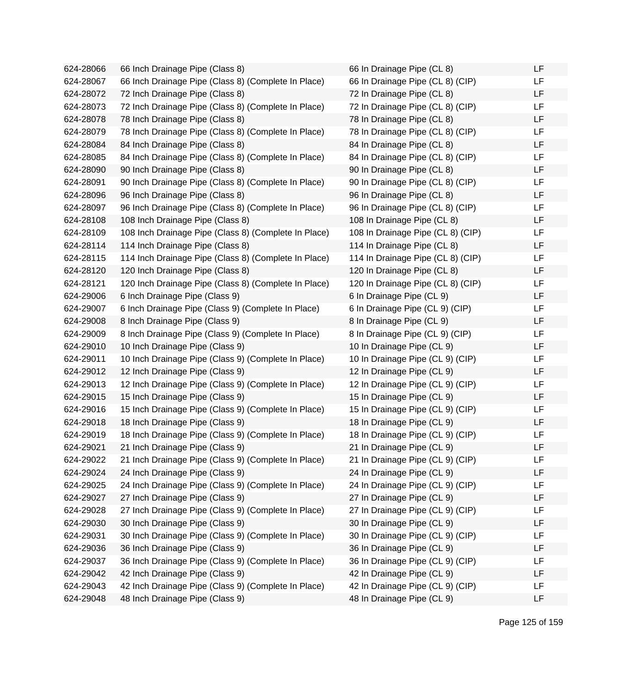624-28066 66 Inch Drainage Pipe (Class 8) 624-28067 66 Inch Drainage Pipe (Class 8) (Complete In Place) 624-28072 72 Inch Drainage Pipe (Class 8) 624-28073 72 Inch Drainage Pipe (Class 8) (Complete In Place) 624-28078 78 Inch Drainage Pipe (Class 8) 624-28079 78 Inch Drainage Pipe (Class 8) (Complete In Place) 624-28084 84 Inch Drainage Pipe (Class 8) 624-28085 84 Inch Drainage Pipe (Class 8) (Complete In Place) 624-28090 90 Inch Drainage Pipe (Class 8) 624-28091 90 Inch Drainage Pipe (Class 8) (Complete In Place) 624-28096 96 Inch Drainage Pipe (Class 8) 624-28097 96 Inch Drainage Pipe (Class 8) (Complete In Place) 624-28108 108 Inch Drainage Pipe (Class 8) 624-28109 108 Inch Drainage Pipe (Class 8) (Complete In Place) 624-28114 114 Inch Drainage Pipe (Class 8) 624-28115 114 Inch Drainage Pipe (Class 8) (Complete In Place) 624-28120 120 Inch Drainage Pipe (Class 8) 624-28121 120 Inch Drainage Pipe (Class 8) (Complete In Place) 624-29006 6 Inch Drainage Pipe (Class 9) 624-29007 6 Inch Drainage Pipe (Class 9) (Complete In Place) 624-29008 8 Inch Drainage Pipe (Class 9) 624-29009 8 Inch Drainage Pipe (Class 9) (Complete In Place) 624-29010 10 Inch Drainage Pipe (Class 9) 624-29011 10 Inch Drainage Pipe (Class 9) (Complete In Place) 624-29012 12 Inch Drainage Pipe (Class 9) 624-29013 12 Inch Drainage Pipe (Class 9) (Complete In Place) 624-29015 15 Inch Drainage Pipe (Class 9) 624-29016 15 Inch Drainage Pipe (Class 9) (Complete In Place) 624-29018 18 Inch Drainage Pipe (Class 9) 624-29019 18 Inch Drainage Pipe (Class 9) (Complete In Place) 624-29021 21 Inch Drainage Pipe (Class 9) 624-29022 21 Inch Drainage Pipe (Class 9) (Complete In Place) 624-29024 24 Inch Drainage Pipe (Class 9) 624-29025 24 Inch Drainage Pipe (Class 9) (Complete In Place) 624-29027 27 Inch Drainage Pipe (Class 9) 624-29028 27 Inch Drainage Pipe (Class 9) (Complete In Place) 624-29030 30 Inch Drainage Pipe (Class 9) 624-29031 30 Inch Drainage Pipe (Class 9) (Complete In Place) 624-29036 36 Inch Drainage Pipe (Class 9) 624-29037 36 Inch Drainage Pipe (Class 9) (Complete In Place) 624-29042 42 Inch Drainage Pipe (Class 9) 624-29043 42 Inch Drainage Pipe (Class 9) (Complete In Place) 624-29048 48 Inch Drainage Pipe (Class 9)

| 66 In Drainage Pipe (CL 8)        | LF |
|-----------------------------------|----|
| 66 In Drainage Pipe (CL 8) (CIP)  | LF |
| 72 In Drainage Pipe (CL 8)        | LF |
| 72 In Drainage Pipe (CL 8) (CIP)  | LF |
| 78 In Drainage Pipe (CL 8)        | LF |
| 78 In Drainage Pipe (CL 8) (CIP)  | LF |
| 84 In Drainage Pipe (CL 8)        | LF |
| 84 In Drainage Pipe (CL 8) (CIP)  | LF |
| 90 In Drainage Pipe (CL 8)        | LF |
| 90 In Drainage Pipe (CL 8) (CIP)  | LF |
| 96 In Drainage Pipe (CL 8)        | LF |
| 96 In Drainage Pipe (CL 8) (CIP)  | LF |
| 108 In Drainage Pipe (CL 8)       | LF |
| 108 In Drainage Pipe (CL 8) (CIP) | LF |
| 114 In Drainage Pipe (CL 8)       | LF |
| 114 In Drainage Pipe (CL 8) (CIP) | LF |
| 120 In Drainage Pipe (CL 8)       | LF |
| 120 In Drainage Pipe (CL 8) (CIP) | LF |
| 6 In Drainage Pipe (CL 9)         | LF |
| 6 In Drainage Pipe (CL 9) (CIP)   | LF |
| 8 In Drainage Pipe (CL 9)         | LF |
| 8 In Drainage Pipe (CL 9) (CIP)   | LF |
| 10 In Drainage Pipe (CL 9)        | LF |
| 10 In Drainage Pipe (CL 9) (CIP)  | LF |
| 12 In Drainage Pipe (CL 9)        | LF |
| 12 In Drainage Pipe (CL 9) (CIP)  | LF |
| 15 In Drainage Pipe (CL 9)        | LF |
| 15 In Drainage Pipe (CL 9) (CIP)  | LF |
| 18 In Drainage Pipe (CL 9)        | LF |
| 18 In Drainage Pipe (CL 9) (CIP)  | LF |
| 21 In Drainage Pipe (CL 9)        | LF |
| 21 In Drainage Pipe (CL 9) (CIP)  | LF |
| 24 In Drainage Pipe (CL 9)        | LF |
| 24 In Drainage Pipe (CL 9) (CIP)  | LF |
| 27 In Drainage Pipe (CL 9)        | LF |
| 27 In Drainage Pipe (CL 9) (CIP)  | LF |
| 30 In Drainage Pipe (CL 9)        | LF |
| 30 In Drainage Pipe (CL 9) (CIP)  | LF |
| 36 In Drainage Pipe (CL 9)        | LF |
| 36 In Drainage Pipe (CL 9) (CIP)  | LF |
| 42 In Drainage Pipe (CL 9)        | LF |
| 42 In Drainage Pipe (CL 9) (CIP)  | LF |
| 48 In Drainage Pipe (CL 9)        | LF |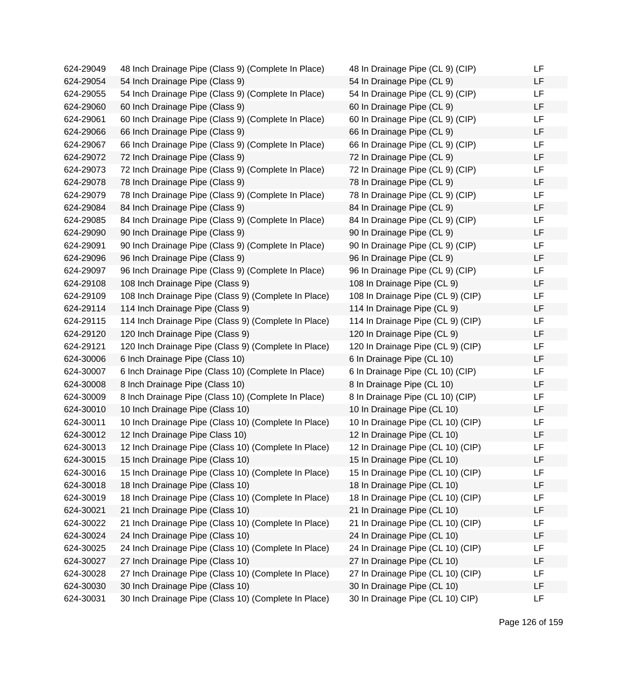| 624-29049 | 48 Inch Drainage Pipe (Class 9) (Complete In Place)  | 48 In Drainage Pipe (CL 9) (CIP)  | LF |
|-----------|------------------------------------------------------|-----------------------------------|----|
| 624-29054 | 54 Inch Drainage Pipe (Class 9)                      | 54 In Drainage Pipe (CL 9)        | LF |
| 624-29055 | 54 Inch Drainage Pipe (Class 9) (Complete In Place)  | 54 In Drainage Pipe (CL 9) (CIP)  | LF |
| 624-29060 | 60 Inch Drainage Pipe (Class 9)                      | 60 In Drainage Pipe (CL 9)        | LF |
| 624-29061 | 60 Inch Drainage Pipe (Class 9) (Complete In Place)  | 60 In Drainage Pipe (CL 9) (CIP)  | LF |
| 624-29066 | 66 Inch Drainage Pipe (Class 9)                      | 66 In Drainage Pipe (CL 9)        | LF |
| 624-29067 | 66 Inch Drainage Pipe (Class 9) (Complete In Place)  | 66 In Drainage Pipe (CL 9) (CIP)  | LF |
| 624-29072 | 72 Inch Drainage Pipe (Class 9)                      | 72 In Drainage Pipe (CL 9)        | LF |
| 624-29073 | 72 Inch Drainage Pipe (Class 9) (Complete In Place)  | 72 In Drainage Pipe (CL 9) (CIP)  | LF |
| 624-29078 | 78 Inch Drainage Pipe (Class 9)                      | 78 In Drainage Pipe (CL 9)        | LF |
| 624-29079 | 78 Inch Drainage Pipe (Class 9) (Complete In Place)  | 78 In Drainage Pipe (CL 9) (CIP)  | LF |
| 624-29084 | 84 Inch Drainage Pipe (Class 9)                      | 84 In Drainage Pipe (CL 9)        | LF |
| 624-29085 | 84 Inch Drainage Pipe (Class 9) (Complete In Place)  | 84 In Drainage Pipe (CL 9) (CIP)  | LF |
| 624-29090 | 90 Inch Drainage Pipe (Class 9)                      | 90 In Drainage Pipe (CL 9)        | LF |
| 624-29091 | 90 Inch Drainage Pipe (Class 9) (Complete In Place)  | 90 In Drainage Pipe (CL 9) (CIP)  | LF |
| 624-29096 | 96 Inch Drainage Pipe (Class 9)                      | 96 In Drainage Pipe (CL 9)        | LF |
| 624-29097 | 96 Inch Drainage Pipe (Class 9) (Complete In Place)  | 96 In Drainage Pipe (CL 9) (CIP)  | LF |
| 624-29108 | 108 Inch Drainage Pipe (Class 9)                     | 108 In Drainage Pipe (CL 9)       | LF |
| 624-29109 | 108 Inch Drainage Pipe (Class 9) (Complete In Place) | 108 In Drainage Pipe (CL 9) (CIP) | LF |
| 624-29114 | 114 Inch Drainage Pipe (Class 9)                     | 114 In Drainage Pipe (CL 9)       | LF |
| 624-29115 | 114 Inch Drainage Pipe (Class 9) (Complete In Place) | 114 In Drainage Pipe (CL 9) (CIP) | LF |
| 624-29120 | 120 Inch Drainage Pipe (Class 9)                     | 120 In Drainage Pipe (CL 9)       | LF |
| 624-29121 | 120 Inch Drainage Pipe (Class 9) (Complete In Place) | 120 In Drainage Pipe (CL 9) (CIP) | LF |
| 624-30006 | 6 Inch Drainage Pipe (Class 10)                      | 6 In Drainage Pipe (CL 10)        | LF |
| 624-30007 | 6 Inch Drainage Pipe (Class 10) (Complete In Place)  | 6 In Drainage Pipe (CL 10) (CIP)  | LF |
| 624-30008 | 8 Inch Drainage Pipe (Class 10)                      | 8 In Drainage Pipe (CL 10)        | LF |
| 624-30009 | 8 Inch Drainage Pipe (Class 10) (Complete In Place)  | 8 In Drainage Pipe (CL 10) (CIP)  | LF |
| 624-30010 | 10 Inch Drainage Pipe (Class 10)                     | 10 In Drainage Pipe (CL 10)       | LF |
| 624-30011 | 10 Inch Drainage Pipe (Class 10) (Complete In Place) | 10 In Drainage Pipe (CL 10) (CIP) | LF |
| 624-30012 | 12 Inch Drainage Pipe Class 10)                      | 12 In Drainage Pipe (CL 10)       | LF |
| 624-30013 | 12 Inch Drainage Pipe (Class 10) (Complete In Place) | 12 In Drainage Pipe (CL 10) (CIP) | LF |
| 624-30015 | 15 Inch Drainage Pipe (Class 10)                     | 15 In Drainage Pipe (CL 10)       | LF |
| 624-30016 | 15 Inch Drainage Pipe (Class 10) (Complete In Place) | 15 In Drainage Pipe (CL 10) (CIP) | LF |
| 624-30018 | 18 Inch Drainage Pipe (Class 10)                     | 18 In Drainage Pipe (CL 10)       | LF |
| 624-30019 | 18 Inch Drainage Pipe (Class 10) (Complete In Place) | 18 In Drainage Pipe (CL 10) (CIP) | LF |
| 624-30021 | 21 Inch Drainage Pipe (Class 10)                     | 21 In Drainage Pipe (CL 10)       | LF |
| 624-30022 | 21 Inch Drainage Pipe (Class 10) (Complete In Place) | 21 In Drainage Pipe (CL 10) (CIP) | LF |
| 624-30024 | 24 Inch Drainage Pipe (Class 10)                     | 24 In Drainage Pipe (CL 10)       | LF |
| 624-30025 | 24 Inch Drainage Pipe (Class 10) (Complete In Place) | 24 In Drainage Pipe (CL 10) (CIP) | LF |
| 624-30027 | 27 Inch Drainage Pipe (Class 10)                     | 27 In Drainage Pipe (CL 10)       | LF |
| 624-30028 | 27 Inch Drainage Pipe (Class 10) (Complete In Place) | 27 In Drainage Pipe (CL 10) (CIP) | LF |
| 624-30030 | 30 Inch Drainage Pipe (Class 10)                     | 30 In Drainage Pipe (CL 10)       | LF |
| 624-30031 | 30 Inch Drainage Pipe (Class 10) (Complete In Place) | 30 In Drainage Pipe (CL 10) CIP)  | LF |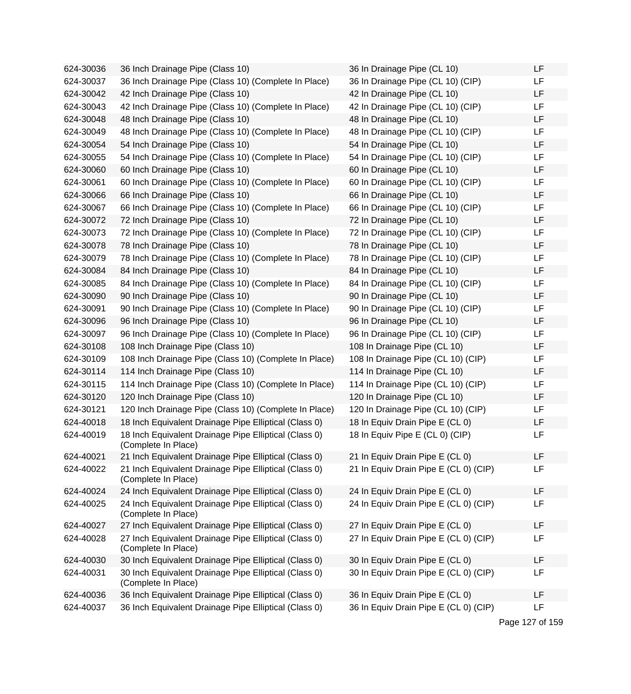| 624-30036 | 36 Inch Drainage Pipe (Class 10)                                             | 36 In Drainage Pipe (CL 10)           | LF        |
|-----------|------------------------------------------------------------------------------|---------------------------------------|-----------|
| 624-30037 | 36 Inch Drainage Pipe (Class 10) (Complete In Place)                         | 36 In Drainage Pipe (CL 10) (CIP)     | LF        |
| 624-30042 | 42 Inch Drainage Pipe (Class 10)                                             | 42 In Drainage Pipe (CL 10)           | <b>LF</b> |
| 624-30043 | 42 Inch Drainage Pipe (Class 10) (Complete In Place)                         | 42 In Drainage Pipe (CL 10) (CIP)     | LF        |
| 624-30048 | 48 Inch Drainage Pipe (Class 10)                                             | 48 In Drainage Pipe (CL 10)           | LF        |
| 624-30049 | 48 Inch Drainage Pipe (Class 10) (Complete In Place)                         | 48 In Drainage Pipe (CL 10) (CIP)     | LF        |
| 624-30054 | 54 Inch Drainage Pipe (Class 10)                                             | 54 In Drainage Pipe (CL 10)           | LF        |
| 624-30055 | 54 Inch Drainage Pipe (Class 10) (Complete In Place)                         | 54 In Drainage Pipe (CL 10) (CIP)     | <b>LF</b> |
| 624-30060 | 60 Inch Drainage Pipe (Class 10)                                             | 60 In Drainage Pipe (CL 10)           | LF        |
| 624-30061 | 60 Inch Drainage Pipe (Class 10) (Complete In Place)                         | 60 In Drainage Pipe (CL 10) (CIP)     | LF        |
| 624-30066 | 66 Inch Drainage Pipe (Class 10)                                             | 66 In Drainage Pipe (CL 10)           | <b>LF</b> |
| 624-30067 | 66 Inch Drainage Pipe (Class 10) (Complete In Place)                         | 66 In Drainage Pipe (CL 10) (CIP)     | LF        |
| 624-30072 | 72 Inch Drainage Pipe (Class 10)                                             | 72 In Drainage Pipe (CL 10)           | LF        |
| 624-30073 | 72 Inch Drainage Pipe (Class 10) (Complete In Place)                         | 72 In Drainage Pipe (CL 10) (CIP)     | LF        |
| 624-30078 | 78 Inch Drainage Pipe (Class 10)                                             | 78 In Drainage Pipe (CL 10)           | LF        |
| 624-30079 | 78 Inch Drainage Pipe (Class 10) (Complete In Place)                         | 78 In Drainage Pipe (CL 10) (CIP)     | LF        |
| 624-30084 | 84 Inch Drainage Pipe (Class 10)                                             | 84 In Drainage Pipe (CL 10)           | LF        |
| 624-30085 | 84 Inch Drainage Pipe (Class 10) (Complete In Place)                         | 84 In Drainage Pipe (CL 10) (CIP)     | <b>LF</b> |
| 624-30090 | 90 Inch Drainage Pipe (Class 10)                                             | 90 In Drainage Pipe (CL 10)           | LF        |
| 624-30091 | 90 Inch Drainage Pipe (Class 10) (Complete In Place)                         | 90 In Drainage Pipe (CL 10) (CIP)     | LF        |
| 624-30096 | 96 Inch Drainage Pipe (Class 10)                                             | 96 In Drainage Pipe (CL 10)           | <b>LF</b> |
| 624-30097 | 96 Inch Drainage Pipe (Class 10) (Complete In Place)                         | 96 In Drainage Pipe (CL 10) (CIP)     | LF        |
| 624-30108 | 108 Inch Drainage Pipe (Class 10)                                            | 108 In Drainage Pipe (CL 10)          | LF        |
| 624-30109 | 108 Inch Drainage Pipe (Class 10) (Complete In Place)                        | 108 In Drainage Pipe (CL 10) (CIP)    | LF        |
| 624-30114 | 114 Inch Drainage Pipe (Class 10)                                            | 114 In Drainage Pipe (CL 10)          | LF        |
| 624-30115 | 114 Inch Drainage Pipe (Class 10) (Complete In Place)                        | 114 In Drainage Pipe (CL 10) (CIP)    | LF        |
| 624-30120 | 120 Inch Drainage Pipe (Class 10)                                            | 120 In Drainage Pipe (CL 10)          | LF        |
| 624-30121 | 120 Inch Drainage Pipe (Class 10) (Complete In Place)                        | 120 In Drainage Pipe (CL 10) (CIP)    | LF        |
| 624-40018 | 18 Inch Equivalent Drainage Pipe Elliptical (Class 0)                        | 18 In Equiv Drain Pipe E (CL 0)       | LF        |
| 624-40019 | 18 Inch Equivalent Drainage Pipe Elliptical (Class 0)<br>(Complete In Place) | 18 In Equiv Pipe E (CL 0) (CIP)       | LF        |
| 624-40021 | 21 Inch Equivalent Drainage Pipe Elliptical (Class 0)                        | 21 In Equiv Drain Pipe E (CL 0)       | LF        |
| 624-40022 | 21 Inch Equivalent Drainage Pipe Elliptical (Class 0)<br>(Complete In Place) | 21 In Equiv Drain Pipe E (CL 0) (CIP) | LF        |
| 624-40024 | 24 Inch Equivalent Drainage Pipe Elliptical (Class 0)                        | 24 In Equiv Drain Pipe E (CL 0)       | LF        |
| 624-40025 | 24 Inch Equivalent Drainage Pipe Elliptical (Class 0)<br>(Complete In Place) | 24 In Equiv Drain Pipe E (CL 0) (CIP) | LF        |
| 624-40027 | 27 Inch Equivalent Drainage Pipe Elliptical (Class 0)                        | 27 In Equiv Drain Pipe E (CL 0)       | <b>LF</b> |
| 624-40028 | 27 Inch Equivalent Drainage Pipe Elliptical (Class 0)<br>(Complete In Place) | 27 In Equiv Drain Pipe E (CL 0) (CIP) | LF        |
| 624-40030 | 30 Inch Equivalent Drainage Pipe Elliptical (Class 0)                        | 30 In Equiv Drain Pipe E (CL 0)       | LF        |
| 624-40031 | 30 Inch Equivalent Drainage Pipe Elliptical (Class 0)<br>(Complete In Place) | 30 In Equiv Drain Pipe E (CL 0) (CIP) | LF        |
| 624-40036 | 36 Inch Equivalent Drainage Pipe Elliptical (Class 0)                        | 36 In Equiv Drain Pipe E (CL 0)       | LF        |
| 624-40037 | 36 Inch Equivalent Drainage Pipe Elliptical (Class 0)                        | 36 In Equiv Drain Pipe E (CL 0) (CIP) | LF        |

Page 127 of 159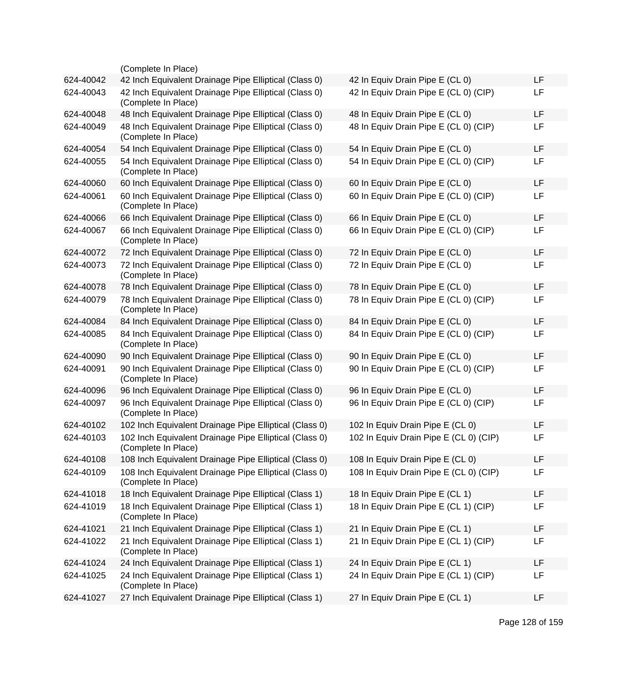|           | (Complete In Place)                                                           |                                        |    |
|-----------|-------------------------------------------------------------------------------|----------------------------------------|----|
| 624-40042 | 42 Inch Equivalent Drainage Pipe Elliptical (Class 0)                         | 42 In Equiv Drain Pipe E (CL 0)        | LF |
| 624-40043 | 42 Inch Equivalent Drainage Pipe Elliptical (Class 0)<br>(Complete In Place)  | 42 In Equiv Drain Pipe E (CL 0) (CIP)  | LF |
| 624-40048 | 48 Inch Equivalent Drainage Pipe Elliptical (Class 0)                         | 48 In Equiv Drain Pipe E (CL 0)        | LF |
| 624-40049 | 48 Inch Equivalent Drainage Pipe Elliptical (Class 0)<br>(Complete In Place)  | 48 In Equiv Drain Pipe E (CL 0) (CIP)  | LF |
| 624-40054 | 54 Inch Equivalent Drainage Pipe Elliptical (Class 0)                         | 54 In Equiv Drain Pipe E (CL 0)        | LF |
| 624-40055 | 54 Inch Equivalent Drainage Pipe Elliptical (Class 0)<br>(Complete In Place)  | 54 In Equiv Drain Pipe E (CL 0) (CIP)  | LF |
| 624-40060 | 60 Inch Equivalent Drainage Pipe Elliptical (Class 0)                         | 60 In Equiv Drain Pipe E (CL 0)        | LF |
| 624-40061 | 60 Inch Equivalent Drainage Pipe Elliptical (Class 0)<br>(Complete In Place)  | 60 In Equiv Drain Pipe E (CL 0) (CIP)  | LF |
| 624-40066 | 66 Inch Equivalent Drainage Pipe Elliptical (Class 0)                         | 66 In Equiv Drain Pipe E (CL 0)        | LF |
| 624-40067 | 66 Inch Equivalent Drainage Pipe Elliptical (Class 0)<br>(Complete In Place)  | 66 In Equiv Drain Pipe E (CL 0) (CIP)  | LF |
| 624-40072 | 72 Inch Equivalent Drainage Pipe Elliptical (Class 0)                         | 72 In Equiv Drain Pipe E (CL 0)        | LF |
| 624-40073 | 72 Inch Equivalent Drainage Pipe Elliptical (Class 0)<br>(Complete In Place)  | 72 In Equiv Drain Pipe E (CL 0)        | LF |
| 624-40078 | 78 Inch Equivalent Drainage Pipe Elliptical (Class 0)                         | 78 In Equiv Drain Pipe E (CL 0)        | LF |
| 624-40079 | 78 Inch Equivalent Drainage Pipe Elliptical (Class 0)<br>(Complete In Place)  | 78 In Equiv Drain Pipe E (CL 0) (CIP)  | LF |
| 624-40084 | 84 Inch Equivalent Drainage Pipe Elliptical (Class 0)                         | 84 In Equiv Drain Pipe E (CL 0)        | LF |
| 624-40085 | 84 Inch Equivalent Drainage Pipe Elliptical (Class 0)<br>(Complete In Place)  | 84 In Equiv Drain Pipe E (CL 0) (CIP)  | LF |
| 624-40090 | 90 Inch Equivalent Drainage Pipe Elliptical (Class 0)                         | 90 In Equiv Drain Pipe E (CL 0)        | LF |
| 624-40091 | 90 Inch Equivalent Drainage Pipe Elliptical (Class 0)<br>(Complete In Place)  | 90 In Equiv Drain Pipe E (CL 0) (CIP)  | LF |
| 624-40096 | 96 Inch Equivalent Drainage Pipe Elliptical (Class 0)                         | 96 In Equiv Drain Pipe E (CL 0)        | LF |
| 624-40097 | 96 Inch Equivalent Drainage Pipe Elliptical (Class 0)<br>(Complete In Place)  | 96 In Equiv Drain Pipe E (CL 0) (CIP)  | LF |
| 624-40102 | 102 Inch Equivalent Drainage Pipe Elliptical (Class 0)                        | 102 In Equiv Drain Pipe E (CL 0)       | LF |
| 624-40103 | 102 Inch Equivalent Drainage Pipe Elliptical (Class 0)<br>(Complete In Place) | 102 In Equiv Drain Pipe E (CL 0) (CIP) | LF |
| 624-40108 | 108 Inch Equivalent Drainage Pipe Elliptical (Class 0)                        | 108 In Equiv Drain Pipe E (CL 0)       | LF |
| 624-40109 | 108 Inch Equivalent Drainage Pipe Elliptical (Class 0)<br>(Complete In Place) | 108 In Equiv Drain Pipe E (CL 0) (CIP) | LF |
| 624-41018 | 18 Inch Equivalent Drainage Pipe Elliptical (Class 1)                         | 18 In Equiv Drain Pipe E (CL 1)        | LF |
| 624-41019 | 18 Inch Equivalent Drainage Pipe Elliptical (Class 1)<br>(Complete In Place)  | 18 In Equiv Drain Pipe E (CL 1) (CIP)  | LF |
| 624-41021 | 21 Inch Equivalent Drainage Pipe Elliptical (Class 1)                         | 21 In Equiv Drain Pipe E (CL 1)        | LF |
| 624-41022 | 21 Inch Equivalent Drainage Pipe Elliptical (Class 1)<br>(Complete In Place)  | 21 In Equiv Drain Pipe E (CL 1) (CIP)  | LF |
| 624-41024 | 24 Inch Equivalent Drainage Pipe Elliptical (Class 1)                         | 24 In Equiv Drain Pipe E (CL 1)        | LF |
| 624-41025 | 24 Inch Equivalent Drainage Pipe Elliptical (Class 1)<br>(Complete In Place)  | 24 In Equiv Drain Pipe E (CL 1) (CIP)  | LF |
| 624-41027 | 27 Inch Equivalent Drainage Pipe Elliptical (Class 1)                         | 27 In Equiv Drain Pipe E (CL 1)        | LF |
|           |                                                                               |                                        |    |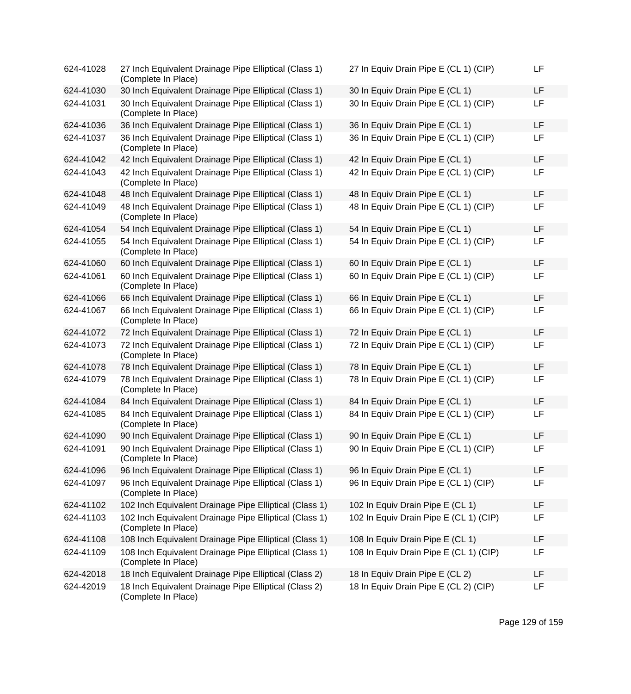| 624-41028 | 27 Inch Equivalent Drainage Pipe Elliptical (Class 1)<br>(Complete In Place)  | 27 In Equiv Drain Pipe E (CL 1) (CIP)  | LF |
|-----------|-------------------------------------------------------------------------------|----------------------------------------|----|
| 624-41030 | 30 Inch Equivalent Drainage Pipe Elliptical (Class 1)                         | 30 In Equiv Drain Pipe E (CL 1)        | LF |
| 624-41031 | 30 Inch Equivalent Drainage Pipe Elliptical (Class 1)<br>(Complete In Place)  | 30 In Equiv Drain Pipe E (CL 1) (CIP)  | LF |
| 624-41036 | 36 Inch Equivalent Drainage Pipe Elliptical (Class 1)                         | 36 In Equiv Drain Pipe E (CL 1)        | LF |
| 624-41037 | 36 Inch Equivalent Drainage Pipe Elliptical (Class 1)<br>(Complete In Place)  | 36 In Equiv Drain Pipe E (CL 1) (CIP)  | LF |
| 624-41042 | 42 Inch Equivalent Drainage Pipe Elliptical (Class 1)                         | 42 In Equiv Drain Pipe E (CL 1)        | LF |
| 624-41043 | 42 Inch Equivalent Drainage Pipe Elliptical (Class 1)<br>(Complete In Place)  | 42 In Equiv Drain Pipe E (CL 1) (CIP)  | LF |
| 624-41048 | 48 Inch Equivalent Drainage Pipe Elliptical (Class 1)                         | 48 In Equiv Drain Pipe E (CL 1)        | LF |
| 624-41049 | 48 Inch Equivalent Drainage Pipe Elliptical (Class 1)<br>(Complete In Place)  | 48 In Equiv Drain Pipe E (CL 1) (CIP)  | LF |
| 624-41054 | 54 Inch Equivalent Drainage Pipe Elliptical (Class 1)                         | 54 In Equiv Drain Pipe E (CL 1)        | LF |
| 624-41055 | 54 Inch Equivalent Drainage Pipe Elliptical (Class 1)<br>(Complete In Place)  | 54 In Equiv Drain Pipe E (CL 1) (CIP)  | LF |
| 624-41060 | 60 Inch Equivalent Drainage Pipe Elliptical (Class 1)                         | 60 In Equiv Drain Pipe E (CL 1)        | LF |
| 624-41061 | 60 Inch Equivalent Drainage Pipe Elliptical (Class 1)<br>(Complete In Place)  | 60 In Equiv Drain Pipe E (CL 1) (CIP)  | LF |
| 624-41066 | 66 Inch Equivalent Drainage Pipe Elliptical (Class 1)                         | 66 In Equiv Drain Pipe E (CL 1)        | LF |
| 624-41067 | 66 Inch Equivalent Drainage Pipe Elliptical (Class 1)<br>(Complete In Place)  | 66 In Equiv Drain Pipe E (CL 1) (CIP)  | LF |
| 624-41072 | 72 Inch Equivalent Drainage Pipe Elliptical (Class 1)                         | 72 In Equiv Drain Pipe E (CL 1)        | LF |
| 624-41073 | 72 Inch Equivalent Drainage Pipe Elliptical (Class 1)<br>(Complete In Place)  | 72 In Equiv Drain Pipe E (CL 1) (CIP)  | LF |
| 624-41078 | 78 Inch Equivalent Drainage Pipe Elliptical (Class 1)                         | 78 In Equiv Drain Pipe E (CL 1)        | LF |
| 624-41079 | 78 Inch Equivalent Drainage Pipe Elliptical (Class 1)<br>(Complete In Place)  | 78 In Equiv Drain Pipe E (CL 1) (CIP)  | LF |
| 624-41084 | 84 Inch Equivalent Drainage Pipe Elliptical (Class 1)                         | 84 In Equiv Drain Pipe E (CL 1)        | LF |
| 624-41085 | 84 Inch Equivalent Drainage Pipe Elliptical (Class 1)<br>(Complete In Place)  | 84 In Equiv Drain Pipe E (CL 1) (CIP)  | LF |
| 624-41090 | 90 Inch Equivalent Drainage Pipe Elliptical (Class 1)                         | 90 In Equiv Drain Pipe E (CL 1)        | LF |
| 624-41091 | 90 Inch Equivalent Drainage Pipe Elliptical (Class 1)<br>(Complete In Place)  | 90 In Equiv Drain Pipe E (CL 1) (CIP)  | LF |
| 624-41096 | 96 Inch Equivalent Drainage Pipe Elliptical (Class 1)                         | 96 In Equiv Drain Pipe E (CL 1)        | LF |
| 624-41097 | 96 Inch Equivalent Drainage Pipe Elliptical (Class 1)<br>(Complete In Place)  | 96 In Equiv Drain Pipe E (CL 1) (CIP)  | LF |
| 624-41102 | 102 Inch Equivalent Drainage Pipe Elliptical (Class 1)                        | 102 In Equiv Drain Pipe E (CL 1)       | LF |
| 624-41103 | 102 Inch Equivalent Drainage Pipe Elliptical (Class 1)<br>(Complete In Place) | 102 In Equiv Drain Pipe E (CL 1) (CIP) | LF |
| 624-41108 | 108 Inch Equivalent Drainage Pipe Elliptical (Class 1)                        | 108 In Equiv Drain Pipe E (CL 1)       | LF |
| 624-41109 | 108 Inch Equivalent Drainage Pipe Elliptical (Class 1)<br>(Complete In Place) | 108 In Equiv Drain Pipe E (CL 1) (CIP) | LF |
| 624-42018 | 18 Inch Equivalent Drainage Pipe Elliptical (Class 2)                         | 18 In Equiv Drain Pipe E (CL 2)        | LF |
| 624-42019 | 18 Inch Equivalent Drainage Pipe Elliptical (Class 2)<br>(Complete In Place)  | 18 In Equiv Drain Pipe E (CL 2) (CIP)  | LF |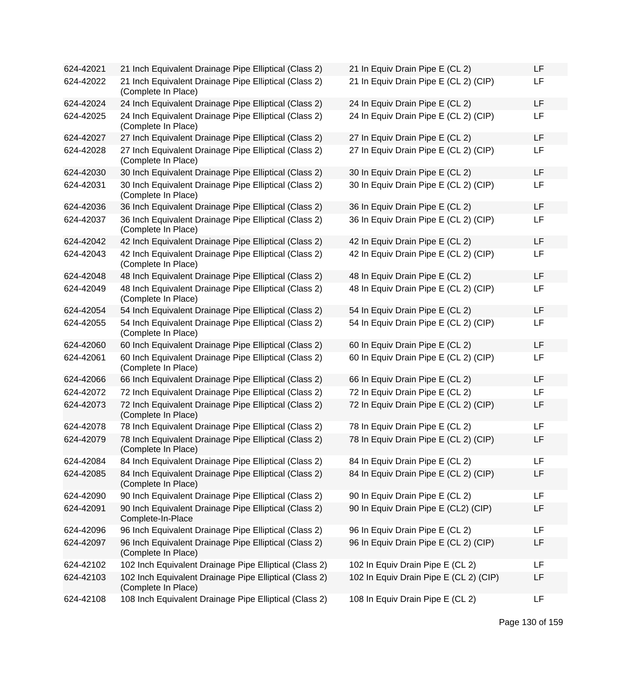| 624-42021 | 21 Inch Equivalent Drainage Pipe Elliptical (Class 2)                         | 21 In Equiv Drain Pipe E (CL 2)        | LF |
|-----------|-------------------------------------------------------------------------------|----------------------------------------|----|
| 624-42022 | 21 Inch Equivalent Drainage Pipe Elliptical (Class 2)<br>(Complete In Place)  | 21 In Equiv Drain Pipe E (CL 2) (CIP)  | LF |
| 624-42024 | 24 Inch Equivalent Drainage Pipe Elliptical (Class 2)                         | 24 In Equiv Drain Pipe E (CL 2)        | LF |
| 624-42025 | 24 Inch Equivalent Drainage Pipe Elliptical (Class 2)<br>(Complete In Place)  | 24 In Equiv Drain Pipe E (CL 2) (CIP)  | LF |
| 624-42027 | 27 Inch Equivalent Drainage Pipe Elliptical (Class 2)                         | 27 In Equiv Drain Pipe E (CL 2)        | LF |
| 624-42028 | 27 Inch Equivalent Drainage Pipe Elliptical (Class 2)<br>(Complete In Place)  | 27 In Equiv Drain Pipe E (CL 2) (CIP)  | LF |
| 624-42030 | 30 Inch Equivalent Drainage Pipe Elliptical (Class 2)                         | 30 In Equiv Drain Pipe E (CL 2)        | LF |
| 624-42031 | 30 Inch Equivalent Drainage Pipe Elliptical (Class 2)<br>(Complete In Place)  | 30 In Equiv Drain Pipe E (CL 2) (CIP)  | LF |
| 624-42036 | 36 Inch Equivalent Drainage Pipe Elliptical (Class 2)                         | 36 In Equiv Drain Pipe E (CL 2)        | LF |
| 624-42037 | 36 Inch Equivalent Drainage Pipe Elliptical (Class 2)<br>(Complete In Place)  | 36 In Equiv Drain Pipe E (CL 2) (CIP)  | LF |
| 624-42042 | 42 Inch Equivalent Drainage Pipe Elliptical (Class 2)                         | 42 In Equiv Drain Pipe E (CL 2)        | LF |
| 624-42043 | 42 Inch Equivalent Drainage Pipe Elliptical (Class 2)<br>(Complete In Place)  | 42 In Equiv Drain Pipe E (CL 2) (CIP)  | LF |
| 624-42048 | 48 Inch Equivalent Drainage Pipe Elliptical (Class 2)                         | 48 In Equiv Drain Pipe E (CL 2)        | LF |
| 624-42049 | 48 Inch Equivalent Drainage Pipe Elliptical (Class 2)<br>(Complete In Place)  | 48 In Equiv Drain Pipe E (CL 2) (CIP)  | LF |
| 624-42054 | 54 Inch Equivalent Drainage Pipe Elliptical (Class 2)                         | 54 In Equiv Drain Pipe E (CL 2)        | LF |
| 624-42055 | 54 Inch Equivalent Drainage Pipe Elliptical (Class 2)<br>(Complete In Place)  | 54 In Equiv Drain Pipe E (CL 2) (CIP)  | LF |
| 624-42060 | 60 Inch Equivalent Drainage Pipe Elliptical (Class 2)                         | 60 In Equiv Drain Pipe E (CL 2)        | LF |
| 624-42061 | 60 Inch Equivalent Drainage Pipe Elliptical (Class 2)<br>(Complete In Place)  | 60 In Equiv Drain Pipe E (CL 2) (CIP)  | LF |
| 624-42066 | 66 Inch Equivalent Drainage Pipe Elliptical (Class 2)                         | 66 In Equiv Drain Pipe E (CL 2)        | LF |
| 624-42072 | 72 Inch Equivalent Drainage Pipe Elliptical (Class 2)                         | 72 In Equiv Drain Pipe E (CL 2)        | LF |
| 624-42073 | 72 Inch Equivalent Drainage Pipe Elliptical (Class 2)<br>(Complete In Place)  | 72 In Equiv Drain Pipe E (CL 2) (CIP)  | LF |
| 624-42078 | 78 Inch Equivalent Drainage Pipe Elliptical (Class 2)                         | 78 In Equiv Drain Pipe E (CL 2)        | LF |
| 624-42079 | 78 Inch Equivalent Drainage Pipe Elliptical (Class 2)<br>(Complete In Place)  | 78 In Equiv Drain Pipe E (CL 2) (CIP)  | LF |
| 624-42084 | 84 Inch Equivalent Drainage Pipe Elliptical (Class 2)                         | 84 In Equiv Drain Pipe E (CL 2)        | LF |
| 624-42085 | 84 Inch Equivalent Drainage Pipe Elliptical (Class 2)<br>(Complete In Place)  | 84 In Equiv Drain Pipe E (CL 2) (CIP)  | LF |
| 624-42090 | 90 Inch Equivalent Drainage Pipe Elliptical (Class 2)                         | 90 In Equiv Drain Pipe E (CL 2)        | LF |
| 624-42091 | 90 Inch Equivalent Drainage Pipe Elliptical (Class 2)<br>Complete-In-Place    | 90 In Equiv Drain Pipe E (CL2) (CIP)   | LF |
| 624-42096 | 96 Inch Equivalent Drainage Pipe Elliptical (Class 2)                         | 96 In Equiv Drain Pipe E (CL 2)        | LF |
| 624-42097 | 96 Inch Equivalent Drainage Pipe Elliptical (Class 2)<br>(Complete In Place)  | 96 In Equiv Drain Pipe E (CL 2) (CIP)  | LF |
| 624-42102 | 102 Inch Equivalent Drainage Pipe Elliptical (Class 2)                        | 102 In Equiv Drain Pipe E (CL 2)       | LF |
| 624-42103 | 102 Inch Equivalent Drainage Pipe Elliptical (Class 2)<br>(Complete In Place) | 102 In Equiv Drain Pipe E (CL 2) (CIP) | LF |
| 624-42108 | 108 Inch Equivalent Drainage Pipe Elliptical (Class 2)                        | 108 In Equiv Drain Pipe E (CL 2)       | LF |

| 21 In Equiv Drain Pipe E (CL 2)        |  |  |  | LF |  |
|----------------------------------------|--|--|--|----|--|
| 21 In Equiv Drain Pipe E (CL 2) (CIP)  |  |  |  | LF |  |
| 24 In Equiv Drain Pipe E (CL 2)        |  |  |  | LF |  |
| 24 In Equiv Drain Pipe E (CL 2) (CIP)  |  |  |  | LF |  |
| 27 In Equiv Drain Pipe E (CL 2)        |  |  |  | LF |  |
| 27 In Equiv Drain Pipe E (CL 2) (CIP)  |  |  |  | LF |  |
| 30 In Equiv Drain Pipe E (CL 2)        |  |  |  | LF |  |
| 30 In Equiv Drain Pipe E (CL 2) (CIP)  |  |  |  | LF |  |
| 36 In Equiv Drain Pipe E (CL 2)        |  |  |  | LF |  |
| 36 In Equiv Drain Pipe E (CL 2) (CIP)  |  |  |  | LF |  |
| 42 In Equiv Drain Pipe E (CL 2)        |  |  |  | LF |  |
| 42 In Equiv Drain Pipe E (CL 2) (CIP)  |  |  |  | LF |  |
| 48 In Equiv Drain Pipe E (CL 2)        |  |  |  | LF |  |
| 48 In Equiv Drain Pipe E (CL 2) (CIP)  |  |  |  | LF |  |
| 54 In Equiv Drain Pipe E (CL 2)        |  |  |  | LF |  |
| 54 In Equiv Drain Pipe E (CL 2) (CIP)  |  |  |  | LF |  |
| 60 In Equiv Drain Pipe E (CL 2)        |  |  |  | LF |  |
| 60 In Equiv Drain Pipe E (CL 2) (CIP)  |  |  |  | LF |  |
| 66 In Equiv Drain Pipe E (CL 2)        |  |  |  | LF |  |
| 72 In Equiv Drain Pipe E (CL 2)        |  |  |  | LF |  |
| 72 In Equiv Drain Pipe E (CL 2) (CIP)  |  |  |  | LF |  |
| 78 In Equiv Drain Pipe E (CL 2)        |  |  |  | LF |  |
| 78 In Equiv Drain Pipe E (CL 2) (CIP)  |  |  |  | LF |  |
| 84 In Equiv Drain Pipe E (CL 2)        |  |  |  | LF |  |
| 84 In Equiv Drain Pipe E (CL 2) (CIP)  |  |  |  | LF |  |
| 90 In Equiv Drain Pipe E (CL 2)        |  |  |  | LF |  |
| 90 In Equiv Drain Pipe E (CL2) (CIP)   |  |  |  | LF |  |
| 96 In Equiv Drain Pipe E (CL 2)        |  |  |  | LF |  |
| 96 In Equiv Drain Pipe E (CL 2) (CIP)  |  |  |  | LF |  |
| 102 In Equiv Drain Pipe E (CL 2)       |  |  |  | LF |  |
| 102 In Equiv Drain Pipe E (CL 2) (CIP) |  |  |  | LF |  |
| 108 In Equiv Drain Pipe E (CL 2)       |  |  |  | LF |  |

Page 130 of 159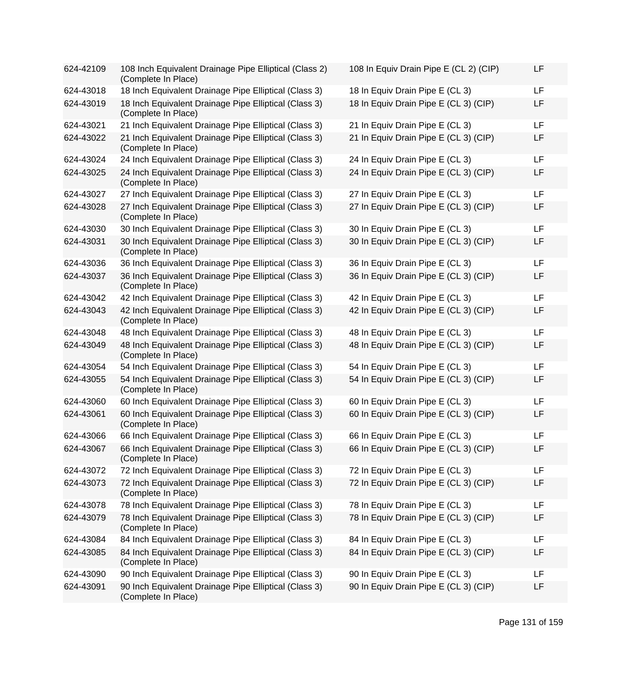| 624-42109 | 108 Inch Equivalent Drainage Pipe Elliptical (Class 2)<br>(Complete In Place) | 108 In Equiv Drain Pipe E (CL 2) (CIP) | LF |
|-----------|-------------------------------------------------------------------------------|----------------------------------------|----|
| 624-43018 | 18 Inch Equivalent Drainage Pipe Elliptical (Class 3)                         | 18 In Equiv Drain Pipe E (CL 3)        | LF |
| 624-43019 | 18 Inch Equivalent Drainage Pipe Elliptical (Class 3)<br>(Complete In Place)  | 18 In Equiv Drain Pipe E (CL 3) (CIP)  | LF |
| 624-43021 | 21 Inch Equivalent Drainage Pipe Elliptical (Class 3)                         | 21 In Equiv Drain Pipe E (CL 3)        | LF |
| 624-43022 | 21 Inch Equivalent Drainage Pipe Elliptical (Class 3)<br>(Complete In Place)  | 21 In Equiv Drain Pipe E (CL 3) (CIP)  | LF |
| 624-43024 | 24 Inch Equivalent Drainage Pipe Elliptical (Class 3)                         | 24 In Equiv Drain Pipe E (CL 3)        | LF |
| 624-43025 | 24 Inch Equivalent Drainage Pipe Elliptical (Class 3)<br>(Complete In Place)  | 24 In Equiv Drain Pipe E (CL 3) (CIP)  | LF |
| 624-43027 | 27 Inch Equivalent Drainage Pipe Elliptical (Class 3)                         | 27 In Equiv Drain Pipe E (CL 3)        | LF |
| 624-43028 | 27 Inch Equivalent Drainage Pipe Elliptical (Class 3)<br>(Complete In Place)  | 27 In Equiv Drain Pipe E (CL 3) (CIP)  | LF |
| 624-43030 | 30 Inch Equivalent Drainage Pipe Elliptical (Class 3)                         | 30 In Equiv Drain Pipe E (CL 3)        | LF |
| 624-43031 | 30 Inch Equivalent Drainage Pipe Elliptical (Class 3)<br>(Complete In Place)  | 30 In Equiv Drain Pipe E (CL 3) (CIP)  | LF |
| 624-43036 | 36 Inch Equivalent Drainage Pipe Elliptical (Class 3)                         | 36 In Equiv Drain Pipe E (CL 3)        | LF |
| 624-43037 | 36 Inch Equivalent Drainage Pipe Elliptical (Class 3)<br>(Complete In Place)  | 36 In Equiv Drain Pipe E (CL 3) (CIP)  | LF |
| 624-43042 | 42 Inch Equivalent Drainage Pipe Elliptical (Class 3)                         | 42 In Equiv Drain Pipe E (CL 3)        | LF |
| 624-43043 | 42 Inch Equivalent Drainage Pipe Elliptical (Class 3)<br>(Complete In Place)  | 42 In Equiv Drain Pipe E (CL 3) (CIP)  | LF |
| 624-43048 | 48 Inch Equivalent Drainage Pipe Elliptical (Class 3)                         | 48 In Equiv Drain Pipe E (CL 3)        | LF |
| 624-43049 | 48 Inch Equivalent Drainage Pipe Elliptical (Class 3)<br>(Complete In Place)  | 48 In Equiv Drain Pipe E (CL 3) (CIP)  | LF |
| 624-43054 | 54 Inch Equivalent Drainage Pipe Elliptical (Class 3)                         | 54 In Equiv Drain Pipe E (CL 3)        | LF |
| 624-43055 | 54 Inch Equivalent Drainage Pipe Elliptical (Class 3)<br>(Complete In Place)  | 54 In Equiv Drain Pipe E (CL 3) (CIP)  | LF |
| 624-43060 | 60 Inch Equivalent Drainage Pipe Elliptical (Class 3)                         | 60 In Equiv Drain Pipe E (CL 3)        | LF |
| 624-43061 | 60 Inch Equivalent Drainage Pipe Elliptical (Class 3)<br>(Complete In Place)  | 60 In Equiv Drain Pipe E (CL 3) (CIP)  | LF |
| 624-43066 | 66 Inch Equivalent Drainage Pipe Elliptical (Class 3)                         | 66 In Equiv Drain Pipe E (CL 3)        | LF |
| 624-43067 | 66 Inch Equivalent Drainage Pipe Elliptical (Class 3)<br>(Complete In Place)  | 66 In Equiv Drain Pipe E (CL 3) (CIP)  | LF |
| 624-43072 | 72 Inch Equivalent Drainage Pipe Elliptical (Class 3)                         | 72 In Equiv Drain Pipe E (CL 3)        | LF |
| 624-43073 | 72 Inch Equivalent Drainage Pipe Elliptical (Class 3)<br>(Complete In Place)  | 72 In Equiv Drain Pipe E (CL 3) (CIP)  | LF |
| 624-43078 | 78 Inch Equivalent Drainage Pipe Elliptical (Class 3)                         | 78 In Equiv Drain Pipe E (CL 3)        | LF |
| 624-43079 | 78 Inch Equivalent Drainage Pipe Elliptical (Class 3)<br>(Complete In Place)  | 78 In Equiv Drain Pipe E (CL 3) (CIP)  | LF |
| 624-43084 | 84 Inch Equivalent Drainage Pipe Elliptical (Class 3)                         | 84 In Equiv Drain Pipe E (CL 3)        | LF |
| 624-43085 | 84 Inch Equivalent Drainage Pipe Elliptical (Class 3)<br>(Complete In Place)  | 84 In Equiv Drain Pipe E (CL 3) (CIP)  | LF |
| 624-43090 | 90 Inch Equivalent Drainage Pipe Elliptical (Class 3)                         | 90 In Equiv Drain Pipe E (CL 3)        | LF |
| 624-43091 | 90 Inch Equivalent Drainage Pipe Elliptical (Class 3)<br>(Complete In Place)  | 90 In Equiv Drain Pipe E (CL 3) (CIP)  | LF |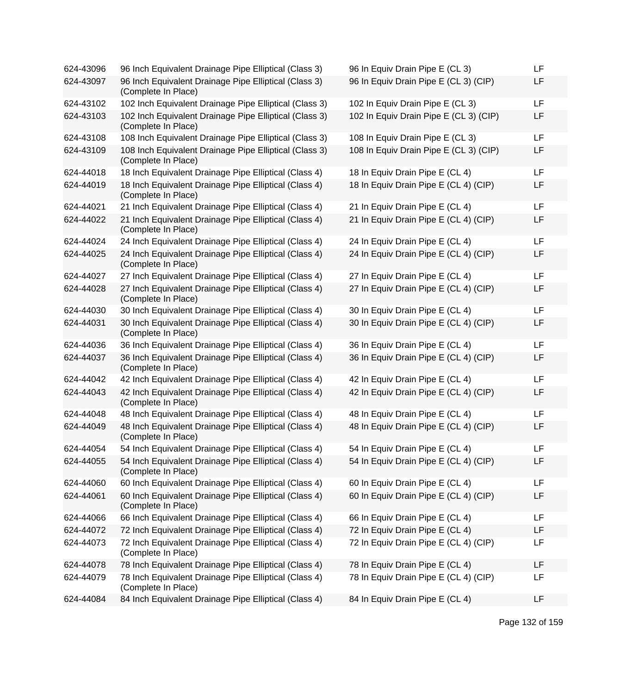| 96 Inch Equivalent Drainage Pipe Elliptical (Class 3)                         | 96 In Equiv Drain Pipe E (CL 3)                                                                                                                                                                                                                                                                                                                                                                                                                                      | LF                                                                                                                                                                                                                                                                                     |
|-------------------------------------------------------------------------------|----------------------------------------------------------------------------------------------------------------------------------------------------------------------------------------------------------------------------------------------------------------------------------------------------------------------------------------------------------------------------------------------------------------------------------------------------------------------|----------------------------------------------------------------------------------------------------------------------------------------------------------------------------------------------------------------------------------------------------------------------------------------|
| 96 Inch Equivalent Drainage Pipe Elliptical (Class 3)<br>(Complete In Place)  | 96 In Equiv Drain Pipe E (CL 3) (CIP)                                                                                                                                                                                                                                                                                                                                                                                                                                | LF                                                                                                                                                                                                                                                                                     |
| 102 Inch Equivalent Drainage Pipe Elliptical (Class 3)                        | 102 In Equiv Drain Pipe E (CL 3)                                                                                                                                                                                                                                                                                                                                                                                                                                     | LF                                                                                                                                                                                                                                                                                     |
| 102 Inch Equivalent Drainage Pipe Elliptical (Class 3)<br>(Complete In Place) | 102 In Equiv Drain Pipe E (CL 3) (CIP)                                                                                                                                                                                                                                                                                                                                                                                                                               | LF                                                                                                                                                                                                                                                                                     |
| 108 Inch Equivalent Drainage Pipe Elliptical (Class 3)                        | 108 In Equiv Drain Pipe E (CL 3)                                                                                                                                                                                                                                                                                                                                                                                                                                     | LF                                                                                                                                                                                                                                                                                     |
| 108 Inch Equivalent Drainage Pipe Elliptical (Class 3)<br>(Complete In Place) |                                                                                                                                                                                                                                                                                                                                                                                                                                                                      | LF                                                                                                                                                                                                                                                                                     |
| 18 Inch Equivalent Drainage Pipe Elliptical (Class 4)                         | 18 In Equiv Drain Pipe E (CL 4)                                                                                                                                                                                                                                                                                                                                                                                                                                      | LF                                                                                                                                                                                                                                                                                     |
| (Complete In Place)                                                           |                                                                                                                                                                                                                                                                                                                                                                                                                                                                      | LF                                                                                                                                                                                                                                                                                     |
|                                                                               | 21 In Equiv Drain Pipe E (CL 4)                                                                                                                                                                                                                                                                                                                                                                                                                                      | LF                                                                                                                                                                                                                                                                                     |
| (Complete In Place)                                                           |                                                                                                                                                                                                                                                                                                                                                                                                                                                                      | LF                                                                                                                                                                                                                                                                                     |
| 24 Inch Equivalent Drainage Pipe Elliptical (Class 4)                         | 24 In Equiv Drain Pipe E (CL 4)                                                                                                                                                                                                                                                                                                                                                                                                                                      | LF                                                                                                                                                                                                                                                                                     |
| 24 Inch Equivalent Drainage Pipe Elliptical (Class 4)<br>(Complete In Place)  | 24 In Equiv Drain Pipe E (CL 4) (CIP)                                                                                                                                                                                                                                                                                                                                                                                                                                | LF                                                                                                                                                                                                                                                                                     |
| 27 Inch Equivalent Drainage Pipe Elliptical (Class 4)                         | 27 In Equiv Drain Pipe E (CL 4)                                                                                                                                                                                                                                                                                                                                                                                                                                      | LF                                                                                                                                                                                                                                                                                     |
| 27 Inch Equivalent Drainage Pipe Elliptical (Class 4)<br>(Complete In Place)  | 27 In Equiv Drain Pipe E (CL 4) (CIP)                                                                                                                                                                                                                                                                                                                                                                                                                                | LF                                                                                                                                                                                                                                                                                     |
| 30 Inch Equivalent Drainage Pipe Elliptical (Class 4)                         | 30 In Equiv Drain Pipe E (CL 4)                                                                                                                                                                                                                                                                                                                                                                                                                                      | LF                                                                                                                                                                                                                                                                                     |
| 30 Inch Equivalent Drainage Pipe Elliptical (Class 4)<br>(Complete In Place)  | 30 In Equiv Drain Pipe E (CL 4) (CIP)                                                                                                                                                                                                                                                                                                                                                                                                                                | LF                                                                                                                                                                                                                                                                                     |
| 36 Inch Equivalent Drainage Pipe Elliptical (Class 4)                         | 36 In Equiv Drain Pipe E (CL 4)                                                                                                                                                                                                                                                                                                                                                                                                                                      | LF                                                                                                                                                                                                                                                                                     |
| 36 Inch Equivalent Drainage Pipe Elliptical (Class 4)<br>(Complete In Place)  | 36 In Equiv Drain Pipe E (CL 4) (CIP)                                                                                                                                                                                                                                                                                                                                                                                                                                | LF                                                                                                                                                                                                                                                                                     |
| 42 Inch Equivalent Drainage Pipe Elliptical (Class 4)                         | 42 In Equiv Drain Pipe E (CL 4)                                                                                                                                                                                                                                                                                                                                                                                                                                      | LF                                                                                                                                                                                                                                                                                     |
| 42 Inch Equivalent Drainage Pipe Elliptical (Class 4)<br>(Complete In Place)  | 42 In Equiv Drain Pipe E (CL 4) (CIP)                                                                                                                                                                                                                                                                                                                                                                                                                                | LF                                                                                                                                                                                                                                                                                     |
| 48 Inch Equivalent Drainage Pipe Elliptical (Class 4)                         | 48 In Equiv Drain Pipe E (CL 4)                                                                                                                                                                                                                                                                                                                                                                                                                                      | LF                                                                                                                                                                                                                                                                                     |
| 48 Inch Equivalent Drainage Pipe Elliptical (Class 4)<br>(Complete In Place)  |                                                                                                                                                                                                                                                                                                                                                                                                                                                                      | LF                                                                                                                                                                                                                                                                                     |
| 54 Inch Equivalent Drainage Pipe Elliptical (Class 4)                         | 54 In Equiv Drain Pipe E (CL 4)                                                                                                                                                                                                                                                                                                                                                                                                                                      | LF                                                                                                                                                                                                                                                                                     |
| 54 Inch Equivalent Drainage Pipe Elliptical (Class 4)<br>(Complete In Place)  | 54 In Equiv Drain Pipe E (CL 4) (CIP)                                                                                                                                                                                                                                                                                                                                                                                                                                | LF                                                                                                                                                                                                                                                                                     |
| 60 Inch Equivalent Drainage Pipe Elliptical (Class 4)                         | 60 In Equiv Drain Pipe E (CL 4)                                                                                                                                                                                                                                                                                                                                                                                                                                      | LF                                                                                                                                                                                                                                                                                     |
| (Complete In Place)                                                           | 60 In Equiv Drain Pipe E (CL 4) (CIP)                                                                                                                                                                                                                                                                                                                                                                                                                                | LF                                                                                                                                                                                                                                                                                     |
|                                                                               | 66 In Equiv Drain Pipe E (CL 4)                                                                                                                                                                                                                                                                                                                                                                                                                                      | LF                                                                                                                                                                                                                                                                                     |
|                                                                               |                                                                                                                                                                                                                                                                                                                                                                                                                                                                      | LF                                                                                                                                                                                                                                                                                     |
| (Complete In Place)                                                           |                                                                                                                                                                                                                                                                                                                                                                                                                                                                      | LF                                                                                                                                                                                                                                                                                     |
| 78 Inch Equivalent Drainage Pipe Elliptical (Class 4)                         | 78 In Equiv Drain Pipe E (CL 4)                                                                                                                                                                                                                                                                                                                                                                                                                                      | LF                                                                                                                                                                                                                                                                                     |
| (Complete In Place)                                                           |                                                                                                                                                                                                                                                                                                                                                                                                                                                                      | LF                                                                                                                                                                                                                                                                                     |
| 84 Inch Equivalent Drainage Pipe Elliptical (Class 4)                         | 84 In Equiv Drain Pipe E (CL 4)                                                                                                                                                                                                                                                                                                                                                                                                                                      | LF                                                                                                                                                                                                                                                                                     |
|                                                                               | 18 Inch Equivalent Drainage Pipe Elliptical (Class 4)<br>21 Inch Equivalent Drainage Pipe Elliptical (Class 4)<br>21 Inch Equivalent Drainage Pipe Elliptical (Class 4)<br>60 Inch Equivalent Drainage Pipe Elliptical (Class 4)<br>66 Inch Equivalent Drainage Pipe Elliptical (Class 4)<br>72 Inch Equivalent Drainage Pipe Elliptical (Class 4)<br>72 Inch Equivalent Drainage Pipe Elliptical (Class 4)<br>78 Inch Equivalent Drainage Pipe Elliptical (Class 4) | 108 In Equiv Drain Pipe E (CL 3) (CIP)<br>18 In Equiv Drain Pipe E (CL 4) (CIP)<br>21 In Equiv Drain Pipe E (CL 4) (CIP)<br>48 In Equiv Drain Pipe E (CL 4) (CIP)<br>72 In Equiv Drain Pipe E (CL 4)<br>72 In Equiv Drain Pipe E (CL 4) (CIP)<br>78 In Equiv Drain Pipe E (CL 4) (CIP) |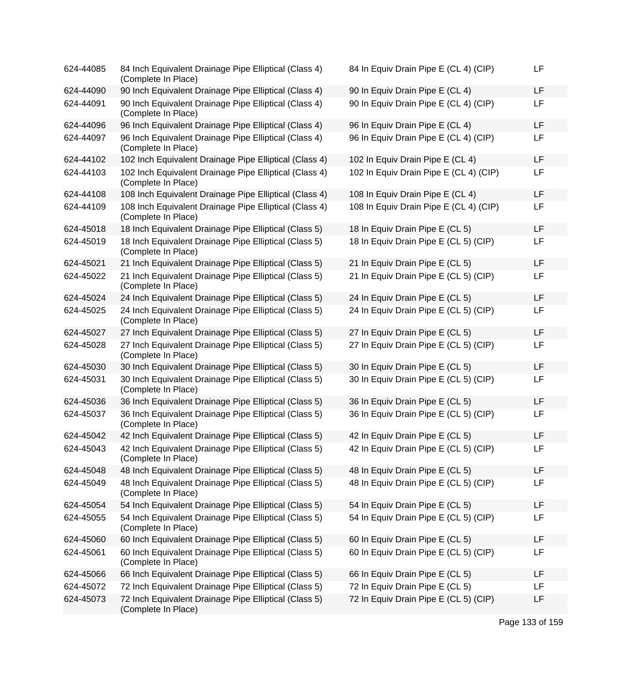| 624-44085 | 84 Inch Equivalent Drainage Pipe Elliptical (Class 4)<br>(Complete In Place)  | 84 In Equiv Drain Pipe E (CL 4) (CIP)  | LF        |
|-----------|-------------------------------------------------------------------------------|----------------------------------------|-----------|
| 624-44090 | 90 Inch Equivalent Drainage Pipe Elliptical (Class 4)                         | 90 In Equiv Drain Pipe E (CL 4)        | LF        |
| 624-44091 | 90 Inch Equivalent Drainage Pipe Elliptical (Class 4)<br>(Complete In Place)  | 90 In Equiv Drain Pipe E (CL 4) (CIP)  | LF        |
| 624-44096 | 96 Inch Equivalent Drainage Pipe Elliptical (Class 4)                         | 96 In Equiv Drain Pipe E (CL 4)        | <b>LF</b> |
| 624-44097 | 96 Inch Equivalent Drainage Pipe Elliptical (Class 4)<br>(Complete In Place)  | 96 In Equiv Drain Pipe E (CL 4) (CIP)  | LF        |
| 624-44102 | 102 Inch Equivalent Drainage Pipe Elliptical (Class 4)                        | 102 In Equiv Drain Pipe E (CL 4)       | LF        |
| 624-44103 | 102 Inch Equivalent Drainage Pipe Elliptical (Class 4)<br>(Complete In Place) | 102 In Equiv Drain Pipe E (CL 4) (CIP) | LF        |
| 624-44108 | 108 Inch Equivalent Drainage Pipe Elliptical (Class 4)                        | 108 In Equiv Drain Pipe E (CL 4)       | LF        |
| 624-44109 | 108 Inch Equivalent Drainage Pipe Elliptical (Class 4)<br>(Complete In Place) | 108 In Equiv Drain Pipe E (CL 4) (CIP) | LF        |
| 624-45018 | 18 Inch Equivalent Drainage Pipe Elliptical (Class 5)                         | 18 In Equiv Drain Pipe E (CL 5)        | LF        |
| 624-45019 | 18 Inch Equivalent Drainage Pipe Elliptical (Class 5)<br>(Complete In Place)  | 18 In Equiv Drain Pipe E (CL 5) (CIP)  | LF        |
| 624-45021 | 21 Inch Equivalent Drainage Pipe Elliptical (Class 5)                         | 21 In Equiv Drain Pipe E (CL 5)        | LF        |
| 624-45022 | 21 Inch Equivalent Drainage Pipe Elliptical (Class 5)<br>(Complete In Place)  | 21 In Equiv Drain Pipe E (CL 5) (CIP)  | LF        |
| 624-45024 | 24 Inch Equivalent Drainage Pipe Elliptical (Class 5)                         | 24 In Equiv Drain Pipe E (CL 5)        | LF        |
| 624-45025 | 24 Inch Equivalent Drainage Pipe Elliptical (Class 5)<br>(Complete In Place)  | 24 In Equiv Drain Pipe E (CL 5) (CIP)  | LF        |
| 624-45027 | 27 Inch Equivalent Drainage Pipe Elliptical (Class 5)                         | 27 In Equiv Drain Pipe E (CL 5)        | LF        |
| 624-45028 | 27 Inch Equivalent Drainage Pipe Elliptical (Class 5)<br>(Complete In Place)  | 27 In Equiv Drain Pipe E (CL 5) (CIP)  | LF        |
| 624-45030 | 30 Inch Equivalent Drainage Pipe Elliptical (Class 5)                         | 30 In Equiv Drain Pipe E (CL 5)        | LF        |
| 624-45031 | 30 Inch Equivalent Drainage Pipe Elliptical (Class 5)<br>(Complete In Place)  | 30 In Equiv Drain Pipe E (CL 5) (CIP)  | LF        |
| 624-45036 | 36 Inch Equivalent Drainage Pipe Elliptical (Class 5)                         | 36 In Equiv Drain Pipe E (CL 5)        | LF        |
| 624-45037 | 36 Inch Equivalent Drainage Pipe Elliptical (Class 5)<br>(Complete In Place)  | 36 In Equiv Drain Pipe E (CL 5) (CIP)  | LF        |
| 624-45042 | 42 Inch Equivalent Drainage Pipe Elliptical (Class 5)                         | 42 In Equiv Drain Pipe E (CL 5)        | LF        |
| 624-45043 | 42 Inch Equivalent Drainage Pipe Elliptical (Class 5)<br>(Complete In Place)  | 42 In Equiv Drain Pipe E (CL 5) (CIP)  | LF        |
| 624-45048 | 48 Inch Equivalent Drainage Pipe Elliptical (Class 5)                         | 48 In Equiv Drain Pipe E (CL 5)        | LF        |
| 624-45049 | 48 Inch Equivalent Drainage Pipe Elliptical (Class 5)<br>(Complete In Place)  | 48 In Equiv Drain Pipe E (CL 5) (CIP)  | LF        |
| 624-45054 | 54 Inch Equivalent Drainage Pipe Elliptical (Class 5)                         | 54 In Equiv Drain Pipe E (CL 5)        | LF        |
| 624-45055 | 54 Inch Equivalent Drainage Pipe Elliptical (Class 5)<br>(Complete In Place)  | 54 In Equiv Drain Pipe E (CL 5) (CIP)  | LF        |
| 624-45060 | 60 Inch Equivalent Drainage Pipe Elliptical (Class 5)                         | 60 In Equiv Drain Pipe E (CL 5)        | LF        |
| 624-45061 | 60 Inch Equivalent Drainage Pipe Elliptical (Class 5)<br>(Complete In Place)  | 60 In Equiv Drain Pipe E (CL 5) (CIP)  | LF        |
| 624-45066 | 66 Inch Equivalent Drainage Pipe Elliptical (Class 5)                         | 66 In Equiv Drain Pipe E (CL 5)        | LF        |
| 624-45072 | 72 Inch Equivalent Drainage Pipe Elliptical (Class 5)                         | 72 In Equiv Drain Pipe E (CL 5)        | LF        |
| 624-45073 | 72 Inch Equivalent Drainage Pipe Elliptical (Class 5)<br>(Complete In Place)  | 72 In Equiv Drain Pipe E (CL 5) (CIP)  | LF        |

Page 133 of 159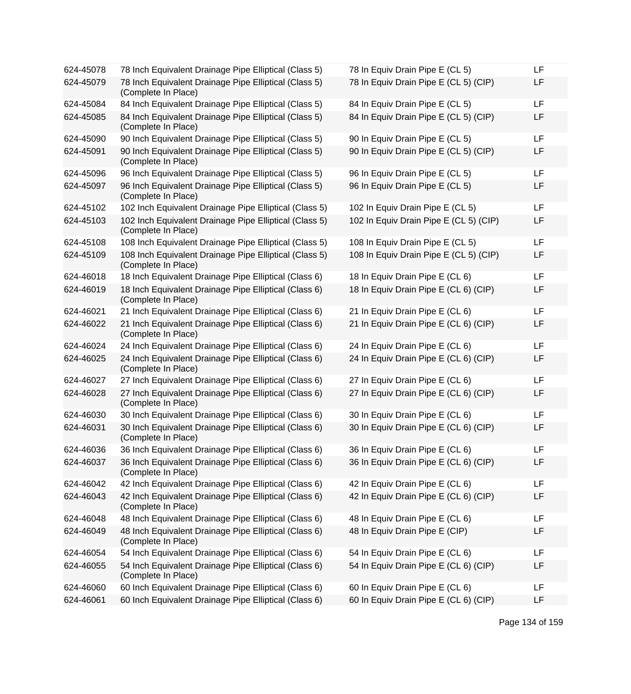| 624-45078 | 78 Inch Equivalent Drainage Pipe Elliptical (Class 5)                         | 78 In Equiv Drain Pipe E (CL 5)        | LF |
|-----------|-------------------------------------------------------------------------------|----------------------------------------|----|
| 624-45079 | 78 Inch Equivalent Drainage Pipe Elliptical (Class 5)<br>(Complete In Place)  | 78 In Equiv Drain Pipe E (CL 5) (CIP)  | LF |
| 624-45084 | 84 Inch Equivalent Drainage Pipe Elliptical (Class 5)                         | 84 In Equiv Drain Pipe E (CL 5)        | LF |
| 624-45085 | 84 Inch Equivalent Drainage Pipe Elliptical (Class 5)<br>(Complete In Place)  | 84 In Equiv Drain Pipe E (CL 5) (CIP)  | LF |
| 624-45090 | 90 Inch Equivalent Drainage Pipe Elliptical (Class 5)                         | 90 In Equiv Drain Pipe E (CL 5)        | LF |
| 624-45091 | 90 Inch Equivalent Drainage Pipe Elliptical (Class 5)<br>(Complete In Place)  | 90 In Equiv Drain Pipe E (CL 5) (CIP)  | LF |
| 624-45096 | 96 Inch Equivalent Drainage Pipe Elliptical (Class 5)                         | 96 In Equiv Drain Pipe E (CL 5)        | LF |
| 624-45097 | 96 Inch Equivalent Drainage Pipe Elliptical (Class 5)<br>(Complete In Place)  | 96 In Equiv Drain Pipe E (CL 5)        | LF |
| 624-45102 | 102 Inch Equivalent Drainage Pipe Elliptical (Class 5)                        | 102 In Equiv Drain Pipe E (CL 5)       | LF |
| 624-45103 | 102 Inch Equivalent Drainage Pipe Elliptical (Class 5)<br>(Complete In Place) | 102 In Equiv Drain Pipe E (CL 5) (CIP) | LF |
| 624-45108 | 108 Inch Equivalent Drainage Pipe Elliptical (Class 5)                        | 108 In Equiv Drain Pipe E (CL 5)       | LF |
| 624-45109 | 108 Inch Equivalent Drainage Pipe Elliptical (Class 5)<br>(Complete In Place) | 108 In Equiv Drain Pipe E (CL 5) (CIP) | LF |
| 624-46018 | 18 Inch Equivalent Drainage Pipe Elliptical (Class 6)                         | 18 In Equiv Drain Pipe E (CL 6)        | LF |
| 624-46019 | 18 Inch Equivalent Drainage Pipe Elliptical (Class 6)<br>(Complete In Place)  | 18 In Equiv Drain Pipe E (CL 6) (CIP)  | LF |
| 624-46021 | 21 Inch Equivalent Drainage Pipe Elliptical (Class 6)                         | 21 In Equiv Drain Pipe E (CL 6)        | LF |
| 624-46022 | 21 Inch Equivalent Drainage Pipe Elliptical (Class 6)<br>(Complete In Place)  | 21 In Equiv Drain Pipe E (CL 6) (CIP)  | LF |
| 624-46024 | 24 Inch Equivalent Drainage Pipe Elliptical (Class 6)                         | 24 In Equiv Drain Pipe E (CL 6)        | LF |
| 624-46025 | 24 Inch Equivalent Drainage Pipe Elliptical (Class 6)<br>(Complete In Place)  | 24 In Equiv Drain Pipe E (CL 6) (CIP)  | LF |
| 624-46027 | 27 Inch Equivalent Drainage Pipe Elliptical (Class 6)                         | 27 In Equiv Drain Pipe E (CL 6)        | LF |
| 624-46028 | 27 Inch Equivalent Drainage Pipe Elliptical (Class 6)<br>(Complete In Place)  | 27 In Equiv Drain Pipe E (CL 6) (CIP)  | LF |
| 624-46030 | 30 Inch Equivalent Drainage Pipe Elliptical (Class 6)                         | 30 In Equiv Drain Pipe E (CL 6)        | LF |
| 624-46031 | 30 Inch Equivalent Drainage Pipe Elliptical (Class 6)<br>(Complete In Place)  | 30 In Equiv Drain Pipe E (CL 6) (CIP)  | LF |
| 624-46036 | 36 Inch Equivalent Drainage Pipe Elliptical (Class 6)                         | 36 In Equiv Drain Pipe E (CL 6)        | LF |
| 624-46037 | 36 Inch Equivalent Drainage Pipe Elliptical (Class 6)<br>(Complete In Place)  | 36 In Equiv Drain Pipe E (CL 6) (CIP)  | LF |
| 624-46042 | 42 Inch Equivalent Drainage Pipe Elliptical (Class 6)                         | 42 In Equiv Drain Pipe E (CL 6)        | LF |
| 624-46043 | 42 Inch Equivalent Drainage Pipe Elliptical (Class 6)<br>(Complete In Place)  | 42 In Equiv Drain Pipe E (CL 6) (CIP)  | LF |
| 624-46048 | 48 Inch Equivalent Drainage Pipe Elliptical (Class 6)                         | 48 In Equiv Drain Pipe E (CL 6)        | LF |
| 624-46049 | 48 Inch Equivalent Drainage Pipe Elliptical (Class 6)<br>(Complete In Place)  | 48 In Equiv Drain Pipe E (CIP)         | LF |
| 624-46054 | 54 Inch Equivalent Drainage Pipe Elliptical (Class 6)                         | 54 In Equiv Drain Pipe E (CL 6)        | LF |
| 624-46055 | 54 Inch Equivalent Drainage Pipe Elliptical (Class 6)<br>(Complete In Place)  | 54 In Equiv Drain Pipe E (CL 6) (CIP)  | LF |
| 624-46060 | 60 Inch Equivalent Drainage Pipe Elliptical (Class 6)                         | 60 In Equiv Drain Pipe E (CL 6)        | LF |
| 624-46061 | 60 Inch Equivalent Drainage Pipe Elliptical (Class 6)                         | 60 In Equiv Drain Pipe E (CL 6) (CIP)  | LF |
|           |                                                                               |                                        |    |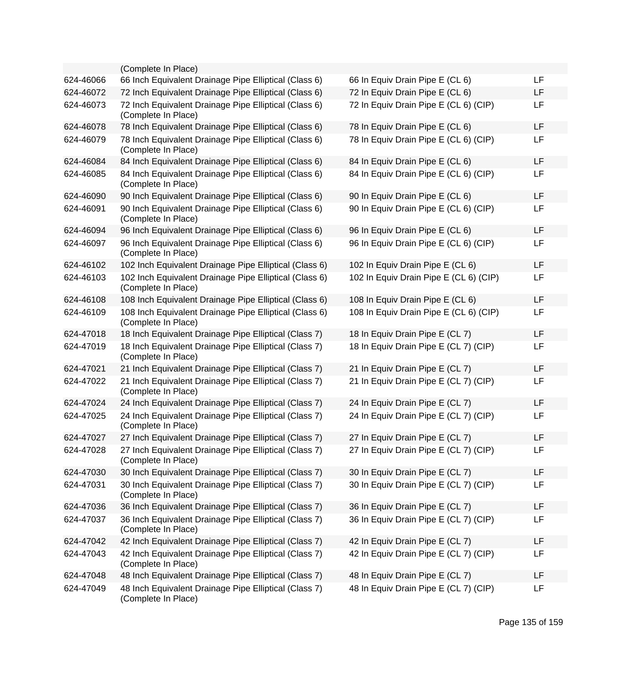|           | (Complete In Place)                                                           |                                        |           |
|-----------|-------------------------------------------------------------------------------|----------------------------------------|-----------|
| 624-46066 | 66 Inch Equivalent Drainage Pipe Elliptical (Class 6)                         | 66 In Equiv Drain Pipe E (CL 6)        | <b>LF</b> |
| 624-46072 | 72 Inch Equivalent Drainage Pipe Elliptical (Class 6)                         | 72 In Equiv Drain Pipe E (CL 6)        | LF        |
| 624-46073 | 72 Inch Equivalent Drainage Pipe Elliptical (Class 6)<br>(Complete In Place)  | 72 In Equiv Drain Pipe E (CL 6) (CIP)  | <b>LF</b> |
| 624-46078 | 78 Inch Equivalent Drainage Pipe Elliptical (Class 6)                         | 78 In Equiv Drain Pipe E (CL 6)        | <b>LF</b> |
| 624-46079 | 78 Inch Equivalent Drainage Pipe Elliptical (Class 6)<br>(Complete In Place)  | 78 In Equiv Drain Pipe E (CL 6) (CIP)  | LF        |
| 624-46084 | 84 Inch Equivalent Drainage Pipe Elliptical (Class 6)                         | 84 In Equiv Drain Pipe E (CL 6)        | <b>LF</b> |
| 624-46085 | 84 Inch Equivalent Drainage Pipe Elliptical (Class 6)<br>(Complete In Place)  | 84 In Equiv Drain Pipe E (CL 6) (CIP)  | <b>LF</b> |
| 624-46090 | 90 Inch Equivalent Drainage Pipe Elliptical (Class 6)                         | 90 In Equiv Drain Pipe E (CL 6)        | <b>LF</b> |
| 624-46091 | 90 Inch Equivalent Drainage Pipe Elliptical (Class 6)<br>(Complete In Place)  | 90 In Equiv Drain Pipe E (CL 6) (CIP)  | LF        |
| 624-46094 | 96 Inch Equivalent Drainage Pipe Elliptical (Class 6)                         | 96 In Equiv Drain Pipe E (CL 6)        | <b>LF</b> |
| 624-46097 | 96 Inch Equivalent Drainage Pipe Elliptical (Class 6)<br>(Complete In Place)  | 96 In Equiv Drain Pipe E (CL 6) (CIP)  | <b>LF</b> |
| 624-46102 | 102 Inch Equivalent Drainage Pipe Elliptical (Class 6)                        | 102 In Equiv Drain Pipe E (CL 6)       | LF        |
| 624-46103 | 102 Inch Equivalent Drainage Pipe Elliptical (Class 6)<br>(Complete In Place) | 102 In Equiv Drain Pipe E (CL 6) (CIP) | LF        |
| 624-46108 | 108 Inch Equivalent Drainage Pipe Elliptical (Class 6)                        | 108 In Equiv Drain Pipe E (CL 6)       | LF        |
| 624-46109 | 108 Inch Equivalent Drainage Pipe Elliptical (Class 6)<br>(Complete In Place) | 108 In Equiv Drain Pipe E (CL 6) (CIP) | LF        |
| 624-47018 | 18 Inch Equivalent Drainage Pipe Elliptical (Class 7)                         | 18 In Equiv Drain Pipe E (CL 7)        | <b>LF</b> |
| 624-47019 | 18 Inch Equivalent Drainage Pipe Elliptical (Class 7)<br>(Complete In Place)  | 18 In Equiv Drain Pipe E (CL 7) (CIP)  | LF        |
| 624-47021 | 21 Inch Equivalent Drainage Pipe Elliptical (Class 7)                         | 21 In Equiv Drain Pipe E (CL 7)        | LF        |
| 624-47022 | 21 Inch Equivalent Drainage Pipe Elliptical (Class 7)<br>(Complete In Place)  | 21 In Equiv Drain Pipe E (CL 7) (CIP)  | LF        |
| 624-47024 | 24 Inch Equivalent Drainage Pipe Elliptical (Class 7)                         | 24 In Equiv Drain Pipe E (CL 7)        | <b>LF</b> |
| 624-47025 | 24 Inch Equivalent Drainage Pipe Elliptical (Class 7)<br>(Complete In Place)  | 24 In Equiv Drain Pipe E (CL 7) (CIP)  | <b>LF</b> |
| 624-47027 | 27 Inch Equivalent Drainage Pipe Elliptical (Class 7)                         | 27 In Equiv Drain Pipe E (CL 7)        | LF        |
| 624-47028 | 27 Inch Equivalent Drainage Pipe Elliptical (Class 7)<br>(Complete In Place)  | 27 In Equiv Drain Pipe E (CL 7) (CIP)  | <b>LF</b> |
| 624-47030 | 30 Inch Equivalent Drainage Pipe Elliptical (Class 7)                         | 30 In Equiv Drain Pipe E (CL 7)        | <b>LF</b> |
| 624-47031 | 30 Inch Equivalent Drainage Pipe Elliptical (Class 7)<br>(Complete In Place)  | 30 In Equiv Drain Pipe E (CL 7) (CIP)  | <b>LF</b> |
| 624-47036 | 36 Inch Equivalent Drainage Pipe Elliptical (Class 7)                         | 36 In Equiv Drain Pipe E (CL 7)        | LF        |
| 624-47037 | 36 Inch Equivalent Drainage Pipe Elliptical (Class 7)<br>(Complete In Place)  | 36 In Equiv Drain Pipe E (CL 7) (CIP)  | LF        |
| 624-47042 | 42 Inch Equivalent Drainage Pipe Elliptical (Class 7)                         | 42 In Equiv Drain Pipe E (CL 7)        | LF        |
| 624-47043 | 42 Inch Equivalent Drainage Pipe Elliptical (Class 7)<br>(Complete In Place)  | 42 In Equiv Drain Pipe E (CL 7) (CIP)  | LF        |
| 624-47048 | 48 Inch Equivalent Drainage Pipe Elliptical (Class 7)                         | 48 In Equiv Drain Pipe E (CL 7)        | LF        |
| 624-47049 | 48 Inch Equivalent Drainage Pipe Elliptical (Class 7)<br>(Complete In Place)  | 48 In Equiv Drain Pipe E (CL 7) (CIP)  | <b>LF</b> |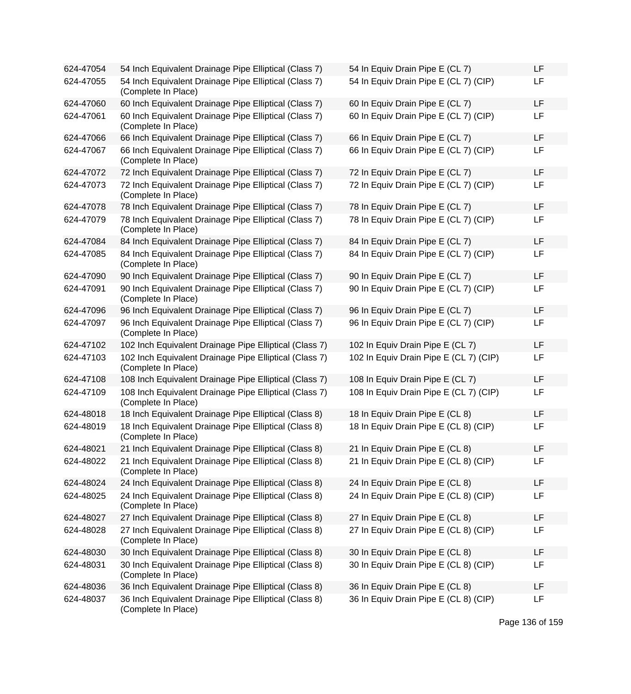| 624-47054 | 54 Inch Equivalent Drainage Pipe Elliptical (Class 7)                         | 54 In Equiv Drain Pipe E (CL 7)        | LF |
|-----------|-------------------------------------------------------------------------------|----------------------------------------|----|
| 624-47055 | 54 Inch Equivalent Drainage Pipe Elliptical (Class 7)<br>(Complete In Place)  | 54 In Equiv Drain Pipe E (CL 7) (CIP)  | LF |
| 624-47060 | 60 Inch Equivalent Drainage Pipe Elliptical (Class 7)                         | 60 In Equiv Drain Pipe E (CL 7)        | LF |
| 624-47061 | 60 Inch Equivalent Drainage Pipe Elliptical (Class 7)<br>(Complete In Place)  | 60 In Equiv Drain Pipe E (CL 7) (CIP)  | LF |
| 624-47066 | 66 Inch Equivalent Drainage Pipe Elliptical (Class 7)                         | 66 In Equiv Drain Pipe E (CL 7)        | LF |
| 624-47067 | 66 Inch Equivalent Drainage Pipe Elliptical (Class 7)<br>(Complete In Place)  | 66 In Equiv Drain Pipe E (CL 7) (CIP)  | LF |
| 624-47072 | 72 Inch Equivalent Drainage Pipe Elliptical (Class 7)                         | 72 In Equiv Drain Pipe E (CL 7)        | LF |
| 624-47073 | 72 Inch Equivalent Drainage Pipe Elliptical (Class 7)<br>(Complete In Place)  | 72 In Equiv Drain Pipe E (CL 7) (CIP)  | LF |
| 624-47078 | 78 Inch Equivalent Drainage Pipe Elliptical (Class 7)                         | 78 In Equiv Drain Pipe E (CL 7)        | LF |
| 624-47079 | 78 Inch Equivalent Drainage Pipe Elliptical (Class 7)<br>(Complete In Place)  | 78 In Equiv Drain Pipe E (CL 7) (CIP)  | LF |
| 624-47084 | 84 Inch Equivalent Drainage Pipe Elliptical (Class 7)                         | 84 In Equiv Drain Pipe E (CL 7)        | LF |
| 624-47085 | 84 Inch Equivalent Drainage Pipe Elliptical (Class 7)<br>(Complete In Place)  | 84 In Equiv Drain Pipe E (CL 7) (CIP)  | LF |
| 624-47090 | 90 Inch Equivalent Drainage Pipe Elliptical (Class 7)                         | 90 In Equiv Drain Pipe E (CL 7)        | LF |
| 624-47091 | 90 Inch Equivalent Drainage Pipe Elliptical (Class 7)<br>(Complete In Place)  | 90 In Equiv Drain Pipe E (CL 7) (CIP)  | LF |
| 624-47096 | 96 Inch Equivalent Drainage Pipe Elliptical (Class 7)                         | 96 In Equiv Drain Pipe E (CL 7)        | LF |
| 624-47097 | 96 Inch Equivalent Drainage Pipe Elliptical (Class 7)<br>(Complete In Place)  | 96 In Equiv Drain Pipe E (CL 7) (CIP)  | LF |
| 624-47102 | 102 Inch Equivalent Drainage Pipe Elliptical (Class 7)                        | 102 In Equiv Drain Pipe E (CL 7)       | LF |
| 624-47103 | 102 Inch Equivalent Drainage Pipe Elliptical (Class 7)<br>(Complete In Place) | 102 In Equiv Drain Pipe E (CL 7) (CIP) | LF |
| 624-47108 | 108 Inch Equivalent Drainage Pipe Elliptical (Class 7)                        | 108 In Equiv Drain Pipe E (CL 7)       | LF |
| 624-47109 | 108 Inch Equivalent Drainage Pipe Elliptical (Class 7)<br>(Complete In Place) | 108 In Equiv Drain Pipe E (CL 7) (CIP) | LF |
| 624-48018 | 18 Inch Equivalent Drainage Pipe Elliptical (Class 8)                         | 18 In Equiv Drain Pipe E (CL 8)        | LF |
| 624-48019 | 18 Inch Equivalent Drainage Pipe Elliptical (Class 8)<br>(Complete In Place)  | 18 In Equiv Drain Pipe E (CL 8) (CIP)  | LF |
| 624-48021 | 21 Inch Equivalent Drainage Pipe Elliptical (Class 8)                         | 21 In Equiv Drain Pipe E (CL 8)        | LF |
| 624-48022 | 21 Inch Equivalent Drainage Pipe Elliptical (Class 8)<br>(Complete In Place)  | 21 In Equiv Drain Pipe E (CL 8) (CIP)  | LF |
| 624-48024 | 24 Inch Equivalent Drainage Pipe Elliptical (Class 8)                         | 24 In Equiv Drain Pipe E (CL 8)        | LF |
| 624-48025 | 24 Inch Equivalent Drainage Pipe Elliptical (Class 8)<br>(Complete In Place)  | 24 In Equiv Drain Pipe E (CL 8) (CIP)  | LF |
| 624-48027 | 27 Inch Equivalent Drainage Pipe Elliptical (Class 8)                         | 27 In Equiv Drain Pipe E (CL 8)        | LF |
| 624-48028 | 27 Inch Equivalent Drainage Pipe Elliptical (Class 8)<br>(Complete In Place)  | 27 In Equiv Drain Pipe E (CL 8) (CIP)  | LF |
| 624-48030 | 30 Inch Equivalent Drainage Pipe Elliptical (Class 8)                         | 30 In Equiv Drain Pipe E (CL 8)        | LF |
| 624-48031 | 30 Inch Equivalent Drainage Pipe Elliptical (Class 8)<br>(Complete In Place)  | 30 In Equiv Drain Pipe E (CL 8) (CIP)  | LF |
| 624-48036 | 36 Inch Equivalent Drainage Pipe Elliptical (Class 8)                         | 36 In Equiv Drain Pipe E (CL 8)        | LF |
| 624-48037 | 36 Inch Equivalent Drainage Pipe Elliptical (Class 8)<br>(Complete In Place)  | 36 In Equiv Drain Pipe E (CL 8) (CIP)  | LF |

| 54 In Equiv Drain Pipe E (CL 7)                                          | LF       |
|--------------------------------------------------------------------------|----------|
| 54 In Equiv Drain Pipe E (CL 7) (CIP)                                    | LF       |
| 60 In Equiv Drain Pipe E (CL 7)                                          | LF       |
| 60 In Equiv Drain Pipe E (CL 7) (CIP)                                    | LF       |
| 66 In Equiv Drain Pipe E (CL 7)                                          | LF       |
| 66 In Equiv Drain Pipe E (CL 7) (CIP)                                    | LF       |
| 72 In Equiv Drain Pipe E (CL 7)                                          | LF       |
| 72 In Equiv Drain Pipe E (CL 7) (CIP)                                    | LF       |
| 78 In Equiv Drain Pipe E (CL 7)                                          | LF       |
| 78 In Equiv Drain Pipe E (CL 7) (CIP)                                    | LF       |
| 84 In Equiv Drain Pipe E (CL 7)                                          | LF       |
| 84 In Equiv Drain Pipe E (CL 7) (CIP)                                    | LF       |
| 90 In Equiv Drain Pipe E (CL 7)                                          | LF       |
| 90 In Equiv Drain Pipe E (CL 7) (CIP)                                    | LF       |
| 96 In Equiv Drain Pipe E (CL 7)                                          | LF       |
| 96 In Equiv Drain Pipe E (CL 7) (CIP)                                    | LF       |
| 102 In Equiv Drain Pipe E (CL 7)                                         | LF       |
| 102 In Equiv Drain Pipe E (CL 7) (CIP)                                   | LF       |
|                                                                          | LF       |
| 108 In Equiv Drain Pipe E (CL 7)                                         |          |
| 108 In Equiv Drain Pipe E (CL 7) (CIP)                                   | LF       |
| 18 In Equiv Drain Pipe E (CL 8)                                          | LF       |
| 18 In Equiv Drain Pipe E (CL 8) (CIP)                                    | LF       |
| 21 In Equiv Drain Pipe E (CL 8)                                          | LF       |
| 21 In Equiv Drain Pipe E (CL 8) (CIP)                                    | LF       |
| 24 In Equiv Drain Pipe E (CL 8)                                          | LF       |
| 24 In Equiv Drain Pipe E (CL 8) (CIP)                                    | LF       |
| 27 In Equiv Drain Pipe E (CL 8)                                          | LF       |
| 27 In Equiv Drain Pipe E (CL 8) (CIP)                                    | LF       |
| 30 In Equiv Drain Pipe E (CL 8)                                          | LF       |
| 30 In Equiv Drain Pipe E (CL 8) (CIP)                                    | LF       |
| 36 In Equiv Drain Pipe E (CL 8)<br>36 In Equiv Drain Pipe E (CL 8) (CIP) | LF<br>LF |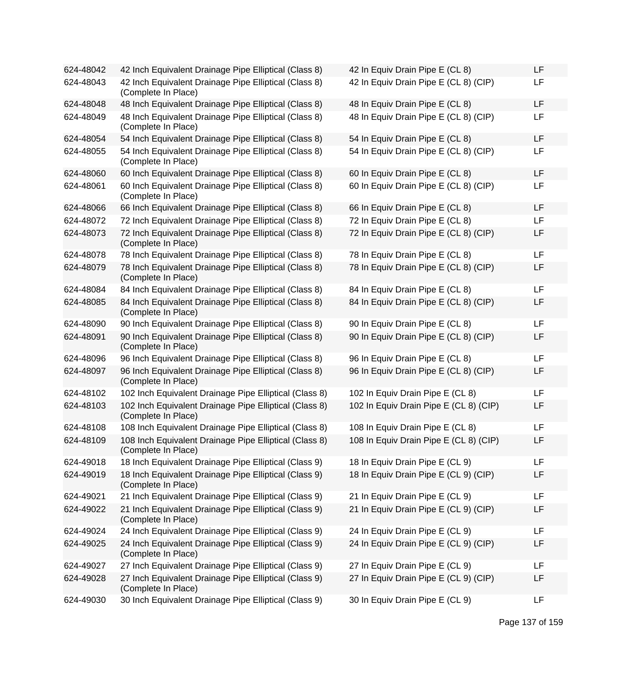| 624-48042 | 42 Inch Equivalent Drainage Pipe Elliptical (Class 8)                         | 42 In Equiv Drain Pipe E (CL 8)        | LF |
|-----------|-------------------------------------------------------------------------------|----------------------------------------|----|
| 624-48043 | 42 Inch Equivalent Drainage Pipe Elliptical (Class 8)<br>(Complete In Place)  | 42 In Equiv Drain Pipe E (CL 8) (CIP)  | LF |
| 624-48048 | 48 Inch Equivalent Drainage Pipe Elliptical (Class 8)                         | 48 In Equiv Drain Pipe E (CL 8)        | LF |
| 624-48049 | 48 Inch Equivalent Drainage Pipe Elliptical (Class 8)<br>(Complete In Place)  | 48 In Equiv Drain Pipe E (CL 8) (CIP)  | LF |
| 624-48054 | 54 Inch Equivalent Drainage Pipe Elliptical (Class 8)                         | 54 In Equiv Drain Pipe E (CL 8)        | LF |
| 624-48055 | 54 Inch Equivalent Drainage Pipe Elliptical (Class 8)<br>(Complete In Place)  | 54 In Equiv Drain Pipe E (CL 8) (CIP)  | LF |
| 624-48060 | 60 Inch Equivalent Drainage Pipe Elliptical (Class 8)                         | 60 In Equiv Drain Pipe E (CL 8)        | LF |
| 624-48061 | 60 Inch Equivalent Drainage Pipe Elliptical (Class 8)<br>(Complete In Place)  | 60 In Equiv Drain Pipe E (CL 8) (CIP)  | LF |
| 624-48066 | 66 Inch Equivalent Drainage Pipe Elliptical (Class 8)                         | 66 In Equiv Drain Pipe E (CL 8)        | LF |
| 624-48072 | 72 Inch Equivalent Drainage Pipe Elliptical (Class 8)                         | 72 In Equiv Drain Pipe E (CL 8)        | LF |
| 624-48073 | 72 Inch Equivalent Drainage Pipe Elliptical (Class 8)<br>(Complete In Place)  | 72 In Equiv Drain Pipe E (CL 8) (CIP)  | LF |
| 624-48078 | 78 Inch Equivalent Drainage Pipe Elliptical (Class 8)                         | 78 In Equiv Drain Pipe E (CL 8)        | LF |
| 624-48079 | 78 Inch Equivalent Drainage Pipe Elliptical (Class 8)<br>(Complete In Place)  | 78 In Equiv Drain Pipe E (CL 8) (CIP)  | LF |
| 624-48084 | 84 Inch Equivalent Drainage Pipe Elliptical (Class 8)                         | 84 In Equiv Drain Pipe E (CL 8)        | LF |
| 624-48085 | 84 Inch Equivalent Drainage Pipe Elliptical (Class 8)<br>(Complete In Place)  | 84 In Equiv Drain Pipe E (CL 8) (CIP)  | LF |
| 624-48090 | 90 Inch Equivalent Drainage Pipe Elliptical (Class 8)                         | 90 In Equiv Drain Pipe E (CL 8)        | LF |
| 624-48091 | 90 Inch Equivalent Drainage Pipe Elliptical (Class 8)<br>(Complete In Place)  | 90 In Equiv Drain Pipe E (CL 8) (CIP)  | LF |
| 624-48096 | 96 Inch Equivalent Drainage Pipe Elliptical (Class 8)                         | 96 In Equiv Drain Pipe E (CL 8)        | LF |
| 624-48097 | 96 Inch Equivalent Drainage Pipe Elliptical (Class 8)<br>(Complete In Place)  | 96 In Equiv Drain Pipe E (CL 8) (CIP)  | LF |
| 624-48102 | 102 Inch Equivalent Drainage Pipe Elliptical (Class 8)                        | 102 In Equiv Drain Pipe E (CL 8)       | LF |
| 624-48103 | 102 Inch Equivalent Drainage Pipe Elliptical (Class 8)<br>(Complete In Place) | 102 In Equiv Drain Pipe E (CL 8) (CIP) | LF |
| 624-48108 | 108 Inch Equivalent Drainage Pipe Elliptical (Class 8)                        | 108 In Equiv Drain Pipe E (CL 8)       | LF |
| 624-48109 | 108 Inch Equivalent Drainage Pipe Elliptical (Class 8)<br>(Complete In Place) | 108 In Equiv Drain Pipe E (CL 8) (CIP) | LF |
| 624-49018 | 18 Inch Equivalent Drainage Pipe Elliptical (Class 9)                         | 18 In Equiv Drain Pipe E (CL 9)        | LF |
| 624-49019 | 18 Inch Equivalent Drainage Pipe Elliptical (Class 9)<br>(Complete In Place)  | 18 In Equiv Drain Pipe E (CL 9) (CIP)  | LF |
| 624-49021 | 21 Inch Equivalent Drainage Pipe Elliptical (Class 9)                         | 21 In Equiv Drain Pipe E (CL 9)        | LF |
| 624-49022 | 21 Inch Equivalent Drainage Pipe Elliptical (Class 9)<br>(Complete In Place)  | 21 In Equiv Drain Pipe E (CL 9) (CIP)  | LF |
| 624-49024 | 24 Inch Equivalent Drainage Pipe Elliptical (Class 9)                         | 24 In Equiv Drain Pipe E (CL 9)        | LF |
| 624-49025 | 24 Inch Equivalent Drainage Pipe Elliptical (Class 9)<br>(Complete In Place)  | 24 In Equiv Drain Pipe E (CL 9) (CIP)  | LF |
| 624-49027 | 27 Inch Equivalent Drainage Pipe Elliptical (Class 9)                         | 27 In Equiv Drain Pipe E (CL 9)        | LF |
| 624-49028 | 27 Inch Equivalent Drainage Pipe Elliptical (Class 9)<br>(Complete In Place)  | 27 In Equiv Drain Pipe E (CL 9) (CIP)  | LF |
| 624-49030 | 30 Inch Equivalent Drainage Pipe Elliptical (Class 9)                         | 30 In Equiv Drain Pipe E (CL 9)        | LF |

| 42 In Equiv Drain Pipe E (CL 8)        | LF |
|----------------------------------------|----|
| 42 In Equiv Drain Pipe E (CL 8) (CIP)  | LF |
| 48 In Equiv Drain Pipe E (CL 8)        | LF |
| 48 In Equiv Drain Pipe E (CL 8) (CIP)  | LF |
| 54 In Equiv Drain Pipe E (CL 8)        | LF |
| 54 In Equiv Drain Pipe E (CL 8) (CIP)  | LF |
| 60 In Equiv Drain Pipe E (CL 8)        | LF |
| 60 In Equiv Drain Pipe E (CL 8) (CIP)  | LF |
| 66 In Equiv Drain Pipe E (CL 8)        | LF |
| 72 In Equiv Drain Pipe E (CL 8)        | LF |
| 72 In Equiv Drain Pipe E (CL 8) (CIP)  | LF |
| 78 In Equiv Drain Pipe E (CL 8)        | LF |
| 78 In Equiv Drain Pipe E (CL 8) (CIP)  | LF |
| 84 In Equiv Drain Pipe E (CL 8)        | LF |
| 84 In Equiv Drain Pipe E (CL 8) (CIP)  | LF |
| 90 In Equiv Drain Pipe E (CL 8)        | LF |
| 90 In Equiv Drain Pipe E (CL 8) (CIP)  | LF |
| 96 In Equiv Drain Pipe E (CL 8)        | LF |
| 96 In Equiv Drain Pipe E (CL 8) (CIP)  | LF |
| 102 In Equiv Drain Pipe E (CL 8)       | LF |
| 102 In Equiv Drain Pipe E (CL 8) (CIP) | LF |
| 108 In Equiv Drain Pipe E (CL 8)       | LF |
| 108 In Equiv Drain Pipe E (CL 8) (CIP) | LF |
| 18 In Equiv Drain Pipe E (CL 9)        | LF |
| 18 In Equiv Drain Pipe E (CL 9) (CIP)  | LF |
| 21 In Equiv Drain Pipe E (CL 9)        | LF |
| 21 In Equiv Drain Pipe E (CL 9) (CIP)  | LF |
| 24 In Equiv Drain Pipe E (CL 9)        | LF |
| 24 In Equiv Drain Pipe E (CL 9) (CIP)  | LF |
| 27 In Equiv Drain Pipe E (CL 9)        | LF |
| 27 In Equiv Drain Pipe E (CL 9) (CIP)  | LF |
| 30 In Equiv Drain Pipe E (CL 9)        | LF |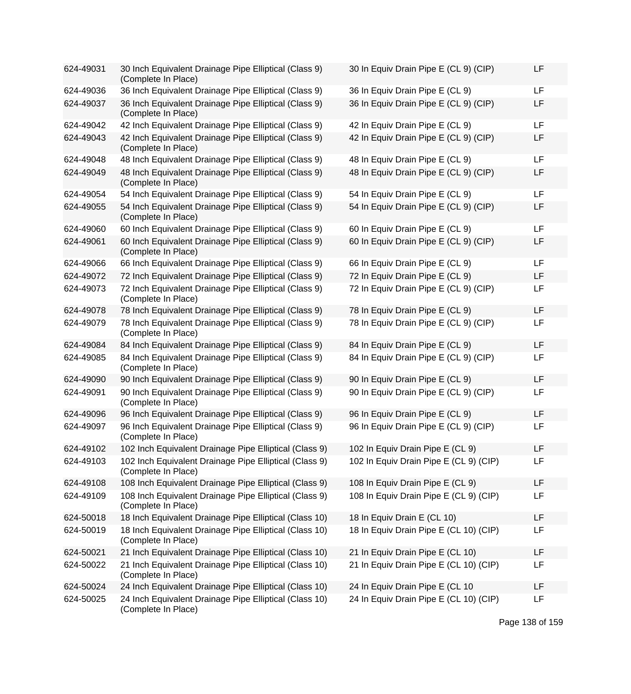| 624-49031 | 30 Inch Equivalent Drainage Pipe Elliptical (Class 9)<br>(Complete In Place)  | 30 In Equiv Drain Pipe E (CL 9) (CIP)  | LF        |
|-----------|-------------------------------------------------------------------------------|----------------------------------------|-----------|
| 624-49036 | 36 Inch Equivalent Drainage Pipe Elliptical (Class 9)                         | 36 In Equiv Drain Pipe E (CL 9)        | <b>LF</b> |
| 624-49037 | 36 Inch Equivalent Drainage Pipe Elliptical (Class 9)<br>(Complete In Place)  | 36 In Equiv Drain Pipe E (CL 9) (CIP)  | LF        |
| 624-49042 | 42 Inch Equivalent Drainage Pipe Elliptical (Class 9)                         | 42 In Equiv Drain Pipe E (CL 9)        | LF        |
| 624-49043 | 42 Inch Equivalent Drainage Pipe Elliptical (Class 9)<br>(Complete In Place)  | 42 In Equiv Drain Pipe E (CL 9) (CIP)  | LF        |
| 624-49048 | 48 Inch Equivalent Drainage Pipe Elliptical (Class 9)                         | 48 In Equiv Drain Pipe E (CL 9)        | LF        |
| 624-49049 | 48 Inch Equivalent Drainage Pipe Elliptical (Class 9)<br>(Complete In Place)  | 48 In Equiv Drain Pipe E (CL 9) (CIP)  | LF        |
| 624-49054 | 54 Inch Equivalent Drainage Pipe Elliptical (Class 9)                         | 54 In Equiv Drain Pipe E (CL 9)        | <b>LF</b> |
| 624-49055 | 54 Inch Equivalent Drainage Pipe Elliptical (Class 9)<br>(Complete In Place)  | 54 In Equiv Drain Pipe E (CL 9) (CIP)  | LF        |
| 624-49060 | 60 Inch Equivalent Drainage Pipe Elliptical (Class 9)                         | 60 In Equiv Drain Pipe E (CL 9)        | LF        |
| 624-49061 | 60 Inch Equivalent Drainage Pipe Elliptical (Class 9)<br>(Complete In Place)  | 60 In Equiv Drain Pipe E (CL 9) (CIP)  | LF        |
| 624-49066 | 66 Inch Equivalent Drainage Pipe Elliptical (Class 9)                         | 66 In Equiv Drain Pipe E (CL 9)        | <b>LF</b> |
| 624-49072 | 72 Inch Equivalent Drainage Pipe Elliptical (Class 9)                         | 72 In Equiv Drain Pipe E (CL 9)        | LF        |
| 624-49073 | 72 Inch Equivalent Drainage Pipe Elliptical (Class 9)<br>(Complete In Place)  | 72 In Equiv Drain Pipe E (CL 9) (CIP)  | <b>LF</b> |
| 624-49078 | 78 Inch Equivalent Drainage Pipe Elliptical (Class 9)                         | 78 In Equiv Drain Pipe E (CL 9)        | LF        |
| 624-49079 | 78 Inch Equivalent Drainage Pipe Elliptical (Class 9)<br>(Complete In Place)  | 78 In Equiv Drain Pipe E (CL 9) (CIP)  | LF        |
| 624-49084 | 84 Inch Equivalent Drainage Pipe Elliptical (Class 9)                         | 84 In Equiv Drain Pipe E (CL 9)        | LF        |
| 624-49085 | 84 Inch Equivalent Drainage Pipe Elliptical (Class 9)<br>(Complete In Place)  | 84 In Equiv Drain Pipe E (CL 9) (CIP)  | LF        |
| 624-49090 | 90 Inch Equivalent Drainage Pipe Elliptical (Class 9)                         | 90 In Equiv Drain Pipe E (CL 9)        | LF        |
| 624-49091 | 90 Inch Equivalent Drainage Pipe Elliptical (Class 9)<br>(Complete In Place)  | 90 In Equiv Drain Pipe E (CL 9) (CIP)  | LF        |
| 624-49096 | 96 Inch Equivalent Drainage Pipe Elliptical (Class 9)                         | 96 In Equiv Drain Pipe E (CL 9)        | <b>LF</b> |
| 624-49097 | 96 Inch Equivalent Drainage Pipe Elliptical (Class 9)<br>(Complete In Place)  | 96 In Equiv Drain Pipe E (CL 9) (CIP)  | LF        |
| 624-49102 | 102 Inch Equivalent Drainage Pipe Elliptical (Class 9)                        | 102 In Equiv Drain Pipe E (CL 9)       | LF        |
| 624-49103 | 102 Inch Equivalent Drainage Pipe Elliptical (Class 9)<br>(Complete In Place) | 102 In Equiv Drain Pipe E (CL 9) (CIP) | LF        |
| 624-49108 | 108 Inch Equivalent Drainage Pipe Elliptical (Class 9)                        | 108 In Equiv Drain Pipe E (CL 9)       | LF        |
| 624-49109 | 108 Inch Equivalent Drainage Pipe Elliptical (Class 9)<br>(Complete In Place) | 108 In Equiv Drain Pipe E (CL 9) (CIP) | LF        |
| 624-50018 | 18 Inch Equivalent Drainage Pipe Elliptical (Class 10)                        | 18 In Equiv Drain E (CL 10)            | LF        |
| 624-50019 | 18 Inch Equivalent Drainage Pipe Elliptical (Class 10)<br>(Complete In Place) | 18 In Equiv Drain Pipe E (CL 10) (CIP) | LF        |
| 624-50021 | 21 Inch Equivalent Drainage Pipe Elliptical (Class 10)                        | 21 In Equiv Drain Pipe E (CL 10)       | LF        |
| 624-50022 | 21 Inch Equivalent Drainage Pipe Elliptical (Class 10)<br>(Complete In Place) | 21 In Equiv Drain Pipe E (CL 10) (CIP) | LF        |
| 624-50024 | 24 Inch Equivalent Drainage Pipe Elliptical (Class 10)                        | 24 In Equiv Drain Pipe E (CL 10        | LF        |
| 624-50025 | 24 Inch Equivalent Drainage Pipe Elliptical (Class 10)<br>(Complete In Place) | 24 In Equiv Drain Pipe E (CL 10) (CIP) | LF        |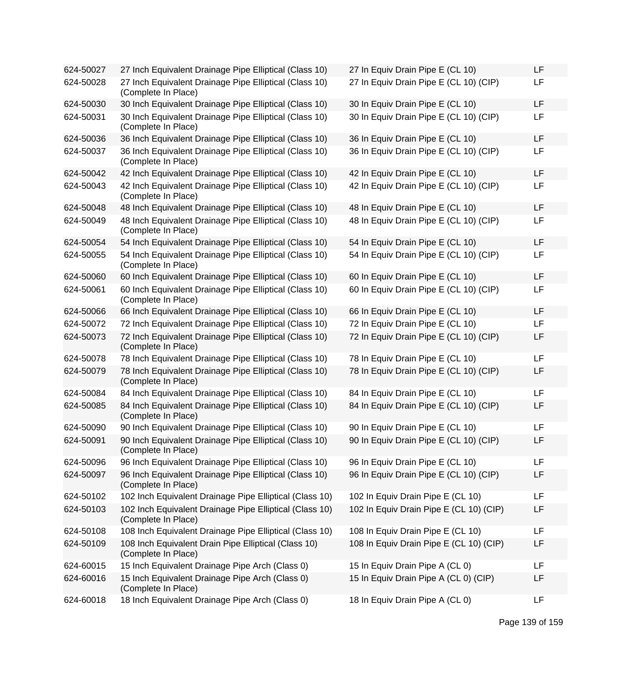| 624-50027 | 27 Inch Equivalent Drainage Pipe Elliptical (Class 10)                         | 27 In Equiv Drain Pipe E (CL 10)        | LF        |
|-----------|--------------------------------------------------------------------------------|-----------------------------------------|-----------|
| 624-50028 | 27 Inch Equivalent Drainage Pipe Elliptical (Class 10)<br>(Complete In Place)  | 27 In Equiv Drain Pipe E (CL 10) (CIP)  | LF        |
| 624-50030 | 30 Inch Equivalent Drainage Pipe Elliptical (Class 10)                         | 30 In Equiv Drain Pipe E (CL 10)        | LF        |
| 624-50031 | 30 Inch Equivalent Drainage Pipe Elliptical (Class 10)<br>(Complete In Place)  | 30 In Equiv Drain Pipe E (CL 10) (CIP)  | LF        |
| 624-50036 | 36 Inch Equivalent Drainage Pipe Elliptical (Class 10)                         | 36 In Equiv Drain Pipe E (CL 10)        | LF        |
| 624-50037 | 36 Inch Equivalent Drainage Pipe Elliptical (Class 10)<br>(Complete In Place)  | 36 In Equiv Drain Pipe E (CL 10) (CIP)  | LF        |
| 624-50042 | 42 Inch Equivalent Drainage Pipe Elliptical (Class 10)                         | 42 In Equiv Drain Pipe E (CL 10)        | LF        |
| 624-50043 | 42 Inch Equivalent Drainage Pipe Elliptical (Class 10)<br>(Complete In Place)  | 42 In Equiv Drain Pipe E (CL 10) (CIP)  | <b>LF</b> |
| 624-50048 | 48 Inch Equivalent Drainage Pipe Elliptical (Class 10)                         | 48 In Equiv Drain Pipe E (CL 10)        | LF        |
| 624-50049 | 48 Inch Equivalent Drainage Pipe Elliptical (Class 10)<br>(Complete In Place)  | 48 In Equiv Drain Pipe E (CL 10) (CIP)  | <b>LF</b> |
| 624-50054 | 54 Inch Equivalent Drainage Pipe Elliptical (Class 10)                         | 54 In Equiv Drain Pipe E (CL 10)        | <b>LF</b> |
| 624-50055 | 54 Inch Equivalent Drainage Pipe Elliptical (Class 10)<br>(Complete In Place)  | 54 In Equiv Drain Pipe E (CL 10) (CIP)  | <b>LF</b> |
| 624-50060 | 60 Inch Equivalent Drainage Pipe Elliptical (Class 10)                         | 60 In Equiv Drain Pipe E (CL 10)        | LF        |
| 624-50061 | 60 Inch Equivalent Drainage Pipe Elliptical (Class 10)<br>(Complete In Place)  | 60 In Equiv Drain Pipe E (CL 10) (CIP)  | <b>LF</b> |
| 624-50066 | 66 Inch Equivalent Drainage Pipe Elliptical (Class 10)                         | 66 In Equiv Drain Pipe E (CL 10)        | <b>LF</b> |
| 624-50072 | 72 Inch Equivalent Drainage Pipe Elliptical (Class 10)                         | 72 In Equiv Drain Pipe E (CL 10)        | LF        |
| 624-50073 | 72 Inch Equivalent Drainage Pipe Elliptical (Class 10)<br>(Complete In Place)  | 72 In Equiv Drain Pipe E (CL 10) (CIP)  | LF        |
| 624-50078 | 78 Inch Equivalent Drainage Pipe Elliptical (Class 10)                         | 78 In Equiv Drain Pipe E (CL 10)        | LF        |
| 624-50079 | 78 Inch Equivalent Drainage Pipe Elliptical (Class 10)<br>(Complete In Place)  | 78 In Equiv Drain Pipe E (CL 10) (CIP)  | <b>LF</b> |
| 624-50084 | 84 Inch Equivalent Drainage Pipe Elliptical (Class 10)                         | 84 In Equiv Drain Pipe E (CL 10)        | <b>LF</b> |
| 624-50085 | 84 Inch Equivalent Drainage Pipe Elliptical (Class 10)<br>(Complete In Place)  | 84 In Equiv Drain Pipe E (CL 10) (CIP)  | LF        |
| 624-50090 | 90 Inch Equivalent Drainage Pipe Elliptical (Class 10)                         | 90 In Equiv Drain Pipe E (CL 10)        | LF        |
| 624-50091 | 90 Inch Equivalent Drainage Pipe Elliptical (Class 10)<br>(Complete In Place)  | 90 In Equiv Drain Pipe E (CL 10) (CIP)  | LF        |
| 624-50096 | 96 Inch Equivalent Drainage Pipe Elliptical (Class 10)                         | 96 In Equiv Drain Pipe E (CL 10)        | LF        |
| 624-50097 | 96 Inch Equivalent Drainage Pipe Elliptical (Class 10)<br>(Complete In Place)  | 96 In Equiv Drain Pipe E (CL 10) (CIP)  | LF        |
| 624-50102 | 102 Inch Equivalent Drainage Pipe Elliptical (Class 10)                        | 102 In Equiv Drain Pipe E (CL 10)       | LF        |
| 624-50103 | 102 Inch Equivalent Drainage Pipe Elliptical (Class 10)<br>(Complete In Place) | 102 In Equiv Drain Pipe E (CL 10) (CIP) | LF        |
| 624-50108 | 108 Inch Equivalent Drainage Pipe Elliptical (Class 10)                        | 108 In Equiv Drain Pipe E (CL 10)       | LF        |
| 624-50109 | 108 Inch Equivalent Drain Pipe Elliptical (Class 10)<br>(Complete In Place)    | 108 In Equiv Drain Pipe E (CL 10) (CIP) | <b>LF</b> |
| 624-60015 | 15 Inch Equivalent Drainage Pipe Arch (Class 0)                                | 15 In Equiv Drain Pipe A (CL 0)         | LF        |
| 624-60016 | 15 Inch Equivalent Drainage Pipe Arch (Class 0)<br>(Complete In Place)         | 15 In Equiv Drain Pipe A (CL 0) (CIP)   | LF        |
| 624-60018 | 18 Inch Equivalent Drainage Pipe Arch (Class 0)                                | 18 In Equiv Drain Pipe A (CL 0)         | <b>LF</b> |

Page 139 of 159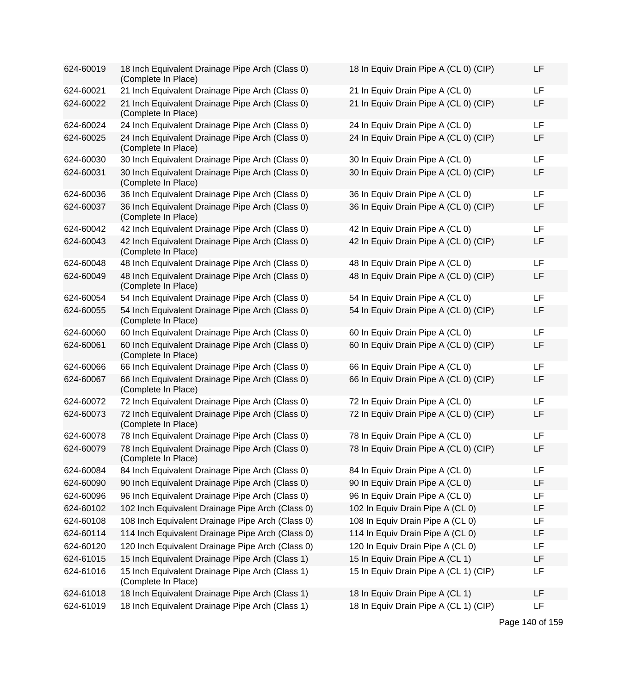| 624-60019 | 18 Inch Equivalent Drainage Pipe Arch (Class 0)<br>(Complete In Place) | 18 In Equiv Drain Pipe A (CL 0) (CIP) | LF |
|-----------|------------------------------------------------------------------------|---------------------------------------|----|
| 624-60021 | 21 Inch Equivalent Drainage Pipe Arch (Class 0)                        | 21 In Equiv Drain Pipe A (CL 0)       | LF |
| 624-60022 | 21 Inch Equivalent Drainage Pipe Arch (Class 0)<br>(Complete In Place) | 21 In Equiv Drain Pipe A (CL 0) (CIP) | LF |
| 624-60024 | 24 Inch Equivalent Drainage Pipe Arch (Class 0)                        | 24 In Equiv Drain Pipe A (CL 0)       | LF |
| 624-60025 | 24 Inch Equivalent Drainage Pipe Arch (Class 0)<br>(Complete In Place) | 24 In Equiv Drain Pipe A (CL 0) (CIP) | LF |
| 624-60030 | 30 Inch Equivalent Drainage Pipe Arch (Class 0)                        | 30 In Equiv Drain Pipe A (CL 0)       | LF |
| 624-60031 | 30 Inch Equivalent Drainage Pipe Arch (Class 0)<br>(Complete In Place) | 30 In Equiv Drain Pipe A (CL 0) (CIP) | LF |
| 624-60036 | 36 Inch Equivalent Drainage Pipe Arch (Class 0)                        | 36 In Equiv Drain Pipe A (CL 0)       | LF |
| 624-60037 | 36 Inch Equivalent Drainage Pipe Arch (Class 0)<br>(Complete In Place) | 36 In Equiv Drain Pipe A (CL 0) (CIP) | LF |
| 624-60042 | 42 Inch Equivalent Drainage Pipe Arch (Class 0)                        | 42 In Equiv Drain Pipe A (CL 0)       | LF |
| 624-60043 | 42 Inch Equivalent Drainage Pipe Arch (Class 0)<br>(Complete In Place) | 42 In Equiv Drain Pipe A (CL 0) (CIP) | LF |
| 624-60048 | 48 Inch Equivalent Drainage Pipe Arch (Class 0)                        | 48 In Equiv Drain Pipe A (CL 0)       | LF |
| 624-60049 | 48 Inch Equivalent Drainage Pipe Arch (Class 0)<br>(Complete In Place) | 48 In Equiv Drain Pipe A (CL 0) (CIP) | LF |
| 624-60054 | 54 Inch Equivalent Drainage Pipe Arch (Class 0)                        | 54 In Equiv Drain Pipe A (CL 0)       | LF |
| 624-60055 | 54 Inch Equivalent Drainage Pipe Arch (Class 0)<br>(Complete In Place) | 54 In Equiv Drain Pipe A (CL 0) (CIP) | LF |
| 624-60060 | 60 Inch Equivalent Drainage Pipe Arch (Class 0)                        | 60 In Equiv Drain Pipe A (CL 0)       | LF |
| 624-60061 | 60 Inch Equivalent Drainage Pipe Arch (Class 0)<br>(Complete In Place) | 60 In Equiv Drain Pipe A (CL 0) (CIP) | LF |
| 624-60066 | 66 Inch Equivalent Drainage Pipe Arch (Class 0)                        | 66 In Equiv Drain Pipe A (CL 0)       | LF |
| 624-60067 | 66 Inch Equivalent Drainage Pipe Arch (Class 0)<br>(Complete In Place) | 66 In Equiv Drain Pipe A (CL 0) (CIP) | LF |
| 624-60072 | 72 Inch Equivalent Drainage Pipe Arch (Class 0)                        | 72 In Equiv Drain Pipe A (CL 0)       | LF |
| 624-60073 | 72 Inch Equivalent Drainage Pipe Arch (Class 0)<br>(Complete In Place) | 72 In Equiv Drain Pipe A (CL 0) (CIP) | LF |
| 624-60078 | 78 Inch Equivalent Drainage Pipe Arch (Class 0)                        | 78 In Equiv Drain Pipe A (CL 0)       | LF |
| 624-60079 | 78 Inch Equivalent Drainage Pipe Arch (Class 0)<br>(Complete In Place) | 78 In Equiv Drain Pipe A (CL 0) (CIP) | LF |
| 624-60084 | 84 Inch Equivalent Drainage Pipe Arch (Class 0)                        | 84 In Equiv Drain Pipe A (CL 0)       | LF |
| 624-60090 | 90 Inch Equivalent Drainage Pipe Arch (Class 0)                        | 90 In Equiv Drain Pipe A (CL 0)       | LF |
| 624-60096 | 96 Inch Equivalent Drainage Pipe Arch (Class 0)                        | 96 In Equiv Drain Pipe A (CL 0)       | LF |
| 624-60102 | 102 Inch Equivalent Drainage Pipe Arch (Class 0)                       | 102 In Equiv Drain Pipe A (CL 0)      | LF |
| 624-60108 | 108 Inch Equivalent Drainage Pipe Arch (Class 0)                       | 108 In Equiv Drain Pipe A (CL 0)      | LF |
| 624-60114 | 114 Inch Equivalent Drainage Pipe Arch (Class 0)                       | 114 In Equiv Drain Pipe A (CL 0)      | LF |
| 624-60120 | 120 Inch Equivalent Drainage Pipe Arch (Class 0)                       | 120 In Equiv Drain Pipe A (CL 0)      | LF |
| 624-61015 | 15 Inch Equivalent Drainage Pipe Arch (Class 1)                        | 15 In Equiv Drain Pipe A (CL 1)       | LF |
| 624-61016 | 15 Inch Equivalent Drainage Pipe Arch (Class 1)<br>(Complete In Place) | 15 In Equiv Drain Pipe A (CL 1) (CIP) | LF |
| 624-61018 | 18 Inch Equivalent Drainage Pipe Arch (Class 1)                        | 18 In Equiv Drain Pipe A (CL 1)       | LF |
| 624-61019 | 18 Inch Equivalent Drainage Pipe Arch (Class 1)                        | 18 In Equiv Drain Pipe A (CL 1) (CIP) | LF |

| 18 In Equiv Drain Pipe A (CL 0) (CIP) | LF |
|---------------------------------------|----|
| 21 In Equiv Drain Pipe A (CL 0)       | LF |
| 21 In Equiv Drain Pipe A (CL 0) (CIP) | LF |
| 24 In Equiv Drain Pipe A (CL 0)       | LF |
| 24 In Equiv Drain Pipe A (CL 0) (CIP) | LF |
| 30 In Equiv Drain Pipe A (CL 0)       | LF |
| 30 In Equiv Drain Pipe A (CL 0) (CIP) | LF |
| 36 In Equiv Drain Pipe A (CL 0)       | LF |
| 36 In Equiv Drain Pipe A (CL 0) (CIP) | LF |
| 42 In Equiv Drain Pipe A (CL 0)       | LF |
| 42 In Equiv Drain Pipe A (CL 0) (CIP) | LF |
| 48 In Equiv Drain Pipe A (CL 0)       | LF |
| 48 In Equiv Drain Pipe A (CL 0) (CIP) | LF |
| 54 In Equiv Drain Pipe A (CL 0)       | LF |
| 54 In Equiv Drain Pipe A (CL 0) (CIP) | LF |
| 60 In Equiv Drain Pipe A (CL 0)       | LF |
| 60 In Equiv Drain Pipe A (CL 0) (CIP) | LF |
| 66 In Equiv Drain Pipe A (CL 0)       | LF |
| 66 In Equiv Drain Pipe A (CL 0) (CIP) | LF |
| 72 In Equiv Drain Pipe A (CL 0)       | LF |
| 72 In Equiv Drain Pipe A (CL 0) (CIP) | LF |
| 78 In Equiv Drain Pipe A (CL 0)       | LF |
| 78 In Equiv Drain Pipe A (CL 0) (CIP) | LF |
| 84 In Equiv Drain Pipe A (CL 0)       | LF |
| 90 In Equiv Drain Pipe A (CL 0)       | LF |
| 96 In Equiv Drain Pipe A (CL 0)       | LF |
| 102 In Equiv Drain Pipe A (CL 0)      | LF |
| 108 In Equiv Drain Pipe A (CL 0)      | LF |
| 114 In Equiv Drain Pipe A (CL 0)      | LF |
| 120 In Equiv Drain Pipe A (CL 0)      | LF |
| 15 In Equiv Drain Pipe A (CL 1)       | LF |
| 15 In Equiv Drain Pipe A (CL 1) (CIP) | LF |
| 18 In Equiv Drain Pipe A (CL 1)       | LF |
| 18 In Equiv Drain Pipe A (CL 1) (CIP) | LF |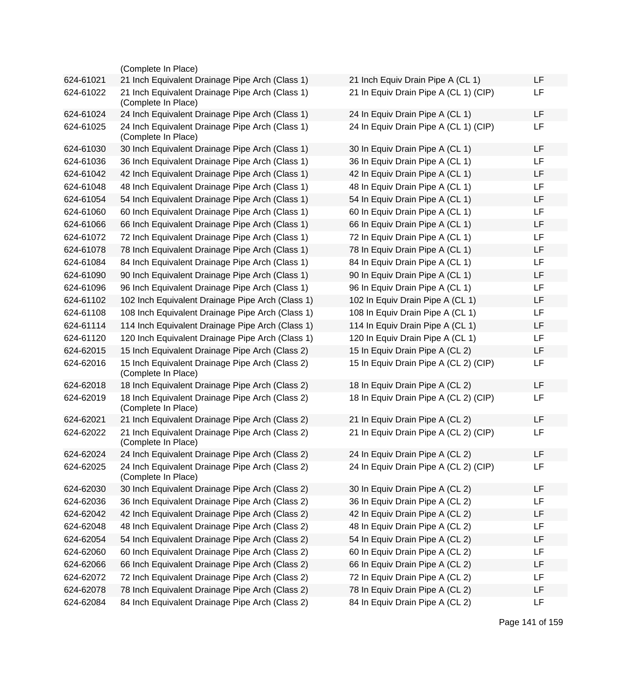|           | (Complete In Place)                                                    |                                       |           |
|-----------|------------------------------------------------------------------------|---------------------------------------|-----------|
| 624-61021 | 21 Inch Equivalent Drainage Pipe Arch (Class 1)                        | 21 Inch Equiv Drain Pipe A (CL 1)     | <b>LF</b> |
| 624-61022 | 21 Inch Equivalent Drainage Pipe Arch (Class 1)<br>(Complete In Place) | 21 In Equiv Drain Pipe A (CL 1) (CIP) | LF        |
| 624-61024 | 24 Inch Equivalent Drainage Pipe Arch (Class 1)                        | 24 In Equiv Drain Pipe A (CL 1)       | <b>LF</b> |
| 624-61025 | 24 Inch Equivalent Drainage Pipe Arch (Class 1)<br>(Complete In Place) | 24 In Equiv Drain Pipe A (CL 1) (CIP) | LF        |
| 624-61030 | 30 Inch Equivalent Drainage Pipe Arch (Class 1)                        | 30 In Equiv Drain Pipe A (CL 1)       | <b>LF</b> |
| 624-61036 | 36 Inch Equivalent Drainage Pipe Arch (Class 1)                        | 36 In Equiv Drain Pipe A (CL 1)       | LF        |
| 624-61042 | 42 Inch Equivalent Drainage Pipe Arch (Class 1)                        | 42 In Equiv Drain Pipe A (CL 1)       | LF        |
| 624-61048 | 48 Inch Equivalent Drainage Pipe Arch (Class 1)                        | 48 In Equiv Drain Pipe A (CL 1)       | <b>LF</b> |
| 624-61054 | 54 Inch Equivalent Drainage Pipe Arch (Class 1)                        | 54 In Equiv Drain Pipe A (CL 1)       | <b>LF</b> |
| 624-61060 | 60 Inch Equivalent Drainage Pipe Arch (Class 1)                        | 60 In Equiv Drain Pipe A (CL 1)       | LF        |
| 624-61066 | 66 Inch Equivalent Drainage Pipe Arch (Class 1)                        | 66 In Equiv Drain Pipe A (CL 1)       | LF        |
| 624-61072 | 72 Inch Equivalent Drainage Pipe Arch (Class 1)                        | 72 In Equiv Drain Pipe A (CL 1)       | <b>LF</b> |
| 624-61078 | 78 Inch Equivalent Drainage Pipe Arch (Class 1)                        | 78 In Equiv Drain Pipe A (CL 1)       | <b>LF</b> |
| 624-61084 | 84 Inch Equivalent Drainage Pipe Arch (Class 1)                        | 84 In Equiv Drain Pipe A (CL 1)       | <b>LF</b> |
| 624-61090 | 90 Inch Equivalent Drainage Pipe Arch (Class 1)                        | 90 In Equiv Drain Pipe A (CL 1)       | <b>LF</b> |
| 624-61096 | 96 Inch Equivalent Drainage Pipe Arch (Class 1)                        | 96 In Equiv Drain Pipe A (CL 1)       | <b>LF</b> |
| 624-61102 | 102 Inch Equivalent Drainage Pipe Arch (Class 1)                       | 102 In Equiv Drain Pipe A (CL 1)      | <b>LF</b> |
| 624-61108 | 108 Inch Equivalent Drainage Pipe Arch (Class 1)                       | 108 In Equiv Drain Pipe A (CL 1)      | <b>LF</b> |
| 624-61114 | 114 Inch Equivalent Drainage Pipe Arch (Class 1)                       | 114 In Equiv Drain Pipe A (CL 1)      | <b>LF</b> |
| 624-61120 | 120 Inch Equivalent Drainage Pipe Arch (Class 1)                       | 120 In Equiv Drain Pipe A (CL 1)      | LF        |
| 624-62015 | 15 Inch Equivalent Drainage Pipe Arch (Class 2)                        | 15 In Equiv Drain Pipe A (CL 2)       | LF        |
| 624-62016 | 15 Inch Equivalent Drainage Pipe Arch (Class 2)<br>(Complete In Place) | 15 In Equiv Drain Pipe A (CL 2) (CIP) | LF        |
| 624-62018 | 18 Inch Equivalent Drainage Pipe Arch (Class 2)                        | 18 In Equiv Drain Pipe A (CL 2)       | <b>LF</b> |
| 624-62019 | 18 Inch Equivalent Drainage Pipe Arch (Class 2)<br>(Complete In Place) | 18 In Equiv Drain Pipe A (CL 2) (CIP) | LF        |
| 624-62021 | 21 Inch Equivalent Drainage Pipe Arch (Class 2)                        | 21 In Equiv Drain Pipe A (CL 2)       | <b>LF</b> |
| 624-62022 | 21 Inch Equivalent Drainage Pipe Arch (Class 2)<br>(Complete In Place) | 21 In Equiv Drain Pipe A (CL 2) (CIP) | LF        |
| 624-62024 | 24 Inch Equivalent Drainage Pipe Arch (Class 2)                        | 24 In Equiv Drain Pipe A (CL 2)       | LF        |
| 624-62025 | 24 Inch Equivalent Drainage Pipe Arch (Class 2)<br>(Complete In Place) | 24 In Equiv Drain Pipe A (CL 2) (CIP) | LF        |
| 624-62030 | 30 Inch Equivalent Drainage Pipe Arch (Class 2)                        | 30 In Equiv Drain Pipe A (CL 2)       | LF        |
| 624-62036 | 36 Inch Equivalent Drainage Pipe Arch (Class 2)                        | 36 In Equiv Drain Pipe A (CL 2)       | LF        |
| 624-62042 | 42 Inch Equivalent Drainage Pipe Arch (Class 2)                        | 42 In Equiv Drain Pipe A (CL 2)       | LF        |
| 624-62048 | 48 Inch Equivalent Drainage Pipe Arch (Class 2)                        | 48 In Equiv Drain Pipe A (CL 2)       | LF        |
| 624-62054 | 54 Inch Equivalent Drainage Pipe Arch (Class 2)                        | 54 In Equiv Drain Pipe A (CL 2)       | LF        |
| 624-62060 | 60 Inch Equivalent Drainage Pipe Arch (Class 2)                        | 60 In Equiv Drain Pipe A (CL 2)       | LF        |
| 624-62066 | 66 Inch Equivalent Drainage Pipe Arch (Class 2)                        | 66 In Equiv Drain Pipe A (CL 2)       | LF        |
| 624-62072 | 72 Inch Equivalent Drainage Pipe Arch (Class 2)                        | 72 In Equiv Drain Pipe A (CL 2)       | LF        |
| 624-62078 | 78 Inch Equivalent Drainage Pipe Arch (Class 2)                        | 78 In Equiv Drain Pipe A (CL 2)       | LF        |
| 624-62084 | 84 Inch Equivalent Drainage Pipe Arch (Class 2)                        | 84 In Equiv Drain Pipe A (CL 2)       | LF        |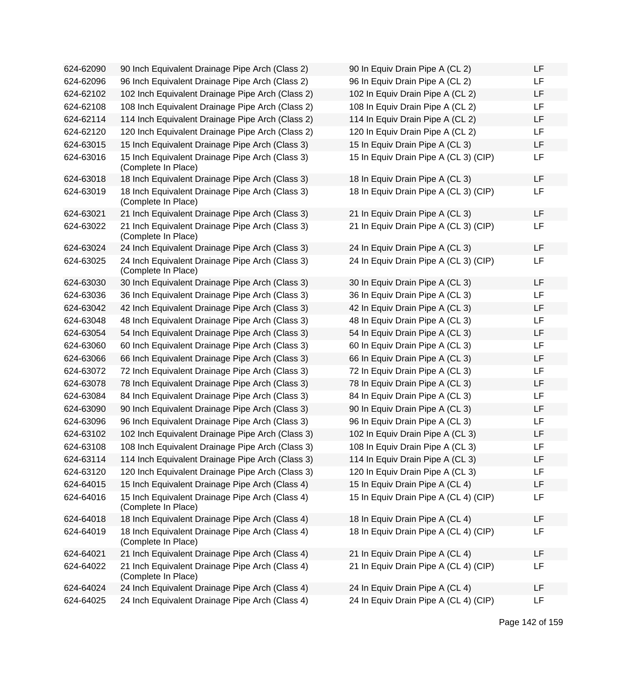| 624-62090 | 90 Inch Equivalent Drainage Pipe Arch (Class 2)                        | 90 In Equiv Drain Pipe A (CL 2)       | LF |
|-----------|------------------------------------------------------------------------|---------------------------------------|----|
| 624-62096 | 96 Inch Equivalent Drainage Pipe Arch (Class 2)                        | 96 In Equiv Drain Pipe A (CL 2)       | LF |
| 624-62102 | 102 Inch Equivalent Drainage Pipe Arch (Class 2)                       | 102 In Equiv Drain Pipe A (CL 2)      | LF |
| 624-62108 | 108 Inch Equivalent Drainage Pipe Arch (Class 2)                       | 108 In Equiv Drain Pipe A (CL 2)      | LF |
| 624-62114 | 114 Inch Equivalent Drainage Pipe Arch (Class 2)                       | 114 In Equiv Drain Pipe A (CL 2)      | LF |
| 624-62120 | 120 Inch Equivalent Drainage Pipe Arch (Class 2)                       | 120 In Equiv Drain Pipe A (CL 2)      | LF |
| 624-63015 | 15 Inch Equivalent Drainage Pipe Arch (Class 3)                        | 15 In Equiv Drain Pipe A (CL 3)       | LF |
| 624-63016 | 15 Inch Equivalent Drainage Pipe Arch (Class 3)<br>(Complete In Place) | 15 In Equiv Drain Pipe A (CL 3) (CIP) | LF |
| 624-63018 | 18 Inch Equivalent Drainage Pipe Arch (Class 3)                        | 18 In Equiv Drain Pipe A (CL 3)       | LF |
| 624-63019 | 18 Inch Equivalent Drainage Pipe Arch (Class 3)<br>(Complete In Place) | 18 In Equiv Drain Pipe A (CL 3) (CIP) | LF |
| 624-63021 | 21 Inch Equivalent Drainage Pipe Arch (Class 3)                        | 21 In Equiv Drain Pipe A (CL 3)       | LF |
| 624-63022 | 21 Inch Equivalent Drainage Pipe Arch (Class 3)<br>(Complete In Place) | 21 In Equiv Drain Pipe A (CL 3) (CIP) | LF |
| 624-63024 | 24 Inch Equivalent Drainage Pipe Arch (Class 3)                        | 24 In Equiv Drain Pipe A (CL 3)       | LF |
| 624-63025 | 24 Inch Equivalent Drainage Pipe Arch (Class 3)<br>(Complete In Place) | 24 In Equiv Drain Pipe A (CL 3) (CIP) | LF |
| 624-63030 | 30 Inch Equivalent Drainage Pipe Arch (Class 3)                        | 30 In Equiv Drain Pipe A (CL 3)       | LF |
| 624-63036 | 36 Inch Equivalent Drainage Pipe Arch (Class 3)                        | 36 In Equiv Drain Pipe A (CL 3)       | LF |
| 624-63042 | 42 Inch Equivalent Drainage Pipe Arch (Class 3)                        | 42 In Equiv Drain Pipe A (CL 3)       | LF |
| 624-63048 | 48 Inch Equivalent Drainage Pipe Arch (Class 3)                        | 48 In Equiv Drain Pipe A (CL 3)       | LF |
| 624-63054 | 54 Inch Equivalent Drainage Pipe Arch (Class 3)                        | 54 In Equiv Drain Pipe A (CL 3)       | LF |
| 624-63060 | 60 Inch Equivalent Drainage Pipe Arch (Class 3)                        | 60 In Equiv Drain Pipe A (CL 3)       | LF |
| 624-63066 | 66 Inch Equivalent Drainage Pipe Arch (Class 3)                        | 66 In Equiv Drain Pipe A (CL 3)       | LF |
| 624-63072 | 72 Inch Equivalent Drainage Pipe Arch (Class 3)                        | 72 In Equiv Drain Pipe A (CL 3)       | LF |
| 624-63078 | 78 Inch Equivalent Drainage Pipe Arch (Class 3)                        | 78 In Equiv Drain Pipe A (CL 3)       | LF |
| 624-63084 | 84 Inch Equivalent Drainage Pipe Arch (Class 3)                        | 84 In Equiv Drain Pipe A (CL 3)       | LF |
| 624-63090 | 90 Inch Equivalent Drainage Pipe Arch (Class 3)                        | 90 In Equiv Drain Pipe A (CL 3)       | LF |
| 624-63096 | 96 Inch Equivalent Drainage Pipe Arch (Class 3)                        | 96 In Equiv Drain Pipe A (CL 3)       | LF |
| 624-63102 | 102 Inch Equivalent Drainage Pipe Arch (Class 3)                       | 102 In Equiv Drain Pipe A (CL 3)      | LF |
| 624-63108 | 108 Inch Equivalent Drainage Pipe Arch (Class 3)                       | 108 In Equiv Drain Pipe A (CL 3)      | LF |
| 624-63114 | 114 Inch Equivalent Drainage Pipe Arch (Class 3)                       | 114 In Equiv Drain Pipe A (CL 3)      | ᄔ  |
| 624-63120 | 120 Inch Equivalent Drainage Pipe Arch (Class 3)                       | 120 In Equiv Drain Pipe A (CL 3)      | LF |
| 624-64015 | 15 Inch Equivalent Drainage Pipe Arch (Class 4)                        | 15 In Equiv Drain Pipe A (CL 4)       | LF |
| 624-64016 | 15 Inch Equivalent Drainage Pipe Arch (Class 4)<br>(Complete In Place) | 15 In Equiv Drain Pipe A (CL 4) (CIP) | LF |
| 624-64018 | 18 Inch Equivalent Drainage Pipe Arch (Class 4)                        | 18 In Equiv Drain Pipe A (CL 4)       | LF |
| 624-64019 | 18 Inch Equivalent Drainage Pipe Arch (Class 4)<br>(Complete In Place) | 18 In Equiv Drain Pipe A (CL 4) (CIP) | LF |
| 624-64021 | 21 Inch Equivalent Drainage Pipe Arch (Class 4)                        | 21 In Equiv Drain Pipe A (CL 4)       | LF |
| 624-64022 | 21 Inch Equivalent Drainage Pipe Arch (Class 4)<br>(Complete In Place) | 21 In Equiv Drain Pipe A (CL 4) (CIP) | LF |
| 624-64024 | 24 Inch Equivalent Drainage Pipe Arch (Class 4)                        | 24 In Equiv Drain Pipe A (CL 4)       | LF |
| 624-64025 | 24 Inch Equivalent Drainage Pipe Arch (Class 4)                        | 24 In Equiv Drain Pipe A (CL 4) (CIP) | LF |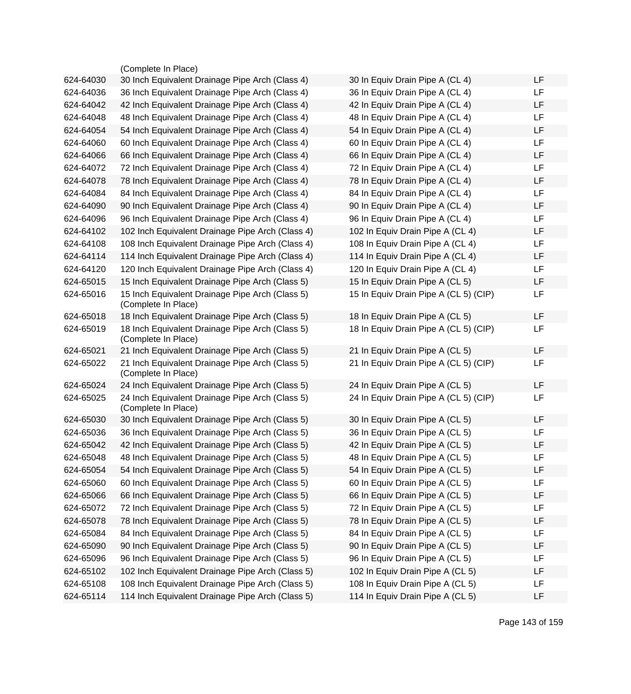| <b>LF</b><br>30 In Equiv Drain Pipe A (CL 4)<br>36 In Equiv Drain Pipe A (CL 4)<br>LF<br>LF<br>42 In Equiv Drain Pipe A (CL 4)<br><b>LF</b><br>48 In Equiv Drain Pipe A (CL 4)<br>LF<br>54 In Equiv Drain Pipe A (CL 4)<br>LF<br>60 In Equiv Drain Pipe A (CL 4)<br>66 In Equiv Drain Pipe A (CL 4)<br>LF                                                  |
|------------------------------------------------------------------------------------------------------------------------------------------------------------------------------------------------------------------------------------------------------------------------------------------------------------------------------------------------------------|
|                                                                                                                                                                                                                                                                                                                                                            |
|                                                                                                                                                                                                                                                                                                                                                            |
|                                                                                                                                                                                                                                                                                                                                                            |
|                                                                                                                                                                                                                                                                                                                                                            |
|                                                                                                                                                                                                                                                                                                                                                            |
|                                                                                                                                                                                                                                                                                                                                                            |
|                                                                                                                                                                                                                                                                                                                                                            |
| <b>LF</b><br>72 In Equiv Drain Pipe A (CL 4)                                                                                                                                                                                                                                                                                                               |
| LF<br>78 In Equiv Drain Pipe A (CL 4)                                                                                                                                                                                                                                                                                                                      |
| <b>LF</b><br>84 In Equiv Drain Pipe A (CL 4)                                                                                                                                                                                                                                                                                                               |
| 90 In Equiv Drain Pipe A (CL 4)<br>LF                                                                                                                                                                                                                                                                                                                      |
| 96 In Equiv Drain Pipe A (CL 4)<br>LF                                                                                                                                                                                                                                                                                                                      |
| <b>LF</b><br>102 In Equiv Drain Pipe A (CL 4)                                                                                                                                                                                                                                                                                                              |
| <b>LF</b><br>108 In Equiv Drain Pipe A (CL 4)                                                                                                                                                                                                                                                                                                              |
| LF<br>114 In Equiv Drain Pipe A (CL 4)                                                                                                                                                                                                                                                                                                                     |
| LF<br>120 In Equiv Drain Pipe A (CL 4)                                                                                                                                                                                                                                                                                                                     |
| 15 In Equiv Drain Pipe A (CL 5)<br>LF                                                                                                                                                                                                                                                                                                                      |
| 15 In Equiv Drain Pipe A (CL 5) (CIP)<br>LF                                                                                                                                                                                                                                                                                                                |
| <b>LF</b><br>18 In Equiv Drain Pipe A (CL 5)                                                                                                                                                                                                                                                                                                               |
| 18 In Equiv Drain Pipe A (CL 5) (CIP)<br>LF                                                                                                                                                                                                                                                                                                                |
| LF<br>21 In Equiv Drain Pipe A (CL 5)                                                                                                                                                                                                                                                                                                                      |
| 21 In Equiv Drain Pipe A (CL 5) (CIP)<br>LF                                                                                                                                                                                                                                                                                                                |
| <b>LF</b><br>24 In Equiv Drain Pipe A (CL 5)                                                                                                                                                                                                                                                                                                               |
| 24 In Equiv Drain Pipe A (CL 5) (CIP)<br>LF                                                                                                                                                                                                                                                                                                                |
| <b>LF</b>                                                                                                                                                                                                                                                                                                                                                  |
| LF                                                                                                                                                                                                                                                                                                                                                         |
| LF                                                                                                                                                                                                                                                                                                                                                         |
| LF<br>48 In Equiv Drain Pipe A (CL 5)                                                                                                                                                                                                                                                                                                                      |
| LF                                                                                                                                                                                                                                                                                                                                                         |
| LF                                                                                                                                                                                                                                                                                                                                                         |
| LF                                                                                                                                                                                                                                                                                                                                                         |
| LF                                                                                                                                                                                                                                                                                                                                                         |
| LF                                                                                                                                                                                                                                                                                                                                                         |
| LF                                                                                                                                                                                                                                                                                                                                                         |
|                                                                                                                                                                                                                                                                                                                                                            |
| LF                                                                                                                                                                                                                                                                                                                                                         |
| 96 In Equiv Drain Pipe A (CL 5)<br>LF                                                                                                                                                                                                                                                                                                                      |
| 102 In Equiv Drain Pipe A (CL 5)<br>LF                                                                                                                                                                                                                                                                                                                     |
| 108 In Equiv Drain Pipe A (CL 5)<br>LF<br>114 In Equiv Drain Pipe A (CL 5)<br>LF                                                                                                                                                                                                                                                                           |
| 30 In Equiv Drain Pipe A (CL 5)<br>36 In Equiv Drain Pipe A (CL 5)<br>42 In Equiv Drain Pipe A (CL 5)<br>54 In Equiv Drain Pipe A (CL 5)<br>60 In Equiv Drain Pipe A (CL 5)<br>66 In Equiv Drain Pipe A (CL 5)<br>72 In Equiv Drain Pipe A (CL 5)<br>78 In Equiv Drain Pipe A (CL 5)<br>84 In Equiv Drain Pipe A (CL 5)<br>90 In Equiv Drain Pipe A (CL 5) |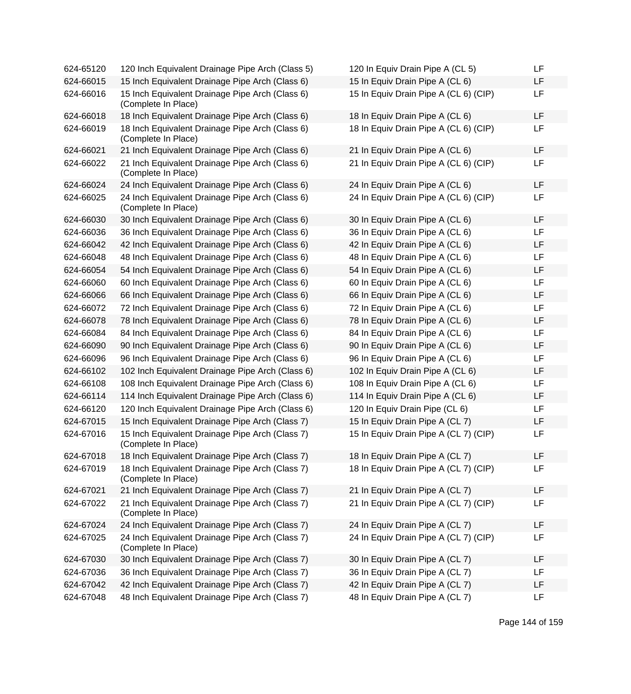| 624-65120 | 120 Inch Equivalent Drainage Pipe Arch (Class 5)                       | 120 In Equiv Drain Pipe A (CL 5)      | LF |
|-----------|------------------------------------------------------------------------|---------------------------------------|----|
| 624-66015 | 15 Inch Equivalent Drainage Pipe Arch (Class 6)                        | 15 In Equiv Drain Pipe A (CL 6)       | LF |
| 624-66016 | 15 Inch Equivalent Drainage Pipe Arch (Class 6)<br>(Complete In Place) | 15 In Equiv Drain Pipe A (CL 6) (CIP) | LF |
| 624-66018 | 18 Inch Equivalent Drainage Pipe Arch (Class 6)                        | 18 In Equiv Drain Pipe A (CL 6)       | LF |
| 624-66019 | 18 Inch Equivalent Drainage Pipe Arch (Class 6)<br>(Complete In Place) | 18 In Equiv Drain Pipe A (CL 6) (CIP) | LF |
| 624-66021 | 21 Inch Equivalent Drainage Pipe Arch (Class 6)                        | 21 In Equiv Drain Pipe A (CL 6)       | LF |
| 624-66022 | 21 Inch Equivalent Drainage Pipe Arch (Class 6)<br>(Complete In Place) | 21 In Equiv Drain Pipe A (CL 6) (CIP) | LF |
| 624-66024 | 24 Inch Equivalent Drainage Pipe Arch (Class 6)                        | 24 In Equiv Drain Pipe A (CL 6)       | LF |
| 624-66025 | 24 Inch Equivalent Drainage Pipe Arch (Class 6)<br>(Complete In Place) | 24 In Equiv Drain Pipe A (CL 6) (CIP) | LF |
| 624-66030 | 30 Inch Equivalent Drainage Pipe Arch (Class 6)                        | 30 In Equiv Drain Pipe A (CL 6)       | LF |
| 624-66036 | 36 Inch Equivalent Drainage Pipe Arch (Class 6)                        | 36 In Equiv Drain Pipe A (CL 6)       | LF |
| 624-66042 | 42 Inch Equivalent Drainage Pipe Arch (Class 6)                        | 42 In Equiv Drain Pipe A (CL 6)       | LF |
| 624-66048 | 48 Inch Equivalent Drainage Pipe Arch (Class 6)                        | 48 In Equiv Drain Pipe A (CL 6)       | LF |
| 624-66054 | 54 Inch Equivalent Drainage Pipe Arch (Class 6)                        | 54 In Equiv Drain Pipe A (CL 6)       | LF |
| 624-66060 | 60 Inch Equivalent Drainage Pipe Arch (Class 6)                        | 60 In Equiv Drain Pipe A (CL 6)       | LF |
| 624-66066 | 66 Inch Equivalent Drainage Pipe Arch (Class 6)                        | 66 In Equiv Drain Pipe A (CL 6)       | LF |
| 624-66072 | 72 Inch Equivalent Drainage Pipe Arch (Class 6)                        | 72 In Equiv Drain Pipe A (CL 6)       | LF |
| 624-66078 | 78 Inch Equivalent Drainage Pipe Arch (Class 6)                        | 78 In Equiv Drain Pipe A (CL 6)       | LF |
| 624-66084 | 84 Inch Equivalent Drainage Pipe Arch (Class 6)                        | 84 In Equiv Drain Pipe A (CL 6)       | LF |
| 624-66090 | 90 Inch Equivalent Drainage Pipe Arch (Class 6)                        | 90 In Equiv Drain Pipe A (CL 6)       | LF |
| 624-66096 | 96 Inch Equivalent Drainage Pipe Arch (Class 6)                        | 96 In Equiv Drain Pipe A (CL 6)       | LF |
| 624-66102 | 102 Inch Equivalent Drainage Pipe Arch (Class 6)                       | 102 In Equiv Drain Pipe A (CL 6)      | LF |
| 624-66108 | 108 Inch Equivalent Drainage Pipe Arch (Class 6)                       | 108 In Equiv Drain Pipe A (CL 6)      | LF |
| 624-66114 | 114 Inch Equivalent Drainage Pipe Arch (Class 6)                       | 114 In Equiv Drain Pipe A (CL 6)      | LF |
| 624-66120 | 120 Inch Equivalent Drainage Pipe Arch (Class 6)                       | 120 In Equiv Drain Pipe (CL 6)        | LF |
| 624-67015 | 15 Inch Equivalent Drainage Pipe Arch (Class 7)                        | 15 In Equiv Drain Pipe A (CL 7)       | LF |
| 624-67016 | 15 Inch Equivalent Drainage Pipe Arch (Class 7)<br>(Complete In Place) | 15 In Equiv Drain Pipe A (CL 7) (CIP) | LF |
| 624-67018 | 18 Inch Equivalent Drainage Pipe Arch (Class 7)                        | 18 In Equiv Drain Pipe A (CL 7)       | LF |
| 624-67019 | 18 Inch Equivalent Drainage Pipe Arch (Class 7)<br>(Complete In Place) | 18 In Equiv Drain Pipe A (CL 7) (CIP) | LF |
| 624-67021 | 21 Inch Equivalent Drainage Pipe Arch (Class 7)                        | 21 In Equiv Drain Pipe A (CL 7)       | LF |
| 624-67022 | 21 Inch Equivalent Drainage Pipe Arch (Class 7)<br>(Complete In Place) | 21 In Equiv Drain Pipe A (CL 7) (CIP) | LF |
| 624-67024 | 24 Inch Equivalent Drainage Pipe Arch (Class 7)                        | 24 In Equiv Drain Pipe A (CL 7)       | LF |
| 624-67025 | 24 Inch Equivalent Drainage Pipe Arch (Class 7)<br>(Complete In Place) | 24 In Equiv Drain Pipe A (CL 7) (CIP) | LF |
| 624-67030 | 30 Inch Equivalent Drainage Pipe Arch (Class 7)                        | 30 In Equiv Drain Pipe A (CL 7)       | LF |
| 624-67036 | 36 Inch Equivalent Drainage Pipe Arch (Class 7)                        | 36 In Equiv Drain Pipe A (CL 7)       | LF |
| 624-67042 | 42 Inch Equivalent Drainage Pipe Arch (Class 7)                        | 42 In Equiv Drain Pipe A (CL 7)       | LF |
| 624-67048 | 48 Inch Equivalent Drainage Pipe Arch (Class 7)                        | 48 In Equiv Drain Pipe A (CL 7)       | LF |

| 120 In Equiv Drain Pipe A (CL 5)      | LF |
|---------------------------------------|----|
| 15 In Equiv Drain Pipe A (CL 6)       | LF |
| 15 In Equiv Drain Pipe A (CL 6) (CIP) | LF |
| 18 In Equiv Drain Pipe A (CL 6)       | LF |
| 18 In Equiv Drain Pipe A (CL 6) (CIP) | LF |
| 21 In Equiv Drain Pipe A (CL 6)       | LF |
| 21 In Equiv Drain Pipe A (CL 6) (CIP) | LF |
| 24 In Equiv Drain Pipe A (CL 6)       | LF |
| 24 In Equiv Drain Pipe A (CL 6) (CIP) | LF |
| 30 In Equiv Drain Pipe A (CL 6)       | LF |
| 36 In Equiv Drain Pipe A (CL 6)       | LF |
| 42 In Equiv Drain Pipe A (CL 6)       | LF |
| 48 In Equiv Drain Pipe A (CL 6)       | LF |
| 54 In Equiv Drain Pipe A (CL 6)       | LF |
| 60 In Equiv Drain Pipe A (CL 6)       | LF |
| 66 In Equiv Drain Pipe A (CL 6)       | LF |
| 72 In Equiv Drain Pipe A (CL 6)       | LF |
| 78 In Equiv Drain Pipe A (CL 6)       | LF |
| 84 In Equiv Drain Pipe A (CL 6)       | LF |
| 90 In Equiv Drain Pipe A (CL 6)       | LF |
| 96 In Equiv Drain Pipe A (CL 6)       | LF |
| 102 In Equiv Drain Pipe A (CL 6)      | LF |
| 108 In Equiv Drain Pipe A (CL 6)      | LF |
| 114 In Equiv Drain Pipe A (CL 6)      | LF |
| 120 In Equiv Drain Pipe (CL 6)        | LF |
| 15 In Equiv Drain Pipe A (CL 7)       | LF |
| 15 In Equiv Drain Pipe A (CL 7) (CIP) | LF |
| 18 In Equiv Drain Pipe A (CL 7)       | LF |
| 18 In Equiv Drain Pipe A (CL 7) (CIP) | LF |
| 21 In Equiv Drain Pipe A (CL 7)       | LF |
| 21 In Equiv Drain Pipe A (CL 7) (CIP) | LF |
| 24 In Equiv Drain Pipe A (CL 7)       | LF |
| 24 In Equiv Drain Pipe A (CL 7) (CIP) | LF |
| 30 In Equiv Drain Pipe A (CL 7)       | LF |
| 36 In Equiv Drain Pipe A (CL 7)       | LF |
| 42 In Equiv Drain Pipe A (CL 7)       | LF |
| 48 In Equiv Drain Pipe A (CL 7)       | LF |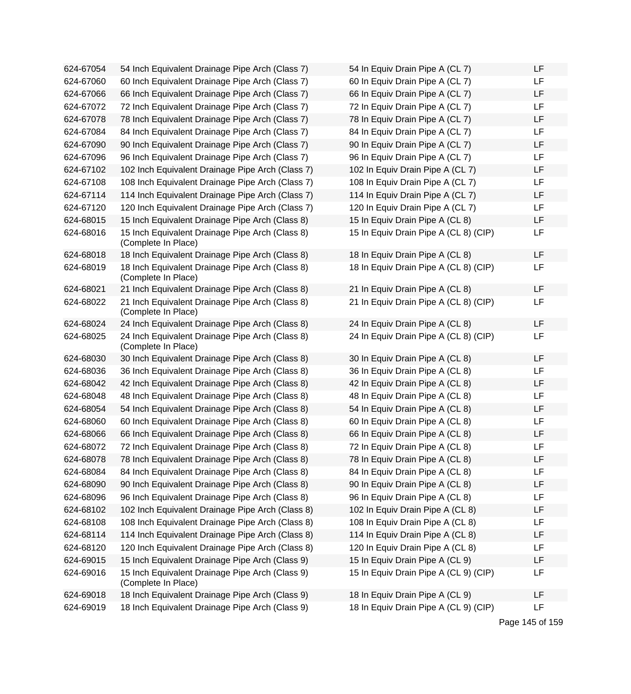| 624-67054 | 54 Inch Equivalent Drainage Pipe Arch (Class 7)                        | 54 In Equiv Drain Pipe A (CL 7)       | LF |
|-----------|------------------------------------------------------------------------|---------------------------------------|----|
| 624-67060 | 60 Inch Equivalent Drainage Pipe Arch (Class 7)                        | 60 In Equiv Drain Pipe A (CL 7)       | LF |
| 624-67066 | 66 Inch Equivalent Drainage Pipe Arch (Class 7)                        | 66 In Equiv Drain Pipe A (CL 7)       | LF |
| 624-67072 | 72 Inch Equivalent Drainage Pipe Arch (Class 7)                        | 72 In Equiv Drain Pipe A (CL 7)       | LF |
| 624-67078 | 78 Inch Equivalent Drainage Pipe Arch (Class 7)                        | 78 In Equiv Drain Pipe A (CL 7)       | LF |
| 624-67084 | 84 Inch Equivalent Drainage Pipe Arch (Class 7)                        | 84 In Equiv Drain Pipe A (CL 7)       | LF |
| 624-67090 | 90 Inch Equivalent Drainage Pipe Arch (Class 7)                        | 90 In Equiv Drain Pipe A (CL 7)       | LF |
| 624-67096 | 96 Inch Equivalent Drainage Pipe Arch (Class 7)                        | 96 In Equiv Drain Pipe A (CL 7)       | LF |
| 624-67102 | 102 Inch Equivalent Drainage Pipe Arch (Class 7)                       | 102 In Equiv Drain Pipe A (CL 7)      | LF |
| 624-67108 | 108 Inch Equivalent Drainage Pipe Arch (Class 7)                       | 108 In Equiv Drain Pipe A (CL 7)      | LF |
| 624-67114 | 114 Inch Equivalent Drainage Pipe Arch (Class 7)                       | 114 In Equiv Drain Pipe A (CL 7)      | LF |
| 624-67120 | 120 Inch Equivalent Drainage Pipe Arch (Class 7)                       | 120 In Equiv Drain Pipe A (CL 7)      | LF |
| 624-68015 | 15 Inch Equivalent Drainage Pipe Arch (Class 8)                        | 15 In Equiv Drain Pipe A (CL 8)       | LF |
| 624-68016 | 15 Inch Equivalent Drainage Pipe Arch (Class 8)<br>(Complete In Place) | 15 In Equiv Drain Pipe A (CL 8) (CIP) | LF |
| 624-68018 | 18 Inch Equivalent Drainage Pipe Arch (Class 8)                        | 18 In Equiv Drain Pipe A (CL 8)       | LF |
| 624-68019 | 18 Inch Equivalent Drainage Pipe Arch (Class 8)<br>(Complete In Place) | 18 In Equiv Drain Pipe A (CL 8) (CIP) | LF |
| 624-68021 | 21 Inch Equivalent Drainage Pipe Arch (Class 8)                        | 21 In Equiv Drain Pipe A (CL 8)       | LF |
| 624-68022 | 21 Inch Equivalent Drainage Pipe Arch (Class 8)<br>(Complete In Place) | 21 In Equiv Drain Pipe A (CL 8) (CIP) | LF |
| 624-68024 | 24 Inch Equivalent Drainage Pipe Arch (Class 8)                        | 24 In Equiv Drain Pipe A (CL 8)       | LF |
| 624-68025 | 24 Inch Equivalent Drainage Pipe Arch (Class 8)<br>(Complete In Place) | 24 In Equiv Drain Pipe A (CL 8) (CIP) | LF |
| 624-68030 | 30 Inch Equivalent Drainage Pipe Arch (Class 8)                        | 30 In Equiv Drain Pipe A (CL 8)       | LF |
| 624-68036 | 36 Inch Equivalent Drainage Pipe Arch (Class 8)                        | 36 In Equiv Drain Pipe A (CL 8)       | LF |
| 624-68042 | 42 Inch Equivalent Drainage Pipe Arch (Class 8)                        | 42 In Equiv Drain Pipe A (CL 8)       | LF |
| 624-68048 | 48 Inch Equivalent Drainage Pipe Arch (Class 8)                        | 48 In Equiv Drain Pipe A (CL 8)       | LF |
| 624-68054 | 54 Inch Equivalent Drainage Pipe Arch (Class 8)                        | 54 In Equiv Drain Pipe A (CL 8)       | LF |
| 624-68060 | 60 Inch Equivalent Drainage Pipe Arch (Class 8)                        | 60 In Equiv Drain Pipe A (CL 8)       | LF |
| 624-68066 | 66 Inch Equivalent Drainage Pipe Arch (Class 8)                        | 66 In Equiv Drain Pipe A (CL 8)       | LF |
| 624-68072 | 72 Inch Equivalent Drainage Pipe Arch (Class 8)                        | 72 In Equiv Drain Pipe A (CL 8)       | LF |
| 624-68078 | 78 Inch Equivalent Drainage Pipe Arch (Class 8)                        | 78 In Equiv Drain Pipe A (CL 8)       | LF |
| 624-68084 | 84 Inch Equivalent Drainage Pipe Arch (Class 8)                        | 84 In Equiv Drain Pipe A (CL 8)       | LF |
| 624-68090 | 90 Inch Equivalent Drainage Pipe Arch (Class 8)                        | 90 In Equiv Drain Pipe A (CL 8)       | LF |
| 624-68096 | 96 Inch Equivalent Drainage Pipe Arch (Class 8)                        | 96 In Equiv Drain Pipe A (CL 8)       | LF |
| 624-68102 | 102 Inch Equivalent Drainage Pipe Arch (Class 8)                       | 102 In Equiv Drain Pipe A (CL 8)      | LF |
| 624-68108 | 108 Inch Equivalent Drainage Pipe Arch (Class 8)                       | 108 In Equiv Drain Pipe A (CL 8)      | LF |
| 624-68114 | 114 Inch Equivalent Drainage Pipe Arch (Class 8)                       | 114 In Equiv Drain Pipe A (CL 8)      | LF |
| 624-68120 | 120 Inch Equivalent Drainage Pipe Arch (Class 8)                       | 120 In Equiv Drain Pipe A (CL 8)      | LF |
| 624-69015 | 15 Inch Equivalent Drainage Pipe Arch (Class 9)                        | 15 In Equiv Drain Pipe A (CL 9)       | LF |
| 624-69016 | 15 Inch Equivalent Drainage Pipe Arch (Class 9)<br>(Complete In Place) | 15 In Equiv Drain Pipe A (CL 9) (CIP) | LF |
| 624-69018 | 18 Inch Equivalent Drainage Pipe Arch (Class 9)                        | 18 In Equiv Drain Pipe A (CL 9)       | LF |
| 624-69019 | 18 Inch Equivalent Drainage Pipe Arch (Class 9)                        | 18 In Equiv Drain Pipe A (CL 9) (CIP) | LF |

| 54 In Equiv Drain Pipe A (CL 7)       | LF |
|---------------------------------------|----|
| 60 In Equiv Drain Pipe A (CL 7)       | LF |
| 66 In Equiv Drain Pipe A (CL 7)       | LF |
| 72 In Equiv Drain Pipe A (CL 7)       | LF |
| 78 In Equiv Drain Pipe A (CL 7)       | LF |
| 84 In Equiv Drain Pipe A (CL 7)       | LF |
| 90 In Equiv Drain Pipe A (CL 7)       | LF |
| 96 In Equiv Drain Pipe A (CL 7)       | LF |
| 102 In Equiv Drain Pipe A (CL 7)      | LF |
| 108 In Equiv Drain Pipe A (CL 7)      | LF |
| 114 In Equiv Drain Pipe A (CL 7)      | LF |
| 120 In Equiv Drain Pipe A (CL 7)      | LF |
| 15 In Equiv Drain Pipe A (CL 8)       | LF |
| 15 In Equiv Drain Pipe A (CL 8) (CIP) | LF |
| 18 In Equiv Drain Pipe A (CL 8)       | LF |
| 18 In Equiv Drain Pipe A (CL 8) (CIP) | LF |
|                                       |    |
| 21 In Equiv Drain Pipe A (CL 8)       | LF |
| 21 In Equiv Drain Pipe A (CL 8) (CIP) | LF |
| 24 In Equiv Drain Pipe A (CL 8)       | LF |
| 24 In Equiv Drain Pipe A (CL 8) (CIP) | LF |
| 30 In Equiv Drain Pipe A (CL 8)       | LF |
| 36 In Equiv Drain Pipe A (CL 8)       | LF |
| 42 In Equiv Drain Pipe A (CL 8)       | LF |
| 48 In Equiv Drain Pipe A (CL 8)       | LF |
| 54 In Equiv Drain Pipe A (CL 8)       | LF |
| 60 In Equiv Drain Pipe A (CL 8)       | LF |
| 66 In Equiv Drain Pipe A (CL 8)       | LF |
| 72 In Equiv Drain Pipe A (CL 8)       | LF |
| 78 In Equiv Drain Pipe A (CL 8)       | LF |
| 84 In Equiv Drain Pipe A (CL 8)       | LF |
| 90 In Equiv Drain Pipe A (CL 8)       | LF |
| 96 In Equiv Drain Pipe A (CL 8)       | LF |
| 102 In Equiv Drain Pipe A (CL 8)      | LF |
| 108 In Equiv Drain Pipe A (CL 8)      | LF |
| 114 In Equiv Drain Pipe A (CL 8)      | LF |
| 120 In Equiv Drain Pipe A (CL 8)      | LF |
| 15 In Equiv Drain Pipe A (CL 9)       | LF |
| 15 In Equiv Drain Pipe A (CL 9) (CIP) | LF |
| 18 In Equiv Drain Pipe A (CL 9)       | LF |
| 18 In Equiv Drain Pipe A (CL 9) (CIP) | LF |

Page 145 of 159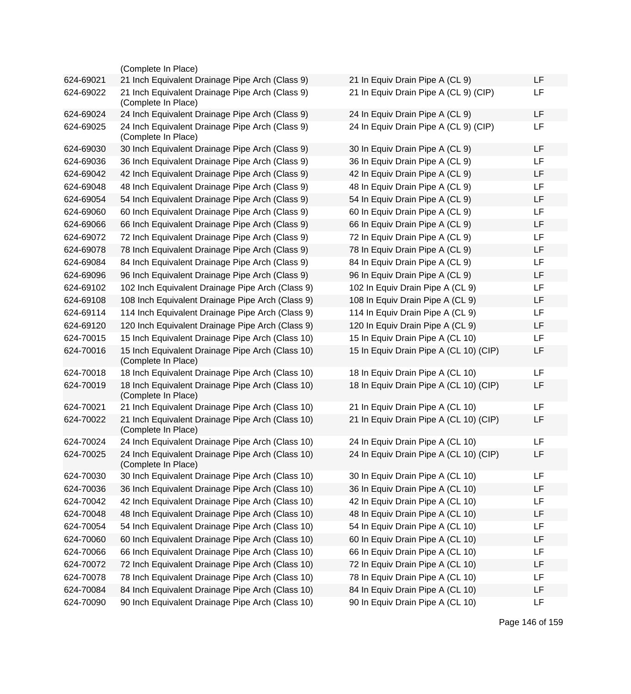|           | (Complete In Place)                                                     |                                        |    |
|-----------|-------------------------------------------------------------------------|----------------------------------------|----|
| 624-69021 | 21 Inch Equivalent Drainage Pipe Arch (Class 9)                         | 21 In Equiv Drain Pipe A (CL 9)        | LF |
| 624-69022 | 21 Inch Equivalent Drainage Pipe Arch (Class 9)<br>(Complete In Place)  | 21 In Equiv Drain Pipe A (CL 9) (CIP)  | LF |
| 624-69024 | 24 Inch Equivalent Drainage Pipe Arch (Class 9)                         | 24 In Equiv Drain Pipe A (CL 9)        | LF |
| 624-69025 | 24 Inch Equivalent Drainage Pipe Arch (Class 9)<br>(Complete In Place)  | 24 In Equiv Drain Pipe A (CL 9) (CIP)  | LF |
| 624-69030 | 30 Inch Equivalent Drainage Pipe Arch (Class 9)                         | 30 In Equiv Drain Pipe A (CL 9)        | LF |
| 624-69036 | 36 Inch Equivalent Drainage Pipe Arch (Class 9)                         | 36 In Equiv Drain Pipe A (CL 9)        | LF |
| 624-69042 | 42 Inch Equivalent Drainage Pipe Arch (Class 9)                         | 42 In Equiv Drain Pipe A (CL 9)        | LF |
| 624-69048 | 48 Inch Equivalent Drainage Pipe Arch (Class 9)                         | 48 In Equiv Drain Pipe A (CL 9)        | LF |
| 624-69054 | 54 Inch Equivalent Drainage Pipe Arch (Class 9)                         | 54 In Equiv Drain Pipe A (CL 9)        | LF |
| 624-69060 | 60 Inch Equivalent Drainage Pipe Arch (Class 9)                         | 60 In Equiv Drain Pipe A (CL 9)        | LF |
| 624-69066 | 66 Inch Equivalent Drainage Pipe Arch (Class 9)                         | 66 In Equiv Drain Pipe A (CL 9)        | LF |
| 624-69072 | 72 Inch Equivalent Drainage Pipe Arch (Class 9)                         | 72 In Equiv Drain Pipe A (CL 9)        | LF |
| 624-69078 | 78 Inch Equivalent Drainage Pipe Arch (Class 9)                         | 78 In Equiv Drain Pipe A (CL 9)        | LF |
| 624-69084 | 84 Inch Equivalent Drainage Pipe Arch (Class 9)                         | 84 In Equiv Drain Pipe A (CL 9)        | LF |
| 624-69096 | 96 Inch Equivalent Drainage Pipe Arch (Class 9)                         | 96 In Equiv Drain Pipe A (CL 9)        | LF |
| 624-69102 | 102 Inch Equivalent Drainage Pipe Arch (Class 9)                        | 102 In Equiv Drain Pipe A (CL 9)       | LF |
| 624-69108 | 108 Inch Equivalent Drainage Pipe Arch (Class 9)                        | 108 In Equiv Drain Pipe A (CL 9)       | LF |
| 624-69114 | 114 Inch Equivalent Drainage Pipe Arch (Class 9)                        | 114 In Equiv Drain Pipe A (CL 9)       | LF |
| 624-69120 | 120 Inch Equivalent Drainage Pipe Arch (Class 9)                        | 120 In Equiv Drain Pipe A (CL 9)       | LF |
| 624-70015 | 15 Inch Equivalent Drainage Pipe Arch (Class 10)                        | 15 In Equiv Drain Pipe A (CL 10)       | LF |
| 624-70016 | 15 Inch Equivalent Drainage Pipe Arch (Class 10)<br>(Complete In Place) | 15 In Equiv Drain Pipe A (CL 10) (CIP) | LF |
| 624-70018 | 18 Inch Equivalent Drainage Pipe Arch (Class 10)                        | 18 In Equiv Drain Pipe A (CL 10)       | LF |
| 624-70019 | 18 Inch Equivalent Drainage Pipe Arch (Class 10)<br>(Complete In Place) | 18 In Equiv Drain Pipe A (CL 10) (CIP) | LF |
| 624-70021 | 21 Inch Equivalent Drainage Pipe Arch (Class 10)                        | 21 In Equiv Drain Pipe A (CL 10)       | LF |
| 624-70022 | 21 Inch Equivalent Drainage Pipe Arch (Class 10)<br>(Complete In Place) | 21 In Equiv Drain Pipe A (CL 10) (CIP) | LF |
| 624-70024 | 24 Inch Equivalent Drainage Pipe Arch (Class 10)                        | 24 In Equiv Drain Pipe A (CL 10)       | LF |
| 624-70025 | 24 Inch Equivalent Drainage Pipe Arch (Class 10)<br>(Complete In Place) | 24 In Equiv Drain Pipe A (CL 10) (CIP) | LF |
| 624-70030 | 30 Inch Equivalent Drainage Pipe Arch (Class 10)                        | 30 In Equiv Drain Pipe A (CL 10)       | LF |
| 624-70036 | 36 Inch Equivalent Drainage Pipe Arch (Class 10)                        | 36 In Equiv Drain Pipe A (CL 10)       | LF |
| 624-70042 | 42 Inch Equivalent Drainage Pipe Arch (Class 10)                        | 42 In Equiv Drain Pipe A (CL 10)       | LF |
| 624-70048 | 48 Inch Equivalent Drainage Pipe Arch (Class 10)                        | 48 In Equiv Drain Pipe A (CL 10)       | LF |
| 624-70054 | 54 Inch Equivalent Drainage Pipe Arch (Class 10)                        | 54 In Equiv Drain Pipe A (CL 10)       | LF |
| 624-70060 | 60 Inch Equivalent Drainage Pipe Arch (Class 10)                        | 60 In Equiv Drain Pipe A (CL 10)       | LF |
| 624-70066 | 66 Inch Equivalent Drainage Pipe Arch (Class 10)                        | 66 In Equiv Drain Pipe A (CL 10)       | LF |
| 624-70072 | 72 Inch Equivalent Drainage Pipe Arch (Class 10)                        | 72 In Equiv Drain Pipe A (CL 10)       | LF |
| 624-70078 | 78 Inch Equivalent Drainage Pipe Arch (Class 10)                        | 78 In Equiv Drain Pipe A (CL 10)       | LF |
| 624-70084 | 84 Inch Equivalent Drainage Pipe Arch (Class 10)                        | 84 In Equiv Drain Pipe A (CL 10)       | LF |
| 624-70090 | 90 Inch Equivalent Drainage Pipe Arch (Class 10)                        | 90 In Equiv Drain Pipe A (CL 10)       | LF |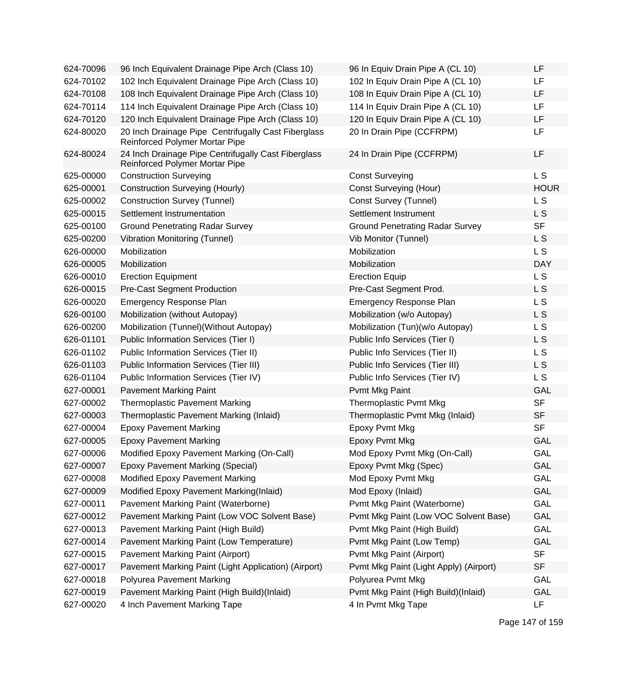| 624-70096 | 96 Inch Equivalent Drainage Pipe Arch (Class 10)                                             | 96 In Equiv Drain Pipe A (CL 10)       | LF             |
|-----------|----------------------------------------------------------------------------------------------|----------------------------------------|----------------|
| 624-70102 | 102 Inch Equivalent Drainage Pipe Arch (Class 10)                                            | 102 In Equiv Drain Pipe A (CL 10)      | LF.            |
| 624-70108 | 108 Inch Equivalent Drainage Pipe Arch (Class 10)                                            | 108 In Equiv Drain Pipe A (CL 10)      | LF             |
| 624-70114 | 114 Inch Equivalent Drainage Pipe Arch (Class 10)                                            | 114 In Equiv Drain Pipe A (CL 10)      | LF             |
| 624-70120 | 120 Inch Equivalent Drainage Pipe Arch (Class 10)                                            | 120 In Equiv Drain Pipe A (CL 10)      | LF             |
| 624-80020 | 20 Inch Drainage Pipe Centrifugally Cast Fiberglass<br><b>Reinforced Polymer Mortar Pipe</b> | 20 In Drain Pipe (CCFRPM)              | LF             |
| 624-80024 | 24 Inch Drainage Pipe Centrifugally Cast Fiberglass<br>Reinforced Polymer Mortar Pipe        | 24 In Drain Pipe (CCFRPM)              | LF             |
| 625-00000 | <b>Construction Surveying</b>                                                                | <b>Const Surveying</b>                 | L <sub>S</sub> |
| 625-00001 | <b>Construction Surveying (Hourly)</b>                                                       | <b>Const Surveying (Hour)</b>          | <b>HOUR</b>    |
| 625-00002 | <b>Construction Survey (Tunnel)</b>                                                          | Const Survey (Tunnel)                  | L S            |
| 625-00015 | Settlement Instrumentation                                                                   | Settlement Instrument                  | L S            |
| 625-00100 | <b>Ground Penetrating Radar Survey</b>                                                       | <b>Ground Penetrating Radar Survey</b> | <b>SF</b>      |
| 625-00200 | <b>Vibration Monitoring (Tunnel)</b>                                                         | Vib Monitor (Tunnel)                   | L S            |
| 626-00000 | Mobilization                                                                                 | Mobilization                           | L S            |
| 626-00005 | Mobilization                                                                                 | Mobilization                           | <b>DAY</b>     |
| 626-00010 | <b>Erection Equipment</b>                                                                    | <b>Erection Equip</b>                  | L S            |
| 626-00015 | <b>Pre-Cast Segment Production</b>                                                           | Pre-Cast Segment Prod.                 | L S            |
| 626-00020 | <b>Emergency Response Plan</b>                                                               | <b>Emergency Response Plan</b>         | <b>LS</b>      |
| 626-00100 | Mobilization (without Autopay)                                                               | Mobilization (w/o Autopay)             | L <sub>S</sub> |
| 626-00200 | Mobilization (Tunnel) (Without Autopay)                                                      | Mobilization (Tun)(w/o Autopay)        | L S            |
| 626-01101 | Public Information Services (Tier I)                                                         | Public Info Services (Tier I)          | L S            |
| 626-01102 | Public Information Services (Tier II)                                                        | Public Info Services (Tier II)         | L S            |
| 626-01103 | Public Information Services (Tier III)                                                       | Public Info Services (Tier III)        | L S            |
| 626-01104 | Public Information Services (Tier IV)                                                        | Public Info Services (Tier IV)         | L S            |
| 627-00001 | <b>Pavement Marking Paint</b>                                                                | Pvmt Mkg Paint                         | GAL            |
| 627-00002 | <b>Thermoplastic Pavement Marking</b>                                                        | <b>Thermoplastic Pvmt Mkg</b>          | <b>SF</b>      |
| 627-00003 | Thermoplastic Pavement Marking (Inlaid)                                                      | Thermoplastic Pvmt Mkg (Inlaid)        | <b>SF</b>      |
| 627-00004 | <b>Epoxy Pavement Marking</b>                                                                | Epoxy Pvmt Mkg                         | <b>SF</b>      |
| 627-00005 | <b>Epoxy Pavement Marking</b>                                                                | Epoxy Pvmt Mkg                         | <b>GAL</b>     |
| 627-00006 | Modified Epoxy Pavement Marking (On-Call)                                                    | Mod Epoxy Pvmt Mkg (On-Call)           | GAL            |
| 627-00007 | Epoxy Pavement Marking (Special)                                                             | Epoxy Pvmt Mkg (Spec)                  | GAL            |
| 627-00008 | Modified Epoxy Pavement Marking                                                              | Mod Epoxy Pvmt Mkg                     | <b>GAL</b>     |
| 627-00009 | Modified Epoxy Pavement Marking(Inlaid)                                                      | Mod Epoxy (Inlaid)                     | GAL            |
| 627-00011 | Pavement Marking Paint (Waterborne)                                                          | Pvmt Mkg Paint (Waterborne)            | <b>GAL</b>     |
| 627-00012 | Pavement Marking Paint (Low VOC Solvent Base)                                                | Pvmt Mkg Paint (Low VOC Solvent Base)  | GAL            |
| 627-00013 | Pavement Marking Paint (High Build)                                                          | Pvmt Mkg Paint (High Build)            | GAL            |
| 627-00014 | Pavement Marking Paint (Low Temperature)                                                     | Pvmt Mkg Paint (Low Temp)              | GAL            |
| 627-00015 | Pavement Marking Paint (Airport)                                                             | Pvmt Mkg Paint (Airport)               | <b>SF</b>      |
| 627-00017 | Pavement Marking Paint (Light Application) (Airport)                                         | Pvmt Mkg Paint (Light Apply) (Airport) | <b>SF</b>      |
| 627-00018 | Polyurea Pavement Marking                                                                    | Polyurea Pvmt Mkg                      | GAL            |
| 627-00019 | Pavement Marking Paint (High Build)(Inlaid)                                                  | Pvmt Mkg Paint (High Build)(Inlaid)    | GAL            |
| 627-00020 | 4 Inch Pavement Marking Tape                                                                 | 4 In Pvmt Mkg Tape                     | <b>LF</b>      |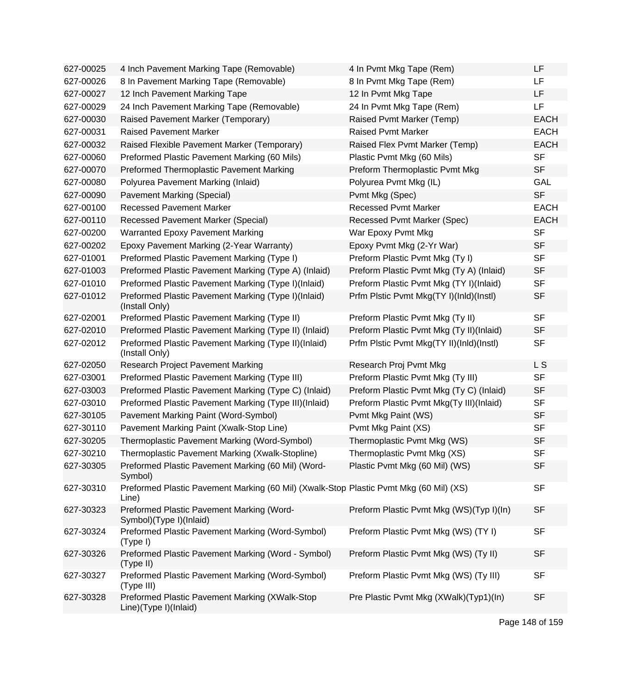| 627-00025 | 4 Inch Pavement Marking Tape (Removable)                                                        | 4 In Pvmt Mkg Tape (Rem)                 | LF             |
|-----------|-------------------------------------------------------------------------------------------------|------------------------------------------|----------------|
| 627-00026 | 8 In Pavement Marking Tape (Removable)                                                          | 8 In Pvmt Mkg Tape (Rem)                 | LF.            |
| 627-00027 | 12 Inch Pavement Marking Tape                                                                   | 12 In Pvmt Mkg Tape                      | LF             |
| 627-00029 | 24 Inch Pavement Marking Tape (Removable)                                                       | 24 In Pvmt Mkg Tape (Rem)                | LF             |
| 627-00030 | Raised Pavement Marker (Temporary)                                                              | Raised Pvmt Marker (Temp)                | <b>EACH</b>    |
| 627-00031 | <b>Raised Pavement Marker</b>                                                                   | <b>Raised Pvmt Marker</b>                | <b>EACH</b>    |
| 627-00032 | Raised Flexible Pavement Marker (Temporary)                                                     | Raised Flex Pvmt Marker (Temp)           | <b>EACH</b>    |
| 627-00060 | Preformed Plastic Pavement Marking (60 Mils)                                                    | Plastic Pvmt Mkg (60 Mils)               | <b>SF</b>      |
| 627-00070 | Preformed Thermoplastic Pavement Marking                                                        | Preform Thermoplastic Pvmt Mkg           | <b>SF</b>      |
| 627-00080 | Polyurea Pavement Marking (Inlaid)                                                              | Polyurea Pvmt Mkg (IL)                   | <b>GAL</b>     |
| 627-00090 | Pavement Marking (Special)                                                                      | Pvmt Mkg (Spec)                          | <b>SF</b>      |
| 627-00100 | <b>Recessed Pavement Marker</b>                                                                 | <b>Recessed Pvmt Marker</b>              | <b>EACH</b>    |
| 627-00110 | <b>Recessed Pavement Marker (Special)</b>                                                       | Recessed Pvmt Marker (Spec)              | <b>EACH</b>    |
| 627-00200 | <b>Warranted Epoxy Pavement Marking</b>                                                         | War Epoxy Pvmt Mkg                       | <b>SF</b>      |
| 627-00202 | Epoxy Pavement Marking (2-Year Warranty)                                                        | Epoxy Pvmt Mkg (2-Yr War)                | <b>SF</b>      |
| 627-01001 | Preformed Plastic Pavement Marking (Type I)                                                     | Preform Plastic Pvmt Mkg (Ty I)          | <b>SF</b>      |
| 627-01003 | Preformed Plastic Pavement Marking (Type A) (Inlaid)                                            | Preform Plastic Pvmt Mkg (Ty A) (Inlaid) | <b>SF</b>      |
| 627-01010 | Preformed Plastic Pavement Marking (Type I)(Inlaid)                                             | Preform Plastic Pvmt Mkg (TY I)(Inlaid)  | <b>SF</b>      |
| 627-01012 | Preformed Plastic Pavement Marking (Type I)(Inlaid)<br>(Install Only)                           | Prfm Plstic Pvmt Mkg(TY I)(InId)(Instl)  | <b>SF</b>      |
| 627-02001 | Preformed Plastic Pavement Marking (Type II)                                                    | Preform Plastic Pvmt Mkg (Ty II)         | <b>SF</b>      |
| 627-02010 | Preformed Plastic Pavement Marking (Type II) (Inlaid)                                           | Preform Plastic Pvmt Mkg (Ty II)(Inlaid) | <b>SF</b>      |
| 627-02012 | Preformed Plastic Pavement Marking (Type II)(Inlaid)<br>(Install Only)                          | Prfm Plstic Pvmt Mkg(TY II)(InId)(Instl) | <b>SF</b>      |
| 627-02050 | <b>Research Project Pavement Marking</b>                                                        | Research Proj Pvmt Mkg                   | L <sub>S</sub> |
| 627-03001 | Preformed Plastic Pavement Marking (Type III)                                                   | Preform Plastic Pvmt Mkg (Ty III)        | <b>SF</b>      |
| 627-03003 | Preformed Plastic Pavement Marking (Type C) (Inlaid)                                            | Preform Plastic Pvmt Mkg (Ty C) (Inlaid) | <b>SF</b>      |
| 627-03010 | Preformed Plastic Pavement Marking (Type III)(Inlaid)                                           | Preform Plastic Pvmt Mkg(Ty III)(Inlaid) | <b>SF</b>      |
| 627-30105 | Pavement Marking Paint (Word-Symbol)                                                            | Pvmt Mkg Paint (WS)                      | <b>SF</b>      |
| 627-30110 | Pavement Marking Paint (Xwalk-Stop Line)                                                        | Pvmt Mkg Paint (XS)                      | <b>SF</b>      |
| 627-30205 | Thermoplastic Pavement Marking (Word-Symbol)                                                    | Thermoplastic Pvmt Mkg (WS)              | <b>SF</b>      |
| 627-30210 | Thermoplastic Pavement Marking (Xwalk-Stopline)                                                 | Thermoplastic Pvmt Mkg (XS)              | <b>SF</b>      |
| 627-30305 | Preformed Plastic Pavement Marking (60 Mil) (Word-<br>Symbol)                                   | Plastic Pvmt Mkg (60 Mil) (WS)           | <b>SF</b>      |
| 627-30310 | Preformed Plastic Pavement Marking (60 Mil) (Xwalk-Stop Plastic Pvmt Mkg (60 Mil) (XS)<br>Line) |                                          | <b>SF</b>      |
| 627-30323 | Preformed Plastic Pavement Marking (Word-<br>Symbol)(Type I)(Inlaid)                            | Preform Plastic Pvmt Mkg (WS)(Typ I)(In) | <b>SF</b>      |
| 627-30324 | Preformed Plastic Pavement Marking (Word-Symbol)<br>(Type I)                                    | Preform Plastic Pvmt Mkg (WS) (TY I)     | <b>SF</b>      |
| 627-30326 | Preformed Plastic Pavement Marking (Word - Symbol)<br>(Type II)                                 | Preform Plastic Pvmt Mkg (WS) (Ty II)    | <b>SF</b>      |
| 627-30327 | Preformed Plastic Pavement Marking (Word-Symbol)<br>(Type III)                                  | Preform Plastic Pvmt Mkg (WS) (Ty III)   | <b>SF</b>      |
| 627-30328 | Preformed Plastic Pavement Marking (XWalk-Stop<br>Line)(Type I)(Inlaid)                         | Pre Plastic Pvmt Mkg (XWalk)(Typ1)(In)   | <b>SF</b>      |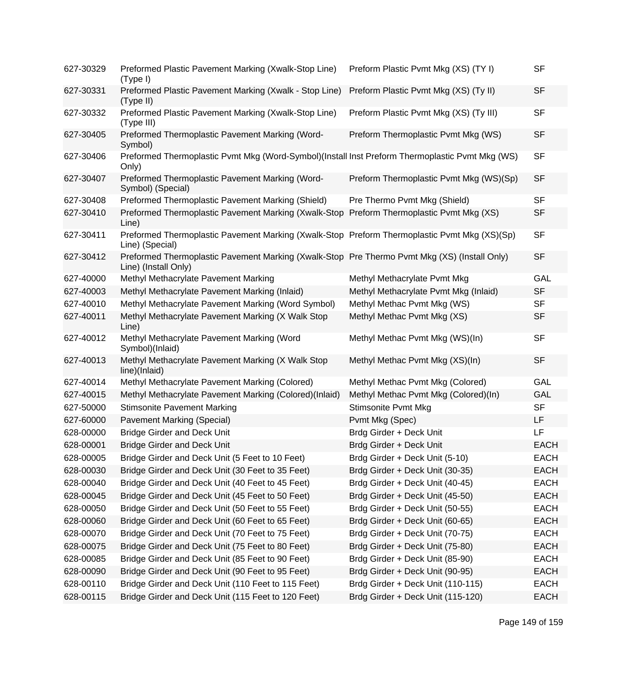| 627-30329 | Preformed Plastic Pavement Marking (Xwalk-Stop Line)<br>(Type I)                                                     | Preform Plastic Pvmt Mkg (XS) (TY I)    | <b>SF</b>   |
|-----------|----------------------------------------------------------------------------------------------------------------------|-----------------------------------------|-------------|
| 627-30331 | Preformed Plastic Pavement Marking (Xwalk - Stop Line)<br>(Type II)                                                  | Preform Plastic Pvmt Mkg (XS) (Ty II)   | <b>SF</b>   |
| 627-30332 | Preformed Plastic Pavement Marking (Xwalk-Stop Line)<br>(Type III)                                                   | Preform Plastic Pvmt Mkg (XS) (Ty III)  | <b>SF</b>   |
| 627-30405 | Preformed Thermoplastic Pavement Marking (Word-<br>Symbol)                                                           | Preform Thermoplastic Pvmt Mkg (WS)     | <b>SF</b>   |
| 627-30406 | Preformed Thermoplastic Pvmt Mkg (Word-Symbol)(Install Inst Preform Thermoplastic Pvmt Mkg (WS)<br>Only)             |                                         | <b>SF</b>   |
| 627-30407 | Preformed Thermoplastic Pavement Marking (Word-<br>Symbol) (Special)                                                 | Preform Thermoplastic Pvmt Mkg (WS)(Sp) | <b>SF</b>   |
| 627-30408 | Preformed Thermoplastic Pavement Marking (Shield)                                                                    | Pre Thermo Pvmt Mkg (Shield)            | <b>SF</b>   |
| 627-30410 | Preformed Thermoplastic Pavement Marking (Xwalk-Stop<br>Line)                                                        | Preform Thermoplastic Pvmt Mkg (XS)     | <b>SF</b>   |
| 627-30411 | Preformed Thermoplastic Pavement Marking (Xwalk-Stop Preform Thermoplastic Pvmt Mkg (XS)(Sp)<br>Line) (Special)      |                                         | <b>SF</b>   |
| 627-30412 | Preformed Thermoplastic Pavement Marking (Xwalk-Stop Pre Thermo Pvmt Mkg (XS) (Install Only)<br>Line) (Install Only) |                                         | <b>SF</b>   |
| 627-40000 | Methyl Methacrylate Pavement Marking                                                                                 | Methyl Methacrylate Pvmt Mkg            | GAL         |
| 627-40003 | Methyl Methacrylate Pavement Marking (Inlaid)                                                                        | Methyl Methacrylate Pvmt Mkg (Inlaid)   | <b>SF</b>   |
| 627-40010 | Methyl Methacrylate Pavement Marking (Word Symbol)                                                                   | Methyl Methac Pvmt Mkg (WS)             | <b>SF</b>   |
| 627-40011 | Methyl Methacrylate Pavement Marking (X Walk Stop<br>Line)                                                           | Methyl Methac Pvmt Mkg (XS)             | <b>SF</b>   |
| 627-40012 | Methyl Methacrylate Pavement Marking (Word<br>Symbol)(Inlaid)                                                        | Methyl Methac Pvmt Mkg (WS)(In)         | <b>SF</b>   |
| 627-40013 | Methyl Methacrylate Pavement Marking (X Walk Stop<br>line)(Inlaid)                                                   | Methyl Methac Pvmt Mkg (XS)(In)         | <b>SF</b>   |
| 627-40014 | Methyl Methacrylate Pavement Marking (Colored)                                                                       | Methyl Methac Pvmt Mkg (Colored)        | GAL         |
| 627-40015 | Methyl Methacrylate Pavement Marking (Colored)(Inlaid)                                                               | Methyl Methac Pvmt Mkg (Colored)(In)    | <b>GAL</b>  |
| 627-50000 | <b>Stimsonite Pavement Marking</b>                                                                                   | <b>Stimsonite Pvmt Mkg</b>              | <b>SF</b>   |
| 627-60000 | <b>Pavement Marking (Special)</b>                                                                                    | Pvmt Mkg (Spec)                         | LF          |
| 628-00000 | <b>Bridge Girder and Deck Unit</b>                                                                                   | Brdg Girder + Deck Unit                 | LF          |
| 628-00001 | <b>Bridge Girder and Deck Unit</b>                                                                                   | Brdg Girder + Deck Unit                 | <b>EACH</b> |
| 628-00005 | Bridge Girder and Deck Unit (5 Feet to 10 Feet)                                                                      | Brdg Girder + Deck Unit (5-10)          | EACH        |
| 628-00030 | Bridge Girder and Deck Unit (30 Feet to 35 Feet)                                                                     | Brdg Girder + Deck Unit (30-35)         | <b>EACH</b> |
| 628-00040 | Bridge Girder and Deck Unit (40 Feet to 45 Feet)                                                                     | Brdg Girder + Deck Unit (40-45)         | <b>EACH</b> |
| 628-00045 | Bridge Girder and Deck Unit (45 Feet to 50 Feet)                                                                     | Brdg Girder + Deck Unit (45-50)         | <b>EACH</b> |
| 628-00050 | Bridge Girder and Deck Unit (50 Feet to 55 Feet)                                                                     | Brdg Girder + Deck Unit (50-55)         | <b>EACH</b> |
| 628-00060 | Bridge Girder and Deck Unit (60 Feet to 65 Feet)                                                                     | Brdg Girder + Deck Unit (60-65)         | <b>EACH</b> |
| 628-00070 | Bridge Girder and Deck Unit (70 Feet to 75 Feet)                                                                     | Brdg Girder + Deck Unit (70-75)         | <b>EACH</b> |
| 628-00075 | Bridge Girder and Deck Unit (75 Feet to 80 Feet)                                                                     | Brdg Girder + Deck Unit (75-80)         | <b>EACH</b> |
| 628-00085 | Bridge Girder and Deck Unit (85 Feet to 90 Feet)                                                                     | Brdg Girder + Deck Unit (85-90)         | <b>EACH</b> |
| 628-00090 | Bridge Girder and Deck Unit (90 Feet to 95 Feet)                                                                     | Brdg Girder + Deck Unit (90-95)         | <b>EACH</b> |
| 628-00110 | Bridge Girder and Deck Unit (110 Feet to 115 Feet)                                                                   | Brdg Girder + Deck Unit (110-115)       | <b>EACH</b> |
| 628-00115 | Bridge Girder and Deck Unit (115 Feet to 120 Feet)                                                                   | Brdg Girder + Deck Unit (115-120)       | <b>EACH</b> |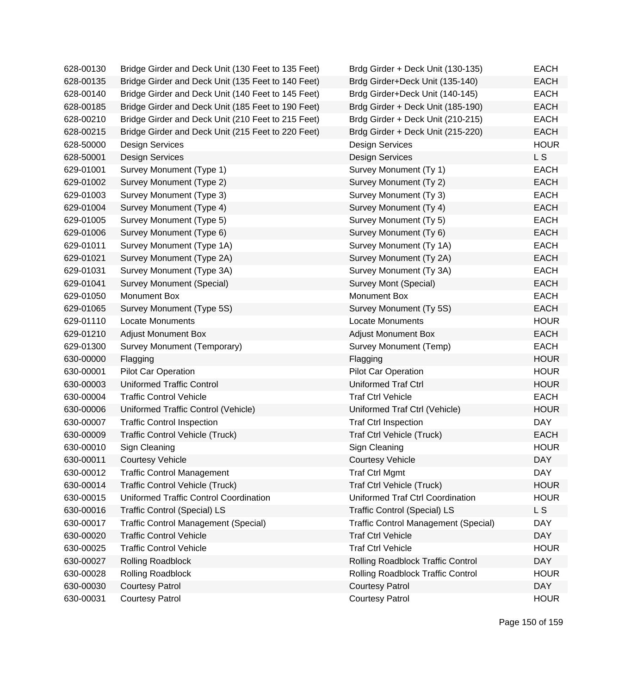| 628-00130 | Bridge Girder and Deck Unit (130 Feet to 135 Feet) | Brdg Girder + Deck Unit (130-135)           | <b>EACH</b> |
|-----------|----------------------------------------------------|---------------------------------------------|-------------|
| 628-00135 | Bridge Girder and Deck Unit (135 Feet to 140 Feet) | Brdg Girder+Deck Unit (135-140)             | <b>EACH</b> |
| 628-00140 | Bridge Girder and Deck Unit (140 Feet to 145 Feet) | Brdg Girder+Deck Unit (140-145)             | <b>EACH</b> |
| 628-00185 | Bridge Girder and Deck Unit (185 Feet to 190 Feet) | Brdg Girder + Deck Unit (185-190)           | <b>EACH</b> |
| 628-00210 | Bridge Girder and Deck Unit (210 Feet to 215 Feet) | Brdg Girder + Deck Unit (210-215)           | <b>EACH</b> |
| 628-00215 | Bridge Girder and Deck Unit (215 Feet to 220 Feet) | Brdg Girder + Deck Unit (215-220)           | <b>EACH</b> |
| 628-50000 | <b>Design Services</b>                             | <b>Design Services</b>                      | <b>HOUR</b> |
| 628-50001 | <b>Design Services</b>                             | <b>Design Services</b>                      | L S         |
| 629-01001 | Survey Monument (Type 1)                           | Survey Monument (Ty 1)                      | <b>EACH</b> |
| 629-01002 | Survey Monument (Type 2)                           | Survey Monument (Ty 2)                      | <b>EACH</b> |
| 629-01003 | Survey Monument (Type 3)                           | Survey Monument (Ty 3)                      | <b>EACH</b> |
| 629-01004 | Survey Monument (Type 4)                           | Survey Monument (Ty 4)                      | <b>EACH</b> |
| 629-01005 | Survey Monument (Type 5)                           | Survey Monument (Ty 5)                      | <b>EACH</b> |
| 629-01006 | Survey Monument (Type 6)                           | Survey Monument (Ty 6)                      | <b>EACH</b> |
| 629-01011 | Survey Monument (Type 1A)                          | Survey Monument (Ty 1A)                     | <b>EACH</b> |
| 629-01021 | Survey Monument (Type 2A)                          | Survey Monument (Ty 2A)                     | <b>EACH</b> |
| 629-01031 | Survey Monument (Type 3A)                          | Survey Monument (Ty 3A)                     | <b>EACH</b> |
| 629-01041 | Survey Monument (Special)                          | Survey Mont (Special)                       | <b>EACH</b> |
| 629-01050 | Monument Box                                       | Monument Box                                | <b>EACH</b> |
| 629-01065 | Survey Monument (Type 5S)                          | Survey Monument (Ty 5S)                     | <b>EACH</b> |
| 629-01110 | <b>Locate Monuments</b>                            | <b>Locate Monuments</b>                     | <b>HOUR</b> |
| 629-01210 | <b>Adjust Monument Box</b>                         | <b>Adjust Monument Box</b>                  | <b>EACH</b> |
| 629-01300 | Survey Monument (Temporary)                        | Survey Monument (Temp)                      | <b>EACH</b> |
| 630-00000 | Flagging                                           | Flagging                                    | <b>HOUR</b> |
| 630-00001 | <b>Pilot Car Operation</b>                         | <b>Pilot Car Operation</b>                  | <b>HOUR</b> |
| 630-00003 | <b>Uniformed Traffic Control</b>                   | <b>Uniformed Traf Ctrl</b>                  | <b>HOUR</b> |
| 630-00004 | <b>Traffic Control Vehicle</b>                     | <b>Traf Ctrl Vehicle</b>                    | <b>EACH</b> |
| 630-00006 | Uniformed Traffic Control (Vehicle)                | Uniformed Traf Ctrl (Vehicle)               | <b>HOUR</b> |
| 630-00007 | <b>Traffic Control Inspection</b>                  | <b>Traf Ctrl Inspection</b>                 | <b>DAY</b>  |
| 630-00009 | <b>Traffic Control Vehicle (Truck)</b>             | Traf Ctrl Vehicle (Truck)                   | <b>EACH</b> |
| 630-00010 | Sign Cleaning                                      | Sign Cleaning                               | <b>HOUR</b> |
| 630-00011 | <b>Courtesy Vehicle</b>                            | <b>Courtesy Vehicle</b>                     | DAY         |
| 630-00012 | <b>Traffic Control Management</b>                  | <b>Traf Ctrl Mgmt</b>                       | <b>DAY</b>  |
| 630-00014 | <b>Traffic Control Vehicle (Truck)</b>             | Traf Ctrl Vehicle (Truck)                   | <b>HOUR</b> |
| 630-00015 | Uniformed Traffic Control Coordination             | Uniformed Traf Ctrl Coordination            | <b>HOUR</b> |
| 630-00016 | <b>Traffic Control (Special) LS</b>                | <b>Traffic Control (Special) LS</b>         | L S         |
| 630-00017 | <b>Traffic Control Management (Special)</b>        | <b>Traffic Control Management (Special)</b> | <b>DAY</b>  |
| 630-00020 | <b>Traffic Control Vehicle</b>                     | <b>Traf Ctrl Vehicle</b>                    | <b>DAY</b>  |
| 630-00025 | <b>Traffic Control Vehicle</b>                     | <b>Traf Ctrl Vehicle</b>                    | <b>HOUR</b> |
| 630-00027 | <b>Rolling Roadblock</b>                           | <b>Rolling Roadblock Traffic Control</b>    | <b>DAY</b>  |
| 630-00028 | Rolling Roadblock                                  | Rolling Roadblock Traffic Control           | <b>HOUR</b> |
| 630-00030 | <b>Courtesy Patrol</b>                             | <b>Courtesy Patrol</b>                      | <b>DAY</b>  |
| 630-00031 | <b>Courtesy Patrol</b>                             | <b>Courtesy Patrol</b>                      | <b>HOUR</b> |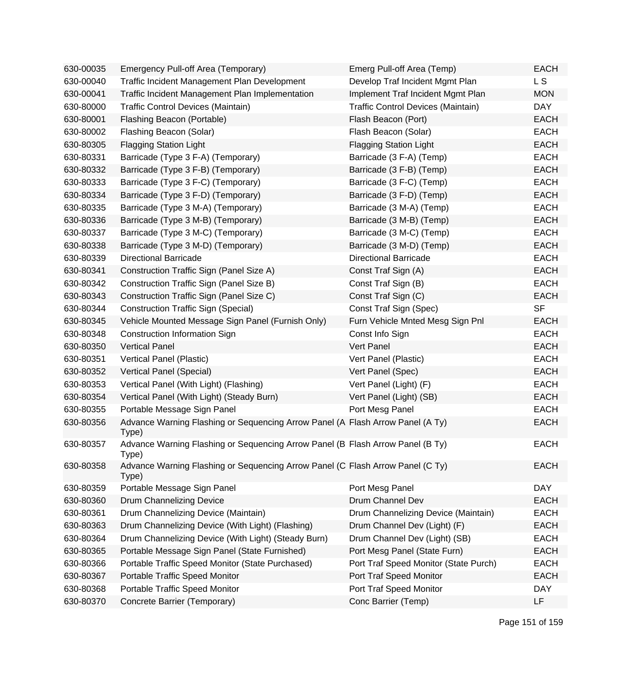| 630-00035 | Emergency Pull-off Area (Temporary)                                                     | Emerg Pull-off Area (Temp)            | <b>EACH</b> |
|-----------|-----------------------------------------------------------------------------------------|---------------------------------------|-------------|
| 630-00040 | Traffic Incident Management Plan Development                                            | Develop Traf Incident Mgmt Plan       | L S         |
| 630-00041 | Traffic Incident Management Plan Implementation                                         | Implement Traf Incident Mgmt Plan     | <b>MON</b>  |
| 630-80000 | Traffic Control Devices (Maintain)                                                      | Traffic Control Devices (Maintain)    | <b>DAY</b>  |
| 630-80001 | Flashing Beacon (Portable)                                                              | Flash Beacon (Port)                   | <b>EACH</b> |
| 630-80002 | Flashing Beacon (Solar)                                                                 | Flash Beacon (Solar)                  | <b>EACH</b> |
| 630-80305 | <b>Flagging Station Light</b>                                                           | <b>Flagging Station Light</b>         | <b>EACH</b> |
| 630-80331 | Barricade (Type 3 F-A) (Temporary)                                                      | Barricade (3 F-A) (Temp)              | <b>EACH</b> |
| 630-80332 | Barricade (Type 3 F-B) (Temporary)                                                      | Barricade (3 F-B) (Temp)              | <b>EACH</b> |
| 630-80333 | Barricade (Type 3 F-C) (Temporary)                                                      | Barricade (3 F-C) (Temp)              | <b>EACH</b> |
| 630-80334 | Barricade (Type 3 F-D) (Temporary)                                                      | Barricade (3 F-D) (Temp)              | <b>EACH</b> |
| 630-80335 | Barricade (Type 3 M-A) (Temporary)                                                      | Barricade (3 M-A) (Temp)              | <b>EACH</b> |
| 630-80336 | Barricade (Type 3 M-B) (Temporary)                                                      | Barricade (3 M-B) (Temp)              | <b>EACH</b> |
| 630-80337 | Barricade (Type 3 M-C) (Temporary)                                                      | Barricade (3 M-C) (Temp)              | <b>EACH</b> |
| 630-80338 | Barricade (Type 3 M-D) (Temporary)                                                      | Barricade (3 M-D) (Temp)              | <b>EACH</b> |
| 630-80339 | <b>Directional Barricade</b>                                                            | <b>Directional Barricade</b>          | <b>EACH</b> |
| 630-80341 | Construction Traffic Sign (Panel Size A)                                                | Const Traf Sign (A)                   | <b>EACH</b> |
| 630-80342 | Construction Traffic Sign (Panel Size B)                                                | Const Traf Sign (B)                   | <b>EACH</b> |
| 630-80343 | Construction Traffic Sign (Panel Size C)                                                | Const Traf Sign (C)                   | <b>EACH</b> |
| 630-80344 | <b>Construction Traffic Sign (Special)</b>                                              | Const Traf Sign (Spec)                | <b>SF</b>   |
| 630-80345 | Vehicle Mounted Message Sign Panel (Furnish Only)                                       | Furn Vehicle Mnted Mesg Sign Pnl      | <b>EACH</b> |
| 630-80348 | Construction Information Sign                                                           | Const Info Sign                       | <b>EACH</b> |
| 630-80350 | <b>Vertical Panel</b>                                                                   | Vert Panel                            | <b>EACH</b> |
| 630-80351 | Vertical Panel (Plastic)                                                                | Vert Panel (Plastic)                  | <b>EACH</b> |
| 630-80352 | Vertical Panel (Special)                                                                | Vert Panel (Spec)                     | <b>EACH</b> |
| 630-80353 | Vertical Panel (With Light) (Flashing)                                                  | Vert Panel (Light) (F)                | <b>EACH</b> |
| 630-80354 | Vertical Panel (With Light) (Steady Burn)                                               | Vert Panel (Light) (SB)               | <b>EACH</b> |
| 630-80355 | Portable Message Sign Panel                                                             | Port Mesg Panel                       | <b>EACH</b> |
| 630-80356 | Advance Warning Flashing or Sequencing Arrow Panel (A Flash Arrow Panel (A Ty)<br>Type) |                                       | <b>EACH</b> |
| 630-80357 | Advance Warning Flashing or Sequencing Arrow Panel (B Flash Arrow Panel (B Ty)<br>Type) |                                       | <b>EACH</b> |
| 630-80358 | Advance Warning Flashing or Sequencing Arrow Panel (C Flash Arrow Panel (C Ty)<br>Type) |                                       | <b>EACH</b> |
| 630-80359 | Portable Message Sign Panel                                                             | Port Mesg Panel                       | <b>DAY</b>  |
| 630-80360 | Drum Channelizing Device                                                                | Drum Channel Dev                      | <b>EACH</b> |
| 630-80361 | Drum Channelizing Device (Maintain)                                                     | Drum Channelizing Device (Maintain)   | <b>EACH</b> |
| 630-80363 | Drum Channelizing Device (With Light) (Flashing)                                        | Drum Channel Dev (Light) (F)          | <b>EACH</b> |
| 630-80364 | Drum Channelizing Device (With Light) (Steady Burn)                                     | Drum Channel Dev (Light) (SB)         | <b>EACH</b> |
| 630-80365 | Portable Message Sign Panel (State Furnished)                                           | Port Mesg Panel (State Furn)          | <b>EACH</b> |
| 630-80366 | Portable Traffic Speed Monitor (State Purchased)                                        | Port Traf Speed Monitor (State Purch) | <b>EACH</b> |
| 630-80367 | Portable Traffic Speed Monitor                                                          | Port Traf Speed Monitor               | <b>EACH</b> |
| 630-80368 | Portable Traffic Speed Monitor                                                          | Port Traf Speed Monitor               | <b>DAY</b>  |
| 630-80370 | Concrete Barrier (Temporary)                                                            | Conc Barrier (Temp)                   | LF          |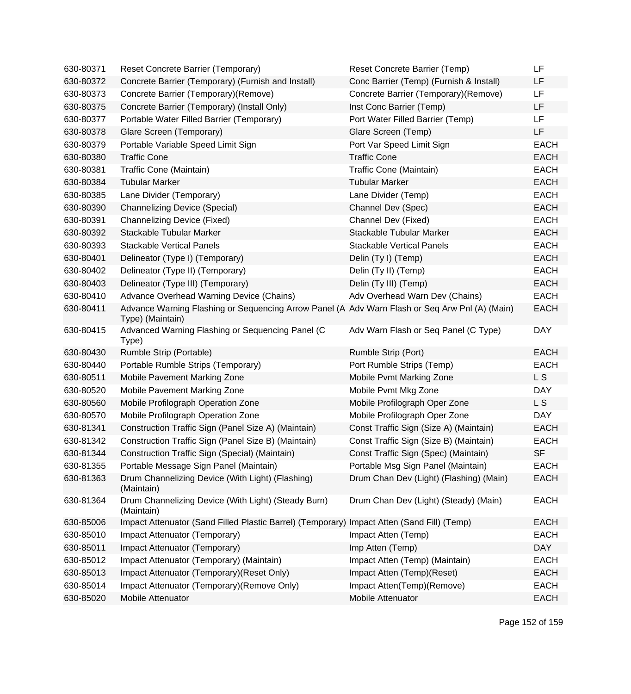| 630-80371 | Reset Concrete Barrier (Temporary)                                                                                 | Reset Concrete Barrier (Temp)           | LF          |
|-----------|--------------------------------------------------------------------------------------------------------------------|-----------------------------------------|-------------|
| 630-80372 | Concrete Barrier (Temporary) (Furnish and Install)                                                                 | Conc Barrier (Temp) (Furnish & Install) | LF          |
| 630-80373 | Concrete Barrier (Temporary)(Remove)                                                                               | Concrete Barrier (Temporary) (Remove)   | LF          |
| 630-80375 | Concrete Barrier (Temporary) (Install Only)                                                                        | Inst Conc Barrier (Temp)                | LF          |
| 630-80377 | Portable Water Filled Barrier (Temporary)                                                                          | Port Water Filled Barrier (Temp)        | LF          |
| 630-80378 | Glare Screen (Temporary)                                                                                           | Glare Screen (Temp)                     | LF          |
| 630-80379 | Portable Variable Speed Limit Sign                                                                                 | Port Var Speed Limit Sign               | <b>EACH</b> |
| 630-80380 | <b>Traffic Cone</b>                                                                                                | <b>Traffic Cone</b>                     | <b>EACH</b> |
| 630-80381 | Traffic Cone (Maintain)                                                                                            | Traffic Cone (Maintain)                 | <b>EACH</b> |
| 630-80384 | <b>Tubular Marker</b>                                                                                              | <b>Tubular Marker</b>                   | <b>EACH</b> |
| 630-80385 | Lane Divider (Temporary)                                                                                           | Lane Divider (Temp)                     | <b>EACH</b> |
| 630-80390 | <b>Channelizing Device (Special)</b>                                                                               | Channel Dev (Spec)                      | <b>EACH</b> |
| 630-80391 | Channelizing Device (Fixed)                                                                                        | Channel Dev (Fixed)                     | <b>EACH</b> |
| 630-80392 | Stackable Tubular Marker                                                                                           | Stackable Tubular Marker                | <b>EACH</b> |
| 630-80393 | <b>Stackable Vertical Panels</b>                                                                                   | <b>Stackable Vertical Panels</b>        | <b>EACH</b> |
| 630-80401 | Delineator (Type I) (Temporary)                                                                                    | Delin (Ty I) (Temp)                     | <b>EACH</b> |
| 630-80402 | Delineator (Type II) (Temporary)                                                                                   | Delin (Ty II) (Temp)                    | <b>EACH</b> |
| 630-80403 | Delineator (Type III) (Temporary)                                                                                  | Delin (Ty III) (Temp)                   | <b>EACH</b> |
| 630-80410 | Advance Overhead Warning Device (Chains)                                                                           | Adv Overhead Warn Dev (Chains)          | <b>EACH</b> |
| 630-80411 | Advance Warning Flashing or Sequencing Arrow Panel (A Adv Warn Flash or Seq Arw Pnl (A) (Main)<br>Type) (Maintain) |                                         | <b>EACH</b> |
| 630-80415 | Advanced Warning Flashing or Sequencing Panel (C<br>Type)                                                          | Adv Warn Flash or Seq Panel (C Type)    | <b>DAY</b>  |
| 630-80430 | Rumble Strip (Portable)                                                                                            | Rumble Strip (Port)                     | <b>EACH</b> |
| 630-80440 | Portable Rumble Strips (Temporary)                                                                                 | Port Rumble Strips (Temp)               | <b>EACH</b> |
| 630-80511 | Mobile Pavement Marking Zone                                                                                       | Mobile Pvmt Marking Zone                | L S         |
| 630-80520 | Mobile Pavement Marking Zone                                                                                       | Mobile Pvmt Mkg Zone                    | <b>DAY</b>  |
| 630-80560 | Mobile Profilograph Operation Zone                                                                                 | Mobile Profilograph Oper Zone           | L S         |
| 630-80570 | Mobile Profilograph Operation Zone                                                                                 | Mobile Profilograph Oper Zone           | <b>DAY</b>  |
| 630-81341 | Construction Traffic Sign (Panel Size A) (Maintain)                                                                | Const Traffic Sign (Size A) (Maintain)  | <b>EACH</b> |
| 630-81342 | Construction Traffic Sign (Panel Size B) (Maintain)                                                                | Const Traffic Sign (Size B) (Maintain)  | <b>EACH</b> |
| 630-81344 | Construction Traffic Sign (Special) (Maintain)                                                                     | Const Traffic Sign (Spec) (Maintain)    | <b>SF</b>   |
| 630-81355 | Portable Message Sign Panel (Maintain)                                                                             | Portable Msg Sign Panel (Maintain)      | <b>EACH</b> |
| 630-81363 | Drum Channelizing Device (With Light) (Flashing)<br>(Maintain)                                                     | Drum Chan Dev (Light) (Flashing) (Main) | <b>EACH</b> |
| 630-81364 | Drum Channelizing Device (With Light) (Steady Burn)<br>(Maintain)                                                  | Drum Chan Dev (Light) (Steady) (Main)   | <b>EACH</b> |
| 630-85006 | Impact Attenuator (Sand Filled Plastic Barrel) (Temporary)                                                         | Impact Atten (Sand Fill) (Temp)         | <b>EACH</b> |
| 630-85010 | Impact Attenuator (Temporary)                                                                                      | Impact Atten (Temp)                     | <b>EACH</b> |
| 630-85011 | Impact Attenuator (Temporary)                                                                                      | Imp Atten (Temp)                        | <b>DAY</b>  |
| 630-85012 | Impact Attenuator (Temporary) (Maintain)                                                                           | Impact Atten (Temp) (Maintain)          | <b>EACH</b> |
| 630-85013 | Impact Attenuator (Temporary) (Reset Only)                                                                         | Impact Atten (Temp)(Reset)              | <b>EACH</b> |
| 630-85014 | Impact Attenuator (Temporary)(Remove Only)                                                                         | Impact Atten(Temp)(Remove)              | <b>EACH</b> |
| 630-85020 | Mobile Attenuator                                                                                                  | Mobile Attenuator                       | <b>EACH</b> |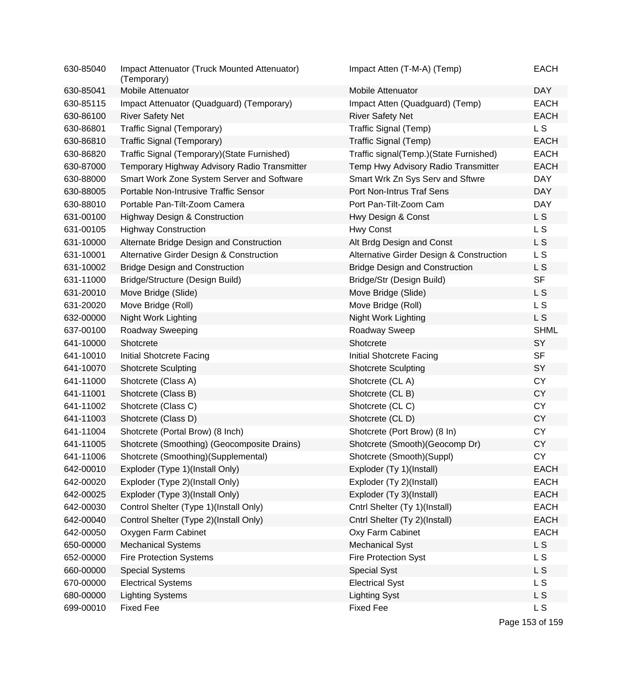| 630-85040 | Impact Attenuator (Truck Mounted Attenuator)<br>(Temporary) | Impact Atten (T-M-A) (Temp)              | <b>EACH</b>    |
|-----------|-------------------------------------------------------------|------------------------------------------|----------------|
| 630-85041 | Mobile Attenuator                                           | <b>Mobile Attenuator</b>                 | <b>DAY</b>     |
| 630-85115 | Impact Attenuator (Quadguard) (Temporary)                   | Impact Atten (Quadguard) (Temp)          | <b>EACH</b>    |
| 630-86100 | <b>River Safety Net</b>                                     | <b>River Safety Net</b>                  | <b>EACH</b>    |
| 630-86801 | Traffic Signal (Temporary)                                  | Traffic Signal (Temp)                    | <b>LS</b>      |
| 630-86810 | Traffic Signal (Temporary)                                  | Traffic Signal (Temp)                    | <b>EACH</b>    |
| 630-86820 | Traffic Signal (Temporary) (State Furnished)                | Traffic signal(Temp.)(State Furnished)   | <b>EACH</b>    |
| 630-87000 | Temporary Highway Advisory Radio Transmitter                | Temp Hwy Advisory Radio Transmitter      | <b>EACH</b>    |
| 630-88000 | Smart Work Zone System Server and Software                  | Smart Wrk Zn Sys Serv and Sftwre         | <b>DAY</b>     |
| 630-88005 | Portable Non-Intrusive Traffic Sensor                       | Port Non-Intrus Traf Sens                | <b>DAY</b>     |
| 630-88010 | Portable Pan-Tilt-Zoom Camera                               | Port Pan-Tilt-Zoom Cam                   | <b>DAY</b>     |
| 631-00100 | <b>Highway Design &amp; Construction</b>                    | Hwy Design & Const                       | L S            |
| 631-00105 | <b>Highway Construction</b>                                 | Hwy Const                                | L S            |
| 631-10000 | Alternate Bridge Design and Construction                    | Alt Brdg Design and Const                | L S            |
| 631-10001 | Alternative Girder Design & Construction                    | Alternative Girder Design & Construction | L S            |
| 631-10002 | <b>Bridge Design and Construction</b>                       | <b>Bridge Design and Construction</b>    | L S            |
| 631-11000 | Bridge/Structure (Design Build)                             | Bridge/Str (Design Build)                | <b>SF</b>      |
| 631-20010 | Move Bridge (Slide)                                         | Move Bridge (Slide)                      | L S            |
| 631-20020 | Move Bridge (Roll)                                          | Move Bridge (Roll)                       | L S            |
| 632-00000 | Night Work Lighting                                         | Night Work Lighting                      | L <sub>S</sub> |
| 637-00100 | Roadway Sweeping                                            | Roadway Sweep                            | <b>SHML</b>    |
| 641-10000 | Shotcrete                                                   | Shotcrete                                | SY             |
| 641-10010 | Initial Shotcrete Facing                                    | Initial Shotcrete Facing                 | <b>SF</b>      |
| 641-10070 | <b>Shotcrete Sculpting</b>                                  | <b>Shotcrete Sculpting</b>               | SY             |
| 641-11000 | Shotcrete (Class A)                                         | Shotcrete (CLA)                          | <b>CY</b>      |
| 641-11001 | Shotcrete (Class B)                                         | Shotcrete (CL B)                         | <b>CY</b>      |
| 641-11002 | Shotcrete (Class C)                                         | Shotcrete (CLC)                          | <b>CY</b>      |
| 641-11003 | Shotcrete (Class D)                                         | Shotcrete (CLD)                          | <b>CY</b>      |
| 641-11004 | Shotcrete (Portal Brow) (8 Inch)                            | Shotcrete (Port Brow) (8 In)             | <b>CY</b>      |
| 641-11005 | Shotcrete (Smoothing) (Geocomposite Drains)                 | Shotcrete (Smooth) (Geocomp Dr)          | <b>CY</b>      |
| 641-11006 | Shotcrete (Smoothing)(Supplemental)                         | Shotcrete (Smooth)(Suppl)                | CY             |
| 642-00010 | Exploder (Type 1)(Install Only)                             | Exploder (Ty 1)(Install)                 | <b>EACH</b>    |
| 642-00020 | Exploder (Type 2)(Install Only)                             | Exploder (Ty 2)(Install)                 | <b>EACH</b>    |
| 642-00025 | Exploder (Type 3)(Install Only)                             | Exploder (Ty 3)(Install)                 | <b>EACH</b>    |
| 642-00030 | Control Shelter (Type 1)(Install Only)                      | Cntrl Shelter (Ty 1)(Install)            | <b>EACH</b>    |
| 642-00040 | Control Shelter (Type 2)(Install Only)                      | Cntrl Shelter (Ty 2)(Install)            | <b>EACH</b>    |
| 642-00050 | Oxygen Farm Cabinet                                         | Oxy Farm Cabinet                         | <b>EACH</b>    |
| 650-00000 | <b>Mechanical Systems</b>                                   | <b>Mechanical Syst</b>                   | L <sub>S</sub> |
| 652-00000 | <b>Fire Protection Systems</b>                              | <b>Fire Protection Syst</b>              | L S            |
| 660-00000 | <b>Special Systems</b>                                      | <b>Special Syst</b>                      | L <sub>S</sub> |
| 670-00000 | <b>Electrical Systems</b>                                   | <b>Electrical Syst</b>                   | L S            |
| 680-00000 | <b>Lighting Systems</b>                                     | <b>Lighting Syst</b>                     | L S            |
| 699-00010 | <b>Fixed Fee</b>                                            | <b>Fixed Fee</b>                         | L S            |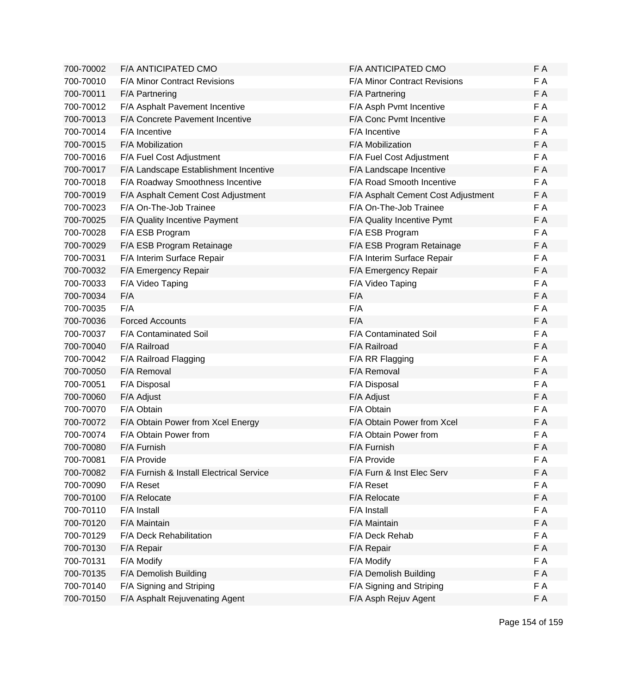| 700-70002 | F/A ANTICIPATED CMO                      | F/A ANTICIPATED CMO                | F A |
|-----------|------------------------------------------|------------------------------------|-----|
| 700-70010 | F/A Minor Contract Revisions             | F/A Minor Contract Revisions       | F A |
| 700-70011 | F/A Partnering                           | F/A Partnering                     | F A |
| 700-70012 | F/A Asphalt Pavement Incentive           | F/A Asph Pvmt Incentive            | F A |
| 700-70013 | F/A Concrete Pavement Incentive          | F/A Conc Pvmt Incentive            | F A |
| 700-70014 | F/A Incentive                            | F/A Incentive                      | F A |
| 700-70015 | F/A Mobilization                         | F/A Mobilization                   | F A |
| 700-70016 | F/A Fuel Cost Adjustment                 | F/A Fuel Cost Adjustment           | F A |
| 700-70017 | F/A Landscape Establishment Incentive    | F/A Landscape Incentive            | F A |
| 700-70018 | F/A Roadway Smoothness Incentive         | F/A Road Smooth Incentive          | F A |
| 700-70019 | F/A Asphalt Cement Cost Adjustment       | F/A Asphalt Cement Cost Adjustment | F A |
| 700-70023 | F/A On-The-Job Trainee                   | F/A On-The-Job Trainee             | F A |
| 700-70025 | F/A Quality Incentive Payment            | F/A Quality Incentive Pymt         | F A |
| 700-70028 | F/A ESB Program                          | F/A ESB Program                    | F A |
| 700-70029 | F/A ESB Program Retainage                | F/A ESB Program Retainage          | F A |
| 700-70031 | F/A Interim Surface Repair               | F/A Interim Surface Repair         | F A |
| 700-70032 | F/A Emergency Repair                     | F/A Emergency Repair               | F A |
| 700-70033 | F/A Video Taping                         | F/A Video Taping                   | F A |
| 700-70034 | F/A                                      | F/A                                | F A |
| 700-70035 | F/A                                      | F/A                                | F A |
| 700-70036 | <b>Forced Accounts</b>                   | F/A                                | F A |
| 700-70037 | F/A Contaminated Soil                    | F/A Contaminated Soil              | F A |
| 700-70040 | F/A Railroad                             | F/A Railroad                       | F A |
| 700-70042 | F/A Railroad Flagging                    | F/A RR Flagging                    | F A |
| 700-70050 | F/A Removal                              | F/A Removal                        | F A |
| 700-70051 | F/A Disposal                             | F/A Disposal                       | F A |
| 700-70060 | F/A Adjust                               | F/A Adjust                         | F A |
| 700-70070 | F/A Obtain                               | F/A Obtain                         | F A |
| 700-70072 | F/A Obtain Power from Xcel Energy        | F/A Obtain Power from Xcel         | F A |
| 700-70074 | F/A Obtain Power from                    | F/A Obtain Power from              | F A |
| 700-70080 | F/A Furnish                              | F/A Furnish                        | F A |
| 700-70081 | F/A Provide                              | F/A Provide                        | F A |
| 700-70082 | F/A Furnish & Install Electrical Service | F/A Furn & Inst Elec Serv          | F A |
| 700-70090 | F/A Reset                                | F/A Reset                          | F A |
| 700-70100 | F/A Relocate                             | F/A Relocate                       | F A |
| 700-70110 | F/A Install                              | F/A Install                        | F A |
| 700-70120 | F/A Maintain                             | F/A Maintain                       | F A |
| 700-70129 | F/A Deck Rehabilitation                  | F/A Deck Rehab                     | F A |
| 700-70130 | F/A Repair                               | F/A Repair                         | F A |
| 700-70131 | F/A Modify                               | F/A Modify                         | F A |
| 700-70135 | F/A Demolish Building                    | F/A Demolish Building              | F A |
| 700-70140 | F/A Signing and Striping                 | F/A Signing and Striping           | F A |
| 700-70150 | F/A Asphalt Rejuvenating Agent           | F/A Asph Rejuv Agent               | F A |
|           |                                          |                                    |     |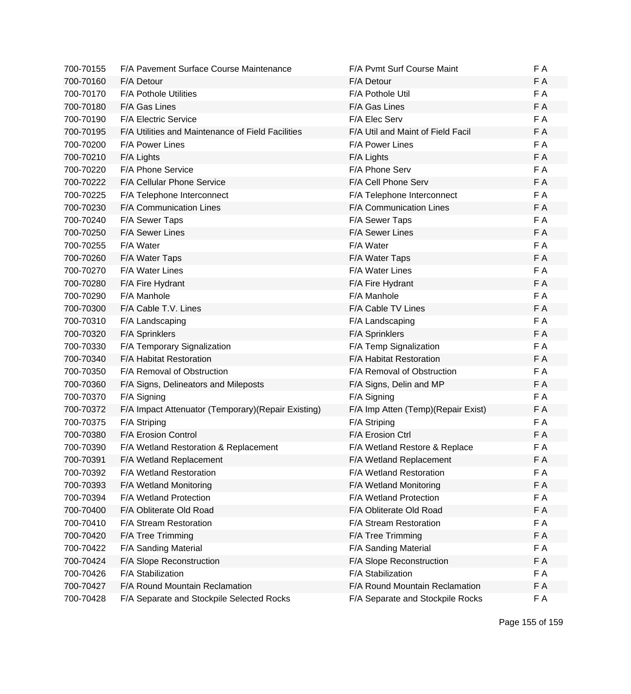| 700-70155 | F/A Pavement Surface Course Maintenance             | F/A Pvmt Surf Course Maint          | F A |
|-----------|-----------------------------------------------------|-------------------------------------|-----|
| 700-70160 | F/A Detour                                          | F/A Detour                          | F A |
| 700-70170 | <b>F/A Pothole Utilities</b>                        | F/A Pothole Util                    | F A |
| 700-70180 | F/A Gas Lines                                       | F/A Gas Lines                       | F A |
| 700-70190 | <b>F/A Electric Service</b>                         | F/A Elec Serv                       | F A |
| 700-70195 | F/A Utilities and Maintenance of Field Facilities   | F/A Util and Maint of Field Facil   | F A |
| 700-70200 | <b>F/A Power Lines</b>                              | <b>F/A Power Lines</b>              | F A |
| 700-70210 | F/A Lights                                          | F/A Lights                          | F A |
| 700-70220 | F/A Phone Service                                   | F/A Phone Serv                      | F A |
| 700-70222 | F/A Cellular Phone Service                          | F/A Cell Phone Serv                 | F A |
| 700-70225 | F/A Telephone Interconnect                          | F/A Telephone Interconnect          | F A |
| 700-70230 | F/A Communication Lines                             | F/A Communication Lines             | F A |
| 700-70240 | F/A Sewer Taps                                      | F/A Sewer Taps                      | F A |
| 700-70250 | F/A Sewer Lines                                     | F/A Sewer Lines                     | F A |
| 700-70255 | F/A Water                                           | F/A Water                           | F A |
| 700-70260 | F/A Water Taps                                      | F/A Water Taps                      | F A |
| 700-70270 | <b>F/A Water Lines</b>                              | <b>F/A Water Lines</b>              | F A |
| 700-70280 | F/A Fire Hydrant                                    | F/A Fire Hydrant                    | F A |
| 700-70290 | F/A Manhole                                         | F/A Manhole                         | F A |
| 700-70300 | F/A Cable T.V. Lines                                | F/A Cable TV Lines                  | F A |
| 700-70310 | F/A Landscaping                                     | F/A Landscaping                     | F A |
| 700-70320 | F/A Sprinklers                                      | <b>F/A Sprinklers</b>               | F A |
| 700-70330 | F/A Temporary Signalization                         | F/A Temp Signalization              | F A |
| 700-70340 | F/A Habitat Restoration                             | F/A Habitat Restoration             | F A |
| 700-70350 | F/A Removal of Obstruction                          | F/A Removal of Obstruction          | F A |
| 700-70360 | F/A Signs, Delineators and Mileposts                | F/A Signs, Delin and MP             | F A |
| 700-70370 | F/A Signing                                         | F/A Signing                         | F A |
| 700-70372 | F/A Impact Attenuator (Temporary) (Repair Existing) | F/A Imp Atten (Temp) (Repair Exist) | F A |
| 700-70375 | F/A Striping                                        | F/A Striping                        | F A |
| 700-70380 | F/A Erosion Control                                 | F/A Erosion Ctrl                    | F A |
| 700-70390 | F/A Wetland Restoration & Replacement               | F/A Wetland Restore & Replace       | F A |
| 700-70391 | F/A Wetland Replacement                             | F/A Wetland Replacement             | FΑ  |
| 700-70392 | F/A Wetland Restoration                             | F/A Wetland Restoration             | F A |
| 700-70393 | F/A Wetland Monitoring                              | F/A Wetland Monitoring              | F A |
| 700-70394 | F/A Wetland Protection                              | F/A Wetland Protection              | F A |
| 700-70400 | F/A Obliterate Old Road                             | F/A Obliterate Old Road             | F A |
| 700-70410 | F/A Stream Restoration                              | F/A Stream Restoration              | F A |
| 700-70420 | F/A Tree Trimming                                   | F/A Tree Trimming                   | F A |
| 700-70422 | F/A Sanding Material                                | F/A Sanding Material                | F A |
| 700-70424 | F/A Slope Reconstruction                            | F/A Slope Reconstruction            | F A |
| 700-70426 | F/A Stabilization                                   | F/A Stabilization                   | F A |
| 700-70427 | F/A Round Mountain Reclamation                      | F/A Round Mountain Reclamation      | F A |
| 700-70428 | F/A Separate and Stockpile Selected Rocks           | F/A Separate and Stockpile Rocks    | F A |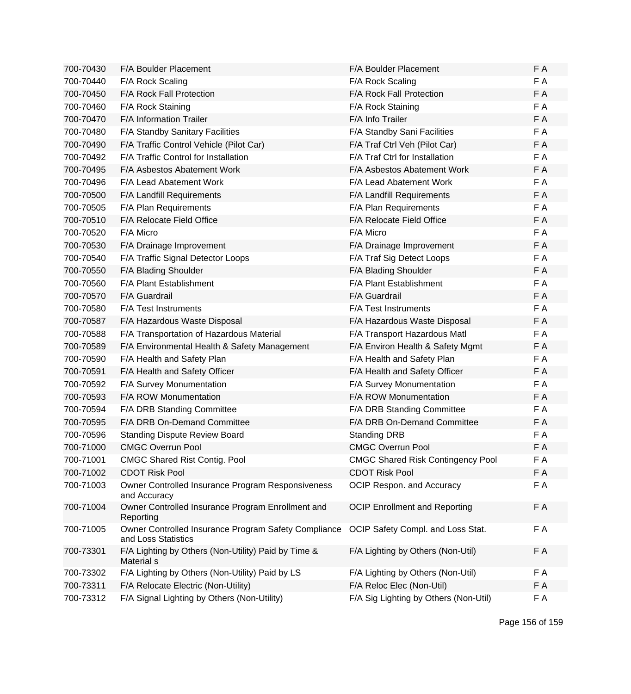| 700-70430 | F/A Boulder Placement                                                       | F/A Boulder Placement                    | F A |
|-----------|-----------------------------------------------------------------------------|------------------------------------------|-----|
| 700-70440 | F/A Rock Scaling                                                            | F/A Rock Scaling                         | F A |
| 700-70450 | F/A Rock Fall Protection                                                    | F/A Rock Fall Protection                 | F A |
| 700-70460 | F/A Rock Staining                                                           | F/A Rock Staining                        | F A |
| 700-70470 | F/A Information Trailer                                                     | F/A Info Trailer                         | F A |
| 700-70480 | F/A Standby Sanitary Facilities                                             | F/A Standby Sani Facilities              | F A |
| 700-70490 | F/A Traffic Control Vehicle (Pilot Car)                                     | F/A Traf Ctrl Veh (Pilot Car)            | F A |
| 700-70492 | F/A Traffic Control for Installation                                        | F/A Traf Ctrl for Installation           | F A |
| 700-70495 | F/A Asbestos Abatement Work                                                 | F/A Asbestos Abatement Work              | F A |
| 700-70496 | F/A Lead Abatement Work                                                     | F/A Lead Abatement Work                  | F A |
| 700-70500 | F/A Landfill Requirements                                                   | F/A Landfill Requirements                | F A |
| 700-70505 | F/A Plan Requirements                                                       | F/A Plan Requirements                    | F A |
| 700-70510 | F/A Relocate Field Office                                                   | F/A Relocate Field Office                | F A |
| 700-70520 | F/A Micro                                                                   | F/A Micro                                | F A |
| 700-70530 | F/A Drainage Improvement                                                    | F/A Drainage Improvement                 | F A |
| 700-70540 | F/A Traffic Signal Detector Loops                                           | F/A Traf Sig Detect Loops                | F A |
| 700-70550 | F/A Blading Shoulder                                                        | F/A Blading Shoulder                     | F A |
| 700-70560 | F/A Plant Establishment                                                     | F/A Plant Establishment                  | F A |
| 700-70570 | F/A Guardrail                                                               | F/A Guardrail                            | F A |
| 700-70580 | F/A Test Instruments                                                        | F/A Test Instruments                     | F A |
| 700-70587 | F/A Hazardous Waste Disposal                                                | F/A Hazardous Waste Disposal             | F A |
| 700-70588 | F/A Transportation of Hazardous Material                                    | F/A Transport Hazardous Matl             | F A |
| 700-70589 | F/A Environmental Health & Safety Management                                | F/A Environ Health & Safety Mgmt         | F A |
| 700-70590 | F/A Health and Safety Plan                                                  | F/A Health and Safety Plan               | F A |
| 700-70591 | F/A Health and Safety Officer                                               | F/A Health and Safety Officer            | F A |
| 700-70592 | F/A Survey Monumentation                                                    | F/A Survey Monumentation                 | F A |
| 700-70593 | <b>F/A ROW Monumentation</b>                                                | <b>F/A ROW Monumentation</b>             | F A |
| 700-70594 | F/A DRB Standing Committee                                                  | F/A DRB Standing Committee               | F A |
| 700-70595 | F/A DRB On-Demand Committee                                                 | F/A DRB On-Demand Committee              | F A |
| 700-70596 | <b>Standing Dispute Review Board</b>                                        | <b>Standing DRB</b>                      | F A |
| 700-71000 | <b>CMGC Overrun Pool</b>                                                    | <b>CMGC Overrun Pool</b>                 | F A |
| 700-71001 | <b>CMGC Shared Rist Contig. Pool</b>                                        | <b>CMGC Shared Risk Contingency Pool</b> | FΑ  |
| 700-71002 | <b>CDOT Risk Pool</b>                                                       | <b>CDOT Risk Pool</b>                    | F A |
| 700-71003 | Owner Controlled Insurance Program Responsiveness<br>and Accuracy           | OCIP Respon. and Accuracy                | F A |
| 700-71004 | Owner Controlled Insurance Program Enrollment and<br>Reporting              | <b>OCIP Enrollment and Reporting</b>     | F A |
| 700-71005 | Owner Controlled Insurance Program Safety Compliance<br>and Loss Statistics | OCIP Safety Compl. and Loss Stat.        | F A |
| 700-73301 | F/A Lighting by Others (Non-Utility) Paid by Time &<br>Material s           | F/A Lighting by Others (Non-Util)        | F A |
| 700-73302 | F/A Lighting by Others (Non-Utility) Paid by LS                             | F/A Lighting by Others (Non-Util)        | F A |
| 700-73311 | F/A Relocate Electric (Non-Utility)                                         | F/A Reloc Elec (Non-Util)                | F A |
| 700-73312 | F/A Signal Lighting by Others (Non-Utility)                                 | F/A Sig Lighting by Others (Non-Util)    | F A |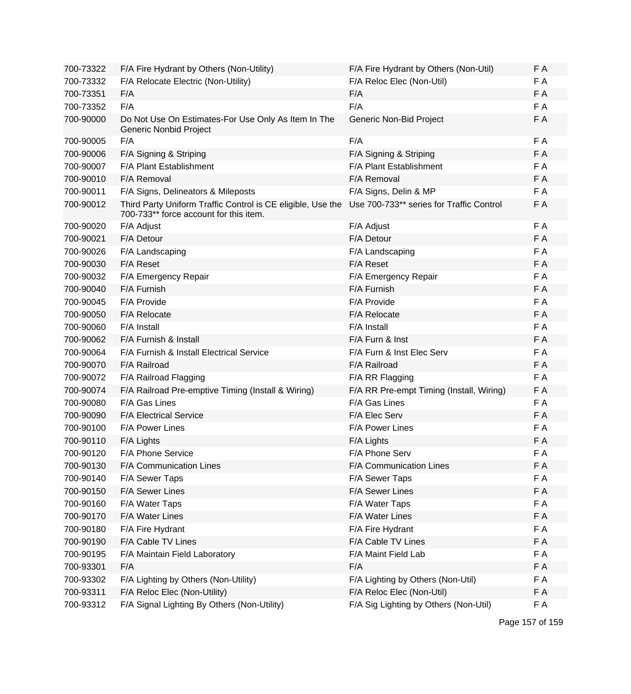| 700-73322 | F/A Fire Hydrant by Others (Non-Utility)                                                              | F/A Fire Hydrant by Others (Non-Util)    | F A |
|-----------|-------------------------------------------------------------------------------------------------------|------------------------------------------|-----|
| 700-73332 | F/A Relocate Electric (Non-Utility)                                                                   | F/A Reloc Elec (Non-Util)                | F A |
| 700-73351 | F/A                                                                                                   | F/A                                      | F A |
| 700-73352 | F/A                                                                                                   | F/A                                      | F A |
| 700-90000 | Do Not Use On Estimates-For Use Only As Item In The<br>Generic Nonbid Project                         | Generic Non-Bid Project                  | F A |
| 700-90005 | F/A                                                                                                   | F/A                                      | F A |
| 700-90006 | F/A Signing & Striping                                                                                | F/A Signing & Striping                   | F A |
| 700-90007 | F/A Plant Establishment                                                                               | F/A Plant Establishment                  | F A |
| 700-90010 | F/A Removal                                                                                           | F/A Removal                              | F A |
| 700-90011 | F/A Signs, Delineators & Mileposts                                                                    | F/A Signs, Delin & MP                    | F A |
| 700-90012 | Third Party Uniform Traffic Control is CE eligible, Use the<br>700-733** force account for this item. | Use 700-733** series for Traffic Control | F A |
| 700-90020 | F/A Adjust                                                                                            | F/A Adjust                               | F A |
| 700-90021 | F/A Detour                                                                                            | F/A Detour                               | F A |
| 700-90026 | F/A Landscaping                                                                                       | F/A Landscaping                          | F A |
| 700-90030 | <b>F/A Reset</b>                                                                                      | F/A Reset                                | F A |
| 700-90032 | F/A Emergency Repair                                                                                  | F/A Emergency Repair                     | F A |
| 700-90040 | F/A Furnish                                                                                           | F/A Furnish                              | F A |
| 700-90045 | F/A Provide                                                                                           | F/A Provide                              | F A |
| 700-90050 | F/A Relocate                                                                                          | F/A Relocate                             | F A |
| 700-90060 | F/A Install                                                                                           | F/A Install                              | F A |
| 700-90062 | F/A Furnish & Install                                                                                 | F/A Furn & Inst                          | F A |
| 700-90064 | F/A Furnish & Install Electrical Service                                                              | F/A Furn & Inst Elec Serv                | F A |
| 700-90070 | F/A Railroad                                                                                          | F/A Railroad                             | F A |
| 700-90072 | F/A Railroad Flagging                                                                                 | F/A RR Flagging                          | F A |
| 700-90074 | F/A Railroad Pre-emptive Timing (Install & Wiring)                                                    | F/A RR Pre-empt Timing (Install, Wiring) | F A |
| 700-90080 | F/A Gas Lines                                                                                         | F/A Gas Lines                            | F A |
| 700-90090 | <b>F/A Electrical Service</b>                                                                         | F/A Elec Serv                            | F A |
| 700-90100 | F/A Power Lines                                                                                       | <b>F/A Power Lines</b>                   | F A |
| 700-90110 | F/A Lights                                                                                            | F/A Lights                               | F A |
| 700-90120 | F/A Phone Service                                                                                     | F/A Phone Serv                           | F A |
| 700-90130 | F/A Communication Lines                                                                               | F/A Communication Lines                  | F A |
| 700-90140 | F/A Sewer Taps                                                                                        | F/A Sewer Taps                           | F A |
| 700-90150 | F/A Sewer Lines                                                                                       | F/A Sewer Lines                          | F A |
| 700-90160 | F/A Water Taps                                                                                        | F/A Water Taps                           | F A |
| 700-90170 | F/A Water Lines                                                                                       | F/A Water Lines                          | F A |
| 700-90180 | F/A Fire Hydrant                                                                                      | F/A Fire Hydrant                         | F A |
| 700-90190 | F/A Cable TV Lines                                                                                    | F/A Cable TV Lines                       | F A |
| 700-90195 | F/A Maintain Field Laboratory                                                                         | F/A Maint Field Lab                      | F A |
| 700-93301 | F/A                                                                                                   | F/A                                      | F A |
| 700-93302 | F/A Lighting by Others (Non-Utility)                                                                  | F/A Lighting by Others (Non-Util)        | F A |
| 700-93311 | F/A Reloc Elec (Non-Utility)                                                                          | F/A Reloc Elec (Non-Util)                | F A |
| 700-93312 | F/A Signal Lighting By Others (Non-Utility)                                                           | F/A Sig Lighting by Others (Non-Util)    | F A |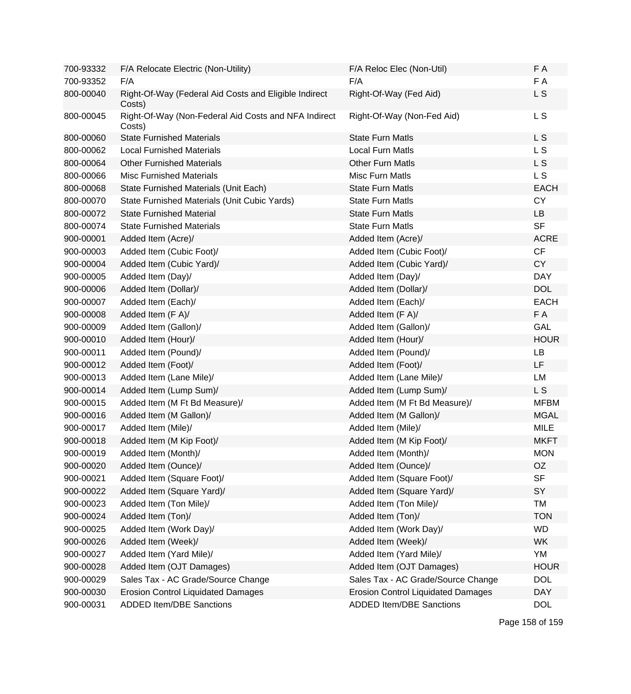| 700-93332 | F/A Relocate Electric (Non-Utility)                             | F/A Reloc Elec (Non-Util)                 | F A         |
|-----------|-----------------------------------------------------------------|-------------------------------------------|-------------|
| 700-93352 | F/A                                                             | F/A                                       | F A         |
| 800-00040 | Right-Of-Way (Federal Aid Costs and Eligible Indirect<br>Costs) | Right-Of-Way (Fed Aid)                    | L S         |
| 800-00045 | Right-Of-Way (Non-Federal Aid Costs and NFA Indirect<br>Costs)  | Right-Of-Way (Non-Fed Aid)                | L S         |
| 800-00060 | <b>State Furnished Materials</b>                                | <b>State Furn Matls</b>                   | L S         |
| 800-00062 | <b>Local Furnished Materials</b>                                | <b>Local Furn Matls</b>                   | L S         |
| 800-00064 | <b>Other Furnished Materials</b>                                | <b>Other Furn Matls</b>                   | L S         |
| 800-00066 | <b>Misc Furnished Materials</b>                                 | Misc Furn Matls                           | L S         |
| 800-00068 | State Furnished Materials (Unit Each)                           | <b>State Furn Matls</b>                   | <b>EACH</b> |
| 800-00070 | State Furnished Materials (Unit Cubic Yards)                    | <b>State Furn Matls</b>                   | <b>CY</b>   |
| 800-00072 | <b>State Furnished Material</b>                                 | <b>State Furn Matls</b>                   | LB          |
| 800-00074 | <b>State Furnished Materials</b>                                | <b>State Furn Matls</b>                   | <b>SF</b>   |
| 900-00001 | Added Item (Acre)/                                              | Added Item (Acre)/                        | <b>ACRE</b> |
| 900-00003 | Added Item (Cubic Foot)/                                        | Added Item (Cubic Foot)/                  | CF          |
| 900-00004 | Added Item (Cubic Yard)/                                        | Added Item (Cubic Yard)/                  | <b>CY</b>   |
| 900-00005 | Added Item (Day)/                                               | Added Item (Day)/                         | <b>DAY</b>  |
| 900-00006 | Added Item (Dollar)/                                            | Added Item (Dollar)/                      | <b>DOL</b>  |
| 900-00007 | Added Item (Each)/                                              | Added Item (Each)/                        | <b>EACH</b> |
| 900-00008 | Added Item (F A)/                                               | Added Item (F A)/                         | F A         |
| 900-00009 | Added Item (Gallon)/                                            | Added Item (Gallon)/                      | GAL         |
| 900-00010 | Added Item (Hour)/                                              | Added Item (Hour)/                        | <b>HOUR</b> |
| 900-00011 | Added Item (Pound)/                                             | Added Item (Pound)/                       | LB          |
| 900-00012 | Added Item (Foot)/                                              | Added Item (Foot)/                        | LF          |
| 900-00013 | Added Item (Lane Mile)/                                         | Added Item (Lane Mile)/                   | <b>LM</b>   |
| 900-00014 | Added Item (Lump Sum)/                                          | Added Item (Lump Sum)/                    | L S         |
| 900-00015 | Added Item (M Ft Bd Measure)/                                   | Added Item (M Ft Bd Measure)/             | <b>MFBM</b> |
| 900-00016 | Added Item (M Gallon)/                                          | Added Item (M Gallon)/                    | <b>MGAL</b> |
| 900-00017 | Added Item (Mile)/                                              | Added Item (Mile)/                        | <b>MILE</b> |
| 900-00018 | Added Item (M Kip Foot)/                                        | Added Item (M Kip Foot)/                  | <b>MKFT</b> |
| 900-00019 | Added Item (Month)/                                             | Added Item (Month)/                       | <b>MON</b>  |
| 900-00020 | Added Item (Ounce)/                                             | Added Item (Ounce)/                       | OZ          |
| 900-00021 | Added Item (Square Foot)/                                       | Added Item (Square Foot)/                 | <b>SF</b>   |
| 900-00022 | Added Item (Square Yard)/                                       | Added Item (Square Yard)/                 | SY          |
| 900-00023 | Added Item (Ton Mile)/                                          | Added Item (Ton Mile)/                    | <b>TM</b>   |
| 900-00024 | Added Item (Ton)/                                               | Added Item (Ton)/                         | <b>TON</b>  |
| 900-00025 | Added Item (Work Day)/                                          | Added Item (Work Day)/                    | <b>WD</b>   |
| 900-00026 | Added Item (Week)/                                              | Added Item (Week)/                        | <b>WK</b>   |
| 900-00027 | Added Item (Yard Mile)/                                         | Added Item (Yard Mile)/                   | YM          |
| 900-00028 | Added Item (OJT Damages)                                        | Added Item (OJT Damages)                  | <b>HOUR</b> |
| 900-00029 | Sales Tax - AC Grade/Source Change                              | Sales Tax - AC Grade/Source Change        | <b>DOL</b>  |
| 900-00030 | <b>Erosion Control Liquidated Damages</b>                       | <b>Erosion Control Liquidated Damages</b> | <b>DAY</b>  |
| 900-00031 | <b>ADDED Item/DBE Sanctions</b>                                 | <b>ADDED Item/DBE Sanctions</b>           | <b>DOL</b>  |